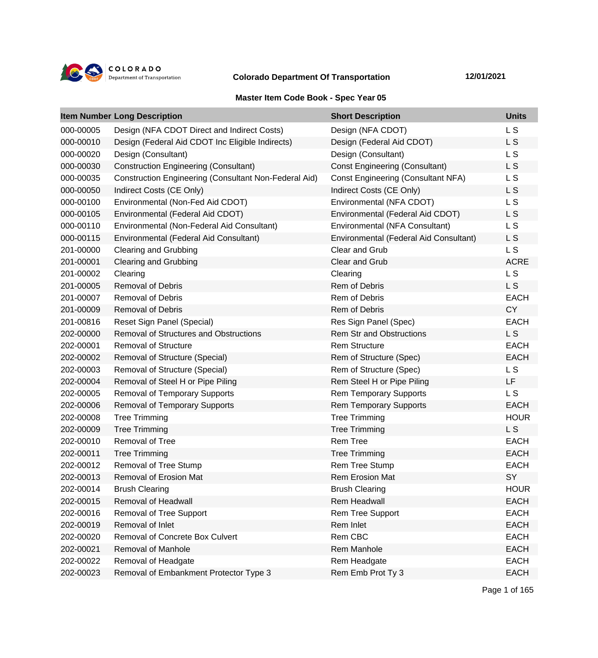

## **Colorado Department Of Transportation 12/01/2021**

## **Master Item Code Book - Spec Year 05**

|           | <b>Item Number Long Description</b>                          | <b>Short Description</b>                  | <b>Units</b>   |
|-----------|--------------------------------------------------------------|-------------------------------------------|----------------|
| 000-00005 | Design (NFA CDOT Direct and Indirect Costs)                  | Design (NFA CDOT)                         | L <sub>S</sub> |
| 000-00010 | Design (Federal Aid CDOT Inc Eligible Indirects)             | Design (Federal Aid CDOT)                 | L <sub>S</sub> |
| 000-00020 | Design (Consultant)                                          | Design (Consultant)                       | L S            |
| 000-00030 | <b>Construction Engineering (Consultant)</b>                 | <b>Const Engineering (Consultant)</b>     | L S            |
| 000-00035 | <b>Construction Engineering (Consultant Non-Federal Aid)</b> | <b>Const Engineering (Consultant NFA)</b> | L S            |
| 000-00050 | Indirect Costs (CE Only)                                     | Indirect Costs (CE Only)                  | L S            |
| 000-00100 | Environmental (Non-Fed Aid CDOT)                             | Environmental (NFA CDOT)                  | L S            |
| 000-00105 | Environmental (Federal Aid CDOT)                             | Environmental (Federal Aid CDOT)          | L S            |
| 000-00110 | Environmental (Non-Federal Aid Consultant)                   | Environmental (NFA Consultant)            | L S            |
| 000-00115 | Environmental (Federal Aid Consultant)                       | Environmental (Federal Aid Consultant)    | L <sub>S</sub> |
| 201-00000 | <b>Clearing and Grubbing</b>                                 | Clear and Grub                            | L <sub>S</sub> |
| 201-00001 | <b>Clearing and Grubbing</b>                                 | Clear and Grub                            | <b>ACRE</b>    |
| 201-00002 | Clearing                                                     | Clearing                                  | L <sub>S</sub> |
| 201-00005 | <b>Removal of Debris</b>                                     | <b>Rem of Debris</b>                      | L S            |
| 201-00007 | <b>Removal of Debris</b>                                     | Rem of Debris                             | <b>EACH</b>    |
| 201-00009 | <b>Removal of Debris</b>                                     | <b>Rem of Debris</b>                      | <b>CY</b>      |
| 201-00816 | Reset Sign Panel (Special)                                   | Res Sign Panel (Spec)                     | <b>EACH</b>    |
| 202-00000 | <b>Removal of Structures and Obstructions</b>                | <b>Rem Str and Obstructions</b>           | L S            |
| 202-00001 | <b>Removal of Structure</b>                                  | <b>Rem Structure</b>                      | <b>EACH</b>    |
| 202-00002 | Removal of Structure (Special)                               | Rem of Structure (Spec)                   | <b>EACH</b>    |
| 202-00003 | Removal of Structure (Special)                               | Rem of Structure (Spec)                   | L S            |
| 202-00004 | Removal of Steel H or Pipe Piling                            | Rem Steel H or Pipe Piling                | LF             |
| 202-00005 | <b>Removal of Temporary Supports</b>                         | <b>Rem Temporary Supports</b>             | L S            |
| 202-00006 | <b>Removal of Temporary Supports</b>                         | <b>Rem Temporary Supports</b>             | <b>EACH</b>    |
| 202-00008 | <b>Tree Trimming</b>                                         | <b>Tree Trimming</b>                      | <b>HOUR</b>    |
| 202-00009 | <b>Tree Trimming</b>                                         | <b>Tree Trimming</b>                      | L S            |
| 202-00010 | Removal of Tree                                              | <b>Rem Tree</b>                           | <b>EACH</b>    |
| 202-00011 | <b>Tree Trimming</b>                                         | <b>Tree Trimming</b>                      | <b>EACH</b>    |
| 202-00012 | Removal of Tree Stump                                        | Rem Tree Stump                            | <b>EACH</b>    |
| 202-00013 | <b>Removal of Erosion Mat</b>                                | <b>Rem Erosion Mat</b>                    | SY             |
| 202-00014 | <b>Brush Clearing</b>                                        | <b>Brush Clearing</b>                     | <b>HOUR</b>    |
| 202-00015 | Removal of Headwall                                          | Rem Headwall                              | <b>EACH</b>    |
| 202-00016 | Removal of Tree Support                                      | Rem Tree Support                          | <b>EACH</b>    |
| 202-00019 | Removal of Inlet                                             | Rem Inlet                                 | <b>EACH</b>    |
| 202-00020 | Removal of Concrete Box Culvert                              | Rem CBC                                   | <b>EACH</b>    |
| 202-00021 | Removal of Manhole                                           | Rem Manhole                               | <b>EACH</b>    |
| 202-00022 | Removal of Headgate                                          | Rem Headgate                              | <b>EACH</b>    |
| 202-00023 | Removal of Embankment Protector Type 3                       | Rem Emb Prot Ty 3                         | <b>EACH</b>    |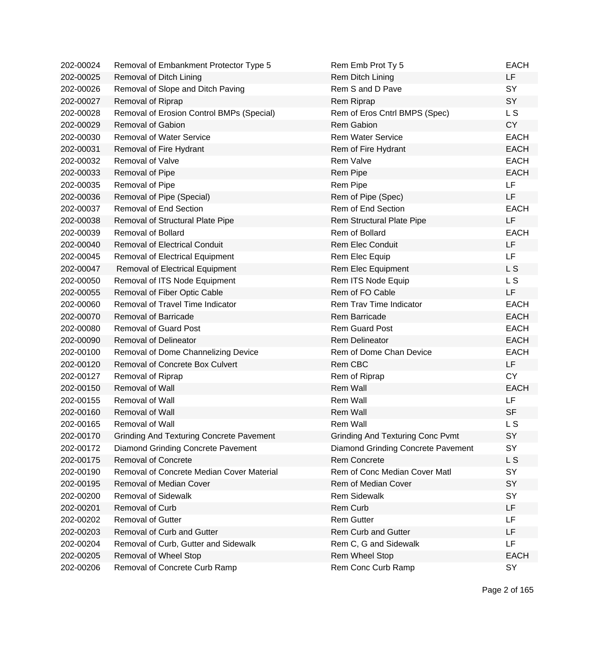| 202-00024 | Removal of Embankment Protector Type 5          | Rem Emb Prot Ty 5                       | <b>EACH</b> |
|-----------|-------------------------------------------------|-----------------------------------------|-------------|
| 202-00025 | Removal of Ditch Lining                         | Rem Ditch Lining                        | LF          |
| 202-00026 | Removal of Slope and Ditch Paving               | Rem S and D Pave                        | SY          |
| 202-00027 | Removal of Riprap                               | Rem Riprap                              | SY          |
| 202-00028 | Removal of Erosion Control BMPs (Special)       | Rem of Eros Cntrl BMPS (Spec)           | L S         |
| 202-00029 | <b>Removal of Gabion</b>                        | <b>Rem Gabion</b>                       | <b>CY</b>   |
| 202-00030 | <b>Removal of Water Service</b>                 | <b>Rem Water Service</b>                | <b>EACH</b> |
| 202-00031 | Removal of Fire Hydrant                         | Rem of Fire Hydrant                     | <b>EACH</b> |
| 202-00032 | Removal of Valve                                | Rem Valve                               | <b>EACH</b> |
| 202-00033 | Removal of Pipe                                 | Rem Pipe                                | <b>EACH</b> |
| 202-00035 | Removal of Pipe                                 | Rem Pipe                                | <b>LF</b>   |
| 202-00036 | Removal of Pipe (Special)                       | Rem of Pipe (Spec)                      | LF          |
| 202-00037 | <b>Removal of End Section</b>                   | Rem of End Section                      | <b>EACH</b> |
| 202-00038 | Removal of Structural Plate Pipe                | Rem Structural Plate Pipe               | <b>LF</b>   |
| 202-00039 | <b>Removal of Bollard</b>                       | Rem of Bollard                          | <b>EACH</b> |
| 202-00040 | <b>Removal of Electrical Conduit</b>            | <b>Rem Elec Conduit</b>                 | <b>LF</b>   |
| 202-00045 | <b>Removal of Electrical Equipment</b>          | Rem Elec Equip                          | <b>LF</b>   |
| 202-00047 | Removal of Electrical Equipment                 | Rem Elec Equipment                      | L S         |
| 202-00050 | Removal of ITS Node Equipment                   | Rem ITS Node Equip                      | L S         |
| 202-00055 | Removal of Fiber Optic Cable                    | Rem of FO Cable                         | <b>LF</b>   |
| 202-00060 | Removal of Travel Time Indicator                | Rem Trav Time Indicator                 | <b>EACH</b> |
| 202-00070 | <b>Removal of Barricade</b>                     | <b>Rem Barricade</b>                    | <b>EACH</b> |
| 202-00080 | <b>Removal of Guard Post</b>                    | <b>Rem Guard Post</b>                   | <b>EACH</b> |
| 202-00090 | <b>Removal of Delineator</b>                    | <b>Rem Delineator</b>                   | <b>EACH</b> |
| 202-00100 | Removal of Dome Channelizing Device             | Rem of Dome Chan Device                 | <b>EACH</b> |
| 202-00120 | Removal of Concrete Box Culvert                 | Rem CBC                                 | LF          |
| 202-00127 | Removal of Riprap                               | Rem of Riprap                           | <b>CY</b>   |
| 202-00150 | <b>Removal of Wall</b>                          | Rem Wall                                | <b>EACH</b> |
| 202-00155 | <b>Removal of Wall</b>                          | Rem Wall                                | <b>LF</b>   |
| 202-00160 | Removal of Wall                                 | Rem Wall                                | <b>SF</b>   |
| 202-00165 | Removal of Wall                                 | Rem Wall                                | L S         |
| 202-00170 | <b>Grinding And Texturing Concrete Pavement</b> | <b>Grinding And Texturing Conc Pvmt</b> | <b>SY</b>   |
| 202-00172 | Diamond Grinding Concrete Pavement              | Diamond Grinding Concrete Pavement      | SY          |
| 202-00175 | <b>Removal of Concrete</b>                      | <b>Rem Concrete</b>                     | L S         |
| 202-00190 | Removal of Concrete Median Cover Material       | Rem of Conc Median Cover Matl           | SY          |
| 202-00195 | Removal of Median Cover                         | Rem of Median Cover                     | <b>SY</b>   |
| 202-00200 | <b>Removal of Sidewalk</b>                      | <b>Rem Sidewalk</b>                     | <b>SY</b>   |
| 202-00201 | Removal of Curb                                 | Rem Curb                                | <b>LF</b>   |
| 202-00202 | <b>Removal of Gutter</b>                        | <b>Rem Gutter</b>                       | LF          |
| 202-00203 | Removal of Curb and Gutter                      | <b>Rem Curb and Gutter</b>              | LF          |
| 202-00204 | Removal of Curb, Gutter and Sidewalk            | Rem C, G and Sidewalk                   | LF          |
| 202-00205 | Removal of Wheel Stop                           | Rem Wheel Stop                          | <b>EACH</b> |
| 202-00206 | Removal of Concrete Curb Ramp                   | Rem Conc Curb Ramp                      | SY          |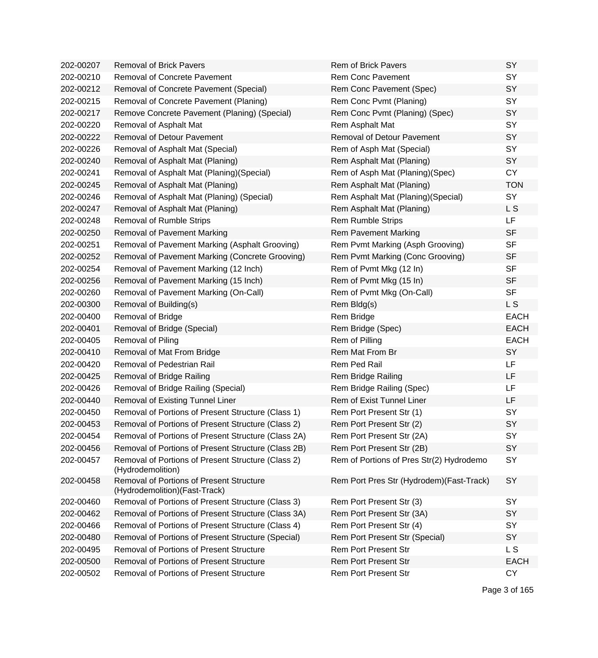| 202-00207 | <b>Removal of Brick Pavers</b>                                             | <b>Rem of Brick Pavers</b>                | SY          |
|-----------|----------------------------------------------------------------------------|-------------------------------------------|-------------|
| 202-00210 | Removal of Concrete Pavement                                               | <b>Rem Conc Pavement</b>                  | SY          |
| 202-00212 | Removal of Concrete Pavement (Special)                                     | Rem Conc Pavement (Spec)                  | SY          |
| 202-00215 | Removal of Concrete Pavement (Planing)                                     | Rem Conc Pvmt (Planing)                   | SY          |
| 202-00217 | Remove Concrete Pavement (Planing) (Special)                               | Rem Conc Pvmt (Planing) (Spec)            | SY          |
| 202-00220 | Removal of Asphalt Mat                                                     | Rem Asphalt Mat                           | SY          |
| 202-00222 | <b>Removal of Detour Pavement</b>                                          | <b>Removal of Detour Pavement</b>         | SY          |
| 202-00226 | Removal of Asphalt Mat (Special)                                           | Rem of Asph Mat (Special)                 | SY          |
| 202-00240 | Removal of Asphalt Mat (Planing)                                           | Rem Asphalt Mat (Planing)                 | SY          |
| 202-00241 | Removal of Asphalt Mat (Planing) (Special)                                 | Rem of Asph Mat (Planing)(Spec)           | <b>CY</b>   |
| 202-00245 | Removal of Asphalt Mat (Planing)                                           | Rem Asphalt Mat (Planing)                 | <b>TON</b>  |
| 202-00246 | Removal of Asphalt Mat (Planing) (Special)                                 | Rem Asphalt Mat (Planing) (Special)       | SY          |
| 202-00247 | Removal of Asphalt Mat (Planing)                                           | Rem Asphalt Mat (Planing)                 | L S         |
| 202-00248 | Removal of Rumble Strips                                                   | <b>Rem Rumble Strips</b>                  | LF.         |
| 202-00250 | Removal of Pavement Marking                                                | <b>Rem Pavement Marking</b>               | <b>SF</b>   |
| 202-00251 | Removal of Pavement Marking (Asphalt Grooving)                             | Rem Pvmt Marking (Asph Grooving)          | <b>SF</b>   |
| 202-00252 | Removal of Pavement Marking (Concrete Grooving)                            | Rem Pvmt Marking (Conc Grooving)          | <b>SF</b>   |
| 202-00254 | Removal of Pavement Marking (12 Inch)                                      | Rem of Pvmt Mkg (12 In)                   | <b>SF</b>   |
| 202-00256 | Removal of Pavement Marking (15 Inch)                                      | Rem of Pvmt Mkg (15 In)                   | <b>SF</b>   |
| 202-00260 | Removal of Pavement Marking (On-Call)                                      | Rem of Pvmt Mkg (On-Call)                 | <b>SF</b>   |
| 202-00300 | Removal of Building(s)                                                     | Rem Bldg(s)                               | L S         |
| 202-00400 | Removal of Bridge                                                          | Rem Bridge                                | <b>EACH</b> |
| 202-00401 | Removal of Bridge (Special)                                                | Rem Bridge (Spec)                         | <b>EACH</b> |
| 202-00405 | Removal of Piling                                                          | Rem of Pilling                            | <b>EACH</b> |
| 202-00410 | Removal of Mat From Bridge                                                 | Rem Mat From Br                           | SY          |
| 202-00420 | Removal of Pedestrian Rail                                                 | Rem Ped Rail                              | LF          |
| 202-00425 | <b>Removal of Bridge Railing</b>                                           | Rem Bridge Railing                        | LF          |
| 202-00426 | Removal of Bridge Railing (Special)                                        | Rem Bridge Railing (Spec)                 | LF          |
| 202-00440 | Removal of Existing Tunnel Liner                                           | Rem of Exist Tunnel Liner                 | LF          |
| 202-00450 | Removal of Portions of Present Structure (Class 1)                         | Rem Port Present Str (1)                  | SY          |
| 202-00453 | Removal of Portions of Present Structure (Class 2)                         | Rem Port Present Str (2)                  | SY          |
| 202-00454 | Removal of Portions of Present Structure (Class 2A)                        | Rem Port Present Str (2A)                 | SY          |
| 202-00456 | Removal of Portions of Present Structure (Class 2B)                        | Rem Port Present Str (2B)                 | SY          |
| 202-00457 | Removal of Portions of Present Structure (Class 2)<br>(Hydrodemolition)    | Rem of Portions of Pres Str(2) Hydrodemo  | SY          |
| 202-00458 | Removal of Portions of Present Structure<br>(Hydrodemolition) (Fast-Track) | Rem Port Pres Str (Hydrodem) (Fast-Track) | SY          |
| 202-00460 | Removal of Portions of Present Structure (Class 3)                         | Rem Port Present Str (3)                  | <b>SY</b>   |
| 202-00462 | Removal of Portions of Present Structure (Class 3A)                        | Rem Port Present Str (3A)                 | SY          |
| 202-00466 | Removal of Portions of Present Structure (Class 4)                         | Rem Port Present Str (4)                  | SY          |
| 202-00480 | Removal of Portions of Present Structure (Special)                         | Rem Port Present Str (Special)            | SY          |
| 202-00495 | <b>Removal of Portions of Present Structure</b>                            | <b>Rem Port Present Str</b>               | L S         |
| 202-00500 | <b>Removal of Portions of Present Structure</b>                            | <b>Rem Port Present Str</b>               | <b>EACH</b> |
| 202-00502 | Removal of Portions of Present Structure                                   | <b>Rem Port Present Str</b>               | <b>CY</b>   |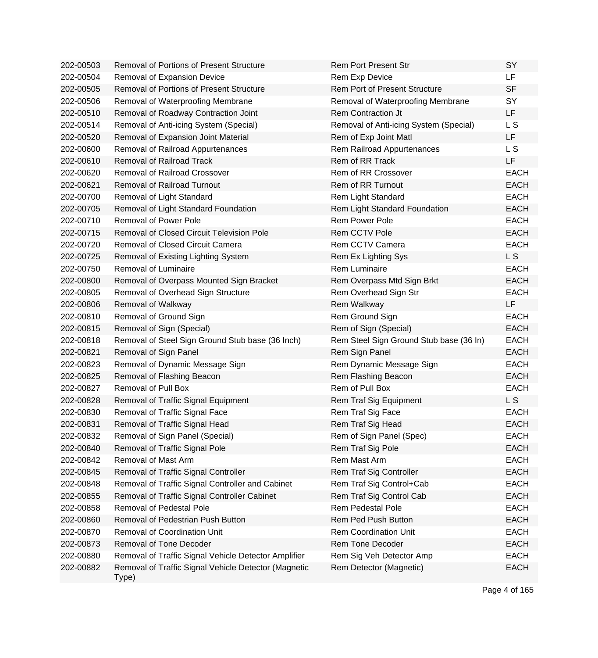| 202-00503 | <b>Removal of Portions of Present Structure</b>               | <b>Rem Port Present Str</b>             | SY             |
|-----------|---------------------------------------------------------------|-----------------------------------------|----------------|
| 202-00504 | Removal of Expansion Device                                   | Rem Exp Device                          | LF             |
| 202-00505 | <b>Removal of Portions of Present Structure</b>               | <b>Rem Port of Present Structure</b>    | <b>SF</b>      |
| 202-00506 | Removal of Waterproofing Membrane                             | Removal of Waterproofing Membrane       | SY             |
| 202-00510 | Removal of Roadway Contraction Joint                          | Rem Contraction Jt                      | <b>LF</b>      |
| 202-00514 | Removal of Anti-icing System (Special)                        | Removal of Anti-icing System (Special)  | L S            |
| 202-00520 | Removal of Expansion Joint Material                           | Rem of Exp Joint Matl                   | LF.            |
| 202-00600 | Removal of Railroad Appurtenances                             | Rem Railroad Appurtenances              | L <sub>S</sub> |
| 202-00610 | <b>Removal of Railroad Track</b>                              | Rem of RR Track                         | LF             |
| 202-00620 | Removal of Railroad Crossover                                 | Rem of RR Crossover                     | <b>EACH</b>    |
| 202-00621 | <b>Removal of Railroad Turnout</b>                            | <b>Rem of RR Turnout</b>                | <b>EACH</b>    |
| 202-00700 | Removal of Light Standard                                     | Rem Light Standard                      | <b>EACH</b>    |
| 202-00705 | Removal of Light Standard Foundation                          | Rem Light Standard Foundation           | <b>EACH</b>    |
| 202-00710 | <b>Removal of Power Pole</b>                                  | Rem Power Pole                          | <b>EACH</b>    |
| 202-00715 | <b>Removal of Closed Circuit Television Pole</b>              | Rem CCTV Pole                           | <b>EACH</b>    |
| 202-00720 | Removal of Closed Circuit Camera                              | Rem CCTV Camera                         | <b>EACH</b>    |
| 202-00725 | Removal of Existing Lighting System                           | Rem Ex Lighting Sys                     | L <sub>S</sub> |
| 202-00750 | Removal of Luminaire                                          | <b>Rem Luminaire</b>                    | <b>EACH</b>    |
| 202-00800 | Removal of Overpass Mounted Sign Bracket                      | Rem Overpass Mtd Sign Brkt              | <b>EACH</b>    |
| 202-00805 | Removal of Overhead Sign Structure                            | Rem Overhead Sign Str                   | <b>EACH</b>    |
| 202-00806 | Removal of Walkway                                            | Rem Walkway                             | <b>LF</b>      |
| 202-00810 | Removal of Ground Sign                                        | Rem Ground Sign                         | <b>EACH</b>    |
| 202-00815 | Removal of Sign (Special)                                     | Rem of Sign (Special)                   | <b>EACH</b>    |
| 202-00818 | Removal of Steel Sign Ground Stub base (36 Inch)              | Rem Steel Sign Ground Stub base (36 In) | <b>EACH</b>    |
| 202-00821 | Removal of Sign Panel                                         | Rem Sign Panel                          | <b>EACH</b>    |
| 202-00823 | Removal of Dynamic Message Sign                               | Rem Dynamic Message Sign                | <b>EACH</b>    |
| 202-00825 | Removal of Flashing Beacon                                    | Rem Flashing Beacon                     | <b>EACH</b>    |
| 202-00827 | <b>Removal of Pull Box</b>                                    | Rem of Pull Box                         | <b>EACH</b>    |
| 202-00828 | Removal of Traffic Signal Equipment                           | Rem Traf Sig Equipment                  | L S            |
| 202-00830 | Removal of Traffic Signal Face                                | Rem Traf Sig Face                       | <b>EACH</b>    |
| 202-00831 | Removal of Traffic Signal Head                                | Rem Traf Sig Head                       | <b>EACH</b>    |
| 202-00832 | Removal of Sign Panel (Special)                               | Rem of Sign Panel (Spec)                | EACH           |
| 202-00840 | Removal of Traffic Signal Pole                                | Rem Traf Sig Pole                       | <b>EACH</b>    |
| 202-00842 | Removal of Mast Arm                                           | Rem Mast Arm                            | <b>EACH</b>    |
| 202-00845 | Removal of Traffic Signal Controller                          | Rem Traf Sig Controller                 | <b>EACH</b>    |
| 202-00848 | Removal of Traffic Signal Controller and Cabinet              | Rem Traf Sig Control+Cab                | <b>EACH</b>    |
| 202-00855 | Removal of Traffic Signal Controller Cabinet                  | Rem Traf Sig Control Cab                | <b>EACH</b>    |
| 202-00858 | <b>Removal of Pedestal Pole</b>                               | <b>Rem Pedestal Pole</b>                | <b>EACH</b>    |
| 202-00860 | Removal of Pedestrian Push Button                             | Rem Ped Push Button                     | <b>EACH</b>    |
| 202-00870 | <b>Removal of Coordination Unit</b>                           | <b>Rem Coordination Unit</b>            | <b>EACH</b>    |
| 202-00873 | Removal of Tone Decoder                                       | Rem Tone Decoder                        | <b>EACH</b>    |
| 202-00880 | Removal of Traffic Signal Vehicle Detector Amplifier          | Rem Sig Veh Detector Amp                | <b>EACH</b>    |
| 202-00882 | Removal of Traffic Signal Vehicle Detector (Magnetic<br>Type) | Rem Detector (Magnetic)                 | <b>EACH</b>    |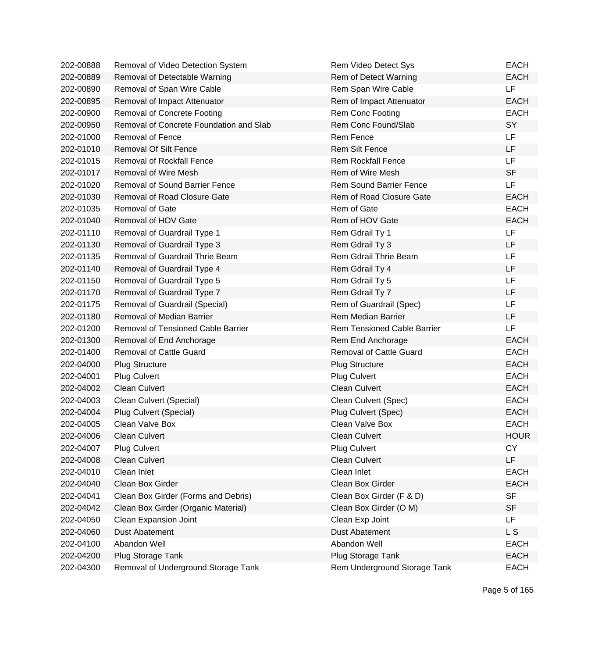| 202-00888 | Removal of Video Detection System       | Rem Video Detect Sys               | <b>EACH</b> |
|-----------|-----------------------------------------|------------------------------------|-------------|
| 202-00889 | Removal of Detectable Warning           | Rem of Detect Warning              | <b>EACH</b> |
| 202-00890 | Removal of Span Wire Cable              | Rem Span Wire Cable                | LF          |
| 202-00895 | Removal of Impact Attenuator            | Rem of Impact Attenuator           | <b>EACH</b> |
| 202-00900 | <b>Removal of Concrete Footing</b>      | Rem Conc Footing                   | <b>EACH</b> |
| 202-00950 | Removal of Concrete Foundation and Slab | Rem Conc Found/Slab                | SY          |
| 202-01000 | <b>Removal of Fence</b>                 | <b>Rem Fence</b>                   | <b>LF</b>   |
| 202-01010 | <b>Removal Of Silt Fence</b>            | <b>Rem Silt Fence</b>              | LF          |
| 202-01015 | <b>Removal of Rockfall Fence</b>        | <b>Rem Rockfall Fence</b>          | <b>LF</b>   |
| 202-01017 | Removal of Wire Mesh                    | Rem of Wire Mesh                   | <b>SF</b>   |
| 202-01020 | <b>Removal of Sound Barrier Fence</b>   | <b>Rem Sound Barrier Fence</b>     | <b>LF</b>   |
| 202-01030 | <b>Removal of Road Closure Gate</b>     | Rem of Road Closure Gate           | <b>EACH</b> |
| 202-01035 | Removal of Gate                         | Rem of Gate                        | <b>EACH</b> |
| 202-01040 | Removal of HOV Gate                     | Rem of HOV Gate                    | <b>EACH</b> |
| 202-01110 | Removal of Guardrail Type 1             | Rem Gdrail Ty 1                    | LF          |
| 202-01130 | Removal of Guardrail Type 3             | Rem Gdrail Ty 3                    | LF          |
| 202-01135 | Removal of Guardrail Thrie Beam         | Rem Gdrail Thrie Beam              | LF          |
| 202-01140 | Removal of Guardrail Type 4             | Rem Gdrail Ty 4                    | LF          |
| 202-01150 | Removal of Guardrail Type 5             | Rem Gdrail Ty 5                    | LF          |
| 202-01170 | Removal of Guardrail Type 7             | Rem Gdrail Ty 7                    | LF          |
| 202-01175 | Removal of Guardrail (Special)          | Rem of Guardrail (Spec)            | LF          |
| 202-01180 | Removal of Median Barrier               | <b>Rem Median Barrier</b>          | LF          |
| 202-01200 | Removal of Tensioned Cable Barrier      | <b>Rem Tensioned Cable Barrier</b> | LF          |
| 202-01300 | Removal of End Anchorage                | Rem End Anchorage                  | <b>EACH</b> |
| 202-01400 | <b>Removal of Cattle Guard</b>          | <b>Removal of Cattle Guard</b>     | <b>EACH</b> |
| 202-04000 | <b>Plug Structure</b>                   | <b>Plug Structure</b>              | <b>EACH</b> |
| 202-04001 | <b>Plug Culvert</b>                     | <b>Plug Culvert</b>                | <b>EACH</b> |
| 202-04002 | <b>Clean Culvert</b>                    | <b>Clean Culvert</b>               | <b>EACH</b> |
| 202-04003 | Clean Culvert (Special)                 | Clean Culvert (Spec)               | <b>EACH</b> |
| 202-04004 | Plug Culvert (Special)                  | Plug Culvert (Spec)                | <b>EACH</b> |
| 202-04005 | Clean Valve Box                         | Clean Valve Box                    | <b>EACH</b> |
| 202-04006 | <b>Clean Culvert</b>                    | <b>Clean Culvert</b>               | <b>HOUR</b> |
| 202-04007 | Plug Culvert                            | <b>Plug Culvert</b>                | <b>CY</b>   |
| 202-04008 | <b>Clean Culvert</b>                    | <b>Clean Culvert</b>               | LF          |
| 202-04010 | Clean Inlet                             | Clean Inlet                        | <b>EACH</b> |
| 202-04040 | Clean Box Girder                        | Clean Box Girder                   | <b>EACH</b> |
| 202-04041 | Clean Box Girder (Forms and Debris)     | Clean Box Girder (F & D)           | <b>SF</b>   |
| 202-04042 | Clean Box Girder (Organic Material)     | Clean Box Girder (O M)             | <b>SF</b>   |
| 202-04050 | Clean Expansion Joint                   | Clean Exp Joint                    | LF          |
| 202-04060 | <b>Dust Abatement</b>                   | <b>Dust Abatement</b>              | L S         |
| 202-04100 | Abandon Well                            | Abandon Well                       | <b>EACH</b> |
| 202-04200 | Plug Storage Tank                       | Plug Storage Tank                  | <b>EACH</b> |
| 202-04300 | Removal of Underground Storage Tank     | Rem Underground Storage Tank       | <b>EACH</b> |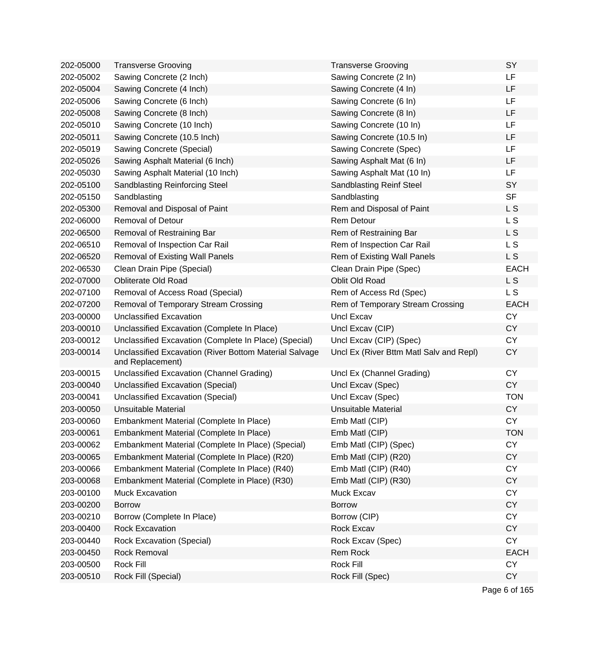| 202-05000 | <b>Transverse Grooving</b>                                                 | <b>Transverse Grooving</b>              | SY          |
|-----------|----------------------------------------------------------------------------|-----------------------------------------|-------------|
| 202-05002 | Sawing Concrete (2 Inch)                                                   | Sawing Concrete (2 In)                  | LF          |
| 202-05004 | Sawing Concrete (4 Inch)                                                   | Sawing Concrete (4 In)                  | LF          |
| 202-05006 | Sawing Concrete (6 Inch)                                                   | Sawing Concrete (6 In)                  | LF          |
| 202-05008 | Sawing Concrete (8 Inch)                                                   | Sawing Concrete (8 In)                  | LF          |
| 202-05010 | Sawing Concrete (10 Inch)                                                  | Sawing Concrete (10 In)                 | LF          |
| 202-05011 | Sawing Concrete (10.5 Inch)                                                | Sawing Concrete (10.5 In)               | LF          |
| 202-05019 | Sawing Concrete (Special)                                                  | Sawing Concrete (Spec)                  | LF          |
| 202-05026 | Sawing Asphalt Material (6 Inch)                                           | Sawing Asphalt Mat (6 In)               | LF          |
| 202-05030 | Sawing Asphalt Material (10 Inch)                                          | Sawing Asphalt Mat (10 In)              | LF          |
| 202-05100 | <b>Sandblasting Reinforcing Steel</b>                                      | <b>Sandblasting Reinf Steel</b>         | SY          |
| 202-05150 | Sandblasting                                                               | Sandblasting                            | <b>SF</b>   |
| 202-05300 | Removal and Disposal of Paint                                              | Rem and Disposal of Paint               | L S         |
| 202-06000 | <b>Removal of Detour</b>                                                   | <b>Rem Detour</b>                       | L S         |
| 202-06500 | Removal of Restraining Bar                                                 | Rem of Restraining Bar                  | L S         |
| 202-06510 | Removal of Inspection Car Rail                                             | Rem of Inspection Car Rail              | L S         |
| 202-06520 | <b>Removal of Existing Wall Panels</b>                                     | Rem of Existing Wall Panels             | L S         |
| 202-06530 | Clean Drain Pipe (Special)                                                 | Clean Drain Pipe (Spec)                 | <b>EACH</b> |
| 202-07000 | <b>Obliterate Old Road</b>                                                 | Oblit Old Road                          | L S         |
| 202-07100 | Removal of Access Road (Special)                                           | Rem of Access Rd (Spec)                 | L S         |
| 202-07200 | Removal of Temporary Stream Crossing                                       | Rem of Temporary Stream Crossing        | <b>EACH</b> |
| 203-00000 | <b>Unclassified Excavation</b>                                             | Uncl Excav                              | <b>CY</b>   |
| 203-00010 | Unclassified Excavation (Complete In Place)                                | Uncl Excav (CIP)                        | <b>CY</b>   |
| 203-00012 | Unclassified Excavation (Complete In Place) (Special)                      | Uncl Excav (CIP) (Spec)                 | <b>CY</b>   |
| 203-00014 | Unclassified Excavation (River Bottom Material Salvage<br>and Replacement) | Uncl Ex (River Bttm Matl Salv and Repl) | <b>CY</b>   |
| 203-00015 | Unclassified Excavation (Channel Grading)                                  | Uncl Ex (Channel Grading)               | <b>CY</b>   |
| 203-00040 | Unclassified Excavation (Special)                                          | Uncl Excav (Spec)                       | <b>CY</b>   |
| 203-00041 | Unclassified Excavation (Special)                                          | Uncl Excav (Spec)                       | <b>TON</b>  |
| 203-00050 | <b>Unsuitable Material</b>                                                 | <b>Unsuitable Material</b>              | <b>CY</b>   |
| 203-00060 | Embankment Material (Complete In Place)                                    | Emb Matl (CIP)                          | <b>CY</b>   |
| 203-00061 | Embankment Material (Complete In Place)                                    | Emb Matl (CIP)                          | <b>TON</b>  |
| 203-00062 | Embankment Material (Complete In Place) (Special)                          | Emb Matl (CIP) (Spec)                   | <b>CY</b>   |
| 203-00065 | Embankment Material (Complete In Place) (R20)                              | Emb Matl (CIP) (R20)                    | <b>CY</b>   |
| 203-00066 | Embankment Material (Complete In Place) (R40)                              | Emb Matl (CIP) (R40)                    | <b>CY</b>   |
| 203-00068 | Embankment Material (Complete in Place) (R30)                              | Emb Matl (CIP) (R30)                    | <b>CY</b>   |
| 203-00100 | Muck Excavation                                                            | Muck Excav                              | <b>CY</b>   |
| 203-00200 | <b>Borrow</b>                                                              | <b>Borrow</b>                           | <b>CY</b>   |
| 203-00210 | Borrow (Complete In Place)                                                 | Borrow (CIP)                            | <b>CY</b>   |
| 203-00400 | <b>Rock Excavation</b>                                                     | Rock Excav                              | <b>CY</b>   |
| 203-00440 | <b>Rock Excavation (Special)</b>                                           | Rock Excav (Spec)                       | <b>CY</b>   |
| 203-00450 | <b>Rock Removal</b>                                                        | Rem Rock                                | <b>EACH</b> |
| 203-00500 | Rock Fill                                                                  | Rock Fill                               | <b>CY</b>   |
| 203-00510 | Rock Fill (Special)                                                        | Rock Fill (Spec)                        | <b>CY</b>   |
|           |                                                                            |                                         |             |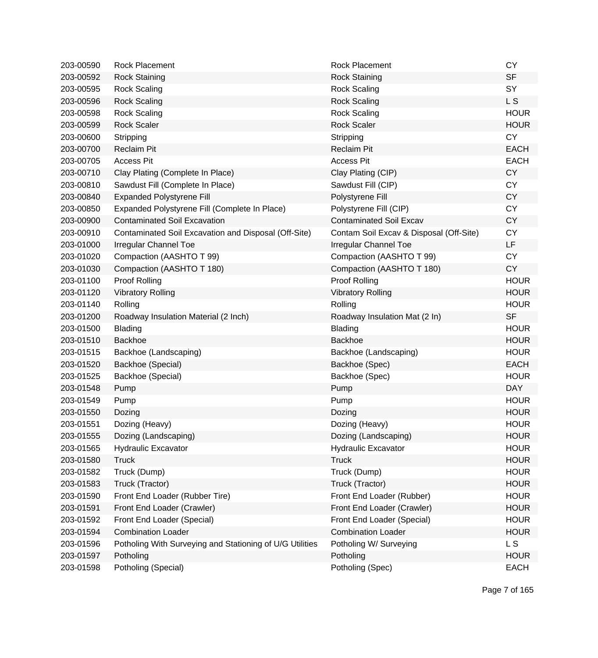| 203-00590 | <b>Rock Placement</b>                                    | <b>Rock Placement</b>                   | <b>CY</b>   |
|-----------|----------------------------------------------------------|-----------------------------------------|-------------|
| 203-00592 | <b>Rock Staining</b>                                     | <b>Rock Staining</b>                    | <b>SF</b>   |
| 203-00595 | <b>Rock Scaling</b>                                      | <b>Rock Scaling</b>                     | SY          |
| 203-00596 | <b>Rock Scaling</b>                                      | <b>Rock Scaling</b>                     | L S         |
| 203-00598 | <b>Rock Scaling</b>                                      | <b>Rock Scaling</b>                     | <b>HOUR</b> |
| 203-00599 | <b>Rock Scaler</b>                                       | <b>Rock Scaler</b>                      | <b>HOUR</b> |
| 203-00600 | Stripping                                                | Stripping                               | <b>CY</b>   |
| 203-00700 | <b>Reclaim Pit</b>                                       | <b>Reclaim Pit</b>                      | <b>EACH</b> |
| 203-00705 | <b>Access Pit</b>                                        | <b>Access Pit</b>                       | <b>EACH</b> |
| 203-00710 | Clay Plating (Complete In Place)                         | Clay Plating (CIP)                      | <b>CY</b>   |
| 203-00810 | Sawdust Fill (Complete In Place)                         | Sawdust Fill (CIP)                      | <b>CY</b>   |
| 203-00840 | <b>Expanded Polystyrene Fill</b>                         | Polystyrene Fill                        | <b>CY</b>   |
| 203-00850 | Expanded Polystyrene Fill (Complete In Place)            | Polystyrene Fill (CIP)                  | <b>CY</b>   |
| 203-00900 | <b>Contaminated Soil Excavation</b>                      | <b>Contaminated Soil Excav</b>          | <b>CY</b>   |
| 203-00910 | Contaminated Soil Excavation and Disposal (Off-Site)     | Contam Soil Excav & Disposal (Off-Site) | <b>CY</b>   |
| 203-01000 | Irregular Channel Toe                                    | <b>Irregular Channel Toe</b>            | LF.         |
| 203-01020 | Compaction (AASHTO T 99)                                 | Compaction (AASHTO T 99)                | <b>CY</b>   |
| 203-01030 | Compaction (AASHTO T 180)                                | Compaction (AASHTO T 180)               | <b>CY</b>   |
| 203-01100 | Proof Rolling                                            | Proof Rolling                           | <b>HOUR</b> |
| 203-01120 | <b>Vibratory Rolling</b>                                 | <b>Vibratory Rolling</b>                | <b>HOUR</b> |
| 203-01140 | Rolling                                                  | Rolling                                 | <b>HOUR</b> |
| 203-01200 | Roadway Insulation Material (2 Inch)                     | Roadway Insulation Mat (2 In)           | <b>SF</b>   |
| 203-01500 | Blading                                                  | Blading                                 | <b>HOUR</b> |
| 203-01510 | Backhoe                                                  | <b>Backhoe</b>                          | <b>HOUR</b> |
| 203-01515 | Backhoe (Landscaping)                                    | Backhoe (Landscaping)                   | <b>HOUR</b> |
| 203-01520 | Backhoe (Special)                                        | Backhoe (Spec)                          | <b>EACH</b> |
| 203-01525 | Backhoe (Special)                                        | Backhoe (Spec)                          | <b>HOUR</b> |
| 203-01548 | Pump                                                     | Pump                                    | <b>DAY</b>  |
| 203-01549 | Pump                                                     | Pump                                    | <b>HOUR</b> |
| 203-01550 | Dozing                                                   | Dozing                                  | <b>HOUR</b> |
| 203-01551 | Dozing (Heavy)                                           | Dozing (Heavy)                          | <b>HOUR</b> |
| 203-01555 | Dozing (Landscaping)                                     | Dozing (Landscaping)                    | <b>HOUR</b> |
| 203-01565 | <b>Hydraulic Excavator</b>                               | <b>Hydraulic Excavator</b>              | <b>HOUR</b> |
| 203-01580 | <b>Truck</b>                                             | <b>Truck</b>                            | <b>HOUR</b> |
| 203-01582 | Truck (Dump)                                             | Truck (Dump)                            | <b>HOUR</b> |
| 203-01583 | Truck (Tractor)                                          | Truck (Tractor)                         | <b>HOUR</b> |
| 203-01590 | Front End Loader (Rubber Tire)                           | Front End Loader (Rubber)               | <b>HOUR</b> |
| 203-01591 | Front End Loader (Crawler)                               | Front End Loader (Crawler)              | <b>HOUR</b> |
| 203-01592 | Front End Loader (Special)                               | Front End Loader (Special)              | <b>HOUR</b> |
| 203-01594 | <b>Combination Loader</b>                                | <b>Combination Loader</b>               | <b>HOUR</b> |
| 203-01596 | Potholing With Surveying and Stationing of U/G Utilities | Potholing W/ Surveying                  | L S         |
| 203-01597 | Potholing                                                | Potholing                               | <b>HOUR</b> |
| 203-01598 | Potholing (Special)                                      | Potholing (Spec)                        | <b>EACH</b> |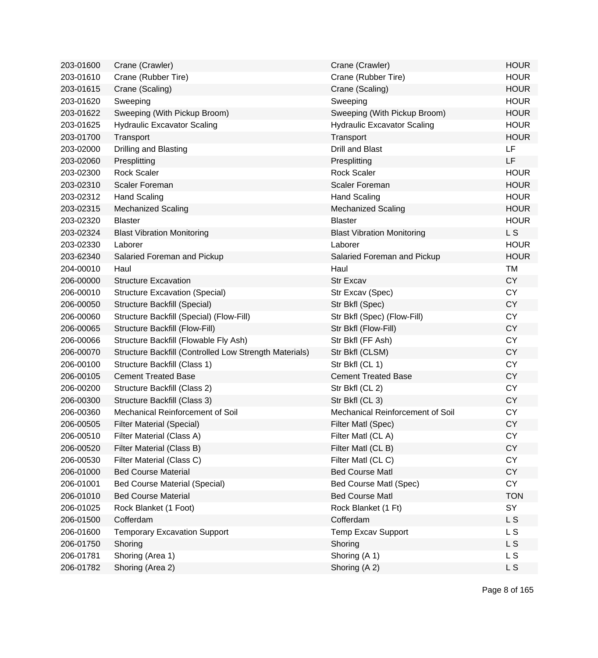| 203-01600 | Crane (Crawler)                                        | Crane (Crawler)                    | <b>HOUR</b>    |
|-----------|--------------------------------------------------------|------------------------------------|----------------|
| 203-01610 | Crane (Rubber Tire)                                    | Crane (Rubber Tire)                | <b>HOUR</b>    |
| 203-01615 | Crane (Scaling)                                        | Crane (Scaling)                    | <b>HOUR</b>    |
| 203-01620 | Sweeping                                               | Sweeping                           | <b>HOUR</b>    |
| 203-01622 | Sweeping (With Pickup Broom)                           | Sweeping (With Pickup Broom)       | <b>HOUR</b>    |
| 203-01625 | <b>Hydraulic Excavator Scaling</b>                     | <b>Hydraulic Excavator Scaling</b> | <b>HOUR</b>    |
| 203-01700 | Transport                                              | Transport                          | <b>HOUR</b>    |
| 203-02000 | Drilling and Blasting                                  | <b>Drill and Blast</b>             | LF             |
| 203-02060 | Presplitting                                           | Presplitting                       | LF             |
| 203-02300 | <b>Rock Scaler</b>                                     | <b>Rock Scaler</b>                 | <b>HOUR</b>    |
| 203-02310 | Scaler Foreman                                         | Scaler Foreman                     | <b>HOUR</b>    |
| 203-02312 | <b>Hand Scaling</b>                                    | <b>Hand Scaling</b>                | <b>HOUR</b>    |
| 203-02315 | <b>Mechanized Scaling</b>                              | <b>Mechanized Scaling</b>          | <b>HOUR</b>    |
| 203-02320 | <b>Blaster</b>                                         | <b>Blaster</b>                     | <b>HOUR</b>    |
| 203-02324 | <b>Blast Vibration Monitoring</b>                      | <b>Blast Vibration Monitoring</b>  | L <sub>S</sub> |
| 203-02330 | Laborer                                                | Laborer                            | <b>HOUR</b>    |
| 203-62340 | Salaried Foreman and Pickup                            | Salaried Foreman and Pickup        | <b>HOUR</b>    |
| 204-00010 | Haul                                                   | Haul                               | <b>TM</b>      |
| 206-00000 | <b>Structure Excavation</b>                            | <b>Str Excav</b>                   | <b>CY</b>      |
| 206-00010 | <b>Structure Excavation (Special)</b>                  | Str Excav (Spec)                   | <b>CY</b>      |
| 206-00050 | Structure Backfill (Special)                           | Str Bkfl (Spec)                    | <b>CY</b>      |
| 206-00060 | Structure Backfill (Special) (Flow-Fill)               | Str Bkfl (Spec) (Flow-Fill)        | <b>CY</b>      |
| 206-00065 | Structure Backfill (Flow-Fill)                         | Str Bkfl (Flow-Fill)               | <b>CY</b>      |
| 206-00066 | Structure Backfill (Flowable Fly Ash)                  | Str Bkfl (FF Ash)                  | <b>CY</b>      |
| 206-00070 | Structure Backfill (Controlled Low Strength Materials) | Str Bkfl (CLSM)                    | <b>CY</b>      |
| 206-00100 | Structure Backfill (Class 1)                           | Str Bkfl (CL 1)                    | <b>CY</b>      |
| 206-00105 | <b>Cement Treated Base</b>                             | <b>Cement Treated Base</b>         | <b>CY</b>      |
| 206-00200 | Structure Backfill (Class 2)                           | Str Bkfl (CL 2)                    | <b>CY</b>      |
| 206-00300 | Structure Backfill (Class 3)                           | Str Bkfl (CL 3)                    | <b>CY</b>      |
| 206-00360 | Mechanical Reinforcement of Soil                       | Mechanical Reinforcement of Soil   | <b>CY</b>      |
| 206-00505 | <b>Filter Material (Special)</b>                       | Filter Matl (Spec)                 | <b>CY</b>      |
| 206-00510 | Filter Material (Class A)                              | Filter Matl (CL A)                 | СY             |
| 206-00520 | Filter Material (Class B)                              | Filter Matl (CL B)                 | <b>CY</b>      |
| 206-00530 | Filter Material (Class C)                              | Filter Matl (CLC)                  | <b>CY</b>      |
| 206-01000 | <b>Bed Course Material</b>                             | <b>Bed Course Matl</b>             | <b>CY</b>      |
| 206-01001 | <b>Bed Course Material (Special)</b>                   | Bed Course Matl (Spec)             | <b>CY</b>      |
| 206-01010 | <b>Bed Course Material</b>                             | <b>Bed Course Matl</b>             | <b>TON</b>     |
| 206-01025 | Rock Blanket (1 Foot)                                  | Rock Blanket (1 Ft)                | SY             |
| 206-01500 | Cofferdam                                              | Cofferdam                          | L S            |
| 206-01600 | <b>Temporary Excavation Support</b>                    | <b>Temp Excav Support</b>          | L S            |
| 206-01750 | Shoring                                                | Shoring                            | L S            |
| 206-01781 | Shoring (Area 1)                                       | Shoring (A 1)                      | L S            |
| 206-01782 | Shoring (Area 2)                                       | Shoring (A 2)                      | L S            |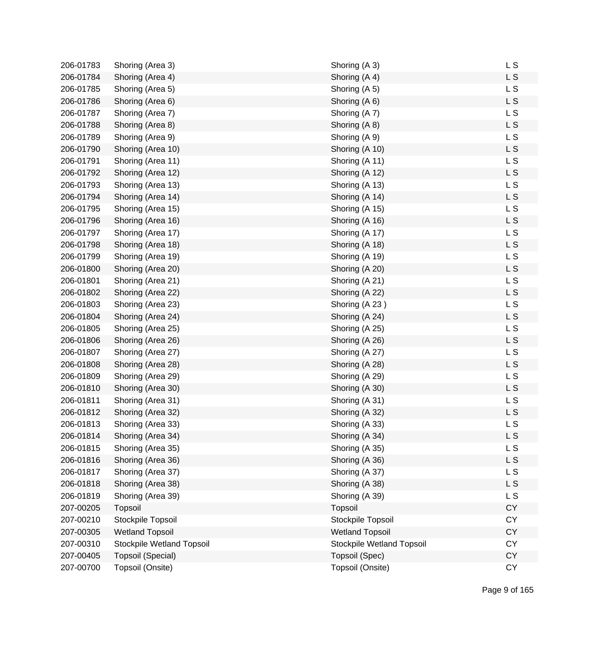| 206-01783 | Shoring (Area 3)          | Shoring (A 3)             | L S            |
|-----------|---------------------------|---------------------------|----------------|
| 206-01784 | Shoring (Area 4)          | Shoring (A 4)             | L S            |
| 206-01785 | Shoring (Area 5)          | Shoring (A 5)             | <b>LS</b>      |
| 206-01786 | Shoring (Area 6)          | Shoring (A 6)             | <b>LS</b>      |
| 206-01787 | Shoring (Area 7)          | Shoring (A 7)             | L S            |
| 206-01788 | Shoring (Area 8)          | Shoring (A 8)             | L S            |
| 206-01789 | Shoring (Area 9)          | Shoring (A 9)             | L S            |
| 206-01790 | Shoring (Area 10)         | Shoring (A 10)            | L S            |
| 206-01791 | Shoring (Area 11)         | Shoring (A 11)            | L S            |
| 206-01792 | Shoring (Area 12)         | Shoring (A 12)            | L <sub>S</sub> |
| 206-01793 | Shoring (Area 13)         | Shoring (A 13)            | L S            |
| 206-01794 | Shoring (Area 14)         | Shoring (A 14)            | L S            |
| 206-01795 | Shoring (Area 15)         | Shoring (A 15)            | <b>LS</b>      |
| 206-01796 | Shoring (Area 16)         | Shoring (A 16)            | <b>LS</b>      |
| 206-01797 | Shoring (Area 17)         | Shoring (A 17)            | L S            |
| 206-01798 | Shoring (Area 18)         | Shoring (A 18)            | L S            |
| 206-01799 | Shoring (Area 19)         | Shoring (A 19)            | L S            |
| 206-01800 | Shoring (Area 20)         | Shoring (A 20)            | L S            |
| 206-01801 | Shoring (Area 21)         | Shoring (A 21)            | L S            |
| 206-01802 | Shoring (Area 22)         | Shoring (A 22)            | L <sub>S</sub> |
| 206-01803 | Shoring (Area 23)         | Shoring (A 23)            | L S            |
| 206-01804 | Shoring (Area 24)         | Shoring (A 24)            | L <sub>S</sub> |
| 206-01805 | Shoring (Area 25)         | Shoring (A 25)            | <b>LS</b>      |
| 206-01806 | Shoring (Area 26)         | Shoring (A 26)            | <b>LS</b>      |
| 206-01807 | Shoring (Area 27)         | Shoring (A 27)            | L S            |
| 206-01808 | Shoring (Area 28)         | Shoring (A 28)            | L S            |
| 206-01809 | Shoring (Area 29)         | Shoring (A 29)            | L S            |
| 206-01810 | Shoring (Area 30)         | Shoring (A 30)            | L S            |
| 206-01811 | Shoring (Area 31)         | Shoring (A 31)            | L S            |
| 206-01812 | Shoring (Area 32)         | Shoring (A 32)            | L <sub>S</sub> |
| 206-01813 | Shoring (Area 33)         | Shoring (A 33)            | L S            |
| 206-01814 | Shoring (Area 34)         | Shoring (A 34)            | L S            |
| 206-01815 | Shoring (Area 35)         | Shoring (A 35)            | L S            |
| 206-01816 | Shoring (Area 36)         | Shoring (A 36)            | L S            |
| 206-01817 | Shoring (Area 37)         | Shoring (A 37)            | <b>LS</b>      |
| 206-01818 | Shoring (Area 38)         | Shoring (A 38)            | L S            |
| 206-01819 | Shoring (Area 39)         | Shoring (A 39)            | L S            |
| 207-00205 | Topsoil                   | Topsoil                   | <b>CY</b>      |
| 207-00210 | Stockpile Topsoil         | Stockpile Topsoil         | <b>CY</b>      |
| 207-00305 | <b>Wetland Topsoil</b>    | <b>Wetland Topsoil</b>    | <b>CY</b>      |
| 207-00310 | Stockpile Wetland Topsoil | Stockpile Wetland Topsoil | <b>CY</b>      |
| 207-00405 | Topsoil (Special)         | Topsoil (Spec)            | <b>CY</b>      |
| 207-00700 | Topsoil (Onsite)          | Topsoil (Onsite)          | <b>CY</b>      |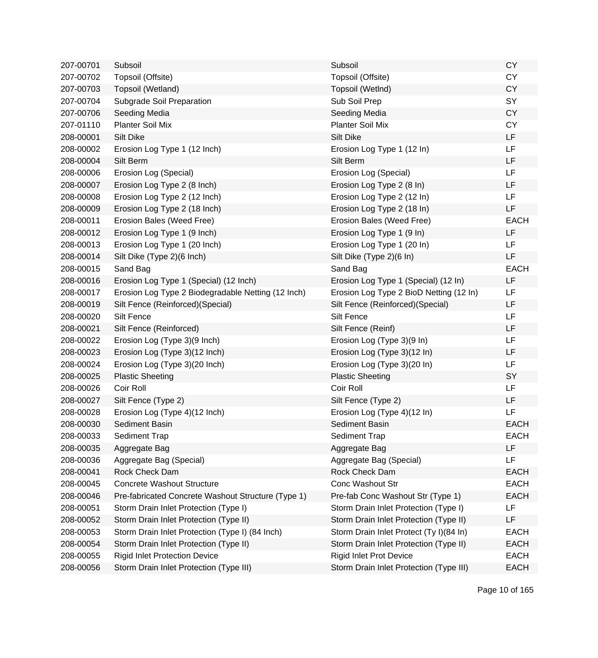| 207-00701 | Subsoil                                            | Subsoil                                 | <b>CY</b>   |
|-----------|----------------------------------------------------|-----------------------------------------|-------------|
| 207-00702 | Topsoil (Offsite)                                  | Topsoil (Offsite)                       | <b>CY</b>   |
| 207-00703 | Topsoil (Wetland)                                  | Topsoil (WetInd)                        | <b>CY</b>   |
| 207-00704 | Subgrade Soil Preparation                          | Sub Soil Prep                           | SY          |
| 207-00706 | Seeding Media                                      | Seeding Media                           | <b>CY</b>   |
| 207-01110 | <b>Planter Soil Mix</b>                            | <b>Planter Soil Mix</b>                 | <b>CY</b>   |
| 208-00001 | <b>Silt Dike</b>                                   | <b>Silt Dike</b>                        | LF          |
| 208-00002 | Erosion Log Type 1 (12 Inch)                       | Erosion Log Type 1 (12 In)              | LF          |
| 208-00004 | Silt Berm                                          | Silt Berm                               | LF          |
| 208-00006 | Erosion Log (Special)                              | Erosion Log (Special)                   | LF          |
| 208-00007 | Erosion Log Type 2 (8 Inch)                        | Erosion Log Type 2 (8 In)               | LF          |
| 208-00008 | Erosion Log Type 2 (12 Inch)                       | Erosion Log Type 2 (12 In)              | LF          |
| 208-00009 | Erosion Log Type 2 (18 Inch)                       | Erosion Log Type 2 (18 In)              | LF          |
| 208-00011 | Erosion Bales (Weed Free)                          | Erosion Bales (Weed Free)               | <b>EACH</b> |
| 208-00012 | Erosion Log Type 1 (9 Inch)                        | Erosion Log Type 1 (9 In)               | LF          |
| 208-00013 | Erosion Log Type 1 (20 Inch)                       | Erosion Log Type 1 (20 In)              | LF          |
| 208-00014 | Silt Dike (Type 2)(6 Inch)                         | Silt Dike (Type 2)(6 In)                | LF          |
| 208-00015 | Sand Bag                                           | Sand Bag                                | <b>EACH</b> |
| 208-00016 | Erosion Log Type 1 (Special) (12 Inch)             | Erosion Log Type 1 (Special) (12 In)    | LF          |
| 208-00017 | Erosion Log Type 2 Biodegradable Netting (12 Inch) | Erosion Log Type 2 BioD Netting (12 In) | LF          |
| 208-00019 | Silt Fence (Reinforced) (Special)                  | Silt Fence (Reinforced) (Special)       | LF          |
| 208-00020 | Silt Fence                                         | Silt Fence                              | <b>LF</b>   |
| 208-00021 | Silt Fence (Reinforced)                            | Silt Fence (Reinf)                      | LF          |
| 208-00022 | Erosion Log (Type 3)(9 Inch)                       | Erosion Log (Type 3)(9 In)              | LF          |
| 208-00023 | Erosion Log (Type 3)(12 Inch)                      | Erosion Log (Type 3)(12 In)             | LF          |
| 208-00024 | Erosion Log (Type 3)(20 Inch)                      | Erosion Log (Type 3)(20 In)             | LF          |
| 208-00025 | <b>Plastic Sheeting</b>                            | <b>Plastic Sheeting</b>                 | SY          |
| 208-00026 | Coir Roll                                          | Coir Roll                               | LF          |
| 208-00027 | Silt Fence (Type 2)                                | Silt Fence (Type 2)                     | LF          |
| 208-00028 | Erosion Log (Type 4)(12 Inch)                      | Erosion Log (Type 4)(12 In)             | LF          |
| 208-00030 | Sediment Basin                                     | Sediment Basin                          | <b>EACH</b> |
| 208-00033 | Sediment Trap                                      | Sediment Trap                           | EACH        |
| 208-00035 | Aggregate Bag                                      | Aggregate Bag                           | LF          |
| 208-00036 | Aggregate Bag (Special)                            | Aggregate Bag (Special)                 | LF          |
| 208-00041 | Rock Check Dam                                     | Rock Check Dam                          | <b>EACH</b> |
| 208-00045 | <b>Concrete Washout Structure</b>                  | Conc Washout Str                        | <b>EACH</b> |
| 208-00046 | Pre-fabricated Concrete Washout Structure (Type 1) | Pre-fab Conc Washout Str (Type 1)       | <b>EACH</b> |
| 208-00051 | Storm Drain Inlet Protection (Type I)              | Storm Drain Inlet Protection (Type I)   | LF          |
| 208-00052 | Storm Drain Inlet Protection (Type II)             | Storm Drain Inlet Protection (Type II)  | LF          |
| 208-00053 | Storm Drain Inlet Protection (Type I) (84 Inch)    | Storm Drain Inlet Protect (Ty I)(84 In) | <b>EACH</b> |
| 208-00054 | Storm Drain Inlet Protection (Type II)             | Storm Drain Inlet Protection (Type II)  | <b>EACH</b> |
| 208-00055 | <b>Rigid Inlet Protection Device</b>               | <b>Rigid Inlet Prot Device</b>          | <b>EACH</b> |
| 208-00056 | Storm Drain Inlet Protection (Type III)            | Storm Drain Inlet Protection (Type III) | <b>EACH</b> |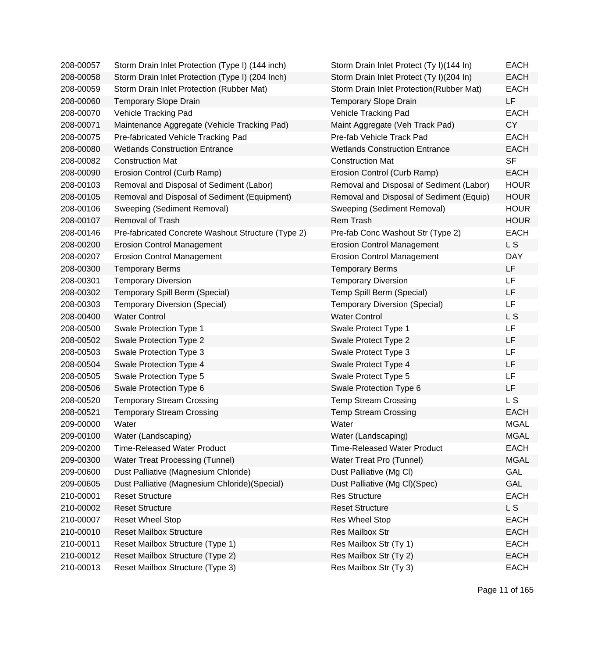| 208-00057 | Storm Drain Inlet Protection (Type I) (144 inch)   | Storm Drain Inlet Protect (Ty I)(144 In) | <b>EACH</b> |
|-----------|----------------------------------------------------|------------------------------------------|-------------|
| 208-00058 | Storm Drain Inlet Protection (Type I) (204 Inch)   | Storm Drain Inlet Protect (Ty I)(204 In) | <b>EACH</b> |
| 208-00059 | Storm Drain Inlet Protection (Rubber Mat)          | Storm Drain Inlet Protection(Rubber Mat) | <b>EACH</b> |
| 208-00060 | <b>Temporary Slope Drain</b>                       | <b>Temporary Slope Drain</b>             | LF          |
| 208-00070 | Vehicle Tracking Pad                               | Vehicle Tracking Pad                     | <b>EACH</b> |
| 208-00071 | Maintenance Aggregate (Vehicle Tracking Pad)       | Maint Aggregate (Veh Track Pad)          | <b>CY</b>   |
| 208-00075 | Pre-fabricated Vehicle Tracking Pad                | Pre-fab Vehicle Track Pad                | <b>EACH</b> |
| 208-00080 | <b>Wetlands Construction Entrance</b>              | <b>Wetlands Construction Entrance</b>    | <b>EACH</b> |
| 208-00082 | <b>Construction Mat</b>                            | <b>Construction Mat</b>                  | <b>SF</b>   |
| 208-00090 | Erosion Control (Curb Ramp)                        | Erosion Control (Curb Ramp)              | <b>EACH</b> |
| 208-00103 | Removal and Disposal of Sediment (Labor)           | Removal and Disposal of Sediment (Labor) | <b>HOUR</b> |
| 208-00105 | Removal and Disposal of Sediment (Equipment)       | Removal and Disposal of Sediment (Equip) | <b>HOUR</b> |
| 208-00106 | Sweeping (Sediment Removal)                        | Sweeping (Sediment Removal)              | <b>HOUR</b> |
| 208-00107 | <b>Removal of Trash</b>                            | Rem Trash                                | <b>HOUR</b> |
| 208-00146 | Pre-fabricated Concrete Washout Structure (Type 2) | Pre-fab Conc Washout Str (Type 2)        | <b>EACH</b> |
| 208-00200 | <b>Erosion Control Management</b>                  | <b>Erosion Control Management</b>        | L S         |
| 208-00207 | <b>Erosion Control Management</b>                  | <b>Erosion Control Management</b>        | <b>DAY</b>  |
| 208-00300 | <b>Temporary Berms</b>                             | <b>Temporary Berms</b>                   | LF          |
| 208-00301 | <b>Temporary Diversion</b>                         | <b>Temporary Diversion</b>               | LF          |
| 208-00302 | Temporary Spill Berm (Special)                     | Temp Spill Berm (Special)                | LF          |
| 208-00303 | <b>Temporary Diversion (Special)</b>               | <b>Temporary Diversion (Special)</b>     | LF          |
| 208-00400 | <b>Water Control</b>                               | <b>Water Control</b>                     | L S         |
| 208-00500 | Swale Protection Type 1                            | Swale Protect Type 1                     | LF          |
| 208-00502 | Swale Protection Type 2                            | Swale Protect Type 2                     | LF          |
| 208-00503 | Swale Protection Type 3                            | Swale Protect Type 3                     | LF          |
| 208-00504 | Swale Protection Type 4                            | Swale Protect Type 4                     | LF          |
| 208-00505 | Swale Protection Type 5                            | Swale Protect Type 5                     | LF          |
| 208-00506 | Swale Protection Type 6                            | Swale Protection Type 6                  | LF          |
| 208-00520 | <b>Temporary Stream Crossing</b>                   | <b>Temp Stream Crossing</b>              | L S         |
| 208-00521 | <b>Temporary Stream Crossing</b>                   | <b>Temp Stream Crossing</b>              | <b>EACH</b> |
| 209-00000 | Water                                              | Water                                    | <b>MGAL</b> |
| 209-00100 | Water (Landscaping)                                | Water (Landscaping)                      | <b>MGAL</b> |
| 209-00200 | <b>Time-Released Water Product</b>                 | <b>Time-Released Water Product</b>       | <b>EACH</b> |
| 209-00300 | <b>Water Treat Processing (Tunnel)</b>             | Water Treat Pro (Tunnel)                 | <b>MGAL</b> |
| 209-00600 | Dust Palliative (Magnesium Chloride)               | Dust Palliative (Mg Cl)                  | <b>GAL</b>  |
| 209-00605 | Dust Palliative (Magnesium Chloride) (Special)     | Dust Palliative (Mg Cl)(Spec)            | <b>GAL</b>  |
| 210-00001 | <b>Reset Structure</b>                             | <b>Res Structure</b>                     | <b>EACH</b> |
| 210-00002 | <b>Reset Structure</b>                             | <b>Reset Structure</b>                   | L S         |
| 210-00007 | <b>Reset Wheel Stop</b>                            | Res Wheel Stop                           | <b>EACH</b> |
| 210-00010 | <b>Reset Mailbox Structure</b>                     | Res Mailbox Str                          | <b>EACH</b> |
| 210-00011 | Reset Mailbox Structure (Type 1)                   | Res Mailbox Str (Ty 1)                   | <b>EACH</b> |
| 210-00012 | Reset Mailbox Structure (Type 2)                   | Res Mailbox Str (Ty 2)                   | <b>EACH</b> |
| 210-00013 | Reset Mailbox Structure (Type 3)                   | Res Mailbox Str (Ty 3)                   | <b>EACH</b> |

| Storm Drain Inlet Protect (Ty I)(144 In) | <b>EACH</b>    |
|------------------------------------------|----------------|
| Storm Drain Inlet Protect (Ty I)(204 In) | <b>EACH</b>    |
| Storm Drain Inlet Protection(Rubber Mat) | <b>EACH</b>    |
| <b>Temporary Slope Drain</b>             | LF             |
| Vehicle Tracking Pad                     | <b>EACH</b>    |
| Maint Aggregate (Veh Track Pad)          | CY             |
| Pre-fab Vehicle Track Pad                | EACH           |
| <b>Wetlands Construction Entrance</b>    | <b>EACH</b>    |
| <b>Construction Mat</b>                  | <b>SF</b>      |
| Erosion Control (Curb Ramp)              | <b>EACH</b>    |
| Removal and Disposal of Sediment (Labor) | <b>HOUR</b>    |
| Removal and Disposal of Sediment (Equip) | <b>HOUR</b>    |
| Sweeping (Sediment Removal)              | <b>HOUR</b>    |
| Rem Trash                                | <b>HOUR</b>    |
| Pre-fab Conc Washout Str (Type 2)        | <b>EACH</b>    |
| <b>Erosion Control Management</b>        | L S            |
| <b>Erosion Control Management</b>        | <b>DAY</b>     |
| <b>Temporary Berms</b>                   | LF             |
| <b>Temporary Diversion</b>               | LF             |
| Temp Spill Berm (Special)                | LF             |
| <b>Temporary Diversion (Special)</b>     | LF             |
| <b>Water Control</b>                     | L <sub>S</sub> |
| Swale Protect Type 1                     | LF             |
| Swale Protect Type 2                     | LF             |
| Swale Protect Type 3                     | LF             |
| Swale Protect Type 4                     | LF             |
| Swale Protect Type 5                     | LF             |
| Swale Protection Type 6                  | LF             |
| <b>Temp Stream Crossing</b>              | L <sub>S</sub> |
| <b>Temp Stream Crossing</b>              | <b>EACH</b>    |
| Water                                    | <b>MGAL</b>    |
| Water (Landscaping)                      | <b>MGAL</b>    |
| <b>Time-Released Water Product</b>       | <b>EACH</b>    |
| Water Treat Pro (Tunnel)                 | <b>MGAL</b>    |
| Dust Palliative (Mg Cl)                  | <b>GAL</b>     |
| Dust Palliative (Mg Cl)(Spec)            | GAL            |
| <b>Res Structure</b>                     | <b>EACH</b>    |
| <b>Reset Structure</b>                   | L S            |
| <b>Res Wheel Stop</b>                    | <b>EACH</b>    |
| <b>Res Mailbox Str</b>                   | <b>EACH</b>    |
| Res Mailbox Str (Ty 1)                   | <b>EACH</b>    |
| Res Mailbox Str (Ty 2)                   | <b>EACH</b>    |
| Res Mailbox Str (Ty 3)                   | <b>EACH</b>    |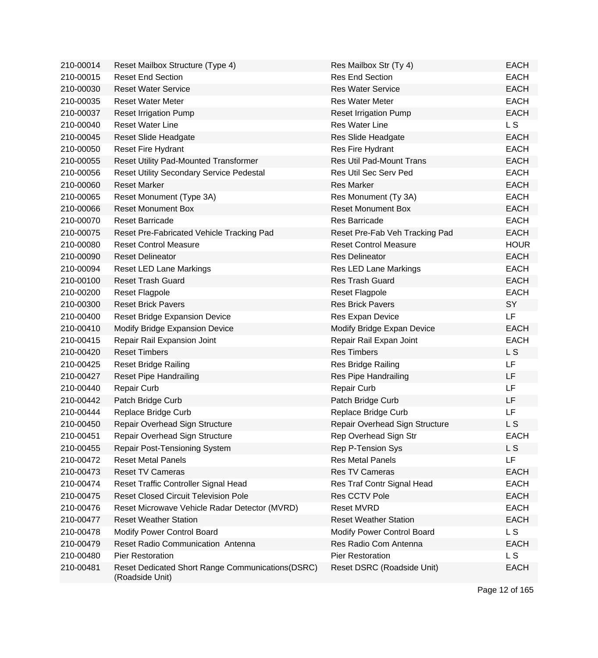| 210-00014 | Reset Mailbox Structure (Type 4)                                    | Res Mailbox Str (Ty 4)          | <b>EACH</b>    |
|-----------|---------------------------------------------------------------------|---------------------------------|----------------|
| 210-00015 | <b>Reset End Section</b>                                            | <b>Res End Section</b>          | <b>EACH</b>    |
| 210-00030 | <b>Reset Water Service</b>                                          | <b>Res Water Service</b>        | <b>EACH</b>    |
| 210-00035 | <b>Reset Water Meter</b>                                            | <b>Res Water Meter</b>          | <b>EACH</b>    |
| 210-00037 | <b>Reset Irrigation Pump</b>                                        | <b>Reset Irrigation Pump</b>    | <b>EACH</b>    |
| 210-00040 | <b>Reset Water Line</b>                                             | <b>Res Water Line</b>           | L <sub>S</sub> |
| 210-00045 | Reset Slide Headgate                                                | Res Slide Headgate              | <b>EACH</b>    |
| 210-00050 | Reset Fire Hydrant                                                  | Res Fire Hydrant                | <b>EACH</b>    |
| 210-00055 | Reset Utility Pad-Mounted Transformer                               | <b>Res Util Pad-Mount Trans</b> | <b>EACH</b>    |
| 210-00056 | <b>Reset Utility Secondary Service Pedestal</b>                     | Res Util Sec Serv Ped           | <b>EACH</b>    |
| 210-00060 | <b>Reset Marker</b>                                                 | <b>Res Marker</b>               | <b>EACH</b>    |
| 210-00065 | Reset Monument (Type 3A)                                            | Res Monument (Ty 3A)            | <b>EACH</b>    |
| 210-00066 | <b>Reset Monument Box</b>                                           | <b>Reset Monument Box</b>       | <b>EACH</b>    |
| 210-00070 | <b>Reset Barricade</b>                                              | <b>Res Barricade</b>            | <b>EACH</b>    |
| 210-00075 | Reset Pre-Fabricated Vehicle Tracking Pad                           | Reset Pre-Fab Veh Tracking Pad  | <b>EACH</b>    |
| 210-00080 | <b>Reset Control Measure</b>                                        | <b>Reset Control Measure</b>    | <b>HOUR</b>    |
| 210-00090 | <b>Reset Delineator</b>                                             | <b>Res Delineator</b>           | <b>EACH</b>    |
| 210-00094 | <b>Reset LED Lane Markings</b>                                      | Res LED Lane Markings           | <b>EACH</b>    |
| 210-00100 | <b>Reset Trash Guard</b>                                            | <b>Res Trash Guard</b>          | <b>EACH</b>    |
| 210-00200 | <b>Reset Flagpole</b>                                               | <b>Reset Flagpole</b>           | <b>EACH</b>    |
| 210-00300 | <b>Reset Brick Pavers</b>                                           | <b>Res Brick Pavers</b>         | SY             |
| 210-00400 | <b>Reset Bridge Expansion Device</b>                                | Res Expan Device                | LF             |
| 210-00410 | Modify Bridge Expansion Device                                      | Modify Bridge Expan Device      | <b>EACH</b>    |
| 210-00415 | Repair Rail Expansion Joint                                         | Repair Rail Expan Joint         | <b>EACH</b>    |
| 210-00420 | <b>Reset Timbers</b>                                                | <b>Res Timbers</b>              | L <sub>S</sub> |
| 210-00425 | <b>Reset Bridge Railing</b>                                         | Res Bridge Railing              | <b>LF</b>      |
| 210-00427 | <b>Reset Pipe Handrailing</b>                                       | Res Pipe Handrailing            | LF             |
| 210-00440 | Repair Curb                                                         | <b>Repair Curb</b>              | LF             |
| 210-00442 | Patch Bridge Curb                                                   | Patch Bridge Curb               | LF             |
| 210-00444 | Replace Bridge Curb                                                 | Replace Bridge Curb             | LF             |
| 210-00450 | Repair Overhead Sign Structure                                      | Repair Overhead Sign Structure  | L S            |
| 210-00451 | Repair Overhead Sign Structure                                      | Rep Overhead Sign Str           | <b>EACH</b>    |
| 210-00455 | Repair Post-Tensioning System                                       | Rep P-Tension Sys               | L <sub>S</sub> |
| 210-00472 | <b>Reset Metal Panels</b>                                           | <b>Res Metal Panels</b>         | <b>LF</b>      |
| 210-00473 | <b>Reset TV Cameras</b>                                             | Res TV Cameras                  | <b>EACH</b>    |
| 210-00474 | Reset Traffic Controller Signal Head                                | Res Traf Contr Signal Head      | <b>EACH</b>    |
| 210-00475 | <b>Reset Closed Circuit Television Pole</b>                         | Res CCTV Pole                   | <b>EACH</b>    |
| 210-00476 | Reset Microwave Vehicle Radar Detector (MVRD)                       | <b>Reset MVRD</b>               | <b>EACH</b>    |
| 210-00477 | <b>Reset Weather Station</b>                                        | <b>Reset Weather Station</b>    | <b>EACH</b>    |
| 210-00478 | Modify Power Control Board                                          | Modify Power Control Board      | L <sub>S</sub> |
| 210-00479 | Reset Radio Communication Antenna                                   | Res Radio Com Antenna           | <b>EACH</b>    |
| 210-00480 | <b>Pier Restoration</b>                                             | Pier Restoration                | L S            |
| 210-00481 | Reset Dedicated Short Range Communications(DSRC)<br>(Roadside Unit) | Reset DSRC (Roadside Unit)      | <b>EACH</b>    |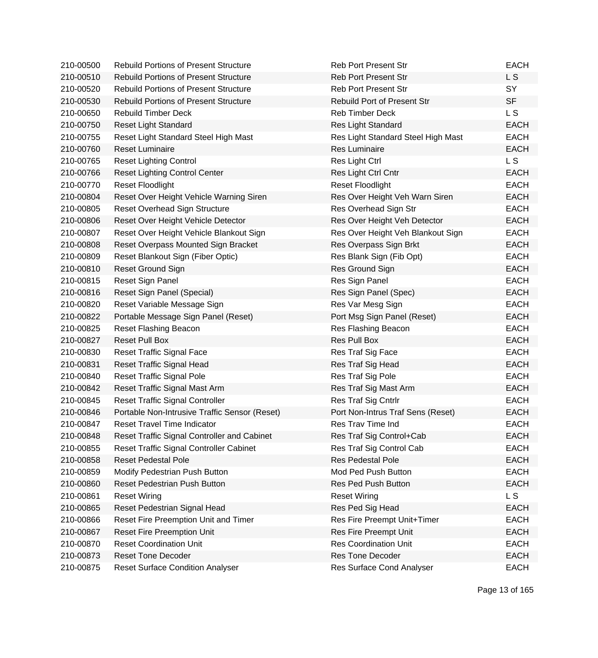| 210-00500 | <b>Rebuild Portions of Present Structure</b>  | <b>Reb Port Present Str</b>        | <b>EACH</b> |
|-----------|-----------------------------------------------|------------------------------------|-------------|
| 210-00510 | <b>Rebuild Portions of Present Structure</b>  | <b>Reb Port Present Str</b>        | L S         |
| 210-00520 | <b>Rebuild Portions of Present Structure</b>  | <b>Reb Port Present Str</b>        | SY          |
| 210-00530 | <b>Rebuild Portions of Present Structure</b>  | <b>Rebuild Port of Present Str</b> | <b>SF</b>   |
| 210-00650 | <b>Rebuild Timber Deck</b>                    | <b>Reb Timber Deck</b>             | L S         |
| 210-00750 | <b>Reset Light Standard</b>                   | Res Light Standard                 | <b>EACH</b> |
| 210-00755 | Reset Light Standard Steel High Mast          | Res Light Standard Steel High Mast | <b>EACH</b> |
| 210-00760 | <b>Reset Luminaire</b>                        | <b>Res Luminaire</b>               | <b>EACH</b> |
| 210-00765 | <b>Reset Lighting Control</b>                 | Res Light Ctrl                     | L S         |
| 210-00766 | <b>Reset Lighting Control Center</b>          | Res Light Ctrl Cntr                | <b>EACH</b> |
| 210-00770 | <b>Reset Floodlight</b>                       | <b>Reset Floodlight</b>            | <b>EACH</b> |
| 210-00804 | Reset Over Height Vehicle Warning Siren       | Res Over Height Veh Warn Siren     | <b>EACH</b> |
| 210-00805 | Reset Overhead Sign Structure                 | Res Overhead Sign Str              | <b>EACH</b> |
| 210-00806 | Reset Over Height Vehicle Detector            | Res Over Height Veh Detector       | <b>EACH</b> |
| 210-00807 | Reset Over Height Vehicle Blankout Sign       | Res Over Height Veh Blankout Sign  | <b>EACH</b> |
| 210-00808 | Reset Overpass Mounted Sign Bracket           | Res Overpass Sign Brkt             | <b>EACH</b> |
| 210-00809 | Reset Blankout Sign (Fiber Optic)             | Res Blank Sign (Fib Opt)           | <b>EACH</b> |
| 210-00810 | <b>Reset Ground Sign</b>                      | Res Ground Sign                    | <b>EACH</b> |
| 210-00815 | Reset Sign Panel                              | Res Sign Panel                     | <b>EACH</b> |
| 210-00816 | Reset Sign Panel (Special)                    | Res Sign Panel (Spec)              | <b>EACH</b> |
| 210-00820 | Reset Variable Message Sign                   | Res Var Mesg Sign                  | <b>EACH</b> |
| 210-00822 | Portable Message Sign Panel (Reset)           | Port Msg Sign Panel (Reset)        | <b>EACH</b> |
| 210-00825 | Reset Flashing Beacon                         | Res Flashing Beacon                | <b>EACH</b> |
| 210-00827 | <b>Reset Pull Box</b>                         | Res Pull Box                       | <b>EACH</b> |
| 210-00830 | <b>Reset Traffic Signal Face</b>              | Res Traf Sig Face                  | <b>EACH</b> |
| 210-00831 | <b>Reset Traffic Signal Head</b>              | Res Traf Sig Head                  | <b>EACH</b> |
| 210-00840 | <b>Reset Traffic Signal Pole</b>              | Res Traf Sig Pole                  | <b>EACH</b> |
| 210-00842 | Reset Traffic Signal Mast Arm                 | Res Traf Sig Mast Arm              | <b>EACH</b> |
| 210-00845 | <b>Reset Traffic Signal Controller</b>        | Res Traf Sig Cntrlr                | <b>EACH</b> |
| 210-00846 | Portable Non-Intrusive Traffic Sensor (Reset) | Port Non-Intrus Traf Sens (Reset)  | <b>EACH</b> |
| 210-00847 | <b>Reset Travel Time Indicator</b>            | Res Trav Time Ind                  | <b>EACH</b> |
| 210-00848 | Reset Traffic Signal Controller and Cabinet   | Res Traf Sig Control+Cab           | EACH        |
| 210-00855 | Reset Traffic Signal Controller Cabinet       | Res Traf Sig Control Cab           | <b>EACH</b> |
| 210-00858 | <b>Reset Pedestal Pole</b>                    | <b>Res Pedestal Pole</b>           | <b>EACH</b> |
| 210-00859 | Modify Pedestrian Push Button                 | Mod Ped Push Button                | <b>EACH</b> |
| 210-00860 | <b>Reset Pedestrian Push Button</b>           | <b>Res Ped Push Button</b>         | <b>EACH</b> |
| 210-00861 | <b>Reset Wiring</b>                           | <b>Reset Wiring</b>                | L S         |
| 210-00865 | Reset Pedestrian Signal Head                  | Res Ped Sig Head                   | <b>EACH</b> |
| 210-00866 | Reset Fire Preemption Unit and Timer          | Res Fire Preempt Unit+Timer        | <b>EACH</b> |
| 210-00867 | <b>Reset Fire Preemption Unit</b>             | Res Fire Preempt Unit              | <b>EACH</b> |
| 210-00870 | <b>Reset Coordination Unit</b>                | <b>Res Coordination Unit</b>       | <b>EACH</b> |
| 210-00873 | <b>Reset Tone Decoder</b>                     | <b>Res Tone Decoder</b>            | <b>EACH</b> |
| 210-00875 | <b>Reset Surface Condition Analyser</b>       | Res Surface Cond Analyser          | <b>EACH</b> |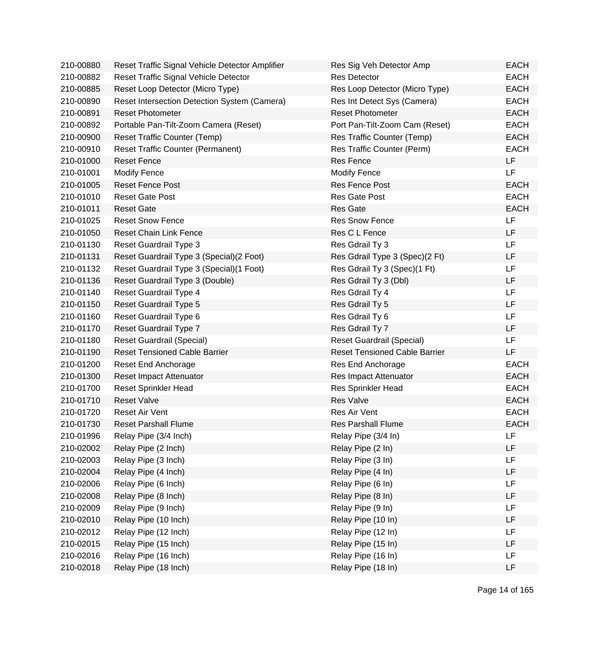| 210-00880 | Reset Traffic Signal Vehicle Detector Amplifier | Res Sig Veh Detector Amp             | <b>EACH</b> |
|-----------|-------------------------------------------------|--------------------------------------|-------------|
| 210-00882 | Reset Traffic Signal Vehicle Detector           | <b>Res Detector</b>                  | <b>EACH</b> |
| 210-00885 | Reset Loop Detector (Micro Type)                | Res Loop Detector (Micro Type)       | <b>EACH</b> |
| 210-00890 | Reset Intersection Detection System (Camera)    | Res Int Detect Sys (Camera)          | <b>EACH</b> |
| 210-00891 | <b>Reset Photometer</b>                         | <b>Reset Photometer</b>              | <b>EACH</b> |
| 210-00892 | Portable Pan-Tilt-Zoom Camera (Reset)           | Port Pan-Tilt-Zoom Cam (Reset)       | <b>EACH</b> |
| 210-00900 | Reset Traffic Counter (Temp)                    | Res Traffic Counter (Temp)           | <b>EACH</b> |
| 210-00910 | <b>Reset Traffic Counter (Permanent)</b>        | Res Traffic Counter (Perm)           | <b>EACH</b> |
| 210-01000 | <b>Reset Fence</b>                              | <b>Res Fence</b>                     | LF          |
| 210-01001 | <b>Modify Fence</b>                             | <b>Modify Fence</b>                  | <b>LF</b>   |
| 210-01005 | <b>Reset Fence Post</b>                         | Res Fence Post                       | <b>EACH</b> |
| 210-01010 | <b>Reset Gate Post</b>                          | Res Gate Post                        | <b>EACH</b> |
| 210-01011 | <b>Reset Gate</b>                               | <b>Res Gate</b>                      | <b>EACH</b> |
| 210-01025 | <b>Reset Snow Fence</b>                         | <b>Res Snow Fence</b>                | LF          |
| 210-01050 | <b>Reset Chain Link Fence</b>                   | Res C L Fence                        | LF          |
| 210-01130 | <b>Reset Guardrail Type 3</b>                   | Res Gdrail Ty 3                      | <b>LF</b>   |
| 210-01131 | Reset Guardrail Type 3 (Special) (2 Foot)       | Res Gdrail Type 3 (Spec)(2 Ft)       | LF          |
| 210-01132 | Reset Guardrail Type 3 (Special) (1 Foot)       | Res Gdrail Ty 3 (Spec)(1 Ft)         | LF          |
| 210-01136 | Reset Guardrail Type 3 (Double)                 | Res Gdrail Ty 3 (Dbl)                | LF          |
| 210-01140 | Reset Guardrail Type 4                          | Res Gdrail Ty 4                      | LF          |
| 210-01150 | Reset Guardrail Type 5                          | Res Gdrail Ty 5                      | <b>LF</b>   |
| 210-01160 | Reset Guardrail Type 6                          | Res Gdrail Ty 6                      | <b>LF</b>   |
| 210-01170 | Reset Guardrail Type 7                          | Res Gdrail Ty 7                      | <b>LF</b>   |
| 210-01180 | Reset Guardrail (Special)                       | <b>Reset Guardrail (Special)</b>     | <b>LF</b>   |
| 210-01190 | <b>Reset Tensioned Cable Barrier</b>            | <b>Reset Tensioned Cable Barrier</b> | LF          |
| 210-01200 | Reset End Anchorage                             | Res End Anchorage                    | <b>EACH</b> |
| 210-01300 | Reset Impact Attenuator                         | Res Impact Attenuator                | <b>EACH</b> |
| 210-01700 | <b>Reset Sprinkler Head</b>                     | <b>Res Sprinkler Head</b>            | <b>EACH</b> |
| 210-01710 | <b>Reset Valve</b>                              | <b>Res Valve</b>                     | <b>EACH</b> |
| 210-01720 | <b>Reset Air Vent</b>                           | Res Air Vent                         | <b>EACH</b> |
| 210-01730 | <b>Reset Parshall Flume</b>                     | <b>Res Parshall Flume</b>            | <b>EACH</b> |
| 210-01996 | Relay Pipe (3/4 Inch)                           | Relay Pipe (3/4 In)                  | LF          |
| 210-02002 | Relay Pipe (2 Inch)                             | Relay Pipe (2 In)                    | LF          |
| 210-02003 | Relay Pipe (3 Inch)                             | Relay Pipe (3 In)                    | LF          |
| 210-02004 | Relay Pipe (4 Inch)                             | Relay Pipe (4 In)                    | LF          |
| 210-02006 | Relay Pipe (6 Inch)                             | Relay Pipe (6 In)                    | LF          |
| 210-02008 | Relay Pipe (8 Inch)                             | Relay Pipe (8 In)                    | LF          |
| 210-02009 | Relay Pipe (9 Inch)                             | Relay Pipe (9 In)                    | LF          |
| 210-02010 | Relay Pipe (10 Inch)                            | Relay Pipe (10 In)                   | LF          |
| 210-02012 | Relay Pipe (12 Inch)                            | Relay Pipe (12 In)                   | LF          |
| 210-02015 | Relay Pipe (15 Inch)                            | Relay Pipe (15 In)                   | LF          |
| 210-02016 | Relay Pipe (16 Inch)                            | Relay Pipe (16 In)                   | LF          |
| 210-02018 | Relay Pipe (18 Inch)                            | Relay Pipe (18 In)                   | LF          |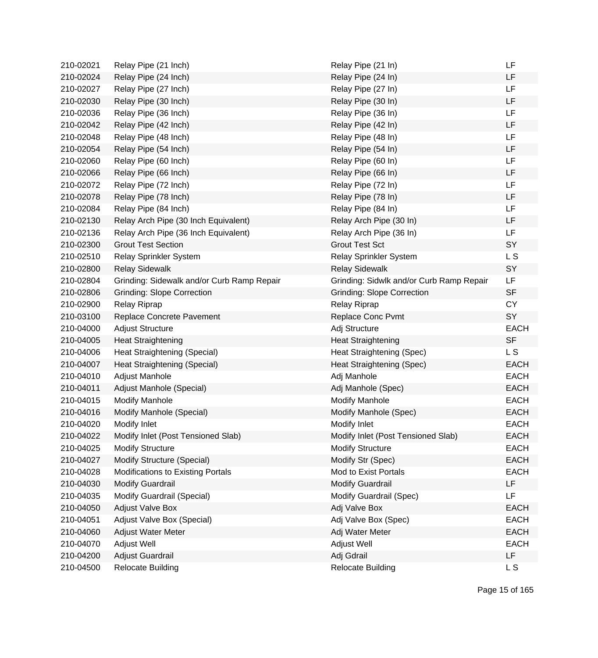| 210-02021 | Relay Pipe (21 Inch)                       | Relay Pipe (21 In)                       | LF             |
|-----------|--------------------------------------------|------------------------------------------|----------------|
| 210-02024 | Relay Pipe (24 Inch)                       | Relay Pipe (24 In)                       | LF             |
| 210-02027 | Relay Pipe (27 Inch)                       | Relay Pipe (27 In)                       | LF             |
| 210-02030 | Relay Pipe (30 Inch)                       | Relay Pipe (30 In)                       | LF             |
| 210-02036 | Relay Pipe (36 Inch)                       | Relay Pipe (36 In)                       | LF             |
| 210-02042 | Relay Pipe (42 Inch)                       | Relay Pipe (42 In)                       | LF             |
| 210-02048 | Relay Pipe (48 Inch)                       | Relay Pipe (48 In)                       | LF             |
| 210-02054 | Relay Pipe (54 Inch)                       | Relay Pipe (54 In)                       | <b>LF</b>      |
| 210-02060 | Relay Pipe (60 Inch)                       | Relay Pipe (60 In)                       | <b>LF</b>      |
| 210-02066 | Relay Pipe (66 Inch)                       | Relay Pipe (66 In)                       | <b>LF</b>      |
| 210-02072 | Relay Pipe (72 Inch)                       | Relay Pipe (72 In)                       | <b>LF</b>      |
| 210-02078 | Relay Pipe (78 Inch)                       | Relay Pipe (78 In)                       | LF             |
| 210-02084 | Relay Pipe (84 Inch)                       | Relay Pipe (84 In)                       | LF             |
| 210-02130 | Relay Arch Pipe (30 Inch Equivalent)       | Relay Arch Pipe (30 In)                  | LF             |
| 210-02136 | Relay Arch Pipe (36 Inch Equivalent)       | Relay Arch Pipe (36 In)                  | LF             |
| 210-02300 | <b>Grout Test Section</b>                  | <b>Grout Test Sct</b>                    | SY             |
| 210-02510 | Relay Sprinkler System                     | Relay Sprinkler System                   | L <sub>S</sub> |
| 210-02800 | <b>Relay Sidewalk</b>                      | <b>Relay Sidewalk</b>                    | SY             |
| 210-02804 | Grinding: Sidewalk and/or Curb Ramp Repair | Grinding: Sidwlk and/or Curb Ramp Repair | <b>LF</b>      |
| 210-02806 | <b>Grinding: Slope Correction</b>          | <b>Grinding: Slope Correction</b>        | <b>SF</b>      |
| 210-02900 | Relay Riprap                               | <b>Relay Riprap</b>                      | <b>CY</b>      |
| 210-03100 | Replace Concrete Pavement                  | Replace Conc Pvmt                        | SY             |
| 210-04000 | <b>Adjust Structure</b>                    | Adj Structure                            | <b>EACH</b>    |
| 210-04005 | <b>Heat Straightening</b>                  | <b>Heat Straightening</b>                | <b>SF</b>      |
| 210-04006 | Heat Straightening (Special)               | Heat Straightening (Spec)                | L S            |
| 210-04007 | Heat Straightening (Special)               | Heat Straightening (Spec)                | <b>EACH</b>    |
| 210-04010 | Adjust Manhole                             | Adj Manhole                              | <b>EACH</b>    |
| 210-04011 | Adjust Manhole (Special)                   | Adj Manhole (Spec)                       | <b>EACH</b>    |
| 210-04015 | <b>Modify Manhole</b>                      | <b>Modify Manhole</b>                    | <b>EACH</b>    |
| 210-04016 | Modify Manhole (Special)                   | Modify Manhole (Spec)                    | <b>EACH</b>    |
| 210-04020 | Modify Inlet                               | Modify Inlet                             | <b>EACH</b>    |
| 210-04022 | Modify Inlet (Post Tensioned Slab)         | Modify Inlet (Post Tensioned Slab)       | <b>EACH</b>    |
| 210-04025 | <b>Modify Structure</b>                    | <b>Modify Structure</b>                  | <b>EACH</b>    |
| 210-04027 | Modify Structure (Special)                 | Modify Str (Spec)                        | <b>EACH</b>    |
| 210-04028 | Modifications to Existing Portals          | Mod to Exist Portals                     | <b>EACH</b>    |
| 210-04030 | <b>Modify Guardrail</b>                    | <b>Modify Guardrail</b>                  | LF             |
| 210-04035 | Modify Guardrail (Special)                 | Modify Guardrail (Spec)                  | LF             |
| 210-04050 | <b>Adjust Valve Box</b>                    | Adj Valve Box                            | <b>EACH</b>    |
| 210-04051 | Adjust Valve Box (Special)                 | Adj Valve Box (Spec)                     | <b>EACH</b>    |
| 210-04060 | Adjust Water Meter                         | Adj Water Meter                          | <b>EACH</b>    |
| 210-04070 | Adjust Well                                | Adjust Well                              | <b>EACH</b>    |
| 210-04200 | Adjust Guardrail                           | Adj Gdrail                               | LF             |
| 210-04500 | <b>Relocate Building</b>                   | <b>Relocate Building</b>                 | L S            |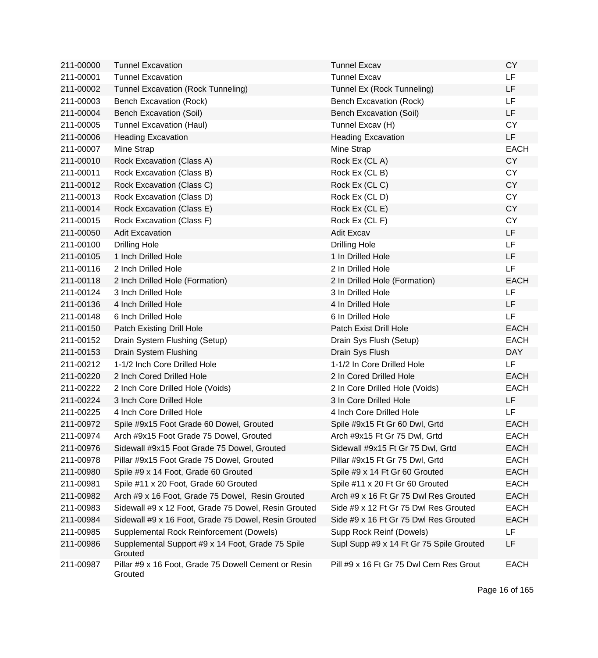| 211-00000 | <b>Tunnel Excavation</b>                                        | <b>Tunnel Excav</b>                      | <b>CY</b>   |
|-----------|-----------------------------------------------------------------|------------------------------------------|-------------|
| 211-00001 | <b>Tunnel Excavation</b>                                        | <b>Tunnel Excav</b>                      | LF          |
| 211-00002 | Tunnel Excavation (Rock Tunneling)                              | Tunnel Ex (Rock Tunneling)               | LF          |
| 211-00003 | Bench Excavation (Rock)                                         | <b>Bench Excavation (Rock)</b>           | LF          |
| 211-00004 | <b>Bench Excavation (Soil)</b>                                  | <b>Bench Excavation (Soil)</b>           | LF          |
| 211-00005 | <b>Tunnel Excavation (Haul)</b>                                 | Tunnel Excav (H)                         | <b>CY</b>   |
| 211-00006 | <b>Heading Excavation</b>                                       | <b>Heading Excavation</b>                | LF          |
| 211-00007 | Mine Strap                                                      | Mine Strap                               | <b>EACH</b> |
| 211-00010 | Rock Excavation (Class A)                                       | Rock Ex (CLA)                            | <b>CY</b>   |
| 211-00011 | Rock Excavation (Class B)                                       | Rock Ex (CL B)                           | <b>CY</b>   |
| 211-00012 | Rock Excavation (Class C)                                       | Rock Ex (CLC)                            | <b>CY</b>   |
| 211-00013 | Rock Excavation (Class D)                                       | Rock Ex (CLD)                            | <b>CY</b>   |
| 211-00014 | Rock Excavation (Class E)                                       | Rock Ex (CL E)                           | <b>CY</b>   |
| 211-00015 | Rock Excavation (Class F)                                       | Rock Ex (CL F)                           | <b>CY</b>   |
| 211-00050 | <b>Adit Excavation</b>                                          | <b>Adit Excav</b>                        | LF          |
| 211-00100 | <b>Drilling Hole</b>                                            | <b>Drilling Hole</b>                     | <b>LF</b>   |
| 211-00105 | 1 Inch Drilled Hole                                             | 1 In Drilled Hole                        | LF          |
| 211-00116 | 2 Inch Drilled Hole                                             | 2 In Drilled Hole                        | LF          |
| 211-00118 | 2 Inch Drilled Hole (Formation)                                 | 2 In Drilled Hole (Formation)            | <b>EACH</b> |
| 211-00124 | 3 Inch Drilled Hole                                             | 3 In Drilled Hole                        | LF          |
| 211-00136 | 4 Inch Drilled Hole                                             | 4 In Drilled Hole                        | <b>LF</b>   |
| 211-00148 | 6 Inch Drilled Hole                                             | 6 In Drilled Hole                        | <b>LF</b>   |
| 211-00150 | Patch Existing Drill Hole                                       | Patch Exist Drill Hole                   | <b>EACH</b> |
| 211-00152 | Drain System Flushing (Setup)                                   | Drain Sys Flush (Setup)                  | <b>EACH</b> |
| 211-00153 | Drain System Flushing                                           | Drain Sys Flush                          | <b>DAY</b>  |
| 211-00212 | 1-1/2 Inch Core Drilled Hole                                    | 1-1/2 In Core Drilled Hole               | LF          |
| 211-00220 | 2 Inch Cored Drilled Hole                                       | 2 In Cored Drilled Hole                  | <b>EACH</b> |
| 211-00222 | 2 Inch Core Drilled Hole (Voids)                                | 2 In Core Drilled Hole (Voids)           | <b>EACH</b> |
| 211-00224 | 3 Inch Core Drilled Hole                                        | 3 In Core Drilled Hole                   | LF.         |
| 211-00225 | 4 Inch Core Drilled Hole                                        | 4 Inch Core Drilled Hole                 | LF          |
| 211-00972 | Spile #9x15 Foot Grade 60 Dowel, Grouted                        | Spile #9x15 Ft Gr 60 Dwl, Grtd           | <b>EACH</b> |
| 211-00974 | Arch #9x15 Foot Grade 75 Dowel, Grouted                         | Arch #9x15 Ft Gr 75 Dwl, Grtd            | EACH        |
| 211-00976 | Sidewall #9x15 Foot Grade 75 Dowel, Grouted                     | Sidewall #9x15 Ft Gr 75 Dwl, Grtd        | <b>EACH</b> |
| 211-00978 | Pillar #9x15 Foot Grade 75 Dowel, Grouted                       | Pillar #9x15 Ft Gr 75 Dwl, Grtd          | <b>EACH</b> |
| 211-00980 | Spile #9 x 14 Foot, Grade 60 Grouted                            | Spile #9 x 14 Ft Gr 60 Grouted           | <b>EACH</b> |
| 211-00981 | Spile #11 x 20 Foot, Grade 60 Grouted                           | Spile #11 x 20 Ft Gr 60 Grouted          | <b>EACH</b> |
| 211-00982 | Arch #9 x 16 Foot, Grade 75 Dowel, Resin Grouted                | Arch #9 x 16 Ft Gr 75 Dwl Res Grouted    | <b>EACH</b> |
| 211-00983 | Sidewall #9 x 12 Foot, Grade 75 Dowel, Resin Grouted            | Side #9 x 12 Ft Gr 75 Dwl Res Grouted    | <b>EACH</b> |
| 211-00984 | Sidewall #9 x 16 Foot, Grade 75 Dowel, Resin Grouted            | Side #9 x 16 Ft Gr 75 Dwl Res Grouted    | <b>EACH</b> |
| 211-00985 | Supplemental Rock Reinforcement (Dowels)                        | Supp Rock Reinf (Dowels)                 | LF          |
| 211-00986 | Supplemental Support #9 x 14 Foot, Grade 75 Spile<br>Grouted    | Supl Supp #9 x 14 Ft Gr 75 Spile Grouted | LF          |
| 211-00987 | Pillar #9 x 16 Foot, Grade 75 Dowell Cement or Resin<br>Grouted | Pill #9 x 16 Ft Gr 75 Dwl Cem Res Grout  | <b>EACH</b> |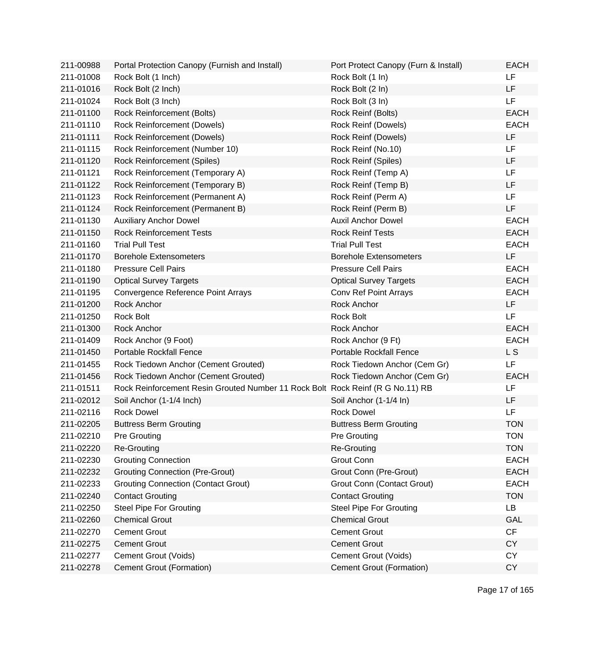| 211-00988 | Portal Protection Canopy (Furnish and Install)                                 | Port Protect Canopy (Furn & Install) | <b>EACH</b> |
|-----------|--------------------------------------------------------------------------------|--------------------------------------|-------------|
| 211-01008 | Rock Bolt (1 Inch)                                                             | Rock Bolt (1 In)                     | <b>LF</b>   |
| 211-01016 | Rock Bolt (2 Inch)                                                             | Rock Bolt (2 In)                     | LF          |
| 211-01024 | Rock Bolt (3 Inch)                                                             | Rock Bolt (3 In)                     | LF          |
| 211-01100 | Rock Reinforcement (Bolts)                                                     | Rock Reinf (Bolts)                   | <b>EACH</b> |
| 211-01110 | Rock Reinforcement (Dowels)                                                    | Rock Reinf (Dowels)                  | <b>EACH</b> |
| 211-01111 | <b>Rock Reinforcement (Dowels)</b>                                             | Rock Reinf (Dowels)                  | <b>LF</b>   |
| 211-01115 | Rock Reinforcement (Number 10)                                                 | Rock Reinf (No.10)                   | <b>LF</b>   |
| 211-01120 | Rock Reinforcement (Spiles)                                                    | Rock Reinf (Spiles)                  | LF          |
| 211-01121 | Rock Reinforcement (Temporary A)                                               | Rock Reinf (Temp A)                  | LF          |
| 211-01122 | Rock Reinforcement (Temporary B)                                               | Rock Reinf (Temp B)                  | LF          |
| 211-01123 | Rock Reinforcement (Permanent A)                                               | Rock Reinf (Perm A)                  | <b>LF</b>   |
| 211-01124 | Rock Reinforcement (Permanent B)                                               | Rock Reinf (Perm B)                  | LF          |
| 211-01130 | <b>Auxiliary Anchor Dowel</b>                                                  | <b>Auxil Anchor Dowel</b>            | <b>EACH</b> |
| 211-01150 | <b>Rock Reinforcement Tests</b>                                                | <b>Rock Reinf Tests</b>              | <b>EACH</b> |
| 211-01160 | <b>Trial Pull Test</b>                                                         | <b>Trial Pull Test</b>               | <b>EACH</b> |
| 211-01170 | <b>Borehole Extensometers</b>                                                  | <b>Borehole Extensometers</b>        | LF          |
| 211-01180 | <b>Pressure Cell Pairs</b>                                                     | <b>Pressure Cell Pairs</b>           | <b>EACH</b> |
| 211-01190 | <b>Optical Survey Targets</b>                                                  | <b>Optical Survey Targets</b>        | <b>EACH</b> |
| 211-01195 | Convergence Reference Point Arrays                                             | Conv Ref Point Arrays                | <b>EACH</b> |
| 211-01200 | Rock Anchor                                                                    | Rock Anchor                          | LF          |
| 211-01250 | Rock Bolt                                                                      | <b>Rock Bolt</b>                     | LF          |
| 211-01300 | Rock Anchor                                                                    | <b>Rock Anchor</b>                   | <b>EACH</b> |
| 211-01409 | Rock Anchor (9 Foot)                                                           | Rock Anchor (9 Ft)                   | <b>EACH</b> |
| 211-01450 | <b>Portable Rockfall Fence</b>                                                 | <b>Portable Rockfall Fence</b>       | L S         |
| 211-01455 | Rock Tiedown Anchor (Cement Grouted)                                           | Rock Tiedown Anchor (Cem Gr)         | LF          |
| 211-01456 | Rock Tiedown Anchor (Cement Grouted)                                           | Rock Tiedown Anchor (Cem Gr)         | <b>EACH</b> |
| 211-01511 | Rock Reinforcement Resin Grouted Number 11 Rock Bolt Rock Reinf (R G No.11) RB |                                      | LF          |
| 211-02012 | Soil Anchor (1-1/4 Inch)                                                       | Soil Anchor (1-1/4 In)               | LF          |
| 211-02116 | <b>Rock Dowel</b>                                                              | <b>Rock Dowel</b>                    | LF          |
| 211-02205 | <b>Buttress Berm Grouting</b>                                                  | <b>Buttress Berm Grouting</b>        | <b>TON</b>  |
| 211-02210 | <b>Pre Grouting</b>                                                            | <b>Pre Grouting</b>                  | TON         |
| 211-02220 | <b>Re-Grouting</b>                                                             | Re-Grouting                          | <b>TON</b>  |
| 211-02230 | <b>Grouting Connection</b>                                                     | Grout Conn                           | <b>EACH</b> |
| 211-02232 | <b>Grouting Connection (Pre-Grout)</b>                                         | Grout Conn (Pre-Grout)               | <b>EACH</b> |
| 211-02233 | <b>Grouting Connection (Contact Grout)</b>                                     | Grout Conn (Contact Grout)           | <b>EACH</b> |
| 211-02240 | <b>Contact Grouting</b>                                                        | <b>Contact Grouting</b>              | <b>TON</b>  |
| 211-02250 | <b>Steel Pipe For Grouting</b>                                                 | <b>Steel Pipe For Grouting</b>       | <b>LB</b>   |
| 211-02260 | <b>Chemical Grout</b>                                                          | <b>Chemical Grout</b>                | GAL         |
| 211-02270 | <b>Cement Grout</b>                                                            | <b>Cement Grout</b>                  | CF          |
| 211-02275 | <b>Cement Grout</b>                                                            | <b>Cement Grout</b>                  | <b>CY</b>   |
| 211-02277 | Cement Grout (Voids)                                                           | Cement Grout (Voids)                 | <b>CY</b>   |
| 211-02278 | Cement Grout (Formation)                                                       | Cement Grout (Formation)             | <b>CY</b>   |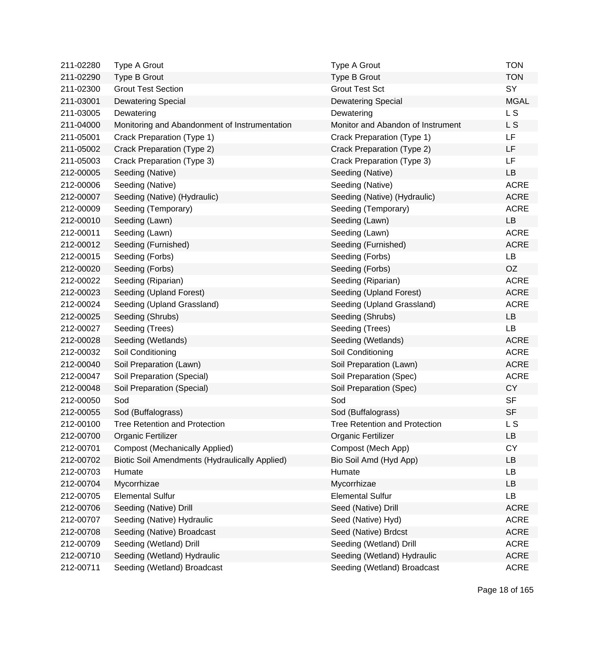| 211-02280 | Type A Grout                                          | Type A Grout                         | <b>TON</b>     |
|-----------|-------------------------------------------------------|--------------------------------------|----------------|
| 211-02290 | Type B Grout                                          | Type B Grout                         | <b>TON</b>     |
| 211-02300 | <b>Grout Test Section</b>                             | <b>Grout Test Sct</b>                | SY             |
| 211-03001 | <b>Dewatering Special</b>                             | <b>Dewatering Special</b>            | <b>MGAL</b>    |
| 211-03005 | Dewatering                                            | Dewatering                           | L <sub>S</sub> |
| 211-04000 | Monitoring and Abandonment of Instrumentation         | Monitor and Abandon of Instrument    | L S            |
| 211-05001 | Crack Preparation (Type 1)                            | Crack Preparation (Type 1)           | <b>LF</b>      |
| 211-05002 | Crack Preparation (Type 2)                            | Crack Preparation (Type 2)           | LF             |
| 211-05003 | Crack Preparation (Type 3)                            | Crack Preparation (Type 3)           | <b>LF</b>      |
| 212-00005 | Seeding (Native)                                      | Seeding (Native)                     | LB             |
| 212-00006 | Seeding (Native)                                      | Seeding (Native)                     | <b>ACRE</b>    |
| 212-00007 | Seeding (Native) (Hydraulic)                          | Seeding (Native) (Hydraulic)         | <b>ACRE</b>    |
| 212-00009 | Seeding (Temporary)                                   | Seeding (Temporary)                  | <b>ACRE</b>    |
| 212-00010 | Seeding (Lawn)                                        | Seeding (Lawn)                       | LB             |
| 212-00011 | Seeding (Lawn)                                        | Seeding (Lawn)                       | <b>ACRE</b>    |
| 212-00012 | Seeding (Furnished)                                   | Seeding (Furnished)                  | <b>ACRE</b>    |
| 212-00015 | Seeding (Forbs)                                       | Seeding (Forbs)                      | LB             |
| 212-00020 | Seeding (Forbs)                                       | Seeding (Forbs)                      | OZ             |
| 212-00022 | Seeding (Riparian)                                    | Seeding (Riparian)                   | <b>ACRE</b>    |
| 212-00023 | Seeding (Upland Forest)                               | Seeding (Upland Forest)              | <b>ACRE</b>    |
| 212-00024 | Seeding (Upland Grassland)                            | Seeding (Upland Grassland)           | <b>ACRE</b>    |
| 212-00025 | Seeding (Shrubs)                                      | Seeding (Shrubs)                     | <b>LB</b>      |
| 212-00027 | Seeding (Trees)                                       | Seeding (Trees)                      | LB             |
| 212-00028 | Seeding (Wetlands)                                    | Seeding (Wetlands)                   | <b>ACRE</b>    |
| 212-00032 | Soil Conditioning                                     | Soil Conditioning                    | <b>ACRE</b>    |
| 212-00040 | Soil Preparation (Lawn)                               | Soil Preparation (Lawn)              | <b>ACRE</b>    |
| 212-00047 | Soil Preparation (Special)                            | Soil Preparation (Spec)              | <b>ACRE</b>    |
| 212-00048 | Soil Preparation (Special)                            | Soil Preparation (Spec)              | <b>CY</b>      |
| 212-00050 | Sod                                                   | Sod                                  | <b>SF</b>      |
| 212-00055 | Sod (Buffalograss)                                    | Sod (Buffalograss)                   | <b>SF</b>      |
| 212-00100 | <b>Tree Retention and Protection</b>                  | <b>Tree Retention and Protection</b> | L S            |
| 212-00700 | Organic Fertilizer                                    | Organic Fertilizer                   | LB.            |
| 212-00701 | <b>Compost (Mechanically Applied)</b>                 | Compost (Mech App)                   | <b>CY</b>      |
| 212-00702 | <b>Biotic Soil Amendments (Hydraulically Applied)</b> | Bio Soil Amd (Hyd App)               | LB             |
| 212-00703 | Humate                                                | Humate                               | <b>LB</b>      |
| 212-00704 | Mycorrhizae                                           | Mycorrhizae                          | <b>LB</b>      |
| 212-00705 | <b>Elemental Sulfur</b>                               | <b>Elemental Sulfur</b>              | LB             |
| 212-00706 | Seeding (Native) Drill                                | Seed (Native) Drill                  | <b>ACRE</b>    |
| 212-00707 | Seeding (Native) Hydraulic                            | Seed (Native) Hyd)                   | <b>ACRE</b>    |
| 212-00708 | Seeding (Native) Broadcast                            | Seed (Native) Brdcst                 | <b>ACRE</b>    |
| 212-00709 | Seeding (Wetland) Drill                               | Seeding (Wetland) Drill              | <b>ACRE</b>    |
| 212-00710 | Seeding (Wetland) Hydraulic                           | Seeding (Wetland) Hydraulic          | <b>ACRE</b>    |
| 212-00711 | Seeding (Wetland) Broadcast                           | Seeding (Wetland) Broadcast          | <b>ACRE</b>    |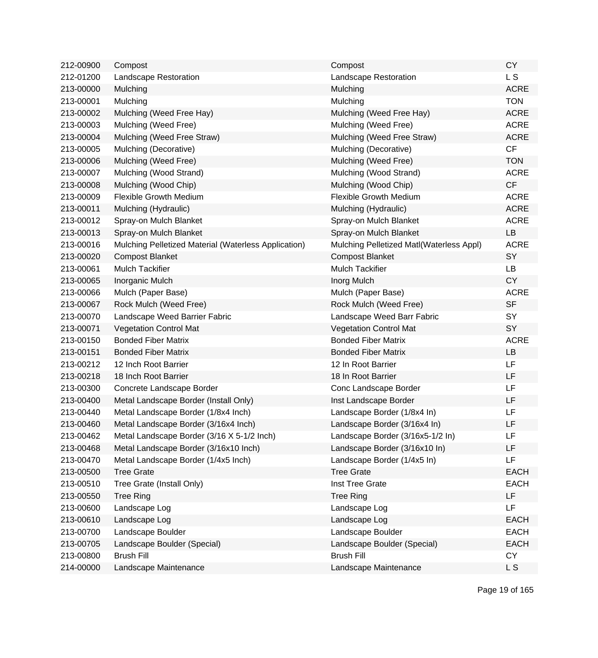| 212-00900 | Compost                                              | Compost                                  | <b>CY</b>   |
|-----------|------------------------------------------------------|------------------------------------------|-------------|
| 212-01200 | Landscape Restoration                                | Landscape Restoration                    | L S         |
| 213-00000 | Mulching                                             | Mulching                                 | <b>ACRE</b> |
| 213-00001 | Mulching                                             | Mulching                                 | <b>TON</b>  |
| 213-00002 | Mulching (Weed Free Hay)                             | Mulching (Weed Free Hay)                 | <b>ACRE</b> |
| 213-00003 | Mulching (Weed Free)                                 | Mulching (Weed Free)                     | <b>ACRE</b> |
| 213-00004 | Mulching (Weed Free Straw)                           | Mulching (Weed Free Straw)               | <b>ACRE</b> |
| 213-00005 | Mulching (Decorative)                                | Mulching (Decorative)                    | CF          |
| 213-00006 | Mulching (Weed Free)                                 | Mulching (Weed Free)                     | <b>TON</b>  |
| 213-00007 | Mulching (Wood Strand)                               | Mulching (Wood Strand)                   | <b>ACRE</b> |
| 213-00008 | Mulching (Wood Chip)                                 | Mulching (Wood Chip)                     | CF          |
| 213-00009 | <b>Flexible Growth Medium</b>                        | <b>Flexible Growth Medium</b>            | <b>ACRE</b> |
| 213-00011 | Mulching (Hydraulic)                                 | Mulching (Hydraulic)                     | <b>ACRE</b> |
| 213-00012 | Spray-on Mulch Blanket                               | Spray-on Mulch Blanket                   | <b>ACRE</b> |
| 213-00013 | Spray-on Mulch Blanket                               | Spray-on Mulch Blanket                   | LB          |
| 213-00016 | Mulching Pelletized Material (Waterless Application) | Mulching Pelletized Matl(Waterless Appl) | <b>ACRE</b> |
| 213-00020 | <b>Compost Blanket</b>                               | <b>Compost Blanket</b>                   | SY          |
| 213-00061 | <b>Mulch Tackifier</b>                               | <b>Mulch Tackifier</b>                   | <b>LB</b>   |
| 213-00065 | Inorganic Mulch                                      | Inorg Mulch                              | <b>CY</b>   |
| 213-00066 | Mulch (Paper Base)                                   | Mulch (Paper Base)                       | <b>ACRE</b> |
| 213-00067 | Rock Mulch (Weed Free)                               | Rock Mulch (Weed Free)                   | <b>SF</b>   |
| 213-00070 | Landscape Weed Barrier Fabric                        | Landscape Weed Barr Fabric               | SY          |
| 213-00071 | <b>Vegetation Control Mat</b>                        | <b>Vegetation Control Mat</b>            | SY          |
| 213-00150 | <b>Bonded Fiber Matrix</b>                           | <b>Bonded Fiber Matrix</b>               | <b>ACRE</b> |
| 213-00151 | <b>Bonded Fiber Matrix</b>                           | <b>Bonded Fiber Matrix</b>               | LB          |
| 213-00212 | 12 Inch Root Barrier                                 | 12 In Root Barrier                       | LF          |
| 213-00218 | 18 Inch Root Barrier                                 | 18 In Root Barrier                       | LF          |
| 213-00300 | Concrete Landscape Border                            | Conc Landscape Border                    | LF          |
| 213-00400 | Metal Landscape Border (Install Only)                | Inst Landscape Border                    | LF          |
| 213-00440 | Metal Landscape Border (1/8x4 Inch)                  | Landscape Border (1/8x4 In)              | LF          |
| 213-00460 | Metal Landscape Border (3/16x4 Inch)                 | Landscape Border (3/16x4 In)             | LF          |
| 213-00462 | Metal Landscape Border (3/16 X 5-1/2 Inch)           | Landscape Border (3/16x5-1/2 In)         | LF          |
| 213-00468 | Metal Landscape Border (3/16x10 Inch)                | Landscape Border (3/16x10 In)            | LF          |
| 213-00470 | Metal Landscape Border (1/4x5 Inch)                  | Landscape Border (1/4x5 In)              | LF.         |
| 213-00500 | <b>Tree Grate</b>                                    | <b>Tree Grate</b>                        | <b>EACH</b> |
| 213-00510 | Tree Grate (Install Only)                            | Inst Tree Grate                          | <b>EACH</b> |
| 213-00550 | <b>Tree Ring</b>                                     | <b>Tree Ring</b>                         | LF          |
| 213-00600 | Landscape Log                                        | Landscape Log                            | LF          |
| 213-00610 | Landscape Log                                        | Landscape Log                            | <b>EACH</b> |
| 213-00700 | Landscape Boulder                                    | Landscape Boulder                        | <b>EACH</b> |
| 213-00705 | Landscape Boulder (Special)                          | Landscape Boulder (Special)              | <b>EACH</b> |
| 213-00800 | <b>Brush Fill</b>                                    | <b>Brush Fill</b>                        | <b>CY</b>   |
| 214-00000 | Landscape Maintenance                                | Landscape Maintenance                    | L S         |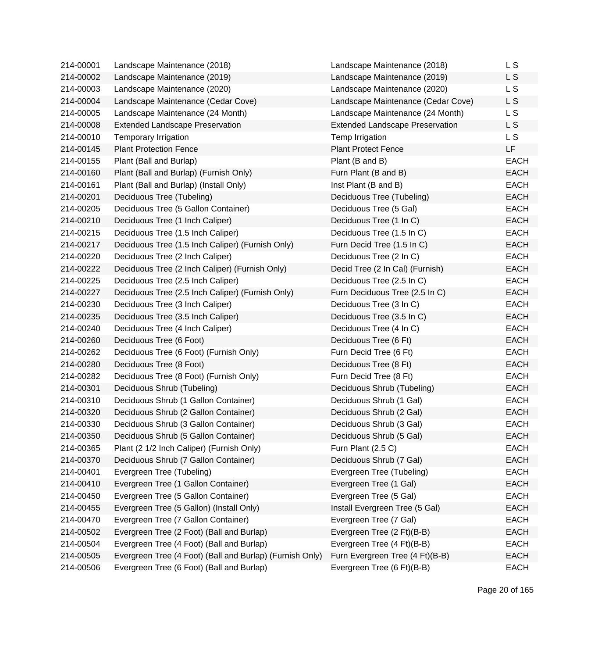| 214-00001 | Landscape Maintenance (2018)                             | Landscape Maintenance (2018)           | L S         |
|-----------|----------------------------------------------------------|----------------------------------------|-------------|
| 214-00002 | Landscape Maintenance (2019)                             | Landscape Maintenance (2019)           | L S         |
| 214-00003 | Landscape Maintenance (2020)                             | Landscape Maintenance (2020)           | L S         |
| 214-00004 | Landscape Maintenance (Cedar Cove)                       | Landscape Maintenance (Cedar Cove)     | L S         |
| 214-00005 | Landscape Maintenance (24 Month)                         | Landscape Maintenance (24 Month)       | L S         |
| 214-00008 | <b>Extended Landscape Preservation</b>                   | <b>Extended Landscape Preservation</b> | L S         |
| 214-00010 | <b>Temporary Irrigation</b>                              | Temp Irrigation                        | L S         |
| 214-00145 | <b>Plant Protection Fence</b>                            | <b>Plant Protect Fence</b>             | LF          |
| 214-00155 | Plant (Ball and Burlap)                                  | Plant (B and B)                        | <b>EACH</b> |
| 214-00160 | Plant (Ball and Burlap) (Furnish Only)                   | Furn Plant (B and B)                   | <b>EACH</b> |
| 214-00161 | Plant (Ball and Burlap) (Install Only)                   | Inst Plant (B and B)                   | <b>EACH</b> |
| 214-00201 | Deciduous Tree (Tubeling)                                | Deciduous Tree (Tubeling)              | <b>EACH</b> |
| 214-00205 | Deciduous Tree (5 Gallon Container)                      | Deciduous Tree (5 Gal)                 | <b>EACH</b> |
| 214-00210 | Deciduous Tree (1 Inch Caliper)                          | Deciduous Tree (1 In C)                | <b>EACH</b> |
| 214-00215 | Deciduous Tree (1.5 Inch Caliper)                        | Deciduous Tree (1.5 In C)              | <b>EACH</b> |
| 214-00217 | Deciduous Tree (1.5 Inch Caliper) (Furnish Only)         | Furn Decid Tree (1.5 In C)             | <b>EACH</b> |
| 214-00220 | Deciduous Tree (2 Inch Caliper)                          | Deciduous Tree (2 In C)                | <b>EACH</b> |
| 214-00222 | Deciduous Tree (2 Inch Caliper) (Furnish Only)           | Decid Tree (2 In Cal) (Furnish)        | EACH        |
| 214-00225 | Deciduous Tree (2.5 Inch Caliper)                        | Deciduous Tree (2.5 In C)              | EACH        |
| 214-00227 | Deciduous Tree (2.5 Inch Caliper) (Furnish Only)         | Furn Deciduous Tree (2.5 In C)         | <b>EACH</b> |
| 214-00230 | Deciduous Tree (3 Inch Caliper)                          | Deciduous Tree (3 In C)                | <b>EACH</b> |
| 214-00235 | Deciduous Tree (3.5 Inch Caliper)                        | Deciduous Tree (3.5 In C)              | EACH        |
| 214-00240 | Deciduous Tree (4 Inch Caliper)                          | Deciduous Tree (4 In C)                | <b>EACH</b> |
| 214-00260 | Deciduous Tree (6 Foot)                                  | Deciduous Tree (6 Ft)                  | <b>EACH</b> |
| 214-00262 | Deciduous Tree (6 Foot) (Furnish Only)                   | Furn Decid Tree (6 Ft)                 | <b>EACH</b> |
| 214-00280 | Deciduous Tree (8 Foot)                                  | Deciduous Tree (8 Ft)                  | <b>EACH</b> |
| 214-00282 | Deciduous Tree (8 Foot) (Furnish Only)                   | Furn Decid Tree (8 Ft)                 | <b>EACH</b> |
| 214-00301 | Deciduous Shrub (Tubeling)                               | Deciduous Shrub (Tubeling)             | EACH        |
| 214-00310 | Deciduous Shrub (1 Gallon Container)                     | Deciduous Shrub (1 Gal)                | EACH        |
| 214-00320 | Deciduous Shrub (2 Gallon Container)                     | Deciduous Shrub (2 Gal)                | EACH        |
| 214-00330 | Deciduous Shrub (3 Gallon Container)                     | Deciduous Shrub (3 Gal)                | <b>EACH</b> |
| 214-00350 | Deciduous Shrub (5 Gallon Container)                     | Deciduous Shrub (5 Gal)                | <b>EACH</b> |
| 214-00365 | Plant (2 1/2 Inch Caliper) (Furnish Only)                | Furn Plant (2.5 C)                     | <b>EACH</b> |
| 214-00370 | Deciduous Shrub (7 Gallon Container)                     | Deciduous Shrub (7 Gal)                | <b>EACH</b> |
| 214-00401 | Evergreen Tree (Tubeling)                                | Evergreen Tree (Tubeling)              | <b>EACH</b> |
| 214-00410 | Evergreen Tree (1 Gallon Container)                      | Evergreen Tree (1 Gal)                 | <b>EACH</b> |
| 214-00450 | Evergreen Tree (5 Gallon Container)                      | Evergreen Tree (5 Gal)                 | <b>EACH</b> |
| 214-00455 | Evergreen Tree (5 Gallon) (Install Only)                 | Install Evergreen Tree (5 Gal)         | <b>EACH</b> |
| 214-00470 | Evergreen Tree (7 Gallon Container)                      | Evergreen Tree (7 Gal)                 | <b>EACH</b> |
| 214-00502 | Evergreen Tree (2 Foot) (Ball and Burlap)                | Evergreen Tree (2 Ft)(B-B)             | <b>EACH</b> |
| 214-00504 | Evergreen Tree (4 Foot) (Ball and Burlap)                | Evergreen Tree (4 Ft)(B-B)             | <b>EACH</b> |
| 214-00505 | Evergreen Tree (4 Foot) (Ball and Burlap) (Furnish Only) | Furn Evergreen Tree (4 Ft)(B-B)        | <b>EACH</b> |
| 214-00506 | Evergreen Tree (6 Foot) (Ball and Burlap)                | Evergreen Tree (6 Ft)(B-B)             | EACH        |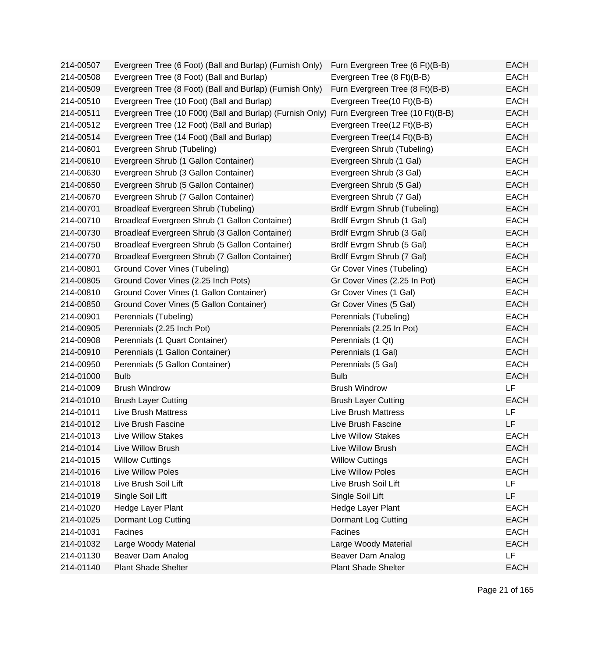| 214-00507 | Evergreen Tree (6 Foot) (Ball and Burlap) (Furnish Only)  | Furn Evergreen Tree (6 Ft)(B-B)  | <b>EACH</b> |
|-----------|-----------------------------------------------------------|----------------------------------|-------------|
| 214-00508 | Evergreen Tree (8 Foot) (Ball and Burlap)                 | Evergreen Tree (8 Ft)(B-B)       | <b>EACH</b> |
| 214-00509 | Evergreen Tree (8 Foot) (Ball and Burlap) (Furnish Only)  | Furn Evergreen Tree (8 Ft)(B-B)  | EACH        |
| 214-00510 | Evergreen Tree (10 Foot) (Ball and Burlap)                | Evergreen Tree(10 Ft)(B-B)       | <b>EACH</b> |
| 214-00511 | Evergreen Tree (10 F00t) (Ball and Burlap) (Furnish Only) | Furn Evergreen Tree (10 Ft)(B-B) | <b>EACH</b> |
| 214-00512 | Evergreen Tree (12 Foot) (Ball and Burlap)                | Evergreen Tree(12 Ft)(B-B)       | <b>EACH</b> |
| 214-00514 | Evergreen Tree (14 Foot) (Ball and Burlap)                | Evergreen Tree(14 Ft)(B-B)       | <b>EACH</b> |
| 214-00601 | Evergreen Shrub (Tubeling)                                | Evergreen Shrub (Tubeling)       | <b>EACH</b> |
| 214-00610 | Evergreen Shrub (1 Gallon Container)                      | Evergreen Shrub (1 Gal)          | <b>EACH</b> |
| 214-00630 | Evergreen Shrub (3 Gallon Container)                      | Evergreen Shrub (3 Gal)          | <b>EACH</b> |
| 214-00650 | Evergreen Shrub (5 Gallon Container)                      | Evergreen Shrub (5 Gal)          | <b>EACH</b> |
| 214-00670 | Evergreen Shrub (7 Gallon Container)                      | Evergreen Shrub (7 Gal)          | <b>EACH</b> |
| 214-00701 | Broadleaf Evergreen Shrub (Tubeling)                      | Brdlf Evrgrn Shrub (Tubeling)    | <b>EACH</b> |
| 214-00710 | Broadleaf Evergreen Shrub (1 Gallon Container)            | Brdlf Evrgrn Shrub (1 Gal)       | <b>EACH</b> |
| 214-00730 | Broadleaf Evergreen Shrub (3 Gallon Container)            | Brdlf Evrgrn Shrub (3 Gal)       | <b>EACH</b> |
| 214-00750 | Broadleaf Evergreen Shrub (5 Gallon Container)            | Brdlf Evrgrn Shrub (5 Gal)       | <b>EACH</b> |
| 214-00770 | Broadleaf Evergreen Shrub (7 Gallon Container)            | Brdlf Evrgrn Shrub (7 Gal)       | <b>EACH</b> |
| 214-00801 | Ground Cover Vines (Tubeling)                             | Gr Cover Vines (Tubeling)        | <b>EACH</b> |
| 214-00805 | Ground Cover Vines (2.25 Inch Pots)                       | Gr Cover Vines (2.25 In Pot)     | <b>EACH</b> |
| 214-00810 | Ground Cover Vines (1 Gallon Container)                   | Gr Cover Vines (1 Gal)           | <b>EACH</b> |
| 214-00850 | Ground Cover Vines (5 Gallon Container)                   | Gr Cover Vines (5 Gal)           | <b>EACH</b> |
| 214-00901 | Perennials (Tubeling)                                     | Perennials (Tubeling)            | <b>EACH</b> |
| 214-00905 | Perennials (2.25 Inch Pot)                                | Perennials (2.25 In Pot)         | <b>EACH</b> |
| 214-00908 | Perennials (1 Quart Container)                            | Perennials (1 Qt)                | <b>EACH</b> |
| 214-00910 | Perennials (1 Gallon Container)                           | Perennials (1 Gal)               | <b>EACH</b> |
| 214-00950 | Perennials (5 Gallon Container)                           | Perennials (5 Gal)               | <b>EACH</b> |
| 214-01000 | <b>Bulb</b>                                               | <b>Bulb</b>                      | <b>EACH</b> |
| 214-01009 | <b>Brush Windrow</b>                                      | <b>Brush Windrow</b>             | LF          |
| 214-01010 | <b>Brush Layer Cutting</b>                                | <b>Brush Layer Cutting</b>       | <b>EACH</b> |
| 214-01011 | <b>Live Brush Mattress</b>                                | <b>Live Brush Mattress</b>       | LF          |
| 214-01012 | Live Brush Fascine                                        | Live Brush Fascine               | LF          |
| 214-01013 | Live Willow Stakes                                        | <b>Live Willow Stakes</b>        | EACH        |
| 214-01014 | Live Willow Brush                                         | Live Willow Brush                | <b>EACH</b> |
| 214-01015 | <b>Willow Cuttings</b>                                    | <b>Willow Cuttings</b>           | <b>EACH</b> |
| 214-01016 | Live Willow Poles                                         | Live Willow Poles                | <b>EACH</b> |
| 214-01018 | Live Brush Soil Lift                                      | Live Brush Soil Lift             | LF          |
| 214-01019 | Single Soil Lift                                          | Single Soil Lift                 | LF.         |
| 214-01020 | Hedge Layer Plant                                         | Hedge Layer Plant                | <b>EACH</b> |
| 214-01025 | Dormant Log Cutting                                       | Dormant Log Cutting              | <b>EACH</b> |
| 214-01031 | Facines                                                   | Facines                          | <b>EACH</b> |
| 214-01032 | Large Woody Material                                      | Large Woody Material             | <b>EACH</b> |
| 214-01130 | Beaver Dam Analog                                         | Beaver Dam Analog                | LF          |
| 214-01140 | <b>Plant Shade Shelter</b>                                | <b>Plant Shade Shelter</b>       | EACH        |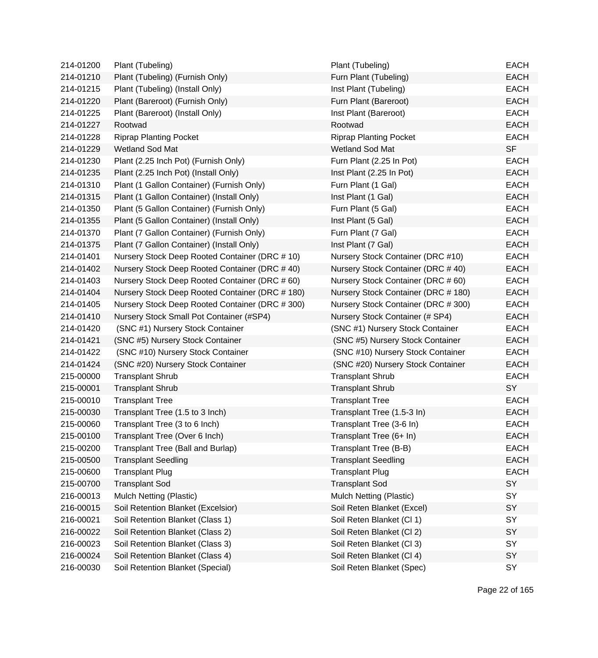| 214-01200 | Plant (Tubeling)                                | Plant (Tubeling)                    | <b>EACH</b> |
|-----------|-------------------------------------------------|-------------------------------------|-------------|
| 214-01210 | Plant (Tubeling) (Furnish Only)                 | Furn Plant (Tubeling)               | <b>EACH</b> |
| 214-01215 | Plant (Tubeling) (Install Only)                 | Inst Plant (Tubeling)               | <b>EACH</b> |
| 214-01220 | Plant (Bareroot) (Furnish Only)                 | Furn Plant (Bareroot)               | <b>EACH</b> |
| 214-01225 | Plant (Bareroot) (Install Only)                 | Inst Plant (Bareroot)               | <b>EACH</b> |
| 214-01227 | Rootwad                                         | Rootwad                             | <b>EACH</b> |
| 214-01228 | <b>Riprap Planting Pocket</b>                   | <b>Riprap Planting Pocket</b>       | <b>EACH</b> |
| 214-01229 | Wetland Sod Mat                                 | Wetland Sod Mat                     | <b>SF</b>   |
| 214-01230 | Plant (2.25 Inch Pot) (Furnish Only)            | Furn Plant (2.25 In Pot)            | <b>EACH</b> |
| 214-01235 | Plant (2.25 Inch Pot) (Install Only)            | Inst Plant (2.25 In Pot)            | <b>EACH</b> |
| 214-01310 | Plant (1 Gallon Container) (Furnish Only)       | Furn Plant (1 Gal)                  | <b>EACH</b> |
| 214-01315 | Plant (1 Gallon Container) (Install Only)       | Inst Plant (1 Gal)                  | <b>EACH</b> |
| 214-01350 | Plant (5 Gallon Container) (Furnish Only)       | Furn Plant (5 Gal)                  | <b>EACH</b> |
| 214-01355 | Plant (5 Gallon Container) (Install Only)       | Inst Plant (5 Gal)                  | <b>EACH</b> |
| 214-01370 | Plant (7 Gallon Container) (Furnish Only)       | Furn Plant (7 Gal)                  | <b>EACH</b> |
| 214-01375 | Plant (7 Gallon Container) (Install Only)       | Inst Plant (7 Gal)                  | <b>EACH</b> |
| 214-01401 | Nursery Stock Deep Rooted Container (DRC # 10)  | Nursery Stock Container (DRC #10)   | <b>EACH</b> |
| 214-01402 | Nursery Stock Deep Rooted Container (DRC #40)   | Nursery Stock Container (DRC #40)   | <b>EACH</b> |
| 214-01403 | Nursery Stock Deep Rooted Container (DRC # 60)  | Nursery Stock Container (DRC # 60)  | <b>EACH</b> |
| 214-01404 | Nursery Stock Deep Rooted Container (DRC # 180) | Nursery Stock Container (DRC # 180) | <b>EACH</b> |
| 214-01405 | Nursery Stock Deep Rooted Container (DRC # 300) | Nursery Stock Container (DRC # 300) | <b>EACH</b> |
| 214-01410 | Nursery Stock Small Pot Container (#SP4)        | Nursery Stock Container (# SP4)     | <b>EACH</b> |
| 214-01420 | (SNC #1) Nursery Stock Container                | (SNC #1) Nursery Stock Container    | <b>EACH</b> |
| 214-01421 | (SNC #5) Nursery Stock Container                | (SNC #5) Nursery Stock Container    | <b>EACH</b> |
| 214-01422 | (SNC #10) Nursery Stock Container               | (SNC #10) Nursery Stock Container   | <b>EACH</b> |
| 214-01424 | (SNC #20) Nursery Stock Container               | (SNC #20) Nursery Stock Container   | <b>EACH</b> |
| 215-00000 | <b>Transplant Shrub</b>                         | <b>Transplant Shrub</b>             | <b>EACH</b> |
| 215-00001 | <b>Transplant Shrub</b>                         | <b>Transplant Shrub</b>             | SY          |
| 215-00010 | <b>Transplant Tree</b>                          | <b>Transplant Tree</b>              | <b>EACH</b> |
| 215-00030 | Transplant Tree (1.5 to 3 Inch)                 | Transplant Tree (1.5-3 In)          | <b>EACH</b> |
| 215-00060 | Transplant Tree (3 to 6 Inch)                   | Transplant Tree (3-6 In)            | <b>EACH</b> |
| 215-00100 | Transplant Tree (Over 6 Inch)                   | Transplant Tree (6+ In)             | <b>EACH</b> |
| 215-00200 | Transplant Tree (Ball and Burlap)               | Transplant Tree (B-B)               | <b>EACH</b> |
| 215-00500 | <b>Transplant Seedling</b>                      | <b>Transplant Seedling</b>          | <b>EACH</b> |
| 215-00600 | <b>Transplant Plug</b>                          | <b>Transplant Plug</b>              | <b>EACH</b> |
| 215-00700 | <b>Transplant Sod</b>                           | <b>Transplant Sod</b>               | SY          |
| 216-00013 | Mulch Netting (Plastic)                         | Mulch Netting (Plastic)             | SY          |
| 216-00015 | Soil Retention Blanket (Excelsior)              | Soil Reten Blanket (Excel)          | SY          |
| 216-00021 | Soil Retention Blanket (Class 1)                | Soil Reten Blanket (Cl 1)           | SY          |
| 216-00022 | Soil Retention Blanket (Class 2)                | Soil Reten Blanket (Cl 2)           | SY          |
| 216-00023 | Soil Retention Blanket (Class 3)                | Soil Reten Blanket (Cl 3)           | SY          |
| 216-00024 | Soil Retention Blanket (Class 4)                | Soil Reten Blanket (Cl 4)           | SY          |
| 216-00030 | Soil Retention Blanket (Special)                | Soil Reten Blanket (Spec)           | SY          |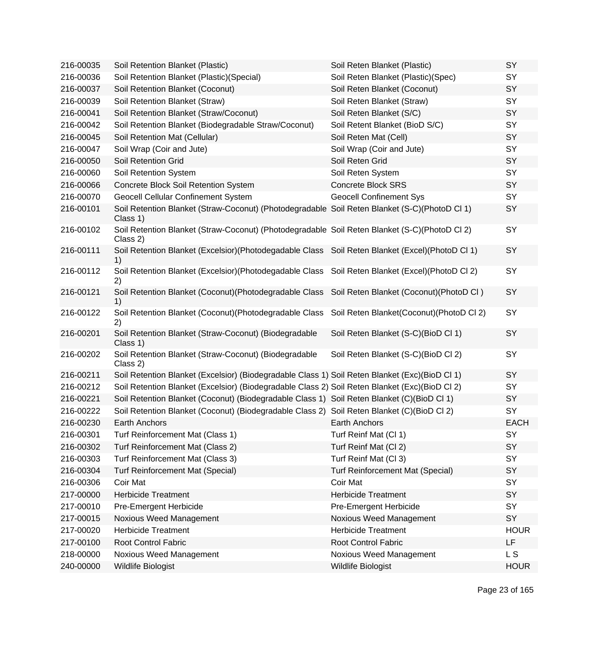| 216-00035 | Soil Retention Blanket (Plastic)                                                                          | Soil Reten Blanket (Plastic)             | SY          |
|-----------|-----------------------------------------------------------------------------------------------------------|------------------------------------------|-------------|
| 216-00036 | Soil Retention Blanket (Plastic) (Special)                                                                | Soil Reten Blanket (Plastic)(Spec)       | SY          |
| 216-00037 | Soil Retention Blanket (Coconut)                                                                          | Soil Reten Blanket (Coconut)             | SY          |
| 216-00039 | Soil Retention Blanket (Straw)                                                                            | Soil Reten Blanket (Straw)               | SY          |
| 216-00041 | Soil Retention Blanket (Straw/Coconut)                                                                    | Soil Reten Blanket (S/C)                 | SY          |
| 216-00042 | Soil Retention Blanket (Biodegradable Straw/Coconut)                                                      | Soil Retent Blanket (BioD S/C)           | SY          |
| 216-00045 | Soil Retention Mat (Cellular)                                                                             | Soil Reten Mat (Cell)                    | SY          |
| 216-00047 | Soil Wrap (Coir and Jute)                                                                                 | Soil Wrap (Coir and Jute)                | SY          |
| 216-00050 | Soil Retention Grid                                                                                       | Soil Reten Grid                          | SY          |
| 216-00060 | Soil Retention System                                                                                     | Soil Reten System                        | SY          |
| 216-00066 | Concrete Block Soil Retention System                                                                      | <b>Concrete Block SRS</b>                | SY          |
| 216-00070 | <b>Geocell Cellular Confinement System</b>                                                                | <b>Geocell Confinement Sys</b>           | SY          |
| 216-00101 | Soil Retention Blanket (Straw-Coconut) (Photodegradable Soil Reten Blanket (S-C)(PhotoD Cl 1)<br>Class 1) |                                          | SY          |
| 216-00102 | Soil Retention Blanket (Straw-Coconut) (Photodegradable Soil Reten Blanket (S-C)(PhotoD Cl 2)<br>Class 2) |                                          | SY          |
| 216-00111 | Soil Retention Blanket (Excelsior)(Photodegadable Class Soil Reten Blanket (Excel)(PhotoD Cl 1)<br>1)     |                                          | SY          |
| 216-00112 | Soil Retention Blanket (Excelsior) (Photodegadable Class<br>2)                                            | Soil Reten Blanket (Excel) (PhotoD Cl 2) | SY          |
| 216-00121 | Soil Retention Blanket (Coconut) (Photodegradable Class<br>1)                                             | Soil Reten Blanket (Coconut) (PhotoD CI) | SY          |
| 216-00122 | Soil Retention Blanket (Coconut) (Photodegradable Class<br>2)                                             | Soil Reten Blanket(Coconut)(PhotoD Cl 2) | SY          |
| 216-00201 | Soil Retention Blanket (Straw-Coconut) (Biodegradable<br>Class 1)                                         | Soil Reten Blanket (S-C)(BioD Cl 1)      | SY          |
| 216-00202 | Soil Retention Blanket (Straw-Coconut) (Biodegradable<br>Class 2)                                         | Soil Reten Blanket (S-C)(BioD Cl 2)      | SY          |
| 216-00211 | Soil Retention Blanket (Excelsior) (Biodegradable Class 1) Soil Reten Blanket (Exc)(BioD Cl 1)            |                                          | SY          |
| 216-00212 | Soil Retention Blanket (Excelsior) (Biodegradable Class 2) Soil Reten Blanket (Exc)(BioD Cl 2)            |                                          | SY          |
| 216-00221 | Soil Retention Blanket (Coconut) (Biodegradable Class 1) Soil Reten Blanket (C)(BioD Cl 1)                |                                          | SY          |
| 216-00222 | Soil Retention Blanket (Coconut) (Biodegradable Class 2) Soil Reten Blanket (C)(BioD Cl 2)                |                                          | SY          |
| 216-00230 | Earth Anchors                                                                                             | Earth Anchors                            | <b>EACH</b> |
| 216-00301 | Turf Reinforcement Mat (Class 1)                                                                          | Turf Reinf Mat (Cl 1)                    | SY          |
| 216-00302 | Turf Reinforcement Mat (Class 2)                                                                          | Turf Reinf Mat (Cl 2)                    | SY          |
| 216-00303 | Turf Reinforcement Mat (Class 3)                                                                          | Turf Reinf Mat (Cl 3)                    | SY          |
| 216-00304 | <b>Turf Reinforcement Mat (Special)</b>                                                                   | <b>Turf Reinforcement Mat (Special)</b>  | SY          |
| 216-00306 | Coir Mat                                                                                                  | Coir Mat                                 | SY          |
| 217-00000 | <b>Herbicide Treatment</b>                                                                                | <b>Herbicide Treatment</b>               | SY          |
| 217-00010 | Pre-Emergent Herbicide                                                                                    | Pre-Emergent Herbicide                   | SY          |
| 217-00015 | Noxious Weed Management                                                                                   | Noxious Weed Management                  | SY          |
| 217-00020 | <b>Herbicide Treatment</b>                                                                                | <b>Herbicide Treatment</b>               | <b>HOUR</b> |
| 217-00100 | <b>Root Control Fabric</b>                                                                                | <b>Root Control Fabric</b>               | LF          |
| 218-00000 | Noxious Weed Management                                                                                   | Noxious Weed Management                  | L S         |
| 240-00000 | Wildlife Biologist                                                                                        | Wildlife Biologist                       | <b>HOUR</b> |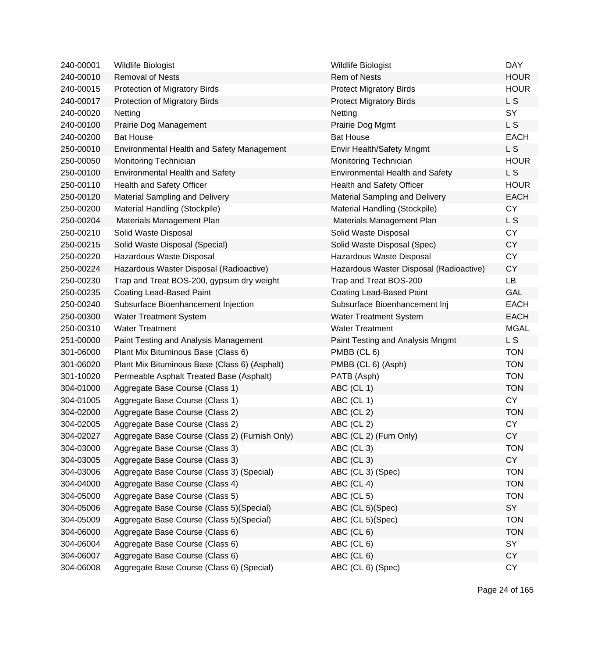| 240-00001 | <b>Wildlife Biologist</b>                      | Wildlife Biologist                      | <b>DAY</b>     |
|-----------|------------------------------------------------|-----------------------------------------|----------------|
| 240-00010 | <b>Removal of Nests</b>                        | Rem of Nests                            | <b>HOUR</b>    |
| 240-00015 | Protection of Migratory Birds                  | <b>Protect Migratory Birds</b>          | <b>HOUR</b>    |
| 240-00017 | Protection of Migratory Birds                  | <b>Protect Migratory Birds</b>          | L S            |
| 240-00020 | Netting                                        | Netting                                 | SY             |
| 240-00100 | Prairie Dog Management                         | Prairie Dog Mgmt                        | L S            |
| 240-00200 | <b>Bat House</b>                               | <b>Bat House</b>                        | <b>EACH</b>    |
| 250-00010 | Environmental Health and Safety Management     | Envir Health/Safety Mngmt               | L <sub>S</sub> |
| 250-00050 | Monitoring Technician                          | Monitoring Technician                   | <b>HOUR</b>    |
| 250-00100 | <b>Environmental Health and Safety</b>         | <b>Environmental Health and Safety</b>  | L S            |
| 250-00110 | Health and Safety Officer                      | Health and Safety Officer               | <b>HOUR</b>    |
| 250-00120 | <b>Material Sampling and Delivery</b>          | <b>Material Sampling and Delivery</b>   | <b>EACH</b>    |
| 250-00200 | Material Handling (Stockpile)                  | Material Handling (Stockpile)           | <b>CY</b>      |
| 250-00204 | Materials Management Plan                      | Materials Management Plan               | L S            |
| 250-00210 | Solid Waste Disposal                           | Solid Waste Disposal                    | <b>CY</b>      |
| 250-00215 | Solid Waste Disposal (Special)                 | Solid Waste Disposal (Spec)             | <b>CY</b>      |
| 250-00220 | Hazardous Waste Disposal                       | Hazardous Waste Disposal                | <b>CY</b>      |
| 250-00224 | Hazardous Waster Disposal (Radioactive)        | Hazardous Waster Disposal (Radioactive) | <b>CY</b>      |
| 250-00230 | Trap and Treat BOS-200, gypsum dry weight      | Trap and Treat BOS-200                  | LB             |
| 250-00235 | Coating Lead-Based Paint                       | <b>Coating Lead-Based Paint</b>         | GAL            |
| 250-00240 | Subsurface Bioenhancement Injection            | Subsurface Bioenhancement Inj           | <b>EACH</b>    |
| 250-00300 | <b>Water Treatment System</b>                  | <b>Water Treatment System</b>           | <b>EACH</b>    |
| 250-00310 | <b>Water Treatment</b>                         | <b>Water Treatment</b>                  | <b>MGAL</b>    |
| 251-00000 | Paint Testing and Analysis Management          | Paint Testing and Analysis Mngmt        | L S            |
| 301-06000 | Plant Mix Bituminous Base (Class 6)            | PMBB (CL 6)                             | <b>TON</b>     |
| 301-06020 | Plant Mix Bituminous Base (Class 6) (Asphalt)  | PMBB (CL 6) (Asph)                      | <b>TON</b>     |
| 301-10020 | Permeable Asphalt Treated Base (Asphalt)       | PATB (Asph)                             | <b>TON</b>     |
| 304-01000 | Aggregate Base Course (Class 1)                | ABC (CL 1)                              | <b>TON</b>     |
| 304-01005 | Aggregate Base Course (Class 1)                | ABC (CL 1)                              | <b>CY</b>      |
| 304-02000 | Aggregate Base Course (Class 2)                | ABC (CL 2)                              | <b>TON</b>     |
| 304-02005 | Aggregate Base Course (Class 2)                | ABC (CL 2)                              | <b>CY</b>      |
| 304-02027 | Aggregate Base Course (Class 2) (Furnish Only) | ABC (CL 2) (Furn Only)                  | CY.            |
| 304-03000 | Aggregate Base Course (Class 3)                | ABC (CL 3)                              | <b>TON</b>     |
| 304-03005 | Aggregate Base Course (Class 3)                | ABC (CL 3)                              | <b>CY</b>      |
| 304-03006 | Aggregate Base Course (Class 3) (Special)      | ABC (CL 3) (Spec)                       | <b>TON</b>     |
| 304-04000 | Aggregate Base Course (Class 4)                | ABC (CL 4)                              | <b>TON</b>     |
| 304-05000 | Aggregate Base Course (Class 5)                | ABC (CL 5)                              | <b>TON</b>     |
| 304-05006 | Aggregate Base Course (Class 5) (Special)      | ABC (CL 5)(Spec)                        | SY             |
| 304-05009 | Aggregate Base Course (Class 5) (Special)      | ABC (CL 5)(Spec)                        | <b>TON</b>     |
| 304-06000 | Aggregate Base Course (Class 6)                | ABC (CL 6)                              | <b>TON</b>     |
| 304-06004 | Aggregate Base Course (Class 6)                | ABC (CL 6)                              | SY             |
| 304-06007 | Aggregate Base Course (Class 6)                | ABC (CL 6)                              | CY             |
| 304-06008 | Aggregate Base Course (Class 6) (Special)      | ABC (CL 6) (Spec)                       | <b>CY</b>      |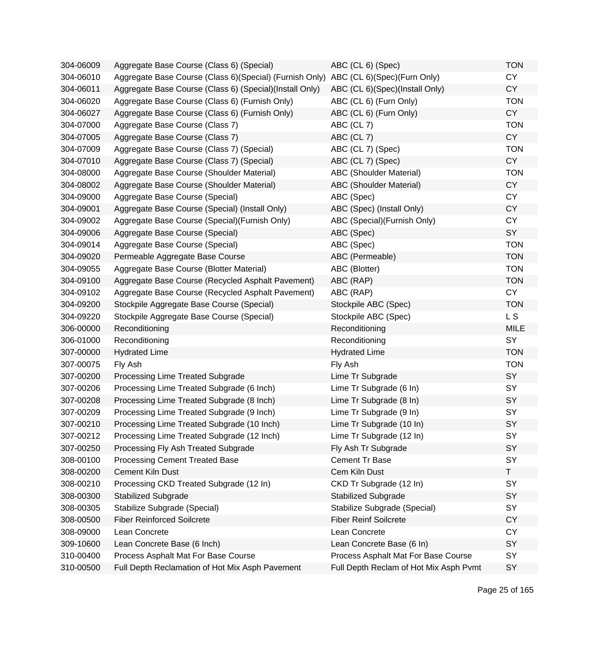| 304-06009 | Aggregate Base Course (Class 6) (Special)                                              | ABC (CL 6) (Spec)                      | <b>TON</b>   |
|-----------|----------------------------------------------------------------------------------------|----------------------------------------|--------------|
| 304-06010 | Aggregate Base Course (Class 6) (Special) (Furnish Only) ABC (CL 6) (Spec) (Furn Only) |                                        | <b>CY</b>    |
| 304-06011 | Aggregate Base Course (Class 6) (Special) (Install Only)                               | ABC (CL 6)(Spec)(Install Only)         | <b>CY</b>    |
| 304-06020 | Aggregate Base Course (Class 6) (Furnish Only)                                         | ABC (CL 6) (Furn Only)                 | <b>TON</b>   |
| 304-06027 | Aggregate Base Course (Class 6) (Furnish Only)                                         | ABC (CL 6) (Furn Only)                 | <b>CY</b>    |
| 304-07000 | Aggregate Base Course (Class 7)                                                        | ABC (CL 7)                             | <b>TON</b>   |
| 304-07005 | Aggregate Base Course (Class 7)                                                        | ABC (CL 7)                             | <b>CY</b>    |
| 304-07009 | Aggregate Base Course (Class 7) (Special)                                              | ABC (CL 7) (Spec)                      | <b>TON</b>   |
| 304-07010 | Aggregate Base Course (Class 7) (Special)                                              | ABC (CL 7) (Spec)                      | <b>CY</b>    |
| 304-08000 | Aggregate Base Course (Shoulder Material)                                              | <b>ABC (Shoulder Material)</b>         | <b>TON</b>   |
| 304-08002 | Aggregate Base Course (Shoulder Material)                                              | <b>ABC</b> (Shoulder Material)         | <b>CY</b>    |
| 304-09000 | Aggregate Base Course (Special)                                                        | ABC (Spec)                             | <b>CY</b>    |
| 304-09001 | Aggregate Base Course (Special) (Install Only)                                         | ABC (Spec) (Install Only)              | <b>CY</b>    |
| 304-09002 | Aggregate Base Course (Special) (Furnish Only)                                         | ABC (Special) (Furnish Only)           | <b>CY</b>    |
| 304-09006 | Aggregate Base Course (Special)                                                        | ABC (Spec)                             | SY           |
| 304-09014 | Aggregate Base Course (Special)                                                        | ABC (Spec)                             | <b>TON</b>   |
| 304-09020 | Permeable Aggregate Base Course                                                        | ABC (Permeable)                        | <b>TON</b>   |
| 304-09055 | Aggregate Base Course (Blotter Material)                                               | ABC (Blotter)                          | <b>TON</b>   |
| 304-09100 | Aggregate Base Course (Recycled Asphalt Pavement)                                      | ABC (RAP)                              | <b>TON</b>   |
| 304-09102 | Aggregate Base Course (Recycled Asphalt Pavement)                                      | ABC (RAP)                              | <b>CY</b>    |
| 304-09200 | Stockpile Aggregate Base Course (Special)                                              | Stockpile ABC (Spec)                   | <b>TON</b>   |
| 304-09220 | Stockpile Aggregate Base Course (Special)                                              | Stockpile ABC (Spec)                   | L S          |
| 306-00000 | Reconditioning                                                                         | Reconditioning                         | <b>MILE</b>  |
| 306-01000 | Reconditioning                                                                         | Reconditioning                         | SY           |
| 307-00000 | <b>Hydrated Lime</b>                                                                   | <b>Hydrated Lime</b>                   | <b>TON</b>   |
| 307-00075 | Fly Ash                                                                                | Fly Ash                                | <b>TON</b>   |
| 307-00200 | Processing Lime Treated Subgrade                                                       | Lime Tr Subgrade                       | SY           |
| 307-00206 | Processing Lime Treated Subgrade (6 Inch)                                              | Lime Tr Subgrade (6 In)                | SY           |
| 307-00208 | Processing Lime Treated Subgrade (8 Inch)                                              | Lime Tr Subgrade (8 In)                | SY           |
| 307-00209 | Processing Lime Treated Subgrade (9 Inch)                                              | Lime Tr Subgrade (9 In)                | SY           |
| 307-00210 | Processing Lime Treated Subgrade (10 Inch)                                             | Lime Tr Subgrade (10 In)               | SY           |
| 307-00212 | Processing Lime Treated Subgrade (12 Inch)                                             | Lime Tr Subgrade (12 In)               | SY           |
| 307-00250 | Processing Fly Ash Treated Subgrade                                                    | Fly Ash Tr Subgrade                    | SY           |
| 308-00100 | <b>Processing Cement Treated Base</b>                                                  | <b>Cement Tr Base</b>                  | SY           |
| 308-00200 | Cement Kiln Dust                                                                       | Cem Kiln Dust                          | $\mathsf{T}$ |
| 308-00210 | Processing CKD Treated Subgrade (12 In)                                                | CKD Tr Subgrade (12 In)                | SY           |
| 308-00300 | <b>Stabilized Subgrade</b>                                                             | <b>Stabilized Subgrade</b>             | SY           |
| 308-00305 | Stabilize Subgrade (Special)                                                           | Stabilize Subgrade (Special)           | SY           |
| 308-00500 | <b>Fiber Reinforced Soilcrete</b>                                                      | <b>Fiber Reinf Soilcrete</b>           | <b>CY</b>    |
| 308-09000 | Lean Concrete                                                                          | Lean Concrete                          | <b>CY</b>    |
| 309-10600 | Lean Concrete Base (6 Inch)                                                            | Lean Concrete Base (6 In)              | <b>SY</b>    |
| 310-00400 | Process Asphalt Mat For Base Course                                                    | Process Asphalt Mat For Base Course    | SY           |
| 310-00500 | Full Depth Reclamation of Hot Mix Asph Pavement                                        | Full Depth Reclam of Hot Mix Asph Pvmt | <b>SY</b>    |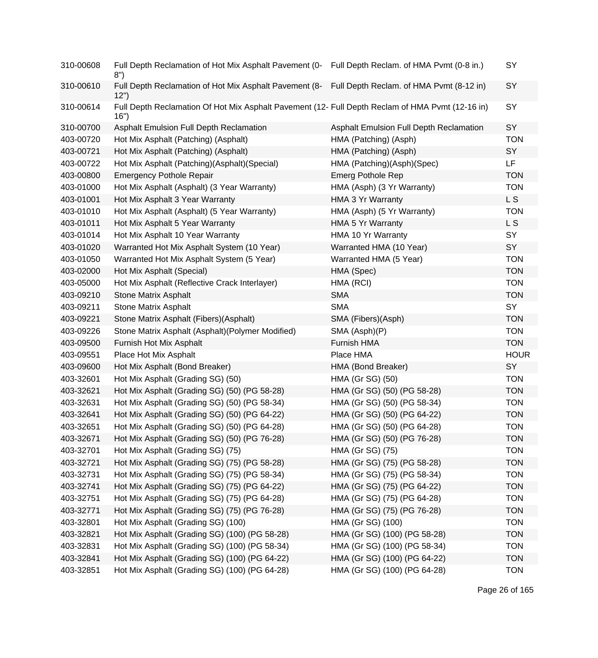| 310-00608 | Full Depth Reclamation of Hot Mix Asphalt Pavement (0- Full Depth Reclam. of HMA Pvmt (0-8 in.)<br>8")   |                                         | SY          |
|-----------|----------------------------------------------------------------------------------------------------------|-----------------------------------------|-------------|
| 310-00610 | Full Depth Reclamation of Hot Mix Asphalt Pavement (8- Full Depth Reclam. of HMA Pvmt (8-12 in)<br>12")  |                                         | SY          |
| 310-00614 | Full Depth Reclamation Of Hot Mix Asphalt Pavement (12- Full Depth Reclam of HMA Pvmt (12-16 in)<br>16") |                                         | <b>SY</b>   |
| 310-00700 | Asphalt Emulsion Full Depth Reclamation                                                                  | Asphalt Emulsion Full Depth Reclamation | SY          |
| 403-00720 | Hot Mix Asphalt (Patching) (Asphalt)                                                                     | HMA (Patching) (Asph)                   | <b>TON</b>  |
| 403-00721 | Hot Mix Asphalt (Patching) (Asphalt)                                                                     | HMA (Patching) (Asph)                   | SY          |
| 403-00722 | Hot Mix Asphalt (Patching)(Asphalt)(Special)                                                             | HMA (Patching)(Asph)(Spec)              | LF          |
| 403-00800 | <b>Emergency Pothole Repair</b>                                                                          | <b>Emerg Pothole Rep</b>                | <b>TON</b>  |
| 403-01000 | Hot Mix Asphalt (Asphalt) (3 Year Warranty)                                                              | HMA (Asph) (3 Yr Warranty)              | <b>TON</b>  |
| 403-01001 | Hot Mix Asphalt 3 Year Warranty                                                                          | HMA 3 Yr Warranty                       | L S         |
| 403-01010 | Hot Mix Asphalt (Asphalt) (5 Year Warranty)                                                              | HMA (Asph) (5 Yr Warranty)              | <b>TON</b>  |
| 403-01011 | Hot Mix Asphalt 5 Year Warranty                                                                          | HMA 5 Yr Warranty                       | L S         |
| 403-01014 | Hot Mix Asphalt 10 Year Warranty                                                                         | HMA 10 Yr Warranty                      | SY          |
| 403-01020 | Warranted Hot Mix Asphalt System (10 Year)                                                               | Warranted HMA (10 Year)                 | SY          |
| 403-01050 | Warranted Hot Mix Asphalt System (5 Year)                                                                | Warranted HMA (5 Year)                  | <b>TON</b>  |
| 403-02000 | Hot Mix Asphalt (Special)                                                                                | HMA (Spec)                              | <b>TON</b>  |
| 403-05000 | Hot Mix Asphalt (Reflective Crack Interlayer)                                                            | HMA (RCI)                               | <b>TON</b>  |
| 403-09210 | <b>Stone Matrix Asphalt</b>                                                                              | <b>SMA</b>                              | <b>TON</b>  |
| 403-09211 | <b>Stone Matrix Asphalt</b>                                                                              | <b>SMA</b>                              | SY          |
| 403-09221 | Stone Matrix Asphalt (Fibers)(Asphalt)                                                                   | SMA (Fibers)(Asph)                      | <b>TON</b>  |
| 403-09226 | Stone Matrix Asphalt (Asphalt) (Polymer Modified)                                                        | SMA (Asph)(P)                           | <b>TON</b>  |
| 403-09500 | Furnish Hot Mix Asphalt                                                                                  | Furnish HMA                             | <b>TON</b>  |
| 403-09551 | Place Hot Mix Asphalt                                                                                    | Place HMA                               | <b>HOUR</b> |
| 403-09600 | Hot Mix Asphalt (Bond Breaker)                                                                           | HMA (Bond Breaker)                      | SY          |
| 403-32601 | Hot Mix Asphalt (Grading SG) (50)                                                                        | HMA (Gr SG) (50)                        | <b>TON</b>  |
| 403-32621 | Hot Mix Asphalt (Grading SG) (50) (PG 58-28)                                                             | HMA (Gr SG) (50) (PG 58-28)             | <b>TON</b>  |
| 403-32631 | Hot Mix Asphalt (Grading SG) (50) (PG 58-34)                                                             | HMA (Gr SG) (50) (PG 58-34)             | <b>TON</b>  |
| 403-32641 | Hot Mix Asphalt (Grading SG) (50) (PG 64-22)                                                             | HMA (Gr SG) (50) (PG 64-22)             | <b>TON</b>  |
| 403-32651 | Hot Mix Asphalt (Grading SG) (50) (PG 64-28)                                                             | HMA (Gr SG) (50) (PG 64-28)             | <b>TON</b>  |
| 403-32671 | Hot Mix Asphalt (Grading SG) (50) (PG 76-28)                                                             | HMA (Gr SG) (50) (PG 76-28)             | <b>TON</b>  |
| 403-32701 | Hot Mix Asphalt (Grading SG) (75)                                                                        | HMA (Gr SG) (75)                        | <b>TON</b>  |
| 403-32721 | Hot Mix Asphalt (Grading SG) (75) (PG 58-28)                                                             | HMA (Gr SG) (75) (PG 58-28)             | <b>TON</b>  |
| 403-32731 | Hot Mix Asphalt (Grading SG) (75) (PG 58-34)                                                             | HMA (Gr SG) (75) (PG 58-34)             | <b>TON</b>  |
| 403-32741 | Hot Mix Asphalt (Grading SG) (75) (PG 64-22)                                                             | HMA (Gr SG) (75) (PG 64-22)             | <b>TON</b>  |
| 403-32751 | Hot Mix Asphalt (Grading SG) (75) (PG 64-28)                                                             | HMA (Gr SG) (75) (PG 64-28)             | <b>TON</b>  |
| 403-32771 | Hot Mix Asphalt (Grading SG) (75) (PG 76-28)                                                             | HMA (Gr SG) (75) (PG 76-28)             | <b>TON</b>  |
| 403-32801 | Hot Mix Asphalt (Grading SG) (100)                                                                       | HMA (Gr SG) (100)                       | <b>TON</b>  |
| 403-32821 | Hot Mix Asphalt (Grading SG) (100) (PG 58-28)                                                            | HMA (Gr SG) (100) (PG 58-28)            | <b>TON</b>  |
| 403-32831 | Hot Mix Asphalt (Grading SG) (100) (PG 58-34)                                                            | HMA (Gr SG) (100) (PG 58-34)            | <b>TON</b>  |
| 403-32841 | Hot Mix Asphalt (Grading SG) (100) (PG 64-22)                                                            | HMA (Gr SG) (100) (PG 64-22)            | <b>TON</b>  |
| 403-32851 | Hot Mix Asphalt (Grading SG) (100) (PG 64-28)                                                            | HMA (Gr SG) (100) (PG 64-28)            | <b>TON</b>  |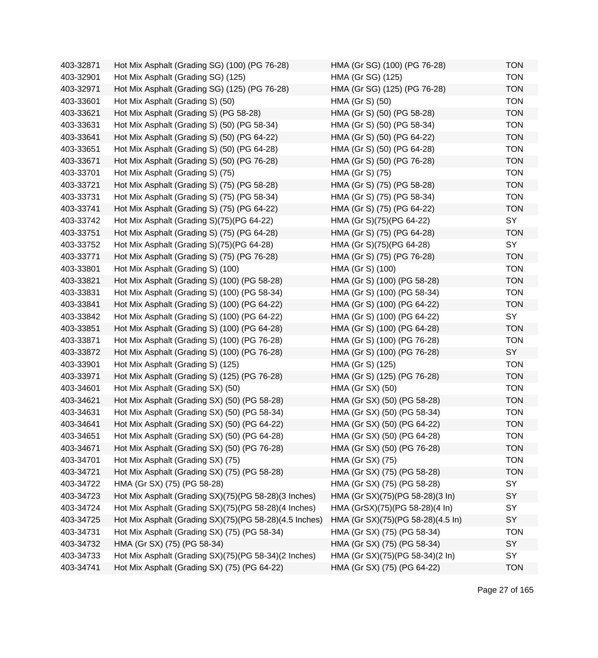| 403-32871 | Hot Mix Asphalt (Grading SG) (100) (PG 76-28)          | HMA (Gr SG) (100) (PG 76-28)      | <b>TON</b> |
|-----------|--------------------------------------------------------|-----------------------------------|------------|
| 403-32901 | Hot Mix Asphalt (Grading SG) (125)                     | HMA (Gr SG) (125)                 | <b>TON</b> |
| 403-32971 | Hot Mix Asphalt (Grading SG) (125) (PG 76-28)          | HMA (Gr SG) (125) (PG 76-28)      | <b>TON</b> |
| 403-33601 | Hot Mix Asphalt (Grading S) (50)                       | HMA (Gr S) (50)                   | <b>TON</b> |
| 403-33621 | Hot Mix Asphalt (Grading S) (PG 58-28)                 | HMA (Gr S) (50) (PG 58-28)        | <b>TON</b> |
| 403-33631 | Hot Mix Asphalt (Grading S) (50) (PG 58-34)            | HMA (Gr S) (50) (PG 58-34)        | <b>TON</b> |
| 403-33641 | Hot Mix Asphalt (Grading S) (50) (PG 64-22)            | HMA (Gr S) (50) (PG 64-22)        | <b>TON</b> |
| 403-33651 | Hot Mix Asphalt (Grading S) (50) (PG 64-28)            | HMA (Gr S) (50) (PG 64-28)        | <b>TON</b> |
| 403-33671 | Hot Mix Asphalt (Grading S) (50) (PG 76-28)            | HMA (Gr S) (50) (PG 76-28)        | <b>TON</b> |
| 403-33701 | Hot Mix Asphalt (Grading S) (75)                       | HMA (Gr S) (75)                   | <b>TON</b> |
| 403-33721 | Hot Mix Asphalt (Grading S) (75) (PG 58-28)            | HMA (Gr S) (75) (PG 58-28)        | <b>TON</b> |
| 403-33731 | Hot Mix Asphalt (Grading S) (75) (PG 58-34)            | HMA (Gr S) (75) (PG 58-34)        | <b>TON</b> |
| 403-33741 | Hot Mix Asphalt (Grading S) (75) (PG 64-22)            | HMA (Gr S) (75) (PG 64-22)        | <b>TON</b> |
| 403-33742 | Hot Mix Asphalt (Grading S)(75)(PG 64-22)              | HMA (Gr S)(75)(PG 64-22)          | SY         |
| 403-33751 | Hot Mix Asphalt (Grading S) (75) (PG 64-28)            | HMA (Gr S) (75) (PG 64-28)        | <b>TON</b> |
| 403-33752 | Hot Mix Asphalt (Grading S)(75)(PG 64-28)              | HMA (Gr S)(75)(PG 64-28)          | SY         |
| 403-33771 | Hot Mix Asphalt (Grading S) (75) (PG 76-28)            | HMA (Gr S) (75) (PG 76-28)        | <b>TON</b> |
| 403-33801 | Hot Mix Asphalt (Grading S) (100)                      | HMA (Gr S) (100)                  | <b>TON</b> |
| 403-33821 | Hot Mix Asphalt (Grading S) (100) (PG 58-28)           | HMA (Gr S) (100) (PG 58-28)       | <b>TON</b> |
| 403-33831 | Hot Mix Asphalt (Grading S) (100) (PG 58-34)           | HMA (Gr S) (100) (PG 58-34)       | <b>TON</b> |
| 403-33841 | Hot Mix Asphalt (Grading S) (100) (PG 64-22)           | HMA (Gr S) (100) (PG 64-22)       | <b>TON</b> |
| 403-33842 | Hot Mix Asphalt (Grading S) (100) (PG 64-22)           | HMA (Gr S) (100) (PG 64-22)       | SY         |
| 403-33851 | Hot Mix Asphalt (Grading S) (100) (PG 64-28)           | HMA (Gr S) (100) (PG 64-28)       | <b>TON</b> |
| 403-33871 | Hot Mix Asphalt (Grading S) (100) (PG 76-28)           | HMA (Gr S) (100) (PG 76-28)       | <b>TON</b> |
| 403-33872 | Hot Mix Asphalt (Grading S) (100) (PG 76-28)           | HMA (Gr S) (100) (PG 76-28)       | SY         |
| 403-33901 | Hot Mix Asphalt (Grading S) (125)                      | HMA (Gr S) (125)                  | <b>TON</b> |
| 403-33971 | Hot Mix Asphalt (Grading S) (125) (PG 76-28)           | HMA (Gr S) (125) (PG 76-28)       | <b>TON</b> |
| 403-34601 | Hot Mix Asphalt (Grading SX) (50)                      | HMA (Gr SX) (50)                  | <b>TON</b> |
| 403-34621 | Hot Mix Asphalt (Grading SX) (50) (PG 58-28)           | HMA (Gr SX) (50) (PG 58-28)       | <b>TON</b> |
| 403-34631 | Hot Mix Asphalt (Grading SX) (50) (PG 58-34)           | HMA (Gr SX) (50) (PG 58-34)       | <b>TON</b> |
| 403-34641 | Hot Mix Asphalt (Grading SX) (50) (PG 64-22)           | HMA (Gr SX) (50) (PG 64-22)       | <b>TON</b> |
| 403-34651 | Hot Mix Asphalt (Grading SX) (50) (PG 64-28)           | HMA (Gr SX) (50) (PG 64-28)       | TON        |
| 403-34671 | Hot Mix Asphalt (Grading SX) (50) (PG 76-28)           | HMA (Gr SX) (50) (PG 76-28)       | <b>TON</b> |
| 403-34701 | Hot Mix Asphalt (Grading SX) (75)                      | HMA (Gr SX) (75)                  | <b>TON</b> |
| 403-34721 | Hot Mix Asphalt (Grading SX) (75) (PG 58-28)           | HMA (Gr SX) (75) (PG 58-28)       | <b>TON</b> |
| 403-34722 | HMA (Gr SX) (75) (PG 58-28)                            | HMA (Gr SX) (75) (PG 58-28)       | SY         |
| 403-34723 | Hot Mix Asphalt (Grading SX)(75)(PG 58-28)(3 Inches)   | HMA (Gr SX)(75)(PG 58-28)(3 ln)   | SY         |
| 403-34724 | Hot Mix Asphalt (Grading SX)(75)(PG 58-28)(4 Inches)   | HMA (GrSX)(75)(PG 58-28)(4 In)    | SY         |
| 403-34725 | Hot Mix Asphalt (Grading SX)(75)(PG 58-28)(4.5 Inches) | HMA (Gr SX)(75)(PG 58-28)(4.5 ln) | SY         |
| 403-34731 | Hot Mix Asphalt (Grading SX) (75) (PG 58-34)           | HMA (Gr SX) (75) (PG 58-34)       | <b>TON</b> |
| 403-34732 | HMA (Gr SX) (75) (PG 58-34)                            | HMA (Gr SX) (75) (PG 58-34)       | SY         |
| 403-34733 | Hot Mix Asphalt (Grading SX)(75)(PG 58-34)(2 Inches)   | HMA (Gr SX)(75)(PG 58-34)(2 ln)   | SY         |
| 403-34741 | Hot Mix Asphalt (Grading SX) (75) (PG 64-22)           | HMA (Gr SX) (75) (PG 64-22)       | <b>TON</b> |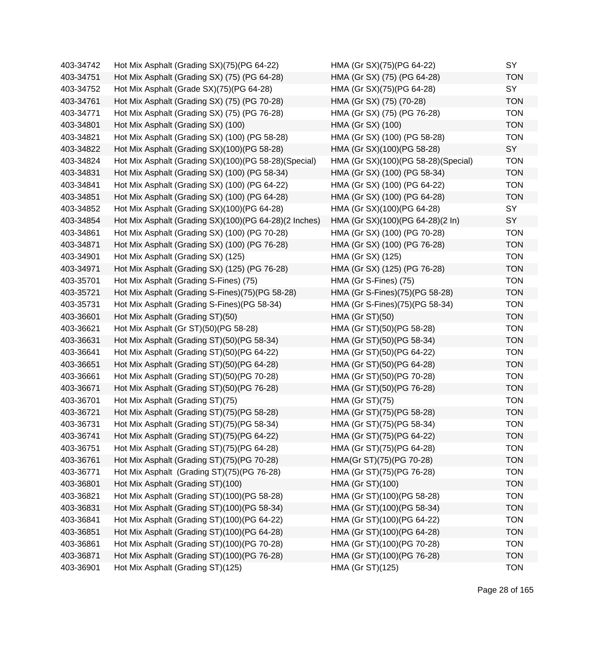| 403-34742 | Hot Mix Asphalt (Grading SX)(75)(PG 64-22)            | HMA (Gr SX)(75)(PG 64-22)           | SY         |
|-----------|-------------------------------------------------------|-------------------------------------|------------|
| 403-34751 | Hot Mix Asphalt (Grading SX) (75) (PG 64-28)          | HMA (Gr SX) (75) (PG 64-28)         | <b>TON</b> |
| 403-34752 | Hot Mix Asphalt (Grade SX)(75)(PG 64-28)              | HMA (Gr SX)(75)(PG 64-28)           | SY         |
| 403-34761 | Hot Mix Asphalt (Grading SX) (75) (PG 70-28)          | HMA (Gr SX) (75) (70-28)            | <b>TON</b> |
| 403-34771 | Hot Mix Asphalt (Grading SX) (75) (PG 76-28)          | HMA (Gr SX) (75) (PG 76-28)         | <b>TON</b> |
| 403-34801 | Hot Mix Asphalt (Grading SX) (100)                    | HMA (Gr SX) (100)                   | <b>TON</b> |
| 403-34821 | Hot Mix Asphalt (Grading SX) (100) (PG 58-28)         | HMA (Gr SX) (100) (PG 58-28)        | <b>TON</b> |
| 403-34822 | Hot Mix Asphalt (Grading SX)(100)(PG 58-28)           | HMA (Gr SX)(100)(PG 58-28)          | SY         |
| 403-34824 | Hot Mix Asphalt (Grading SX)(100)(PG 58-28)(Special)  | HMA (Gr SX)(100)(PG 58-28)(Special) | <b>TON</b> |
| 403-34831 | Hot Mix Asphalt (Grading SX) (100) (PG 58-34)         | HMA (Gr SX) (100) (PG 58-34)        | <b>TON</b> |
| 403-34841 | Hot Mix Asphalt (Grading SX) (100) (PG 64-22)         | HMA (Gr SX) (100) (PG 64-22)        | <b>TON</b> |
| 403-34851 | Hot Mix Asphalt (Grading SX) (100) (PG 64-28)         | HMA (Gr SX) (100) (PG 64-28)        | <b>TON</b> |
| 403-34852 | Hot Mix Asphalt (Grading SX)(100)(PG 64-28)           | HMA (Gr SX)(100)(PG 64-28)          | SY         |
| 403-34854 | Hot Mix Asphalt (Grading SX)(100)(PG 64-28)(2 Inches) | HMA (Gr SX)(100)(PG 64-28)(2 In)    | SY         |
| 403-34861 | Hot Mix Asphalt (Grading SX) (100) (PG 70-28)         | HMA (Gr SX) (100) (PG 70-28)        | <b>TON</b> |
| 403-34871 | Hot Mix Asphalt (Grading SX) (100) (PG 76-28)         | HMA (Gr SX) (100) (PG 76-28)        | <b>TON</b> |
| 403-34901 | Hot Mix Asphalt (Grading SX) (125)                    | HMA (Gr SX) (125)                   | <b>TON</b> |
| 403-34971 | Hot Mix Asphalt (Grading SX) (125) (PG 76-28)         | HMA (Gr SX) (125) (PG 76-28)        | <b>TON</b> |
| 403-35701 | Hot Mix Asphalt (Grading S-Fines) (75)                | HMA (Gr S-Fines) (75)               | <b>TON</b> |
| 403-35721 | Hot Mix Asphalt (Grading S-Fines)(75)(PG 58-28)       | HMA (Gr S-Fines)(75)(PG 58-28)      | <b>TON</b> |
| 403-35731 | Hot Mix Asphalt (Grading S-Fines) (PG 58-34)          | HMA (Gr S-Fines)(75)(PG 58-34)      | <b>TON</b> |
| 403-36601 | Hot Mix Asphalt (Grading ST)(50)                      | <b>HMA (Gr ST)(50)</b>              | <b>TON</b> |
| 403-36621 | Hot Mix Asphalt (Gr ST)(50)(PG 58-28)                 | HMA (Gr ST)(50)(PG 58-28)           | <b>TON</b> |
| 403-36631 | Hot Mix Asphalt (Grading ST)(50)(PG 58-34)            | HMA (Gr ST)(50)(PG 58-34)           | <b>TON</b> |
| 403-36641 | Hot Mix Asphalt (Grading ST)(50)(PG 64-22)            | HMA (Gr ST)(50)(PG 64-22)           | <b>TON</b> |
| 403-36651 | Hot Mix Asphalt (Grading ST)(50)(PG 64-28)            | HMA (Gr ST)(50)(PG 64-28)           | <b>TON</b> |
| 403-36661 | Hot Mix Asphalt (Grading ST)(50)(PG 70-28)            | HMA (Gr ST)(50)(PG 70-28)           | <b>TON</b> |
| 403-36671 | Hot Mix Asphalt (Grading ST)(50)(PG 76-28)            | HMA (Gr ST)(50)(PG 76-28)           | <b>TON</b> |
| 403-36701 | Hot Mix Asphalt (Grading ST)(75)                      | <b>HMA (Gr ST)(75)</b>              | <b>TON</b> |
| 403-36721 | Hot Mix Asphalt (Grading ST)(75)(PG 58-28)            | HMA (Gr ST)(75)(PG 58-28)           | <b>TON</b> |
| 403-36731 | Hot Mix Asphalt (Grading ST)(75)(PG 58-34)            | HMA (Gr ST)(75)(PG 58-34)           | <b>TON</b> |
| 403-36741 | Hot Mix Asphalt (Grading ST)(75)(PG 64-22)            | HMA (Gr ST)(75)(PG 64-22)           | TON        |
| 403-36751 | Hot Mix Asphalt (Grading ST)(75)(PG 64-28)            | HMA (Gr ST)(75)(PG 64-28)           | <b>TON</b> |
| 403-36761 | Hot Mix Asphalt (Grading ST)(75)(PG 70-28)            | HMA(Gr ST)(75)(PG 70-28)            | <b>TON</b> |
| 403-36771 | Hot Mix Asphalt (Grading ST)(75)(PG 76-28)            | HMA (Gr ST)(75)(PG 76-28)           | <b>TON</b> |
| 403-36801 | Hot Mix Asphalt (Grading ST)(100)                     | HMA (Gr ST)(100)                    | <b>TON</b> |
| 403-36821 | Hot Mix Asphalt (Grading ST)(100)(PG 58-28)           | HMA (Gr ST)(100)(PG 58-28)          | <b>TON</b> |
| 403-36831 | Hot Mix Asphalt (Grading ST)(100)(PG 58-34)           | HMA (Gr ST)(100)(PG 58-34)          | <b>TON</b> |
| 403-36841 | Hot Mix Asphalt (Grading ST)(100)(PG 64-22)           | HMA (Gr ST)(100)(PG 64-22)          | <b>TON</b> |
| 403-36851 | Hot Mix Asphalt (Grading ST)(100)(PG 64-28)           | HMA (Gr ST)(100)(PG 64-28)          | <b>TON</b> |
| 403-36861 | Hot Mix Asphalt (Grading ST)(100)(PG 70-28)           | HMA (Gr ST)(100)(PG 70-28)          | <b>TON</b> |
| 403-36871 | Hot Mix Asphalt (Grading ST)(100)(PG 76-28)           | HMA (Gr ST)(100)(PG 76-28)          | <b>TON</b> |
| 403-36901 | Hot Mix Asphalt (Grading ST)(125)                     | HMA (Gr ST)(125)                    | <b>TON</b> |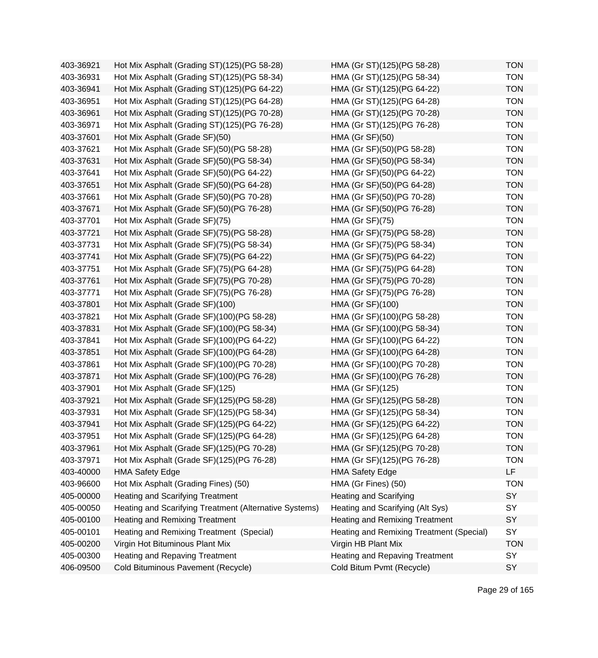| 403-36921 | Hot Mix Asphalt (Grading ST)(125)(PG 58-28)            | HMA (Gr ST)(125)(PG 58-28)               | <b>TON</b> |
|-----------|--------------------------------------------------------|------------------------------------------|------------|
| 403-36931 | Hot Mix Asphalt (Grading ST)(125)(PG 58-34)            | HMA (Gr ST)(125)(PG 58-34)               | <b>TON</b> |
| 403-36941 | Hot Mix Asphalt (Grading ST)(125)(PG 64-22)            | HMA (Gr ST)(125)(PG 64-22)               | <b>TON</b> |
| 403-36951 | Hot Mix Asphalt (Grading ST)(125)(PG 64-28)            | HMA (Gr ST)(125)(PG 64-28)               | <b>TON</b> |
| 403-36961 | Hot Mix Asphalt (Grading ST)(125)(PG 70-28)            | HMA (Gr ST)(125)(PG 70-28)               | <b>TON</b> |
| 403-36971 | Hot Mix Asphalt (Grading ST)(125)(PG 76-28)            | HMA (Gr ST)(125)(PG 76-28)               | <b>TON</b> |
| 403-37601 | Hot Mix Asphalt (Grade SF)(50)                         | <b>HMA (Gr SF)(50)</b>                   | <b>TON</b> |
| 403-37621 | Hot Mix Asphalt (Grade SF)(50)(PG 58-28)               | HMA (Gr SF)(50)(PG 58-28)                | <b>TON</b> |
| 403-37631 | Hot Mix Asphalt (Grade SF)(50)(PG 58-34)               | HMA (Gr SF)(50)(PG 58-34)                | <b>TON</b> |
| 403-37641 | Hot Mix Asphalt (Grade SF)(50)(PG 64-22)               | HMA (Gr SF)(50)(PG 64-22)                | <b>TON</b> |
| 403-37651 | Hot Mix Asphalt (Grade SF)(50)(PG 64-28)               | HMA (Gr SF)(50)(PG 64-28)                | <b>TON</b> |
| 403-37661 | Hot Mix Asphalt (Grade SF)(50)(PG 70-28)               | HMA (Gr SF)(50)(PG 70-28)                | <b>TON</b> |
| 403-37671 | Hot Mix Asphalt (Grade SF)(50)(PG 76-28)               | HMA (Gr SF)(50)(PG 76-28)                | <b>TON</b> |
| 403-37701 | Hot Mix Asphalt (Grade SF)(75)                         | <b>HMA (Gr SF)(75)</b>                   | <b>TON</b> |
| 403-37721 | Hot Mix Asphalt (Grade SF)(75)(PG 58-28)               | HMA (Gr SF)(75)(PG 58-28)                | <b>TON</b> |
| 403-37731 | Hot Mix Asphalt (Grade SF)(75)(PG 58-34)               | HMA (Gr SF)(75)(PG 58-34)                | <b>TON</b> |
| 403-37741 | Hot Mix Asphalt (Grade SF)(75)(PG 64-22)               | HMA (Gr SF)(75)(PG 64-22)                | <b>TON</b> |
| 403-37751 | Hot Mix Asphalt (Grade SF)(75)(PG 64-28)               | HMA (Gr SF)(75)(PG 64-28)                | <b>TON</b> |
| 403-37761 | Hot Mix Asphalt (Grade SF)(75)(PG 70-28)               | HMA (Gr SF)(75)(PG 70-28)                | <b>TON</b> |
| 403-37771 | Hot Mix Asphalt (Grade SF)(75)(PG 76-28)               | HMA (Gr SF)(75)(PG 76-28)                | <b>TON</b> |
| 403-37801 | Hot Mix Asphalt (Grade SF)(100)                        | HMA (Gr SF)(100)                         | <b>TON</b> |
| 403-37821 | Hot Mix Asphalt (Grade SF)(100)(PG 58-28)              | HMA (Gr SF)(100)(PG 58-28)               | <b>TON</b> |
| 403-37831 | Hot Mix Asphalt (Grade SF)(100)(PG 58-34)              | HMA (Gr SF)(100)(PG 58-34)               | <b>TON</b> |
| 403-37841 | Hot Mix Asphalt (Grade SF)(100)(PG 64-22)              | HMA (Gr SF)(100)(PG 64-22)               | <b>TON</b> |
| 403-37851 | Hot Mix Asphalt (Grade SF)(100)(PG 64-28)              | HMA (Gr SF)(100)(PG 64-28)               | <b>TON</b> |
| 403-37861 | Hot Mix Asphalt (Grade SF)(100)(PG 70-28)              | HMA (Gr SF)(100)(PG 70-28)               | <b>TON</b> |
| 403-37871 | Hot Mix Asphalt (Grade SF)(100)(PG 76-28)              | HMA (Gr SF)(100)(PG 76-28)               | <b>TON</b> |
| 403-37901 | Hot Mix Asphalt (Grade SF)(125)                        | HMA (Gr SF)(125)                         | <b>TON</b> |
| 403-37921 | Hot Mix Asphalt (Grade SF)(125)(PG 58-28)              | HMA (Gr SF)(125)(PG 58-28)               | <b>TON</b> |
| 403-37931 | Hot Mix Asphalt (Grade SF)(125)(PG 58-34)              | HMA (Gr SF)(125)(PG 58-34)               | <b>TON</b> |
| 403-37941 | Hot Mix Asphalt (Grade SF)(125)(PG 64-22)              | HMA (Gr SF)(125)(PG 64-22)               | <b>TON</b> |
| 403-37951 | Hot Mix Asphalt (Grade SF)(125)(PG 64-28)              | HMA (Gr SF)(125)(PG 64-28)               | TON        |
| 403-37961 | Hot Mix Asphalt (Grade SF)(125)(PG 70-28)              | HMA (Gr SF)(125)(PG 70-28)               | <b>TON</b> |
| 403-37971 | Hot Mix Asphalt (Grade SF)(125)(PG 76-28)              | HMA (Gr SF)(125)(PG 76-28)               | <b>TON</b> |
| 403-40000 | <b>HMA Safety Edge</b>                                 | <b>HMA Safety Edge</b>                   | LF         |
| 403-96600 | Hot Mix Asphalt (Grading Fines) (50)                   | HMA (Gr Fines) (50)                      | <b>TON</b> |
| 405-00000 | <b>Heating and Scarifying Treatment</b>                | <b>Heating and Scarifying</b>            | SY         |
| 405-00050 | Heating and Scarifying Treatment (Alternative Systems) | Heating and Scarifying (Alt Sys)         | SY         |
| 405-00100 | <b>Heating and Remixing Treatment</b>                  | <b>Heating and Remixing Treatment</b>    | SY         |
| 405-00101 | Heating and Remixing Treatment (Special)               | Heating and Remixing Treatment (Special) | SY         |
| 405-00200 | Virgin Hot Bituminous Plant Mix                        | Virgin HB Plant Mix                      | <b>TON</b> |
| 405-00300 | Heating and Repaving Treatment                         | <b>Heating and Repaving Treatment</b>    | SY         |
| 406-09500 | Cold Bituminous Pavement (Recycle)                     | Cold Bitum Pvmt (Recycle)                | SY         |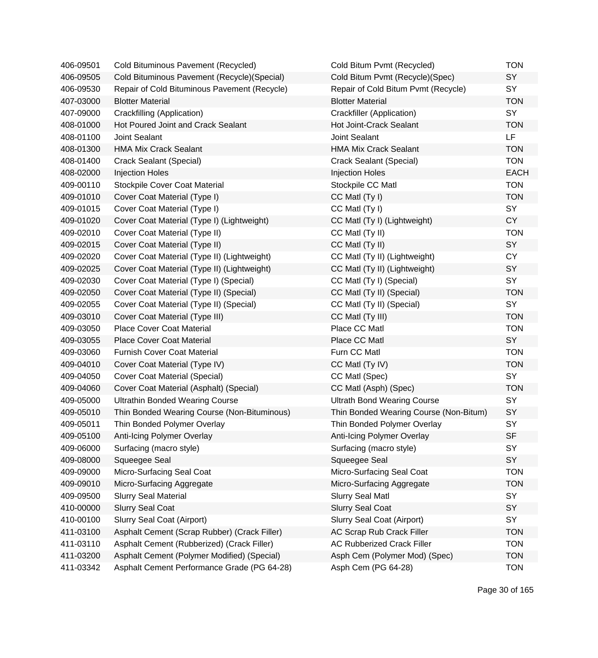| 406-09501 | Cold Bituminous Pavement (Recycled)          | Cold Bitum Pvmt (Recycled)             | <b>TON</b>  |
|-----------|----------------------------------------------|----------------------------------------|-------------|
| 406-09505 | Cold Bituminous Pavement (Recycle) (Special) | Cold Bitum Pvmt (Recycle)(Spec)        | SY          |
| 406-09530 | Repair of Cold Bituminous Pavement (Recycle) | Repair of Cold Bitum Pvmt (Recycle)    | SY          |
| 407-03000 | <b>Blotter Material</b>                      | <b>Blotter Material</b>                | <b>TON</b>  |
| 407-09000 | Crackfilling (Application)                   | Crackfiller (Application)              | SY          |
| 408-01000 | Hot Poured Joint and Crack Sealant           | Hot Joint-Crack Sealant                | <b>TON</b>  |
| 408-01100 | Joint Sealant                                | Joint Sealant                          | LF.         |
| 408-01300 | <b>HMA Mix Crack Sealant</b>                 | <b>HMA Mix Crack Sealant</b>           | <b>TON</b>  |
| 408-01400 | Crack Sealant (Special)                      | <b>Crack Sealant (Special)</b>         | <b>TON</b>  |
| 408-02000 | <b>Injection Holes</b>                       | <b>Injection Holes</b>                 | <b>EACH</b> |
| 409-00110 | <b>Stockpile Cover Coat Material</b>         | Stockpile CC Matl                      | <b>TON</b>  |
| 409-01010 | Cover Coat Material (Type I)                 | CC Matl (Ty I)                         | <b>TON</b>  |
| 409-01015 | Cover Coat Material (Type I)                 | CC Matl (Ty I)                         | SY          |
| 409-01020 | Cover Coat Material (Type I) (Lightweight)   | CC Matl (Ty I) (Lightweight)           | <b>CY</b>   |
| 409-02010 | Cover Coat Material (Type II)                | CC Matl (Ty II)                        | <b>TON</b>  |
| 409-02015 | Cover Coat Material (Type II)                | CC Matl (Ty II)                        | SY          |
| 409-02020 | Cover Coat Material (Type II) (Lightweight)  | CC Matl (Ty II) (Lightweight)          | <b>CY</b>   |
| 409-02025 | Cover Coat Material (Type II) (Lightweight)  | CC Matl (Ty II) (Lightweight)          | SY          |
| 409-02030 | Cover Coat Material (Type I) (Special)       | CC Matl (Ty I) (Special)               | SY          |
| 409-02050 | Cover Coat Material (Type II) (Special)      | CC Matl (Ty II) (Special)              | <b>TON</b>  |
| 409-02055 | Cover Coat Material (Type II) (Special)      | CC Matl (Ty II) (Special)              | SY          |
| 409-03010 | Cover Coat Material (Type III)               | CC Matl (Ty III)                       | <b>TON</b>  |
| 409-03050 | <b>Place Cover Coat Material</b>             | Place CC Matl                          | <b>TON</b>  |
| 409-03055 | <b>Place Cover Coat Material</b>             | Place CC Matl                          | SY          |
| 409-03060 | <b>Furnish Cover Coat Material</b>           | Furn CC Matl                           | <b>TON</b>  |
| 409-04010 | Cover Coat Material (Type IV)                | CC Matl (Ty IV)                        | <b>TON</b>  |
| 409-04050 | Cover Coat Material (Special)                | CC Matl (Spec)                         | SY          |
| 409-04060 | Cover Coat Material (Asphalt) (Special)      | CC Matl (Asph) (Spec)                  | <b>TON</b>  |
| 409-05000 | <b>Ultrathin Bonded Wearing Course</b>       | <b>Ultrath Bond Wearing Course</b>     | SY          |
| 409-05010 | Thin Bonded Wearing Course (Non-Bituminous)  | Thin Bonded Wearing Course (Non-Bitum) | SY          |
| 409-05011 | Thin Bonded Polymer Overlay                  | Thin Bonded Polymer Overlay            | SY          |
| 409-05100 | Anti-Icing Polymer Overlay                   | Anti-Icing Polymer Overlay             | SF          |
| 409-06000 | Surfacing (macro style)                      | Surfacing (macro style)                | SY          |
| 409-08000 | Squeegee Seal                                | Squeegee Seal                          | SY          |
| 409-09000 | Micro-Surfacing Seal Coat                    | Micro-Surfacing Seal Coat              | <b>TON</b>  |
| 409-09010 | Micro-Surfacing Aggregate                    | Micro-Surfacing Aggregate              | <b>TON</b>  |
| 409-09500 | <b>Slurry Seal Material</b>                  | <b>Slurry Seal Matl</b>                | SY          |
| 410-00000 | <b>Slurry Seal Coat</b>                      | <b>Slurry Seal Coat</b>                | SY          |
| 410-00100 | Slurry Seal Coat (Airport)                   | Slurry Seal Coat (Airport)             | SY          |
| 411-03100 | Asphalt Cement (Scrap Rubber) (Crack Filler) | AC Scrap Rub Crack Filler              | <b>TON</b>  |
| 411-03110 | Asphalt Cement (Rubberized) (Crack Filler)   | <b>AC Rubberized Crack Filler</b>      | <b>TON</b>  |
| 411-03200 | Asphalt Cement (Polymer Modified) (Special)  | Asph Cem (Polymer Mod) (Spec)          | <b>TON</b>  |
| 411-03342 | Asphalt Cement Performance Grade (PG 64-28)  | Asph Cem (PG 64-28)                    | <b>TON</b>  |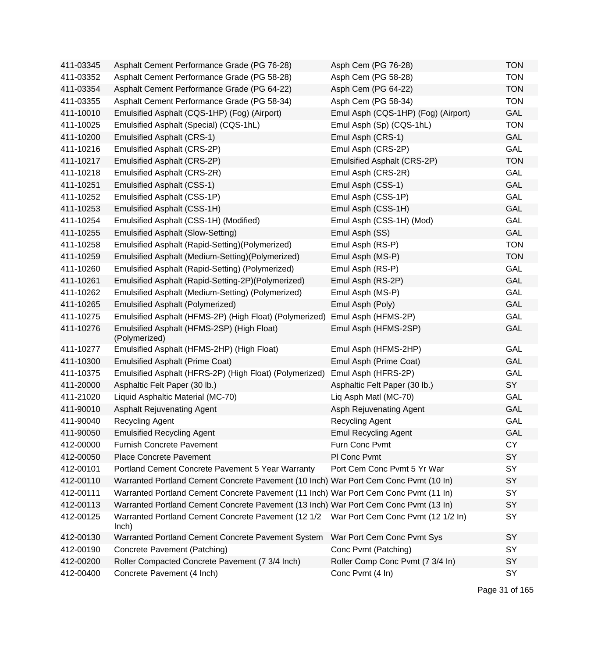| 411-03345 | Asphalt Cement Performance Grade (PG 76-28)                                          | Asph Cem (PG 76-28)                 | <b>TON</b> |
|-----------|--------------------------------------------------------------------------------------|-------------------------------------|------------|
| 411-03352 | Asphalt Cement Performance Grade (PG 58-28)                                          | Asph Cem (PG 58-28)                 | <b>TON</b> |
| 411-03354 | Asphalt Cement Performance Grade (PG 64-22)                                          | Asph Cem (PG 64-22)                 | <b>TON</b> |
| 411-03355 | Asphalt Cement Performance Grade (PG 58-34)                                          | Asph Cem (PG 58-34)                 | <b>TON</b> |
| 411-10010 | Emulsified Asphalt (CQS-1HP) (Fog) (Airport)                                         | Emul Asph (CQS-1HP) (Fog) (Airport) | GAL        |
| 411-10025 | Emulsified Asphalt (Special) (CQS-1hL)                                               | Emul Asph (Sp) (CQS-1hL)            | <b>TON</b> |
| 411-10200 | <b>Emulsified Asphalt (CRS-1)</b>                                                    | Emul Asph (CRS-1)                   | GAL        |
| 411-10216 | Emulsified Asphalt (CRS-2P)                                                          | Emul Asph (CRS-2P)                  | GAL        |
| 411-10217 | Emulsified Asphalt (CRS-2P)                                                          | Emulsified Asphalt (CRS-2P)         | <b>TON</b> |
| 411-10218 | Emulsified Asphalt (CRS-2R)                                                          | Emul Asph (CRS-2R)                  | GAL        |
| 411-10251 | <b>Emulsified Asphalt (CSS-1)</b>                                                    | Emul Asph (CSS-1)                   | <b>GAL</b> |
| 411-10252 | Emulsified Asphalt (CSS-1P)                                                          | Emul Asph (CSS-1P)                  | GAL        |
| 411-10253 | Emulsified Asphalt (CSS-1H)                                                          | Emul Asph (CSS-1H)                  | GAL        |
| 411-10254 | Emulsified Asphalt (CSS-1H) (Modified)                                               | Emul Asph (CSS-1H) (Mod)            | GAL        |
| 411-10255 | <b>Emulsified Asphalt (Slow-Setting)</b>                                             | Emul Asph (SS)                      | <b>GAL</b> |
| 411-10258 | Emulsified Asphalt (Rapid-Setting)(Polymerized)                                      | Emul Asph (RS-P)                    | <b>TON</b> |
| 411-10259 | Emulsified Asphalt (Medium-Setting)(Polymerized)                                     | Emul Asph (MS-P)                    | <b>TON</b> |
| 411-10260 | Emulsified Asphalt (Rapid-Setting) (Polymerized)                                     | Emul Asph (RS-P)                    | GAL        |
| 411-10261 | Emulsified Asphalt (Rapid-Setting-2P)(Polymerized)                                   | Emul Asph (RS-2P)                   | <b>GAL</b> |
| 411-10262 | Emulsified Asphalt (Medium-Setting) (Polymerized)                                    | Emul Asph (MS-P)                    | GAL        |
| 411-10265 | <b>Emulsified Asphalt (Polymerized)</b>                                              | Emul Asph (Poly)                    | <b>GAL</b> |
| 411-10275 | Emulsified Asphalt (HFMS-2P) (High Float) (Polymerized)                              | Emul Asph (HFMS-2P)                 | GAL        |
| 411-10276 | Emulsified Asphalt (HFMS-2SP) (High Float)<br>(Polymerized)                          | Emul Asph (HFMS-2SP)                | <b>GAL</b> |
| 411-10277 | Emulsified Asphalt (HFMS-2HP) (High Float)                                           | Emul Asph (HFMS-2HP)                | GAL        |
| 411-10300 | <b>Emulsified Asphalt (Prime Coat)</b>                                               | Emul Asph (Prime Coat)              | <b>GAL</b> |
| 411-10375 | Emulsified Asphalt (HFRS-2P) (High Float) (Polymerized)                              | Emul Asph (HFRS-2P)                 | GAL        |
| 411-20000 | Asphaltic Felt Paper (30 lb.)                                                        | Asphaltic Felt Paper (30 lb.)       | SY         |
| 411-21020 | Liquid Asphaltic Material (MC-70)                                                    | Liq Asph Matl (MC-70)               | GAL        |
| 411-90010 | <b>Asphalt Rejuvenating Agent</b>                                                    | Asph Rejuvenating Agent             | GAL        |
| 411-90040 | <b>Recycling Agent</b>                                                               | <b>Recycling Agent</b>              | <b>GAL</b> |
| 411-90050 | <b>Emulsified Recycling Agent</b>                                                    | <b>Emul Recycling Agent</b>         | GAL        |
| 412-00000 | <b>Furnish Concrete Pavement</b>                                                     | Furn Conc Pvmt                      | <b>CY</b>  |
| 412-00050 | <b>Place Concrete Pavement</b>                                                       | PI Conc Pvmt                        | SY         |
| 412-00101 | Portland Cement Concrete Pavement 5 Year Warranty                                    | Port Cem Conc Pvmt 5 Yr War         | SY         |
| 412-00110 | Warranted Portland Cement Concrete Pavement (10 Inch) War Port Cem Conc Pvmt (10 In) |                                     | <b>SY</b>  |
| 412-00111 | Warranted Portland Cement Concrete Pavement (11 Inch) War Port Cem Conc Pvmt (11 In) |                                     | SY         |
| 412-00113 | Warranted Portland Cement Concrete Pavement (13 Inch) War Port Cem Conc Pvmt (13 In) |                                     | SY         |
| 412-00125 | Warranted Portland Cement Concrete Pavement (12 1/2<br>lnch)                         | War Port Cem Conc Pvmt (12 1/2 In)  | SY         |
| 412-00130 | Warranted Portland Cement Concrete Pavement System                                   | War Port Cem Conc Pvmt Sys          | SY         |
| 412-00190 | Concrete Pavement (Patching)                                                         | Conc Pvmt (Patching)                | SY         |
| 412-00200 | Roller Compacted Concrete Pavement (7 3/4 Inch)                                      | Roller Comp Conc Pvmt (7 3/4 In)    | SY         |
| 412-00400 | Concrete Pavement (4 Inch)                                                           | Conc Pvmt (4 In)                    | SY         |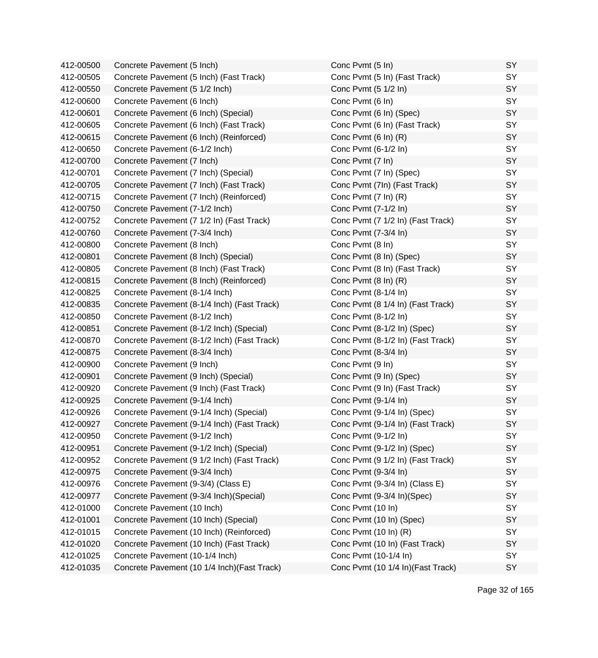| 412-00500 | Concrete Pavement (5 Inch)                   | Conc Pvmt (5 In)                   | SY |
|-----------|----------------------------------------------|------------------------------------|----|
| 412-00505 | Concrete Pavement (5 Inch) (Fast Track)      | Conc Pvmt (5 In) (Fast Track)      | SY |
| 412-00550 | Concrete Pavement (5 1/2 Inch)               | Conc Pvmt (5 1/2 ln)               | SY |
| 412-00600 | Concrete Pavement (6 Inch)                   | Conc Pvmt (6 In)                   | SY |
| 412-00601 | Concrete Pavement (6 Inch) (Special)         | Conc Pvmt (6 In) (Spec)            | SY |
| 412-00605 | Concrete Pavement (6 Inch) (Fast Track)      | Conc Pvmt (6 In) (Fast Track)      | SY |
| 412-00615 | Concrete Pavement (6 Inch) (Reinforced)      | Conc Pvmt (6 In) (R)               | SY |
| 412-00650 | Concrete Pavement (6-1/2 Inch)               | Conc Pvmt (6-1/2 In)               | SY |
| 412-00700 | Concrete Pavement (7 Inch)                   | Conc Pvmt (7 In)                   | SY |
| 412-00701 | Concrete Pavement (7 Inch) (Special)         | Conc Pvmt (7 In) (Spec)            | SY |
| 412-00705 | Concrete Pavement (7 Inch) (Fast Track)      | Conc Pvmt (7In) (Fast Track)       | SY |
| 412-00715 | Concrete Pavement (7 Inch) (Reinforced)      | Conc Pvmt (7 In) (R)               | SY |
| 412-00750 | Concrete Pavement (7-1/2 Inch)               | Conc Pvmt (7-1/2 In)               | SY |
| 412-00752 | Concrete Pavement (7 1/2 In) (Fast Track)    | Conc Pvmt (7 1/2 In) (Fast Track)  | SY |
| 412-00760 | Concrete Pavement (7-3/4 Inch)               | Conc Pvmt (7-3/4 In)               | SY |
| 412-00800 | Concrete Pavement (8 Inch)                   | Conc Pvmt (8 In)                   | SY |
| 412-00801 | Concrete Pavement (8 Inch) (Special)         | Conc Pvmt (8 In) (Spec)            | SY |
| 412-00805 | Concrete Pavement (8 Inch) (Fast Track)      | Conc Pvmt (8 In) (Fast Track)      | SY |
| 412-00815 | Concrete Pavement (8 Inch) (Reinforced)      | Conc Pvmt (8 In) (R)               | SY |
| 412-00825 | Concrete Pavement (8-1/4 Inch)               | Conc Pvmt (8-1/4 In)               | SY |
| 412-00835 | Concrete Pavement (8-1/4 Inch) (Fast Track)  | Conc Pvmt (8 1/4 In) (Fast Track)  | SY |
| 412-00850 | Concrete Pavement (8-1/2 Inch)               | Conc Pvmt (8-1/2 In)               | SY |
| 412-00851 | Concrete Pavement (8-1/2 Inch) (Special)     | Conc Pvmt (8-1/2 In) (Spec)        | SY |
| 412-00870 | Concrete Pavement (8-1/2 Inch) (Fast Track)  | Conc Pvmt (8-1/2 In) (Fast Track)  | SY |
| 412-00875 | Concrete Pavement (8-3/4 Inch)               | Conc Pvmt (8-3/4 In)               | SY |
| 412-00900 | Concrete Pavement (9 Inch)                   | Conc Pvmt (9 In)                   | SY |
| 412-00901 | Concrete Pavement (9 Inch) (Special)         | Conc Pvmt (9 In) (Spec)            | SY |
| 412-00920 | Concrete Pavement (9 Inch) (Fast Track)      | Conc Pvmt (9 In) (Fast Track)      | SY |
| 412-00925 | Concrete Pavement (9-1/4 Inch)               | Conc Pvmt (9-1/4 In)               | SY |
| 412-00926 | Concrete Pavement (9-1/4 Inch) (Special)     | Conc Pvmt (9-1/4 In) (Spec)        | SY |
| 412-00927 | Concrete Pavement (9-1/4 Inch) (Fast Track)  | Conc Pvmt (9-1/4 In) (Fast Track)  | SY |
| 412-00950 | Concrete Pavement (9-1/2 Inch)               | Conc Pvmt (9-1/2 In)               | SY |
| 412-00951 | Concrete Pavement (9-1/2 Inch) (Special)     | Conc Pvmt (9-1/2 In) (Spec)        | SY |
| 412-00952 | Concrete Pavement (9 1/2 Inch) (Fast Track)  | Conc Pvmt (9 1/2 In) (Fast Track)  | SY |
| 412-00975 | Concrete Pavement (9-3/4 Inch)               | Conc Pvmt (9-3/4 In)               | SY |
| 412-00976 | Concrete Pavement (9-3/4) (Class E)          | Conc Pvmt (9-3/4 In) (Class E)     | SY |
| 412-00977 | Concrete Pavement (9-3/4 Inch) (Special)     | Conc Pvmt (9-3/4 In)(Spec)         | SY |
| 412-01000 | Concrete Pavement (10 Inch)                  | Conc Pvmt (10 In)                  | SY |
| 412-01001 | Concrete Pavement (10 Inch) (Special)        | Conc Pvmt (10 In) (Spec)           | SY |
| 412-01015 | Concrete Pavement (10 Inch) (Reinforced)     | Conc Pvmt (10 In) (R)              | SY |
| 412-01020 | Concrete Pavement (10 Inch) (Fast Track)     | Conc Pvmt (10 In) (Fast Track)     | SY |
| 412-01025 | Concrete Pavement (10-1/4 Inch)              | Conc Pvmt (10-1/4 In)              | SY |
| 412-01035 | Concrete Pavement (10 1/4 Inch) (Fast Track) | Conc Pvmt (10 1/4 In) (Fast Track) | SY |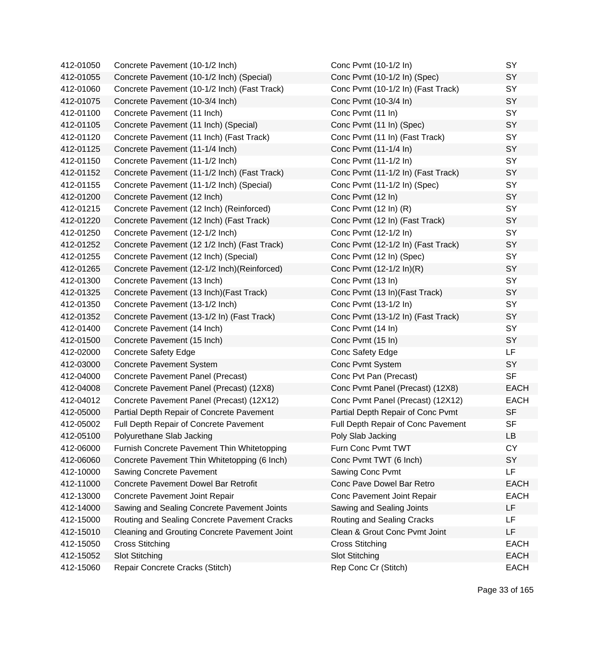| 412-01050 | Concrete Pavement (10-1/2 Inch)               | Conc Pvmt (10-1/2 In)              | SY          |
|-----------|-----------------------------------------------|------------------------------------|-------------|
| 412-01055 | Concrete Pavement (10-1/2 Inch) (Special)     | Conc Pvmt (10-1/2 In) (Spec)       | SY          |
| 412-01060 | Concrete Pavement (10-1/2 Inch) (Fast Track)  | Conc Pvmt (10-1/2 In) (Fast Track) | SY          |
| 412-01075 | Concrete Pavement (10-3/4 Inch)               | Conc Pvmt (10-3/4 In)              | SY          |
| 412-01100 | Concrete Pavement (11 Inch)                   | Conc Pvmt (11 In)                  | SY          |
| 412-01105 | Concrete Pavement (11 Inch) (Special)         | Conc Pvmt (11 In) (Spec)           | SY          |
| 412-01120 | Concrete Pavement (11 Inch) (Fast Track)      | Conc Pvmt (11 In) (Fast Track)     | SY          |
| 412-01125 | Concrete Pavement (11-1/4 Inch)               | Conc Pvmt (11-1/4 In)              | SY          |
| 412-01150 | Concrete Pavement (11-1/2 Inch)               | Conc Pvmt (11-1/2 In)              | SY          |
| 412-01152 | Concrete Pavement (11-1/2 Inch) (Fast Track)  | Conc Pvmt (11-1/2 In) (Fast Track) | SY          |
| 412-01155 | Concrete Pavement (11-1/2 Inch) (Special)     | Conc Pvmt (11-1/2 In) (Spec)       | SY          |
| 412-01200 | Concrete Pavement (12 Inch)                   | Conc Pvmt (12 In)                  | SY          |
| 412-01215 | Concrete Pavement (12 Inch) (Reinforced)      | Conc Pvmt (12 In) (R)              | SY          |
| 412-01220 | Concrete Pavement (12 Inch) (Fast Track)      | Conc Pvmt (12 In) (Fast Track)     | SY          |
| 412-01250 | Concrete Pavement (12-1/2 Inch)               | Conc Pvmt (12-1/2 In)              | SY          |
| 412-01252 | Concrete Pavement (12 1/2 Inch) (Fast Track)  | Conc Pvmt (12-1/2 In) (Fast Track) | SY          |
| 412-01255 | Concrete Pavement (12 Inch) (Special)         | Conc Pvmt (12 In) (Spec)           | SY          |
| 412-01265 | Concrete Pavement (12-1/2 Inch) (Reinforced)  | Conc Pvmt (12-1/2 In)(R)           | SY          |
| 412-01300 | Concrete Pavement (13 Inch)                   | Conc Pvmt (13 In)                  | SY          |
| 412-01325 | Concrete Pavement (13 Inch) (Fast Track)      | Conc Pvmt (13 In) (Fast Track)     | SY          |
| 412-01350 | Concrete Pavement (13-1/2 Inch)               | Conc Pvmt (13-1/2 In)              | SY          |
| 412-01352 | Concrete Pavement (13-1/2 In) (Fast Track)    | Conc Pvmt (13-1/2 In) (Fast Track) | SY          |
| 412-01400 | Concrete Pavement (14 Inch)                   | Conc Pvmt (14 In)                  | SY          |
| 412-01500 | Concrete Pavement (15 Inch)                   | Conc Pvmt (15 In)                  | SY          |
| 412-02000 | <b>Concrete Safety Edge</b>                   | Conc Safety Edge                   | LF          |
| 412-03000 | <b>Concrete Pavement System</b>               | Conc Pvmt System                   | SY          |
| 412-04000 | Concrete Pavement Panel (Precast)             | Conc Pvt Pan (Precast)             | <b>SF</b>   |
| 412-04008 | Concrete Pavement Panel (Precast) (12X8)      | Conc Pvmt Panel (Precast) (12X8)   | <b>EACH</b> |
| 412-04012 | Concrete Pavement Panel (Precast) (12X12)     | Conc Pvmt Panel (Precast) (12X12)  | <b>EACH</b> |
| 412-05000 | Partial Depth Repair of Concrete Pavement     | Partial Depth Repair of Conc Pvmt  | <b>SF</b>   |
| 412-05002 | Full Depth Repair of Concrete Pavement        | Full Depth Repair of Conc Pavement | <b>SF</b>   |
| 412-05100 | Polyurethane Slab Jacking                     | Poly Slab Jacking                  | LB          |
| 412-06000 | Furnish Concrete Pavement Thin Whitetopping   | Furn Conc Pvmt TWT                 | <b>CY</b>   |
| 412-06060 | Concrete Pavement Thin Whitetopping (6 Inch)  | Conc Pvmt TWT (6 Inch)             | <b>SY</b>   |
| 412-10000 | Sawing Concrete Pavement                      | Sawing Conc Pvmt                   | LF          |
| 412-11000 | <b>Concrete Pavement Dowel Bar Retrofit</b>   | Conc Pave Dowel Bar Retro          | <b>EACH</b> |
| 412-13000 | Concrete Pavement Joint Repair                | Conc Pavement Joint Repair         | <b>EACH</b> |
| 412-14000 | Sawing and Sealing Concrete Pavement Joints   | Sawing and Sealing Joints          | LF          |
| 412-15000 | Routing and Sealing Concrete Pavement Cracks  | Routing and Sealing Cracks         | LF          |
| 412-15010 | Cleaning and Grouting Concrete Pavement Joint | Clean & Grout Conc Pvmt Joint      | LF          |
| 412-15050 | <b>Cross Stitching</b>                        | <b>Cross Stitching</b>             | <b>EACH</b> |
| 412-15052 | <b>Slot Stitching</b>                         | <b>Slot Stitching</b>              | <b>EACH</b> |
| 412-15060 | Repair Concrete Cracks (Stitch)               | Rep Conc Cr (Stitch)               | <b>EACH</b> |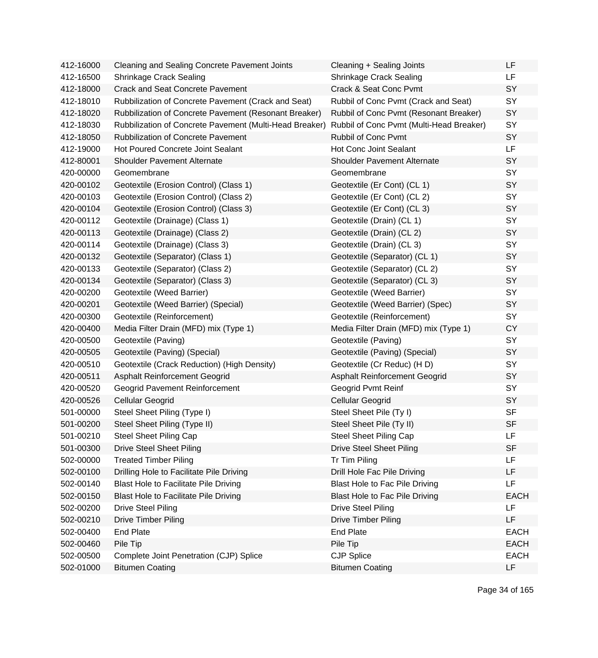| 412-16000 | <b>Cleaning and Sealing Concrete Pavement Joints</b>    | Cleaning + Sealing Joints                | LF          |
|-----------|---------------------------------------------------------|------------------------------------------|-------------|
| 412-16500 | Shrinkage Crack Sealing                                 | <b>Shrinkage Crack Sealing</b>           | <b>LF</b>   |
| 412-18000 | <b>Crack and Seat Concrete Pavement</b>                 | Crack & Seat Conc Pvmt                   | SY          |
| 412-18010 | Rubbilization of Concrete Pavement (Crack and Seat)     | Rubbil of Conc Pvmt (Crack and Seat)     | SY          |
| 412-18020 | Rubbilization of Concrete Pavement (Resonant Breaker)   | Rubbil of Conc Pvmt (Resonant Breaker)   | SY          |
| 412-18030 | Rubbilization of Concrete Pavement (Multi-Head Breaker) | Rubbil of Conc Pvmt (Multi-Head Breaker) | SY          |
| 412-18050 | <b>Rubbilization of Concrete Pavement</b>               | Rubbil of Conc Pvmt                      | SY          |
| 412-19000 | <b>Hot Poured Concrete Joint Sealant</b>                | <b>Hot Conc Joint Sealant</b>            | <b>LF</b>   |
| 412-80001 | <b>Shoulder Pavement Alternate</b>                      | <b>Shoulder Pavement Alternate</b>       | SY          |
| 420-00000 | Geomembrane                                             | Geomembrane                              | SY          |
| 420-00102 | Geotextile (Erosion Control) (Class 1)                  | Geotextile (Er Cont) (CL 1)              | SY          |
| 420-00103 | Geotextile (Erosion Control) (Class 2)                  | Geotextile (Er Cont) (CL 2)              | SY          |
| 420-00104 | Geotextile (Erosion Control) (Class 3)                  | Geotextile (Er Cont) (CL 3)              | SY          |
| 420-00112 | Geotextile (Drainage) (Class 1)                         | Geotextile (Drain) (CL 1)                | SY          |
| 420-00113 | Geotextile (Drainage) (Class 2)                         | Geotextile (Drain) (CL 2)                | SY          |
| 420-00114 | Geotextile (Drainage) (Class 3)                         | Geotextile (Drain) (CL 3)                | SY          |
| 420-00132 | Geotextile (Separator) (Class 1)                        | Geotextile (Separator) (CL 1)            | SY          |
| 420-00133 | Geotextile (Separator) (Class 2)                        | Geotextile (Separator) (CL 2)            | SY          |
| 420-00134 | Geotextile (Separator) (Class 3)                        | Geotextile (Separator) (CL 3)            | SY          |
| 420-00200 | Geotextile (Weed Barrier)                               | Geotextile (Weed Barrier)                | SY          |
| 420-00201 | Geotextile (Weed Barrier) (Special)                     | Geotextile (Weed Barrier) (Spec)         | SY          |
| 420-00300 | Geotextile (Reinforcement)                              | Geotextile (Reinforcement)               | SY          |
| 420-00400 | Media Filter Drain (MFD) mix (Type 1)                   | Media Filter Drain (MFD) mix (Type 1)    | CY          |
| 420-00500 | Geotextile (Paving)                                     | Geotextile (Paving)                      | SY          |
| 420-00505 | Geotextile (Paving) (Special)                           | Geotextile (Paving) (Special)            | SY          |
| 420-00510 | Geotextile (Crack Reduction) (High Density)             | Geotextile (Cr Reduc) (H D)              | SY          |
| 420-00511 | <b>Asphalt Reinforcement Geogrid</b>                    | Asphalt Reinforcement Geogrid            | SY          |
| 420-00520 | Geogrid Pavement Reinforcement                          | Geogrid Pvmt Reinf                       | SY          |
| 420-00526 | <b>Cellular Geogrid</b>                                 | Cellular Geogrid                         | SY          |
| 501-00000 | Steel Sheet Piling (Type I)                             | Steel Sheet Pile (Ty I)                  | <b>SF</b>   |
| 501-00200 | Steel Sheet Piling (Type II)                            | Steel Sheet Pile (Ty II)                 | <b>SF</b>   |
| 501-00210 | <b>Steel Sheet Piling Cap</b>                           | <b>Steel Sheet Piling Cap</b>            | LF          |
| 501-00300 | <b>Drive Steel Sheet Piling</b>                         | <b>Drive Steel Sheet Piling</b>          | <b>SF</b>   |
| 502-00000 | <b>Treated Timber Piling</b>                            | Tr Tim Piling                            | LF          |
| 502-00100 | Drilling Hole to Facilitate Pile Driving                | Drill Hole Fac Pile Driving              | LF          |
| 502-00140 | <b>Blast Hole to Facilitate Pile Driving</b>            | <b>Blast Hole to Fac Pile Driving</b>    | <b>LF</b>   |
| 502-00150 | Blast Hole to Facilitate Pile Driving                   | Blast Hole to Fac Pile Driving           | <b>EACH</b> |
| 502-00200 | <b>Drive Steel Piling</b>                               | <b>Drive Steel Piling</b>                | LF          |
| 502-00210 | <b>Drive Timber Piling</b>                              | <b>Drive Timber Piling</b>               | LF          |
| 502-00400 | <b>End Plate</b>                                        | <b>End Plate</b>                         | <b>EACH</b> |
| 502-00460 | Pile Tip                                                | Pile Tip                                 | <b>EACH</b> |
| 502-00500 | Complete Joint Penetration (CJP) Splice                 | <b>CJP Splice</b>                        | <b>EACH</b> |
| 502-01000 | <b>Bitumen Coating</b>                                  | <b>Bitumen Coating</b>                   | <b>LF</b>   |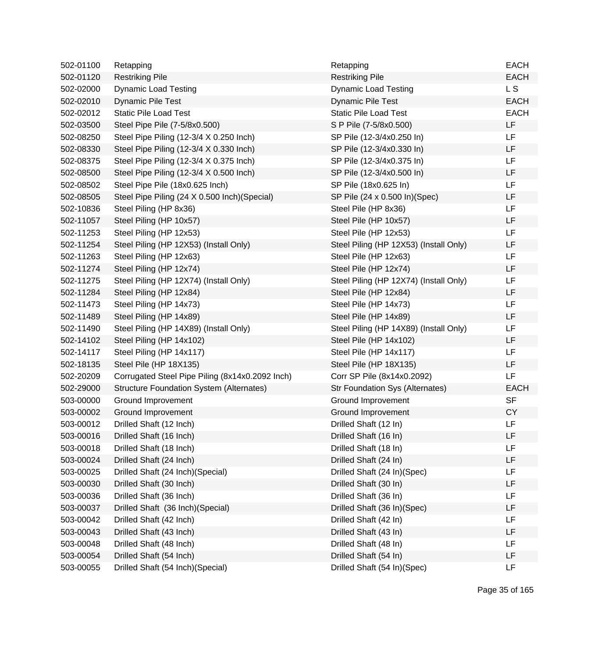| 502-01100 | Retapping                                       | Retapping                              | <b>EACH</b> |
|-----------|-------------------------------------------------|----------------------------------------|-------------|
| 502-01120 | <b>Restriking Pile</b>                          | <b>Restriking Pile</b>                 | <b>EACH</b> |
| 502-02000 | <b>Dynamic Load Testing</b>                     | <b>Dynamic Load Testing</b>            | L S         |
| 502-02010 | <b>Dynamic Pile Test</b>                        | <b>Dynamic Pile Test</b>               | <b>EACH</b> |
| 502-02012 | <b>Static Pile Load Test</b>                    | <b>Static Pile Load Test</b>           | <b>EACH</b> |
| 502-03500 | Steel Pipe Pile (7-5/8x0.500)                   | S P Pile (7-5/8x0.500)                 | LF          |
| 502-08250 | Steel Pipe Piling (12-3/4 X 0.250 Inch)         | SP Pile (12-3/4x0.250 In)              | LF          |
| 502-08330 | Steel Pipe Piling (12-3/4 X 0.330 Inch)         | SP Pile (12-3/4x0.330 In)              | LF          |
| 502-08375 | Steel Pipe Piling (12-3/4 X 0.375 Inch)         | SP Pile (12-3/4x0.375 In)              | LF          |
| 502-08500 | Steel Pipe Piling (12-3/4 X 0.500 Inch)         | SP Pile (12-3/4x0.500 ln)              | LF          |
| 502-08502 | Steel Pipe Pile (18x0.625 Inch)                 | SP Pile (18x0.625 In)                  | LF          |
| 502-08505 | Steel Pipe Piling (24 X 0.500 Inch) (Special)   | SP Pile (24 x 0.500 ln)(Spec)          | LF          |
| 502-10836 | Steel Piling (HP 8x36)                          | Steel Pile (HP 8x36)                   | LF          |
| 502-11057 | Steel Piling (HP 10x57)                         | Steel Pile (HP 10x57)                  | LF          |
| 502-11253 | Steel Piling (HP 12x53)                         | Steel Pile (HP 12x53)                  | LF          |
| 502-11254 | Steel Piling (HP 12X53) (Install Only)          | Steel Piling (HP 12X53) (Install Only) | LF          |
| 502-11263 | Steel Piling (HP 12x63)                         | Steel Pile (HP 12x63)                  | LF          |
| 502-11274 | Steel Piling (HP 12x74)                         | Steel Pile (HP 12x74)                  | LF          |
| 502-11275 | Steel Piling (HP 12X74) (Install Only)          | Steel Piling (HP 12X74) (Install Only) | LF          |
| 502-11284 | Steel Piling (HP 12x84)                         | Steel Pile (HP 12x84)                  | LF          |
| 502-11473 | Steel Piling (HP 14x73)                         | Steel Pile (HP 14x73)                  | LF          |
| 502-11489 | Steel Piling (HP 14x89)                         | Steel Pile (HP 14x89)                  | LF          |
| 502-11490 | Steel Piling (HP 14X89) (Install Only)          | Steel Piling (HP 14X89) (Install Only) | LF          |
| 502-14102 | Steel Piling (HP 14x102)                        | Steel Pile (HP 14x102)                 | LF          |
| 502-14117 | Steel Piling (HP 14x117)                        | Steel Pile (HP 14x117)                 | LF          |
| 502-18135 | Steel Pile (HP 18X135)                          | Steel Pile (HP 18X135)                 | LF          |
| 502-20209 | Corrugated Steel Pipe Piling (8x14x0.2092 Inch) | Corr SP Pile (8x14x0.2092)             | LF          |
| 502-29000 | <b>Structure Foundation System (Alternates)</b> | <b>Str Foundation Sys (Alternates)</b> | <b>EACH</b> |
| 503-00000 | Ground Improvement                              | Ground Improvement                     | <b>SF</b>   |
| 503-00002 | Ground Improvement                              | Ground Improvement                     | <b>CY</b>   |
| 503-00012 | Drilled Shaft (12 Inch)                         | Drilled Shaft (12 In)                  | LF          |
| 503-00016 | Drilled Shaft (16 Inch)                         | Drilled Shaft (16 In)                  | LF          |
| 503-00018 | Drilled Shaft (18 Inch)                         | Drilled Shaft (18 In)                  | LF          |
| 503-00024 | Drilled Shaft (24 Inch)                         | Drilled Shaft (24 In)                  | LF          |
| 503-00025 | Drilled Shaft (24 Inch) (Special)               | Drilled Shaft (24 In)(Spec)            | LF          |
| 503-00030 | Drilled Shaft (30 Inch)                         | Drilled Shaft (30 In)                  | LF          |
| 503-00036 | Drilled Shaft (36 Inch)                         | Drilled Shaft (36 In)                  | LF          |
| 503-00037 | Drilled Shaft (36 Inch)(Special)                | Drilled Shaft (36 In)(Spec)            | LF          |
| 503-00042 | Drilled Shaft (42 Inch)                         | Drilled Shaft (42 In)                  | LF          |
| 503-00043 | Drilled Shaft (43 Inch)                         | Drilled Shaft (43 In)                  | LF          |
| 503-00048 | Drilled Shaft (48 Inch)                         | Drilled Shaft (48 In)                  | LF          |
| 503-00054 | Drilled Shaft (54 Inch)                         | Drilled Shaft (54 In)                  | LF          |
| 503-00055 | Drilled Shaft (54 Inch) (Special)               | Drilled Shaft (54 In)(Spec)            | LF          |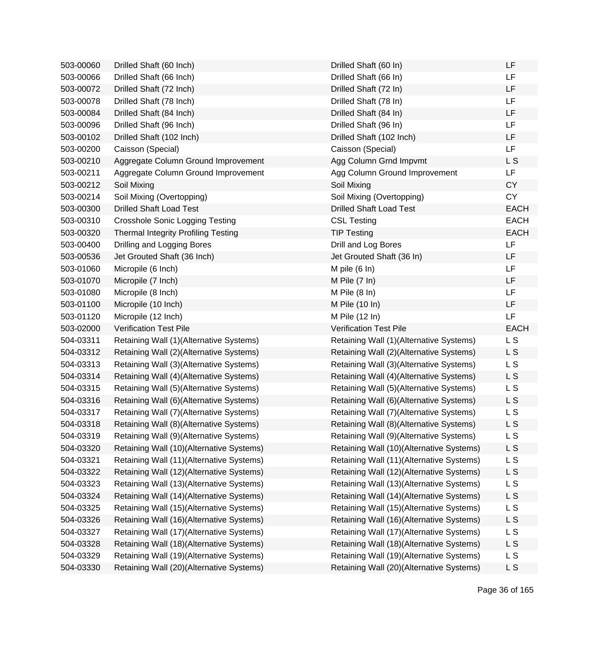| 503-00060 | Drilled Shaft (60 Inch)                    | Drilled Shaft (60 In)                    | LF             |
|-----------|--------------------------------------------|------------------------------------------|----------------|
| 503-00066 | Drilled Shaft (66 Inch)                    | Drilled Shaft (66 In)                    | LF             |
| 503-00072 | Drilled Shaft (72 Inch)                    | Drilled Shaft (72 In)                    | LF             |
| 503-00078 | Drilled Shaft (78 Inch)                    | Drilled Shaft (78 In)                    | <b>LF</b>      |
| 503-00084 | Drilled Shaft (84 Inch)                    | Drilled Shaft (84 In)                    | <b>LF</b>      |
| 503-00096 | Drilled Shaft (96 Inch)                    | Drilled Shaft (96 In)                    | <b>LF</b>      |
| 503-00102 | Drilled Shaft (102 Inch)                   | Drilled Shaft (102 Inch)                 | LF             |
| 503-00200 | Caisson (Special)                          | Caisson (Special)                        | LF             |
| 503-00210 | Aggregate Column Ground Improvement        | Agg Column Grnd Impvmt                   | L S            |
| 503-00211 | Aggregate Column Ground Improvement        | Agg Column Ground Improvement            | LF             |
| 503-00212 | Soil Mixing                                | Soil Mixing                              | <b>CY</b>      |
| 503-00214 | Soil Mixing (Overtopping)                  | Soil Mixing (Overtopping)                | <b>CY</b>      |
| 503-00300 | <b>Drilled Shaft Load Test</b>             | <b>Drilled Shaft Load Test</b>           | <b>EACH</b>    |
| 503-00310 | <b>Crosshole Sonic Logging Testing</b>     | <b>CSL Testing</b>                       | <b>EACH</b>    |
| 503-00320 | <b>Thermal Integrity Profiling Testing</b> | <b>TIP Testing</b>                       | <b>EACH</b>    |
| 503-00400 | Drilling and Logging Bores                 | Drill and Log Bores                      | <b>LF</b>      |
| 503-00536 | Jet Grouted Shaft (36 Inch)                | Jet Grouted Shaft (36 In)                | LF             |
| 503-01060 | Micropile (6 Inch)                         | M pile $(6 \ln)$                         | LF             |
| 503-01070 | Micropile (7 Inch)                         | M Pile (7 In)                            | LF             |
| 503-01080 | Micropile (8 Inch)                         | M Pile $(8 \ln)$                         | <b>LF</b>      |
| 503-01100 | Micropile (10 Inch)                        | M Pile (10 In)                           | LF             |
| 503-01120 | Micropile (12 Inch)                        | M Pile (12 In)                           | LF             |
| 503-02000 | <b>Verification Test Pile</b>              | <b>Verification Test Pile</b>            | <b>EACH</b>    |
| 504-03311 | Retaining Wall (1)(Alternative Systems)    | Retaining Wall (1)(Alternative Systems)  | L S            |
| 504-03312 | Retaining Wall (2)(Alternative Systems)    | Retaining Wall (2)(Alternative Systems)  | L S            |
| 504-03313 | Retaining Wall (3)(Alternative Systems)    | Retaining Wall (3)(Alternative Systems)  | L S            |
| 504-03314 | Retaining Wall (4)(Alternative Systems)    | Retaining Wall (4) (Alternative Systems) | L S            |
| 504-03315 | Retaining Wall (5)(Alternative Systems)    | Retaining Wall (5)(Alternative Systems)  | <b>LS</b>      |
| 504-03316 | Retaining Wall (6)(Alternative Systems)    | Retaining Wall (6)(Alternative Systems)  | L S            |
| 504-03317 | Retaining Wall (7) (Alternative Systems)   | Retaining Wall (7) (Alternative Systems) | L S            |
| 504-03318 | Retaining Wall (8)(Alternative Systems)    | Retaining Wall (8)(Alternative Systems)  | L S            |
| 504-03319 | Retaining Wall (9)(Alternative Systems)    | Retaining Wall (9)(Alternative Systems)  | L S            |
| 504-03320 | Retaining Wall (10)(Alternative Systems)   | Retaining Wall (10)(Alternative Systems) | L S            |
| 504-03321 | Retaining Wall (11)(Alternative Systems)   | Retaining Wall (11)(Alternative Systems) | L S            |
| 504-03322 | Retaining Wall (12)(Alternative Systems)   | Retaining Wall (12)(Alternative Systems) | L <sub>S</sub> |
| 504-03323 | Retaining Wall (13)(Alternative Systems)   | Retaining Wall (13)(Alternative Systems) | L <sub>S</sub> |
| 504-03324 | Retaining Wall (14)(Alternative Systems)   | Retaining Wall (14)(Alternative Systems) | L S            |
| 504-03325 | Retaining Wall (15)(Alternative Systems)   | Retaining Wall (15)(Alternative Systems) | L S            |
| 504-03326 | Retaining Wall (16)(Alternative Systems)   | Retaining Wall (16)(Alternative Systems) | L <sub>S</sub> |
| 504-03327 | Retaining Wall (17)(Alternative Systems)   | Retaining Wall (17)(Alternative Systems) | L <sub>S</sub> |
| 504-03328 | Retaining Wall (18)(Alternative Systems)   | Retaining Wall (18)(Alternative Systems) | L <sub>S</sub> |
| 504-03329 | Retaining Wall (19)(Alternative Systems)   | Retaining Wall (19)(Alternative Systems) | <b>LS</b>      |
| 504-03330 | Retaining Wall (20)(Alternative Systems)   | Retaining Wall (20)(Alternative Systems) | L <sub>S</sub> |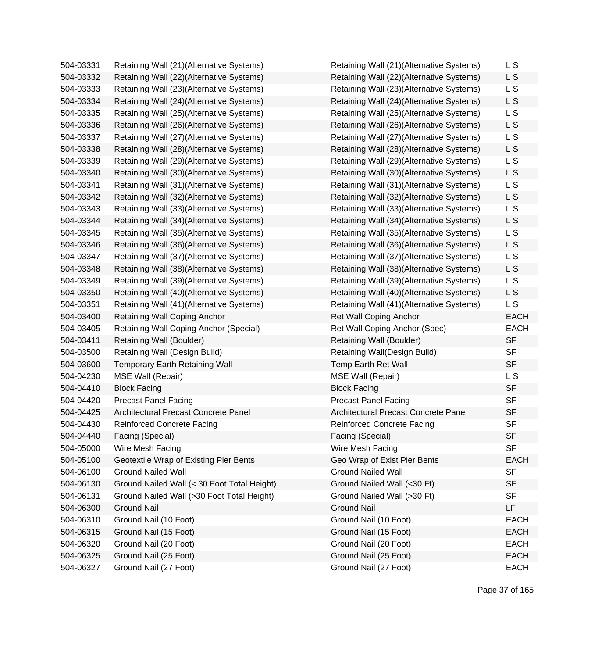| 504-03331 | Retaining Wall (21)(Alternative Systems)    | Retaining Wall (21)(Alternative Systems) | L S         |
|-----------|---------------------------------------------|------------------------------------------|-------------|
| 504-03332 | Retaining Wall (22)(Alternative Systems)    | Retaining Wall (22)(Alternative Systems) | L S         |
| 504-03333 | Retaining Wall (23)(Alternative Systems)    | Retaining Wall (23)(Alternative Systems) | L S         |
| 504-03334 | Retaining Wall (24)(Alternative Systems)    | Retaining Wall (24)(Alternative Systems) | L S         |
| 504-03335 | Retaining Wall (25)(Alternative Systems)    | Retaining Wall (25)(Alternative Systems) | L S         |
| 504-03336 | Retaining Wall (26)(Alternative Systems)    | Retaining Wall (26)(Alternative Systems) | L S         |
| 504-03337 | Retaining Wall (27)(Alternative Systems)    | Retaining Wall (27)(Alternative Systems) | L S         |
| 504-03338 | Retaining Wall (28)(Alternative Systems)    | Retaining Wall (28)(Alternative Systems) | L S         |
| 504-03339 | Retaining Wall (29)(Alternative Systems)    | Retaining Wall (29)(Alternative Systems) | L S         |
| 504-03340 | Retaining Wall (30)(Alternative Systems)    | Retaining Wall (30)(Alternative Systems) | L S         |
| 504-03341 | Retaining Wall (31)(Alternative Systems)    | Retaining Wall (31)(Alternative Systems) | L S         |
| 504-03342 | Retaining Wall (32)(Alternative Systems)    | Retaining Wall (32)(Alternative Systems) | L S         |
| 504-03343 | Retaining Wall (33)(Alternative Systems)    | Retaining Wall (33)(Alternative Systems) | L S         |
| 504-03344 | Retaining Wall (34)(Alternative Systems)    | Retaining Wall (34)(Alternative Systems) | L S         |
| 504-03345 | Retaining Wall (35)(Alternative Systems)    | Retaining Wall (35)(Alternative Systems) | L S         |
| 504-03346 | Retaining Wall (36)(Alternative Systems)    | Retaining Wall (36)(Alternative Systems) | L S         |
| 504-03347 | Retaining Wall (37)(Alternative Systems)    | Retaining Wall (37)(Alternative Systems) | L S         |
| 504-03348 | Retaining Wall (38)(Alternative Systems)    | Retaining Wall (38)(Alternative Systems) | L S         |
| 504-03349 | Retaining Wall (39)(Alternative Systems)    | Retaining Wall (39)(Alternative Systems) | L S         |
| 504-03350 | Retaining Wall (40)(Alternative Systems)    | Retaining Wall (40)(Alternative Systems) | L S         |
| 504-03351 | Retaining Wall (41)(Alternative Systems)    | Retaining Wall (41)(Alternative Systems) | L S         |
| 504-03400 | Retaining Wall Coping Anchor                | <b>Ret Wall Coping Anchor</b>            | <b>EACH</b> |
| 504-03405 | Retaining Wall Coping Anchor (Special)      | Ret Wall Coping Anchor (Spec)            | <b>EACH</b> |
| 504-03411 | Retaining Wall (Boulder)                    | Retaining Wall (Boulder)                 | <b>SF</b>   |
| 504-03500 | Retaining Wall (Design Build)               | Retaining Wall(Design Build)             | <b>SF</b>   |
| 504-03600 | <b>Temporary Earth Retaining Wall</b>       | Temp Earth Ret Wall                      | <b>SF</b>   |
| 504-04230 | MSE Wall (Repair)                           | <b>MSE Wall (Repair)</b>                 | L S         |
| 504-04410 | <b>Block Facing</b>                         | <b>Block Facing</b>                      | <b>SF</b>   |
| 504-04420 | <b>Precast Panel Facing</b>                 | <b>Precast Panel Facing</b>              | <b>SF</b>   |
| 504-04425 | Architectural Precast Concrete Panel        | Architectural Precast Concrete Panel     | <b>SF</b>   |
| 504-04430 | <b>Reinforced Concrete Facing</b>           | <b>Reinforced Concrete Facing</b>        | <b>SF</b>   |
| 504-04440 | Facing (Special)                            | Facing (Special)                         | <b>SF</b>   |
| 504-05000 | Wire Mesh Facing                            | Wire Mesh Facing                         | <b>SF</b>   |
| 504-05100 | Geotextile Wrap of Existing Pier Bents      | Geo Wrap of Exist Pier Bents             | <b>EACH</b> |
| 504-06100 | <b>Ground Nailed Wall</b>                   | <b>Ground Nailed Wall</b>                | <b>SF</b>   |
| 504-06130 | Ground Nailed Wall (< 30 Foot Total Height) | Ground Nailed Wall (<30 Ft)              | <b>SF</b>   |
| 504-06131 | Ground Nailed Wall (>30 Foot Total Height)  | Ground Nailed Wall (>30 Ft)              | <b>SF</b>   |
| 504-06300 | <b>Ground Nail</b>                          | <b>Ground Nail</b>                       | LF          |
| 504-06310 | Ground Nail (10 Foot)                       | Ground Nail (10 Foot)                    | <b>EACH</b> |
| 504-06315 | Ground Nail (15 Foot)                       | Ground Nail (15 Foot)                    | <b>EACH</b> |
| 504-06320 | Ground Nail (20 Foot)                       | Ground Nail (20 Foot)                    | <b>EACH</b> |
| 504-06325 | Ground Nail (25 Foot)                       | Ground Nail (25 Foot)                    | <b>EACH</b> |
| 504-06327 | Ground Nail (27 Foot)                       | Ground Nail (27 Foot)                    | <b>EACH</b> |
|           |                                             |                                          |             |

| Retaining Wall (21)(Alternative Systems) | L S         |
|------------------------------------------|-------------|
| Retaining Wall (22)(Alternative Systems) | L S         |
| Retaining Wall (23)(Alternative Systems) | L S         |
| Retaining Wall (24)(Alternative Systems) | L S         |
| Retaining Wall (25)(Alternative Systems) | L S         |
| Retaining Wall (26)(Alternative Systems) | L S         |
| Retaining Wall (27)(Alternative Systems) | L S         |
| Retaining Wall (28)(Alternative Systems) | L S         |
| Retaining Wall (29)(Alternative Systems) | L S         |
| Retaining Wall (30)(Alternative Systems) | L S         |
| Retaining Wall (31)(Alternative Systems) | L S         |
| Retaining Wall (32)(Alternative Systems) | L S         |
| Retaining Wall (33)(Alternative Systems) | L S         |
| Retaining Wall (34)(Alternative Systems) | L S         |
| Retaining Wall (35)(Alternative Systems) | L S         |
| Retaining Wall (36)(Alternative Systems) | L S         |
| Retaining Wall (37)(Alternative Systems) | L S         |
| Retaining Wall (38)(Alternative Systems) | L S         |
| Retaining Wall (39)(Alternative Systems) | L S         |
| Retaining Wall (40)(Alternative Systems) | L S         |
| Retaining Wall (41)(Alternative Systems) | L S         |
| <b>Ret Wall Coping Anchor</b>            | <b>EACH</b> |
| Ret Wall Coping Anchor (Spec)            | <b>EACH</b> |
| Retaining Wall (Boulder)                 | <b>SF</b>   |
| Retaining Wall(Design Build)             | SF          |
| Temp Earth Ret Wall                      | <b>SF</b>   |
| <b>MSE Wall (Repair)</b>                 | L S         |
| <b>Block Facing</b>                      | <b>SF</b>   |
| <b>Precast Panel Facing</b>              | <b>SF</b>   |
| Architectural Precast Concrete Panel     | <b>SF</b>   |
| <b>Reinforced Concrete Facing</b>        | <b>SF</b>   |
| Facing (Special)                         | <b>SF</b>   |
| Wire Mesh Facing                         | SF          |
| Geo Wrap of Exist Pier Bents             | <b>EACH</b> |
| <b>Ground Nailed Wall</b>                | <b>SF</b>   |
| Ground Nailed Wall (<30 Ft)              | <b>SF</b>   |
| Ground Nailed Wall (>30 Ft)              | <b>SF</b>   |
| <b>Ground Nail</b>                       | LF          |
| Ground Nail (10 Foot)                    | <b>EACH</b> |
| Ground Nail (15 Foot)                    | <b>EACH</b> |
| Ground Nail (20 Foot)                    | <b>EACH</b> |
| Ground Nail (25 Foot)                    | <b>EACH</b> |
| Ground Nail (27 Foot)                    | <b>EACH</b> |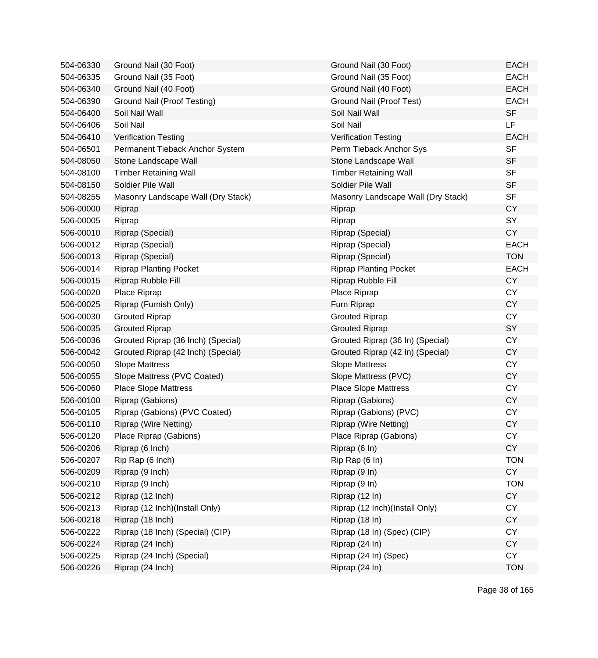| 504-06330 | Ground Nail (30 Foot)              | Ground Nail (30 Foot)              | <b>EACH</b> |
|-----------|------------------------------------|------------------------------------|-------------|
| 504-06335 | Ground Nail (35 Foot)              | Ground Nail (35 Foot)              | <b>EACH</b> |
| 504-06340 | Ground Nail (40 Foot)              | Ground Nail (40 Foot)              | <b>EACH</b> |
| 504-06390 | Ground Nail (Proof Testing)        | Ground Nail (Proof Test)           | <b>EACH</b> |
| 504-06400 | Soil Nail Wall                     | Soil Nail Wall                     | <b>SF</b>   |
| 504-06406 | Soil Nail                          | Soil Nail                          | LF          |
| 504-06410 | <b>Verification Testing</b>        | <b>Verification Testing</b>        | <b>EACH</b> |
| 504-06501 | Permanent Tieback Anchor System    | Perm Tieback Anchor Sys            | <b>SF</b>   |
| 504-08050 | Stone Landscape Wall               | Stone Landscape Wall               | <b>SF</b>   |
| 504-08100 | <b>Timber Retaining Wall</b>       | <b>Timber Retaining Wall</b>       | <b>SF</b>   |
| 504-08150 | Soldier Pile Wall                  | Soldier Pile Wall                  | <b>SF</b>   |
| 504-08255 | Masonry Landscape Wall (Dry Stack) | Masonry Landscape Wall (Dry Stack) | <b>SF</b>   |
| 506-00000 | Riprap                             | Riprap                             | <b>CY</b>   |
| 506-00005 | Riprap                             | Riprap                             | SY          |
| 506-00010 | Riprap (Special)                   | Riprap (Special)                   | <b>CY</b>   |
| 506-00012 | Riprap (Special)                   | Riprap (Special)                   | <b>EACH</b> |
| 506-00013 | Riprap (Special)                   | Riprap (Special)                   | <b>TON</b>  |
| 506-00014 | <b>Riprap Planting Pocket</b>      | <b>Riprap Planting Pocket</b>      | <b>EACH</b> |
| 506-00015 | Riprap Rubble Fill                 | Riprap Rubble Fill                 | <b>CY</b>   |
| 506-00020 | Place Riprap                       | Place Riprap                       | <b>CY</b>   |
| 506-00025 | Riprap (Furnish Only)              | Furn Riprap                        | <b>CY</b>   |
| 506-00030 | <b>Grouted Riprap</b>              | <b>Grouted Riprap</b>              | <b>CY</b>   |
| 506-00035 | <b>Grouted Riprap</b>              | <b>Grouted Riprap</b>              | SY          |
| 506-00036 | Grouted Riprap (36 Inch) (Special) | Grouted Riprap (36 In) (Special)   | <b>CY</b>   |
| 506-00042 | Grouted Riprap (42 Inch) (Special) | Grouted Riprap (42 In) (Special)   | <b>CY</b>   |
| 506-00050 | <b>Slope Mattress</b>              | <b>Slope Mattress</b>              | <b>CY</b>   |
| 506-00055 | Slope Mattress (PVC Coated)        | Slope Mattress (PVC)               | <b>CY</b>   |
| 506-00060 | <b>Place Slope Mattress</b>        | <b>Place Slope Mattress</b>        | <b>CY</b>   |
| 506-00100 | Riprap (Gabions)                   | Riprap (Gabions)                   | <b>CY</b>   |
| 506-00105 | Riprap (Gabions) (PVC Coated)      | Riprap (Gabions) (PVC)             | <b>CY</b>   |
| 506-00110 | <b>Riprap (Wire Netting)</b>       | Riprap (Wire Netting)              | <b>CY</b>   |
| 506-00120 | Place Riprap (Gabions)             | Place Riprap (Gabions)             | <b>CY</b>   |
| 506-00206 | Riprap (6 Inch)                    | Riprap (6 In)                      | <b>CY</b>   |
| 506-00207 | Rip Rap (6 Inch)                   | Rip Rap (6 In)                     | <b>TON</b>  |
| 506-00209 | Riprap (9 Inch)                    | Riprap (9 In)                      | <b>CY</b>   |
| 506-00210 | Riprap (9 Inch)                    | Riprap (9 In)                      | <b>TON</b>  |
| 506-00212 | Riprap (12 Inch)                   | Riprap (12 In)                     | <b>CY</b>   |
| 506-00213 | Riprap (12 Inch)(Install Only)     | Riprap (12 Inch)(Install Only)     | <b>CY</b>   |
| 506-00218 | Riprap (18 Inch)                   | Riprap (18 In)                     | <b>CY</b>   |
| 506-00222 | Riprap (18 Inch) (Special) (CIP)   | Riprap (18 In) (Spec) (CIP)        | <b>CY</b>   |
| 506-00224 | Riprap (24 Inch)                   | Riprap (24 In)                     | <b>CY</b>   |
| 506-00225 | Riprap (24 Inch) (Special)         | Riprap (24 In) (Spec)              | <b>CY</b>   |
| 506-00226 | Riprap (24 Inch)                   | Riprap (24 In)                     | <b>TON</b>  |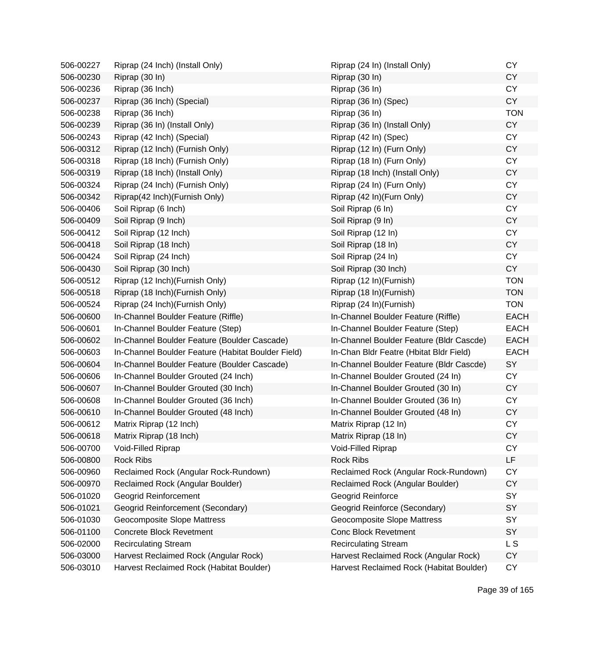| 506-00227 | Riprap (24 Inch) (Install Only)                    | Riprap (24 In) (Install Only)            | <b>CY</b>   |
|-----------|----------------------------------------------------|------------------------------------------|-------------|
| 506-00230 | Riprap (30 In)                                     | Riprap (30 In)                           | <b>CY</b>   |
| 506-00236 | Riprap (36 Inch)                                   | Riprap (36 In)                           | <b>CY</b>   |
| 506-00237 | Riprap (36 Inch) (Special)                         | Riprap (36 In) (Spec)                    | CY          |
| 506-00238 | Riprap (36 Inch)                                   | Riprap (36 In)                           | <b>TON</b>  |
| 506-00239 | Riprap (36 In) (Install Only)                      | Riprap (36 In) (Install Only)            | <b>CY</b>   |
| 506-00243 | Riprap (42 Inch) (Special)                         | Riprap (42 In) (Spec)                    | <b>CY</b>   |
| 506-00312 | Riprap (12 Inch) (Furnish Only)                    | Riprap (12 In) (Furn Only)               | CY          |
| 506-00318 | Riprap (18 Inch) (Furnish Only)                    | Riprap (18 In) (Furn Only)               | <b>CY</b>   |
| 506-00319 | Riprap (18 Inch) (Install Only)                    | Riprap (18 Inch) (Install Only)          | <b>CY</b>   |
| 506-00324 | Riprap (24 Inch) (Furnish Only)                    | Riprap (24 In) (Furn Only)               | <b>CY</b>   |
| 506-00342 | Riprap(42 Inch)(Furnish Only)                      | Riprap (42 In)(Furn Only)                | <b>CY</b>   |
| 506-00406 | Soil Riprap (6 Inch)                               | Soil Riprap (6 In)                       | <b>CY</b>   |
| 506-00409 | Soil Riprap (9 Inch)                               | Soil Riprap (9 In)                       | <b>CY</b>   |
| 506-00412 | Soil Riprap (12 Inch)                              | Soil Riprap (12 In)                      | <b>CY</b>   |
| 506-00418 | Soil Riprap (18 Inch)                              | Soil Riprap (18 In)                      | <b>CY</b>   |
| 506-00424 | Soil Riprap (24 Inch)                              | Soil Riprap (24 In)                      | <b>CY</b>   |
| 506-00430 | Soil Riprap (30 Inch)                              | Soil Riprap (30 Inch)                    | CY          |
| 506-00512 | Riprap (12 Inch) (Furnish Only)                    | Riprap (12 In)(Furnish)                  | <b>TON</b>  |
| 506-00518 | Riprap (18 Inch) (Furnish Only)                    | Riprap (18 In)(Furnish)                  | <b>TON</b>  |
| 506-00524 | Riprap (24 Inch) (Furnish Only)                    | Riprap (24 In)(Furnish)                  | <b>TON</b>  |
| 506-00600 | In-Channel Boulder Feature (Riffle)                | In-Channel Boulder Feature (Riffle)      | <b>EACH</b> |
| 506-00601 | In-Channel Boulder Feature (Step)                  | In-Channel Boulder Feature (Step)        | <b>EACH</b> |
| 506-00602 | In-Channel Boulder Feature (Boulder Cascade)       | In-Channel Boulder Feature (Bldr Cascde) | <b>EACH</b> |
| 506-00603 | In-Channel Boulder Feature (Habitat Boulder Field) | In-Chan Bldr Featre (Hbitat Bldr Field)  | <b>EACH</b> |
| 506-00604 | In-Channel Boulder Feature (Boulder Cascade)       | In-Channel Boulder Feature (Bldr Cascde) | SY          |
| 506-00606 | In-Channel Boulder Grouted (24 Inch)               | In-Channel Boulder Grouted (24 In)       | CY          |
| 506-00607 | In-Channel Boulder Grouted (30 Inch)               | In-Channel Boulder Grouted (30 In)       | <b>CY</b>   |
| 506-00608 | In-Channel Boulder Grouted (36 Inch)               | In-Channel Boulder Grouted (36 In)       | <b>CY</b>   |
| 506-00610 | In-Channel Boulder Grouted (48 Inch)               | In-Channel Boulder Grouted (48 In)       | <b>CY</b>   |
| 506-00612 | Matrix Riprap (12 Inch)                            | Matrix Riprap (12 In)                    | <b>CY</b>   |
| 506-00618 | Matrix Riprap (18 Inch)                            | Matrix Riprap (18 In)                    | <b>CY</b>   |
| 506-00700 | Void-Filled Riprap                                 | Void-Filled Riprap                       | <b>CY</b>   |
| 506-00800 | Rock Ribs                                          | <b>Rock Ribs</b>                         | LF          |
| 506-00960 | Reclaimed Rock (Angular Rock-Rundown)              | Reclaimed Rock (Angular Rock-Rundown)    | <b>CY</b>   |
| 506-00970 | Reclaimed Rock (Angular Boulder)                   | Reclaimed Rock (Angular Boulder)         | <b>CY</b>   |
| 506-01020 | <b>Geogrid Reinforcement</b>                       | Geogrid Reinforce                        | SY          |
| 506-01021 | Geogrid Reinforcement (Secondary)                  | Geogrid Reinforce (Secondary)            | SY          |
| 506-01030 | <b>Geocomposite Slope Mattress</b>                 | Geocomposite Slope Mattress              | SY          |
| 506-01100 | <b>Concrete Block Revetment</b>                    | <b>Conc Block Revetment</b>              | SY          |
| 506-02000 | <b>Recirculating Stream</b>                        | <b>Recirculating Stream</b>              | L S         |
| 506-03000 | Harvest Reclaimed Rock (Angular Rock)              | Harvest Reclaimed Rock (Angular Rock)    | <b>CY</b>   |
| 506-03010 | Harvest Reclaimed Rock (Habitat Boulder)           | Harvest Reclaimed Rock (Habitat Boulder) | CY          |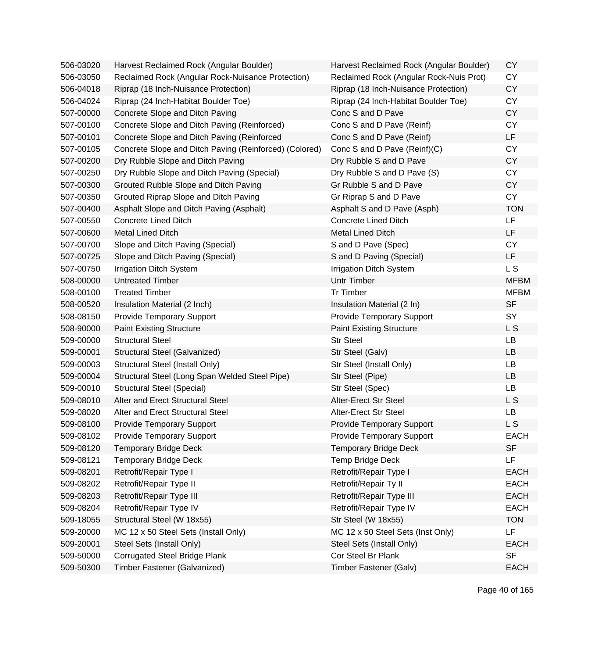| 506-03020 | Harvest Reclaimed Rock (Angular Boulder)               | Harvest Reclaimed Rock (Angular Boulder) | <b>CY</b>      |
|-----------|--------------------------------------------------------|------------------------------------------|----------------|
| 506-03050 | Reclaimed Rock (Angular Rock-Nuisance Protection)      | Reclaimed Rock (Angular Rock-Nuis Prot)  | <b>CY</b>      |
| 506-04018 | Riprap (18 Inch-Nuisance Protection)                   | Riprap (18 Inch-Nuisance Protection)     | <b>CY</b>      |
| 506-04024 | Riprap (24 Inch-Habitat Boulder Toe)                   | Riprap (24 Inch-Habitat Boulder Toe)     | <b>CY</b>      |
| 507-00000 | Concrete Slope and Ditch Paving                        | Conc S and D Pave                        | <b>CY</b>      |
| 507-00100 | Concrete Slope and Ditch Paving (Reinforced)           | Conc S and D Pave (Reinf)                | <b>CY</b>      |
| 507-00101 | Concrete Slope and Ditch Paving (Reinforced            | Conc S and D Pave (Reinf)                | LF             |
| 507-00105 | Concrete Slope and Ditch Paving (Reinforced) (Colored) | Conc S and D Pave (Reinf)(C)             | <b>CY</b>      |
| 507-00200 | Dry Rubble Slope and Ditch Paving                      | Dry Rubble S and D Pave                  | <b>CY</b>      |
| 507-00250 | Dry Rubble Slope and Ditch Paving (Special)            | Dry Rubble S and D Pave (S)              | <b>CY</b>      |
| 507-00300 | Grouted Rubble Slope and Ditch Paving                  | Gr Rubble S and D Pave                   | <b>CY</b>      |
| 507-00350 | Grouted Riprap Slope and Ditch Paving                  | Gr Riprap S and D Pave                   | <b>CY</b>      |
| 507-00400 | Asphalt Slope and Ditch Paving (Asphalt)               | Asphalt S and D Pave (Asph)              | <b>TON</b>     |
| 507-00550 | <b>Concrete Lined Ditch</b>                            | <b>Concrete Lined Ditch</b>              | LF             |
| 507-00600 | <b>Metal Lined Ditch</b>                               | Metal Lined Ditch                        | LF             |
| 507-00700 | Slope and Ditch Paving (Special)                       | S and D Pave (Spec)                      | <b>CY</b>      |
| 507-00725 | Slope and Ditch Paving (Special)                       | S and D Paving (Special)                 | LF             |
| 507-00750 | <b>Irrigation Ditch System</b>                         | <b>Irrigation Ditch System</b>           | L <sub>S</sub> |
| 508-00000 | <b>Untreated Timber</b>                                | Untr Timber                              | <b>MFBM</b>    |
| 508-00100 | <b>Treated Timber</b>                                  | <b>Tr Timber</b>                         | <b>MFBM</b>    |
| 508-00520 | Insulation Material (2 Inch)                           | Insulation Material (2 In)               | <b>SF</b>      |
| 508-08150 | <b>Provide Temporary Support</b>                       | <b>Provide Temporary Support</b>         | SY             |
| 508-90000 | <b>Paint Existing Structure</b>                        | <b>Paint Existing Structure</b>          | L S            |
| 509-00000 | <b>Structural Steel</b>                                | <b>Str Steel</b>                         | LB             |
| 509-00001 | Structural Steel (Galvanized)                          | Str Steel (Galv)                         | <b>LB</b>      |
| 509-00003 | Structural Steel (Install Only)                        | Str Steel (Install Only)                 | LB             |
| 509-00004 | Structural Steel (Long Span Welded Steel Pipe)         | Str Steel (Pipe)                         | LB             |
| 509-00010 | <b>Structural Steel (Special)</b>                      | Str Steel (Spec)                         | <b>LB</b>      |
| 509-08010 | Alter and Erect Structural Steel                       | <b>Alter-Erect Str Steel</b>             | L S            |
| 509-08020 | Alter and Erect Structural Steel                       | <b>Alter-Erect Str Steel</b>             | LB             |
| 509-08100 | <b>Provide Temporary Support</b>                       | <b>Provide Temporary Support</b>         | L S            |
| 509-08102 | <b>Provide Temporary Support</b>                       | <b>Provide Temporary Support</b>         | EACH           |
| 509-08120 | <b>Temporary Bridge Deck</b>                           | <b>Temporary Bridge Deck</b>             | <b>SF</b>      |
| 509-08121 | <b>Temporary Bridge Deck</b>                           | Temp Bridge Deck                         | LF             |
| 509-08201 | Retrofit/Repair Type I                                 | Retrofit/Repair Type I                   | <b>EACH</b>    |
| 509-08202 | Retrofit/Repair Type II                                | Retrofit/Repair Ty II                    | <b>EACH</b>    |
| 509-08203 | Retrofit/Repair Type III                               | Retrofit/Repair Type III                 | <b>EACH</b>    |
| 509-08204 | Retrofit/Repair Type IV                                | Retrofit/Repair Type IV                  | <b>EACH</b>    |
| 509-18055 | Structural Steel (W 18x55)                             | Str Steel (W 18x55)                      | <b>TON</b>     |
| 509-20000 | MC 12 x 50 Steel Sets (Install Only)                   | MC 12 x 50 Steel Sets (Inst Only)        | LF             |
| 509-20001 | Steel Sets (Install Only)                              | Steel Sets (Install Only)                | <b>EACH</b>    |
| 509-50000 | <b>Corrugated Steel Bridge Plank</b>                   | Cor Steel Br Plank                       | <b>SF</b>      |
| 509-50300 | Timber Fastener (Galvanized)                           | Timber Fastener (Galv)                   | <b>EACH</b>    |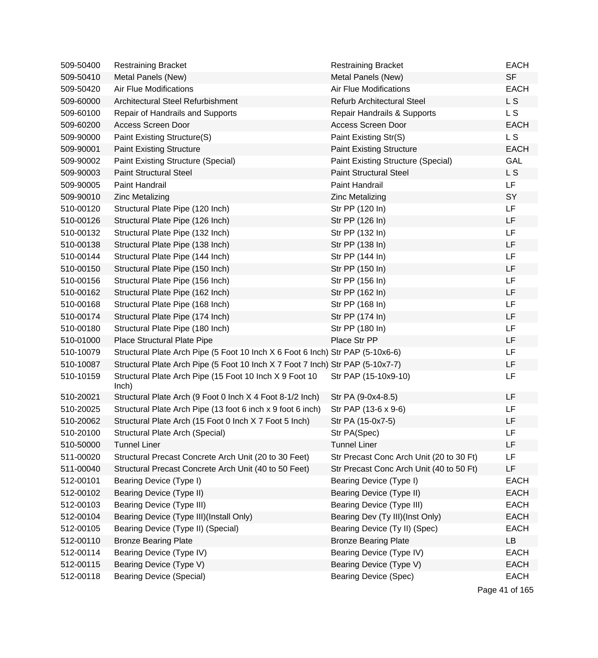| 509-50400 | <b>Restraining Bracket</b>                                                     | <b>Restraining Bracket</b>               | <b>EACH</b>    |
|-----------|--------------------------------------------------------------------------------|------------------------------------------|----------------|
| 509-50410 | Metal Panels (New)                                                             | Metal Panels (New)                       | <b>SF</b>      |
| 509-50420 | <b>Air Flue Modifications</b>                                                  | <b>Air Flue Modifications</b>            | <b>EACH</b>    |
| 509-60000 | Architectural Steel Refurbishment                                              | <b>Refurb Architectural Steel</b>        | L S            |
| 509-60100 | Repair of Handrails and Supports                                               | Repair Handrails & Supports              | L S            |
| 509-60200 | Access Screen Door                                                             | Access Screen Door                       | <b>EACH</b>    |
| 509-90000 | Paint Existing Structure(S)                                                    | Paint Existing Str(S)                    | L S            |
| 509-90001 | <b>Paint Existing Structure</b>                                                | <b>Paint Existing Structure</b>          | <b>EACH</b>    |
| 509-90002 | <b>Paint Existing Structure (Special)</b>                                      | Paint Existing Structure (Special)       | <b>GAL</b>     |
| 509-90003 | <b>Paint Structural Steel</b>                                                  | <b>Paint Structural Steel</b>            | L S            |
| 509-90005 | Paint Handrail                                                                 | Paint Handrail                           | LF             |
| 509-90010 | <b>Zinc Metalizing</b>                                                         | <b>Zinc Metalizing</b>                   | SY             |
| 510-00120 | Structural Plate Pipe (120 Inch)                                               | Str PP (120 In)                          | LF             |
| 510-00126 | Structural Plate Pipe (126 Inch)                                               | Str PP (126 In)                          | LF             |
| 510-00132 | Structural Plate Pipe (132 Inch)                                               | Str PP (132 In)                          | LF             |
| 510-00138 | Structural Plate Pipe (138 Inch)                                               | Str PP (138 In)                          | LF             |
| 510-00144 | Structural Plate Pipe (144 Inch)                                               | Str PP (144 In)                          | LF             |
| 510-00150 | Structural Plate Pipe (150 Inch)                                               | Str PP (150 ln)                          | LF             |
| 510-00156 | Structural Plate Pipe (156 Inch)                                               | Str PP (156 In)                          | LF             |
| 510-00162 | Structural Plate Pipe (162 Inch)                                               | Str PP (162 In)                          | LF             |
| 510-00168 | Structural Plate Pipe (168 Inch)                                               | Str PP (168 In)                          | LF             |
| 510-00174 | Structural Plate Pipe (174 Inch)                                               | Str PP (174 In)                          | LF             |
| 510-00180 | Structural Plate Pipe (180 Inch)                                               | Str PP (180 In)                          | LF             |
| 510-01000 | Place Structural Plate Pipe                                                    | Place Str PP                             | LF             |
| 510-10079 | Structural Plate Arch Pipe (5 Foot 10 Inch X 6 Foot 6 Inch) Str PAP (5-10x6-6) |                                          | LF             |
| 510-10087 | Structural Plate Arch Pipe (5 Foot 10 Inch X 7 Foot 7 Inch) Str PAP (5-10x7-7) |                                          | LF             |
| 510-10159 | Structural Plate Arch Pipe (15 Foot 10 Inch X 9 Foot 10<br>lnch)               | Str PAP (15-10x9-10)                     | LF             |
| 510-20021 | Structural Plate Arch (9 Foot 0 lnch X 4 Foot 8-1/2 lnch)                      | Str PA (9-0x4-8.5)                       | LF             |
| 510-20025 | Structural Plate Arch Pipe (13 foot 6 inch x 9 foot 6 inch)                    | Str PAP (13-6 x 9-6)                     | LF             |
| 510-20062 | Structural Plate Arch (15 Foot 0 lnch X 7 Foot 5 lnch)                         | Str PA (15-0x7-5)                        | LF             |
| 510-20100 | Structural Plate Arch (Special)                                                | Str PA(Spec)                             | LF             |
| 510-50000 | <b>Tunnel Liner</b>                                                            | <b>Tunnel Liner</b>                      | LF             |
| 511-00020 | Structural Precast Concrete Arch Unit (20 to 30 Feet)                          | Str Precast Conc Arch Unit (20 to 30 Ft) | LF             |
| 511-00040 | Structural Precast Concrete Arch Unit (40 to 50 Feet)                          | Str Precast Conc Arch Unit (40 to 50 Ft) | LF             |
| 512-00101 | Bearing Device (Type I)                                                        | Bearing Device (Type I)                  | <b>EACH</b>    |
| 512-00102 | Bearing Device (Type II)                                                       | Bearing Device (Type II)                 | <b>EACH</b>    |
| 512-00103 | <b>Bearing Device (Type III)</b>                                               | Bearing Device (Type III)                | <b>EACH</b>    |
| 512-00104 | Bearing Device (Type III)(Install Only)                                        | Bearing Dev (Ty III)(Inst Only)          | <b>EACH</b>    |
| 512-00105 | Bearing Device (Type II) (Special)                                             | Bearing Device (Ty II) (Spec)            | <b>EACH</b>    |
| 512-00110 | <b>Bronze Bearing Plate</b>                                                    | <b>Bronze Bearing Plate</b>              | LB             |
| 512-00114 | Bearing Device (Type IV)                                                       | Bearing Device (Type IV)                 | <b>EACH</b>    |
| 512-00115 | Bearing Device (Type V)                                                        | Bearing Device (Type V)                  | <b>EACH</b>    |
| 512-00118 | <b>Bearing Device (Special)</b>                                                | <b>Bearing Device (Spec)</b>             | <b>EACH</b>    |
|           |                                                                                |                                          | Page 41 of 165 |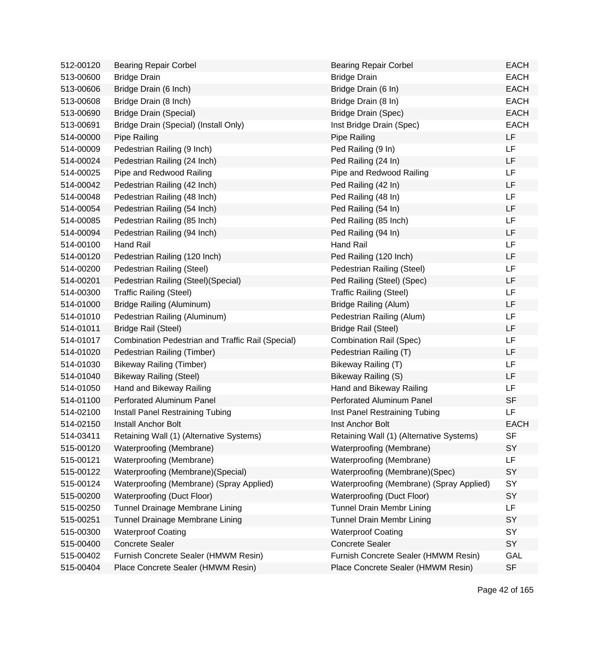| 512-00120 | <b>Bearing Repair Corbel</b>                      | <b>Bearing Repair Corbel</b>             | <b>EACH</b> |
|-----------|---------------------------------------------------|------------------------------------------|-------------|
| 513-00600 | <b>Bridge Drain</b>                               | <b>Bridge Drain</b>                      | <b>EACH</b> |
| 513-00606 | Bridge Drain (6 Inch)                             | Bridge Drain (6 In)                      | <b>EACH</b> |
| 513-00608 | Bridge Drain (8 Inch)                             | Bridge Drain (8 In)                      | <b>EACH</b> |
| 513-00690 | <b>Bridge Drain (Special)</b>                     | Bridge Drain (Spec)                      | <b>EACH</b> |
| 513-00691 | Bridge Drain (Special) (Install Only)             | Inst Bridge Drain (Spec)                 | <b>EACH</b> |
| 514-00000 | Pipe Railing                                      | Pipe Railing                             | LF          |
| 514-00009 | Pedestrian Railing (9 Inch)                       | Ped Railing (9 In)                       | LF          |
| 514-00024 | Pedestrian Railing (24 Inch)                      | Ped Railing (24 In)                      | LF          |
| 514-00025 | Pipe and Redwood Railing                          | Pipe and Redwood Railing                 | LF          |
| 514-00042 | Pedestrian Railing (42 Inch)                      | Ped Railing (42 In)                      | LF          |
| 514-00048 | Pedestrian Railing (48 Inch)                      | Ped Railing (48 In)                      | LF          |
| 514-00054 | Pedestrian Railing (54 Inch)                      | Ped Railing (54 In)                      | LF          |
| 514-00085 | Pedestrian Railing (85 Inch)                      | Ped Railing (85 Inch)                    | LF          |
| 514-00094 | Pedestrian Railing (94 Inch)                      | Ped Railing (94 In)                      | LF          |
| 514-00100 | <b>Hand Rail</b>                                  | <b>Hand Rail</b>                         | LF          |
| 514-00120 | Pedestrian Railing (120 Inch)                     | Ped Railing (120 Inch)                   | LF          |
| 514-00200 | Pedestrian Railing (Steel)                        | Pedestrian Railing (Steel)               | LF          |
| 514-00201 | Pedestrian Railing (Steel) (Special)              | Ped Railing (Steel) (Spec)               | LF          |
| 514-00300 | <b>Traffic Railing (Steel)</b>                    | <b>Traffic Railing (Steel)</b>           | LF          |
| 514-01000 | Bridge Railing (Aluminum)                         | <b>Bridge Railing (Alum)</b>             | LF          |
| 514-01010 | Pedestrian Railing (Aluminum)                     | Pedestrian Railing (Alum)                | LF          |
| 514-01011 | <b>Bridge Rail (Steel)</b>                        | <b>Bridge Rail (Steel)</b>               | LF          |
| 514-01017 | Combination Pedestrian and Traffic Rail (Special) | <b>Combination Rail (Spec)</b>           | LF          |
| 514-01020 | Pedestrian Railing (Timber)                       | Pedestrian Railing (T)                   | LF          |
| 514-01030 | <b>Bikeway Railing (Timber)</b>                   | Bikeway Railing (T)                      | LF          |
| 514-01040 | <b>Bikeway Railing (Steel)</b>                    | Bikeway Railing (S)                      | LF          |
| 514-01050 | Hand and Bikeway Railing                          | Hand and Bikeway Railing                 | LF          |
| 514-01100 | <b>Perforated Aluminum Panel</b>                  | Perforated Aluminum Panel                | <b>SF</b>   |
| 514-02100 | Install Panel Restraining Tubing                  | Inst Panel Restraining Tubing            | LF          |
| 514-02150 | <b>Install Anchor Bolt</b>                        | Inst Anchor Bolt                         | <b>EACH</b> |
| 514-03411 | Retaining Wall (1) (Alternative Systems)          | Retaining Wall (1) (Alternative Systems) | SF          |
| 515-00120 | Waterproofing (Membrane)                          | Waterproofing (Membrane)                 | SY          |
| 515-00121 | Waterproofing (Membrane)                          | Waterproofing (Membrane)                 | LF          |
| 515-00122 | Waterproofing (Membrane) (Special)                | Waterproofing (Membrane)(Spec)           | SY          |
| 515-00124 | Waterproofing (Membrane) (Spray Applied)          | Waterproofing (Membrane) (Spray Applied) | SY          |
| 515-00200 | Waterproofing (Duct Floor)                        | <b>Waterproofing (Duct Floor)</b>        | SY          |
| 515-00250 | Tunnel Drainage Membrane Lining                   | Tunnel Drain Membr Lining                | LF          |
| 515-00251 | Tunnel Drainage Membrane Lining                   | <b>Tunnel Drain Membr Lining</b>         | SY          |
| 515-00300 | <b>Waterproof Coating</b>                         | <b>Waterproof Coating</b>                | SY          |
| 515-00400 | <b>Concrete Sealer</b>                            | <b>Concrete Sealer</b>                   | SY          |
| 515-00402 | Furnish Concrete Sealer (HMWM Resin)              | Furnish Concrete Sealer (HMWM Resin)     | GAL         |
| 515-00404 | Place Concrete Sealer (HMWM Resin)                | Place Concrete Sealer (HMWM Resin)       | <b>SF</b>   |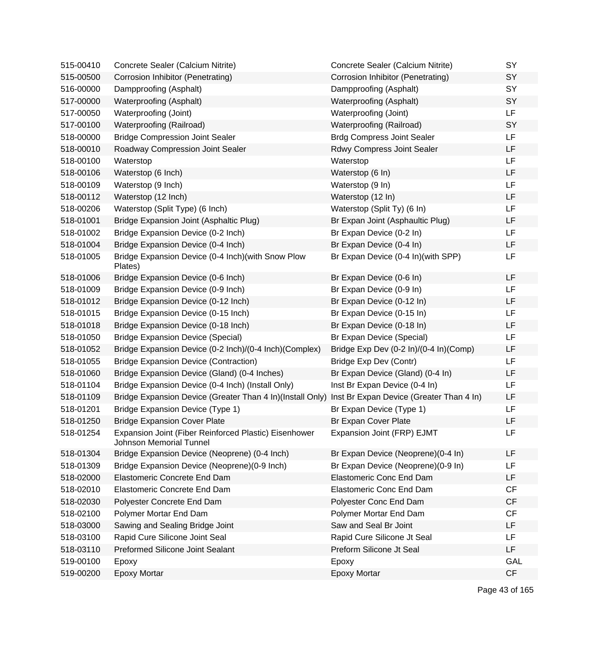| 515-00410 | Concrete Sealer (Calcium Nitrite)                                                                  | Concrete Sealer (Calcium Nitrite)      | <b>SY</b>  |
|-----------|----------------------------------------------------------------------------------------------------|----------------------------------------|------------|
| 515-00500 | Corrosion Inhibitor (Penetrating)                                                                  | Corrosion Inhibitor (Penetrating)      | SY         |
| 516-00000 | Dampproofing (Asphalt)                                                                             | Dampproofing (Asphalt)                 | SY         |
| 517-00000 | Waterproofing (Asphalt)                                                                            | Waterproofing (Asphalt)                | SY         |
| 517-00050 | Waterproofing (Joint)                                                                              | Waterproofing (Joint)                  | <b>LF</b>  |
| 517-00100 | Waterproofing (Railroad)                                                                           | Waterproofing (Railroad)               | SY         |
| 518-00000 | <b>Bridge Compression Joint Sealer</b>                                                             | <b>Brdg Compress Joint Sealer</b>      | <b>LF</b>  |
| 518-00010 | Roadway Compression Joint Sealer                                                                   | Rdwy Compress Joint Sealer             | <b>LF</b>  |
| 518-00100 | Waterstop                                                                                          | Waterstop                              | LF         |
| 518-00106 | Waterstop (6 Inch)                                                                                 | Waterstop (6 In)                       | LF         |
| 518-00109 | Waterstop (9 Inch)                                                                                 | Waterstop (9 In)                       | LF         |
| 518-00112 | Waterstop (12 Inch)                                                                                | Waterstop (12 In)                      | LF         |
| 518-00206 | Waterstop (Split Type) (6 Inch)                                                                    | Waterstop (Split Ty) (6 In)            | LF         |
| 518-01001 | Bridge Expansion Joint (Asphaltic Plug)                                                            | Br Expan Joint (Asphaultic Plug)       | LF         |
| 518-01002 | Bridge Expansion Device (0-2 Inch)                                                                 | Br Expan Device (0-2 In)               | LF         |
| 518-01004 | Bridge Expansion Device (0-4 Inch)                                                                 | Br Expan Device (0-4 In)               | LF         |
| 518-01005 | Bridge Expansion Device (0-4 Inch)(with Snow Plow<br>Plates)                                       | Br Expan Device (0-4 In)(with SPP)     | LF         |
| 518-01006 | Bridge Expansion Device (0-6 Inch)                                                                 | Br Expan Device (0-6 In)               | LF         |
| 518-01009 | Bridge Expansion Device (0-9 Inch)                                                                 | Br Expan Device (0-9 In)               | <b>LF</b>  |
| 518-01012 | Bridge Expansion Device (0-12 Inch)                                                                | Br Expan Device (0-12 In)              | LF         |
| 518-01015 | Bridge Expansion Device (0-15 Inch)                                                                | Br Expan Device (0-15 In)              | LF         |
| 518-01018 | Bridge Expansion Device (0-18 Inch)                                                                | Br Expan Device (0-18 In)              | LF         |
| 518-01050 | <b>Bridge Expansion Device (Special)</b>                                                           | Br Expan Device (Special)              | LF         |
| 518-01052 | Bridge Expansion Device (0-2 Inch)/(0-4 Inch)(Complex)                                             | Bridge Exp Dev (0-2 In)/(0-4 In)(Comp) | LF         |
| 518-01055 | <b>Bridge Expansion Device (Contraction)</b>                                                       | Bridge Exp Dev (Contr)                 | LF         |
| 518-01060 | Bridge Expansion Device (Gland) (0-4 Inches)                                                       | Br Expan Device (Gland) (0-4 In)       | LF         |
| 518-01104 | Bridge Expansion Device (0-4 Inch) (Install Only)                                                  | Inst Br Expan Device (0-4 In)          | LF         |
| 518-01109 | Bridge Expansion Device (Greater Than 4 In)(Install Only) Inst Br Expan Device (Greater Than 4 In) |                                        | LF         |
| 518-01201 | Bridge Expansion Device (Type 1)                                                                   | Br Expan Device (Type 1)               | LF         |
| 518-01250 | <b>Bridge Expansion Cover Plate</b>                                                                | Br Expan Cover Plate                   | LF         |
| 518-01254 | Expansion Joint (Fiber Reinforced Plastic) Eisenhower<br><b>Johnson Memorial Tunnel</b>            | Expansion Joint (FRP) EJMT             | LF         |
| 518-01304 | Bridge Expansion Device (Neoprene) (0-4 Inch)                                                      | Br Expan Device (Neoprene)(0-4 In)     | <b>LF</b>  |
| 518-01309 | Bridge Expansion Device (Neoprene) (0-9 Inch)                                                      | Br Expan Device (Neoprene)(0-9 In)     | LF         |
| 518-02000 | Elastomeric Concrete End Dam                                                                       | <b>Elastomeric Conc End Dam</b>        | LF         |
| 518-02010 | Elastomeric Concrete End Dam                                                                       | <b>Elastomeric Conc End Dam</b>        | <b>CF</b>  |
| 518-02030 | Polyester Concrete End Dam                                                                         | Polyester Conc End Dam                 | CF         |
| 518-02100 | Polymer Mortar End Dam                                                                             | Polymer Mortar End Dam                 | CF         |
| 518-03000 | Sawing and Sealing Bridge Joint                                                                    | Saw and Seal Br Joint                  | LF         |
| 518-03100 | Rapid Cure Silicone Joint Seal                                                                     | Rapid Cure Silicone Jt Seal            | LF         |
| 518-03110 | <b>Preformed Silicone Joint Sealant</b>                                                            | Preform Silicone Jt Seal               | LF         |
| 519-00100 | Epoxy                                                                                              | Epoxy                                  | <b>GAL</b> |
| 519-00200 | Epoxy Mortar                                                                                       | Epoxy Mortar                           | CF         |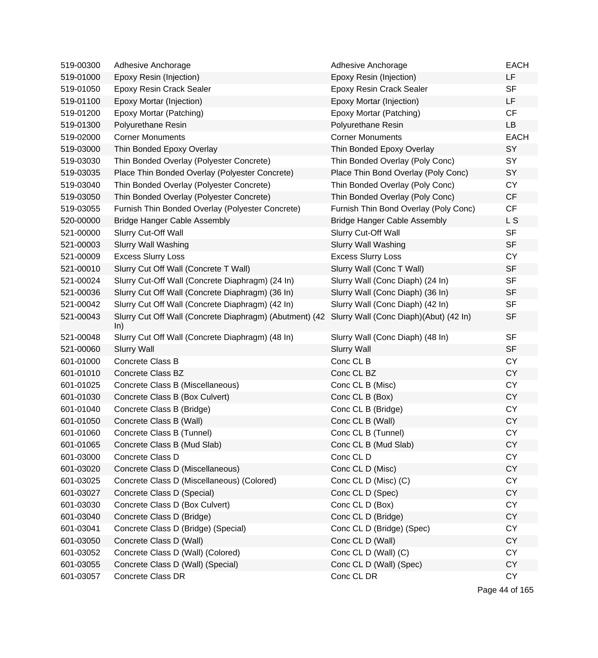| 519-00300 | Adhesive Anchorage                                             | Adhesive Anchorage                     | <b>EACH</b> |
|-----------|----------------------------------------------------------------|----------------------------------------|-------------|
| 519-01000 | Epoxy Resin (Injection)                                        | Epoxy Resin (Injection)                | LF          |
| 519-01050 | <b>Epoxy Resin Crack Sealer</b>                                | <b>Epoxy Resin Crack Sealer</b>        | <b>SF</b>   |
| 519-01100 | Epoxy Mortar (Injection)                                       | Epoxy Mortar (Injection)               | LF          |
| 519-01200 | Epoxy Mortar (Patching)                                        | Epoxy Mortar (Patching)                | CF          |
| 519-01300 | Polyurethane Resin                                             | Polyurethane Resin                     | <b>LB</b>   |
| 519-02000 | <b>Corner Monuments</b>                                        | <b>Corner Monuments</b>                | <b>EACH</b> |
| 519-03000 | Thin Bonded Epoxy Overlay                                      | Thin Bonded Epoxy Overlay              | SY          |
| 519-03030 | Thin Bonded Overlay (Polyester Concrete)                       | Thin Bonded Overlay (Poly Conc)        | SY          |
| 519-03035 | Place Thin Bonded Overlay (Polyester Concrete)                 | Place Thin Bond Overlay (Poly Conc)    | SY          |
| 519-03040 | Thin Bonded Overlay (Polyester Concrete)                       | Thin Bonded Overlay (Poly Conc)        | <b>CY</b>   |
| 519-03050 | Thin Bonded Overlay (Polyester Concrete)                       | Thin Bonded Overlay (Poly Conc)        | CF          |
| 519-03055 | Furnish Thin Bonded Overlay (Polyester Concrete)               | Furnish Thin Bond Overlay (Poly Conc)  | CF          |
| 520-00000 | <b>Bridge Hanger Cable Assembly</b>                            | <b>Bridge Hanger Cable Assembly</b>    | L S         |
| 521-00000 | Slurry Cut-Off Wall                                            | Slurry Cut-Off Wall                    | <b>SF</b>   |
| 521-00003 | <b>Slurry Wall Washing</b>                                     | <b>Slurry Wall Washing</b>             | <b>SF</b>   |
| 521-00009 | <b>Excess Slurry Loss</b>                                      | <b>Excess Slurry Loss</b>              | <b>CY</b>   |
| 521-00010 | Slurry Cut Off Wall (Concrete T Wall)                          | Slurry Wall (Conc T Wall)              | <b>SF</b>   |
| 521-00024 | Slurry Cut-Off Wall (Concrete Diaphragm) (24 In)               | Slurry Wall (Conc Diaph) (24 In)       | <b>SF</b>   |
| 521-00036 | Slurry Cut Off Wall (Concrete Diaphragm) (36 In)               | Slurry Wall (Conc Diaph) (36 In)       | <b>SF</b>   |
| 521-00042 | Slurry Cut Off Wall (Concrete Diaphragm) (42 In)               | Slurry Wall (Conc Diaph) (42 In)       | <b>SF</b>   |
| 521-00043 | Slurry Cut Off Wall (Concrete Diaphragm) (Abutment) (42<br>ln) | Slurry Wall (Conc Diaph)(Abut) (42 In) | <b>SF</b>   |
| 521-00048 | Slurry Cut Off Wall (Concrete Diaphragm) (48 In)               | Slurry Wall (Conc Diaph) (48 In)       | <b>SF</b>   |
| 521-00060 | <b>Slurry Wall</b>                                             | <b>Slurry Wall</b>                     | <b>SF</b>   |
| 601-01000 | Concrete Class B                                               | Conc CL B                              | <b>CY</b>   |
| 601-01010 | Concrete Class BZ                                              | Conc CL BZ                             | <b>CY</b>   |
| 601-01025 | Concrete Class B (Miscellaneous)                               | Conc CL B (Misc)                       | <b>CY</b>   |
| 601-01030 | Concrete Class B (Box Culvert)                                 | Conc CL B (Box)                        | <b>CY</b>   |
| 601-01040 | Concrete Class B (Bridge)                                      | Conc CL B (Bridge)                     | <b>CY</b>   |
| 601-01050 | Concrete Class B (Wall)                                        | Conc CL B (Wall)                       | <b>CY</b>   |
| 601-01060 | Concrete Class B (Tunnel)                                      | Conc CL B (Tunnel)                     | <b>CY</b>   |
| 601-01065 | Concrete Class B (Mud Slab)                                    | Conc CL B (Mud Slab)                   | <b>CY</b>   |
| 601-03000 | Concrete Class D                                               | Conc CL D                              | <b>CY</b>   |
| 601-03020 | Concrete Class D (Miscellaneous)                               | Conc CL D (Misc)                       | <b>CY</b>   |
| 601-03025 | Concrete Class D (Miscellaneous) (Colored)                     | Conc CL D (Misc) (C)                   | <b>CY</b>   |
| 601-03027 | Concrete Class D (Special)                                     | Conc CL D (Spec)                       | <b>CY</b>   |
| 601-03030 | Concrete Class D (Box Culvert)                                 | Conc CL D (Box)                        | <b>CY</b>   |
| 601-03040 | Concrete Class D (Bridge)                                      | Conc CL D (Bridge)                     | <b>CY</b>   |
| 601-03041 | Concrete Class D (Bridge) (Special)                            | Conc CL D (Bridge) (Spec)              | <b>CY</b>   |
| 601-03050 | Concrete Class D (Wall)                                        | Conc CL D (Wall)                       | <b>CY</b>   |
| 601-03052 | Concrete Class D (Wall) (Colored)                              | Conc CL D (Wall) (C)                   | <b>CY</b>   |
| 601-03055 | Concrete Class D (Wall) (Special)                              | Conc CL D (Wall) (Spec)                | <b>CY</b>   |
| 601-03057 | Concrete Class DR                                              | Conc CL DR                             | <b>CY</b>   |
|           |                                                                |                                        |             |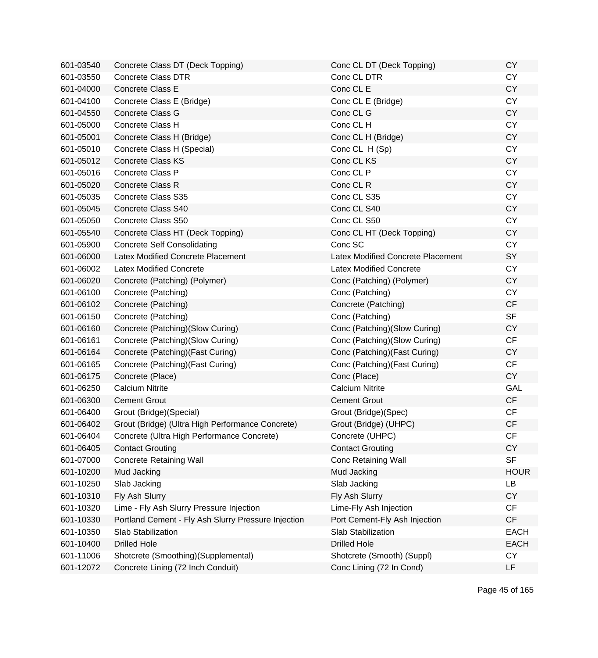| 601-03540 | Concrete Class DT (Deck Topping)                    | Conc CL DT (Deck Topping)                | <b>CY</b>   |
|-----------|-----------------------------------------------------|------------------------------------------|-------------|
| 601-03550 | <b>Concrete Class DTR</b>                           | Conc CL DTR                              | <b>CY</b>   |
| 601-04000 | Concrete Class E                                    | Conc CL E                                | <b>CY</b>   |
| 601-04100 | Concrete Class E (Bridge)                           | Conc CL E (Bridge)                       | <b>CY</b>   |
| 601-04550 | <b>Concrete Class G</b>                             | Conc CL G                                | <b>CY</b>   |
| 601-05000 | Concrete Class H                                    | Conc CL H                                | <b>CY</b>   |
| 601-05001 | Concrete Class H (Bridge)                           | Conc CL H (Bridge)                       | <b>CY</b>   |
| 601-05010 | Concrete Class H (Special)                          | Conc CL H (Sp)                           | <b>CY</b>   |
| 601-05012 | <b>Concrete Class KS</b>                            | Conc CL KS                               | <b>CY</b>   |
| 601-05016 | Concrete Class P                                    | Conc CL P                                | <b>CY</b>   |
| 601-05020 | Concrete Class R                                    | Conc CL R                                | <b>CY</b>   |
| 601-05035 | Concrete Class S35                                  | Conc CL S35                              | <b>CY</b>   |
| 601-05045 | Concrete Class S40                                  | Conc CL S40                              | <b>CY</b>   |
| 601-05050 | Concrete Class S50                                  | Conc CL S50                              | <b>CY</b>   |
| 601-05540 | Concrete Class HT (Deck Topping)                    | Conc CL HT (Deck Topping)                | <b>CY</b>   |
| 601-05900 | <b>Concrete Self Consolidating</b>                  | Conc SC                                  | <b>CY</b>   |
| 601-06000 | Latex Modified Concrete Placement                   | <b>Latex Modified Concrete Placement</b> | SY          |
| 601-06002 | <b>Latex Modified Concrete</b>                      | <b>Latex Modified Concrete</b>           | <b>CY</b>   |
| 601-06020 | Concrete (Patching) (Polymer)                       | Conc (Patching) (Polymer)                | <b>CY</b>   |
| 601-06100 | Concrete (Patching)                                 | Conc (Patching)                          | <b>CY</b>   |
| 601-06102 | Concrete (Patching)                                 | Concrete (Patching)                      | <b>CF</b>   |
| 601-06150 | Concrete (Patching)                                 | Conc (Patching)                          | <b>SF</b>   |
| 601-06160 | Concrete (Patching)(Slow Curing)                    | Conc (Patching) (Slow Curing)            | <b>CY</b>   |
| 601-06161 | Concrete (Patching)(Slow Curing)                    | Conc (Patching) (Slow Curing)            | CF          |
| 601-06164 | Concrete (Patching) (Fast Curing)                   | Conc (Patching) (Fast Curing)            | <b>CY</b>   |
| 601-06165 | Concrete (Patching) (Fast Curing)                   | Conc (Patching) (Fast Curing)            | <b>CF</b>   |
| 601-06175 | Concrete (Place)                                    | Conc (Place)                             | <b>CY</b>   |
| 601-06250 | <b>Calcium Nitrite</b>                              | <b>Calcium Nitrite</b>                   | GAL         |
| 601-06300 | <b>Cement Grout</b>                                 | <b>Cement Grout</b>                      | CF          |
| 601-06400 | Grout (Bridge) (Special)                            | Grout (Bridge)(Spec)                     | CF          |
| 601-06402 | Grout (Bridge) (Ultra High Performance Concrete)    | Grout (Bridge) (UHPC)                    | <b>CF</b>   |
| 601-06404 | Concrete (Ultra High Performance Concrete)          | Concrete (UHPC)                          | <b>CF</b>   |
| 601-06405 | <b>Contact Grouting</b>                             | <b>Contact Grouting</b>                  | <b>CY</b>   |
| 601-07000 | <b>Concrete Retaining Wall</b>                      | <b>Conc Retaining Wall</b>               | <b>SF</b>   |
| 601-10200 | Mud Jacking                                         | Mud Jacking                              | <b>HOUR</b> |
| 601-10250 | Slab Jacking                                        | Slab Jacking                             | LB          |
| 601-10310 | Fly Ash Slurry                                      | Fly Ash Slurry                           | <b>CY</b>   |
| 601-10320 | Lime - Fly Ash Slurry Pressure Injection            | Lime-Fly Ash Injection                   | <b>CF</b>   |
| 601-10330 | Portland Cement - Fly Ash Slurry Pressure Injection | Port Cement-Fly Ash Injection            | CF          |
| 601-10350 | Slab Stabilization                                  | Slab Stabilization                       | <b>EACH</b> |
| 601-10400 | <b>Drilled Hole</b>                                 | <b>Drilled Hole</b>                      | <b>EACH</b> |
| 601-11006 | Shotcrete (Smoothing)(Supplemental)                 | Shotcrete (Smooth) (Suppl)               | <b>CY</b>   |
| 601-12072 | Concrete Lining (72 Inch Conduit)                   | Conc Lining (72 In Cond)                 | LF          |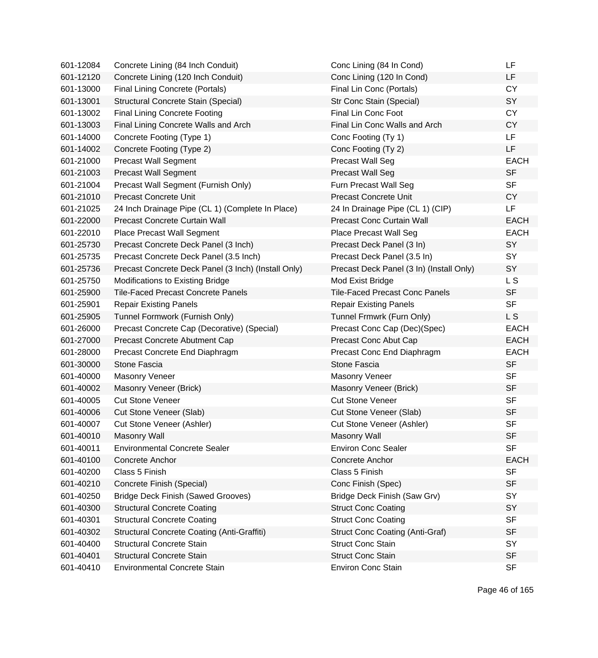| 601-12084 | Concrete Lining (84 Inch Conduit)                   | Conc Lining (84 In Cond)                 | LF          |
|-----------|-----------------------------------------------------|------------------------------------------|-------------|
| 601-12120 | Concrete Lining (120 Inch Conduit)                  | Conc Lining (120 In Cond)                | LF          |
| 601-13000 | Final Lining Concrete (Portals)                     | Final Lin Conc (Portals)                 | <b>CY</b>   |
| 601-13001 | Structural Concrete Stain (Special)                 | Str Conc Stain (Special)                 | SY          |
| 601-13002 | <b>Final Lining Concrete Footing</b>                | Final Lin Conc Foot                      | <b>CY</b>   |
| 601-13003 | Final Lining Concrete Walls and Arch                | Final Lin Conc Walls and Arch            | <b>CY</b>   |
| 601-14000 | Concrete Footing (Type 1)                           | Conc Footing (Ty 1)                      | LF          |
| 601-14002 | Concrete Footing (Type 2)                           | Conc Footing (Ty 2)                      | <b>LF</b>   |
| 601-21000 | <b>Precast Wall Segment</b>                         | <b>Precast Wall Seg</b>                  | <b>EACH</b> |
| 601-21003 | <b>Precast Wall Segment</b>                         | <b>Precast Wall Seg</b>                  | <b>SF</b>   |
| 601-21004 | Precast Wall Segment (Furnish Only)                 | Furn Precast Wall Seg                    | <b>SF</b>   |
| 601-21010 | <b>Precast Concrete Unit</b>                        | <b>Precast Concrete Unit</b>             | <b>CY</b>   |
| 601-21025 | 24 Inch Drainage Pipe (CL 1) (Complete In Place)    | 24 In Drainage Pipe (CL 1) (CIP)         | LF          |
| 601-22000 | <b>Precast Concrete Curtain Wall</b>                | <b>Precast Conc Curtain Wall</b>         | <b>EACH</b> |
| 601-22010 | Place Precast Wall Segment                          | Place Precast Wall Seg                   | <b>EACH</b> |
| 601-25730 | Precast Concrete Deck Panel (3 Inch)                | Precast Deck Panel (3 In)                | SY          |
| 601-25735 | Precast Concrete Deck Panel (3.5 Inch)              | Precast Deck Panel (3.5 In)              | SY          |
| 601-25736 | Precast Concrete Deck Panel (3 Inch) (Install Only) | Precast Deck Panel (3 In) (Install Only) | SY          |
| 601-25750 | Modifications to Existing Bridge                    | Mod Exist Bridge                         | L S         |
| 601-25900 | <b>Tile-Faced Precast Concrete Panels</b>           | <b>Tile-Faced Precast Conc Panels</b>    | <b>SF</b>   |
| 601-25901 | <b>Repair Existing Panels</b>                       | <b>Repair Existing Panels</b>            | <b>SF</b>   |
| 601-25905 | Tunnel Formwork (Furnish Only)                      | Tunnel Frmwrk (Furn Only)                | L S         |
| 601-26000 | Precast Concrete Cap (Decorative) (Special)         | Precast Conc Cap (Dec)(Spec)             | <b>EACH</b> |
| 601-27000 | Precast Concrete Abutment Cap                       | Precast Conc Abut Cap                    | <b>EACH</b> |
| 601-28000 | Precast Concrete End Diaphragm                      | Precast Conc End Diaphragm               | <b>EACH</b> |
| 601-30000 | Stone Fascia                                        | Stone Fascia                             | <b>SF</b>   |
| 601-40000 | <b>Masonry Veneer</b>                               | Masonry Veneer                           | <b>SF</b>   |
| 601-40002 | Masonry Veneer (Brick)                              | Masonry Veneer (Brick)                   | <b>SF</b>   |
| 601-40005 | <b>Cut Stone Veneer</b>                             | <b>Cut Stone Veneer</b>                  | <b>SF</b>   |
| 601-40006 | Cut Stone Veneer (Slab)                             | Cut Stone Veneer (Slab)                  | <b>SF</b>   |
| 601-40007 | Cut Stone Veneer (Ashler)                           | Cut Stone Veneer (Ashler)                | <b>SF</b>   |
| 601-40010 | Masonry Wall                                        | <b>Masonry Wall</b>                      | SF          |
| 601-40011 | <b>Environmental Concrete Sealer</b>                | <b>Environ Conc Sealer</b>               | <b>SF</b>   |
| 601-40100 | <b>Concrete Anchor</b>                              | <b>Concrete Anchor</b>                   | <b>EACH</b> |
| 601-40200 | Class 5 Finish                                      | Class 5 Finish                           | <b>SF</b>   |
| 601-40210 | Concrete Finish (Special)                           | Conc Finish (Spec)                       | <b>SF</b>   |
| 601-40250 | <b>Bridge Deck Finish (Sawed Grooves)</b>           | Bridge Deck Finish (Saw Grv)             | SY          |
| 601-40300 | <b>Structural Concrete Coating</b>                  | <b>Struct Conc Coating</b>               | SY          |
| 601-40301 | <b>Structural Concrete Coating</b>                  | <b>Struct Conc Coating</b>               | <b>SF</b>   |
| 601-40302 | <b>Structural Concrete Coating (Anti-Graffiti)</b>  | <b>Struct Conc Coating (Anti-Graf)</b>   | <b>SF</b>   |
| 601-40400 | <b>Structural Concrete Stain</b>                    | <b>Struct Conc Stain</b>                 | SY          |
| 601-40401 | <b>Structural Concrete Stain</b>                    | <b>Struct Conc Stain</b>                 | <b>SF</b>   |
| 601-40410 | <b>Environmental Concrete Stain</b>                 | <b>Environ Conc Stain</b>                | <b>SF</b>   |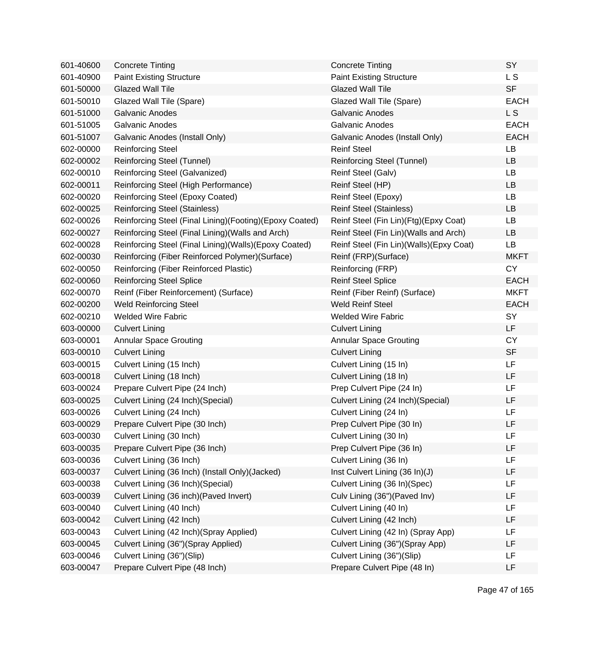| 601-40600 | <b>Concrete Tinting</b>                                 | <b>Concrete Tinting</b>                   | SY          |
|-----------|---------------------------------------------------------|-------------------------------------------|-------------|
| 601-40900 | <b>Paint Existing Structure</b>                         | <b>Paint Existing Structure</b>           | L S         |
| 601-50000 | <b>Glazed Wall Tile</b>                                 | <b>Glazed Wall Tile</b>                   | <b>SF</b>   |
| 601-50010 | Glazed Wall Tile (Spare)                                | Glazed Wall Tile (Spare)                  | <b>EACH</b> |
| 601-51000 | <b>Galvanic Anodes</b>                                  | <b>Galvanic Anodes</b>                    | <b>LS</b>   |
| 601-51005 | <b>Galvanic Anodes</b>                                  | <b>Galvanic Anodes</b>                    | <b>EACH</b> |
| 601-51007 | Galvanic Anodes (Install Only)                          | Galvanic Anodes (Install Only)            | <b>EACH</b> |
| 602-00000 | <b>Reinforcing Steel</b>                                | <b>Reinf Steel</b>                        | LB          |
| 602-00002 | Reinforcing Steel (Tunnel)                              | <b>Reinforcing Steel (Tunnel)</b>         | <b>LB</b>   |
| 602-00010 | Reinforcing Steel (Galvanized)                          | Reinf Steel (Galv)                        | LB          |
| 602-00011 | Reinforcing Steel (High Performance)                    | Reinf Steel (HP)                          | <b>LB</b>   |
| 602-00020 | Reinforcing Steel (Epoxy Coated)                        | Reinf Steel (Epoxy)                       | LB          |
| 602-00025 | <b>Reinforcing Steel (Stainless)</b>                    | <b>Reinf Steel (Stainless)</b>            | <b>LB</b>   |
| 602-00026 | Reinforcing Steel (Final Lining)(Footing)(Epoxy Coated) | Reinf Steel (Fin Lin)(Ftg)(Epxy Coat)     | LB          |
| 602-00027 | Reinforcing Steel (Final Lining) (Walls and Arch)       | Reinf Steel (Fin Lin)(Walls and Arch)     | LB          |
| 602-00028 | Reinforcing Steel (Final Lining)(Walls)(Epoxy Coated)   | Reinf Steel (Fin Lin) (Walls) (Epxy Coat) | <b>LB</b>   |
| 602-00030 | Reinforcing (Fiber Reinforced Polymer) (Surface)        | Reinf (FRP)(Surface)                      | <b>MKFT</b> |
| 602-00050 | Reinforcing (Fiber Reinforced Plastic)                  | Reinforcing (FRP)                         | <b>CY</b>   |
| 602-00060 | <b>Reinforcing Steel Splice</b>                         | <b>Reinf Steel Splice</b>                 | <b>EACH</b> |
| 602-00070 | Reinf (Fiber Reinforcement) (Surface)                   | Reinf (Fiber Reinf) (Surface)             | <b>MKFT</b> |
| 602-00200 | <b>Weld Reinforcing Steel</b>                           | <b>Weld Reinf Steel</b>                   | <b>EACH</b> |
| 602-00210 | <b>Welded Wire Fabric</b>                               | <b>Welded Wire Fabric</b>                 | SY          |
| 603-00000 | <b>Culvert Lining</b>                                   | <b>Culvert Lining</b>                     | LF          |
| 603-00001 | <b>Annular Space Grouting</b>                           | <b>Annular Space Grouting</b>             | <b>CY</b>   |
| 603-00010 | <b>Culvert Lining</b>                                   | <b>Culvert Lining</b>                     | <b>SF</b>   |
| 603-00015 | Culvert Lining (15 Inch)                                | Culvert Lining (15 In)                    | LF          |
| 603-00018 | Culvert Lining (18 Inch)                                | Culvert Lining (18 In)                    | LF          |
| 603-00024 | Prepare Culvert Pipe (24 Inch)                          | Prep Culvert Pipe (24 In)                 | LF          |
| 603-00025 | Culvert Lining (24 Inch) (Special)                      | Culvert Lining (24 Inch)(Special)         | LF          |
| 603-00026 | Culvert Lining (24 Inch)                                | Culvert Lining (24 In)                    | LF          |
| 603-00029 | Prepare Culvert Pipe (30 Inch)                          | Prep Culvert Pipe (30 In)                 | LF          |
| 603-00030 | Culvert Lining (30 Inch)                                | Culvert Lining (30 In)                    | LF          |
| 603-00035 | Prepare Culvert Pipe (36 Inch)                          | Prep Culvert Pipe (36 In)                 | LF          |
| 603-00036 | Culvert Lining (36 Inch)                                | Culvert Lining (36 In)                    | LF          |
| 603-00037 | Culvert Lining (36 Inch) (Install Only) (Jacked)        | Inst Culvert Lining (36 In)(J)            | LF          |
| 603-00038 | Culvert Lining (36 Inch) (Special)                      | Culvert Lining (36 In)(Spec)              | LF          |
| 603-00039 | Culvert Lining (36 inch) (Paved Invert)                 | Culv Lining (36") (Paved Inv)             | LF          |
| 603-00040 | Culvert Lining (40 Inch)                                | Culvert Lining (40 In)                    | LF          |
| 603-00042 | Culvert Lining (42 Inch)                                | Culvert Lining (42 Inch)                  | LF          |
| 603-00043 | Culvert Lining (42 Inch)(Spray Applied)                 | Culvert Lining (42 In) (Spray App)        | LF          |
| 603-00045 | Culvert Lining (36")(Spray Applied)                     | Culvert Lining (36")(Spray App)           | LF          |
| 603-00046 | Culvert Lining (36")(Slip)                              | Culvert Lining (36")(Slip)                | LF          |
| 603-00047 | Prepare Culvert Pipe (48 Inch)                          | Prepare Culvert Pipe (48 In)              | LF          |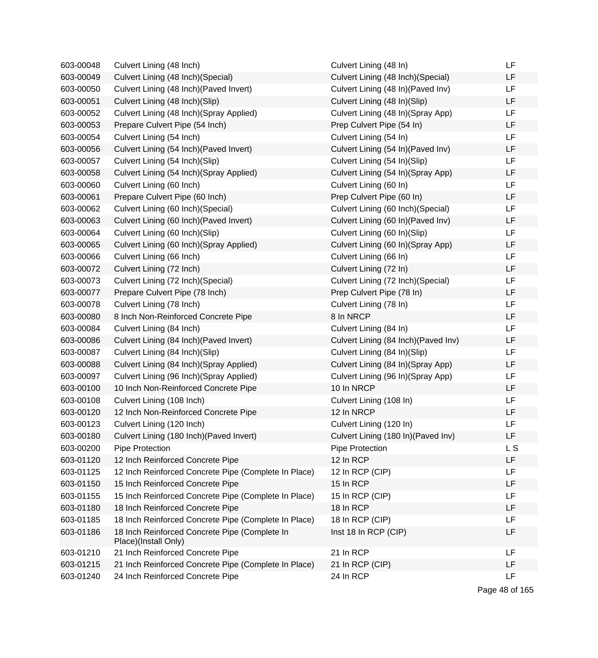| 603-00048 | Culvert Lining (48 Inch)                                              | Culvert Lining (48 In)               | LF        |
|-----------|-----------------------------------------------------------------------|--------------------------------------|-----------|
| 603-00049 | Culvert Lining (48 Inch) (Special)                                    | Culvert Lining (48 Inch) (Special)   | LF        |
| 603-00050 | Culvert Lining (48 Inch) (Paved Invert)                               | Culvert Lining (48 In) (Paved Inv)   | <b>LF</b> |
| 603-00051 | Culvert Lining (48 Inch)(Slip)                                        | Culvert Lining (48 In)(Slip)         | LF        |
| 603-00052 | Culvert Lining (48 Inch) (Spray Applied)                              | Culvert Lining (48 In)(Spray App)    | <b>LF</b> |
| 603-00053 | Prepare Culvert Pipe (54 Inch)                                        | Prep Culvert Pipe (54 In)            | LF        |
| 603-00054 | Culvert Lining (54 Inch)                                              | Culvert Lining (54 In)               | <b>LF</b> |
| 603-00056 | Culvert Lining (54 Inch) (Paved Invert)                               | Culvert Lining (54 In) (Paved Inv)   | <b>LF</b> |
| 603-00057 | Culvert Lining (54 Inch)(Slip)                                        | Culvert Lining (54 In)(Slip)         | <b>LF</b> |
| 603-00058 | Culvert Lining (54 Inch) (Spray Applied)                              | Culvert Lining (54 In) (Spray App)   | <b>LF</b> |
| 603-00060 | Culvert Lining (60 Inch)                                              | Culvert Lining (60 In)               | LF        |
| 603-00061 | Prepare Culvert Pipe (60 Inch)                                        | Prep Culvert Pipe (60 In)            | LF        |
| 603-00062 | Culvert Lining (60 Inch) (Special)                                    | Culvert Lining (60 Inch) (Special)   | <b>LF</b> |
| 603-00063 | Culvert Lining (60 Inch) (Paved Invert)                               | Culvert Lining (60 In) (Paved Inv)   | LF        |
| 603-00064 | Culvert Lining (60 Inch)(Slip)                                        | Culvert Lining (60 In)(Slip)         | LF        |
| 603-00065 | Culvert Lining (60 Inch) (Spray Applied)                              | Culvert Lining (60 In)(Spray App)    | LF        |
| 603-00066 | Culvert Lining (66 Inch)                                              | Culvert Lining (66 In)               | <b>LF</b> |
| 603-00072 | Culvert Lining (72 Inch)                                              | Culvert Lining (72 In)               | <b>LF</b> |
| 603-00073 | Culvert Lining (72 Inch)(Special)                                     | Culvert Lining (72 Inch)(Special)    | LF        |
| 603-00077 | Prepare Culvert Pipe (78 Inch)                                        | Prep Culvert Pipe (78 In)            | <b>LF</b> |
| 603-00078 | Culvert Lining (78 Inch)                                              | Culvert Lining (78 In)               | LF        |
| 603-00080 | 8 Inch Non-Reinforced Concrete Pipe                                   | 8 In NRCP                            | LF        |
| 603-00084 | Culvert Lining (84 Inch)                                              | Culvert Lining (84 In)               | <b>LF</b> |
| 603-00086 | Culvert Lining (84 Inch) (Paved Invert)                               | Culvert Lining (84 Inch) (Paved Inv) | LF        |
| 603-00087 | Culvert Lining (84 Inch)(Slip)                                        | Culvert Lining (84 In)(Slip)         | LF        |
| 603-00088 | Culvert Lining (84 Inch) (Spray Applied)                              | Culvert Lining (84 In)(Spray App)    | LF        |
| 603-00097 | Culvert Lining (96 Inch) (Spray Applied)                              | Culvert Lining (96 In)(Spray App)    | <b>LF</b> |
| 603-00100 | 10 Inch Non-Reinforced Concrete Pipe                                  | 10 In NRCP                           | <b>LF</b> |
| 603-00108 | Culvert Lining (108 Inch)                                             | Culvert Lining (108 In)              | LF        |
| 603-00120 | 12 Inch Non-Reinforced Concrete Pipe                                  | 12 In NRCP                           | <b>LF</b> |
| 603-00123 | Culvert Lining (120 Inch)                                             | Culvert Lining (120 In)              | <b>LF</b> |
| 603-00180 | Culvert Lining (180 Inch) (Paved Invert)                              | Culvert Lining (180 In) (Paved Inv)  | LF        |
| 603-00200 | Pipe Protection                                                       | Pipe Protection                      | L S       |
| 603-01120 | 12 Inch Reinforced Concrete Pipe                                      | 12 In RCP                            | LF        |
| 603-01125 | 12 Inch Reinforced Concrete Pipe (Complete In Place)                  | 12 In RCP (CIP)                      | LF        |
| 603-01150 | 15 Inch Reinforced Concrete Pipe                                      | 15 In RCP                            | LF        |
| 603-01155 | 15 Inch Reinforced Concrete Pipe (Complete In Place)                  | 15 In RCP (CIP)                      | LF        |
| 603-01180 | 18 Inch Reinforced Concrete Pipe                                      | 18 In RCP                            | LF        |
| 603-01185 | 18 Inch Reinforced Concrete Pipe (Complete In Place)                  | 18 In RCP (CIP)                      | LF        |
| 603-01186 | 18 Inch Reinforced Concrete Pipe (Complete In<br>Place)(Install Only) | Inst 18 In RCP (CIP)                 | LF        |
| 603-01210 | 21 Inch Reinforced Concrete Pipe                                      | 21 In RCP                            | LF        |
| 603-01215 | 21 Inch Reinforced Concrete Pipe (Complete In Place)                  | 21 In RCP (CIP)                      | LF        |
| 603-01240 | 24 Inch Reinforced Concrete Pipe                                      | 24 In RCP                            | LF        |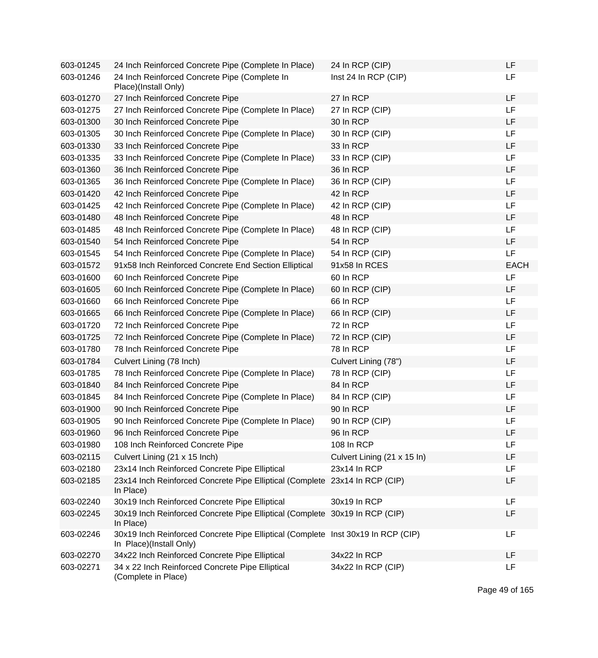| 603-01245 | 24 Inch Reinforced Concrete Pipe (Complete In Place)                                                        | 24 In RCP (CIP)             | LF          |
|-----------|-------------------------------------------------------------------------------------------------------------|-----------------------------|-------------|
| 603-01246 | 24 Inch Reinforced Concrete Pipe (Complete In<br>Place)(Install Only)                                       | Inst 24 In RCP (CIP)        | LF          |
| 603-01270 | 27 Inch Reinforced Concrete Pipe                                                                            | 27 In RCP                   | LF          |
| 603-01275 | 27 Inch Reinforced Concrete Pipe (Complete In Place)                                                        | 27 In RCP (CIP)             | LF          |
| 603-01300 | 30 Inch Reinforced Concrete Pipe                                                                            | 30 In RCP                   | LF          |
| 603-01305 | 30 Inch Reinforced Concrete Pipe (Complete In Place)                                                        | 30 In RCP (CIP)             | LF          |
| 603-01330 | 33 Inch Reinforced Concrete Pipe                                                                            | 33 In RCP                   | LF          |
| 603-01335 | 33 Inch Reinforced Concrete Pipe (Complete In Place)                                                        | 33 In RCP (CIP)             | LF          |
| 603-01360 | 36 Inch Reinforced Concrete Pipe                                                                            | 36 In RCP                   | LF          |
| 603-01365 | 36 Inch Reinforced Concrete Pipe (Complete In Place)                                                        | 36 In RCP (CIP)             | LF          |
| 603-01420 | 42 Inch Reinforced Concrete Pipe                                                                            | 42 In RCP                   | LF          |
| 603-01425 | 42 Inch Reinforced Concrete Pipe (Complete In Place)                                                        | 42 In RCP (CIP)             | LF          |
| 603-01480 | 48 Inch Reinforced Concrete Pipe                                                                            | 48 In RCP                   | LF          |
| 603-01485 | 48 Inch Reinforced Concrete Pipe (Complete In Place)                                                        | 48 In RCP (CIP)             | LF          |
| 603-01540 | 54 Inch Reinforced Concrete Pipe                                                                            | 54 In RCP                   | LF          |
| 603-01545 | 54 Inch Reinforced Concrete Pipe (Complete In Place)                                                        | 54 In RCP (CIP)             | LF          |
| 603-01572 | 91x58 Inch Reinforced Concrete End Section Elliptical                                                       | 91x58 In RCES               | <b>EACH</b> |
| 603-01600 | 60 Inch Reinforced Concrete Pipe                                                                            | 60 In RCP                   | LF          |
| 603-01605 | 60 Inch Reinforced Concrete Pipe (Complete In Place)                                                        | 60 In RCP (CIP)             | LF          |
| 603-01660 | 66 Inch Reinforced Concrete Pipe                                                                            | 66 In RCP                   | LF          |
| 603-01665 | 66 Inch Reinforced Concrete Pipe (Complete In Place)                                                        | 66 In RCP (CIP)             | LF          |
| 603-01720 | 72 Inch Reinforced Concrete Pipe                                                                            | 72 In RCP                   | LF          |
| 603-01725 | 72 Inch Reinforced Concrete Pipe (Complete In Place)                                                        | 72 In RCP (CIP)             | LF          |
| 603-01780 | 78 Inch Reinforced Concrete Pipe                                                                            | 78 In RCP                   | LF          |
| 603-01784 | Culvert Lining (78 Inch)                                                                                    | Culvert Lining (78")        | LF          |
| 603-01785 | 78 Inch Reinforced Concrete Pipe (Complete In Place)                                                        | 78 In RCP (CIP)             | LF          |
| 603-01840 | 84 Inch Reinforced Concrete Pipe                                                                            | 84 In RCP                   | LF          |
| 603-01845 | 84 Inch Reinforced Concrete Pipe (Complete In Place)                                                        | 84 In RCP (CIP)             | LF          |
| 603-01900 | 90 Inch Reinforced Concrete Pipe                                                                            | 90 In RCP                   | LF          |
| 603-01905 | 90 Inch Reinforced Concrete Pipe (Complete In Place)                                                        | 90 In RCP (CIP)             | LF          |
| 603-01960 | 96 Inch Reinforced Concrete Pipe                                                                            | 96 In RCP                   | LF          |
| 603-01980 | 108 Inch Reinforced Concrete Pipe                                                                           | 108 In RCP                  | LF          |
| 603-02115 | Culvert Lining (21 x 15 Inch)                                                                               | Culvert Lining (21 x 15 ln) | LF          |
| 603-02180 | 23x14 Inch Reinforced Concrete Pipe Elliptical                                                              | 23x14 In RCP                | LF          |
| 603-02185 | 23x14 Inch Reinforced Concrete Pipe Elliptical (Complete<br>In Place)                                       | 23x14 In RCP (CIP)          | LF          |
| 603-02240 | 30x19 Inch Reinforced Concrete Pipe Elliptical                                                              | 30x19 In RCP                | LF          |
| 603-02245 | 30x19 Inch Reinforced Concrete Pipe Elliptical (Complete<br>In Place)                                       | 30x19 In RCP (CIP)          | LF          |
| 603-02246 | 30x19 Inch Reinforced Concrete Pipe Elliptical (Complete Inst 30x19 In RCP (CIP)<br>In Place)(Install Only) |                             | LF          |
| 603-02270 | 34x22 Inch Reinforced Concrete Pipe Elliptical                                                              | 34x22 In RCP                | LF          |
| 603-02271 | 34 x 22 Inch Reinforced Concrete Pipe Elliptical<br>(Complete in Place)                                     | 34x22 In RCP (CIP)          | LF          |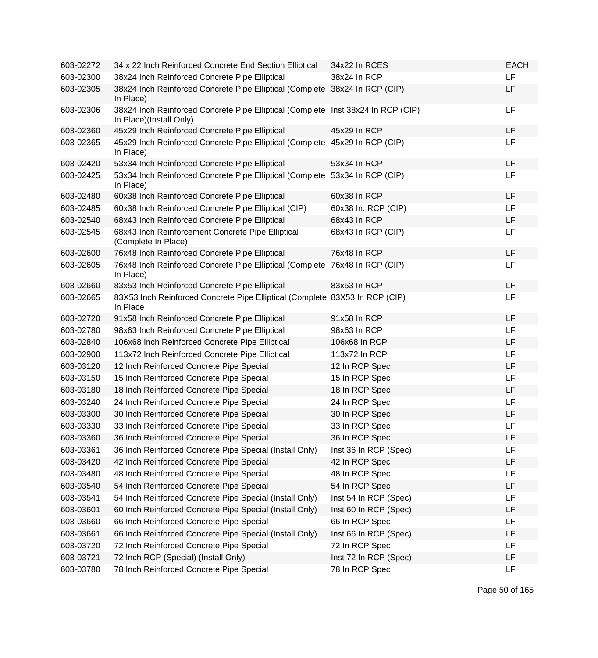| 603-02272 | 34 x 22 Inch Reinforced Concrete End Section Elliptical                                                     | 34x22 In RCES         | <b>EACH</b> |
|-----------|-------------------------------------------------------------------------------------------------------------|-----------------------|-------------|
| 603-02300 | 38x24 Inch Reinforced Concrete Pipe Elliptical                                                              | 38x24 In RCP          | LF          |
| 603-02305 | 38x24 Inch Reinforced Concrete Pipe Elliptical (Complete 38x24 In RCP (CIP)<br>In Place)                    |                       | LF          |
| 603-02306 | 38x24 Inch Reinforced Concrete Pipe Elliptical (Complete Inst 38x24 In RCP (CIP)<br>In Place)(Install Only) |                       | LF          |
| 603-02360 | 45x29 Inch Reinforced Concrete Pipe Elliptical                                                              | 45x29 In RCP          | LF          |
| 603-02365 | 45x29 Inch Reinforced Concrete Pipe Elliptical (Complete 45x29 In RCP (CIP)<br>In Place)                    |                       | LF          |
| 603-02420 | 53x34 Inch Reinforced Concrete Pipe Elliptical                                                              | 53x34 In RCP          | LF          |
| 603-02425 | 53x34 Inch Reinforced Concrete Pipe Elliptical (Complete 53x34 In RCP (CIP)<br>In Place)                    |                       | LF          |
| 603-02480 | 60x38 Inch Reinforced Concrete Pipe Elliptical                                                              | 60x38 In RCP          | LF          |
| 603-02485 | 60x38 Inch Reinforced Concrete Pipe Elliptical (CIP)                                                        | 60x38 In. RCP (CIP)   | LF          |
| 603-02540 | 68x43 Inch Reinforced Concrete Pipe Elliptical                                                              | 68x43 In RCP          | LF          |
| 603-02545 | 68x43 Inch Reinforcement Concrete Pipe Elliptical<br>(Complete In Place)                                    | 68x43 In RCP (CIP)    | LF          |
| 603-02600 | 76x48 Inch Reinforced Concrete Pipe Elliptical                                                              | 76x48 In RCP          | LF          |
| 603-02605 | 76x48 Inch Reinforced Concrete Pipe Elliptical (Complete 76x48 In RCP (CIP)<br>In Place)                    |                       | LF          |
| 603-02660 | 83x53 Inch Reinforced Concrete Pipe Elliptical                                                              | 83x53 In RCP          | LF          |
| 603-02665 | 83X53 Inch Reinforced Concrete Pipe Elliptical (Complete 83X53 In RCP (CIP)<br>In Place                     |                       | LF          |
| 603-02720 | 91x58 Inch Reinforced Concrete Pipe Elliptical                                                              | 91x58 In RCP          | LF          |
| 603-02780 | 98x63 Inch Reinforced Concrete Pipe Elliptical                                                              | 98x63 In RCP          | LF          |
| 603-02840 | 106x68 Inch Reinforced Concrete Pipe Elliptical                                                             | 106x68 In RCP         | LF          |
| 603-02900 | 113x72 Inch Reinforced Concrete Pipe Elliptical                                                             | 113x72 In RCP         | LF          |
| 603-03120 | 12 Inch Reinforced Concrete Pipe Special                                                                    | 12 In RCP Spec        | LF          |
| 603-03150 | 15 Inch Reinforced Concrete Pipe Special                                                                    | 15 In RCP Spec        | LF          |
| 603-03180 | 18 Inch Reinforced Concrete Pipe Special                                                                    | 18 In RCP Spec        | LF          |
| 603-03240 | 24 Inch Reinforced Concrete Pipe Special                                                                    | 24 In RCP Spec        | LF          |
| 603-03300 | 30 Inch Reinforced Concrete Pipe Special                                                                    | 30 In RCP Spec        | LF          |
| 603-03330 | 33 Inch Reinforced Concrete Pipe Special                                                                    | 33 In RCP Spec        | LF          |
| 603-03360 | 36 Inch Reinforced Concrete Pipe Special                                                                    | 36 In RCP Spec        | LF          |
| 603-03361 | 36 Inch Reinforced Concrete Pipe Special (Install Only)                                                     | Inst 36 In RCP (Spec) | LF          |
| 603-03420 | 42 Inch Reinforced Concrete Pipe Special                                                                    | 42 In RCP Spec        | LF          |
| 603-03480 | 48 Inch Reinforced Concrete Pipe Special                                                                    | 48 In RCP Spec        | LF          |
| 603-03540 | 54 Inch Reinforced Concrete Pipe Special                                                                    | 54 In RCP Spec        | LF          |
| 603-03541 | 54 Inch Reinforced Concrete Pipe Special (Install Only)                                                     | Inst 54 In RCP (Spec) | LF          |
| 603-03601 | 60 Inch Reinforced Concrete Pipe Special (Install Only)                                                     | Inst 60 In RCP (Spec) | LF          |
| 603-03660 | 66 Inch Reinforced Concrete Pipe Special                                                                    | 66 In RCP Spec        | LF          |
| 603-03661 | 66 Inch Reinforced Concrete Pipe Special (Install Only)                                                     | Inst 66 In RCP (Spec) | LF          |
| 603-03720 | 72 Inch Reinforced Concrete Pipe Special                                                                    | 72 In RCP Spec        | LF          |
| 603-03721 | 72 Inch RCP (Special) (Install Only)                                                                        | Inst 72 In RCP (Spec) | LF          |
| 603-03780 | 78 Inch Reinforced Concrete Pipe Special                                                                    | 78 In RCP Spec        | LF          |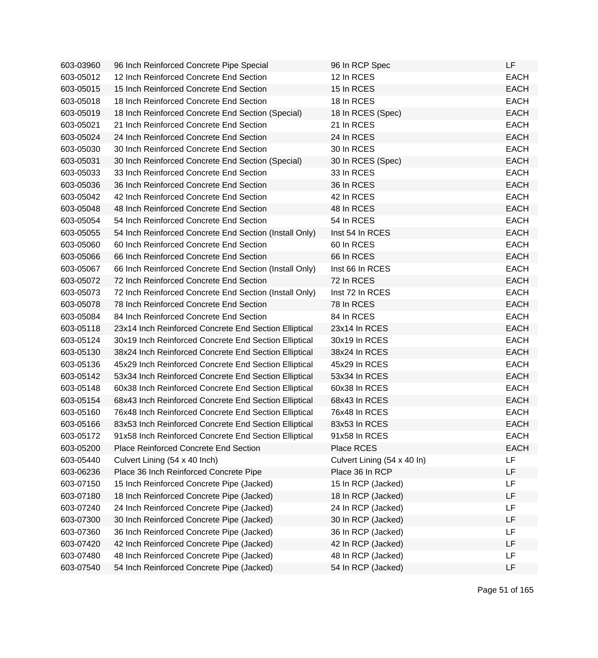| 603-03960 | 96 Inch Reinforced Concrete Pipe Special               | 96 In RCP Spec              | LF          |
|-----------|--------------------------------------------------------|-----------------------------|-------------|
| 603-05012 | 12 Inch Reinforced Concrete End Section                | 12 In RCES                  | <b>EACH</b> |
| 603-05015 | 15 Inch Reinforced Concrete End Section                | 15 In RCES                  | <b>EACH</b> |
| 603-05018 | 18 Inch Reinforced Concrete End Section                | 18 In RCES                  | <b>EACH</b> |
| 603-05019 | 18 Inch Reinforced Concrete End Section (Special)      | 18 In RCES (Spec)           | <b>EACH</b> |
| 603-05021 | 21 Inch Reinforced Concrete End Section                | 21 In RCES                  | <b>EACH</b> |
| 603-05024 | 24 Inch Reinforced Concrete End Section                | 24 In RCES                  | <b>EACH</b> |
| 603-05030 | 30 Inch Reinforced Concrete End Section                | 30 In RCES                  | <b>EACH</b> |
| 603-05031 | 30 Inch Reinforced Concrete End Section (Special)      | 30 In RCES (Spec)           | <b>EACH</b> |
| 603-05033 | 33 Inch Reinforced Concrete End Section                | 33 In RCES                  | <b>EACH</b> |
| 603-05036 | 36 Inch Reinforced Concrete End Section                | 36 In RCES                  | <b>EACH</b> |
| 603-05042 | 42 Inch Reinforced Concrete End Section                | 42 In RCES                  | <b>EACH</b> |
| 603-05048 | 48 Inch Reinforced Concrete End Section                | 48 In RCES                  | <b>EACH</b> |
| 603-05054 | 54 Inch Reinforced Concrete End Section                | 54 In RCES                  | <b>EACH</b> |
| 603-05055 | 54 Inch Reinforced Concrete End Section (Install Only) | Inst 54 In RCES             | <b>EACH</b> |
| 603-05060 | 60 Inch Reinforced Concrete End Section                | 60 In RCES                  | <b>EACH</b> |
| 603-05066 | 66 Inch Reinforced Concrete End Section                | 66 In RCES                  | <b>EACH</b> |
| 603-05067 | 66 Inch Reinforced Concrete End Section (Install Only) | Inst 66 In RCES             | <b>EACH</b> |
| 603-05072 | 72 Inch Reinforced Concrete End Section                | 72 In RCES                  | <b>EACH</b> |
| 603-05073 | 72 Inch Reinforced Concrete End Section (Install Only) | Inst 72 In RCES             | <b>EACH</b> |
| 603-05078 | 78 Inch Reinforced Concrete End Section                | 78 In RCES                  | <b>EACH</b> |
| 603-05084 | 84 Inch Reinforced Concrete End Section                | 84 In RCES                  | <b>EACH</b> |
| 603-05118 | 23x14 Inch Reinforced Concrete End Section Elliptical  | 23x14 In RCES               | <b>EACH</b> |
| 603-05124 | 30x19 Inch Reinforced Concrete End Section Elliptical  | 30x19 In RCES               | <b>EACH</b> |
| 603-05130 | 38x24 Inch Reinforced Concrete End Section Elliptical  | 38x24 In RCES               | <b>EACH</b> |
| 603-05136 | 45x29 Inch Reinforced Concrete End Section Elliptical  | 45x29 In RCES               | <b>EACH</b> |
| 603-05142 | 53x34 Inch Reinforced Concrete End Section Elliptical  | 53x34 In RCES               | <b>EACH</b> |
| 603-05148 | 60x38 Inch Reinforced Concrete End Section Elliptical  | 60x38 In RCES               | <b>EACH</b> |
| 603-05154 | 68x43 Inch Reinforced Concrete End Section Elliptical  | 68x43 In RCES               | <b>EACH</b> |
| 603-05160 | 76x48 Inch Reinforced Concrete End Section Elliptical  | 76x48 In RCES               | <b>EACH</b> |
| 603-05166 | 83x53 Inch Reinforced Concrete End Section Elliptical  | 83x53 In RCES               | <b>EACH</b> |
| 603-05172 | 91x58 Inch Reinforced Concrete End Section Elliptical  | 91x58 In RCES               | <b>EACH</b> |
| 603-05200 | <b>Place Reinforced Concrete End Section</b>           | Place RCES                  | <b>EACH</b> |
| 603-05440 | Culvert Lining (54 x 40 Inch)                          | Culvert Lining (54 x 40 ln) | LF          |
| 603-06236 | Place 36 Inch Reinforced Concrete Pipe                 | Place 36 In RCP             | LF          |
| 603-07150 | 15 Inch Reinforced Concrete Pipe (Jacked)              | 15 In RCP (Jacked)          | LF          |
| 603-07180 | 18 Inch Reinforced Concrete Pipe (Jacked)              | 18 In RCP (Jacked)          | LF          |
| 603-07240 | 24 Inch Reinforced Concrete Pipe (Jacked)              | 24 In RCP (Jacked)          | <b>LF</b>   |
| 603-07300 | 30 Inch Reinforced Concrete Pipe (Jacked)              | 30 In RCP (Jacked)          | LF          |
| 603-07360 | 36 Inch Reinforced Concrete Pipe (Jacked)              | 36 In RCP (Jacked)          | LF          |
| 603-07420 | 42 Inch Reinforced Concrete Pipe (Jacked)              | 42 In RCP (Jacked)          | LF          |
| 603-07480 | 48 Inch Reinforced Concrete Pipe (Jacked)              | 48 In RCP (Jacked)          | LF          |
| 603-07540 | 54 Inch Reinforced Concrete Pipe (Jacked)              | 54 In RCP (Jacked)          | LF          |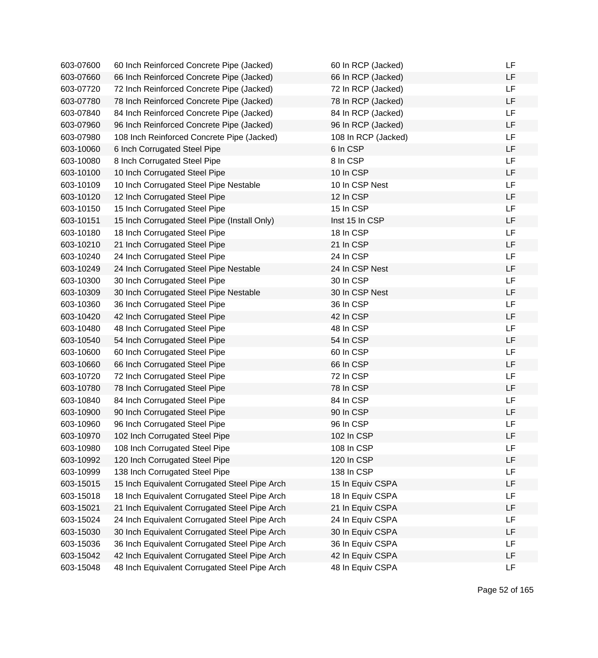| 603-07600 | 60 Inch Reinforced Concrete Pipe (Jacked)     | 60 In RCP (Jacked)  | LF        |
|-----------|-----------------------------------------------|---------------------|-----------|
| 603-07660 | 66 Inch Reinforced Concrete Pipe (Jacked)     | 66 In RCP (Jacked)  | LF        |
| 603-07720 | 72 Inch Reinforced Concrete Pipe (Jacked)     | 72 In RCP (Jacked)  | LF        |
| 603-07780 | 78 Inch Reinforced Concrete Pipe (Jacked)     | 78 In RCP (Jacked)  | LF        |
| 603-07840 | 84 Inch Reinforced Concrete Pipe (Jacked)     | 84 In RCP (Jacked)  | LF        |
| 603-07960 | 96 Inch Reinforced Concrete Pipe (Jacked)     | 96 In RCP (Jacked)  | LF        |
| 603-07980 | 108 Inch Reinforced Concrete Pipe (Jacked)    | 108 In RCP (Jacked) | LF        |
| 603-10060 | 6 Inch Corrugated Steel Pipe                  | 6 In CSP            | LF        |
| 603-10080 | 8 Inch Corrugated Steel Pipe                  | 8 In CSP            | LF        |
| 603-10100 | 10 Inch Corrugated Steel Pipe                 | 10 In CSP           | LF        |
| 603-10109 | 10 Inch Corrugated Steel Pipe Nestable        | 10 In CSP Nest      | LF        |
| 603-10120 | 12 Inch Corrugated Steel Pipe                 | 12 In CSP           | LF        |
| 603-10150 | 15 Inch Corrugated Steel Pipe                 | 15 In CSP           | LF        |
| 603-10151 | 15 Inch Corrugated Steel Pipe (Install Only)  | Inst 15 In CSP      | LF        |
| 603-10180 | 18 Inch Corrugated Steel Pipe                 | 18 In CSP           | LF        |
| 603-10210 | 21 Inch Corrugated Steel Pipe                 | 21 In CSP           | LF        |
| 603-10240 | 24 Inch Corrugated Steel Pipe                 | 24 In CSP           | LF        |
| 603-10249 | 24 Inch Corrugated Steel Pipe Nestable        | 24 In CSP Nest      | LF        |
| 603-10300 | 30 Inch Corrugated Steel Pipe                 | 30 In CSP           | LF        |
| 603-10309 | 30 Inch Corrugated Steel Pipe Nestable        | 30 In CSP Nest      | LF        |
| 603-10360 | 36 Inch Corrugated Steel Pipe                 | 36 In CSP           | <b>LF</b> |
| 603-10420 | 42 Inch Corrugated Steel Pipe                 | 42 In CSP           | LF        |
| 603-10480 | 48 Inch Corrugated Steel Pipe                 | 48 In CSP           | LF        |
| 603-10540 | 54 Inch Corrugated Steel Pipe                 | 54 In CSP           | LF        |
| 603-10600 | 60 Inch Corrugated Steel Pipe                 | 60 In CSP           | LF        |
| 603-10660 | 66 Inch Corrugated Steel Pipe                 | 66 In CSP           | LF        |
| 603-10720 | 72 Inch Corrugated Steel Pipe                 | 72 In CSP           | LF        |
| 603-10780 | 78 Inch Corrugated Steel Pipe                 | 78 In CSP           | LF        |
| 603-10840 | 84 Inch Corrugated Steel Pipe                 | 84 In CSP           | LF        |
| 603-10900 | 90 Inch Corrugated Steel Pipe                 | 90 In CSP           | LF        |
| 603-10960 | 96 Inch Corrugated Steel Pipe                 | 96 In CSP           | LF        |
| 603-10970 | 102 Inch Corrugated Steel Pipe                | 102 In CSP          | LF        |
| 603-10980 | 108 Inch Corrugated Steel Pipe                | 108 In CSP          | LF        |
| 603-10992 | 120 Inch Corrugated Steel Pipe                | 120 In CSP          | LF        |
| 603-10999 | 138 Inch Corrugated Steel Pipe                | 138 In CSP          | LF        |
| 603-15015 | 15 Inch Equivalent Corrugated Steel Pipe Arch | 15 In Equiv CSPA    | LF        |
| 603-15018 | 18 Inch Equivalent Corrugated Steel Pipe Arch | 18 In Equiv CSPA    | LF        |
| 603-15021 | 21 Inch Equivalent Corrugated Steel Pipe Arch | 21 In Equiv CSPA    | LF        |
| 603-15024 | 24 Inch Equivalent Corrugated Steel Pipe Arch | 24 In Equiv CSPA    | LF        |
| 603-15030 | 30 Inch Equivalent Corrugated Steel Pipe Arch | 30 In Equiv CSPA    | LF        |
| 603-15036 | 36 Inch Equivalent Corrugated Steel Pipe Arch | 36 In Equiv CSPA    | LF        |
| 603-15042 | 42 Inch Equivalent Corrugated Steel Pipe Arch | 42 In Equiv CSPA    | LF        |
| 603-15048 | 48 Inch Equivalent Corrugated Steel Pipe Arch | 48 In Equiv CSPA    | LF        |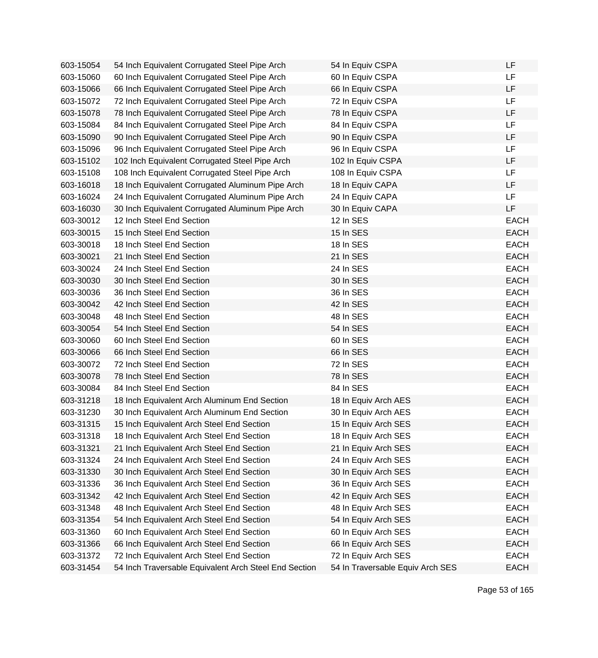| 603-15054 | 54 Inch Equivalent Corrugated Steel Pipe Arch         | 54 In Equiv CSPA                 | LF          |
|-----------|-------------------------------------------------------|----------------------------------|-------------|
| 603-15060 | 60 Inch Equivalent Corrugated Steel Pipe Arch         | 60 In Equiv CSPA                 | LF          |
| 603-15066 | 66 Inch Equivalent Corrugated Steel Pipe Arch         | 66 In Equiv CSPA                 | LF          |
| 603-15072 | 72 Inch Equivalent Corrugated Steel Pipe Arch         | 72 In Equiv CSPA                 | LF          |
| 603-15078 | 78 Inch Equivalent Corrugated Steel Pipe Arch         | 78 In Equiv CSPA                 | LF          |
| 603-15084 | 84 Inch Equivalent Corrugated Steel Pipe Arch         | 84 In Equiv CSPA                 | <b>LF</b>   |
| 603-15090 | 90 Inch Equivalent Corrugated Steel Pipe Arch         | 90 In Equiv CSPA                 | LF          |
| 603-15096 | 96 Inch Equivalent Corrugated Steel Pipe Arch         | 96 In Equiv CSPA                 | LF          |
| 603-15102 | 102 Inch Equivalent Corrugated Steel Pipe Arch        | 102 In Equiv CSPA                | LF          |
| 603-15108 | 108 Inch Equivalent Corrugated Steel Pipe Arch        | 108 In Equiv CSPA                | LF          |
| 603-16018 | 18 Inch Equivalent Corrugated Aluminum Pipe Arch      | 18 In Equiv CAPA                 | LF          |
| 603-16024 | 24 Inch Equivalent Corrugated Aluminum Pipe Arch      | 24 In Equiv CAPA                 | <b>LF</b>   |
| 603-16030 | 30 Inch Equivalent Corrugated Aluminum Pipe Arch      | 30 In Equiv CAPA                 | LF          |
| 603-30012 | 12 Inch Steel End Section                             | 12 In SES                        | <b>EACH</b> |
| 603-30015 | 15 Inch Steel End Section                             | 15 In SES                        | <b>EACH</b> |
| 603-30018 | 18 Inch Steel End Section                             | 18 In SES                        | <b>EACH</b> |
| 603-30021 | 21 Inch Steel End Section                             | 21 In SES                        | <b>EACH</b> |
| 603-30024 | 24 Inch Steel End Section                             | 24 In SES                        | <b>EACH</b> |
| 603-30030 | 30 Inch Steel End Section                             | 30 In SES                        | <b>EACH</b> |
| 603-30036 | 36 Inch Steel End Section                             | 36 In SES                        | <b>EACH</b> |
| 603-30042 | 42 Inch Steel End Section                             | 42 In SES                        | <b>EACH</b> |
| 603-30048 | 48 Inch Steel End Section                             | 48 In SES                        | <b>EACH</b> |
| 603-30054 | 54 Inch Steel End Section                             | 54 In SES                        | <b>EACH</b> |
| 603-30060 | 60 Inch Steel End Section                             | 60 In SES                        | <b>EACH</b> |
| 603-30066 | 66 Inch Steel End Section                             | 66 In SES                        | <b>EACH</b> |
| 603-30072 | 72 Inch Steel End Section                             | 72 In SES                        | <b>EACH</b> |
| 603-30078 | 78 Inch Steel End Section                             | 78 In SES                        | <b>EACH</b> |
| 603-30084 | 84 Inch Steel End Section                             | 84 In SES                        | <b>EACH</b> |
| 603-31218 | 18 Inch Equivalent Arch Aluminum End Section          | 18 In Equiv Arch AES             | <b>EACH</b> |
| 603-31230 | 30 Inch Equivalent Arch Aluminum End Section          | 30 In Equiv Arch AES             | <b>EACH</b> |
| 603-31315 | 15 Inch Equivalent Arch Steel End Section             | 15 In Equiv Arch SES             | <b>EACH</b> |
| 603-31318 | 18 Inch Equivalent Arch Steel End Section             | 18 In Equiv Arch SES             | EACH        |
| 603-31321 | 21 Inch Equivalent Arch Steel End Section             | 21 In Equiv Arch SES             | <b>EACH</b> |
| 603-31324 | 24 Inch Equivalent Arch Steel End Section             | 24 In Equiv Arch SES             | <b>EACH</b> |
| 603-31330 | 30 Inch Equivalent Arch Steel End Section             | 30 In Equiv Arch SES             | <b>EACH</b> |
| 603-31336 | 36 Inch Equivalent Arch Steel End Section             | 36 In Equiv Arch SES             | <b>EACH</b> |
| 603-31342 | 42 Inch Equivalent Arch Steel End Section             | 42 In Equiv Arch SES             | <b>EACH</b> |
| 603-31348 | 48 Inch Equivalent Arch Steel End Section             | 48 In Equiv Arch SES             | <b>EACH</b> |
| 603-31354 | 54 Inch Equivalent Arch Steel End Section             | 54 In Equiv Arch SES             | <b>EACH</b> |
| 603-31360 | 60 Inch Equivalent Arch Steel End Section             | 60 In Equiv Arch SES             | <b>EACH</b> |
| 603-31366 | 66 Inch Equivalent Arch Steel End Section             | 66 In Equiv Arch SES             | <b>EACH</b> |
| 603-31372 | 72 Inch Equivalent Arch Steel End Section             | 72 In Equiv Arch SES             | <b>EACH</b> |
| 603-31454 | 54 Inch Traversable Equivalent Arch Steel End Section | 54 In Traversable Equiv Arch SES | <b>EACH</b> |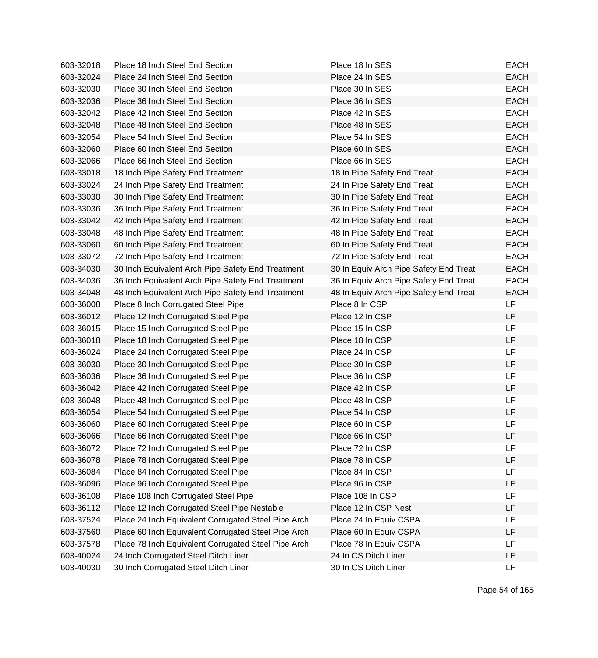| 603-32018 | Place 18 Inch Steel End Section                     | Place 18 In SES                        | <b>EACH</b> |
|-----------|-----------------------------------------------------|----------------------------------------|-------------|
| 603-32024 | Place 24 Inch Steel End Section                     | Place 24 In SES                        | <b>EACH</b> |
| 603-32030 | Place 30 Inch Steel End Section                     | Place 30 In SES                        | <b>EACH</b> |
| 603-32036 | Place 36 Inch Steel End Section                     | Place 36 In SES                        | <b>EACH</b> |
| 603-32042 | Place 42 Inch Steel End Section                     | Place 42 In SES                        | <b>EACH</b> |
| 603-32048 | Place 48 Inch Steel End Section                     | Place 48 In SES                        | <b>EACH</b> |
| 603-32054 | Place 54 Inch Steel End Section                     | Place 54 In SES                        | <b>EACH</b> |
| 603-32060 | Place 60 Inch Steel End Section                     | Place 60 In SES                        | <b>EACH</b> |
| 603-32066 | Place 66 Inch Steel End Section                     | Place 66 In SES                        | <b>EACH</b> |
| 603-33018 | 18 Inch Pipe Safety End Treatment                   | 18 In Pipe Safety End Treat            | <b>EACH</b> |
| 603-33024 | 24 Inch Pipe Safety End Treatment                   | 24 In Pipe Safety End Treat            | <b>EACH</b> |
| 603-33030 | 30 Inch Pipe Safety End Treatment                   | 30 In Pipe Safety End Treat            | <b>EACH</b> |
| 603-33036 | 36 Inch Pipe Safety End Treatment                   | 36 In Pipe Safety End Treat            | <b>EACH</b> |
| 603-33042 | 42 Inch Pipe Safety End Treatment                   | 42 In Pipe Safety End Treat            | <b>EACH</b> |
| 603-33048 | 48 Inch Pipe Safety End Treatment                   | 48 In Pipe Safety End Treat            | <b>EACH</b> |
| 603-33060 | 60 Inch Pipe Safety End Treatment                   | 60 In Pipe Safety End Treat            | <b>EACH</b> |
| 603-33072 | 72 Inch Pipe Safety End Treatment                   | 72 In Pipe Safety End Treat            | <b>EACH</b> |
| 603-34030 | 30 Inch Equivalent Arch Pipe Safety End Treatment   | 30 In Equiv Arch Pipe Safety End Treat | <b>EACH</b> |
| 603-34036 | 36 Inch Equivalent Arch Pipe Safety End Treatment   | 36 In Equiv Arch Pipe Safety End Treat | <b>EACH</b> |
| 603-34048 | 48 Inch Equivalent Arch Pipe Safety End Treatment   | 48 In Equiv Arch Pipe Safety End Treat | <b>EACH</b> |
| 603-36008 | Place 8 Inch Corrugated Steel Pipe                  | Place 8 In CSP                         | LF          |
| 603-36012 | Place 12 Inch Corrugated Steel Pipe                 | Place 12 In CSP                        | LF          |
| 603-36015 | Place 15 Inch Corrugated Steel Pipe                 | Place 15 In CSP                        | LF          |
| 603-36018 | Place 18 Inch Corrugated Steel Pipe                 | Place 18 In CSP                        | LF          |
| 603-36024 | Place 24 Inch Corrugated Steel Pipe                 | Place 24 In CSP                        | LF          |
| 603-36030 | Place 30 Inch Corrugated Steel Pipe                 | Place 30 In CSP                        | LF          |
| 603-36036 | Place 36 Inch Corrugated Steel Pipe                 | Place 36 In CSP                        | LF          |
| 603-36042 | Place 42 Inch Corrugated Steel Pipe                 | Place 42 In CSP                        | <b>LF</b>   |
| 603-36048 | Place 48 Inch Corrugated Steel Pipe                 | Place 48 In CSP                        | LF          |
| 603-36054 | Place 54 Inch Corrugated Steel Pipe                 | Place 54 In CSP                        | LF          |
| 603-36060 | Place 60 Inch Corrugated Steel Pipe                 | Place 60 In CSP                        | LF          |
| 603-36066 | Place 66 Inch Corrugated Steel Pipe                 | Place 66 In CSP                        | LF          |
| 603-36072 | Place 72 Inch Corrugated Steel Pipe                 | Place 72 In CSP                        | <b>LF</b>   |
| 603-36078 | Place 78 Inch Corrugated Steel Pipe                 | Place 78 In CSP                        | LF          |
| 603-36084 | Place 84 Inch Corrugated Steel Pipe                 | Place 84 In CSP                        | LF          |
| 603-36096 | Place 96 Inch Corrugated Steel Pipe                 | Place 96 In CSP                        | LF          |
| 603-36108 | Place 108 Inch Corrugated Steel Pipe                | Place 108 In CSP                       | LF          |
| 603-36112 | Place 12 Inch Corrugated Steel Pipe Nestable        | Place 12 In CSP Nest                   | LF          |
| 603-37524 | Place 24 Inch Equivalent Corrugated Steel Pipe Arch | Place 24 In Equiv CSPA                 | LF          |
| 603-37560 | Place 60 Inch Equivalent Corrugated Steel Pipe Arch | Place 60 In Equiv CSPA                 | LF          |
| 603-37578 | Place 78 Inch Equivalent Corrugated Steel Pipe Arch | Place 78 In Equiv CSPA                 | LF          |
| 603-40024 | 24 Inch Corrugated Steel Ditch Liner                | 24 In CS Ditch Liner                   | LF          |
| 603-40030 | 30 Inch Corrugated Steel Ditch Liner                | 30 In CS Ditch Liner                   | <b>LF</b>   |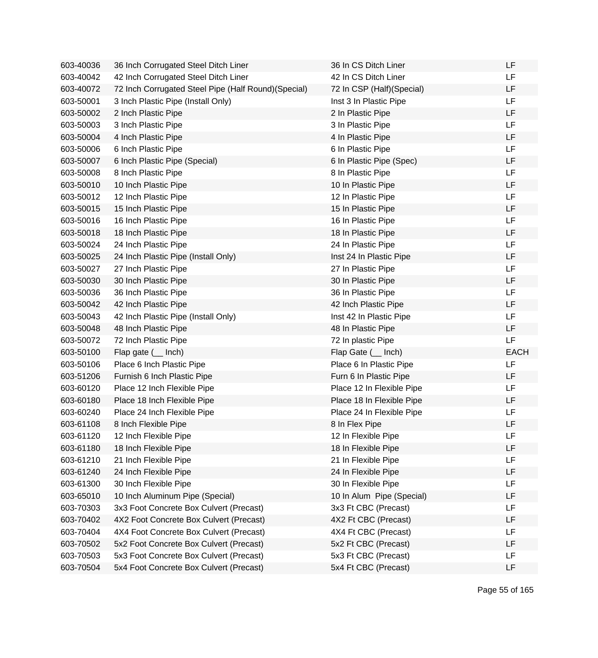| 603-40036 | 36 Inch Corrugated Steel Ditch Liner                 | 36 In CS Ditch Liner      | LF          |
|-----------|------------------------------------------------------|---------------------------|-------------|
| 603-40042 | 42 Inch Corrugated Steel Ditch Liner                 | 42 In CS Ditch Liner      | LF          |
| 603-40072 | 72 Inch Corrugated Steel Pipe (Half Round) (Special) | 72 In CSP (Half)(Special) | <b>LF</b>   |
| 603-50001 | 3 Inch Plastic Pipe (Install Only)                   | Inst 3 In Plastic Pipe    | LF          |
| 603-50002 | 2 Inch Plastic Pipe                                  | 2 In Plastic Pipe         | LF          |
| 603-50003 | 3 Inch Plastic Pipe                                  | 3 In Plastic Pipe         | <b>LF</b>   |
| 603-50004 | 4 Inch Plastic Pipe                                  | 4 In Plastic Pipe         | LF          |
| 603-50006 | 6 Inch Plastic Pipe                                  | 6 In Plastic Pipe         | <b>LF</b>   |
| 603-50007 | 6 Inch Plastic Pipe (Special)                        | 6 In Plastic Pipe (Spec)  | LF          |
| 603-50008 | 8 Inch Plastic Pipe                                  | 8 In Plastic Pipe         | LF          |
| 603-50010 | 10 Inch Plastic Pipe                                 | 10 In Plastic Pipe        | LF          |
| 603-50012 | 12 Inch Plastic Pipe                                 | 12 In Plastic Pipe        | <b>LF</b>   |
| 603-50015 | 15 Inch Plastic Pipe                                 | 15 In Plastic Pipe        | <b>LF</b>   |
| 603-50016 | 16 Inch Plastic Pipe                                 | 16 In Plastic Pipe        | LF          |
| 603-50018 | 18 Inch Plastic Pipe                                 | 18 In Plastic Pipe        | LF          |
| 603-50024 | 24 Inch Plastic Pipe                                 | 24 In Plastic Pipe        | <b>LF</b>   |
| 603-50025 | 24 Inch Plastic Pipe (Install Only)                  | Inst 24 In Plastic Pipe   | LF          |
| 603-50027 | 27 Inch Plastic Pipe                                 | 27 In Plastic Pipe        | <b>LF</b>   |
| 603-50030 | 30 Inch Plastic Pipe                                 | 30 In Plastic Pipe        | LF          |
| 603-50036 | 36 Inch Plastic Pipe                                 | 36 In Plastic Pipe        | LF          |
| 603-50042 | 42 Inch Plastic Pipe                                 | 42 Inch Plastic Pipe      | LF          |
| 603-50043 | 42 Inch Plastic Pipe (Install Only)                  | Inst 42 In Plastic Pipe   | LF          |
| 603-50048 | 48 Inch Plastic Pipe                                 | 48 In Plastic Pipe        | <b>LF</b>   |
| 603-50072 | 72 Inch Plastic Pipe                                 | 72 In plastic Pipe        | LF          |
| 603-50100 | Flap gate $($ Inch)                                  | Flap Gate ( __ Inch)      | <b>EACH</b> |
| 603-50106 | Place 6 Inch Plastic Pipe                            | Place 6 In Plastic Pipe   | <b>LF</b>   |
| 603-51206 | Furnish 6 Inch Plastic Pipe                          | Furn 6 In Plastic Pipe    | LF          |
| 603-60120 | Place 12 Inch Flexible Pipe                          | Place 12 In Flexible Pipe | <b>LF</b>   |
| 603-60180 | Place 18 Inch Flexible Pipe                          | Place 18 In Flexible Pipe | LF          |
| 603-60240 | Place 24 Inch Flexible Pipe                          | Place 24 In Flexible Pipe | LF          |
| 603-61108 | 8 Inch Flexible Pipe                                 | 8 In Flex Pipe            | LF          |
| 603-61120 | 12 Inch Flexible Pipe                                | 12 In Flexible Pipe       | LF          |
| 603-61180 | 18 Inch Flexible Pipe                                | 18 In Flexible Pipe       | LF          |
| 603-61210 | 21 Inch Flexible Pipe                                | 21 In Flexible Pipe       | LF          |
| 603-61240 | 24 Inch Flexible Pipe                                | 24 In Flexible Pipe       | LF          |
| 603-61300 | 30 Inch Flexible Pipe                                | 30 In Flexible Pipe       | LF          |
| 603-65010 | 10 Inch Aluminum Pipe (Special)                      | 10 In Alum Pipe (Special) | LF          |
| 603-70303 | 3x3 Foot Concrete Box Culvert (Precast)              | 3x3 Ft CBC (Precast)      | <b>LF</b>   |
| 603-70402 | 4X2 Foot Concrete Box Culvert (Precast)              | 4X2 Ft CBC (Precast)      | LF          |
| 603-70404 | 4X4 Foot Concrete Box Culvert (Precast)              | 4X4 Ft CBC (Precast)      | LF          |
| 603-70502 | 5x2 Foot Concrete Box Culvert (Precast)              | 5x2 Ft CBC (Precast)      | LF          |
| 603-70503 | 5x3 Foot Concrete Box Culvert (Precast)              | 5x3 Ft CBC (Precast)      | LF          |
| 603-70504 | 5x4 Foot Concrete Box Culvert (Precast)              | 5x4 Ft CBC (Precast)      | LF          |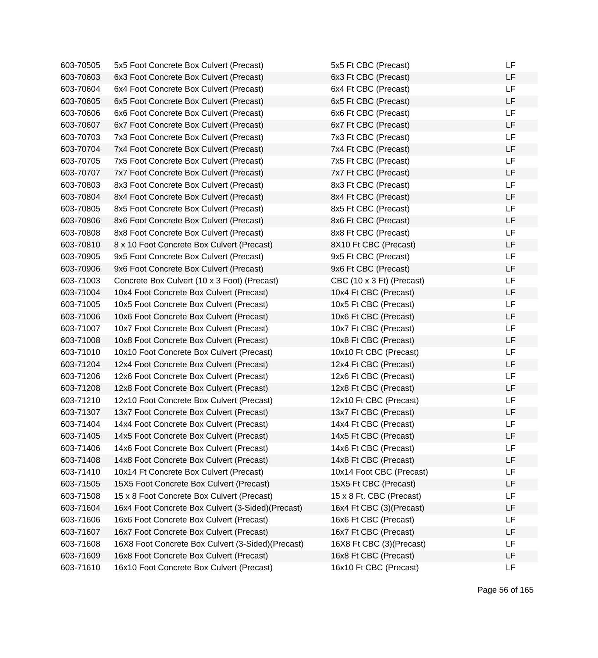| 603-70505 | 5x5 Foot Concrete Box Culvert (Precast)           | 5x5 Ft CBC (Precast)      | LF        |
|-----------|---------------------------------------------------|---------------------------|-----------|
| 603-70603 | 6x3 Foot Concrete Box Culvert (Precast)           | 6x3 Ft CBC (Precast)      | LF        |
| 603-70604 | 6x4 Foot Concrete Box Culvert (Precast)           | 6x4 Ft CBC (Precast)      | LF        |
| 603-70605 | 6x5 Foot Concrete Box Culvert (Precast)           | 6x5 Ft CBC (Precast)      | LF        |
| 603-70606 | 6x6 Foot Concrete Box Culvert (Precast)           | 6x6 Ft CBC (Precast)      | LF        |
| 603-70607 | 6x7 Foot Concrete Box Culvert (Precast)           | 6x7 Ft CBC (Precast)      | LF        |
| 603-70703 | 7x3 Foot Concrete Box Culvert (Precast)           | 7x3 Ft CBC (Precast)      | LF        |
| 603-70704 | 7x4 Foot Concrete Box Culvert (Precast)           | 7x4 Ft CBC (Precast)      | LF        |
| 603-70705 | 7x5 Foot Concrete Box Culvert (Precast)           | 7x5 Ft CBC (Precast)      | <b>LF</b> |
| 603-70707 | 7x7 Foot Concrete Box Culvert (Precast)           | 7x7 Ft CBC (Precast)      | LF        |
| 603-70803 | 8x3 Foot Concrete Box Culvert (Precast)           | 8x3 Ft CBC (Precast)      | LF        |
| 603-70804 | 8x4 Foot Concrete Box Culvert (Precast)           | 8x4 Ft CBC (Precast)      | LF        |
| 603-70805 | 8x5 Foot Concrete Box Culvert (Precast)           | 8x5 Ft CBC (Precast)      | LF        |
| 603-70806 | 8x6 Foot Concrete Box Culvert (Precast)           | 8x6 Ft CBC (Precast)      | LF        |
| 603-70808 | 8x8 Foot Concrete Box Culvert (Precast)           | 8x8 Ft CBC (Precast)      | LF        |
| 603-70810 | 8 x 10 Foot Concrete Box Culvert (Precast)        | 8X10 Ft CBC (Precast)     | LF        |
| 603-70905 | 9x5 Foot Concrete Box Culvert (Precast)           | 9x5 Ft CBC (Precast)      | LF        |
| 603-70906 | 9x6 Foot Concrete Box Culvert (Precast)           | 9x6 Ft CBC (Precast)      | LF        |
| 603-71003 | Concrete Box Culvert (10 x 3 Foot) (Precast)      | CBC (10 x 3 Ft) (Precast) | LF        |
| 603-71004 | 10x4 Foot Concrete Box Culvert (Precast)          | 10x4 Ft CBC (Precast)     | LF        |
| 603-71005 | 10x5 Foot Concrete Box Culvert (Precast)          | 10x5 Ft CBC (Precast)     | LF        |
| 603-71006 | 10x6 Foot Concrete Box Culvert (Precast)          | 10x6 Ft CBC (Precast)     | LF        |
| 603-71007 | 10x7 Foot Concrete Box Culvert (Precast)          | 10x7 Ft CBC (Precast)     | LF        |
| 603-71008 | 10x8 Foot Concrete Box Culvert (Precast)          | 10x8 Ft CBC (Precast)     | LF        |
| 603-71010 | 10x10 Foot Concrete Box Culvert (Precast)         | 10x10 Ft CBC (Precast)    | LF        |
| 603-71204 | 12x4 Foot Concrete Box Culvert (Precast)          | 12x4 Ft CBC (Precast)     | LF        |
| 603-71206 | 12x6 Foot Concrete Box Culvert (Precast)          | 12x6 Ft CBC (Precast)     | LF        |
| 603-71208 | 12x8 Foot Concrete Box Culvert (Precast)          | 12x8 Ft CBC (Precast)     | LF        |
| 603-71210 | 12x10 Foot Concrete Box Culvert (Precast)         | 12x10 Ft CBC (Precast)    | LF        |
| 603-71307 | 13x7 Foot Concrete Box Culvert (Precast)          | 13x7 Ft CBC (Precast)     | LF        |
| 603-71404 | 14x4 Foot Concrete Box Culvert (Precast)          | 14x4 Ft CBC (Precast)     | LF        |
| 603-71405 | 14x5 Foot Concrete Box Culvert (Precast)          | 14x5 Ft CBC (Precast)     | LF        |
| 603-71406 | 14x6 Foot Concrete Box Culvert (Precast)          | 14x6 Ft CBC (Precast)     | LF        |
| 603-71408 | 14x8 Foot Concrete Box Culvert (Precast)          | 14x8 Ft CBC (Precast)     | LF        |
| 603-71410 | 10x14 Ft Concrete Box Culvert (Precast)           | 10x14 Foot CBC (Precast)  | LF        |
| 603-71505 | 15X5 Foot Concrete Box Culvert (Precast)          | 15X5 Ft CBC (Precast)     | LF        |
| 603-71508 | 15 x 8 Foot Concrete Box Culvert (Precast)        | 15 x 8 Ft. CBC (Precast)  | LF        |
| 603-71604 | 16x4 Foot Concrete Box Culvert (3-Sided)(Precast) | 16x4 Ft CBC (3)(Precast)  | LF        |
| 603-71606 | 16x6 Foot Concrete Box Culvert (Precast)          | 16x6 Ft CBC (Precast)     | LF        |
| 603-71607 | 16x7 Foot Concrete Box Culvert (Precast)          | 16x7 Ft CBC (Precast)     | LF        |
| 603-71608 | 16X8 Foot Concrete Box Culvert (3-Sided)(Precast) | 16X8 Ft CBC (3)(Precast)  | LF        |
| 603-71609 | 16x8 Foot Concrete Box Culvert (Precast)          | 16x8 Ft CBC (Precast)     | LF        |
| 603-71610 | 16x10 Foot Concrete Box Culvert (Precast)         | 16x10 Ft CBC (Precast)    | LF        |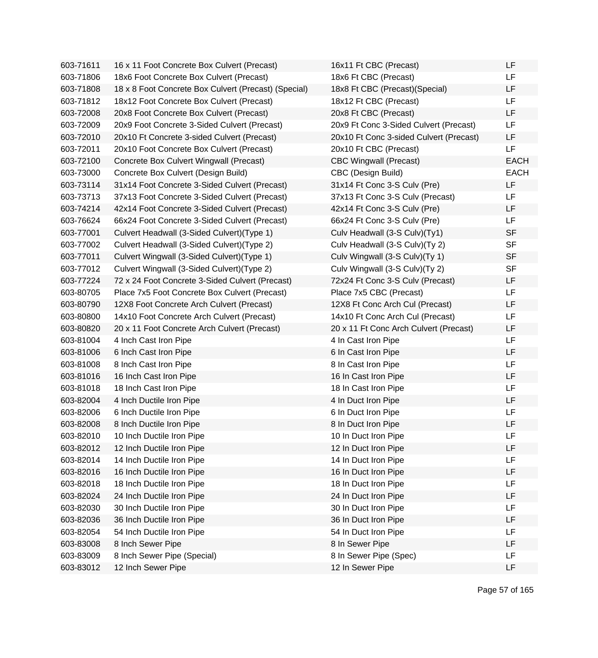| 603-71611 | 16 x 11 Foot Concrete Box Culvert (Precast)          | 16x11 Ft CBC (Precast)                  | LF          |
|-----------|------------------------------------------------------|-----------------------------------------|-------------|
| 603-71806 | 18x6 Foot Concrete Box Culvert (Precast)             | 18x6 Ft CBC (Precast)                   | LF          |
| 603-71808 | 18 x 8 Foot Concrete Box Culvert (Precast) (Special) | 18x8 Ft CBC (Precast)(Special)          | LF          |
| 603-71812 | 18x12 Foot Concrete Box Culvert (Precast)            | 18x12 Ft CBC (Precast)                  | LF          |
| 603-72008 | 20x8 Foot Concrete Box Culvert (Precast)             | 20x8 Ft CBC (Precast)                   | LF          |
| 603-72009 | 20x9 Foot Concrete 3-Sided Culvert (Precast)         | 20x9 Ft Conc 3-Sided Culvert (Precast)  | LF          |
| 603-72010 | 20x10 Ft Concrete 3-sided Culvert (Precast)          | 20x10 Ft Conc 3-sided Culvert (Precast) | LF          |
| 603-72011 | 20x10 Foot Concrete Box Culvert (Precast)            | 20x10 Ft CBC (Precast)                  | <b>LF</b>   |
| 603-72100 | Concrete Box Culvert Wingwall (Precast)              | <b>CBC Wingwall (Precast)</b>           | <b>EACH</b> |
| 603-73000 | Concrete Box Culvert (Design Build)                  | CBC (Design Build)                      | <b>EACH</b> |
| 603-73114 | 31x14 Foot Concrete 3-Sided Culvert (Precast)        | 31x14 Ft Conc 3-S Culv (Pre)            | LF          |
| 603-73713 | 37x13 Foot Concrete 3-Sided Culvert (Precast)        | 37x13 Ft Conc 3-S Culv (Precast)        | LF          |
| 603-74214 | 42x14 Foot Concrete 3-Sided Culvert (Precast)        | 42x14 Ft Conc 3-S Culv (Pre)            | LF          |
| 603-76624 | 66x24 Foot Concrete 3-Sided Culvert (Precast)        | 66x24 Ft Conc 3-S Culv (Pre)            | LF          |
| 603-77001 | Culvert Headwall (3-Sided Culvert) (Type 1)          | Culv Headwall (3-S Culv)(Ty1)           | <b>SF</b>   |
| 603-77002 | Culvert Headwall (3-Sided Culvert)(Type 2)           | Culv Headwall (3-S Culv)(Ty 2)          | <b>SF</b>   |
| 603-77011 | Culvert Wingwall (3-Sided Culvert) (Type 1)          | Culv Wingwall (3-S Culv)(Ty 1)          | <b>SF</b>   |
| 603-77012 | Culvert Wingwall (3-Sided Culvert) (Type 2)          | Culv Wingwall (3-S Culv)(Ty 2)          | <b>SF</b>   |
| 603-77224 | 72 x 24 Foot Concrete 3-Sided Culvert (Precast)      | 72x24 Ft Conc 3-S Culv (Precast)        | LF          |
| 603-80705 | Place 7x5 Foot Concrete Box Culvert (Precast)        | Place 7x5 CBC (Precast)                 | LF          |
| 603-80790 | 12X8 Foot Concrete Arch Culvert (Precast)            | 12X8 Ft Conc Arch Cul (Precast)         | LF          |
| 603-80800 | 14x10 Foot Concrete Arch Culvert (Precast)           | 14x10 Ft Conc Arch Cul (Precast)        | LF          |
| 603-80820 | 20 x 11 Foot Concrete Arch Culvert (Precast)         | 20 x 11 Ft Conc Arch Culvert (Precast)  | LF          |
| 603-81004 | 4 Inch Cast Iron Pipe                                | 4 In Cast Iron Pipe                     | LF          |
| 603-81006 | 6 Inch Cast Iron Pipe                                | 6 In Cast Iron Pipe                     | LF          |
| 603-81008 | 8 Inch Cast Iron Pipe                                | 8 In Cast Iron Pipe                     | LF          |
| 603-81016 | 16 Inch Cast Iron Pipe                               | 16 In Cast Iron Pipe                    | LF          |
| 603-81018 | 18 Inch Cast Iron Pipe                               | 18 In Cast Iron Pipe                    | LF          |
| 603-82004 | 4 Inch Ductile Iron Pipe                             | 4 In Duct Iron Pipe                     | LF          |
| 603-82006 | 6 Inch Ductile Iron Pipe                             | 6 In Duct Iron Pipe                     | LF          |
| 603-82008 | 8 Inch Ductile Iron Pipe                             | 8 In Duct Iron Pipe                     | LF          |
| 603-82010 | 10 Inch Ductile Iron Pipe                            | 10 In Duct Iron Pipe                    | LF          |
| 603-82012 | 12 Inch Ductile Iron Pipe                            | 12 In Duct Iron Pipe                    | LF          |
| 603-82014 | 14 Inch Ductile Iron Pipe                            | 14 In Duct Iron Pipe                    | LF          |
| 603-82016 | 16 Inch Ductile Iron Pipe                            | 16 In Duct Iron Pipe                    | LF          |
| 603-82018 | 18 Inch Ductile Iron Pipe                            | 18 In Duct Iron Pipe                    | LF          |
| 603-82024 | 24 Inch Ductile Iron Pipe                            | 24 In Duct Iron Pipe                    | LF          |
| 603-82030 | 30 Inch Ductile Iron Pipe                            | 30 In Duct Iron Pipe                    | LF          |
| 603-82036 | 36 Inch Ductile Iron Pipe                            | 36 In Duct Iron Pipe                    | LF          |
| 603-82054 | 54 Inch Ductile Iron Pipe                            | 54 In Duct Iron Pipe                    | LF          |
| 603-83008 | 8 Inch Sewer Pipe                                    | 8 In Sewer Pipe                         | LF          |
| 603-83009 | 8 Inch Sewer Pipe (Special)                          | 8 In Sewer Pipe (Spec)                  | LF          |
| 603-83012 | 12 Inch Sewer Pipe                                   | 12 In Sewer Pipe                        | LF          |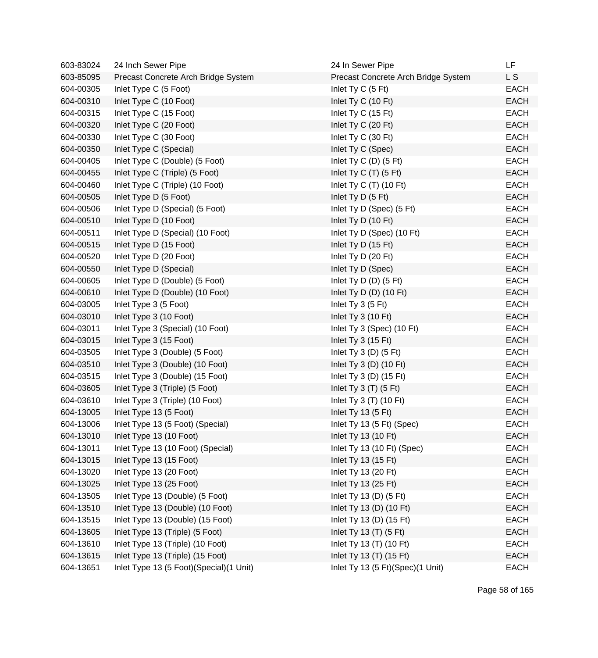| 603-83024 | 24 Inch Sewer Pipe                      | 24 In Sewer Pipe                    | LF.         |
|-----------|-----------------------------------------|-------------------------------------|-------------|
| 603-85095 | Precast Concrete Arch Bridge System     | Precast Concrete Arch Bridge System | L S         |
| 604-00305 | Inlet Type C (5 Foot)                   | Inlet Ty C (5 Ft)                   | <b>EACH</b> |
| 604-00310 | Inlet Type C (10 Foot)                  | Inlet Ty C (10 Ft)                  | <b>EACH</b> |
| 604-00315 | Inlet Type C (15 Foot)                  | Inlet Ty C (15 Ft)                  | <b>EACH</b> |
| 604-00320 | Inlet Type C (20 Foot)                  | Inlet Ty C (20 Ft)                  | <b>EACH</b> |
| 604-00330 | Inlet Type C (30 Foot)                  | Inlet Ty C (30 Ft)                  | <b>EACH</b> |
| 604-00350 | Inlet Type C (Special)                  | Inlet Ty C (Spec)                   | <b>EACH</b> |
| 604-00405 | Inlet Type C (Double) (5 Foot)          | Inlet $Ty C(D)$ (5 Ft)              | <b>EACH</b> |
| 604-00455 | Inlet Type C (Triple) (5 Foot)          | Inlet Ty C $(T)$ (5 Ft)             | <b>EACH</b> |
| 604-00460 | Inlet Type C (Triple) (10 Foot)         | Inlet Ty C $(T)$ (10 Ft)            | <b>EACH</b> |
| 604-00505 | Inlet Type D (5 Foot)                   | Inlet Ty D (5 Ft)                   | <b>EACH</b> |
| 604-00506 | Inlet Type D (Special) (5 Foot)         | Inlet Ty D (Spec) (5 Ft)            | <b>EACH</b> |
| 604-00510 | Inlet Type D (10 Foot)                  | Inlet Ty D (10 Ft)                  | <b>EACH</b> |
| 604-00511 | Inlet Type D (Special) (10 Foot)        | Inlet Ty D (Spec) (10 Ft)           | <b>EACH</b> |
| 604-00515 | Inlet Type D (15 Foot)                  | Inlet Ty D (15 Ft)                  | <b>EACH</b> |
| 604-00520 | Inlet Type D (20 Foot)                  | Inlet Ty D (20 Ft)                  | <b>EACH</b> |
| 604-00550 | Inlet Type D (Special)                  | Inlet Ty D (Spec)                   | <b>EACH</b> |
| 604-00605 | Inlet Type D (Double) (5 Foot)          | Inlet Ty D $(D)$ $(5 \text{ Ft})$   | <b>EACH</b> |
| 604-00610 | Inlet Type D (Double) (10 Foot)         | Inlet Ty D $(D)$ (10 Ft)            | <b>EACH</b> |
| 604-03005 | Inlet Type 3 (5 Foot)                   | Inlet Ty $3(5Ft)$                   | <b>EACH</b> |
| 604-03010 | Inlet Type 3 (10 Foot)                  | Inlet Ty 3 (10 Ft)                  | <b>EACH</b> |
| 604-03011 | Inlet Type 3 (Special) (10 Foot)        | Inlet Ty 3 (Spec) (10 Ft)           | <b>EACH</b> |
| 604-03015 | Inlet Type 3 (15 Foot)                  | Inlet Ty $3(15 \text{ Ft})$         | <b>EACH</b> |
| 604-03505 | Inlet Type 3 (Double) (5 Foot)          | Inlet Ty $3(D)$ (5 Ft)              | <b>EACH</b> |
| 604-03510 | Inlet Type 3 (Double) (10 Foot)         | Inlet Ty $3(D)$ (10 Ft)             | <b>EACH</b> |
| 604-03515 | Inlet Type 3 (Double) (15 Foot)         | Inlet Ty 3 (D) $(15 \text{ Ft})$    | <b>EACH</b> |
| 604-03605 | Inlet Type 3 (Triple) (5 Foot)          | Inlet Ty $3(T)$ (5 Ft)              | <b>EACH</b> |
| 604-03610 | Inlet Type 3 (Triple) (10 Foot)         | Inlet Ty 3 (T) (10 Ft)              | <b>EACH</b> |
| 604-13005 | Inlet Type 13 (5 Foot)                  | Inlet Ty 13 $(5 \text{ Ft})$        | <b>EACH</b> |
| 604-13006 | Inlet Type 13 (5 Foot) (Special)        | Inlet Ty 13 (5 Ft) (Spec)           | <b>EACH</b> |
| 604-13010 | Inlet Type 13 (10 Foot)                 | Inlet Ty 13 (10 Ft)                 | EACH        |
| 604-13011 | Inlet Type 13 (10 Foot) (Special)       | Inlet Ty 13 (10 Ft) (Spec)          | <b>EACH</b> |
| 604-13015 | Inlet Type 13 (15 Foot)                 | Inlet Ty 13 (15 Ft)                 | <b>EACH</b> |
| 604-13020 | Inlet Type 13 (20 Foot)                 | Inlet Ty 13 (20 Ft)                 | <b>EACH</b> |
| 604-13025 | Inlet Type 13 (25 Foot)                 | Inlet Ty 13 (25 Ft)                 | <b>EACH</b> |
| 604-13505 | Inlet Type 13 (Double) (5 Foot)         | Inlet Ty 13 (D) $(5 \text{ Ft})$    | <b>EACH</b> |
| 604-13510 | Inlet Type 13 (Double) (10 Foot)        | Inlet Ty 13 (D) (10 Ft)             | <b>EACH</b> |
| 604-13515 | Inlet Type 13 (Double) (15 Foot)        | Inlet Ty 13 (D) (15 Ft)             | <b>EACH</b> |
| 604-13605 | Inlet Type 13 (Triple) (5 Foot)         | Inlet Ty 13 (T) (5 Ft)              | <b>EACH</b> |
| 604-13610 | Inlet Type 13 (Triple) (10 Foot)        | Inlet Ty 13 (T) (10 Ft)             | <b>EACH</b> |
| 604-13615 | Inlet Type 13 (Triple) (15 Foot)        | Inlet Ty 13 (T) (15 Ft)             | <b>EACH</b> |
| 604-13651 | Inlet Type 13 (5 Foot)(Special)(1 Unit) | Inlet Ty 13 (5 Ft)(Spec)(1 Unit)    | EACH        |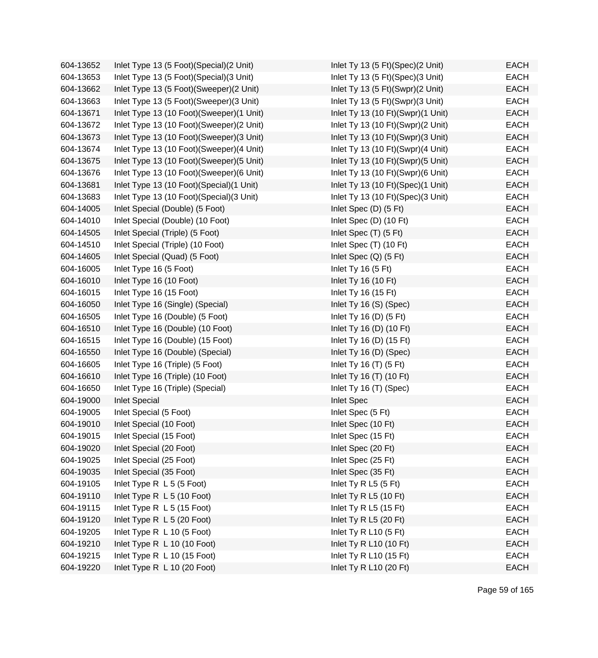| 604-13652 | Inlet Type 13 (5 Foot) (Special) (2 Unit)  | Inlet Ty 13 (5 Ft)(Spec)(2 Unit)  | <b>EACH</b> |
|-----------|--------------------------------------------|-----------------------------------|-------------|
| 604-13653 | Inlet Type 13 (5 Foot) (Special) (3 Unit)  | Inlet Ty 13 (5 Ft)(Spec)(3 Unit)  | <b>EACH</b> |
| 604-13662 | Inlet Type 13 (5 Foot)(Sweeper)(2 Unit)    | Inlet Ty 13 (5 Ft)(Swpr)(2 Unit)  | <b>EACH</b> |
| 604-13663 | Inlet Type 13 (5 Foot) (Sweeper) (3 Unit)  | Inlet Ty 13 (5 Ft)(Swpr)(3 Unit)  | <b>EACH</b> |
| 604-13671 | Inlet Type 13 (10 Foot)(Sweeper)(1 Unit)   | Inlet Ty 13 (10 Ft)(Swpr)(1 Unit) | <b>EACH</b> |
| 604-13672 | Inlet Type 13 (10 Foot)(Sweeper)(2 Unit)   | Inlet Ty 13 (10 Ft)(Swpr)(2 Unit) | <b>EACH</b> |
| 604-13673 | Inlet Type 13 (10 Foot)(Sweeper)(3 Unit)   | Inlet Ty 13 (10 Ft)(Swpr)(3 Unit) | <b>EACH</b> |
| 604-13674 | Inlet Type 13 (10 Foot)(Sweeper)(4 Unit)   | Inlet Ty 13 (10 Ft)(Swpr)(4 Unit) | <b>EACH</b> |
| 604-13675 | Inlet Type 13 (10 Foot)(Sweeper)(5 Unit)   | Inlet Ty 13 (10 Ft)(Swpr)(5 Unit) | <b>EACH</b> |
| 604-13676 | Inlet Type 13 (10 Foot)(Sweeper)(6 Unit)   | Inlet Ty 13 (10 Ft)(Swpr)(6 Unit) | <b>EACH</b> |
| 604-13681 | Inlet Type 13 (10 Foot) (Special) (1 Unit) | Inlet Ty 13 (10 Ft)(Spec)(1 Unit) | <b>EACH</b> |
| 604-13683 | Inlet Type 13 (10 Foot) (Special) (3 Unit) | Inlet Ty 13 (10 Ft)(Spec)(3 Unit) | <b>EACH</b> |
| 604-14005 | Inlet Special (Double) (5 Foot)            | Inlet Spec (D) (5 Ft)             | <b>EACH</b> |
| 604-14010 | Inlet Special (Double) (10 Foot)           | Inlet Spec (D) (10 Ft)            | <b>EACH</b> |
| 604-14505 | Inlet Special (Triple) (5 Foot)            | Inlet Spec (T) (5 Ft)             | <b>EACH</b> |
| 604-14510 | Inlet Special (Triple) (10 Foot)           | Inlet Spec (T) (10 Ft)            | <b>EACH</b> |
| 604-14605 | Inlet Special (Quad) (5 Foot)              | Inlet Spec (Q) (5 Ft)             | <b>EACH</b> |
| 604-16005 | Inlet Type 16 (5 Foot)                     | Inlet Ty 16 (5 Ft)                | <b>EACH</b> |
| 604-16010 | Inlet Type 16 (10 Foot)                    | Inlet Ty 16 (10 Ft)               | <b>EACH</b> |
| 604-16015 | Inlet Type 16 (15 Foot)                    | Inlet Ty 16 (15 Ft)               | <b>EACH</b> |
| 604-16050 | Inlet Type 16 (Single) (Special)           | Inlet Ty 16 (S) (Spec)            | <b>EACH</b> |
| 604-16505 | Inlet Type 16 (Double) (5 Foot)            | Inlet Ty 16 (D) $(5 \text{ Ft})$  | <b>EACH</b> |
| 604-16510 | Inlet Type 16 (Double) (10 Foot)           | Inlet Ty 16 (D) (10 Ft)           | <b>EACH</b> |
| 604-16515 | Inlet Type 16 (Double) (15 Foot)           | Inlet Ty 16 (D) (15 Ft)           | <b>EACH</b> |
| 604-16550 | Inlet Type 16 (Double) (Special)           | Inlet Ty 16 (D) (Spec)            | <b>EACH</b> |
| 604-16605 | Inlet Type 16 (Triple) (5 Foot)            | Inlet Ty 16 $(T)$ (5 Ft)          | <b>EACH</b> |
| 604-16610 | Inlet Type 16 (Triple) (10 Foot)           | Inlet Ty 16 (T) (10 Ft)           | <b>EACH</b> |
| 604-16650 | Inlet Type 16 (Triple) (Special)           | Inlet Ty 16 (T) (Spec)            | <b>EACH</b> |
| 604-19000 | <b>Inlet Special</b>                       | <b>Inlet Spec</b>                 | <b>EACH</b> |
| 604-19005 | Inlet Special (5 Foot)                     | Inlet Spec (5 Ft)                 | <b>EACH</b> |
| 604-19010 | Inlet Special (10 Foot)                    | Inlet Spec (10 Ft)                | <b>EACH</b> |
| 604-19015 | Inlet Special (15 Foot)                    | Inlet Spec (15 Ft)                | <b>EACH</b> |
| 604-19020 | Inlet Special (20 Foot)                    | Inlet Spec (20 Ft)                | <b>EACH</b> |
| 604-19025 | Inlet Special (25 Foot)                    | Inlet Spec (25 Ft)                | <b>EACH</b> |
| 604-19035 | Inlet Special (35 Foot)                    | Inlet Spec (35 Ft)                | <b>EACH</b> |
| 604-19105 | Inlet Type R L 5 (5 Foot)                  | Inlet Ty R L5 (5 Ft)              | <b>EACH</b> |
| 604-19110 | Inlet Type R L 5 (10 Foot)                 | Inlet Ty R L5 (10 Ft)             | <b>EACH</b> |
| 604-19115 | Inlet Type R L 5 (15 Foot)                 | Inlet Ty R L5 (15 Ft)             | <b>EACH</b> |
| 604-19120 | Inlet Type R L 5 (20 Foot)                 | Inlet Ty R L5 (20 Ft)             | <b>EACH</b> |
| 604-19205 | Inlet Type R L 10 (5 Foot)                 | Inlet Ty R L10 (5 Ft)             | <b>EACH</b> |
| 604-19210 | Inlet Type R L 10 (10 Foot)                | Inlet Ty R L10 (10 Ft)            | <b>EACH</b> |
| 604-19215 | Inlet Type R L 10 (15 Foot)                | Inlet Ty R L10 (15 Ft)            | <b>EACH</b> |
| 604-19220 | Inlet Type R L 10 (20 Foot)                | Inlet Ty R L10 (20 Ft)            | <b>EACH</b> |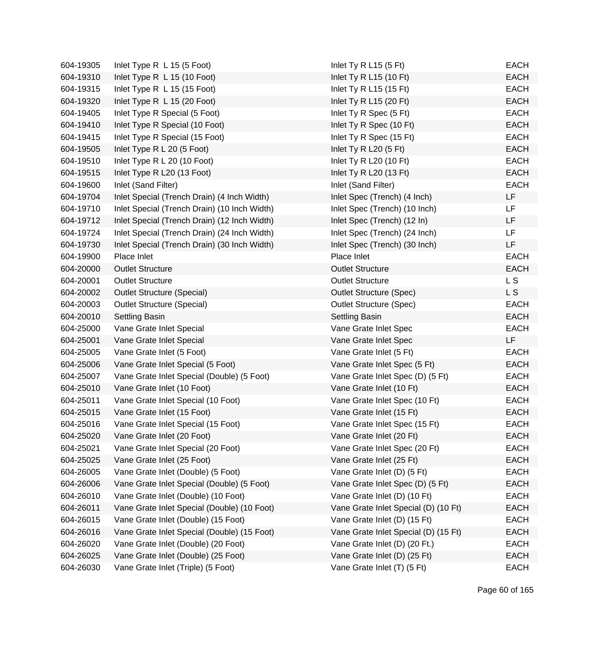| 604-19305 | Inlet Type R L 15 (5 Foot)                   | Inlet Ty R L15 (5 Ft)                | <b>EACH</b> |
|-----------|----------------------------------------------|--------------------------------------|-------------|
| 604-19310 | Inlet Type $R$ L 15 (10 Foot)                | Inlet Ty R L15 (10 Ft)               | <b>EACH</b> |
| 604-19315 | Inlet Type R L 15 (15 Foot)                  | Inlet Ty R L15 (15 Ft)               | <b>EACH</b> |
| 604-19320 | Inlet Type R L 15 (20 Foot)                  | Inlet Ty R L15 (20 Ft)               | <b>EACH</b> |
| 604-19405 | Inlet Type R Special (5 Foot)                | Inlet Ty R Spec (5 Ft)               | <b>EACH</b> |
| 604-19410 | Inlet Type R Special (10 Foot)               | Inlet Ty R Spec (10 Ft)              | <b>EACH</b> |
| 604-19415 | Inlet Type R Special (15 Foot)               | Inlet Ty R Spec (15 Ft)              | <b>EACH</b> |
| 604-19505 | Inlet Type R L 20 (5 Foot)                   | Inlet Ty R L20 $(5$ Ft)              | <b>EACH</b> |
| 604-19510 | Inlet Type R L 20 (10 Foot)                  | Inlet Ty R L20 (10 Ft)               | <b>EACH</b> |
| 604-19515 | Inlet Type R L20 (13 Foot)                   | Inlet Ty R L20 (13 Ft)               | <b>EACH</b> |
| 604-19600 | Inlet (Sand Filter)                          | Inlet (Sand Filter)                  | <b>EACH</b> |
| 604-19704 | Inlet Special (Trench Drain) (4 Inch Width)  | Inlet Spec (Trench) (4 Inch)         | LF          |
| 604-19710 | Inlet Special (Trench Drain) (10 Inch Width) | Inlet Spec (Trench) (10 Inch)        | <b>LF</b>   |
| 604-19712 | Inlet Special (Trench Drain) (12 Inch Width) | Inlet Spec (Trench) (12 In)          | LF          |
| 604-19724 | Inlet Special (Trench Drain) (24 Inch Width) | Inlet Spec (Trench) (24 Inch)        | LF          |
| 604-19730 | Inlet Special (Trench Drain) (30 Inch Width) | Inlet Spec (Trench) (30 Inch)        | LF          |
| 604-19900 | Place Inlet                                  | Place Inlet                          | <b>EACH</b> |
| 604-20000 | <b>Outlet Structure</b>                      | <b>Outlet Structure</b>              | <b>EACH</b> |
| 604-20001 | <b>Outlet Structure</b>                      | <b>Outlet Structure</b>              | L S         |
| 604-20002 | <b>Outlet Structure (Special)</b>            | <b>Outlet Structure (Spec)</b>       | L S         |
| 604-20003 | <b>Outlet Structure (Special)</b>            | <b>Outlet Structure (Spec)</b>       | <b>EACH</b> |
| 604-20010 | <b>Settling Basin</b>                        | <b>Settling Basin</b>                | <b>EACH</b> |
| 604-25000 | Vane Grate Inlet Special                     | Vane Grate Inlet Spec                | <b>EACH</b> |
| 604-25001 | Vane Grate Inlet Special                     | Vane Grate Inlet Spec                | LF          |
| 604-25005 | Vane Grate Inlet (5 Foot)                    | Vane Grate Inlet (5 Ft)              | <b>EACH</b> |
| 604-25006 | Vane Grate Inlet Special (5 Foot)            | Vane Grate Inlet Spec (5 Ft)         | <b>EACH</b> |
| 604-25007 | Vane Grate Inlet Special (Double) (5 Foot)   | Vane Grate Inlet Spec (D) (5 Ft)     | <b>EACH</b> |
| 604-25010 | Vane Grate Inlet (10 Foot)                   | Vane Grate Inlet (10 Ft)             | <b>EACH</b> |
| 604-25011 | Vane Grate Inlet Special (10 Foot)           | Vane Grate Inlet Spec (10 Ft)        | <b>EACH</b> |
| 604-25015 | Vane Grate Inlet (15 Foot)                   | Vane Grate Inlet (15 Ft)             | <b>EACH</b> |
| 604-25016 | Vane Grate Inlet Special (15 Foot)           | Vane Grate Inlet Spec (15 Ft)        | <b>EACH</b> |
| 604-25020 | Vane Grate Inlet (20 Foot)                   | Vane Grate Inlet (20 Ft)             | EACH        |
| 604-25021 | Vane Grate Inlet Special (20 Foot)           | Vane Grate Inlet Spec (20 Ft)        | <b>EACH</b> |
| 604-25025 | Vane Grate Inlet (25 Foot)                   | Vane Grate Inlet (25 Ft)             | <b>EACH</b> |
| 604-26005 | Vane Grate Inlet (Double) (5 Foot)           | Vane Grate Inlet (D) (5 Ft)          | <b>EACH</b> |
| 604-26006 | Vane Grate Inlet Special (Double) (5 Foot)   | Vane Grate Inlet Spec (D) (5 Ft)     | EACH        |
| 604-26010 | Vane Grate Inlet (Double) (10 Foot)          | Vane Grate Inlet (D) (10 Ft)         | EACH        |
| 604-26011 | Vane Grate Inlet Special (Double) (10 Foot)  | Vane Grate Inlet Special (D) (10 Ft) | <b>EACH</b> |
| 604-26015 | Vane Grate Inlet (Double) (15 Foot)          | Vane Grate Inlet (D) (15 Ft)         | <b>EACH</b> |
| 604-26016 | Vane Grate Inlet Special (Double) (15 Foot)  | Vane Grate Inlet Special (D) (15 Ft) | EACH        |
| 604-26020 | Vane Grate Inlet (Double) (20 Foot)          | Vane Grate Inlet (D) (20 Ft.)        | <b>EACH</b> |
| 604-26025 | Vane Grate Inlet (Double) (25 Foot)          | Vane Grate Inlet (D) (25 Ft)         | EACH        |
| 604-26030 | Vane Grate Inlet (Triple) (5 Foot)           | Vane Grate Inlet (T) (5 Ft)          | <b>EACH</b> |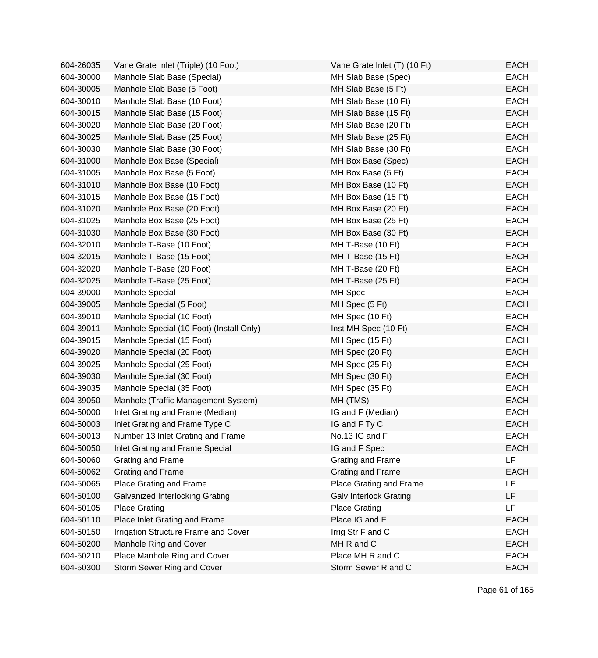| 604-26035 | Vane Grate Inlet (Triple) (10 Foot)      | Vane Grate Inlet (T) (10 Ft)  | <b>EACH</b> |
|-----------|------------------------------------------|-------------------------------|-------------|
| 604-30000 | Manhole Slab Base (Special)              | MH Slab Base (Spec)           | <b>EACH</b> |
| 604-30005 | Manhole Slab Base (5 Foot)               | MH Slab Base (5 Ft)           | <b>EACH</b> |
| 604-30010 | Manhole Slab Base (10 Foot)              | MH Slab Base (10 Ft)          | <b>EACH</b> |
| 604-30015 | Manhole Slab Base (15 Foot)              | MH Slab Base (15 Ft)          | <b>EACH</b> |
| 604-30020 | Manhole Slab Base (20 Foot)              | MH Slab Base (20 Ft)          | <b>EACH</b> |
| 604-30025 | Manhole Slab Base (25 Foot)              | MH Slab Base (25 Ft)          | <b>EACH</b> |
| 604-30030 | Manhole Slab Base (30 Foot)              | MH Slab Base (30 Ft)          | <b>EACH</b> |
| 604-31000 | Manhole Box Base (Special)               | MH Box Base (Spec)            | <b>EACH</b> |
| 604-31005 | Manhole Box Base (5 Foot)                | MH Box Base (5 Ft)            | <b>EACH</b> |
| 604-31010 | Manhole Box Base (10 Foot)               | MH Box Base (10 Ft)           | <b>EACH</b> |
| 604-31015 | Manhole Box Base (15 Foot)               | MH Box Base (15 Ft)           | <b>EACH</b> |
| 604-31020 | Manhole Box Base (20 Foot)               | MH Box Base (20 Ft)           | <b>EACH</b> |
| 604-31025 | Manhole Box Base (25 Foot)               | MH Box Base (25 Ft)           | <b>EACH</b> |
| 604-31030 | Manhole Box Base (30 Foot)               | MH Box Base (30 Ft)           | <b>EACH</b> |
| 604-32010 | Manhole T-Base (10 Foot)                 | MH T-Base (10 Ft)             | <b>EACH</b> |
| 604-32015 | Manhole T-Base (15 Foot)                 | MH T-Base (15 Ft)             | <b>EACH</b> |
| 604-32020 | Manhole T-Base (20 Foot)                 | MH T-Base (20 Ft)             | <b>EACH</b> |
| 604-32025 | Manhole T-Base (25 Foot)                 | MH T-Base (25 Ft)             | <b>EACH</b> |
| 604-39000 | Manhole Special                          | MH Spec                       | <b>EACH</b> |
| 604-39005 | Manhole Special (5 Foot)                 | MH Spec (5 Ft)                | <b>EACH</b> |
| 604-39010 | Manhole Special (10 Foot)                | MH Spec (10 Ft)               | <b>EACH</b> |
| 604-39011 | Manhole Special (10 Foot) (Install Only) | Inst MH Spec (10 Ft)          | <b>EACH</b> |
| 604-39015 | Manhole Special (15 Foot)                | MH Spec (15 Ft)               | <b>EACH</b> |
| 604-39020 | Manhole Special (20 Foot)                | MH Spec (20 Ft)               | <b>EACH</b> |
| 604-39025 | Manhole Special (25 Foot)                | MH Spec (25 Ft)               | <b>EACH</b> |
| 604-39030 | Manhole Special (30 Foot)                | MH Spec (30 Ft)               | <b>EACH</b> |
| 604-39035 | Manhole Special (35 Foot)                | MH Spec (35 Ft)               | <b>EACH</b> |
| 604-39050 | Manhole (Traffic Management System)      | MH (TMS)                      | <b>EACH</b> |
| 604-50000 | Inlet Grating and Frame (Median)         | IG and F (Median)             | <b>EACH</b> |
| 604-50003 | Inlet Grating and Frame Type C           | IG and F Ty C                 | <b>EACH</b> |
| 604-50013 | Number 13 Inlet Grating and Frame        | No.13 IG and F                | <b>EACH</b> |
| 604-50050 | Inlet Grating and Frame Special          | IG and F Spec                 | <b>EACH</b> |
| 604-50060 | Grating and Frame                        | Grating and Frame             | <b>LF</b>   |
| 604-50062 | Grating and Frame                        | Grating and Frame             | <b>EACH</b> |
| 604-50065 | Place Grating and Frame                  | Place Grating and Frame       | LF          |
| 604-50100 | Galvanized Interlocking Grating          | <b>Galv Interlock Grating</b> | LF          |
| 604-50105 | <b>Place Grating</b>                     | <b>Place Grating</b>          | <b>LF</b>   |
| 604-50110 | Place Inlet Grating and Frame            | Place IG and F                | <b>EACH</b> |
| 604-50150 | Irrigation Structure Frame and Cover     | Irrig Str F and C             | <b>EACH</b> |
| 604-50200 | Manhole Ring and Cover                   | MH R and C                    | <b>EACH</b> |
| 604-50210 | Place Manhole Ring and Cover             | Place MH R and C              | <b>EACH</b> |
| 604-50300 | Storm Sewer Ring and Cover               | Storm Sewer R and C           | <b>EACH</b> |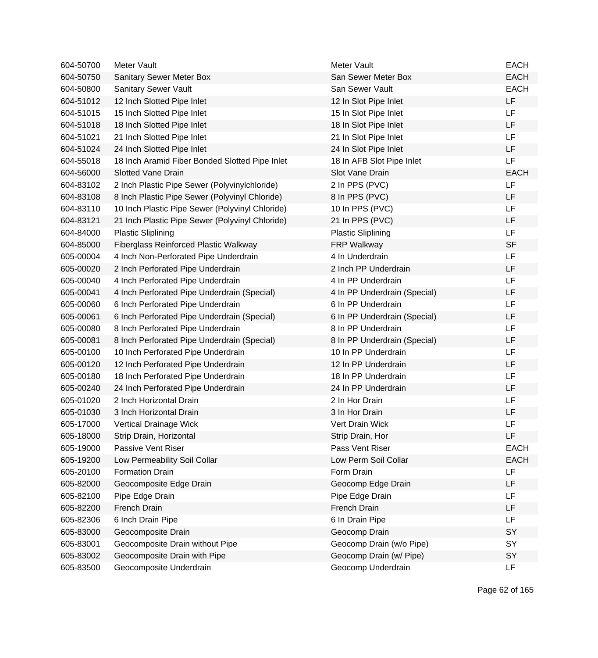| 604-50700 | Meter Vault                                     | Meter Vault                  | <b>EACH</b> |
|-----------|-------------------------------------------------|------------------------------|-------------|
| 604-50750 | Sanitary Sewer Meter Box                        | San Sewer Meter Box          | <b>EACH</b> |
| 604-50800 | Sanitary Sewer Vault                            | San Sewer Vault              | <b>EACH</b> |
| 604-51012 | 12 Inch Slotted Pipe Inlet                      | 12 In Slot Pipe Inlet        | LF          |
| 604-51015 | 15 Inch Slotted Pipe Inlet                      | 15 In Slot Pipe Inlet        | LF          |
| 604-51018 | 18 Inch Slotted Pipe Inlet                      | 18 In Slot Pipe Inlet        | LF          |
| 604-51021 | 21 Inch Slotted Pipe Inlet                      | 21 In Slot Pipe Inlet        | <b>LF</b>   |
| 604-51024 | 24 Inch Slotted Pipe Inlet                      | 24 In Slot Pipe Inlet        | LF          |
| 604-55018 | 18 Inch Aramid Fiber Bonded Slotted Pipe Inlet  | 18 In AFB Slot Pipe Inlet    | LF          |
| 604-56000 | <b>Slotted Vane Drain</b>                       | Slot Vane Drain              | <b>EACH</b> |
| 604-83102 | 2 Inch Plastic Pipe Sewer (Polyvinylchloride)   | 2 In PPS (PVC)               | LF          |
| 604-83108 | 8 Inch Plastic Pipe Sewer (Polyvinyl Chloride)  | 8 In PPS (PVC)               | LF          |
| 604-83110 | 10 Inch Plastic Pipe Sewer (Polyvinyl Chloride) | 10 In PPS (PVC)              | LF          |
| 604-83121 | 21 Inch Plastic Pipe Sewer (Polyvinyl Chloride) | 21 In PPS (PVC)              | LF          |
| 604-84000 | <b>Plastic Sliplining</b>                       | <b>Plastic Sliplining</b>    | LF          |
| 604-85000 | Fiberglass Reinforced Plastic Walkway           | <b>FRP Walkway</b>           | <b>SF</b>   |
| 605-00004 | 4 Inch Non-Perforated Pipe Underdrain           | 4 In Underdrain              | <b>LF</b>   |
| 605-00020 | 2 Inch Perforated Pipe Underdrain               | 2 Inch PP Underdrain         | LF          |
| 605-00040 | 4 Inch Perforated Pipe Underdrain               | 4 In PP Underdrain           | LF          |
| 605-00041 | 4 Inch Perforated Pipe Underdrain (Special)     | 4 In PP Underdrain (Special) | LF          |
| 605-00060 | 6 Inch Perforated Pipe Underdrain               | 6 In PP Underdrain           | LF          |
| 605-00061 | 6 Inch Perforated Pipe Underdrain (Special)     | 6 In PP Underdrain (Special) | LF          |
| 605-00080 | 8 Inch Perforated Pipe Underdrain               | 8 In PP Underdrain           | LF          |
| 605-00081 | 8 Inch Perforated Pipe Underdrain (Special)     | 8 In PP Underdrain (Special) | LF          |
| 605-00100 | 10 Inch Perforated Pipe Underdrain              | 10 In PP Underdrain          | LF          |
| 605-00120 | 12 Inch Perforated Pipe Underdrain              | 12 In PP Underdrain          | LF          |
| 605-00180 | 18 Inch Perforated Pipe Underdrain              | 18 In PP Underdrain          | LF          |
| 605-00240 | 24 Inch Perforated Pipe Underdrain              | 24 In PP Underdrain          | LF          |
| 605-01020 | 2 Inch Horizontal Drain                         | 2 In Hor Drain               | LF          |
| 605-01030 | 3 Inch Horizontal Drain                         | 3 In Hor Drain               | LF          |
| 605-17000 | Vertical Drainage Wick                          | Vert Drain Wick              | LF          |
| 605-18000 | Strip Drain, Horizontal                         | Strip Drain, Hor             | LF          |
| 605-19000 | Passive Vent Riser                              | Pass Vent Riser              | <b>EACH</b> |
| 605-19200 | Low Permeability Soil Collar                    | Low Perm Soil Collar         | <b>EACH</b> |
| 605-20100 | <b>Formation Drain</b>                          | Form Drain                   | LF          |
| 605-82000 | Geocomposite Edge Drain                         | Geocomp Edge Drain           | LF          |
| 605-82100 | Pipe Edge Drain                                 | Pipe Edge Drain              | LF          |
| 605-82200 | French Drain                                    | French Drain                 | LF          |
| 605-82306 | 6 Inch Drain Pipe                               | 6 In Drain Pipe              | LF          |
| 605-83000 | Geocomposite Drain                              | Geocomp Drain                | SY          |
| 605-83001 | Geocomposite Drain without Pipe                 | Geocomp Drain (w/o Pipe)     | SY          |
| 605-83002 | Geocomposite Drain with Pipe                    | Geocomp Drain (w/ Pipe)      | SY          |
| 605-83500 | Geocomposite Underdrain                         | Geocomp Underdrain           | LF          |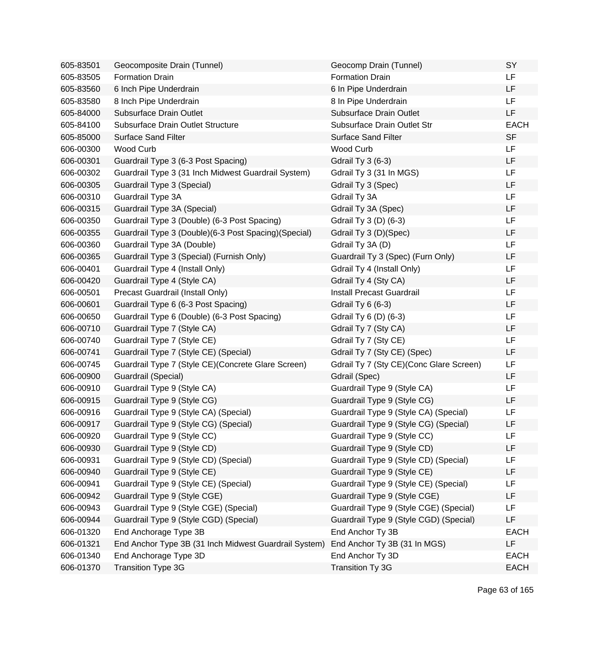| 605-83501 | Geocomposite Drain (Tunnel)                            | Geocomp Drain (Tunnel)                   | SY          |
|-----------|--------------------------------------------------------|------------------------------------------|-------------|
| 605-83505 | <b>Formation Drain</b>                                 | <b>Formation Drain</b>                   | LF          |
| 605-83560 | 6 Inch Pipe Underdrain                                 | 6 In Pipe Underdrain                     | LF          |
| 605-83580 | 8 Inch Pipe Underdrain                                 | 8 In Pipe Underdrain                     | LF          |
| 605-84000 | <b>Subsurface Drain Outlet</b>                         | Subsurface Drain Outlet                  | LF          |
| 605-84100 | Subsurface Drain Outlet Structure                      | Subsurface Drain Outlet Str              | <b>EACH</b> |
| 605-85000 | <b>Surface Sand Filter</b>                             | <b>Surface Sand Filter</b>               | <b>SF</b>   |
| 606-00300 | Wood Curb                                              | Wood Curb                                | LF          |
| 606-00301 | Guardrail Type 3 (6-3 Post Spacing)                    | <b>Gdrail Ty 3 (6-3)</b>                 | LF          |
| 606-00302 | Guardrail Type 3 (31 Inch Midwest Guardrail System)    | Gdrail Ty 3 (31 In MGS)                  | LF          |
| 606-00305 | Guardrail Type 3 (Special)                             | Gdrail Ty 3 (Spec)                       | LF          |
| 606-00310 | Guardrail Type 3A                                      | Gdrail Ty 3A                             | LF          |
| 606-00315 | Guardrail Type 3A (Special)                            | Gdrail Ty 3A (Spec)                      | LF          |
| 606-00350 | Guardrail Type 3 (Double) (6-3 Post Spacing)           | Gdrail Ty 3 (D) (6-3)                    | LF          |
| 606-00355 | Guardrail Type 3 (Double) (6-3 Post Spacing) (Special) | Gdrail Ty 3 (D)(Spec)                    | LF          |
| 606-00360 | Guardrail Type 3A (Double)                             | Gdrail Ty 3A (D)                         | LF          |
| 606-00365 | Guardrail Type 3 (Special) (Furnish Only)              | Guardrail Ty 3 (Spec) (Furn Only)        | LF          |
| 606-00401 | Guardrail Type 4 (Install Only)                        | Gdrail Ty 4 (Install Only)               | LF          |
| 606-00420 | Guardrail Type 4 (Style CA)                            | Gdrail Ty 4 (Sty CA)                     | LF          |
| 606-00501 | Precast Guardrail (Install Only)                       | <b>Install Precast Guardrail</b>         | LF          |
| 606-00601 | Guardrail Type 6 (6-3 Post Spacing)                    | <b>Gdrail Ty 6 (6-3)</b>                 | LF          |
| 606-00650 | Guardrail Type 6 (Double) (6-3 Post Spacing)           | Gdrail Ty 6 (D) (6-3)                    | LF          |
| 606-00710 | Guardrail Type 7 (Style CA)                            | Gdrail Ty 7 (Sty CA)                     | LF          |
| 606-00740 | Guardrail Type 7 (Style CE)                            | Gdrail Ty 7 (Sty CE)                     | LF          |
| 606-00741 | Guardrail Type 7 (Style CE) (Special)                  | Gdrail Ty 7 (Sty CE) (Spec)              | LF          |
| 606-00745 | Guardrail Type 7 (Style CE) (Concrete Glare Screen)    | Gdrail Ty 7 (Sty CE) (Conc Glare Screen) | LF          |
| 606-00900 | Guardrail (Special)                                    | Gdrail (Spec)                            | LF          |
| 606-00910 | Guardrail Type 9 (Style CA)                            | Guardrail Type 9 (Style CA)              | LF          |
| 606-00915 | Guardrail Type 9 (Style CG)                            | Guardrail Type 9 (Style CG)              | LF          |
| 606-00916 | Guardrail Type 9 (Style CA) (Special)                  | Guardrail Type 9 (Style CA) (Special)    | LF          |
| 606-00917 | Guardrail Type 9 (Style CG) (Special)                  | Guardrail Type 9 (Style CG) (Special)    | LF          |
| 606-00920 | Guardrail Type 9 (Style CC)                            | Guardrail Type 9 (Style CC)              | LF          |
| 606-00930 | Guardrail Type 9 (Style CD)                            | Guardrail Type 9 (Style CD)              | LF          |
| 606-00931 | Guardrail Type 9 (Style CD) (Special)                  | Guardrail Type 9 (Style CD) (Special)    | LF          |
| 606-00940 | Guardrail Type 9 (Style CE)                            | Guardrail Type 9 (Style CE)              | LF          |
| 606-00941 | Guardrail Type 9 (Style CE) (Special)                  | Guardrail Type 9 (Style CE) (Special)    | LF          |
| 606-00942 | Guardrail Type 9 (Style CGE)                           | Guardrail Type 9 (Style CGE)             | LF          |
| 606-00943 | Guardrail Type 9 (Style CGE) (Special)                 | Guardrail Type 9 (Style CGE) (Special)   | LF          |
| 606-00944 | Guardrail Type 9 (Style CGD) (Special)                 | Guardrail Type 9 (Style CGD) (Special)   | LF          |
| 606-01320 | End Anchorage Type 3B                                  | End Anchor Ty 3B                         | <b>EACH</b> |
| 606-01321 | End Anchor Type 3B (31 Inch Midwest Guardrail System)  | End Anchor Ty 3B (31 In MGS)             | LF          |
| 606-01340 | End Anchorage Type 3D                                  | End Anchor Ty 3D                         | <b>EACH</b> |
| 606-01370 | <b>Transition Type 3G</b>                              | Transition Ty 3G                         | <b>EACH</b> |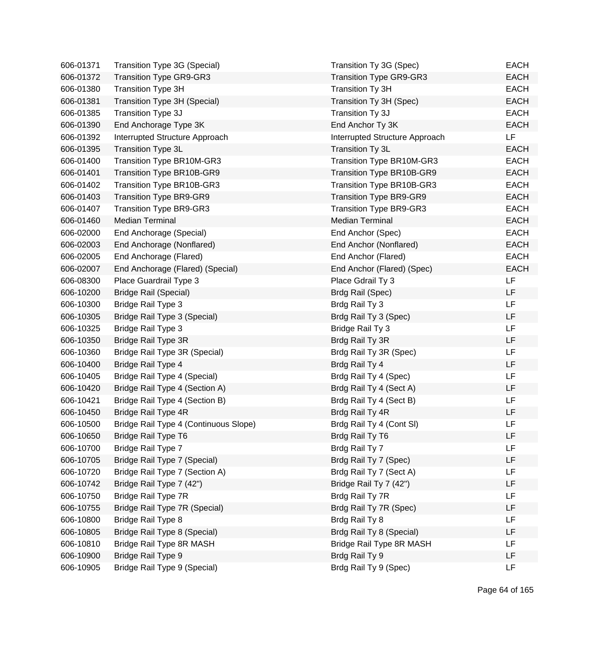| 606-01371 | Transition Type 3G (Special)          | Transition Ty 3G (Spec)        | EACH        |
|-----------|---------------------------------------|--------------------------------|-------------|
| 606-01372 | <b>Transition Type GR9-GR3</b>        | <b>Transition Type GR9-GR3</b> | <b>EACH</b> |
| 606-01380 | <b>Transition Type 3H</b>             | Transition Ty 3H               | <b>EACH</b> |
| 606-01381 | Transition Type 3H (Special)          | Transition Ty 3H (Spec)        | <b>EACH</b> |
| 606-01385 | Transition Type 3J                    | Transition Ty 3J               | <b>EACH</b> |
| 606-01390 | End Anchorage Type 3K                 | End Anchor Ty 3K               | <b>EACH</b> |
| 606-01392 | Interrupted Structure Approach        | Interrupted Structure Approach | LF          |
| 606-01395 | Transition Type 3L                    | Transition Ty 3L               | <b>EACH</b> |
| 606-01400 | Transition Type BR10M-GR3             | Transition Type BR10M-GR3      | <b>EACH</b> |
| 606-01401 | Transition Type BR10B-GR9             | Transition Type BR10B-GR9      | <b>EACH</b> |
| 606-01402 | Transition Type BR10B-GR3             | Transition Type BR10B-GR3      | <b>EACH</b> |
| 606-01403 | <b>Transition Type BR9-GR9</b>        | <b>Transition Type BR9-GR9</b> | <b>EACH</b> |
| 606-01407 | <b>Transition Type BR9-GR3</b>        | <b>Transition Type BR9-GR3</b> | <b>EACH</b> |
| 606-01460 | <b>Median Terminal</b>                | <b>Median Terminal</b>         | <b>EACH</b> |
| 606-02000 | End Anchorage (Special)               | End Anchor (Spec)              | <b>EACH</b> |
| 606-02003 | End Anchorage (Nonflared)             | End Anchor (Nonflared)         | <b>EACH</b> |
| 606-02005 | End Anchorage (Flared)                | End Anchor (Flared)            | <b>EACH</b> |
| 606-02007 | End Anchorage (Flared) (Special)      | End Anchor (Flared) (Spec)     | <b>EACH</b> |
| 606-08300 | Place Guardrail Type 3                | Place Gdrail Ty 3              | LF          |
| 606-10200 | <b>Bridge Rail (Special)</b>          | Brdg Rail (Spec)               | <b>LF</b>   |
| 606-10300 | <b>Bridge Rail Type 3</b>             | Brdg Rail Ty 3                 | <b>LF</b>   |
| 606-10305 | Bridge Rail Type 3 (Special)          | Brdg Rail Ty 3 (Spec)          | LF          |
| 606-10325 | <b>Bridge Rail Type 3</b>             | Bridge Rail Ty 3               | LF          |
| 606-10350 | Bridge Rail Type 3R                   | Brdg Rail Ty 3R                | LF          |
| 606-10360 | Bridge Rail Type 3R (Special)         | Brdg Rail Ty 3R (Spec)         | LF          |
| 606-10400 | Bridge Rail Type 4                    | Brdg Rail Ty 4                 | LF          |
| 606-10405 | Bridge Rail Type 4 (Special)          | Brdg Rail Ty 4 (Spec)          | LF          |
| 606-10420 | Bridge Rail Type 4 (Section A)        | Brdg Rail Ty 4 (Sect A)        | <b>LF</b>   |
| 606-10421 | Bridge Rail Type 4 (Section B)        | Brdg Rail Ty 4 (Sect B)        | LF          |
| 606-10450 | Bridge Rail Type 4R                   | Brdg Rail Ty 4R                | LF          |
| 606-10500 | Bridge Rail Type 4 (Continuous Slope) | Brdg Rail Ty 4 (Cont SI)       | <b>LF</b>   |
| 606-10650 | <b>Bridge Rail Type T6</b>            | Brdg Rail Ty T6                | LF          |
| 606-10700 | Bridge Rail Type 7                    | Brdg Rail Ty 7                 | LF          |
| 606-10705 | Bridge Rail Type 7 (Special)          | Brdg Rail Ty 7 (Spec)          | LF          |
| 606-10720 | Bridge Rail Type 7 (Section A)        | Brdg Rail Ty 7 (Sect A)        | LF          |
| 606-10742 | Bridge Rail Type 7 (42")              | Bridge Rail Ty 7 (42")         | LF          |
| 606-10750 | Bridge Rail Type 7R                   | Brdg Rail Ty 7R                | LF          |
| 606-10755 | Bridge Rail Type 7R (Special)         | Brdg Rail Ty 7R (Spec)         | LF          |
| 606-10800 | Bridge Rail Type 8                    | Brdg Rail Ty 8                 | LF          |
| 606-10805 | Bridge Rail Type 8 (Special)          | Brdg Rail Ty 8 (Special)       | LF          |
| 606-10810 | Bridge Rail Type 8R MASH              | Bridge Rail Type 8R MASH       | LF          |
| 606-10900 | Bridge Rail Type 9                    | Brdg Rail Ty 9                 | LF          |
| 606-10905 | Bridge Rail Type 9 (Special)          | Brdg Rail Ty 9 (Spec)          | <b>LF</b>   |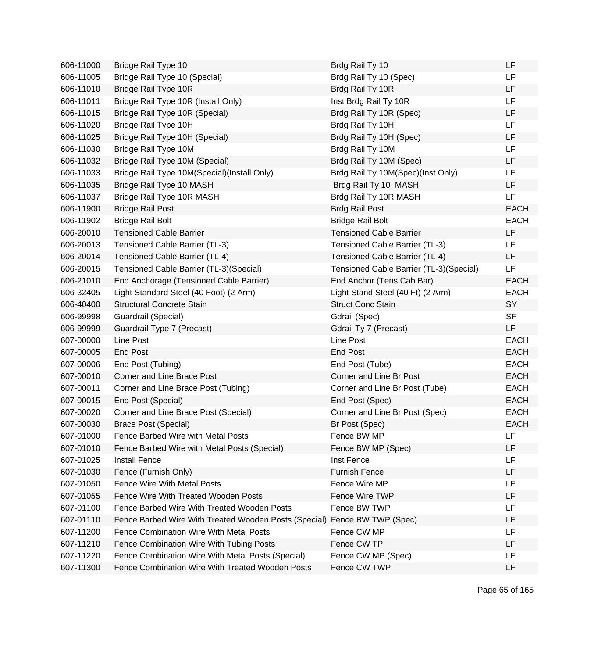| 606-11000 | Bridge Rail Type 10                                   | Brdg Rail Ty 10                         | LF          |
|-----------|-------------------------------------------------------|-----------------------------------------|-------------|
| 606-11005 | Bridge Rail Type 10 (Special)                         | Brdg Rail Ty 10 (Spec)                  | LF          |
| 606-11010 | Bridge Rail Type 10R                                  | Brdg Rail Ty 10R                        | LF          |
| 606-11011 | Bridge Rail Type 10R (Install Only)                   | Inst Brdg Rail Ty 10R                   | LF          |
| 606-11015 | Bridge Rail Type 10R (Special)                        | Brdg Rail Ty 10R (Spec)                 | LF          |
| 606-11020 | Bridge Rail Type 10H                                  | Brdg Rail Ty 10H                        | LF          |
| 606-11025 | Bridge Rail Type 10H (Special)                        | Brdg Rail Ty 10H (Spec)                 | LF          |
| 606-11030 | Bridge Rail Type 10M                                  | Brdg Rail Ty 10M                        | LF          |
| 606-11032 | Bridge Rail Type 10M (Special)                        | Brdg Rail Ty 10M (Spec)                 | LF          |
| 606-11033 | Bridge Rail Type 10M(Special)(Install Only)           | Brdg Rail Ty 10M(Spec)(Inst Only)       | LF          |
| 606-11035 | Bridge Rail Type 10 MASH                              | Brdg Rail Ty 10 MASH                    | LF          |
| 606-11037 | Bridge Rail Type 10R MASH                             | Brdg Rail Ty 10R MASH                   | LF          |
| 606-11900 | <b>Bridge Rail Post</b>                               | <b>Brdg Rail Post</b>                   | <b>EACH</b> |
| 606-11902 | <b>Bridge Rail Bolt</b>                               | <b>Bridge Rail Bolt</b>                 | <b>EACH</b> |
| 606-20010 | <b>Tensioned Cable Barrier</b>                        | <b>Tensioned Cable Barrier</b>          | LF          |
| 606-20013 | Tensioned Cable Barrier (TL-3)                        | Tensioned Cable Barrier (TL-3)          | LF          |
| 606-20014 | Tensioned Cable Barrier (TL-4)                        | Tensioned Cable Barrier (TL-4)          | LF.         |
| 606-20015 | Tensioned Cable Barrier (TL-3)(Special)               | Tensioned Cable Barrier (TL-3)(Special) | <b>LF</b>   |
| 606-21010 | End Anchorage (Tensioned Cable Barrier)               | End Anchor (Tens Cab Bar)               | <b>EACH</b> |
| 606-32405 | Light Standard Steel (40 Foot) (2 Arm)                | Light Stand Steel (40 Ft) (2 Arm)       | <b>EACH</b> |
| 606-40400 | <b>Structural Concrete Stain</b>                      | <b>Struct Conc Stain</b>                | SY          |
| 606-99998 | Guardrail (Special)                                   | Gdrail (Spec)                           | <b>SF</b>   |
| 606-99999 | Guardrail Type 7 (Precast)                            | Gdrail Ty 7 (Precast)                   | LF          |
| 607-00000 | Line Post                                             | Line Post                               | <b>EACH</b> |
| 607-00005 | End Post                                              | End Post                                | <b>EACH</b> |
| 607-00006 | End Post (Tubing)                                     | End Post (Tube)                         | <b>EACH</b> |
| 607-00010 | <b>Corner and Line Brace Post</b>                     | Corner and Line Br Post                 | <b>EACH</b> |
| 607-00011 | Corner and Line Brace Post (Tubing)                   | Corner and Line Br Post (Tube)          | <b>EACH</b> |
| 607-00015 | End Post (Special)                                    | End Post (Spec)                         | <b>EACH</b> |
| 607-00020 | Corner and Line Brace Post (Special)                  | Corner and Line Br Post (Spec)          | <b>EACH</b> |
| 607-00030 | <b>Brace Post (Special)</b>                           | Br Post (Spec)                          | <b>EACH</b> |
| 607-01000 | Fence Barbed Wire with Metal Posts                    | Fence BW MP                             | LF          |
| 607-01010 | Fence Barbed Wire with Metal Posts (Special)          | Fence BW MP (Spec)                      | LF          |
| 607-01025 | <b>Install Fence</b>                                  | Inst Fence                              | LF          |
| 607-01030 | Fence (Furnish Only)                                  | <b>Furnish Fence</b>                    | LF          |
| 607-01050 | <b>Fence Wire With Metal Posts</b>                    | Fence Wire MP                           | LF          |
| 607-01055 | Fence Wire With Treated Wooden Posts                  | Fence Wire TWP                          | LF          |
| 607-01100 | Fence Barbed Wire With Treated Wooden Posts           | Fence BW TWP                            | LF          |
| 607-01110 | Fence Barbed Wire With Treated Wooden Posts (Special) | Fence BW TWP (Spec)                     | LF          |
| 607-11200 | Fence Combination Wire With Metal Posts               | Fence CW MP                             | LF          |
| 607-11210 | Fence Combination Wire With Tubing Posts              | Fence CW TP                             | LF          |
| 607-11220 | Fence Combination Wire With Metal Posts (Special)     | Fence CW MP (Spec)                      | LF          |
| 607-11300 | Fence Combination Wire With Treated Wooden Posts      | Fence CW TWP                            | LF          |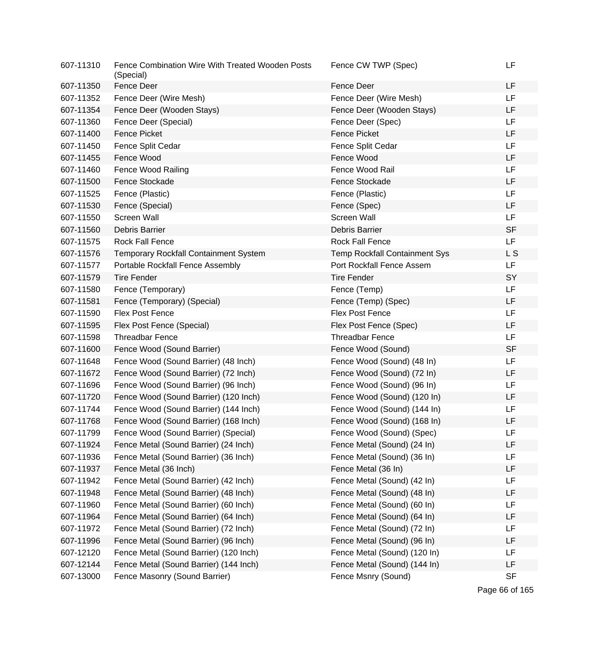| 607-11310 | Fence Combination Wire With Treated Wooden Posts<br>(Special) | Fence CW TWP (Spec)                  | LF        |
|-----------|---------------------------------------------------------------|--------------------------------------|-----------|
| 607-11350 | Fence Deer                                                    | Fence Deer                           | LF        |
| 607-11352 | Fence Deer (Wire Mesh)                                        | Fence Deer (Wire Mesh)               | LF        |
| 607-11354 | Fence Deer (Wooden Stays)                                     | Fence Deer (Wooden Stays)            | LF        |
| 607-11360 | Fence Deer (Special)                                          | Fence Deer (Spec)                    | LF        |
| 607-11400 | <b>Fence Picket</b>                                           | <b>Fence Picket</b>                  | LF        |
| 607-11450 | Fence Split Cedar                                             | Fence Split Cedar                    | LF        |
| 607-11455 | Fence Wood                                                    | Fence Wood                           | LF        |
| 607-11460 | Fence Wood Railing                                            | Fence Wood Rail                      | LF        |
| 607-11500 | Fence Stockade                                                | Fence Stockade                       | LF        |
| 607-11525 | Fence (Plastic)                                               | Fence (Plastic)                      | LF        |
| 607-11530 | Fence (Special)                                               | Fence (Spec)                         | LF        |
| 607-11550 | Screen Wall                                                   | Screen Wall                          | LF        |
| 607-11560 | <b>Debris Barrier</b>                                         | Debris Barrier                       | <b>SF</b> |
| 607-11575 | <b>Rock Fall Fence</b>                                        | <b>Rock Fall Fence</b>               | <b>LF</b> |
| 607-11576 | Temporary Rockfall Containment System                         | <b>Temp Rockfall Containment Sys</b> | L S       |
| 607-11577 | Portable Rockfall Fence Assembly                              | Port Rockfall Fence Assem            | LF        |
| 607-11579 | <b>Tire Fender</b>                                            | <b>Tire Fender</b>                   | SY        |
| 607-11580 | Fence (Temporary)                                             | Fence (Temp)                         | LF        |
| 607-11581 | Fence (Temporary) (Special)                                   | Fence (Temp) (Spec)                  | LF        |
| 607-11590 | <b>Flex Post Fence</b>                                        | Flex Post Fence                      | LF        |
| 607-11595 | Flex Post Fence (Special)                                     | Flex Post Fence (Spec)               | LF        |
| 607-11598 | <b>Threadbar Fence</b>                                        | <b>Threadbar Fence</b>               | LF        |
| 607-11600 | Fence Wood (Sound Barrier)                                    | Fence Wood (Sound)                   | <b>SF</b> |
| 607-11648 | Fence Wood (Sound Barrier) (48 Inch)                          | Fence Wood (Sound) (48 In)           | LF        |
| 607-11672 | Fence Wood (Sound Barrier) (72 Inch)                          | Fence Wood (Sound) (72 In)           | LF        |
| 607-11696 | Fence Wood (Sound Barrier) (96 Inch)                          | Fence Wood (Sound) (96 In)           | LF        |
| 607-11720 | Fence Wood (Sound Barrier) (120 Inch)                         | Fence Wood (Sound) (120 In)          | LF        |
| 607-11744 | Fence Wood (Sound Barrier) (144 Inch)                         | Fence Wood (Sound) (144 In)          | LF        |
| 607-11768 | Fence Wood (Sound Barrier) (168 Inch)                         | Fence Wood (Sound) (168 In)          | LF        |
| 607-11799 | Fence Wood (Sound Barrier) (Special)                          | Fence Wood (Sound) (Spec)            | LF        |
| 607-11924 | Fence Metal (Sound Barrier) (24 Inch)                         | Fence Metal (Sound) (24 In)          | LF        |
| 607-11936 | Fence Metal (Sound Barrier) (36 Inch)                         | Fence Metal (Sound) (36 In)          | LF        |
| 607-11937 | Fence Metal (36 Inch)                                         | Fence Metal (36 In)                  | LF        |
| 607-11942 | Fence Metal (Sound Barrier) (42 Inch)                         | Fence Metal (Sound) (42 In)          | LF        |
| 607-11948 | Fence Metal (Sound Barrier) (48 Inch)                         | Fence Metal (Sound) (48 In)          | LF        |
| 607-11960 | Fence Metal (Sound Barrier) (60 Inch)                         | Fence Metal (Sound) (60 In)          | LF        |
| 607-11964 | Fence Metal (Sound Barrier) (64 Inch)                         | Fence Metal (Sound) (64 In)          | LF        |
| 607-11972 | Fence Metal (Sound Barrier) (72 Inch)                         | Fence Metal (Sound) (72 In)          | LF        |
| 607-11996 | Fence Metal (Sound Barrier) (96 Inch)                         | Fence Metal (Sound) (96 In)          | LF        |
| 607-12120 | Fence Metal (Sound Barrier) (120 Inch)                        | Fence Metal (Sound) (120 In)         | LF        |
| 607-12144 | Fence Metal (Sound Barrier) (144 Inch)                        | Fence Metal (Sound) (144 In)         | LF        |
| 607-13000 | Fence Masonry (Sound Barrier)                                 | Fence Msnry (Sound)                  | <b>SF</b> |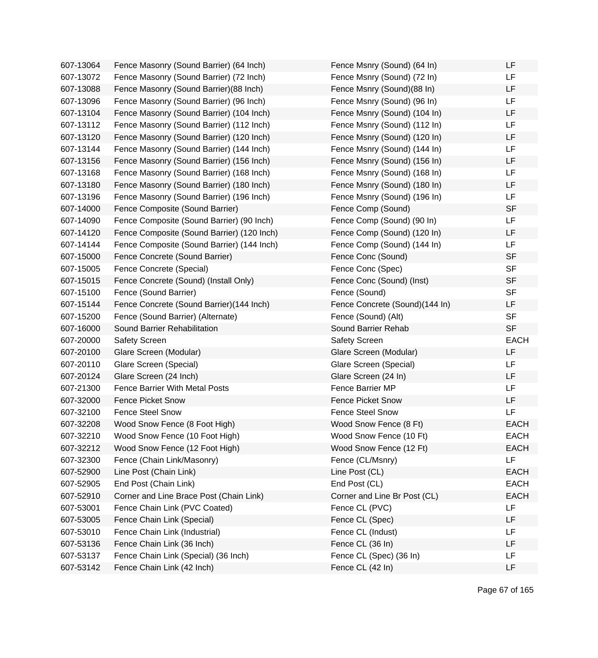| 607-13064 | Fence Masonry (Sound Barrier) (64 Inch)    | Fence Msnry (Sound) (64 In)    | LF          |
|-----------|--------------------------------------------|--------------------------------|-------------|
| 607-13072 | Fence Masonry (Sound Barrier) (72 Inch)    | Fence Msnry (Sound) (72 In)    | LF          |
| 607-13088 | Fence Masonry (Sound Barrier)(88 Inch)     | Fence Msnry (Sound)(88 In)     | LF          |
| 607-13096 | Fence Masonry (Sound Barrier) (96 Inch)    | Fence Msnry (Sound) (96 In)    | LF          |
| 607-13104 | Fence Masonry (Sound Barrier) (104 Inch)   | Fence Msnry (Sound) (104 In)   | LF          |
| 607-13112 | Fence Masonry (Sound Barrier) (112 Inch)   | Fence Msnry (Sound) (112 In)   | LF          |
| 607-13120 | Fence Masonry (Sound Barrier) (120 Inch)   | Fence Msnry (Sound) (120 In)   | LF          |
| 607-13144 | Fence Masonry (Sound Barrier) (144 Inch)   | Fence Msnry (Sound) (144 In)   | LF          |
| 607-13156 | Fence Masonry (Sound Barrier) (156 Inch)   | Fence Msnry (Sound) (156 In)   | LF          |
| 607-13168 | Fence Masonry (Sound Barrier) (168 Inch)   | Fence Msnry (Sound) (168 In)   | LF          |
| 607-13180 | Fence Masonry (Sound Barrier) (180 Inch)   | Fence Msnry (Sound) (180 In)   | LF          |
| 607-13196 | Fence Masonry (Sound Barrier) (196 Inch)   | Fence Msnry (Sound) (196 In)   | LF          |
| 607-14000 | Fence Composite (Sound Barrier)            | Fence Comp (Sound)             | <b>SF</b>   |
| 607-14090 | Fence Composite (Sound Barrier) (90 Inch)  | Fence Comp (Sound) (90 In)     | LF          |
| 607-14120 | Fence Composite (Sound Barrier) (120 Inch) | Fence Comp (Sound) (120 In)    | LF          |
| 607-14144 | Fence Composite (Sound Barrier) (144 Inch) | Fence Comp (Sound) (144 In)    | LF          |
| 607-15000 | Fence Concrete (Sound Barrier)             | Fence Conc (Sound)             | <b>SF</b>   |
| 607-15005 | Fence Concrete (Special)                   | Fence Conc (Spec)              | <b>SF</b>   |
| 607-15015 | Fence Concrete (Sound) (Install Only)      | Fence Conc (Sound) (Inst)      | <b>SF</b>   |
| 607-15100 | Fence (Sound Barrier)                      | Fence (Sound)                  | <b>SF</b>   |
| 607-15144 | Fence Concrete (Sound Barrier)(144 Inch)   | Fence Concrete (Sound)(144 In) | LF          |
| 607-15200 | Fence (Sound Barrier) (Alternate)          | Fence (Sound) (Alt)            | <b>SF</b>   |
| 607-16000 | Sound Barrier Rehabilitation               | Sound Barrier Rehab            | <b>SF</b>   |
| 607-20000 | <b>Safety Screen</b>                       | <b>Safety Screen</b>           | <b>EACH</b> |
| 607-20100 | Glare Screen (Modular)                     | Glare Screen (Modular)         | LF          |
| 607-20110 | Glare Screen (Special)                     | Glare Screen (Special)         | LF          |
| 607-20124 | Glare Screen (24 Inch)                     | Glare Screen (24 In)           | LF          |
| 607-21300 | <b>Fence Barrier With Metal Posts</b>      | Fence Barrier MP               | LF          |
| 607-32000 | <b>Fence Picket Snow</b>                   | <b>Fence Picket Snow</b>       | LF          |
| 607-32100 | <b>Fence Steel Snow</b>                    | <b>Fence Steel Snow</b>        | LF          |
| 607-32208 | Wood Snow Fence (8 Foot High)              | Wood Snow Fence (8 Ft)         | <b>EACH</b> |
| 607-32210 | Wood Snow Fence (10 Foot High)             | Wood Snow Fence (10 Ft)        | <b>EACH</b> |
| 607-32212 | Wood Snow Fence (12 Foot High)             | Wood Snow Fence (12 Ft)        | <b>EACH</b> |
| 607-32300 | Fence (Chain Link/Masonry)                 | Fence (CL/Msnry)               | LF          |
| 607-52900 | Line Post (Chain Link)                     | Line Post (CL)                 | <b>EACH</b> |
| 607-52905 | End Post (Chain Link)                      | End Post (CL)                  | <b>EACH</b> |
| 607-52910 | Corner and Line Brace Post (Chain Link)    | Corner and Line Br Post (CL)   | <b>EACH</b> |
| 607-53001 | Fence Chain Link (PVC Coated)              | Fence CL (PVC)                 | LF          |
| 607-53005 | Fence Chain Link (Special)                 | Fence CL (Spec)                | LF          |
| 607-53010 | Fence Chain Link (Industrial)              | Fence CL (Indust)              | LF          |
| 607-53136 | Fence Chain Link (36 Inch)                 | Fence CL (36 In)               | LF          |
| 607-53137 | Fence Chain Link (Special) (36 Inch)       | Fence CL (Spec) (36 In)        | LF          |
| 607-53142 | Fence Chain Link (42 Inch)                 | Fence CL (42 In)               | LF          |

Page 67 of 165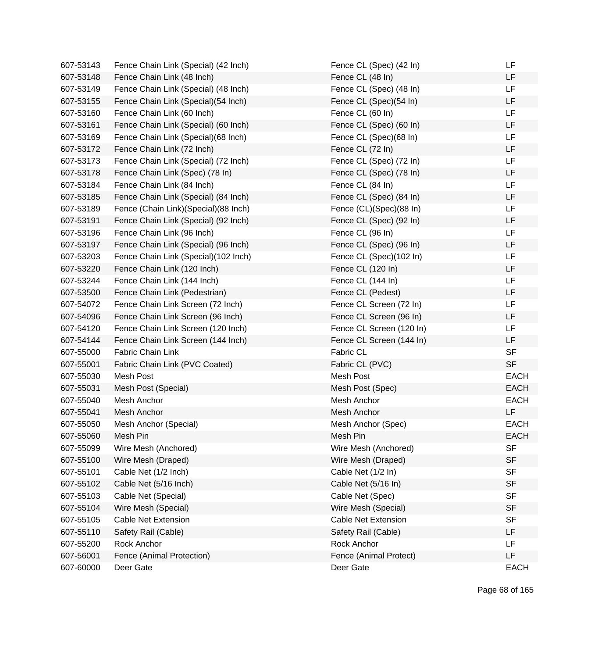| 607-53143 | Fence Chain Link (Special) (42 Inch) | Fence CL (Spec) (42 In)    | LF          |
|-----------|--------------------------------------|----------------------------|-------------|
| 607-53148 | Fence Chain Link (48 Inch)           | Fence CL (48 In)           | LF          |
| 607-53149 | Fence Chain Link (Special) (48 Inch) | Fence CL (Spec) (48 In)    | LF          |
| 607-53155 | Fence Chain Link (Special)(54 Inch)  | Fence CL (Spec)(54 In)     | LF          |
| 607-53160 | Fence Chain Link (60 Inch)           | Fence CL (60 In)           | LF          |
| 607-53161 | Fence Chain Link (Special) (60 Inch) | Fence CL (Spec) (60 In)    | LF          |
| 607-53169 | Fence Chain Link (Special) (68 Inch) | Fence CL (Spec)(68 In)     | LF          |
| 607-53172 | Fence Chain Link (72 Inch)           | Fence CL (72 In)           | LF          |
| 607-53173 | Fence Chain Link (Special) (72 Inch) | Fence CL (Spec) (72 In)    | LF          |
| 607-53178 | Fence Chain Link (Spec) (78 In)      | Fence CL (Spec) (78 In)    | LF          |
| 607-53184 | Fence Chain Link (84 Inch)           | Fence CL (84 In)           | LF          |
| 607-53185 | Fence Chain Link (Special) (84 Inch) | Fence CL (Spec) (84 In)    | LF          |
| 607-53189 | Fence (Chain Link)(Special)(88 Inch) | Fence (CL)(Spec)(88 In)    | LF          |
| 607-53191 | Fence Chain Link (Special) (92 Inch) | Fence CL (Spec) (92 In)    | LF          |
| 607-53196 | Fence Chain Link (96 Inch)           | Fence CL (96 In)           | LF          |
| 607-53197 | Fence Chain Link (Special) (96 Inch) | Fence CL (Spec) (96 In)    | LF          |
| 607-53203 | Fence Chain Link (Special)(102 Inch) | Fence CL (Spec)(102 In)    | LF          |
| 607-53220 | Fence Chain Link (120 Inch)          | Fence CL (120 In)          | LF          |
| 607-53244 | Fence Chain Link (144 Inch)          | Fence CL (144 In)          | LF          |
| 607-53500 | Fence Chain Link (Pedestrian)        | Fence CL (Pedest)          | LF          |
| 607-54072 | Fence Chain Link Screen (72 Inch)    | Fence CL Screen (72 In)    | LF          |
| 607-54096 | Fence Chain Link Screen (96 Inch)    | Fence CL Screen (96 In)    | LF          |
| 607-54120 | Fence Chain Link Screen (120 Inch)   | Fence CL Screen (120 In)   | LF          |
| 607-54144 | Fence Chain Link Screen (144 Inch)   | Fence CL Screen (144 In)   | LF          |
| 607-55000 | Fabric Chain Link                    | Fabric CL                  | <b>SF</b>   |
| 607-55001 | Fabric Chain Link (PVC Coated)       | Fabric CL (PVC)            | <b>SF</b>   |
| 607-55030 | Mesh Post                            | Mesh Post                  | <b>EACH</b> |
| 607-55031 | Mesh Post (Special)                  | Mesh Post (Spec)           | <b>EACH</b> |
| 607-55040 | Mesh Anchor                          | Mesh Anchor                | <b>EACH</b> |
| 607-55041 | Mesh Anchor                          | Mesh Anchor                | LF          |
| 607-55050 | Mesh Anchor (Special)                | Mesh Anchor (Spec)         | <b>EACH</b> |
| 607-55060 | Mesh Pin                             | Mesh Pin                   | <b>EACH</b> |
| 607-55099 | Wire Mesh (Anchored)                 | Wire Mesh (Anchored)       | <b>SF</b>   |
| 607-55100 | Wire Mesh (Draped)                   | Wire Mesh (Draped)         | <b>SF</b>   |
| 607-55101 | Cable Net (1/2 Inch)                 | Cable Net (1/2 In)         | <b>SF</b>   |
| 607-55102 | Cable Net (5/16 Inch)                | Cable Net (5/16 In)        | <b>SF</b>   |
| 607-55103 | Cable Net (Special)                  | Cable Net (Spec)           | <b>SF</b>   |
| 607-55104 | Wire Mesh (Special)                  | Wire Mesh (Special)        | <b>SF</b>   |
| 607-55105 | <b>Cable Net Extension</b>           | <b>Cable Net Extension</b> | <b>SF</b>   |
| 607-55110 | Safety Rail (Cable)                  | Safety Rail (Cable)        | LF          |
| 607-55200 | Rock Anchor                          | Rock Anchor                | LF          |
| 607-56001 | Fence (Animal Protection)            | Fence (Animal Protect)     | LF          |
| 607-60000 | Deer Gate                            | Deer Gate                  | <b>EACH</b> |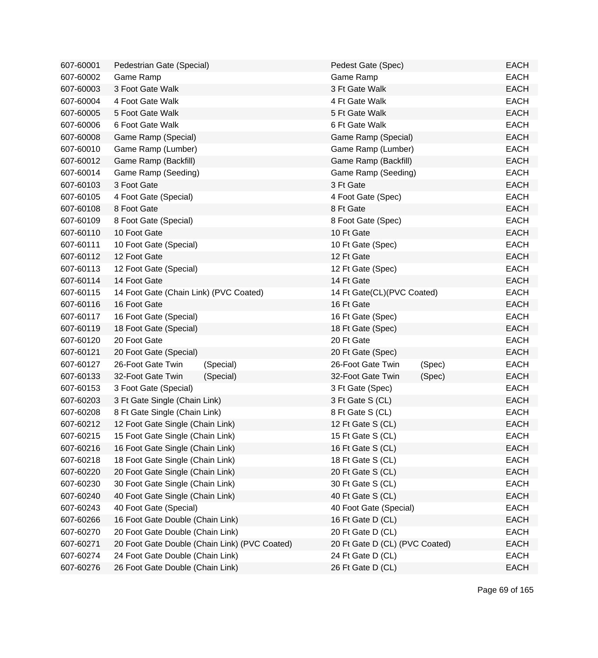| 607-60001 | Pedestrian Gate (Special)                     | Pedest Gate (Spec)             | <b>EACH</b> |
|-----------|-----------------------------------------------|--------------------------------|-------------|
| 607-60002 | Game Ramp                                     | Game Ramp                      | <b>EACH</b> |
| 607-60003 | 3 Foot Gate Walk                              | 3 Ft Gate Walk                 | <b>EACH</b> |
| 607-60004 | 4 Foot Gate Walk                              | 4 Ft Gate Walk                 | <b>EACH</b> |
| 607-60005 | 5 Foot Gate Walk                              | 5 Ft Gate Walk                 | <b>EACH</b> |
| 607-60006 | 6 Foot Gate Walk                              | 6 Ft Gate Walk                 | <b>EACH</b> |
| 607-60008 | Game Ramp (Special)                           | Game Ramp (Special)            | <b>EACH</b> |
| 607-60010 | Game Ramp (Lumber)                            | Game Ramp (Lumber)             | <b>EACH</b> |
| 607-60012 | Game Ramp (Backfill)                          | Game Ramp (Backfill)           | <b>EACH</b> |
| 607-60014 | Game Ramp (Seeding)                           | Game Ramp (Seeding)            | <b>EACH</b> |
| 607-60103 | 3 Foot Gate                                   | 3 Ft Gate                      | <b>EACH</b> |
| 607-60105 | 4 Foot Gate (Special)                         | 4 Foot Gate (Spec)             | <b>EACH</b> |
| 607-60108 | 8 Foot Gate                                   | 8 Ft Gate                      | <b>EACH</b> |
| 607-60109 | 8 Foot Gate (Special)                         | 8 Foot Gate (Spec)             | <b>EACH</b> |
| 607-60110 | 10 Foot Gate                                  | 10 Ft Gate                     | <b>EACH</b> |
| 607-60111 | 10 Foot Gate (Special)                        | 10 Ft Gate (Spec)              | <b>EACH</b> |
| 607-60112 | 12 Foot Gate                                  | 12 Ft Gate                     | <b>EACH</b> |
| 607-60113 | 12 Foot Gate (Special)                        | 12 Ft Gate (Spec)              | <b>EACH</b> |
| 607-60114 | 14 Foot Gate                                  | 14 Ft Gate                     | <b>EACH</b> |
| 607-60115 | 14 Foot Gate (Chain Link) (PVC Coated)        | 14 Ft Gate(CL)(PVC Coated)     | <b>EACH</b> |
| 607-60116 | 16 Foot Gate                                  | 16 Ft Gate                     | <b>EACH</b> |
| 607-60117 | 16 Foot Gate (Special)                        | 16 Ft Gate (Spec)              | <b>EACH</b> |
| 607-60119 | 18 Foot Gate (Special)                        | 18 Ft Gate (Spec)              | <b>EACH</b> |
| 607-60120 | 20 Foot Gate                                  | 20 Ft Gate                     | <b>EACH</b> |
| 607-60121 | 20 Foot Gate (Special)                        | 20 Ft Gate (Spec)              | <b>EACH</b> |
| 607-60127 | 26-Foot Gate Twin<br>(Special)                | 26-Foot Gate Twin<br>(Spec)    | <b>EACH</b> |
| 607-60133 | 32-Foot Gate Twin<br>(Special)                | 32-Foot Gate Twin<br>(Spec)    | <b>EACH</b> |
| 607-60153 | 3 Foot Gate (Special)                         | 3 Ft Gate (Spec)               | <b>EACH</b> |
| 607-60203 | 3 Ft Gate Single (Chain Link)                 | 3 Ft Gate S (CL)               | <b>EACH</b> |
| 607-60208 | 8 Ft Gate Single (Chain Link)                 | 8 Ft Gate S (CL)               | <b>EACH</b> |
| 607-60212 | 12 Foot Gate Single (Chain Link)              | 12 Ft Gate S (CL)              | <b>EACH</b> |
| 607-60215 | 15 Foot Gate Single (Chain Link)              | 15 Ft Gate S (CL)              | <b>EACH</b> |
| 607-60216 | 16 Foot Gate Single (Chain Link)              | 16 Ft Gate S (CL)              | <b>EACH</b> |
| 607-60218 | 18 Foot Gate Single (Chain Link)              | 18 Ft Gate S (CL)              | <b>EACH</b> |
| 607-60220 | 20 Foot Gate Single (Chain Link)              | 20 Ft Gate S (CL)              | <b>EACH</b> |
| 607-60230 | 30 Foot Gate Single (Chain Link)              | 30 Ft Gate S (CL)              | <b>EACH</b> |
| 607-60240 | 40 Foot Gate Single (Chain Link)              | 40 Ft Gate S (CL)              | <b>EACH</b> |
| 607-60243 | 40 Foot Gate (Special)                        | 40 Foot Gate (Special)         | <b>EACH</b> |
| 607-60266 | 16 Foot Gate Double (Chain Link)              | 16 Ft Gate D (CL)              | <b>EACH</b> |
| 607-60270 | 20 Foot Gate Double (Chain Link)              | 20 Ft Gate D (CL)              | <b>EACH</b> |
| 607-60271 | 20 Foot Gate Double (Chain Link) (PVC Coated) | 20 Ft Gate D (CL) (PVC Coated) | <b>EACH</b> |
| 607-60274 | 24 Foot Gate Double (Chain Link)              | 24 Ft Gate D (CL)              | <b>EACH</b> |
| 607-60276 | 26 Foot Gate Double (Chain Link)              | 26 Ft Gate D (CL)              | <b>EACH</b> |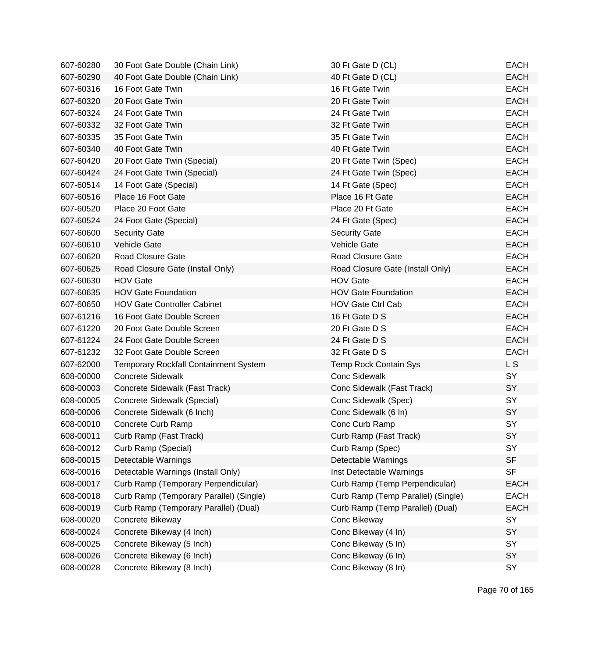| 607-60280 | 30 Foot Gate Double (Chain Link)             | 30 Ft Gate D (CL)                  | <b>EACH</b> |
|-----------|----------------------------------------------|------------------------------------|-------------|
| 607-60290 | 40 Foot Gate Double (Chain Link)             | 40 Ft Gate D (CL)                  | <b>EACH</b> |
| 607-60316 | 16 Foot Gate Twin                            | 16 Ft Gate Twin                    | <b>EACH</b> |
| 607-60320 | 20 Foot Gate Twin                            | 20 Ft Gate Twin                    | <b>EACH</b> |
| 607-60324 | 24 Foot Gate Twin                            | 24 Ft Gate Twin                    | <b>EACH</b> |
| 607-60332 | 32 Foot Gate Twin                            | 32 Ft Gate Twin                    | <b>EACH</b> |
| 607-60335 | 35 Foot Gate Twin                            | 35 Ft Gate Twin                    | <b>EACH</b> |
| 607-60340 | 40 Foot Gate Twin                            | 40 Ft Gate Twin                    | <b>EACH</b> |
| 607-60420 | 20 Foot Gate Twin (Special)                  | 20 Ft Gate Twin (Spec)             | <b>EACH</b> |
| 607-60424 | 24 Foot Gate Twin (Special)                  | 24 Ft Gate Twin (Spec)             | <b>EACH</b> |
| 607-60514 | 14 Foot Gate (Special)                       | 14 Ft Gate (Spec)                  | <b>EACH</b> |
| 607-60516 | Place 16 Foot Gate                           | Place 16 Ft Gate                   | <b>EACH</b> |
| 607-60520 | Place 20 Foot Gate                           | Place 20 Ft Gate                   | <b>EACH</b> |
| 607-60524 | 24 Foot Gate (Special)                       | 24 Ft Gate (Spec)                  | <b>EACH</b> |
| 607-60600 | <b>Security Gate</b>                         | <b>Security Gate</b>               | <b>EACH</b> |
| 607-60610 | <b>Vehicle Gate</b>                          | <b>Vehicle Gate</b>                | <b>EACH</b> |
| 607-60620 | Road Closure Gate                            | <b>Road Closure Gate</b>           | <b>EACH</b> |
| 607-60625 | Road Closure Gate (Install Only)             | Road Closure Gate (Install Only)   | <b>EACH</b> |
| 607-60630 | <b>HOV Gate</b>                              | <b>HOV Gate</b>                    | <b>EACH</b> |
| 607-60635 | <b>HOV Gate Foundation</b>                   | <b>HOV Gate Foundation</b>         | <b>EACH</b> |
| 607-60650 | <b>HOV Gate Controller Cabinet</b>           | <b>HOV Gate Ctrl Cab</b>           | <b>EACH</b> |
| 607-61216 | 16 Foot Gate Double Screen                   | 16 Ft Gate D S                     | <b>EACH</b> |
| 607-61220 | 20 Foot Gate Double Screen                   | 20 Ft Gate D S                     | <b>EACH</b> |
| 607-61224 | 24 Foot Gate Double Screen                   | 24 Ft Gate D S                     | <b>EACH</b> |
| 607-61232 | 32 Foot Gate Double Screen                   | 32 Ft Gate D S                     | <b>EACH</b> |
| 607-62000 | <b>Temporary Rockfall Containment System</b> | <b>Temp Rock Contain Sys</b>       | L S         |
| 608-00000 | <b>Concrete Sidewalk</b>                     | <b>Conc Sidewalk</b>               | SY          |
| 608-00003 | Concrete Sidewalk (Fast Track)               | Conc Sidewalk (Fast Track)         | SY          |
| 608-00005 | Concrete Sidewalk (Special)                  | Conc Sidewalk (Spec)               | <b>SY</b>   |
| 608-00006 | Concrete Sidewalk (6 Inch)                   | Conc Sidewalk (6 In)               | SY          |
| 608-00010 | Concrete Curb Ramp                           | Conc Curb Ramp                     | SY          |
| 608-00011 | Curb Ramp (Fast Track)                       | Curb Ramp (Fast Track)             | SY          |
| 608-00012 | Curb Ramp (Special)                          | Curb Ramp (Spec)                   | SY          |
| 608-00015 | Detectable Warnings                          | Detectable Warnings                | <b>SF</b>   |
| 608-00016 | Detectable Warnings (Install Only)           | Inst Detectable Warnings           | <b>SF</b>   |
| 608-00017 | Curb Ramp (Temporary Perpendicular)          | Curb Ramp (Temp Perpendicular)     | <b>EACH</b> |
| 608-00018 | Curb Ramp (Temporary Parallel) (Single)      | Curb Ramp (Temp Parallel) (Single) | <b>EACH</b> |
| 608-00019 | Curb Ramp (Temporary Parallel) (Dual)        | Curb Ramp (Temp Parallel) (Dual)   | <b>EACH</b> |
| 608-00020 | Concrete Bikeway                             | Conc Bikeway                       | SY          |
| 608-00024 | Concrete Bikeway (4 Inch)                    | Conc Bikeway (4 In)                | SY          |
| 608-00025 | Concrete Bikeway (5 Inch)                    | Conc Bikeway (5 In)                | SY          |
| 608-00026 | Concrete Bikeway (6 Inch)                    | Conc Bikeway (6 In)                | SY          |
| 608-00028 | Concrete Bikeway (8 Inch)                    | Conc Bikeway (8 In)                | SY          |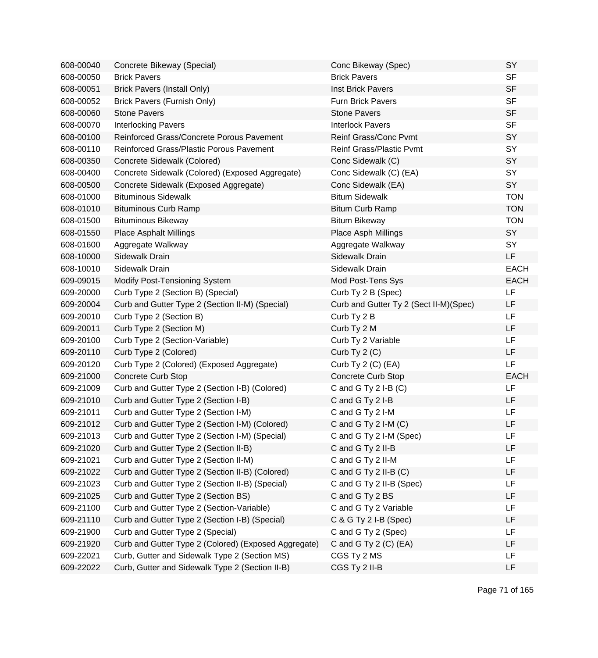| 608-00040 | Concrete Bikeway (Special)                           | Conc Bikeway (Spec)                    | SY          |
|-----------|------------------------------------------------------|----------------------------------------|-------------|
| 608-00050 | <b>Brick Pavers</b>                                  | <b>Brick Pavers</b>                    | <b>SF</b>   |
| 608-00051 | <b>Brick Pavers (Install Only)</b>                   | <b>Inst Brick Pavers</b>               | <b>SF</b>   |
| 608-00052 | Brick Pavers (Furnish Only)                          | <b>Furn Brick Pavers</b>               | <b>SF</b>   |
| 608-00060 | <b>Stone Pavers</b>                                  | <b>Stone Pavers</b>                    | <b>SF</b>   |
| 608-00070 | <b>Interlocking Pavers</b>                           | <b>Interlock Pavers</b>                | <b>SF</b>   |
| 608-00100 | Reinforced Grass/Concrete Porous Pavement            | <b>Reinf Grass/Conc Pvmt</b>           | SY          |
| 608-00110 | Reinforced Grass/Plastic Porous Pavement             | <b>Reinf Grass/Plastic Pvmt</b>        | SY          |
| 608-00350 | Concrete Sidewalk (Colored)                          | Conc Sidewalk (C)                      | SY          |
| 608-00400 | Concrete Sidewalk (Colored) (Exposed Aggregate)      | Conc Sidewalk (C) (EA)                 | SY          |
| 608-00500 | Concrete Sidewalk (Exposed Aggregate)                | Conc Sidewalk (EA)                     | SY          |
| 608-01000 | <b>Bituminous Sidewalk</b>                           | <b>Bitum Sidewalk</b>                  | <b>TON</b>  |
| 608-01010 | <b>Bituminous Curb Ramp</b>                          | <b>Bitum Curb Ramp</b>                 | <b>TON</b>  |
| 608-01500 | <b>Bituminous Bikeway</b>                            | <b>Bitum Bikeway</b>                   | <b>TON</b>  |
| 608-01550 | <b>Place Asphalt Millings</b>                        | Place Asph Millings                    | SY          |
| 608-01600 | Aggregate Walkway                                    | Aggregate Walkway                      | SY          |
| 608-10000 | Sidewalk Drain                                       | Sidewalk Drain                         | <b>LF</b>   |
| 608-10010 | Sidewalk Drain                                       | Sidewalk Drain                         | <b>EACH</b> |
| 609-09015 | Modify Post-Tensioning System                        | Mod Post-Tens Sys                      | <b>EACH</b> |
| 609-20000 | Curb Type 2 (Section B) (Special)                    | Curb Ty 2 B (Spec)                     | LF          |
| 609-20004 | Curb and Gutter Type 2 (Section II-M) (Special)      | Curb and Gutter Ty 2 (Sect II-M)(Spec) | LF          |
| 609-20010 | Curb Type 2 (Section B)                              | Curb Ty 2 B                            | LF          |
| 609-20011 | Curb Type 2 (Section M)                              | Curb Ty 2 M                            | LF          |
| 609-20100 | Curb Type 2 (Section-Variable)                       | Curb Ty 2 Variable                     | LF          |
| 609-20110 | Curb Type 2 (Colored)                                | Curb Ty $2(C)$                         | LF          |
| 609-20120 | Curb Type 2 (Colored) (Exposed Aggregate)            | Curb Ty 2 (C) (EA)                     | LF          |
| 609-21000 | <b>Concrete Curb Stop</b>                            | Concrete Curb Stop                     | <b>EACH</b> |
| 609-21009 | Curb and Gutter Type 2 (Section I-B) (Colored)       | C and G Ty $2$ I-B $(C)$               | LF          |
| 609-21010 | Curb and Gutter Type 2 (Section I-B)                 | C and G Ty 2 I-B                       | LF          |
| 609-21011 | Curb and Gutter Type 2 (Section I-M)                 | C and G Ty 2 I-M                       | LF          |
| 609-21012 | Curb and Gutter Type 2 (Section I-M) (Colored)       | C and G Ty $2$ I-M $(C)$               | LF          |
| 609-21013 | Curb and Gutter Type 2 (Section I-M) (Special)       | C and G Ty 2 I-M (Spec)                | LF          |
| 609-21020 | Curb and Gutter Type 2 (Section II-B)                | C and G Ty 2 II-B                      | LF          |
| 609-21021 | Curb and Gutter Type 2 (Section II-M)                | C and G Ty 2 II-M                      | LF          |
| 609-21022 | Curb and Gutter Type 2 (Section II-B) (Colored)      | C and G Ty $2$ II-B (C)                | LF          |
| 609-21023 | Curb and Gutter Type 2 (Section II-B) (Special)      | C and G Ty 2 II-B (Spec)               | LF          |
| 609-21025 | Curb and Gutter Type 2 (Section BS)                  | C and G Ty 2 BS                        | LF          |
| 609-21100 | Curb and Gutter Type 2 (Section-Variable)            | C and G Ty 2 Variable                  | LF          |
| 609-21110 | Curb and Gutter Type 2 (Section I-B) (Special)       | C & G Ty 2 I-B (Spec)                  | LF          |
| 609-21900 | Curb and Gutter Type 2 (Special)                     | C and G Ty 2 (Spec)                    | LF          |
| 609-21920 | Curb and Gutter Type 2 (Colored) (Exposed Aggregate) | C and G Ty $2$ (C) (EA)                | LF          |
| 609-22021 | Curb, Gutter and Sidewalk Type 2 (Section MS)        | CGS Ty 2 MS                            | LF          |
| 609-22022 | Curb, Gutter and Sidewalk Type 2 (Section II-B)      | CGS Ty 2 II-B                          | LF          |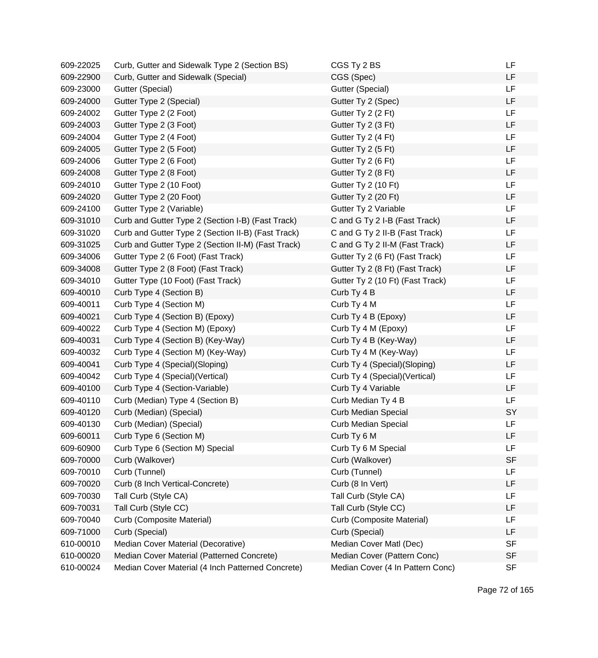| 609-22025 | Curb, Gutter and Sidewalk Type 2 (Section BS)      | CGS Ty 2 BS                      | LF        |
|-----------|----------------------------------------------------|----------------------------------|-----------|
| 609-22900 | Curb, Gutter and Sidewalk (Special)                | CGS (Spec)                       | LF        |
| 609-23000 | Gutter (Special)                                   | Gutter (Special)                 | LF        |
| 609-24000 | Gutter Type 2 (Special)                            | Gutter Ty 2 (Spec)               | LF        |
| 609-24002 | Gutter Type 2 (2 Foot)                             | Gutter Ty 2 (2 Ft)               | <b>LF</b> |
| 609-24003 | Gutter Type 2 (3 Foot)                             | Gutter Ty 2 (3 Ft)               | LF        |
| 609-24004 | Gutter Type 2 (4 Foot)                             | Gutter Ty 2 (4 Ft)               | <b>LF</b> |
| 609-24005 | Gutter Type 2 (5 Foot)                             | Gutter Ty 2 (5 Ft)               | <b>LF</b> |
| 609-24006 | Gutter Type 2 (6 Foot)                             | Gutter Ty 2 (6 Ft)               | <b>LF</b> |
| 609-24008 | Gutter Type 2 (8 Foot)                             | Gutter Ty 2 (8 Ft)               | LF        |
| 609-24010 | Gutter Type 2 (10 Foot)                            | Gutter Ty 2 (10 Ft)              | <b>LF</b> |
| 609-24020 | Gutter Type 2 (20 Foot)                            | Gutter Ty 2 (20 Ft)              | LF        |
| 609-24100 | Gutter Type 2 (Variable)                           | Gutter Ty 2 Variable             | LF        |
| 609-31010 | Curb and Gutter Type 2 (Section I-B) (Fast Track)  | C and G Ty 2 I-B (Fast Track)    | LF        |
| 609-31020 | Curb and Gutter Type 2 (Section II-B) (Fast Track) | C and G Ty 2 II-B (Fast Track)   | LF        |
| 609-31025 | Curb and Gutter Type 2 (Section II-M) (Fast Track) | C and G Ty 2 II-M (Fast Track)   | LF        |
| 609-34006 | Gutter Type 2 (6 Foot) (Fast Track)                | Gutter Ty 2 (6 Ft) (Fast Track)  | LF        |
| 609-34008 | Gutter Type 2 (8 Foot) (Fast Track)                | Gutter Ty 2 (8 Ft) (Fast Track)  | LF        |
| 609-34010 | Gutter Type (10 Foot) (Fast Track)                 | Gutter Ty 2 (10 Ft) (Fast Track) | LF        |
| 609-40010 | Curb Type 4 (Section B)                            | Curb Ty 4 B                      | LF        |
| 609-40011 | Curb Type 4 (Section M)                            | Curb Ty 4 M                      | LF        |
| 609-40021 | Curb Type 4 (Section B) (Epoxy)                    | Curb Ty 4 B (Epoxy)              | <b>LF</b> |
| 609-40022 | Curb Type 4 (Section M) (Epoxy)                    | Curb Ty 4 M (Epoxy)              | LF        |
| 609-40031 | Curb Type 4 (Section B) (Key-Way)                  | Curb Ty 4 B (Key-Way)            | LF        |
| 609-40032 | Curb Type 4 (Section M) (Key-Way)                  | Curb Ty 4 M (Key-Way)            | LF        |
| 609-40041 | Curb Type 4 (Special)(Sloping)                     | Curb Ty 4 (Special)(Sloping)     | LF        |
| 609-40042 | Curb Type 4 (Special) (Vertical)                   | Curb Ty 4 (Special) (Vertical)   | LF        |
| 609-40100 | Curb Type 4 (Section-Variable)                     | Curb Ty 4 Variable               | <b>LF</b> |
| 609-40110 | Curb (Median) Type 4 (Section B)                   | Curb Median Ty 4 B               | <b>LF</b> |
| 609-40120 | Curb (Median) (Special)                            | <b>Curb Median Special</b>       | SY        |
| 609-40130 | Curb (Median) (Special)                            | <b>Curb Median Special</b>       | LF        |
| 609-60011 | Curb Type 6 (Section M)                            | Curb Ty 6 M                      | LF        |
| 609-60900 | Curb Type 6 (Section M) Special                    | Curb Ty 6 M Special              | LF        |
| 609-70000 | Curb (Walkover)                                    | Curb (Walkover)                  | <b>SF</b> |
| 609-70010 | Curb (Tunnel)                                      | Curb (Tunnel)                    | LF        |
| 609-70020 | Curb (8 Inch Vertical-Concrete)                    | Curb (8 In Vert)                 | LF        |
| 609-70030 | Tall Curb (Style CA)                               | Tall Curb (Style CA)             | LF        |
| 609-70031 | Tall Curb (Style CC)                               | Tall Curb (Style CC)             | LF        |
| 609-70040 | Curb (Composite Material)                          | Curb (Composite Material)        | LF        |
| 609-71000 | Curb (Special)                                     | Curb (Special)                   | LF        |
| 610-00010 | Median Cover Material (Decorative)                 | Median Cover Matl (Dec)          | <b>SF</b> |
| 610-00020 | Median Cover Material (Patterned Concrete)         | Median Cover (Pattern Conc)      | <b>SF</b> |
| 610-00024 | Median Cover Material (4 Inch Patterned Concrete)  | Median Cover (4 In Pattern Conc) | <b>SF</b> |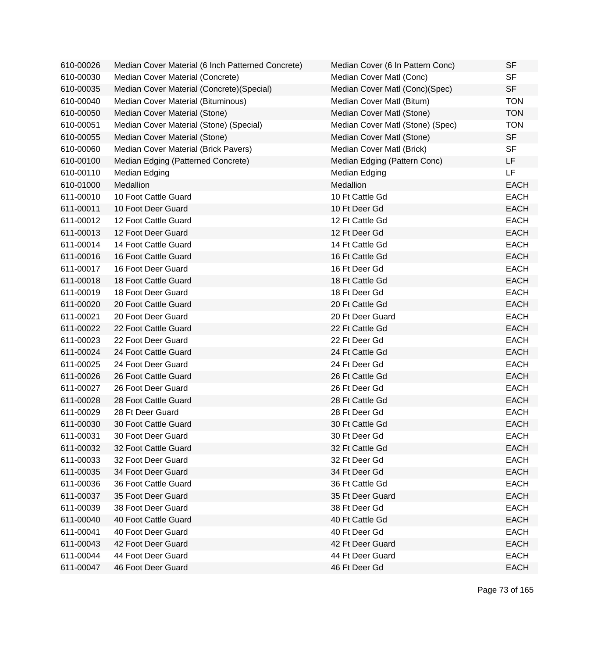| 610-00026 | Median Cover Material (6 Inch Patterned Concrete) | Median Cover (6 In Pattern Conc) | <b>SF</b>   |
|-----------|---------------------------------------------------|----------------------------------|-------------|
| 610-00030 | Median Cover Material (Concrete)                  | Median Cover Matl (Conc)         | <b>SF</b>   |
| 610-00035 | Median Cover Material (Concrete) (Special)        | Median Cover Matl (Conc)(Spec)   | <b>SF</b>   |
| 610-00040 | Median Cover Material (Bituminous)                | Median Cover Matl (Bitum)        | <b>TON</b>  |
| 610-00050 | Median Cover Material (Stone)                     | Median Cover Matl (Stone)        | <b>TON</b>  |
| 610-00051 | Median Cover Material (Stone) (Special)           | Median Cover Matl (Stone) (Spec) | <b>TON</b>  |
| 610-00055 | Median Cover Material (Stone)                     | Median Cover Matl (Stone)        | <b>SF</b>   |
| 610-00060 | Median Cover Material (Brick Pavers)              | Median Cover Matl (Brick)        | <b>SF</b>   |
| 610-00100 | Median Edging (Patterned Concrete)                | Median Edging (Pattern Conc)     | LF          |
| 610-00110 | Median Edging                                     | Median Edging                    | <b>LF</b>   |
| 610-01000 | Medallion                                         | Medallion                        | <b>EACH</b> |
| 611-00010 | 10 Foot Cattle Guard                              | 10 Ft Cattle Gd                  | <b>EACH</b> |
| 611-00011 | 10 Foot Deer Guard                                | 10 Ft Deer Gd                    | <b>EACH</b> |
| 611-00012 | 12 Foot Cattle Guard                              | 12 Ft Cattle Gd                  | <b>EACH</b> |
| 611-00013 | 12 Foot Deer Guard                                | 12 Ft Deer Gd                    | <b>EACH</b> |
| 611-00014 | 14 Foot Cattle Guard                              | 14 Ft Cattle Gd                  | <b>EACH</b> |
| 611-00016 | 16 Foot Cattle Guard                              | 16 Ft Cattle Gd                  | <b>EACH</b> |
| 611-00017 | 16 Foot Deer Guard                                | 16 Ft Deer Gd                    | <b>EACH</b> |
| 611-00018 | 18 Foot Cattle Guard                              | 18 Ft Cattle Gd                  | <b>EACH</b> |
| 611-00019 | 18 Foot Deer Guard                                | 18 Ft Deer Gd                    | <b>EACH</b> |
| 611-00020 | 20 Foot Cattle Guard                              | 20 Ft Cattle Gd                  | <b>EACH</b> |
| 611-00021 | 20 Foot Deer Guard                                | 20 Ft Deer Guard                 | <b>EACH</b> |
| 611-00022 | 22 Foot Cattle Guard                              | 22 Ft Cattle Gd                  | <b>EACH</b> |
| 611-00023 | 22 Foot Deer Guard                                | 22 Ft Deer Gd                    | <b>EACH</b> |
| 611-00024 | 24 Foot Cattle Guard                              | 24 Ft Cattle Gd                  | <b>EACH</b> |
| 611-00025 | 24 Foot Deer Guard                                | 24 Ft Deer Gd                    | <b>EACH</b> |
| 611-00026 | 26 Foot Cattle Guard                              | 26 Ft Cattle Gd                  | <b>EACH</b> |
| 611-00027 | 26 Foot Deer Guard                                | 26 Ft Deer Gd                    | <b>EACH</b> |
| 611-00028 | 28 Foot Cattle Guard                              | 28 Ft Cattle Gd                  | <b>EACH</b> |
| 611-00029 | 28 Ft Deer Guard                                  | 28 Ft Deer Gd                    | <b>EACH</b> |
| 611-00030 | 30 Foot Cattle Guard                              | 30 Ft Cattle Gd                  | <b>EACH</b> |
| 611-00031 | 30 Foot Deer Guard                                | 30 Ft Deer Gd                    | <b>EACH</b> |
| 611-00032 | 32 Foot Cattle Guard                              | 32 Ft Cattle Gd                  | <b>EACH</b> |
| 611-00033 | 32 Foot Deer Guard                                | 32 Ft Deer Gd                    | <b>EACH</b> |
| 611-00035 | 34 Foot Deer Guard                                | 34 Ft Deer Gd                    | <b>EACH</b> |
| 611-00036 | 36 Foot Cattle Guard                              | 36 Ft Cattle Gd                  | <b>EACH</b> |
| 611-00037 | 35 Foot Deer Guard                                | 35 Ft Deer Guard                 | <b>EACH</b> |
| 611-00039 | 38 Foot Deer Guard                                | 38 Ft Deer Gd                    | <b>EACH</b> |
| 611-00040 | 40 Foot Cattle Guard                              | 40 Ft Cattle Gd                  | <b>EACH</b> |
| 611-00041 | 40 Foot Deer Guard                                | 40 Ft Deer Gd                    | <b>EACH</b> |
| 611-00043 | 42 Foot Deer Guard                                | 42 Ft Deer Guard                 | <b>EACH</b> |
| 611-00044 | 44 Foot Deer Guard                                | 44 Ft Deer Guard                 | <b>EACH</b> |
| 611-00047 | 46 Foot Deer Guard                                | 46 Ft Deer Gd                    | <b>EACH</b> |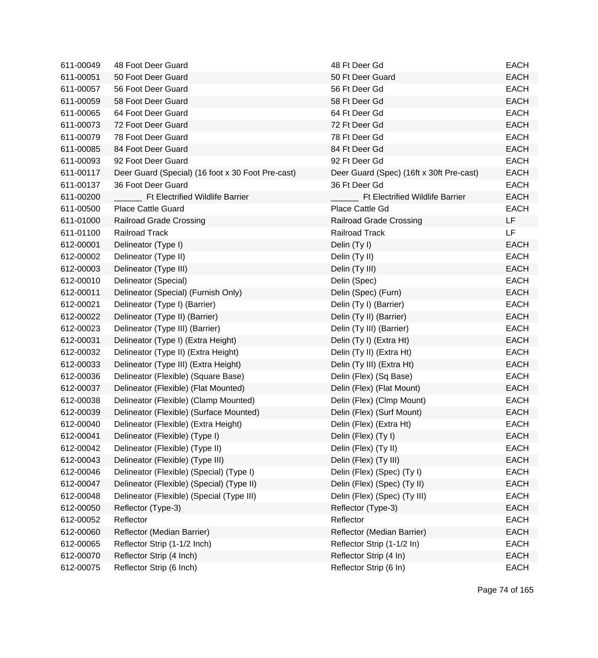| 611-00049 | 48 Foot Deer Guard                                | 48 Ft Deer Gd                            | <b>EACH</b> |
|-----------|---------------------------------------------------|------------------------------------------|-------------|
| 611-00051 | 50 Foot Deer Guard                                | 50 Ft Deer Guard                         | <b>EACH</b> |
| 611-00057 | 56 Foot Deer Guard                                | 56 Ft Deer Gd                            | <b>EACH</b> |
| 611-00059 | 58 Foot Deer Guard                                | 58 Ft Deer Gd                            | <b>EACH</b> |
| 611-00065 | 64 Foot Deer Guard                                | 64 Ft Deer Gd                            | <b>EACH</b> |
| 611-00073 | 72 Foot Deer Guard                                | 72 Ft Deer Gd                            | <b>EACH</b> |
| 611-00079 | 78 Foot Deer Guard                                | 78 Ft Deer Gd                            | <b>EACH</b> |
| 611-00085 | 84 Foot Deer Guard                                | 84 Ft Deer Gd                            | <b>EACH</b> |
| 611-00093 | 92 Foot Deer Guard                                | 92 Ft Deer Gd                            | <b>EACH</b> |
| 611-00117 | Deer Guard (Special) (16 foot x 30 Foot Pre-cast) | Deer Guard (Spec) (16ft x 30ft Pre-cast) | <b>EACH</b> |
| 611-00137 | 36 Foot Deer Guard                                | 36 Ft Deer Gd                            | <b>EACH</b> |
| 611-00200 | <b>Ft Electrified Wildlife Barrier</b>            | <b>Ft Electrified Wildlife Barrier</b>   | <b>EACH</b> |
| 611-00500 | <b>Place Cattle Guard</b>                         | Place Cattle Gd                          | <b>EACH</b> |
| 611-01000 | <b>Railroad Grade Crossing</b>                    | <b>Railroad Grade Crossing</b>           | LF          |
| 611-01100 | <b>Railroad Track</b>                             | Railroad Track                           | <b>LF</b>   |
| 612-00001 | Delineator (Type I)                               | Delin (Ty I)                             | <b>EACH</b> |
| 612-00002 | Delineator (Type II)                              | Delin (Ty II)                            | <b>EACH</b> |
| 612-00003 | Delineator (Type III)                             | Delin (Ty III)                           | <b>EACH</b> |
| 612-00010 | Delineator (Special)                              | Delin (Spec)                             | <b>EACH</b> |
| 612-00011 | Delineator (Special) (Furnish Only)               | Delin (Spec) (Furn)                      | <b>EACH</b> |
| 612-00021 | Delineator (Type I) (Barrier)                     | Delin (Ty I) (Barrier)                   | <b>EACH</b> |
| 612-00022 | Delineator (Type II) (Barrier)                    | Delin (Ty II) (Barrier)                  | <b>EACH</b> |
| 612-00023 | Delineator (Type III) (Barrier)                   | Delin (Ty III) (Barrier)                 | <b>EACH</b> |
| 612-00031 | Delineator (Type I) (Extra Height)                | Delin (Ty I) (Extra Ht)                  | <b>EACH</b> |
| 612-00032 | Delineator (Type II) (Extra Height)               | Delin (Ty II) (Extra Ht)                 | <b>EACH</b> |
| 612-00033 | Delineator (Type III) (Extra Height)              | Delin (Ty III) (Extra Ht)                | <b>EACH</b> |
| 612-00036 | Delineator (Flexible) (Square Base)               | Delin (Flex) (Sq Base)                   | <b>EACH</b> |
| 612-00037 | Delineator (Flexible) (Flat Mounted)              | Delin (Flex) (Flat Mount)                | <b>EACH</b> |
| 612-00038 | Delineator (Flexible) (Clamp Mounted)             | Delin (Flex) (Clmp Mount)                | <b>EACH</b> |
| 612-00039 | Delineator (Flexible) (Surface Mounted)           | Delin (Flex) (Surf Mount)                | <b>EACH</b> |
| 612-00040 | Delineator (Flexible) (Extra Height)              | Delin (Flex) (Extra Ht)                  | <b>EACH</b> |
| 612-00041 | Delineator (Flexible) (Type I)                    | Delin (Flex) (Ty I)                      | EACH        |
| 612-00042 | Delineator (Flexible) (Type II)                   | Delin (Flex) (Ty II)                     | <b>EACH</b> |
| 612-00043 | Delineator (Flexible) (Type III)                  | Delin (Flex) (Ty III)                    | <b>EACH</b> |
| 612-00046 | Delineator (Flexible) (Special) (Type I)          | Delin (Flex) (Spec) (Ty I)               | <b>EACH</b> |
| 612-00047 | Delineator (Flexible) (Special) (Type II)         | Delin (Flex) (Spec) (Ty II)              | <b>EACH</b> |
| 612-00048 | Delineator (Flexible) (Special (Type III)         | Delin (Flex) (Spec) (Ty III)             | <b>EACH</b> |
| 612-00050 | Reflector (Type-3)                                | Reflector (Type-3)                       | <b>EACH</b> |
| 612-00052 | Reflector                                         | Reflector                                | <b>EACH</b> |
| 612-00060 | Reflector (Median Barrier)                        | Reflector (Median Barrier)               | <b>EACH</b> |
| 612-00065 | Reflector Strip (1-1/2 Inch)                      | Reflector Strip (1-1/2 In)               | <b>EACH</b> |
| 612-00070 | Reflector Strip (4 Inch)                          | Reflector Strip (4 In)                   | <b>EACH</b> |
| 612-00075 | Reflector Strip (6 Inch)                          | Reflector Strip (6 In)                   | EACH        |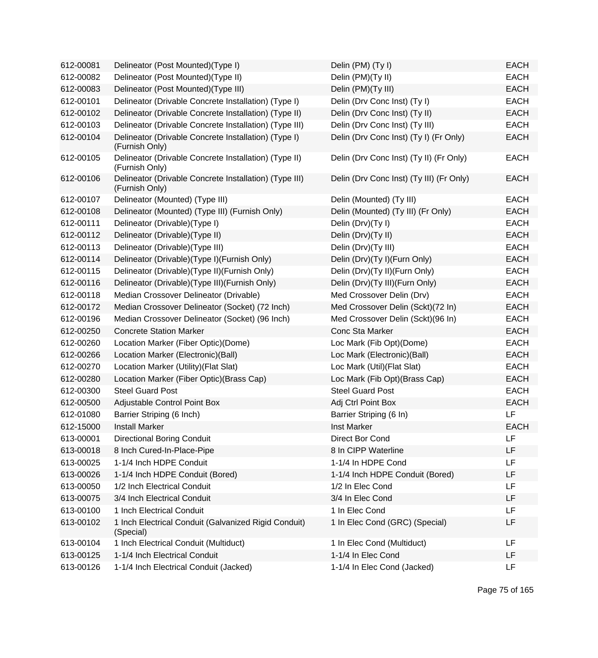| 612-00081 | Delineator (Post Mounted)(Type I)                                        | Delin (PM) (Ty I)                        | <b>EACH</b> |
|-----------|--------------------------------------------------------------------------|------------------------------------------|-------------|
| 612-00082 | Delineator (Post Mounted)(Type II)                                       | Delin (PM)(Ty II)                        | <b>EACH</b> |
| 612-00083 | Delineator (Post Mounted)(Type III)                                      | Delin (PM)(Ty III)                       | <b>EACH</b> |
| 612-00101 | Delineator (Drivable Concrete Installation) (Type I)                     | Delin (Drv Conc Inst) (Ty I)             | <b>EACH</b> |
| 612-00102 | Delineator (Drivable Concrete Installation) (Type II)                    | Delin (Drv Conc Inst) (Ty II)            | <b>EACH</b> |
| 612-00103 | Delineator (Drivable Concrete Installation) (Type III)                   | Delin (Drv Conc Inst) (Ty III)           | <b>EACH</b> |
| 612-00104 | Delineator (Drivable Concrete Installation) (Type I)<br>(Furnish Only)   | Delin (Drv Conc Inst) (Ty I) (Fr Only)   | <b>EACH</b> |
| 612-00105 | Delineator (Drivable Concrete Installation) (Type II)<br>(Furnish Only)  | Delin (Drv Conc Inst) (Ty II) (Fr Only)  | <b>EACH</b> |
| 612-00106 | Delineator (Drivable Concrete Installation) (Type III)<br>(Furnish Only) | Delin (Drv Conc Inst) (Ty III) (Fr Only) | <b>EACH</b> |
| 612-00107 | Delineator (Mounted) (Type III)                                          | Delin (Mounted) (Ty III)                 | <b>EACH</b> |
| 612-00108 | Delineator (Mounted) (Type III) (Furnish Only)                           | Delin (Mounted) (Ty III) (Fr Only)       | <b>EACH</b> |
| 612-00111 | Delineator (Drivable) (Type I)                                           | Delin (Drv)(Ty I)                        | <b>EACH</b> |
| 612-00112 | Delineator (Drivable) (Type II)                                          | Delin (Drv)(Ty II)                       | <b>EACH</b> |
| 612-00113 | Delineator (Drivable)(Type III)                                          | Delin (Drv)(Ty III)                      | <b>EACH</b> |
| 612-00114 | Delineator (Drivable)(Type I)(Furnish Only)                              | Delin (Drv)(Ty I)(Furn Only)             | <b>EACH</b> |
| 612-00115 | Delineator (Drivable) (Type II) (Furnish Only)                           | Delin (Drv)(Ty II)(Furn Only)            | <b>EACH</b> |
| 612-00116 | Delineator (Drivable) (Type III) (Furnish Only)                          | Delin (Drv)(Ty III)(Furn Only)           | <b>EACH</b> |
| 612-00118 | Median Crossover Delineator (Drivable)                                   | Med Crossover Delin (Drv)                | <b>EACH</b> |
| 612-00172 | Median Crossover Delineator (Socket) (72 Inch)                           | Med Crossover Delin (Sckt)(72 In)        | <b>EACH</b> |
| 612-00196 | Median Crossover Delineator (Socket) (96 Inch)                           | Med Crossover Delin (Sckt)(96 In)        | <b>EACH</b> |
| 612-00250 | <b>Concrete Station Marker</b>                                           | Conc Sta Marker                          | <b>EACH</b> |
| 612-00260 | Location Marker (Fiber Optic)(Dome)                                      | Loc Mark (Fib Opt)(Dome)                 | <b>EACH</b> |
| 612-00266 | Location Marker (Electronic)(Ball)                                       | Loc Mark (Electronic)(Ball)              | <b>EACH</b> |
| 612-00270 | Location Marker (Utility) (Flat Slat)                                    | Loc Mark (Util) (Flat Slat)              | <b>EACH</b> |
| 612-00280 | Location Marker (Fiber Optic) (Brass Cap)                                | Loc Mark (Fib Opt)(Brass Cap)            | <b>EACH</b> |
| 612-00300 | <b>Steel Guard Post</b>                                                  | <b>Steel Guard Post</b>                  | <b>EACH</b> |
| 612-00500 | Adjustable Control Point Box                                             | Adj Ctrl Point Box                       | <b>EACH</b> |
| 612-01080 | Barrier Striping (6 Inch)                                                | Barrier Striping (6 In)                  | LF          |
| 612-15000 | <b>Install Marker</b>                                                    | <b>Inst Marker</b>                       | <b>EACH</b> |
| 613-00001 | <b>Directional Boring Conduit</b>                                        | Direct Bor Cond                          | LF          |
| 613-00018 | 8 Inch Cured-In-Place-Pipe                                               | 8 In CIPP Waterline                      | LF          |
| 613-00025 | 1-1/4 Inch HDPE Conduit                                                  | 1-1/4 In HDPE Cond                       | LF          |
| 613-00026 | 1-1/4 Inch HDPE Conduit (Bored)                                          | 1-1/4 Inch HDPE Conduit (Bored)          | LF          |
| 613-00050 | 1/2 Inch Electrical Conduit                                              | 1/2 In Elec Cond                         | LF          |
| 613-00075 | 3/4 Inch Electrical Conduit                                              | 3/4 In Elec Cond                         | LF          |
| 613-00100 | 1 Inch Electrical Conduit                                                | 1 In Elec Cond                           | LF          |
| 613-00102 | 1 Inch Electrical Conduit (Galvanized Rigid Conduit)<br>(Special)        | 1 In Elec Cond (GRC) (Special)           | LF          |
| 613-00104 | 1 Inch Electrical Conduit (Multiduct)                                    | 1 In Elec Cond (Multiduct)               | LF          |
| 613-00125 | 1-1/4 Inch Electrical Conduit                                            | 1-1/4 In Elec Cond                       | LF          |
| 613-00126 | 1-1/4 Inch Electrical Conduit (Jacked)                                   | 1-1/4 In Elec Cond (Jacked)              | LF          |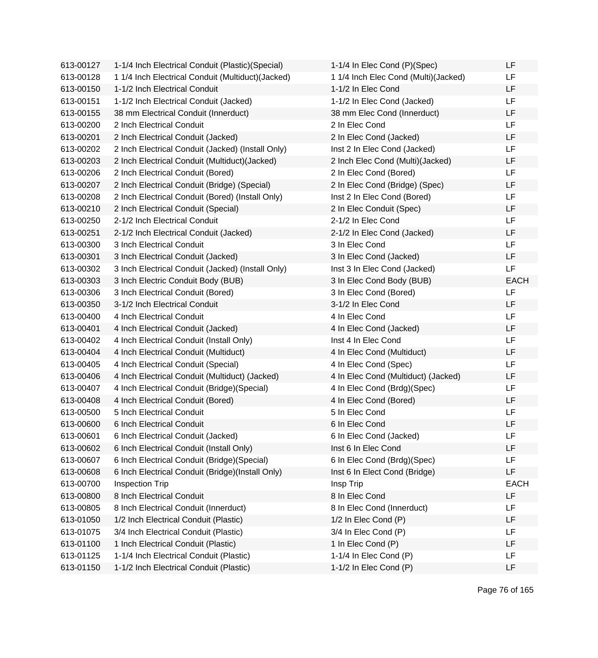| 613-00127 | 1-1/4 Inch Electrical Conduit (Plastic) (Special)  | 1-1/4 In Elec Cond (P)(Spec)         | LF          |
|-----------|----------------------------------------------------|--------------------------------------|-------------|
| 613-00128 | 1 1/4 Inch Electrical Conduit (Multiduct) (Jacked) | 1 1/4 Inch Elec Cond (Multi)(Jacked) | LF          |
| 613-00150 | 1-1/2 Inch Electrical Conduit                      | 1-1/2 In Elec Cond                   | LF          |
| 613-00151 | 1-1/2 Inch Electrical Conduit (Jacked)             | 1-1/2 In Elec Cond (Jacked)          | LF.         |
| 613-00155 | 38 mm Electrical Conduit (Innerduct)               | 38 mm Elec Cond (Innerduct)          | LF          |
| 613-00200 | 2 Inch Electrical Conduit                          | 2 In Elec Cond                       | LF          |
| 613-00201 | 2 Inch Electrical Conduit (Jacked)                 | 2 In Elec Cond (Jacked)              | LF          |
| 613-00202 | 2 Inch Electrical Conduit (Jacked) (Install Only)  | Inst 2 In Elec Cond (Jacked)         | LF          |
| 613-00203 | 2 Inch Electrical Conduit (Multiduct) (Jacked)     | 2 Inch Elec Cond (Multi)(Jacked)     | LF          |
| 613-00206 | 2 Inch Electrical Conduit (Bored)                  | 2 In Elec Cond (Bored)               | LF          |
| 613-00207 | 2 Inch Electrical Conduit (Bridge) (Special)       | 2 In Elec Cond (Bridge) (Spec)       | LF          |
| 613-00208 | 2 Inch Electrical Conduit (Bored) (Install Only)   | Inst 2 In Elec Cond (Bored)          | LF          |
| 613-00210 | 2 Inch Electrical Conduit (Special)                | 2 In Elec Conduit (Spec)             | LF          |
| 613-00250 | 2-1/2 Inch Electrical Conduit                      | 2-1/2 In Elec Cond                   | LF          |
| 613-00251 | 2-1/2 Inch Electrical Conduit (Jacked)             | 2-1/2 In Elec Cond (Jacked)          | LF          |
| 613-00300 | 3 Inch Electrical Conduit                          | 3 In Elec Cond                       | LF          |
| 613-00301 | 3 Inch Electrical Conduit (Jacked)                 | 3 In Elec Cond (Jacked)              | LF          |
| 613-00302 | 3 Inch Electrical Conduit (Jacked) (Install Only)  | Inst 3 In Elec Cond (Jacked)         | LF          |
| 613-00303 | 3 Inch Electric Conduit Body (BUB)                 | 3 In Elec Cond Body (BUB)            | <b>EACH</b> |
| 613-00306 | 3 Inch Electrical Conduit (Bored)                  | 3 In Elec Cond (Bored)               | LF          |
| 613-00350 | 3-1/2 Inch Electrical Conduit                      | 3-1/2 In Elec Cond                   | LF.         |
| 613-00400 | 4 Inch Electrical Conduit                          | 4 In Elec Cond                       | LF          |
| 613-00401 | 4 Inch Electrical Conduit (Jacked)                 | 4 In Elec Cond (Jacked)              | LF          |
| 613-00402 | 4 Inch Electrical Conduit (Install Only)           | Inst 4 In Elec Cond                  | LF          |
| 613-00404 | 4 Inch Electrical Conduit (Multiduct)              | 4 In Elec Cond (Multiduct)           | LF          |
| 613-00405 | 4 Inch Electrical Conduit (Special)                | 4 In Elec Cond (Spec)                | LF          |
| 613-00406 | 4 Inch Electrical Conduit (Multiduct) (Jacked)     | 4 In Elec Cond (Multiduct) (Jacked)  | LF          |
| 613-00407 | 4 Inch Electrical Conduit (Bridge)(Special)        | 4 In Elec Cond (Brdg)(Spec)          | LF          |
| 613-00408 | 4 Inch Electrical Conduit (Bored)                  | 4 In Elec Cond (Bored)               | LF          |
| 613-00500 | 5 Inch Electrical Conduit                          | 5 In Elec Cond                       | LF          |
| 613-00600 | 6 Inch Electrical Conduit                          | 6 In Elec Cond                       | LF          |
| 613-00601 | 6 Inch Electrical Conduit (Jacked)                 | 6 In Elec Cond (Jacked)              | LF          |
| 613-00602 | 6 Inch Electrical Conduit (Install Only)           | Inst 6 In Elec Cond                  | LF          |
| 613-00607 | 6 Inch Electrical Conduit (Bridge) (Special)       | 6 In Elec Cond (Brdg)(Spec)          | LF          |
| 613-00608 | 6 Inch Electrical Conduit (Bridge)(Install Only)   | Inst 6 In Elect Cond (Bridge)        | LF          |
| 613-00700 | <b>Inspection Trip</b>                             | Insp Trip                            | <b>EACH</b> |
| 613-00800 | 8 Inch Electrical Conduit                          | 8 In Elec Cond                       | LF          |
| 613-00805 | 8 Inch Electrical Conduit (Innerduct)              | 8 In Elec Cond (Innerduct)           | LF          |
| 613-01050 | 1/2 Inch Electrical Conduit (Plastic)              | 1/2 In Elec Cond (P)                 | LF          |
| 613-01075 | 3/4 Inch Electrical Conduit (Plastic)              | 3/4 In Elec Cond (P)                 | LF          |
| 613-01100 | 1 Inch Electrical Conduit (Plastic)                | 1 In Elec Cond (P)                   | LF          |
| 613-01125 | 1-1/4 Inch Electrical Conduit (Plastic)            | 1-1/4 In Elec Cond (P)               | LF          |
| 613-01150 | 1-1/2 Inch Electrical Conduit (Plastic)            | 1-1/2 In Elec Cond (P)               | LF          |
|           |                                                    |                                      |             |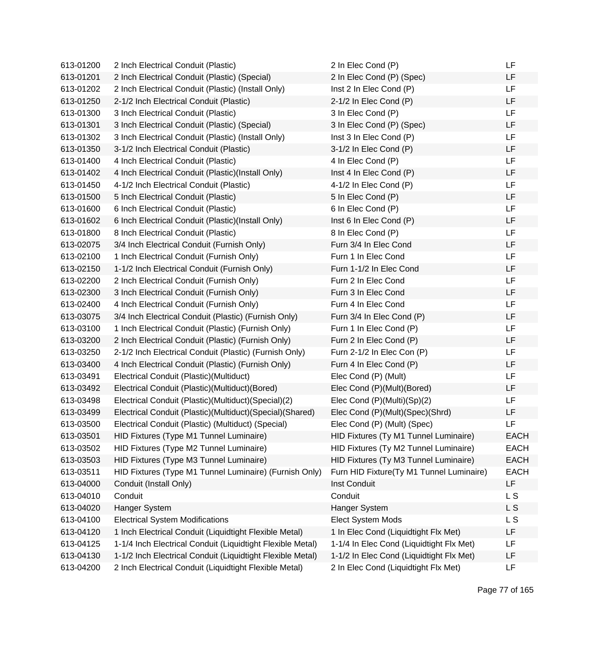| 613-01200 | 2 Inch Electrical Conduit (Plastic)                        | 2 In Elec Cond (P)                       | LF          |
|-----------|------------------------------------------------------------|------------------------------------------|-------------|
| 613-01201 | 2 Inch Electrical Conduit (Plastic) (Special)              | 2 In Elec Cond (P) (Spec)                | LF          |
| 613-01202 | 2 Inch Electrical Conduit (Plastic) (Install Only)         | Inst 2 In Elec Cond (P)                  | <b>LF</b>   |
| 613-01250 | 2-1/2 Inch Electrical Conduit (Plastic)                    | 2-1/2 In Elec Cond (P)                   | LF          |
| 613-01300 | 3 Inch Electrical Conduit (Plastic)                        | 3 In Elec Cond (P)                       | LF          |
| 613-01301 | 3 Inch Electrical Conduit (Plastic) (Special)              | 3 In Elec Cond (P) (Spec)                | LF          |
| 613-01302 | 3 Inch Electrical Conduit (Plastic) (Install Only)         | Inst 3 In Elec Cond (P)                  | <b>LF</b>   |
| 613-01350 | 3-1/2 Inch Electrical Conduit (Plastic)                    | 3-1/2 In Elec Cond (P)                   | <b>LF</b>   |
| 613-01400 | 4 Inch Electrical Conduit (Plastic)                        | 4 In Elec Cond (P)                       | LF          |
| 613-01402 | 4 Inch Electrical Conduit (Plastic)(Install Only)          | Inst 4 In Elec Cond (P)                  | LF          |
| 613-01450 | 4-1/2 Inch Electrical Conduit (Plastic)                    | 4-1/2 In Elec Cond (P)                   | LF          |
| 613-01500 | 5 Inch Electrical Conduit (Plastic)                        | 5 In Elec Cond (P)                       | LF          |
| 613-01600 | 6 Inch Electrical Conduit (Plastic)                        | 6 In Elec Cond (P)                       | LF          |
| 613-01602 | 6 Inch Electrical Conduit (Plastic) (Install Only)         | Inst 6 In Elec Cond (P)                  | LF          |
| 613-01800 | 8 Inch Electrical Conduit (Plastic)                        | 8 In Elec Cond (P)                       | LF          |
| 613-02075 | 3/4 Inch Electrical Conduit (Furnish Only)                 | Furn 3/4 In Elec Cond                    | LF          |
| 613-02100 | 1 Inch Electrical Conduit (Furnish Only)                   | Furn 1 In Elec Cond                      | LF          |
| 613-02150 | 1-1/2 Inch Electrical Conduit (Furnish Only)               | Furn 1-1/2 In Elec Cond                  | <b>LF</b>   |
| 613-02200 | 2 Inch Electrical Conduit (Furnish Only)                   | Furn 2 In Elec Cond                      | LF          |
| 613-02300 | 3 Inch Electrical Conduit (Furnish Only)                   | Furn 3 In Elec Cond                      | LF          |
| 613-02400 | 4 Inch Electrical Conduit (Furnish Only)                   | Furn 4 In Elec Cond                      | LF          |
| 613-03075 | 3/4 Inch Electrical Conduit (Plastic) (Furnish Only)       | Furn 3/4 In Elec Cond (P)                | LF          |
| 613-03100 | 1 Inch Electrical Conduit (Plastic) (Furnish Only)         | Furn 1 In Elec Cond (P)                  | <b>LF</b>   |
| 613-03200 | 2 Inch Electrical Conduit (Plastic) (Furnish Only)         | Furn 2 In Elec Cond (P)                  | LF          |
| 613-03250 | 2-1/2 Inch Electrical Conduit (Plastic) (Furnish Only)     | Furn 2-1/2 In Elec Con (P)               | LF          |
| 613-03400 | 4 Inch Electrical Conduit (Plastic) (Furnish Only)         | Furn 4 In Elec Cond (P)                  | LF          |
| 613-03491 | Electrical Conduit (Plastic) (Multiduct)                   | Elec Cond (P) (Mult)                     | LF          |
| 613-03492 | Electrical Conduit (Plastic)(Multiduct)(Bored)             | Elec Cond (P)(Mult)(Bored)               | <b>LF</b>   |
| 613-03498 | Electrical Conduit (Plastic)(Multiduct)(Special)(2)        | Elec Cond (P)(Multi)(Sp)(2)              | LF          |
| 613-03499 | Electrical Conduit (Plastic)(Multiduct)(Special)(Shared)   | Elec Cond (P)(Mult)(Spec)(Shrd)          | LF          |
| 613-03500 | Electrical Conduit (Plastic) (Multiduct) (Special)         | Elec Cond (P) (Mult) (Spec)              | LF          |
| 613-03501 | HID Fixtures (Type M1 Tunnel Luminaire)                    | HID Fixtures (Ty M1 Tunnel Luminaire)    | <b>EACH</b> |
| 613-03502 | HID Fixtures (Type M2 Tunnel Luminaire)                    | HID Fixtures (Ty M2 Tunnel Luminaire)    | <b>EACH</b> |
| 613-03503 | HID Fixtures (Type M3 Tunnel Luminaire)                    | HID Fixtures (Ty M3 Tunnel Luminaire)    | <b>EACH</b> |
| 613-03511 | HID Fixtures (Type M1 Tunnel Luminaire) (Furnish Only)     | Furn HID Fixture(Ty M1 Tunnel Luminaire) | <b>EACH</b> |
| 613-04000 | Conduit (Install Only)                                     | Inst Conduit                             | LF          |
| 613-04010 | Conduit                                                    | Conduit                                  | L S         |
| 613-04020 | Hanger System                                              | Hanger System                            | L S         |
| 613-04100 | <b>Electrical System Modifications</b>                     | Elect System Mods                        | L S         |
| 613-04120 | 1 Inch Electrical Conduit (Liquidtight Flexible Metal)     | 1 In Elec Cond (Liquidtight Flx Met)     | LF          |
| 613-04125 | 1-1/4 Inch Electrical Conduit (Liquidtight Flexible Metal) | 1-1/4 In Elec Cond (Liquidtight Flx Met) | LF          |
| 613-04130 | 1-1/2 Inch Electrical Conduit (Liquidtight Flexible Metal) | 1-1/2 In Elec Cond (Liquidtight Flx Met) | LF          |
| 613-04200 | 2 Inch Electrical Conduit (Liquidtight Flexible Metal)     | 2 In Elec Cond (Liquidtight Flx Met)     | LF          |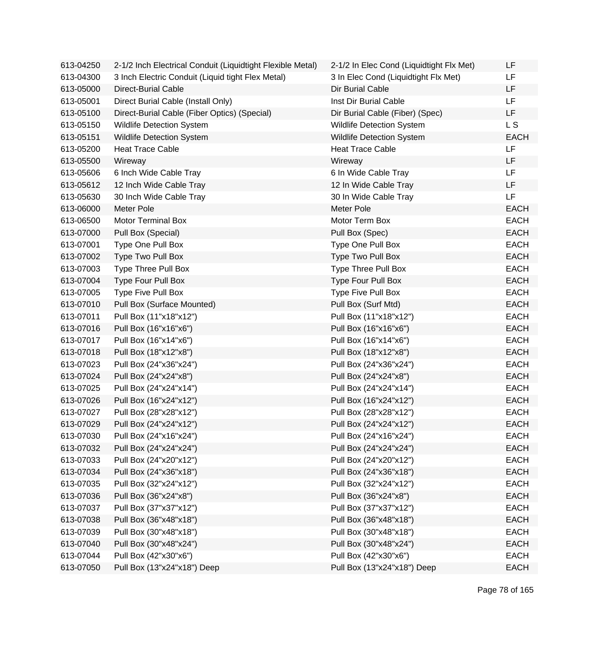| 613-04250 | 2-1/2 Inch Electrical Conduit (Liquidtight Flexible Metal) | 2-1/2 In Elec Cond (Liquidtight Flx Met) | LF             |
|-----------|------------------------------------------------------------|------------------------------------------|----------------|
| 613-04300 | 3 Inch Electric Conduit (Liquid tight Flex Metal)          | 3 In Elec Cond (Liquidtight Flx Met)     | LF             |
| 613-05000 | <b>Direct-Burial Cable</b>                                 | Dir Burial Cable                         | <b>LF</b>      |
| 613-05001 | Direct Burial Cable (Install Only)                         | Inst Dir Burial Cable                    | LF             |
| 613-05100 | Direct-Burial Cable (Fiber Optics) (Special)               | Dir Burial Cable (Fiber) (Spec)          | LF             |
| 613-05150 | <b>Wildlife Detection System</b>                           | Wildlife Detection System                | L <sub>S</sub> |
| 613-05151 | <b>Wildlife Detection System</b>                           | Wildlife Detection System                | <b>EACH</b>    |
| 613-05200 | <b>Heat Trace Cable</b>                                    | <b>Heat Trace Cable</b>                  | LF             |
| 613-05500 | Wireway                                                    | Wireway                                  | LF             |
| 613-05606 | 6 Inch Wide Cable Tray                                     | 6 In Wide Cable Tray                     | <b>LF</b>      |
| 613-05612 | 12 Inch Wide Cable Tray                                    | 12 In Wide Cable Tray                    | LF             |
| 613-05630 | 30 Inch Wide Cable Tray                                    | 30 In Wide Cable Tray                    | <b>LF</b>      |
| 613-06000 | <b>Meter Pole</b>                                          | Meter Pole                               | <b>EACH</b>    |
| 613-06500 | <b>Motor Terminal Box</b>                                  | Motor Term Box                           | <b>EACH</b>    |
| 613-07000 | Pull Box (Special)                                         | Pull Box (Spec)                          | <b>EACH</b>    |
| 613-07001 | Type One Pull Box                                          | Type One Pull Box                        | <b>EACH</b>    |
| 613-07002 | Type Two Pull Box                                          | Type Two Pull Box                        | <b>EACH</b>    |
| 613-07003 | Type Three Pull Box                                        | Type Three Pull Box                      | <b>EACH</b>    |
| 613-07004 | Type Four Pull Box                                         | Type Four Pull Box                       | <b>EACH</b>    |
| 613-07005 | <b>Type Five Pull Box</b>                                  | <b>Type Five Pull Box</b>                | <b>EACH</b>    |
| 613-07010 | Pull Box (Surface Mounted)                                 | Pull Box (Surf Mtd)                      | <b>EACH</b>    |
| 613-07011 | Pull Box (11"x18"x12")                                     | Pull Box (11"x18"x12")                   | <b>EACH</b>    |
| 613-07016 | Pull Box (16"x16"x6")                                      | Pull Box (16"x16"x6")                    | <b>EACH</b>    |
| 613-07017 | Pull Box (16"x14"x6")                                      | Pull Box (16"x14"x6")                    | <b>EACH</b>    |
| 613-07018 | Pull Box (18"x12"x8")                                      | Pull Box (18"x12"x8")                    | <b>EACH</b>    |
| 613-07023 | Pull Box (24"x36"x24")                                     | Pull Box (24"x36"x24")                   | <b>EACH</b>    |
| 613-07024 | Pull Box (24"x24"x8")                                      | Pull Box (24"x24"x8")                    | <b>EACH</b>    |
| 613-07025 | Pull Box (24"x24"x14")                                     | Pull Box (24"x24"x14")                   | <b>EACH</b>    |
| 613-07026 | Pull Box (16"x24"x12")                                     | Pull Box (16"x24"x12")                   | <b>EACH</b>    |
| 613-07027 | Pull Box (28"x28"x12")                                     | Pull Box (28"x28"x12")                   | <b>EACH</b>    |
| 613-07029 | Pull Box (24"x24"x12")                                     | Pull Box (24"x24"x12")                   | <b>EACH</b>    |
| 613-07030 | Pull Box (24"x16"x24")                                     | Pull Box (24"x16"x24")                   | <b>EACH</b>    |
| 613-07032 | Pull Box (24"x24"x24")                                     | Pull Box (24"x24"x24")                   | <b>EACH</b>    |
| 613-07033 | Pull Box (24"x20"x12")                                     | Pull Box (24"x20"x12")                   | <b>EACH</b>    |
| 613-07034 | Pull Box (24"x36"x18")                                     | Pull Box (24"x36"x18")                   | <b>EACH</b>    |
| 613-07035 | Pull Box (32"x24"x12")                                     | Pull Box (32"x24"x12")                   | <b>EACH</b>    |
| 613-07036 | Pull Box (36"x24"x8")                                      | Pull Box (36"x24"x8")                    | <b>EACH</b>    |
| 613-07037 | Pull Box (37"x37"x12")                                     | Pull Box (37"x37"x12")                   | <b>EACH</b>    |
| 613-07038 | Pull Box (36"x48"x18")                                     | Pull Box (36"x48"x18")                   | <b>EACH</b>    |
| 613-07039 | Pull Box (30"x48"x18")                                     | Pull Box (30"x48"x18")                   | <b>EACH</b>    |
| 613-07040 | Pull Box (30"x48"x24")                                     | Pull Box (30"x48"x24")                   | <b>EACH</b>    |
| 613-07044 | Pull Box (42"x30"x6")                                      | Pull Box (42"x30"x6")                    | <b>EACH</b>    |
| 613-07050 | Pull Box (13"x24"x18") Deep                                | Pull Box (13"x24"x18") Deep              | <b>EACH</b>    |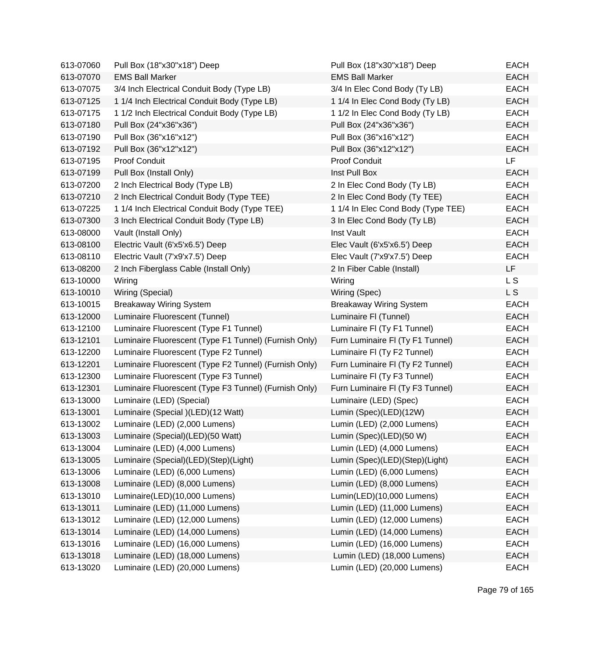| 613-07060 | Pull Box (18"x30"x18") Deep                           | Pull Box (18"x30"x18") Deep        | EACH        |
|-----------|-------------------------------------------------------|------------------------------------|-------------|
| 613-07070 | <b>EMS Ball Marker</b>                                | <b>EMS Ball Marker</b>             | <b>EACH</b> |
| 613-07075 | 3/4 Inch Electrical Conduit Body (Type LB)            | 3/4 In Elec Cond Body (Ty LB)      | <b>EACH</b> |
| 613-07125 | 1 1/4 Inch Electrical Conduit Body (Type LB)          | 1 1/4 In Elec Cond Body (Ty LB)    | <b>EACH</b> |
| 613-07175 | 1 1/2 Inch Electrical Conduit Body (Type LB)          | 1 1/2 In Elec Cond Body (Ty LB)    | <b>EACH</b> |
| 613-07180 | Pull Box (24"x36"x36")                                | Pull Box (24"x36"x36")             | <b>EACH</b> |
| 613-07190 | Pull Box (36"x16"x12")                                | Pull Box (36"x16"x12")             | <b>EACH</b> |
| 613-07192 | Pull Box (36"x12"x12")                                | Pull Box (36"x12"x12")             | <b>EACH</b> |
| 613-07195 | Proof Conduit                                         | <b>Proof Conduit</b>               | <b>LF</b>   |
| 613-07199 | Pull Box (Install Only)                               | Inst Pull Box                      | <b>EACH</b> |
| 613-07200 | 2 Inch Electrical Body (Type LB)                      | 2 In Elec Cond Body (Ty LB)        | <b>EACH</b> |
| 613-07210 | 2 Inch Electrical Conduit Body (Type TEE)             | 2 In Elec Cond Body (Ty TEE)       | <b>EACH</b> |
| 613-07225 | 1 1/4 Inch Electrical Conduit Body (Type TEE)         | 1 1/4 In Elec Cond Body (Type TEE) | <b>EACH</b> |
| 613-07300 | 3 Inch Electrical Conduit Body (Type LB)              | 3 In Elec Cond Body (Ty LB)        | <b>EACH</b> |
| 613-08000 | Vault (Install Only)                                  | Inst Vault                         | <b>EACH</b> |
| 613-08100 | Electric Vault (6'x5'x6.5') Deep                      | Elec Vault (6'x5'x6.5') Deep       | <b>EACH</b> |
| 613-08110 | Electric Vault (7'x9'x7.5') Deep                      | Elec Vault (7'x9'x7.5') Deep       | <b>EACH</b> |
| 613-08200 | 2 Inch Fiberglass Cable (Install Only)                | 2 In Fiber Cable (Install)         | LF          |
| 613-10000 | Wiring                                                | Wiring                             | L S         |
| 613-10010 | Wiring (Special)                                      | Wiring (Spec)                      | L S         |
| 613-10015 | <b>Breakaway Wiring System</b>                        | <b>Breakaway Wiring System</b>     | <b>EACH</b> |
| 613-12000 | Luminaire Fluorescent (Tunnel)                        | Luminaire FI (Tunnel)              | <b>EACH</b> |
| 613-12100 | Luminaire Fluorescent (Type F1 Tunnel)                | Luminaire FI (Ty F1 Tunnel)        | <b>EACH</b> |
| 613-12101 | Luminaire Fluorescent (Type F1 Tunnel) (Furnish Only) | Furn Luminaire FI (Ty F1 Tunnel)   | <b>EACH</b> |
| 613-12200 | Luminaire Fluorescent (Type F2 Tunnel)                | Luminaire FI (Ty F2 Tunnel)        | <b>EACH</b> |
| 613-12201 | Luminaire Fluorescent (Type F2 Tunnel) (Furnish Only) | Furn Luminaire FI (Ty F2 Tunnel)   | <b>EACH</b> |
| 613-12300 | Luminaire Fluorescent (Type F3 Tunnel)                | Luminaire FI (Ty F3 Tunnel)        | <b>EACH</b> |
| 613-12301 | Luminaire Fluorescent (Type F3 Tunnel) (Furnish Only) | Furn Luminaire FI (Ty F3 Tunnel)   | <b>EACH</b> |
| 613-13000 | Luminaire (LED) (Special)                             | Luminaire (LED) (Spec)             | <b>EACH</b> |
| 613-13001 | Luminaire (Special )(LED)(12 Watt)                    | Lumin (Spec)(LED)(12W)             | <b>EACH</b> |
| 613-13002 | Luminaire (LED) (2,000 Lumens)                        | Lumin (LED) (2,000 Lumens)         | <b>EACH</b> |
| 613-13003 | Luminaire (Special)(LED)(50 Watt)                     | Lumin (Spec)(LED)(50 W)            | <b>EACH</b> |
| 613-13004 | Luminaire (LED) (4,000 Lumens)                        | Lumin (LED) (4,000 Lumens)         | <b>EACH</b> |
| 613-13005 | Luminaire (Special)(LED)(Step)(Light)                 | Lumin (Spec)(LED)(Step)(Light)     | <b>EACH</b> |
| 613-13006 | Luminaire (LED) (6,000 Lumens)                        | Lumin (LED) (6,000 Lumens)         | <b>EACH</b> |
| 613-13008 | Luminaire (LED) (8,000 Lumens)                        | Lumin (LED) (8,000 Lumens)         | <b>EACH</b> |
| 613-13010 | Luminaire(LED)(10,000 Lumens)                         | Lumin(LED)(10,000 Lumens)          | <b>EACH</b> |
| 613-13011 | Luminaire (LED) (11,000 Lumens)                       | Lumin (LED) (11,000 Lumens)        | <b>EACH</b> |
| 613-13012 | Luminaire (LED) (12,000 Lumens)                       | Lumin (LED) (12,000 Lumens)        | <b>EACH</b> |
| 613-13014 | Luminaire (LED) (14,000 Lumens)                       | Lumin (LED) (14,000 Lumens)        | <b>EACH</b> |
| 613-13016 | Luminaire (LED) (16,000 Lumens)                       | Lumin (LED) (16,000 Lumens)        | <b>EACH</b> |
| 613-13018 | Luminaire (LED) (18,000 Lumens)                       | Lumin (LED) (18,000 Lumens)        | <b>EACH</b> |
| 613-13020 | Luminaire (LED) (20,000 Lumens)                       | Lumin (LED) (20,000 Lumens)        | <b>EACH</b> |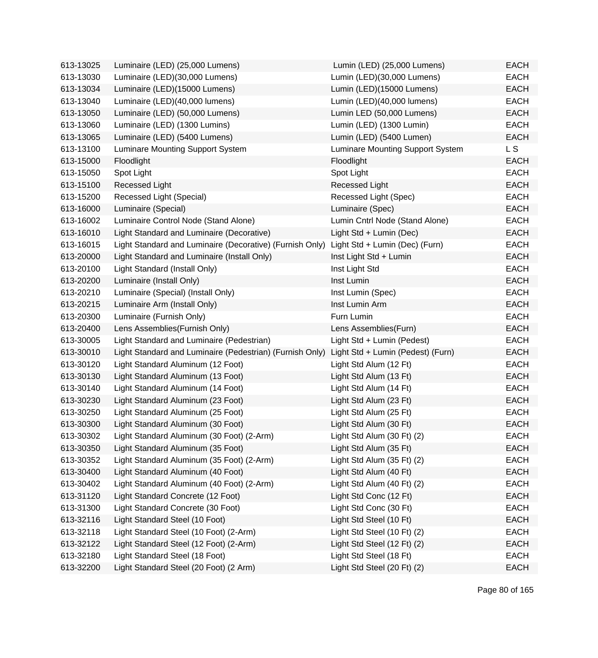| 613-13025 | Luminaire (LED) (25,000 Lumens)                          | Lumin (LED) (25,000 Lumens)             | <b>EACH</b> |
|-----------|----------------------------------------------------------|-----------------------------------------|-------------|
| 613-13030 | Luminaire (LED)(30,000 Lumens)                           | Lumin (LED)(30,000 Lumens)              | <b>EACH</b> |
| 613-13034 | Luminaire (LED)(15000 Lumens)                            | Lumin (LED)(15000 Lumens)               | <b>EACH</b> |
| 613-13040 | Luminaire (LED)(40,000 lumens)                           | Lumin (LED)(40,000 lumens)              | <b>EACH</b> |
| 613-13050 | Luminaire (LED) (50,000 Lumens)                          | Lumin LED (50,000 Lumens)               | <b>EACH</b> |
| 613-13060 | Luminaire (LED) (1300 Lumins)                            | Lumin (LED) (1300 Lumin)                | <b>EACH</b> |
| 613-13065 | Luminaire (LED) (5400 Lumens)                            | Lumin (LED) (5400 Lumen)                | <b>EACH</b> |
| 613-13100 | Luminare Mounting Support System                         | <b>Luminare Mounting Support System</b> | L S         |
| 613-15000 | Floodlight                                               | Floodlight                              | <b>EACH</b> |
| 613-15050 | Spot Light                                               | Spot Light                              | <b>EACH</b> |
| 613-15100 | Recessed Light                                           | Recessed Light                          | <b>EACH</b> |
| 613-15200 | Recessed Light (Special)                                 | Recessed Light (Spec)                   | <b>EACH</b> |
| 613-16000 | Luminaire (Special)                                      | Luminaire (Spec)                        | <b>EACH</b> |
| 613-16002 | Luminaire Control Node (Stand Alone)                     | Lumin Cntrl Node (Stand Alone)          | <b>EACH</b> |
| 613-16010 | Light Standard and Luminaire (Decorative)                | Light Std + Lumin (Dec)                 | <b>EACH</b> |
| 613-16015 | Light Standard and Luminaire (Decorative) (Furnish Only) | Light Std + Lumin (Dec) (Furn)          | <b>EACH</b> |
| 613-20000 | Light Standard and Luminaire (Install Only)              | Inst Light Std + Lumin                  | <b>EACH</b> |
| 613-20100 | Light Standard (Install Only)                            | Inst Light Std                          | <b>EACH</b> |
| 613-20200 | Luminaire (Install Only)                                 | Inst Lumin                              | <b>EACH</b> |
| 613-20210 | Luminaire (Special) (Install Only)                       | Inst Lumin (Spec)                       | <b>EACH</b> |
| 613-20215 | Luminaire Arm (Install Only)                             | Inst Lumin Arm                          | <b>EACH</b> |
| 613-20300 | Luminaire (Furnish Only)                                 | Furn Lumin                              | <b>EACH</b> |
| 613-20400 | Lens Assemblies (Furnish Only)                           | Lens Assemblies(Furn)                   | <b>EACH</b> |
| 613-30005 | Light Standard and Luminaire (Pedestrian)                | Light Std + Lumin (Pedest)              | <b>EACH</b> |
| 613-30010 | Light Standard and Luminaire (Pedestrian) (Furnish Only) | Light Std + Lumin (Pedest) (Furn)       | <b>EACH</b> |
| 613-30120 | Light Standard Aluminum (12 Foot)                        | Light Std Alum (12 Ft)                  | <b>EACH</b> |
| 613-30130 | Light Standard Aluminum (13 Foot)                        | Light Std Alum (13 Ft)                  | <b>EACH</b> |
| 613-30140 | Light Standard Aluminum (14 Foot)                        | Light Std Alum (14 Ft)                  | <b>EACH</b> |
| 613-30230 | Light Standard Aluminum (23 Foot)                        | Light Std Alum (23 Ft)                  | <b>EACH</b> |
| 613-30250 | Light Standard Aluminum (25 Foot)                        | Light Std Alum (25 Ft)                  | <b>EACH</b> |
| 613-30300 | Light Standard Aluminum (30 Foot)                        | Light Std Alum (30 Ft)                  | <b>EACH</b> |
| 613-30302 | Light Standard Aluminum (30 Foot) (2-Arm)                | Light Std Alum (30 Ft) (2)              | EACH        |
| 613-30350 | Light Standard Aluminum (35 Foot)                        | Light Std Alum (35 Ft)                  | <b>EACH</b> |
| 613-30352 | Light Standard Aluminum (35 Foot) (2-Arm)                | Light Std Alum (35 Ft) (2)              | <b>EACH</b> |
| 613-30400 | Light Standard Aluminum (40 Foot)                        | Light Std Alum (40 Ft)                  | <b>EACH</b> |
| 613-30402 | Light Standard Aluminum (40 Foot) (2-Arm)                | Light Std Alum (40 Ft) (2)              | <b>EACH</b> |
| 613-31120 | Light Standard Concrete (12 Foot)                        | Light Std Conc (12 Ft)                  | <b>EACH</b> |
| 613-31300 | Light Standard Concrete (30 Foot)                        | Light Std Conc (30 Ft)                  | <b>EACH</b> |
| 613-32116 | Light Standard Steel (10 Foot)                           | Light Std Steel (10 Ft)                 | <b>EACH</b> |
| 613-32118 | Light Standard Steel (10 Foot) (2-Arm)                   | Light Std Steel (10 Ft) (2)             | EACH        |
| 613-32122 | Light Standard Steel (12 Foot) (2-Arm)                   | Light Std Steel (12 Ft) (2)             | <b>EACH</b> |
| 613-32180 | Light Standard Steel (18 Foot)                           | Light Std Steel (18 Ft)                 | <b>EACH</b> |
| 613-32200 | Light Standard Steel (20 Foot) (2 Arm)                   | Light Std Steel (20 Ft) (2)             | <b>EACH</b> |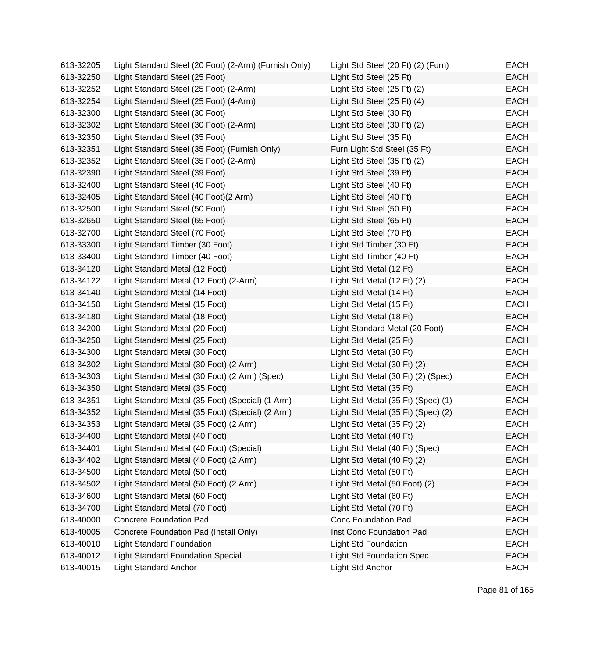| 613-32205 | Light Standard Steel (20 Foot) (2-Arm) (Furnish Only) | Light Std Steel (20 Ft) (2) (Furn) | EACH        |
|-----------|-------------------------------------------------------|------------------------------------|-------------|
| 613-32250 | Light Standard Steel (25 Foot)                        | Light Std Steel (25 Ft)            | EACH        |
| 613-32252 | Light Standard Steel (25 Foot) (2-Arm)                | Light Std Steel (25 Ft) (2)        | EACH        |
| 613-32254 | Light Standard Steel (25 Foot) (4-Arm)                | Light Std Steel (25 Ft) (4)        | EACH        |
| 613-32300 | Light Standard Steel (30 Foot)                        | Light Std Steel (30 Ft)            | EACH        |
| 613-32302 | Light Standard Steel (30 Foot) (2-Arm)                | Light Std Steel (30 Ft) (2)        | <b>EACH</b> |
| 613-32350 | Light Standard Steel (35 Foot)                        | Light Std Steel (35 Ft)            | EACH        |
| 613-32351 | Light Standard Steel (35 Foot) (Furnish Only)         | Furn Light Std Steel (35 Ft)       | EACH        |
| 613-32352 | Light Standard Steel (35 Foot) (2-Arm)                | Light Std Steel (35 Ft) (2)        | <b>EACH</b> |
| 613-32390 | Light Standard Steel (39 Foot)                        | Light Std Steel (39 Ft)            | <b>EACH</b> |
| 613-32400 | Light Standard Steel (40 Foot)                        | Light Std Steel (40 Ft)            | <b>EACH</b> |
| 613-32405 | Light Standard Steel (40 Foot) (2 Arm)                | Light Std Steel (40 Ft)            | EACH        |
| 613-32500 | Light Standard Steel (50 Foot)                        | Light Std Steel (50 Ft)            | EACH        |
| 613-32650 | Light Standard Steel (65 Foot)                        | Light Std Steel (65 Ft)            | <b>EACH</b> |
| 613-32700 | Light Standard Steel (70 Foot)                        | Light Std Steel (70 Ft)            | EACH        |
| 613-33300 | Light Standard Timber (30 Foot)                       | Light Std Timber (30 Ft)           | <b>EACH</b> |
| 613-33400 | Light Standard Timber (40 Foot)                       | Light Std Timber (40 Ft)           | EACH        |
| 613-34120 | Light Standard Metal (12 Foot)                        | Light Std Metal (12 Ft)            | EACH        |
| 613-34122 | Light Standard Metal (12 Foot) (2-Arm)                | Light Std Metal (12 Ft) (2)        | <b>EACH</b> |
| 613-34140 | Light Standard Metal (14 Foot)                        | Light Std Metal (14 Ft)            | <b>EACH</b> |
| 613-34150 | Light Standard Metal (15 Foot)                        | Light Std Metal (15 Ft)            | <b>EACH</b> |
| 613-34180 | Light Standard Metal (18 Foot)                        | Light Std Metal (18 Ft)            | EACH        |
| 613-34200 | Light Standard Metal (20 Foot)                        | Light Standard Metal (20 Foot)     | EACH        |
| 613-34250 | Light Standard Metal (25 Foot)                        | Light Std Metal (25 Ft)            | EACH        |
| 613-34300 | Light Standard Metal (30 Foot)                        | Light Std Metal (30 Ft)            | EACH        |
| 613-34302 | Light Standard Metal (30 Foot) (2 Arm)                | Light Std Metal (30 Ft) (2)        | <b>EACH</b> |
| 613-34303 | Light Standard Metal (30 Foot) (2 Arm) (Spec)         | Light Std Metal (30 Ft) (2) (Spec) | EACH        |
| 613-34350 | Light Standard Metal (35 Foot)                        | Light Std Metal (35 Ft)            | EACH        |
| 613-34351 | Light Standard Metal (35 Foot) (Special) (1 Arm)      | Light Std Metal (35 Ft) (Spec) (1) | EACH        |
| 613-34352 | Light Standard Metal (35 Foot) (Special) (2 Arm)      | Light Std Metal (35 Ft) (Spec) (2) | EACH        |
| 613-34353 | Light Standard Metal (35 Foot) (2 Arm)                | Light Std Metal (35 Ft) (2)        | <b>EACH</b> |
| 613-34400 | Light Standard Metal (40 Foot)                        | Light Std Metal (40 Ft)            | <b>EACH</b> |
| 613-34401 | Light Standard Metal (40 Foot) (Special)              | Light Std Metal (40 Ft) (Spec)     | <b>EACH</b> |
| 613-34402 | Light Standard Metal (40 Foot) (2 Arm)                | Light Std Metal (40 Ft) (2)        | <b>EACH</b> |
| 613-34500 | Light Standard Metal (50 Foot)                        | Light Std Metal (50 Ft)            | <b>EACH</b> |
| 613-34502 | Light Standard Metal (50 Foot) (2 Arm)                | Light Std Metal (50 Foot) (2)      | <b>EACH</b> |
| 613-34600 | Light Standard Metal (60 Foot)                        | Light Std Metal (60 Ft)            | <b>EACH</b> |
| 613-34700 | Light Standard Metal (70 Foot)                        | Light Std Metal (70 Ft)            | <b>EACH</b> |
| 613-40000 | <b>Concrete Foundation Pad</b>                        | <b>Conc Foundation Pad</b>         | <b>EACH</b> |
| 613-40005 | Concrete Foundation Pad (Install Only)                | Inst Conc Foundation Pad           | <b>EACH</b> |
| 613-40010 | <b>Light Standard Foundation</b>                      | <b>Light Std Foundation</b>        | <b>EACH</b> |
| 613-40012 | <b>Light Standard Foundation Special</b>              | <b>Light Std Foundation Spec</b>   | <b>EACH</b> |
| 613-40015 | <b>Light Standard Anchor</b>                          | Light Std Anchor                   | <b>EACH</b> |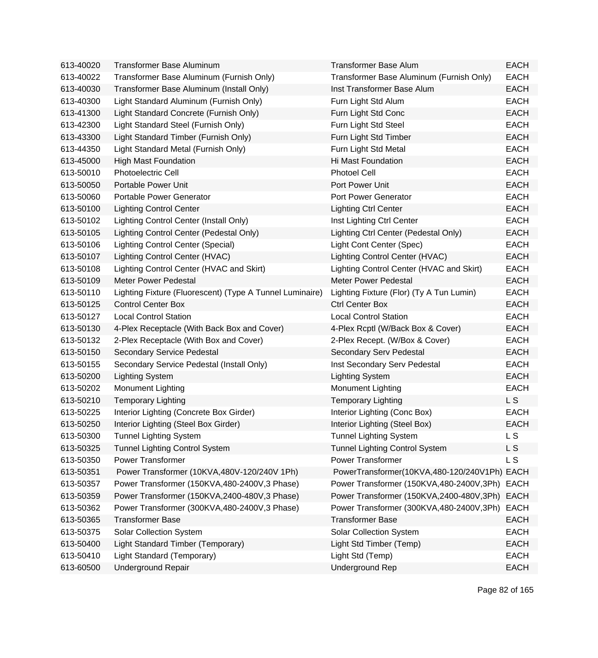| 613-40020 | <b>Transformer Base Aluminum</b>                         | <b>Transformer Base Alum</b>                 | <b>EACH</b> |
|-----------|----------------------------------------------------------|----------------------------------------------|-------------|
| 613-40022 | Transformer Base Aluminum (Furnish Only)                 | Transformer Base Aluminum (Furnish Only)     | <b>EACH</b> |
| 613-40030 | Transformer Base Aluminum (Install Only)                 | Inst Transformer Base Alum                   | <b>EACH</b> |
| 613-40300 | Light Standard Aluminum (Furnish Only)                   | Furn Light Std Alum                          | <b>EACH</b> |
| 613-41300 | Light Standard Concrete (Furnish Only)                   | Furn Light Std Conc                          | <b>EACH</b> |
| 613-42300 | Light Standard Steel (Furnish Only)                      | Furn Light Std Steel                         | <b>EACH</b> |
| 613-43300 | Light Standard Timber (Furnish Only)                     | Furn Light Std Timber                        | <b>EACH</b> |
| 613-44350 | Light Standard Metal (Furnish Only)                      | Furn Light Std Metal                         | <b>EACH</b> |
| 613-45000 | <b>High Mast Foundation</b>                              | Hi Mast Foundation                           | <b>EACH</b> |
| 613-50010 | <b>Photoelectric Cell</b>                                | <b>Photoel Cell</b>                          | <b>EACH</b> |
| 613-50050 | Portable Power Unit                                      | Port Power Unit                              | <b>EACH</b> |
| 613-50060 | Portable Power Generator                                 | Port Power Generator                         | <b>EACH</b> |
| 613-50100 | <b>Lighting Control Center</b>                           | <b>Lighting Ctrl Center</b>                  | <b>EACH</b> |
| 613-50102 | Lighting Control Center (Install Only)                   | Inst Lighting Ctrl Center                    | <b>EACH</b> |
| 613-50105 | Lighting Control Center (Pedestal Only)                  | Lighting Ctrl Center (Pedestal Only)         | <b>EACH</b> |
| 613-50106 | <b>Lighting Control Center (Special)</b>                 | Light Cont Center (Spec)                     | <b>EACH</b> |
| 613-50107 | Lighting Control Center (HVAC)                           | Lighting Control Center (HVAC)               | <b>EACH</b> |
| 613-50108 | Lighting Control Center (HVAC and Skirt)                 | Lighting Control Center (HVAC and Skirt)     | <b>EACH</b> |
| 613-50109 | <b>Meter Power Pedestal</b>                              | <b>Meter Power Pedestal</b>                  | <b>EACH</b> |
| 613-50110 | Lighting Fixture (Fluorescent) (Type A Tunnel Luminaire) | Lighting Fixture (Flor) (Ty A Tun Lumin)     | <b>EACH</b> |
| 613-50125 | <b>Control Center Box</b>                                | <b>Ctrl Center Box</b>                       | <b>EACH</b> |
| 613-50127 | <b>Local Control Station</b>                             | <b>Local Control Station</b>                 | <b>EACH</b> |
| 613-50130 | 4-Plex Receptacle (With Back Box and Cover)              | 4-Plex Rcptl (W/Back Box & Cover)            | <b>EACH</b> |
| 613-50132 | 2-Plex Receptacle (With Box and Cover)                   | 2-Plex Recept. (W/Box & Cover)               | <b>EACH</b> |
| 613-50150 | Secondary Service Pedestal                               | Secondary Serv Pedestal                      | <b>EACH</b> |
| 613-50155 | Secondary Service Pedestal (Install Only)                | Inst Secondary Serv Pedestal                 | <b>EACH</b> |
| 613-50200 | <b>Lighting System</b>                                   | <b>Lighting System</b>                       | <b>EACH</b> |
| 613-50202 | <b>Monument Lighting</b>                                 | Monument Lighting                            | <b>EACH</b> |
| 613-50210 | <b>Temporary Lighting</b>                                | <b>Temporary Lighting</b>                    | L S         |
| 613-50225 | Interior Lighting (Concrete Box Girder)                  | Interior Lighting (Conc Box)                 | <b>EACH</b> |
| 613-50250 | Interior Lighting (Steel Box Girder)                     | Interior Lighting (Steel Box)                | <b>EACH</b> |
| 613-50300 | <b>Tunnel Lighting System</b>                            | Tunnel Lighting System                       | L S         |
| 613-50325 | <b>Tunnel Lighting Control System</b>                    | <b>Tunnel Lighting Control System</b>        | L S         |
| 613-50350 | <b>Power Transformer</b>                                 | <b>Power Transformer</b>                     | L S         |
| 613-50351 | Power Transformer (10KVA, 480V-120/240V 1Ph)             | PowerTransformer(10KVA,480-120/240V1Ph) EACH |             |
| 613-50357 | Power Transformer (150KVA,480-2400V,3 Phase)             | Power Transformer (150KVA,480-2400V,3Ph)     | <b>EACH</b> |
| 613-50359 | Power Transformer (150KVA,2400-480V,3 Phase)             | Power Transformer (150KVA,2400-480V,3Ph)     | <b>EACH</b> |
| 613-50362 | Power Transformer (300KVA,480-2400V,3 Phase)             | Power Transformer (300KVA,480-2400V,3Ph)     | <b>EACH</b> |
| 613-50365 | <b>Transformer Base</b>                                  | <b>Transformer Base</b>                      | <b>EACH</b> |
| 613-50375 | <b>Solar Collection System</b>                           | <b>Solar Collection System</b>               | <b>EACH</b> |
| 613-50400 | Light Standard Timber (Temporary)                        | Light Std Timber (Temp)                      | <b>EACH</b> |
| 613-50410 | Light Standard (Temporary)                               | Light Std (Temp)                             | <b>EACH</b> |
| 613-60500 | <b>Underground Repair</b>                                | <b>Underground Rep</b>                       | <b>EACH</b> |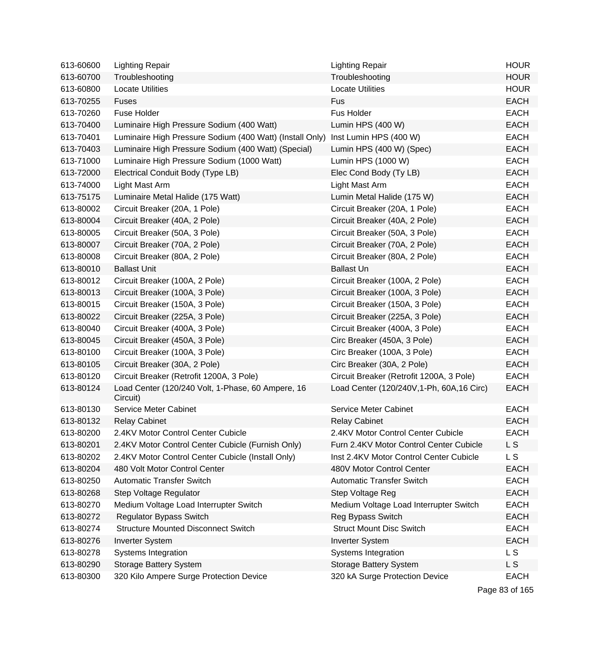| 613-60600 | <b>Lighting Repair</b>                                        | <b>Lighting Repair</b>                     | <b>HOUR</b>    |
|-----------|---------------------------------------------------------------|--------------------------------------------|----------------|
| 613-60700 | Troubleshooting                                               | Troubleshooting                            | <b>HOUR</b>    |
| 613-60800 | <b>Locate Utilities</b>                                       | <b>Locate Utilities</b>                    | <b>HOUR</b>    |
| 613-70255 | <b>Fuses</b>                                                  | Fus                                        | <b>EACH</b>    |
| 613-70260 | <b>Fuse Holder</b>                                            | Fus Holder                                 | <b>EACH</b>    |
| 613-70400 | Luminaire High Pressure Sodium (400 Watt)                     | Lumin HPS (400 W)                          | <b>EACH</b>    |
| 613-70401 | Luminaire High Pressure Sodium (400 Watt) (Install Only)      | Inst Lumin HPS (400 W)                     | <b>EACH</b>    |
| 613-70403 | Luminaire High Pressure Sodium (400 Watt) (Special)           | Lumin HPS (400 W) (Spec)                   | <b>EACH</b>    |
| 613-71000 | Luminaire High Pressure Sodium (1000 Watt)                    | Lumin HPS (1000 W)                         | <b>EACH</b>    |
| 613-72000 | Electrical Conduit Body (Type LB)                             | Elec Cond Body (Ty LB)                     | <b>EACH</b>    |
| 613-74000 | Light Mast Arm                                                | Light Mast Arm                             | <b>EACH</b>    |
| 613-75175 | Luminaire Metal Halide (175 Watt)                             | Lumin Metal Halide (175 W)                 | <b>EACH</b>    |
| 613-80002 | Circuit Breaker (20A, 1 Pole)                                 | Circuit Breaker (20A, 1 Pole)              | <b>EACH</b>    |
| 613-80004 | Circuit Breaker (40A, 2 Pole)                                 | Circuit Breaker (40A, 2 Pole)              | <b>EACH</b>    |
| 613-80005 | Circuit Breaker (50A, 3 Pole)                                 | Circuit Breaker (50A, 3 Pole)              | <b>EACH</b>    |
| 613-80007 | Circuit Breaker (70A, 2 Pole)                                 | Circuit Breaker (70A, 2 Pole)              | <b>EACH</b>    |
| 613-80008 | Circuit Breaker (80A, 2 Pole)                                 | Circuit Breaker (80A, 2 Pole)              | <b>EACH</b>    |
| 613-80010 | <b>Ballast Unit</b>                                           | <b>Ballast Un</b>                          | <b>EACH</b>    |
| 613-80012 | Circuit Breaker (100A, 2 Pole)                                | Circuit Breaker (100A, 2 Pole)             | <b>EACH</b>    |
| 613-80013 | Circuit Breaker (100A, 3 Pole)                                | Circuit Breaker (100A, 3 Pole)             | <b>EACH</b>    |
| 613-80015 | Circuit Breaker (150A, 3 Pole)                                | Circuit Breaker (150A, 3 Pole)             | <b>EACH</b>    |
| 613-80022 | Circuit Breaker (225A, 3 Pole)                                | Circuit Breaker (225A, 3 Pole)             | <b>EACH</b>    |
| 613-80040 | Circuit Breaker (400A, 3 Pole)                                | Circuit Breaker (400A, 3 Pole)             | <b>EACH</b>    |
| 613-80045 | Circuit Breaker (450A, 3 Pole)                                | Circ Breaker (450A, 3 Pole)                | <b>EACH</b>    |
| 613-80100 | Circuit Breaker (100A, 3 Pole)                                | Circ Breaker (100A, 3 Pole)                | <b>EACH</b>    |
| 613-80105 | Circuit Breaker (30A, 2 Pole)                                 | Circ Breaker (30A, 2 Pole)                 | <b>EACH</b>    |
| 613-80120 | Circuit Breaker (Retrofit 1200A, 3 Pole)                      | Circuit Breaker (Retrofit 1200A, 3 Pole)   | <b>EACH</b>    |
| 613-80124 | Load Center (120/240 Volt, 1-Phase, 60 Ampere, 16<br>Circuit) | Load Center (120/240V, 1-Ph, 60A, 16 Circ) | <b>EACH</b>    |
| 613-80130 | Service Meter Cabinet                                         | Service Meter Cabinet                      | <b>EACH</b>    |
| 613-80132 | <b>Relay Cabinet</b>                                          | <b>Relay Cabinet</b>                       | <b>EACH</b>    |
| 613-80200 | 2.4KV Motor Control Center Cubicle                            | 2.4KV Motor Control Center Cubicle         | <b>EACH</b>    |
| 613-80201 | 2.4KV Motor Control Center Cubicle (Furnish Only)             | Furn 2.4KV Motor Control Center Cubicle    | L S            |
| 613-80202 | 2.4KV Motor Control Center Cubicle (Install Only)             | Inst 2.4KV Motor Control Center Cubicle    | L S            |
| 613-80204 | 480 Volt Motor Control Center                                 | 480V Motor Control Center                  | <b>EACH</b>    |
| 613-80250 | <b>Automatic Transfer Switch</b>                              | <b>Automatic Transfer Switch</b>           | <b>EACH</b>    |
| 613-80268 | Step Voltage Regulator                                        | Step Voltage Reg                           | <b>EACH</b>    |
| 613-80270 | Medium Voltage Load Interrupter Switch                        | Medium Voltage Load Interrupter Switch     | <b>EACH</b>    |
| 613-80272 | <b>Regulator Bypass Switch</b>                                | Reg Bypass Switch                          | <b>EACH</b>    |
| 613-80274 | <b>Structure Mounted Disconnect Switch</b>                    | <b>Struct Mount Disc Switch</b>            | <b>EACH</b>    |
| 613-80276 | <b>Inverter System</b>                                        | <b>Inverter System</b>                     | <b>EACH</b>    |
| 613-80278 | Systems Integration                                           | Systems Integration                        | L <sub>S</sub> |
| 613-80290 | <b>Storage Battery System</b>                                 | <b>Storage Battery System</b>              | L S            |
| 613-80300 | 320 Kilo Ampere Surge Protection Device                       | 320 kA Surge Protection Device             | <b>EACH</b>    |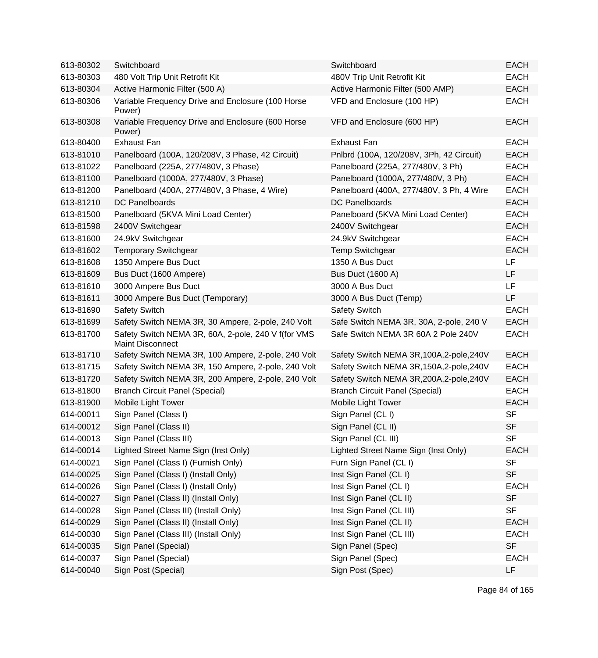| 613-80302 | Switchboard                                                                    | Switchboard                               | <b>EACH</b> |
|-----------|--------------------------------------------------------------------------------|-------------------------------------------|-------------|
| 613-80303 | 480 Volt Trip Unit Retrofit Kit                                                | 480V Trip Unit Retrofit Kit               | <b>EACH</b> |
| 613-80304 | Active Harmonic Filter (500 A)                                                 | Active Harmonic Filter (500 AMP)          | <b>EACH</b> |
| 613-80306 | Variable Frequency Drive and Enclosure (100 Horse<br>Power)                    | VFD and Enclosure (100 HP)                | <b>EACH</b> |
| 613-80308 | Variable Frequency Drive and Enclosure (600 Horse<br>Power)                    | VFD and Enclosure (600 HP)                | <b>EACH</b> |
| 613-80400 | <b>Exhaust Fan</b>                                                             | <b>Exhaust Fan</b>                        | <b>EACH</b> |
| 613-81010 | Panelboard (100A, 120/208V, 3 Phase, 42 Circuit)                               | Pnlbrd (100A, 120/208V, 3Ph, 42 Circuit)  | <b>EACH</b> |
| 613-81022 | Panelboard (225A, 277/480V, 3 Phase)                                           | Panelboard (225A, 277/480V, 3 Ph)         | <b>EACH</b> |
| 613-81100 | Panelboard (1000A, 277/480V, 3 Phase)                                          | Panelboard (1000A, 277/480V, 3 Ph)        | <b>EACH</b> |
| 613-81200 | Panelboard (400A, 277/480V, 3 Phase, 4 Wire)                                   | Panelboard (400A, 277/480V, 3 Ph, 4 Wire  | <b>EACH</b> |
| 613-81210 | <b>DC Panelboards</b>                                                          | <b>DC Panelboards</b>                     | <b>EACH</b> |
| 613-81500 | Panelboard (5KVA Mini Load Center)                                             | Panelboard (5KVA Mini Load Center)        | <b>EACH</b> |
| 613-81598 | 2400V Switchgear                                                               | 2400V Switchgear                          | <b>EACH</b> |
| 613-81600 | 24.9kV Switchgear                                                              | 24.9kV Switchgear                         | <b>EACH</b> |
| 613-81602 | <b>Temporary Switchgear</b>                                                    | <b>Temp Switchgear</b>                    | <b>EACH</b> |
| 613-81608 | 1350 Ampere Bus Duct                                                           | 1350 A Bus Duct                           | LF          |
| 613-81609 | Bus Duct (1600 Ampere)                                                         | <b>Bus Duct (1600 A)</b>                  | <b>LF</b>   |
| 613-81610 | 3000 Ampere Bus Duct                                                           | 3000 A Bus Duct                           | LF          |
| 613-81611 | 3000 Ampere Bus Duct (Temporary)                                               | 3000 A Bus Duct (Temp)                    | LF          |
| 613-81690 | <b>Safety Switch</b>                                                           | <b>Safety Switch</b>                      | <b>EACH</b> |
| 613-81699 | Safety Switch NEMA 3R, 30 Ampere, 2-pole, 240 Volt                             | Safe Switch NEMA 3R, 30A, 2-pole, 240 V   | <b>EACH</b> |
| 613-81700 | Safety Switch NEMA 3R, 60A, 2-pole, 240 V f(for VMS<br><b>Maint Disconnect</b> | Safe Switch NEMA 3R 60A 2 Pole 240V       | <b>EACH</b> |
| 613-81710 | Safety Switch NEMA 3R, 100 Ampere, 2-pole, 240 Volt                            | Safety Switch NEMA 3R, 100A, 2-pole, 240V | <b>EACH</b> |
| 613-81715 | Safety Switch NEMA 3R, 150 Ampere, 2-pole, 240 Volt                            | Safety Switch NEMA 3R, 150A, 2-pole, 240V | <b>EACH</b> |
| 613-81720 | Safety Switch NEMA 3R, 200 Ampere, 2-pole, 240 Volt                            | Safety Switch NEMA 3R, 200A, 2-pole, 240V | <b>EACH</b> |
| 613-81800 | <b>Branch Circuit Panel (Special)</b>                                          | <b>Branch Circuit Panel (Special)</b>     | <b>EACH</b> |
| 613-81900 | Mobile Light Tower                                                             | Mobile Light Tower                        | <b>EACH</b> |
| 614-00011 | Sign Panel (Class I)                                                           | Sign Panel (CL I)                         | <b>SF</b>   |
| 614-00012 | Sign Panel (Class II)                                                          | Sign Panel (CL II)                        | <b>SF</b>   |
| 614-00013 | Sign Panel (Class III)                                                         | Sign Panel (CL III)                       | <b>SF</b>   |
| 614-00014 | Lighted Street Name Sign (Inst Only)                                           | Lighted Street Name Sign (Inst Only)      | <b>EACH</b> |
| 614-00021 | Sign Panel (Class I) (Furnish Only)                                            | Furn Sign Panel (CL I)                    | <b>SF</b>   |
| 614-00025 | Sign Panel (Class I) (Install Only)                                            | Inst Sign Panel (CL I)                    | <b>SF</b>   |
| 614-00026 | Sign Panel (Class I) (Install Only)                                            | Inst Sign Panel (CL I)                    | <b>EACH</b> |
| 614-00027 | Sign Panel (Class II) (Install Only)                                           | Inst Sign Panel (CL II)                   | <b>SF</b>   |
| 614-00028 | Sign Panel (Class III) (Install Only)                                          | Inst Sign Panel (CL III)                  | <b>SF</b>   |
| 614-00029 | Sign Panel (Class II) (Install Only)                                           | Inst Sign Panel (CL II)                   | <b>EACH</b> |
| 614-00030 | Sign Panel (Class III) (Install Only)                                          | Inst Sign Panel (CL III)                  | <b>EACH</b> |
| 614-00035 | Sign Panel (Special)                                                           | Sign Panel (Spec)                         | <b>SF</b>   |
| 614-00037 | Sign Panel (Special)                                                           | Sign Panel (Spec)                         | <b>EACH</b> |
| 614-00040 | Sign Post (Special)                                                            | Sign Post (Spec)                          | LF          |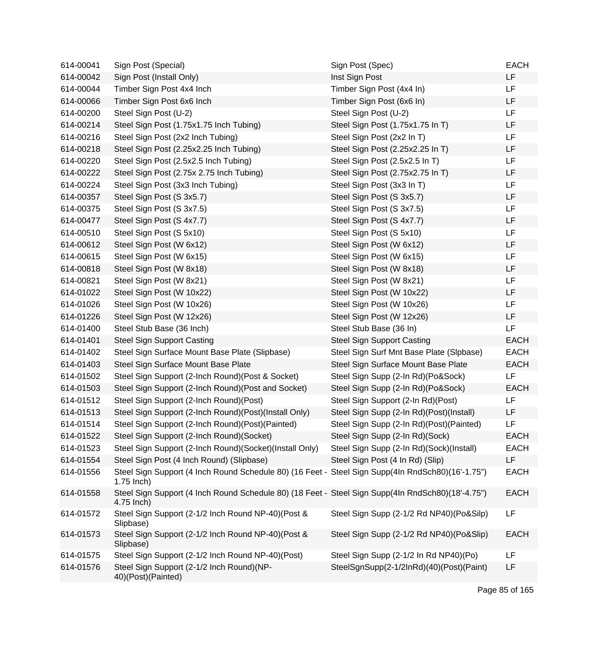| 614-00041 | Sign Post (Special)                                                                                               | Sign Post (Spec)                         | <b>EACH</b> |
|-----------|-------------------------------------------------------------------------------------------------------------------|------------------------------------------|-------------|
| 614-00042 | Sign Post (Install Only)                                                                                          | Inst Sign Post                           | <b>LF</b>   |
| 614-00044 | Timber Sign Post 4x4 Inch                                                                                         | Timber Sign Post (4x4 In)                | LF          |
| 614-00066 | Timber Sign Post 6x6 Inch                                                                                         | Timber Sign Post (6x6 In)                | LF          |
| 614-00200 | Steel Sign Post (U-2)                                                                                             | Steel Sign Post (U-2)                    | LF          |
| 614-00214 | Steel Sign Post (1.75x1.75 Inch Tubing)                                                                           | Steel Sign Post (1.75x1.75 In T)         | LF          |
| 614-00216 | Steel Sign Post (2x2 Inch Tubing)                                                                                 | Steel Sign Post (2x2 In T)               | LF          |
| 614-00218 | Steel Sign Post (2.25x2.25 Inch Tubing)                                                                           | Steel Sign Post (2.25x2.25 In T)         | LF          |
| 614-00220 | Steel Sign Post (2.5x2.5 Inch Tubing)                                                                             | Steel Sign Post (2.5x2.5 In T)           | <b>LF</b>   |
| 614-00222 | Steel Sign Post (2.75x 2.75 Inch Tubing)                                                                          | Steel Sign Post (2.75x2.75 In T)         | LF          |
| 614-00224 | Steel Sign Post (3x3 Inch Tubing)                                                                                 | Steel Sign Post (3x3 In T)               | LF          |
| 614-00357 | Steel Sign Post (S 3x5.7)                                                                                         | Steel Sign Post (S 3x5.7)                | LF          |
| 614-00375 | Steel Sign Post (S 3x7.5)                                                                                         | Steel Sign Post (S 3x7.5)                | LF          |
| 614-00477 | Steel Sign Post (S 4x7.7)                                                                                         | Steel Sign Post (S 4x7.7)                | LF          |
| 614-00510 | Steel Sign Post (S 5x10)                                                                                          | Steel Sign Post (S 5x10)                 | LF          |
| 614-00612 | Steel Sign Post (W 6x12)                                                                                          | Steel Sign Post (W 6x12)                 | LF          |
| 614-00615 | Steel Sign Post (W 6x15)                                                                                          | Steel Sign Post (W 6x15)                 | LF          |
| 614-00818 | Steel Sign Post (W 8x18)                                                                                          | Steel Sign Post (W 8x18)                 | LF          |
| 614-00821 | Steel Sign Post (W 8x21)                                                                                          | Steel Sign Post (W 8x21)                 | LF          |
| 614-01022 | Steel Sign Post (W 10x22)                                                                                         | Steel Sign Post (W 10x22)                | LF          |
| 614-01026 | Steel Sign Post (W 10x26)                                                                                         | Steel Sign Post (W 10x26)                | LF          |
| 614-01226 | Steel Sign Post (W 12x26)                                                                                         | Steel Sign Post (W 12x26)                | <b>LF</b>   |
| 614-01400 | Steel Stub Base (36 Inch)                                                                                         | Steel Stub Base (36 In)                  | LF          |
| 614-01401 | <b>Steel Sign Support Casting</b>                                                                                 | <b>Steel Sign Support Casting</b>        | <b>EACH</b> |
| 614-01402 | Steel Sign Surface Mount Base Plate (Slipbase)                                                                    | Steel Sign Surf Mnt Base Plate (Slpbase) | <b>EACH</b> |
| 614-01403 | Steel Sign Surface Mount Base Plate                                                                               | Steel Sign Surface Mount Base Plate      | <b>EACH</b> |
| 614-01502 | Steel Sign Support (2-Inch Round) (Post & Socket)                                                                 | Steel Sign Supp (2-In Rd)(Po&Sock)       | LF          |
| 614-01503 | Steel Sign Support (2-Inch Round) (Post and Socket)                                                               | Steel Sign Supp (2-In Rd)(Po&Sock)       | <b>EACH</b> |
| 614-01512 | Steel Sign Support (2-Inch Round)(Post)                                                                           | Steel Sign Support (2-In Rd)(Post)       | LF          |
| 614-01513 | Steel Sign Support (2-Inch Round)(Post)(Install Only)                                                             | Steel Sign Supp (2-In Rd)(Post)(Install) | LF          |
| 614-01514 | Steel Sign Support (2-Inch Round)(Post)(Painted)                                                                  | Steel Sign Supp (2-In Rd)(Post)(Painted) | LF          |
| 614-01522 | Steel Sign Support (2-Inch Round)(Socket)                                                                         | Steel Sign Supp (2-In Rd)(Sock)          | <b>EACH</b> |
| 614-01523 | Steel Sign Support (2-Inch Round)(Socket)(Install Only)                                                           | Steel Sign Supp (2-In Rd)(Sock)(Install) | <b>EACH</b> |
| 614-01554 | Steel Sign Post (4 Inch Round) (Slipbase)                                                                         | Steel Sign Post (4 In Rd) (Slip)         | <b>LF</b>   |
| 614-01556 | Steel Sign Support (4 Inch Round Schedule 80) (16 Feet - Steel Sign Supp(4In RndSch80)(16'-1.75")<br>$1.75$ Inch) |                                          | <b>EACH</b> |
| 614-01558 | Steel Sign Support (4 Inch Round Schedule 80) (18 Feet - Steel Sign Supp(4In RndSch80)(18'-4.75")<br>4.75 Inch)   |                                          | <b>EACH</b> |
| 614-01572 | Steel Sign Support (2-1/2 Inch Round NP-40)(Post &<br>Slipbase)                                                   | Steel Sign Supp (2-1/2 Rd NP40)(Po&Silp) | LF          |
| 614-01573 | Steel Sign Support (2-1/2 Inch Round NP-40) (Post &<br>Slipbase)                                                  | Steel Sign Supp (2-1/2 Rd NP40)(Po&Slip) | <b>EACH</b> |
| 614-01575 | Steel Sign Support (2-1/2 Inch Round NP-40)(Post)                                                                 | Steel Sign Supp (2-1/2 In Rd NP40)(Po)   | LF          |
| 614-01576 | Steel Sign Support (2-1/2 Inch Round)(NP-<br>40)(Post)(Painted)                                                   | SteelSgnSupp(2-1/2InRd)(40)(Post)(Paint) | LF          |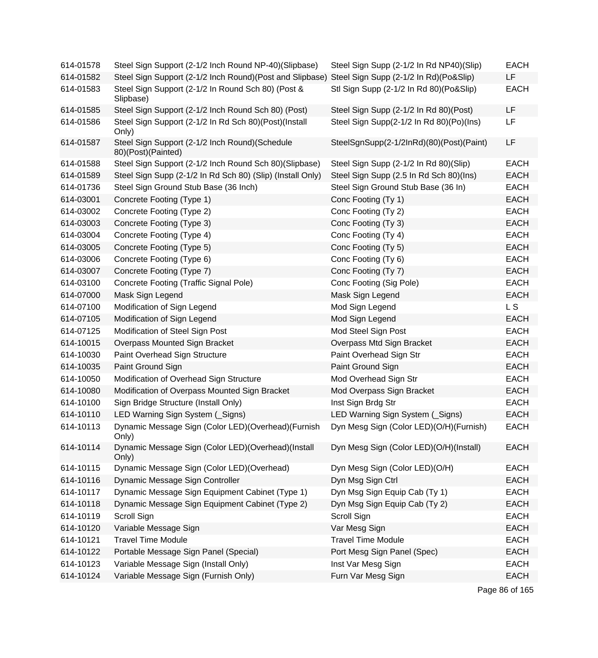| 614-01578 | Steel Sign Support (2-1/2 Inch Round NP-40)(Slipbase)                | Steel Sign Supp (2-1/2 In Rd NP40)(Slip) | <b>EACH</b>    |
|-----------|----------------------------------------------------------------------|------------------------------------------|----------------|
| 614-01582 | Steel Sign Support (2-1/2 Inch Round) (Post and Slipbase)            | Steel Sign Supp (2-1/2 In Rd)(Po&Slip)   | LF             |
| 614-01583 | Steel Sign Support (2-1/2 In Round Sch 80) (Post &<br>Slipbase)      | Stl Sign Supp (2-1/2 In Rd 80)(Po&Slip)  | <b>EACH</b>    |
| 614-01585 | Steel Sign Support (2-1/2 Inch Round Sch 80) (Post)                  | Steel Sign Supp (2-1/2 In Rd 80)(Post)   | LF             |
| 614-01586 | Steel Sign Support (2-1/2 In Rd Sch 80)(Post)(Install<br>Only)       | Steel Sign Supp(2-1/2 In Rd 80)(Po)(Ins) | LF             |
| 614-01587 | Steel Sign Support (2-1/2 Inch Round)(Schedule<br>80)(Post)(Painted) | SteelSgnSupp(2-1/2InRd)(80)(Post)(Paint) | LF             |
| 614-01588 | Steel Sign Support (2-1/2 Inch Round Sch 80)(Slipbase)               | Steel Sign Supp (2-1/2 In Rd 80)(Slip)   | <b>EACH</b>    |
| 614-01589 | Steel Sign Supp (2-1/2 In Rd Sch 80) (Slip) (Install Only)           | Steel Sign Supp (2.5 In Rd Sch 80)(Ins)  | <b>EACH</b>    |
| 614-01736 | Steel Sign Ground Stub Base (36 Inch)                                | Steel Sign Ground Stub Base (36 In)      | <b>EACH</b>    |
| 614-03001 | Concrete Footing (Type 1)                                            | Conc Footing (Ty 1)                      | <b>EACH</b>    |
| 614-03002 | Concrete Footing (Type 2)                                            | Conc Footing (Ty 2)                      | <b>EACH</b>    |
| 614-03003 | Concrete Footing (Type 3)                                            | Conc Footing (Ty 3)                      | <b>EACH</b>    |
| 614-03004 | Concrete Footing (Type 4)                                            | Conc Footing (Ty 4)                      | <b>EACH</b>    |
| 614-03005 | Concrete Footing (Type 5)                                            | Conc Footing (Ty 5)                      | <b>EACH</b>    |
| 614-03006 | Concrete Footing (Type 6)                                            | Conc Footing (Ty 6)                      | <b>EACH</b>    |
| 614-03007 | Concrete Footing (Type 7)                                            | Conc Footing (Ty 7)                      | <b>EACH</b>    |
| 614-03100 | Concrete Footing (Traffic Signal Pole)                               | Conc Footing (Sig Pole)                  | <b>EACH</b>    |
| 614-07000 | Mask Sign Legend                                                     | Mask Sign Legend                         | <b>EACH</b>    |
| 614-07100 | Modification of Sign Legend                                          | Mod Sign Legend                          | <b>LS</b>      |
| 614-07105 | Modification of Sign Legend                                          | Mod Sign Legend                          | <b>EACH</b>    |
| 614-07125 | Modification of Steel Sign Post                                      | Mod Steel Sign Post                      | <b>EACH</b>    |
| 614-10015 | Overpass Mounted Sign Bracket                                        | Overpass Mtd Sign Bracket                | <b>EACH</b>    |
| 614-10030 | Paint Overhead Sign Structure                                        | Paint Overhead Sign Str                  | <b>EACH</b>    |
| 614-10035 | Paint Ground Sign                                                    | Paint Ground Sign                        | <b>EACH</b>    |
| 614-10050 | Modification of Overhead Sign Structure                              | Mod Overhead Sign Str                    | <b>EACH</b>    |
| 614-10080 | Modification of Overpass Mounted Sign Bracket                        | Mod Overpass Sign Bracket                | <b>EACH</b>    |
| 614-10100 | Sign Bridge Structure (Install Only)                                 | Inst Sign Brdg Str                       | <b>EACH</b>    |
| 614-10110 | LED Warning Sign System (Signs)                                      | LED Warning Sign System (Signs)          | <b>EACH</b>    |
| 614-10113 | Dynamic Message Sign (Color LED)(Overhead)(Furnish<br>Only)          | Dyn Mesg Sign (Color LED)(O/H)(Furnish)  | <b>EACH</b>    |
| 614-10114 | Dynamic Message Sign (Color LED)(Overhead)(Install<br>Only)          | Dyn Mesg Sign (Color LED)(O/H)(Install)  | <b>EACH</b>    |
| 614-10115 | Dynamic Message Sign (Color LED)(Overhead)                           | Dyn Mesg Sign (Color LED)(O/H)           | <b>EACH</b>    |
| 614-10116 | Dynamic Message Sign Controller                                      | Dyn Msg Sign Ctrl                        | <b>EACH</b>    |
| 614-10117 | Dynamic Message Sign Equipment Cabinet (Type 1)                      | Dyn Msg Sign Equip Cab (Ty 1)            | <b>EACH</b>    |
| 614-10118 | Dynamic Message Sign Equipment Cabinet (Type 2)                      | Dyn Msg Sign Equip Cab (Ty 2)            | <b>EACH</b>    |
| 614-10119 | Scroll Sign                                                          | Scroll Sign                              | <b>EACH</b>    |
| 614-10120 | Variable Message Sign                                                | Var Mesg Sign                            | <b>EACH</b>    |
| 614-10121 | <b>Travel Time Module</b>                                            | <b>Travel Time Module</b>                | <b>EACH</b>    |
| 614-10122 | Portable Message Sign Panel (Special)                                | Port Mesg Sign Panel (Spec)              | <b>EACH</b>    |
| 614-10123 | Variable Message Sign (Install Only)                                 | Inst Var Mesg Sign                       | <b>EACH</b>    |
| 614-10124 | Variable Message Sign (Furnish Only)                                 | Furn Var Mesg Sign                       | <b>EACH</b>    |
|           |                                                                      |                                          | Page 86 of 165 |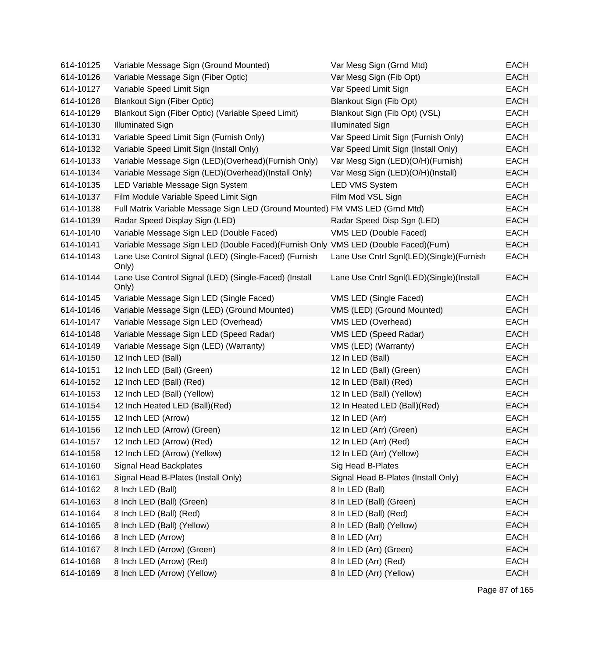| 614-10125 | Variable Message Sign (Ground Mounted)                                             | Var Mesg Sign (Grnd Mtd)                 | <b>EACH</b> |
|-----------|------------------------------------------------------------------------------------|------------------------------------------|-------------|
| 614-10126 | Variable Message Sign (Fiber Optic)                                                | Var Mesg Sign (Fib Opt)                  | <b>EACH</b> |
| 614-10127 | Variable Speed Limit Sign                                                          | Var Speed Limit Sign                     | <b>EACH</b> |
| 614-10128 | <b>Blankout Sign (Fiber Optic)</b>                                                 | Blankout Sign (Fib Opt)                  | <b>EACH</b> |
| 614-10129 | Blankout Sign (Fiber Optic) (Variable Speed Limit)                                 | Blankout Sign (Fib Opt) (VSL)            | <b>EACH</b> |
| 614-10130 | <b>Illuminated Sign</b>                                                            | <b>Illuminated Sign</b>                  | <b>EACH</b> |
| 614-10131 | Variable Speed Limit Sign (Furnish Only)                                           | Var Speed Limit Sign (Furnish Only)      | <b>EACH</b> |
| 614-10132 | Variable Speed Limit Sign (Install Only)                                           | Var Speed Limit Sign (Install Only)      | <b>EACH</b> |
| 614-10133 | Variable Message Sign (LED)(Overhead)(Furnish Only)                                | Var Mesg Sign (LED)(O/H)(Furnish)        | <b>EACH</b> |
| 614-10134 | Variable Message Sign (LED)(Overhead)(Install Only)                                | Var Mesg Sign (LED)(O/H)(Install)        | <b>EACH</b> |
| 614-10135 | LED Variable Message Sign System                                                   | <b>LED VMS System</b>                    | <b>EACH</b> |
| 614-10137 | Film Module Variable Speed Limit Sign                                              | Film Mod VSL Sign                        | <b>EACH</b> |
| 614-10138 | Full Matrix Variable Message Sign LED (Ground Mounted) FM VMS LED (Grnd Mtd)       |                                          | <b>EACH</b> |
| 614-10139 | Radar Speed Display Sign (LED)                                                     | Radar Speed Disp Sgn (LED)               | <b>EACH</b> |
| 614-10140 | Variable Message Sign LED (Double Faced)                                           | VMS LED (Double Faced)                   | <b>EACH</b> |
| 614-10141 | Variable Message Sign LED (Double Faced)(Furnish Only VMS LED (Double Faced)(Furn) |                                          | <b>EACH</b> |
| 614-10143 | Lane Use Control Signal (LED) (Single-Faced) (Furnish<br>Only)                     | Lane Use Cntrl Sgnl(LED)(Single)(Furnish | <b>EACH</b> |
| 614-10144 | Lane Use Control Signal (LED) (Single-Faced) (Install<br>Only)                     | Lane Use Cntrl Sgnl(LED)(Single)(Install | <b>EACH</b> |
| 614-10145 | Variable Message Sign LED (Single Faced)                                           | VMS LED (Single Faced)                   | <b>EACH</b> |
| 614-10146 | Variable Message Sign (LED) (Ground Mounted)                                       | VMS (LED) (Ground Mounted)               | <b>EACH</b> |
| 614-10147 | Variable Message Sign LED (Overhead)                                               | VMS LED (Overhead)                       | <b>EACH</b> |
| 614-10148 | Variable Message Sign LED (Speed Radar)                                            | VMS LED (Speed Radar)                    | <b>EACH</b> |
| 614-10149 | Variable Message Sign (LED) (Warranty)                                             | VMS (LED) (Warranty)                     | <b>EACH</b> |
| 614-10150 | 12 Inch LED (Ball)                                                                 | 12 In LED (Ball)                         | <b>EACH</b> |
| 614-10151 | 12 Inch LED (Ball) (Green)                                                         | 12 In LED (Ball) (Green)                 | <b>EACH</b> |
| 614-10152 | 12 Inch LED (Ball) (Red)                                                           | 12 In LED (Ball) (Red)                   | <b>EACH</b> |
| 614-10153 | 12 Inch LED (Ball) (Yellow)                                                        | 12 In LED (Ball) (Yellow)                | <b>EACH</b> |
| 614-10154 | 12 Inch Heated LED (Ball)(Red)                                                     | 12 In Heated LED (Ball)(Red)             | <b>EACH</b> |
| 614-10155 | 12 Inch LED (Arrow)                                                                | 12 In LED (Arr)                          | <b>EACH</b> |
| 614-10156 | 12 Inch LED (Arrow) (Green)                                                        | 12 In LED (Arr) (Green)                  | <b>EACH</b> |
| 614-10157 | 12 Inch LED (Arrow) (Red)                                                          | 12 In LED (Arr) (Red)                    | EACH        |
| 614-10158 | 12 Inch LED (Arrow) (Yellow)                                                       | 12 In LED (Arr) (Yellow)                 | <b>EACH</b> |
| 614-10160 | Signal Head Backplates                                                             | Sig Head B-Plates                        | <b>EACH</b> |
| 614-10161 | Signal Head B-Plates (Install Only)                                                | Signal Head B-Plates (Install Only)      | <b>EACH</b> |
| 614-10162 | 8 Inch LED (Ball)                                                                  | 8 In LED (Ball)                          | <b>EACH</b> |
| 614-10163 | 8 Inch LED (Ball) (Green)                                                          | 8 In LED (Ball) (Green)                  | <b>EACH</b> |
| 614-10164 | 8 Inch LED (Ball) (Red)                                                            | 8 In LED (Ball) (Red)                    | <b>EACH</b> |
| 614-10165 | 8 Inch LED (Ball) (Yellow)                                                         | 8 In LED (Ball) (Yellow)                 | <b>EACH</b> |
| 614-10166 | 8 Inch LED (Arrow)                                                                 | 8 In LED (Arr)                           | <b>EACH</b> |
| 614-10167 | 8 Inch LED (Arrow) (Green)                                                         | 8 In LED (Arr) (Green)                   | <b>EACH</b> |
| 614-10168 | 8 Inch LED (Arrow) (Red)                                                           | 8 In LED (Arr) (Red)                     | EACH        |
| 614-10169 | 8 Inch LED (Arrow) (Yellow)                                                        | 8 In LED (Arr) (Yellow)                  | <b>EACH</b> |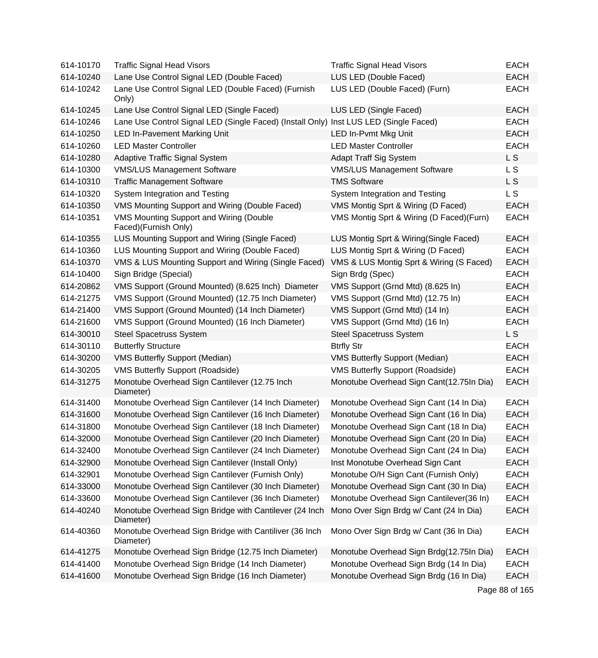| 614-10170 | <b>Traffic Signal Head Visors</b>                                                     | <b>Traffic Signal Head Visors</b>        | <b>EACH</b>    |
|-----------|---------------------------------------------------------------------------------------|------------------------------------------|----------------|
| 614-10240 | Lane Use Control Signal LED (Double Faced)                                            | LUS LED (Double Faced)                   | <b>EACH</b>    |
| 614-10242 | Lane Use Control Signal LED (Double Faced) (Furnish<br>Only)                          | LUS LED (Double Faced) (Furn)            | <b>EACH</b>    |
| 614-10245 | Lane Use Control Signal LED (Single Faced)                                            | LUS LED (Single Faced)                   | <b>EACH</b>    |
| 614-10246 | Lane Use Control Signal LED (Single Faced) (Install Only) Inst LUS LED (Single Faced) |                                          | <b>EACH</b>    |
| 614-10250 | <b>LED In-Pavement Marking Unit</b>                                                   | LED In-Pvmt Mkg Unit                     | <b>EACH</b>    |
| 614-10260 | <b>LED Master Controller</b>                                                          | <b>LED Master Controller</b>             | <b>EACH</b>    |
| 614-10280 | <b>Adaptive Traffic Signal System</b>                                                 | <b>Adapt Traff Sig System</b>            | L <sub>S</sub> |
| 614-10300 | <b>VMS/LUS Management Software</b>                                                    | <b>VMS/LUS Management Software</b>       | L S            |
| 614-10310 | <b>Traffic Management Software</b>                                                    | <b>TMS Software</b>                      | L S            |
| 614-10320 | System Integration and Testing                                                        | System Integration and Testing           | L S            |
| 614-10350 | VMS Mounting Support and Wiring (Double Faced)                                        | VMS Montig Sprt & Wiring (D Faced)       | <b>EACH</b>    |
| 614-10351 | VMS Mounting Support and Wiring (Double<br>Faced)(Furnish Only)                       | VMS Montig Sprt & Wiring (D Faced)(Furn) | <b>EACH</b>    |
| 614-10355 | LUS Mounting Support and Wiring (Single Faced)                                        | LUS Montig Sprt & Wiring(Single Faced)   | <b>EACH</b>    |
| 614-10360 | LUS Mounting Support and Wiring (Double Faced)                                        | LUS Montig Sprt & Wiring (D Faced)       | <b>EACH</b>    |
| 614-10370 | VMS & LUS Mounting Support and Wiring (Single Faced)                                  | VMS & LUS Montig Sprt & Wiring (S Faced) | <b>EACH</b>    |
| 614-10400 | Sign Bridge (Special)                                                                 | Sign Brdg (Spec)                         | <b>EACH</b>    |
| 614-20862 | VMS Support (Ground Mounted) (8.625 Inch) Diameter                                    | VMS Support (Grnd Mtd) (8.625 In)        | <b>EACH</b>    |
| 614-21275 | VMS Support (Ground Mounted) (12.75 Inch Diameter)                                    | VMS Support (Grnd Mtd) (12.75 In)        | <b>EACH</b>    |
| 614-21400 | VMS Support (Ground Mounted) (14 Inch Diameter)                                       | VMS Support (Grnd Mtd) (14 In)           | <b>EACH</b>    |
| 614-21600 | VMS Support (Ground Mounted) (16 Inch Diameter)                                       | VMS Support (Grnd Mtd) (16 In)           | <b>EACH</b>    |
| 614-30010 | <b>Steel Spacetruss System</b>                                                        | <b>Steel Spacetruss System</b>           | L <sub>S</sub> |
| 614-30110 | <b>Butterfly Structure</b>                                                            | <b>Btrfly Str</b>                        | <b>EACH</b>    |
| 614-30200 | <b>VMS Butterfly Support (Median)</b>                                                 | <b>VMS Butterfly Support (Median)</b>    | <b>EACH</b>    |
| 614-30205 | <b>VMS Butterfly Support (Roadside)</b>                                               | <b>VMS Butterfly Support (Roadside)</b>  | <b>EACH</b>    |
| 614-31275 | Monotube Overhead Sign Cantilever (12.75 Inch<br>Diameter)                            | Monotube Overhead Sign Cant(12.75In Dia) | <b>EACH</b>    |
| 614-31400 | Monotube Overhead Sign Cantilever (14 Inch Diameter)                                  | Monotube Overhead Sign Cant (14 In Dia)  | <b>EACH</b>    |
| 614-31600 | Monotube Overhead Sign Cantilever (16 Inch Diameter)                                  | Monotube Overhead Sign Cant (16 In Dia)  | <b>EACH</b>    |
| 614-31800 | Monotube Overhead Sign Cantilever (18 Inch Diameter)                                  | Monotube Overhead Sign Cant (18 In Dia)  | <b>EACH</b>    |
| 614-32000 | Monotube Overhead Sign Cantilever (20 Inch Diameter)                                  | Monotube Overhead Sign Cant (20 In Dia)  | <b>EACH</b>    |
| 614-32400 | Monotube Overhead Sign Cantilever (24 Inch Diameter)                                  | Monotube Overhead Sign Cant (24 In Dia)  | <b>EACH</b>    |
| 614-32900 | Monotube Overhead Sign Cantilever (Install Only)                                      | Inst Monotube Overhead Sign Cant         | <b>EACH</b>    |
| 614-32901 | Monotube Overhead Sign Cantilever (Furnish Only)                                      | Monotube O/H Sign Cant (Furnish Only)    | <b>EACH</b>    |
| 614-33000 | Monotube Overhead Sign Cantilever (30 Inch Diameter)                                  | Monotube Overhead Sign Cant (30 In Dia)  | <b>EACH</b>    |
| 614-33600 | Monotube Overhead Sign Cantilever (36 Inch Diameter)                                  | Monotube Overhead Sign Cantilever(36 In) | <b>EACH</b>    |
| 614-40240 | Monotube Overhead Sign Bridge with Cantilever (24 Inch<br>Diameter)                   | Mono Over Sign Brdg w/ Cant (24 In Dia)  | <b>EACH</b>    |
| 614-40360 | Monotube Overhead Sign Bridge with Cantiliver (36 Inch<br>Diameter)                   | Mono Over Sign Brdg w/ Cant (36 In Dia)  | <b>EACH</b>    |
| 614-41275 | Monotube Overhead Sign Bridge (12.75 Inch Diameter)                                   | Monotube Overhead Sign Brdg(12.75In Dia) | <b>EACH</b>    |
| 614-41400 | Monotube Overhead Sign Bridge (14 Inch Diameter)                                      | Monotube Overhead Sign Brdg (14 In Dia)  | <b>EACH</b>    |
| 614-41600 | Monotube Overhead Sign Bridge (16 Inch Diameter)                                      | Monotube Overhead Sign Brdg (16 In Dia)  | <b>EACH</b>    |
|           |                                                                                       |                                          | Page 88 of 165 |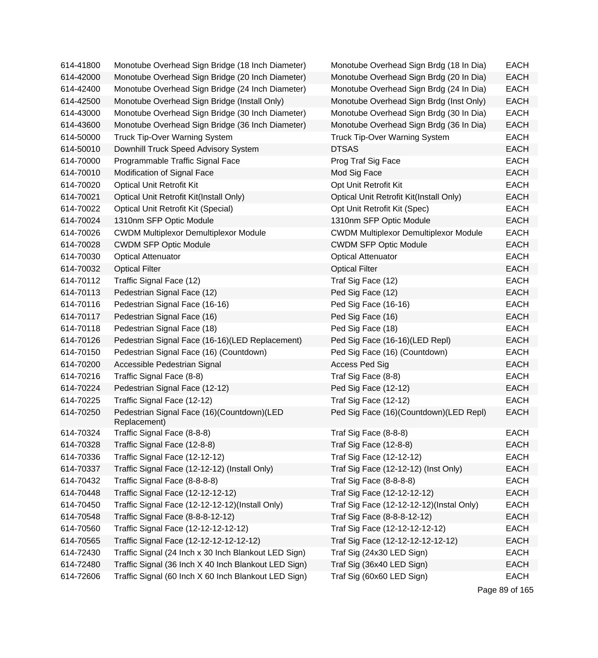| 614-41800 | Monotube Overhead Sign Bridge (18 Inch Diameter)           | Monotube Overhead Sign Brdg (18 In Dia)      | <b>EACH</b> |
|-----------|------------------------------------------------------------|----------------------------------------------|-------------|
| 614-42000 | Monotube Overhead Sign Bridge (20 Inch Diameter)           | Monotube Overhead Sign Brdg (20 In Dia)      | <b>EACH</b> |
| 614-42400 | Monotube Overhead Sign Bridge (24 Inch Diameter)           | Monotube Overhead Sign Brdg (24 In Dia)      | <b>EACH</b> |
| 614-42500 | Monotube Overhead Sign Bridge (Install Only)               | Monotube Overhead Sign Brdg (Inst Only)      | <b>EACH</b> |
| 614-43000 | Monotube Overhead Sign Bridge (30 Inch Diameter)           | Monotube Overhead Sign Brdg (30 In Dia)      | <b>EACH</b> |
| 614-43600 | Monotube Overhead Sign Bridge (36 Inch Diameter)           | Monotube Overhead Sign Brdg (36 In Dia)      | <b>EACH</b> |
| 614-50000 | <b>Truck Tip-Over Warning System</b>                       | <b>Truck Tip-Over Warning System</b>         | <b>EACH</b> |
| 614-50010 | Downhill Truck Speed Advisory System                       | <b>DTSAS</b>                                 | <b>EACH</b> |
| 614-70000 | Programmable Traffic Signal Face                           | Prog Traf Sig Face                           | <b>EACH</b> |
| 614-70010 | Modification of Signal Face                                | Mod Sig Face                                 | <b>EACH</b> |
| 614-70020 | <b>Optical Unit Retrofit Kit</b>                           | Opt Unit Retrofit Kit                        | <b>EACH</b> |
| 614-70021 | Optical Unit Retrofit Kit(Install Only)                    | Optical Unit Retrofit Kit(Install Only)      | <b>EACH</b> |
| 614-70022 | Optical Unit Retrofit Kit (Special)                        | Opt Unit Retrofit Kit (Spec)                 | <b>EACH</b> |
| 614-70024 | 1310nm SFP Optic Module                                    | 1310nm SFP Optic Module                      | <b>EACH</b> |
| 614-70026 | <b>CWDM Multiplexor Demultiplexor Module</b>               | <b>CWDM Multiplexor Demultiplexor Module</b> | <b>EACH</b> |
| 614-70028 | <b>CWDM SFP Optic Module</b>                               | <b>CWDM SFP Optic Module</b>                 | <b>EACH</b> |
| 614-70030 | <b>Optical Attenuator</b>                                  | <b>Optical Attenuator</b>                    | <b>EACH</b> |
| 614-70032 | <b>Optical Filter</b>                                      | <b>Optical Filter</b>                        | <b>EACH</b> |
| 614-70112 | Traffic Signal Face (12)                                   | Traf Sig Face (12)                           | <b>EACH</b> |
| 614-70113 | Pedestrian Signal Face (12)                                | Ped Sig Face (12)                            | <b>EACH</b> |
| 614-70116 | Pedestrian Signal Face (16-16)                             | Ped Sig Face (16-16)                         | <b>EACH</b> |
| 614-70117 | Pedestrian Signal Face (16)                                | Ped Sig Face (16)                            | <b>EACH</b> |
| 614-70118 | Pedestrian Signal Face (18)                                | Ped Sig Face (18)                            | <b>EACH</b> |
| 614-70126 | Pedestrian Signal Face (16-16)(LED Replacement)            | Ped Sig Face (16-16)(LED Repl)               | <b>EACH</b> |
| 614-70150 | Pedestrian Signal Face (16) (Countdown)                    | Ped Sig Face (16) (Countdown)                | <b>EACH</b> |
| 614-70200 | Accessible Pedestrian Signal                               | <b>Access Ped Sig</b>                        | <b>EACH</b> |
| 614-70216 | Traffic Signal Face (8-8)                                  | Traf Sig Face (8-8)                          | <b>EACH</b> |
| 614-70224 | Pedestrian Signal Face (12-12)                             | Ped Sig Face (12-12)                         | <b>EACH</b> |
| 614-70225 | Traffic Signal Face (12-12)                                | Traf Sig Face (12-12)                        | <b>EACH</b> |
| 614-70250 | Pedestrian Signal Face (16)(Countdown)(LED<br>Replacement) | Ped Sig Face (16)(Countdown)(LED Repl)       | <b>EACH</b> |
| 614-70324 | Traffic Signal Face (8-8-8)                                | Traf Sig Face (8-8-8)                        | <b>EACH</b> |
| 614-70328 | Traffic Signal Face (12-8-8)                               | Traf Sig Face (12-8-8)                       | <b>EACH</b> |
| 614-70336 | Traffic Signal Face (12-12-12)                             | Traf Sig Face (12-12-12)                     | <b>EACH</b> |
| 614-70337 | Traffic Signal Face (12-12-12) (Install Only)              | Traf Sig Face (12-12-12) (Inst Only)         | <b>EACH</b> |
| 614-70432 | Traffic Signal Face (8-8-8-8)                              | Traf Sig Face (8-8-8-8)                      | <b>EACH</b> |
| 614-70448 | Traffic Signal Face (12-12-12-12)                          | Traf Sig Face (12-12-12-12)                  | <b>EACH</b> |
| 614-70450 | Traffic Signal Face (12-12-12-12)(Install Only)            | Traf Sig Face (12-12-12-12)(Instal Only)     | <b>EACH</b> |
| 614-70548 | Traffic Signal Face (8-8-8-12-12)                          | Traf Sig Face (8-8-8-12-12)                  | <b>EACH</b> |
| 614-70560 | Traffic Signal Face (12-12-12-12-12)                       | Traf Sig Face (12-12-12-12-12)               | <b>EACH</b> |
| 614-70565 | Traffic Signal Face (12-12-12-12-12-12)                    | Traf Sig Face (12-12-12-12-12-12)            | <b>EACH</b> |
| 614-72430 | Traffic Signal (24 Inch x 30 Inch Blankout LED Sign)       | Traf Sig (24x30 LED Sign)                    | <b>EACH</b> |
| 614-72480 | Traffic Signal (36 Inch X 40 Inch Blankout LED Sign)       | Traf Sig (36x40 LED Sign)                    | <b>EACH</b> |
| 614-72606 | Traffic Signal (60 Inch X 60 Inch Blankout LED Sign)       | Traf Sig (60x60 LED Sign)                    | <b>EACH</b> |

Page 89 of 165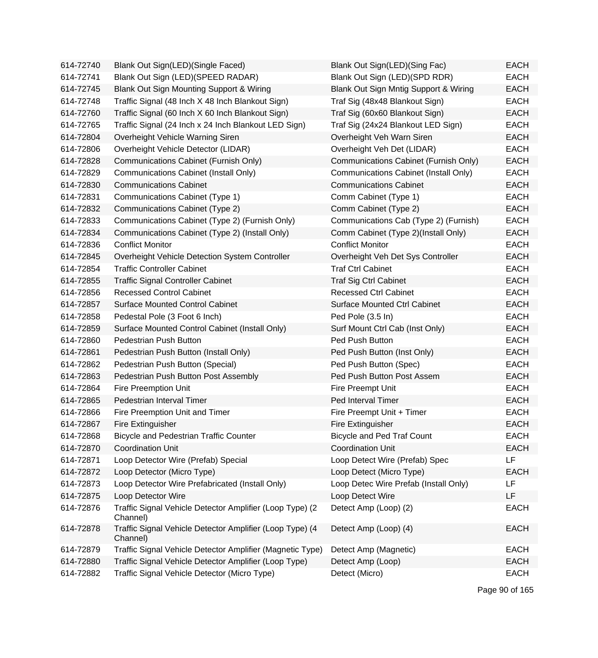| 614-72740 | Blank Out Sign(LED)(Single Faced)                                    | Blank Out Sign(LED)(Sing Fac)         | <b>EACH</b> |
|-----------|----------------------------------------------------------------------|---------------------------------------|-------------|
| 614-72741 | Blank Out Sign (LED)(SPEED RADAR)                                    | Blank Out Sign (LED)(SPD RDR)         | <b>EACH</b> |
| 614-72745 | Blank Out Sign Mounting Support & Wiring                             | Blank Out Sign Mntig Support & Wiring | <b>EACH</b> |
| 614-72748 | Traffic Signal (48 Inch X 48 Inch Blankout Sign)                     | Traf Sig (48x48 Blankout Sign)        | <b>EACH</b> |
| 614-72760 | Traffic Signal (60 Inch X 60 Inch Blankout Sign)                     | Traf Sig (60x60 Blankout Sign)        | <b>EACH</b> |
| 614-72765 | Traffic Signal (24 Inch x 24 Inch Blankout LED Sign)                 | Traf Sig (24x24 Blankout LED Sign)    | <b>EACH</b> |
| 614-72804 | Overheight Vehicle Warning Siren                                     | Overheight Veh Warn Siren             | <b>EACH</b> |
| 614-72806 | Overheight Vehicle Detector (LIDAR)                                  | Overheight Veh Det (LIDAR)            | <b>EACH</b> |
| 614-72828 | Communications Cabinet (Furnish Only)                                | Communications Cabinet (Furnish Only) | <b>EACH</b> |
| 614-72829 | <b>Communications Cabinet (Install Only)</b>                         | Communications Cabinet (Install Only) | <b>EACH</b> |
| 614-72830 | <b>Communications Cabinet</b>                                        | <b>Communications Cabinet</b>         | <b>EACH</b> |
| 614-72831 | Communications Cabinet (Type 1)                                      | Comm Cabinet (Type 1)                 | <b>EACH</b> |
| 614-72832 | Communications Cabinet (Type 2)                                      | Comm Cabinet (Type 2)                 | <b>EACH</b> |
| 614-72833 | Communications Cabinet (Type 2) (Furnish Only)                       | Communications Cab (Type 2) (Furnish) | <b>EACH</b> |
| 614-72834 | Communications Cabinet (Type 2) (Install Only)                       | Comm Cabinet (Type 2)(Install Only)   | <b>EACH</b> |
| 614-72836 | <b>Conflict Monitor</b>                                              | <b>Conflict Monitor</b>               | <b>EACH</b> |
| 614-72845 | Overheight Vehicle Detection System Controller                       | Overheight Veh Det Sys Controller     | <b>EACH</b> |
| 614-72854 | <b>Traffic Controller Cabinet</b>                                    | <b>Traf Ctrl Cabinet</b>              | <b>EACH</b> |
| 614-72855 | <b>Traffic Signal Controller Cabinet</b>                             | <b>Traf Sig Ctrl Cabinet</b>          | <b>EACH</b> |
| 614-72856 | <b>Recessed Control Cabinet</b>                                      | <b>Recessed Ctrl Cabinet</b>          | <b>EACH</b> |
| 614-72857 | <b>Surface Mounted Control Cabinet</b>                               | <b>Surface Mounted Ctrl Cabinet</b>   | <b>EACH</b> |
| 614-72858 | Pedestal Pole (3 Foot 6 Inch)                                        | Ped Pole (3.5 In)                     | <b>EACH</b> |
| 614-72859 | Surface Mounted Control Cabinet (Install Only)                       | Surf Mount Ctrl Cab (Inst Only)       | <b>EACH</b> |
| 614-72860 | Pedestrian Push Button                                               | Ped Push Button                       | <b>EACH</b> |
| 614-72861 | Pedestrian Push Button (Install Only)                                | Ped Push Button (Inst Only)           | <b>EACH</b> |
| 614-72862 | Pedestrian Push Button (Special)                                     | Ped Push Button (Spec)                | <b>EACH</b> |
| 614-72863 | Pedestrian Push Button Post Assembly                                 | Ped Push Button Post Assem            | <b>EACH</b> |
| 614-72864 | Fire Preemption Unit                                                 | Fire Preempt Unit                     | <b>EACH</b> |
| 614-72865 | Pedestrian Interval Timer                                            | Ped Interval Timer                    | <b>EACH</b> |
| 614-72866 | Fire Preemption Unit and Timer                                       | Fire Preempt Unit + Timer             | <b>EACH</b> |
| 614-72867 | Fire Extinguisher                                                    | Fire Extinguisher                     | <b>EACH</b> |
| 614-72868 | <b>Bicycle and Pedestrian Traffic Counter</b>                        | <b>Bicycle and Ped Traf Count</b>     | EACH        |
| 614-72870 | <b>Coordination Unit</b>                                             | <b>Coordination Unit</b>              | <b>EACH</b> |
| 614-72871 | Loop Detector Wire (Prefab) Special                                  | Loop Detect Wire (Prefab) Spec        | LF          |
| 614-72872 | Loop Detector (Micro Type)                                           | Loop Detect (Micro Type)              | <b>EACH</b> |
| 614-72873 | Loop Detector Wire Prefabricated (Install Only)                      | Loop Detec Wire Prefab (Install Only) | LF          |
| 614-72875 | Loop Detector Wire                                                   | Loop Detect Wire                      | LF          |
| 614-72876 | Traffic Signal Vehicle Detector Amplifier (Loop Type) (2<br>Channel) | Detect Amp (Loop) (2)                 | <b>EACH</b> |
| 614-72878 | Traffic Signal Vehicle Detector Amplifier (Loop Type) (4<br>Channel) | Detect Amp (Loop) (4)                 | <b>EACH</b> |
| 614-72879 | Traffic Signal Vehicle Detector Amplifier (Magnetic Type)            | Detect Amp (Magnetic)                 | <b>EACH</b> |
| 614-72880 | Traffic Signal Vehicle Detector Amplifier (Loop Type)                | Detect Amp (Loop)                     | <b>EACH</b> |
| 614-72882 | Traffic Signal Vehicle Detector (Micro Type)                         | Detect (Micro)                        | <b>EACH</b> |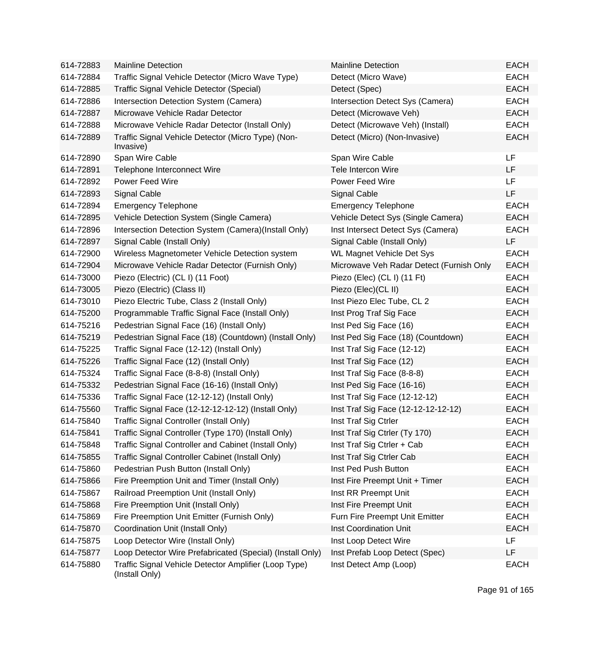| 614-72883 | <b>Mainline Detection</b>                                               | <b>Mainline Detection</b>                | <b>EACH</b> |
|-----------|-------------------------------------------------------------------------|------------------------------------------|-------------|
| 614-72884 | Traffic Signal Vehicle Detector (Micro Wave Type)                       | Detect (Micro Wave)                      | <b>EACH</b> |
| 614-72885 | Traffic Signal Vehicle Detector (Special)                               | Detect (Spec)                            | <b>EACH</b> |
| 614-72886 | Intersection Detection System (Camera)                                  | Intersection Detect Sys (Camera)         | <b>EACH</b> |
| 614-72887 | Microwave Vehicle Radar Detector                                        | Detect (Microwave Veh)                   | <b>EACH</b> |
| 614-72888 | Microwave Vehicle Radar Detector (Install Only)                         | Detect (Microwave Veh) (Install)         | <b>EACH</b> |
| 614-72889 | Traffic Signal Vehicle Detector (Micro Type) (Non-<br>Invasive)         | Detect (Micro) (Non-Invasive)            | <b>EACH</b> |
| 614-72890 | Span Wire Cable                                                         | Span Wire Cable                          | LF          |
| 614-72891 | Telephone Interconnect Wire                                             | Tele Intercon Wire                       | LF          |
| 614-72892 | <b>Power Feed Wire</b>                                                  | <b>Power Feed Wire</b>                   | LF          |
| 614-72893 | <b>Signal Cable</b>                                                     | <b>Signal Cable</b>                      | <b>LF</b>   |
| 614-72894 | <b>Emergency Telephone</b>                                              | <b>Emergency Telephone</b>               | <b>EACH</b> |
| 614-72895 | Vehicle Detection System (Single Camera)                                | Vehicle Detect Sys (Single Camera)       | <b>EACH</b> |
| 614-72896 | Intersection Detection System (Camera)(Install Only)                    | Inst Intersect Detect Sys (Camera)       | <b>EACH</b> |
| 614-72897 | Signal Cable (Install Only)                                             | Signal Cable (Install Only)              | LF          |
| 614-72900 | Wireless Magnetometer Vehicle Detection system                          | <b>WL Magnet Vehicle Det Sys</b>         | <b>EACH</b> |
| 614-72904 | Microwave Vehicle Radar Detector (Furnish Only)                         | Microwave Veh Radar Detect (Furnish Only | <b>EACH</b> |
| 614-73000 | Piezo (Electric) (CL I) (11 Foot)                                       | Piezo (Elec) (CL I) (11 Ft)              | <b>EACH</b> |
| 614-73005 | Piezo (Electric) (Class II)                                             | Piezo (Elec) (CL II)                     | <b>EACH</b> |
| 614-73010 | Piezo Electric Tube, Class 2 (Install Only)                             | Inst Piezo Elec Tube, CL 2               | <b>EACH</b> |
| 614-75200 | Programmable Traffic Signal Face (Install Only)                         | Inst Prog Traf Sig Face                  | <b>EACH</b> |
| 614-75216 | Pedestrian Signal Face (16) (Install Only)                              | Inst Ped Sig Face (16)                   | <b>EACH</b> |
| 614-75219 | Pedestrian Signal Face (18) (Countdown) (Install Only)                  | Inst Ped Sig Face (18) (Countdown)       | <b>EACH</b> |
| 614-75225 | Traffic Signal Face (12-12) (Install Only)                              | Inst Traf Sig Face (12-12)               | <b>EACH</b> |
| 614-75226 | Traffic Signal Face (12) (Install Only)                                 | Inst Traf Sig Face (12)                  | <b>EACH</b> |
| 614-75324 | Traffic Signal Face (8-8-8) (Install Only)                              | Inst Traf Sig Face (8-8-8)               | <b>EACH</b> |
| 614-75332 | Pedestrian Signal Face (16-16) (Install Only)                           | Inst Ped Sig Face (16-16)                | <b>EACH</b> |
| 614-75336 | Traffic Signal Face (12-12-12) (Install Only)                           | Inst Traf Sig Face (12-12-12)            | <b>EACH</b> |
| 614-75560 | Traffic Signal Face (12-12-12-12-12) (Install Only)                     | Inst Traf Sig Face (12-12-12-12-12)      | <b>EACH</b> |
| 614-75840 | Traffic Signal Controller (Install Only)                                | Inst Traf Sig Ctrler                     | <b>EACH</b> |
| 614-75841 | Traffic Signal Controller (Type 170) (Install Only)                     | Inst Traf Sig Ctrler (Ty 170)            | <b>EACH</b> |
| 614-75848 | Traffic Signal Controller and Cabinet (Install Only)                    | Inst Traf Sig Ctrler + Cab               | <b>EACH</b> |
| 614-75855 | Traffic Signal Controller Cabinet (Install Only)                        | Inst Traf Sig Ctrler Cab                 | <b>EACH</b> |
| 614-75860 | Pedestrian Push Button (Install Only)                                   | Inst Ped Push Button                     | <b>EACH</b> |
| 614-75866 | Fire Preemption Unit and Timer (Install Only)                           | Inst Fire Preempt Unit + Timer           | <b>EACH</b> |
| 614-75867 | Railroad Preemption Unit (Install Only)                                 | Inst RR Preempt Unit                     | <b>EACH</b> |
| 614-75868 | Fire Preemption Unit (Install Only)                                     | Inst Fire Preempt Unit                   | <b>EACH</b> |
| 614-75869 | Fire Preemption Unit Emitter (Furnish Only)                             | Furn Fire Preempt Unit Emitter           | <b>EACH</b> |
| 614-75870 | Coordination Unit (Install Only)                                        | <b>Inst Coordination Unit</b>            | <b>EACH</b> |
| 614-75875 | Loop Detector Wire (Install Only)                                       | Inst Loop Detect Wire                    | LF          |
| 614-75877 | Loop Detector Wire Prefabricated (Special) (Install Only)               | Inst Prefab Loop Detect (Spec)           | LF          |
| 614-75880 | Traffic Signal Vehicle Detector Amplifier (Loop Type)<br>(Install Only) | Inst Detect Amp (Loop)                   | <b>EACH</b> |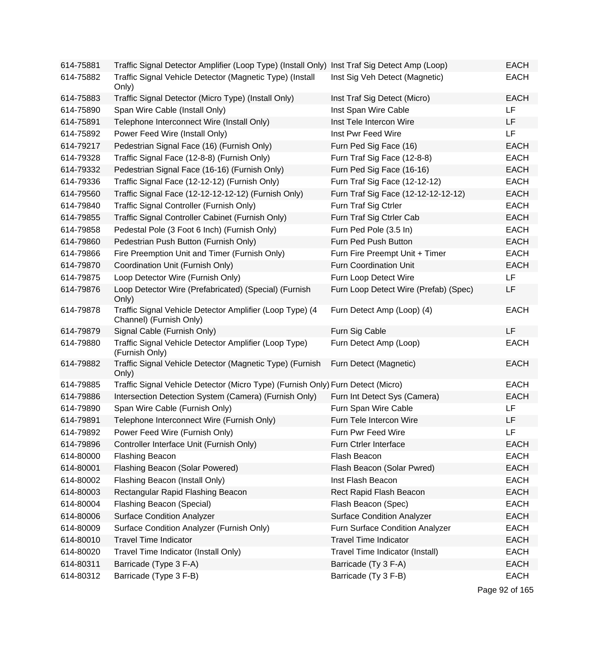| 614-75881 | Traffic Signal Detector Amplifier (Loop Type) (Install Only) Inst Traf Sig Detect Amp (Loop) |                                       | <b>EACH</b> |
|-----------|----------------------------------------------------------------------------------------------|---------------------------------------|-------------|
| 614-75882 | Traffic Signal Vehicle Detector (Magnetic Type) (Install<br>Only)                            | Inst Sig Veh Detect (Magnetic)        | <b>EACH</b> |
| 614-75883 | Traffic Signal Detector (Micro Type) (Install Only)                                          | Inst Traf Sig Detect (Micro)          | <b>EACH</b> |
| 614-75890 | Span Wire Cable (Install Only)                                                               | Inst Span Wire Cable                  | LF          |
| 614-75891 | Telephone Interconnect Wire (Install Only)                                                   | Inst Tele Intercon Wire               | LF          |
| 614-75892 | Power Feed Wire (Install Only)                                                               | Inst Pwr Feed Wire                    | <b>LF</b>   |
| 614-79217 | Pedestrian Signal Face (16) (Furnish Only)                                                   | Furn Ped Sig Face (16)                | <b>EACH</b> |
| 614-79328 | Traffic Signal Face (12-8-8) (Furnish Only)                                                  | Furn Traf Sig Face (12-8-8)           | <b>EACH</b> |
| 614-79332 | Pedestrian Signal Face (16-16) (Furnish Only)                                                | Furn Ped Sig Face (16-16)             | <b>EACH</b> |
| 614-79336 | Traffic Signal Face (12-12-12) (Furnish Only)                                                | Furn Traf Sig Face (12-12-12)         | <b>EACH</b> |
| 614-79560 | Traffic Signal Face (12-12-12-12-12) (Furnish Only)                                          | Furn Traf Sig Face (12-12-12-12-12)   | <b>EACH</b> |
| 614-79840 | Traffic Signal Controller (Furnish Only)                                                     | Furn Traf Sig Ctrler                  | <b>EACH</b> |
| 614-79855 | Traffic Signal Controller Cabinet (Furnish Only)                                             | Furn Traf Sig Ctrler Cab              | <b>EACH</b> |
| 614-79858 | Pedestal Pole (3 Foot 6 Inch) (Furnish Only)                                                 | Furn Ped Pole (3.5 In)                | <b>EACH</b> |
| 614-79860 | Pedestrian Push Button (Furnish Only)                                                        | Furn Ped Push Button                  | <b>EACH</b> |
| 614-79866 | Fire Preemption Unit and Timer (Furnish Only)                                                | Furn Fire Preempt Unit + Timer        | <b>EACH</b> |
| 614-79870 | Coordination Unit (Furnish Only)                                                             | <b>Furn Coordination Unit</b>         | <b>EACH</b> |
| 614-79875 | Loop Detector Wire (Furnish Only)                                                            | Furn Loop Detect Wire                 | <b>LF</b>   |
| 614-79876 | Loop Detector Wire (Prefabricated) (Special) (Furnish<br>Only)                               | Furn Loop Detect Wire (Prefab) (Spec) | LF          |
| 614-79878 | Traffic Signal Vehicle Detector Amplifier (Loop Type) (4<br>Channel) (Furnish Only)          | Furn Detect Amp (Loop) (4)            | <b>EACH</b> |
| 614-79879 | Signal Cable (Furnish Only)                                                                  | Furn Sig Cable                        | LF          |
| 614-79880 | Traffic Signal Vehicle Detector Amplifier (Loop Type)<br>(Furnish Only)                      | Furn Detect Amp (Loop)                | <b>EACH</b> |
| 614-79882 | Traffic Signal Vehicle Detector (Magnetic Type) (Furnish<br>Only)                            | Furn Detect (Magnetic)                | <b>EACH</b> |
| 614-79885 | Traffic Signal Vehicle Detector (Micro Type) (Furnish Only) Furn Detect (Micro)              |                                       | <b>EACH</b> |
| 614-79886 | Intersection Detection System (Camera) (Furnish Only)                                        | Furn Int Detect Sys (Camera)          | <b>EACH</b> |
| 614-79890 | Span Wire Cable (Furnish Only)                                                               | Furn Span Wire Cable                  | LF          |
| 614-79891 | Telephone Interconnect Wire (Furnish Only)                                                   | Furn Tele Intercon Wire               | LF          |
| 614-79892 | Power Feed Wire (Furnish Only)                                                               | Furn Pwr Feed Wire                    | LF          |
| 614-79896 | Controller Interface Unit (Furnish Only)                                                     | Furn Ctrler Interface                 | <b>EACH</b> |
| 614-80000 | <b>Flashing Beacon</b>                                                                       | Flash Beacon                          | <b>EACH</b> |
| 614-80001 | Flashing Beacon (Solar Powered)                                                              | Flash Beacon (Solar Pwred)            | <b>EACH</b> |
| 614-80002 | Flashing Beacon (Install Only)                                                               | Inst Flash Beacon                     | <b>EACH</b> |
| 614-80003 | Rectangular Rapid Flashing Beacon                                                            | Rect Rapid Flash Beacon               | <b>EACH</b> |
| 614-80004 | Flashing Beacon (Special)                                                                    | Flash Beacon (Spec)                   | <b>EACH</b> |
| 614-80006 | <b>Surface Condition Analyzer</b>                                                            | <b>Surface Condition Analyzer</b>     | <b>EACH</b> |
| 614-80009 | Surface Condition Analyzer (Furnish Only)                                                    | Furn Surface Condition Analyzer       | <b>EACH</b> |
| 614-80010 | <b>Travel Time Indicator</b>                                                                 | <b>Travel Time Indicator</b>          | <b>EACH</b> |
| 614-80020 | Travel Time Indicator (Install Only)                                                         | Travel Time Indicator (Install)       | <b>EACH</b> |
| 614-80311 | Barricade (Type 3 F-A)                                                                       | Barricade (Ty 3 F-A)                  | <b>EACH</b> |
| 614-80312 | Barricade (Type 3 F-B)                                                                       | Barricade (Ty 3 F-B)                  | <b>EACH</b> |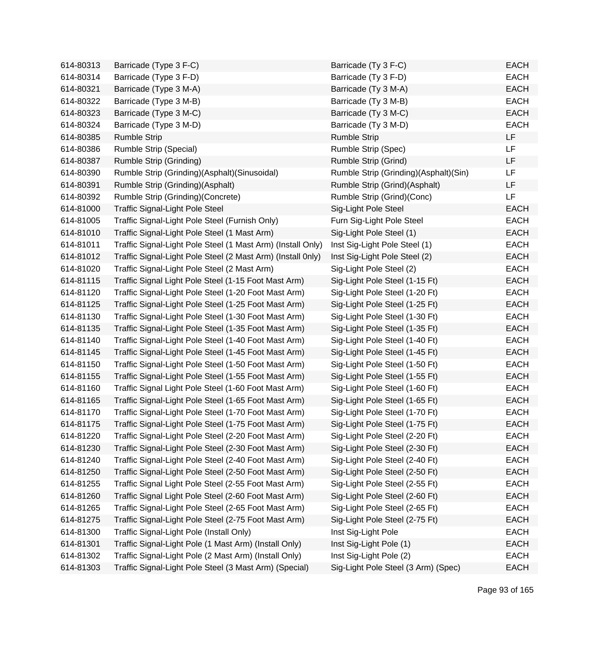| 614-80313 | Barricade (Type 3 F-C)                                      | Barricade (Ty 3 F-C)                  | <b>EACH</b> |
|-----------|-------------------------------------------------------------|---------------------------------------|-------------|
| 614-80314 | Barricade (Type 3 F-D)                                      | Barricade (Ty 3 F-D)                  | <b>EACH</b> |
| 614-80321 | Barricade (Type 3 M-A)                                      | Barricade (Ty 3 M-A)                  | <b>EACH</b> |
| 614-80322 | Barricade (Type 3 M-B)                                      | Barricade (Ty 3 M-B)                  | <b>EACH</b> |
| 614-80323 | Barricade (Type 3 M-C)                                      | Barricade (Ty 3 M-C)                  | <b>EACH</b> |
| 614-80324 | Barricade (Type 3 M-D)                                      | Barricade (Ty 3 M-D)                  | <b>EACH</b> |
| 614-80385 | <b>Rumble Strip</b>                                         | <b>Rumble Strip</b>                   | <b>LF</b>   |
| 614-80386 | <b>Rumble Strip (Special)</b>                               | Rumble Strip (Spec)                   | <b>LF</b>   |
| 614-80387 | Rumble Strip (Grinding)                                     | Rumble Strip (Grind)                  | LF          |
| 614-80390 | Rumble Strip (Grinding)(Asphalt)(Sinusoidal)                | Rumble Strip (Grinding)(Asphalt)(Sin) | LF          |
| 614-80391 | Rumble Strip (Grinding)(Asphalt)                            | Rumble Strip (Grind)(Asphalt)         | LF          |
| 614-80392 | Rumble Strip (Grinding)(Concrete)                           | Rumble Strip (Grind)(Conc)            | <b>LF</b>   |
| 614-81000 | <b>Traffic Signal-Light Pole Steel</b>                      | Sig-Light Pole Steel                  | <b>EACH</b> |
| 614-81005 | Traffic Signal-Light Pole Steel (Furnish Only)              | Furn Sig-Light Pole Steel             | <b>EACH</b> |
| 614-81010 | Traffic Signal-Light Pole Steel (1 Mast Arm)                | Sig-Light Pole Steel (1)              | <b>EACH</b> |
| 614-81011 | Traffic Signal-Light Pole Steel (1 Mast Arm) (Install Only) | Inst Sig-Light Pole Steel (1)         | <b>EACH</b> |
| 614-81012 | Traffic Signal-Light Pole Steel (2 Mast Arm) (Install 0nly) | Inst Sig-Light Pole Steel (2)         | <b>EACH</b> |
| 614-81020 | Traffic Signal-Light Pole Steel (2 Mast Arm)                | Sig-Light Pole Steel (2)              | <b>EACH</b> |
| 614-81115 | Traffic Signal Light Pole Steel (1-15 Foot Mast Arm)        | Sig-Light Pole Steel (1-15 Ft)        | <b>EACH</b> |
| 614-81120 | Traffic Signal-Light Pole Steel (1-20 Foot Mast Arm)        | Sig-Light Pole Steel (1-20 Ft)        | <b>EACH</b> |
| 614-81125 | Traffic Signal-Light Pole Steel (1-25 Foot Mast Arm)        | Sig-Light Pole Steel (1-25 Ft)        | <b>EACH</b> |
| 614-81130 | Traffic Signal-Light Pole Steel (1-30 Foot Mast Arm)        | Sig-Light Pole Steel (1-30 Ft)        | <b>EACH</b> |
| 614-81135 | Traffic Signal-Light Pole Steel (1-35 Foot Mast Arm)        | Sig-Light Pole Steel (1-35 Ft)        | <b>EACH</b> |
| 614-81140 | Traffic Signal-Light Pole Steel (1-40 Foot Mast Arm)        | Sig-Light Pole Steel (1-40 Ft)        | <b>EACH</b> |
| 614-81145 | Traffic Signal-Light Pole Steel (1-45 Foot Mast Arm)        | Sig-Light Pole Steel (1-45 Ft)        | <b>EACH</b> |
| 614-81150 | Traffic Signal-Light Pole Steel (1-50 Foot Mast Arm)        | Sig-Light Pole Steel (1-50 Ft)        | <b>EACH</b> |
| 614-81155 | Traffic Signal-Light Pole Steel (1-55 Foot Mast Arm)        | Sig-Light Pole Steel (1-55 Ft)        | <b>EACH</b> |
| 614-81160 | Traffic Signal Light Pole Steel (1-60 Foot Mast Arm)        | Sig-Light Pole Steel (1-60 Ft)        | <b>EACH</b> |
| 614-81165 | Traffic Signal-Light Pole Steel (1-65 Foot Mast Arm)        | Sig-Light Pole Steel (1-65 Ft)        | <b>EACH</b> |
| 614-81170 | Traffic Signal-Light Pole Steel (1-70 Foot Mast Arm)        | Sig-Light Pole Steel (1-70 Ft)        | <b>EACH</b> |
| 614-81175 | Traffic Signal-Light Pole Steel (1-75 Foot Mast Arm)        | Sig-Light Pole Steel (1-75 Ft)        | <b>EACH</b> |
| 614-81220 | Traffic Signal-Light Pole Steel (2-20 Foot Mast Arm)        | Sig-Light Pole Steel (2-20 Ft)        | EACH        |
| 614-81230 | Traffic Signal-Light Pole Steel (2-30 Foot Mast Arm)        | Sig-Light Pole Steel (2-30 Ft)        | <b>EACH</b> |
| 614-81240 | Traffic Signal-Light Pole Steel (2-40 Foot Mast Arm)        | Sig-Light Pole Steel (2-40 Ft)        | <b>EACH</b> |
| 614-81250 | Traffic Signal-Light Pole Steel (2-50 Foot Mast Arm)        | Sig-Light Pole Steel (2-50 Ft)        | <b>EACH</b> |
| 614-81255 | Traffic Signal Light Pole Steel (2-55 Foot Mast Arm)        | Sig-Light Pole Steel (2-55 Ft)        | <b>EACH</b> |
| 614-81260 | Traffic Signal Light Pole Steel (2-60 Foot Mast Arm)        | Sig-Light Pole Steel (2-60 Ft)        | <b>EACH</b> |
| 614-81265 | Traffic Signal-Light Pole Steel (2-65 Foot Mast Arm)        | Sig-Light Pole Steel (2-65 Ft)        | <b>EACH</b> |
| 614-81275 | Traffic Signal-Light Pole Steel (2-75 Foot Mast Arm)        | Sig-Light Pole Steel (2-75 Ft)        | <b>EACH</b> |
| 614-81300 | Traffic Signal-Light Pole (Install Only)                    | Inst Sig-Light Pole                   | <b>EACH</b> |
| 614-81301 | Traffic Signal-Light Pole (1 Mast Arm) (Install Only)       | Inst Sig-Light Pole (1)               | <b>EACH</b> |
| 614-81302 | Traffic Signal-Light Pole (2 Mast Arm) (Install Only)       | Inst Sig-Light Pole (2)               | <b>EACH</b> |
| 614-81303 | Traffic Signal-Light Pole Steel (3 Mast Arm) (Special)      | Sig-Light Pole Steel (3 Arm) (Spec)   | <b>EACH</b> |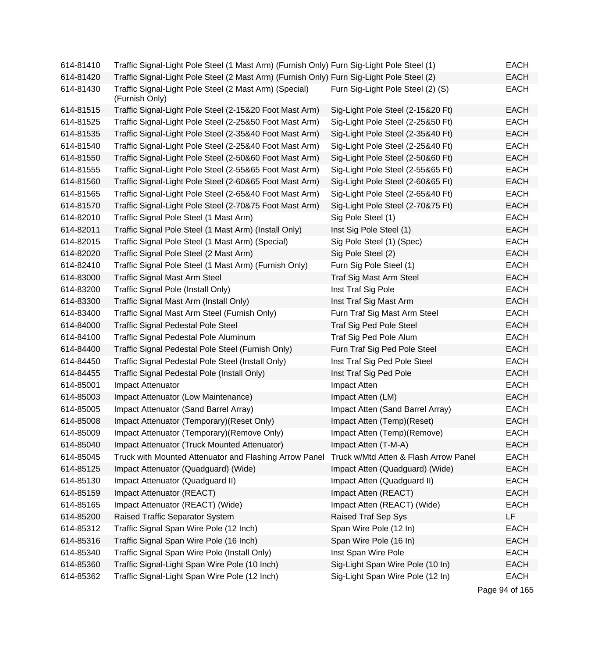| 614-81410 | Traffic Signal-Light Pole Steel (1 Mast Arm) (Furnish Only) Furn Sig-Light Pole Steel (1) |                                       | EACH        |
|-----------|-------------------------------------------------------------------------------------------|---------------------------------------|-------------|
| 614-81420 | Traffic Signal-Light Pole Steel (2 Mast Arm) (Furnish Only) Furn Sig-Light Pole Steel (2) |                                       | <b>EACH</b> |
| 614-81430 | Traffic Signal-Light Pole Steel (2 Mast Arm) (Special)<br>(Furnish Only)                  | Furn Sig-Light Pole Steel (2) (S)     | <b>EACH</b> |
| 614-81515 | Traffic Signal-Light Pole Steel (2-15&20 Foot Mast Arm)                                   | Sig-Light Pole Steel (2-15&20 Ft)     | <b>EACH</b> |
| 614-81525 | Traffic Signal-Light Pole Steel (2-25&50 Foot Mast Arm)                                   | Sig-Light Pole Steel (2-25&50 Ft)     | <b>EACH</b> |
| 614-81535 | Traffic Signal-Light Pole Steel (2-35&40 Foot Mast Arm)                                   | Sig-Light Pole Steel (2-35&40 Ft)     | EACH        |
| 614-81540 | Traffic Signal-Light Pole Steel (2-25&40 Foot Mast Arm)                                   | Sig-Light Pole Steel (2-25&40 Ft)     | <b>EACH</b> |
| 614-81550 | Traffic Signal-Light Pole Steel (2-50&60 Foot Mast Arm)                                   | Sig-Light Pole Steel (2-50&60 Ft)     | <b>EACH</b> |
| 614-81555 | Traffic Signal-Light Pole Steel (2-55&65 Foot Mast Arm)                                   | Sig-Light Pole Steel (2-55&65 Ft)     | <b>EACH</b> |
| 614-81560 | Traffic Signal-Light Pole Steel (2-60&65 Foot Mast Arm)                                   | Sig-Light Pole Steel (2-60&65 Ft)     | EACH        |
| 614-81565 | Traffic Signal-Light Pole Steel (2-65&40 Foot Mast Arm)                                   | Sig-Light Pole Steel (2-65&40 Ft)     | <b>EACH</b> |
| 614-81570 | Traffic Signal-Light Pole Steel (2-70&75 Foot Mast Arm)                                   | Sig-Light Pole Steel (2-70&75 Ft)     | <b>EACH</b> |
| 614-82010 | Traffic Signal Pole Steel (1 Mast Arm)                                                    | Sig Pole Steel (1)                    | <b>EACH</b> |
| 614-82011 | Traffic Signal Pole Steel (1 Mast Arm) (Install Only)                                     | Inst Sig Pole Steel (1)               | <b>EACH</b> |
| 614-82015 | Traffic Signal Pole Steel (1 Mast Arm) (Special)                                          | Sig Pole Steel (1) (Spec)             | EACH        |
| 614-82020 | Traffic Signal Pole Steel (2 Mast Arm)                                                    | Sig Pole Steel (2)                    | EACH        |
| 614-82410 | Traffic Signal Pole Steel (1 Mast Arm) (Furnish Only)                                     | Furn Sig Pole Steel (1)               | <b>EACH</b> |
| 614-83000 | <b>Traffic Signal Mast Arm Steel</b>                                                      | Traf Sig Mast Arm Steel               | <b>EACH</b> |
| 614-83200 | Traffic Signal Pole (Install Only)                                                        | Inst Traf Sig Pole                    | <b>EACH</b> |
| 614-83300 | Traffic Signal Mast Arm (Install Only)                                                    | Inst Traf Sig Mast Arm                | <b>EACH</b> |
| 614-83400 | Traffic Signal Mast Arm Steel (Furnish Only)                                              | Furn Traf Sig Mast Arm Steel          | <b>EACH</b> |
| 614-84000 | <b>Traffic Signal Pedestal Pole Steel</b>                                                 | Traf Sig Ped Pole Steel               | EACH        |
| 614-84100 | Traffic Signal Pedestal Pole Aluminum                                                     | Traf Sig Ped Pole Alum                | <b>EACH</b> |
| 614-84400 | Traffic Signal Pedestal Pole Steel (Furnish Only)                                         | Furn Traf Sig Ped Pole Steel          | <b>EACH</b> |
| 614-84450 | Traffic Signal Pedestal Pole Steel (Install Only)                                         | Inst Traf Sig Ped Pole Steel          | <b>EACH</b> |
| 614-84455 | Traffic Signal Pedestal Pole (Install Only)                                               | Inst Traf Sig Ped Pole                | EACH        |
| 614-85001 | Impact Attenuator                                                                         | Impact Atten                          | <b>EACH</b> |
| 614-85003 | Impact Attenuator (Low Maintenance)                                                       | Impact Atten (LM)                     | <b>EACH</b> |
| 614-85005 | Impact Attenuator (Sand Barrel Array)                                                     | Impact Atten (Sand Barrel Array)      | <b>EACH</b> |
| 614-85008 | Impact Attenuator (Temporary) (Reset Only)                                                | Impact Atten (Temp)(Reset)            | <b>EACH</b> |
| 614-85009 | Impact Attenuator (Temporary) (Remove Only)                                               | Impact Atten (Temp)(Remove)           | EACH        |
| 614-85040 | Impact Attenuator (Truck Mounted Attenuator)                                              | Impact Atten (T-M-A)                  | <b>EACH</b> |
| 614-85045 | Truck with Mounted Attenuator and Flashing Arrow Panel                                    | Truck w/Mtd Atten & Flash Arrow Panel | <b>EACH</b> |
| 614-85125 | Impact Attenuator (Quadguard) (Wide)                                                      | Impact Atten (Quadguard) (Wide)       | <b>EACH</b> |
| 614-85130 | Impact Attenuator (Quadquard II)                                                          | Impact Atten (Quadguard II)           | <b>EACH</b> |
| 614-85159 | Impact Attenuator (REACT)                                                                 | Impact Atten (REACT)                  | <b>EACH</b> |
| 614-85165 | Impact Attenuator (REACT) (Wide)                                                          | Impact Atten (REACT) (Wide)           | <b>EACH</b> |
| 614-85200 | Raised Traffic Separator System                                                           | <b>Raised Traf Sep Sys</b>            | LF          |
| 614-85312 | Traffic Signal Span Wire Pole (12 Inch)                                                   | Span Wire Pole (12 In)                | <b>EACH</b> |
| 614-85316 | Traffic Signal Span Wire Pole (16 Inch)                                                   | Span Wire Pole (16 In)                | <b>EACH</b> |
| 614-85340 | Traffic Signal Span Wire Pole (Install Only)                                              | Inst Span Wire Pole                   | <b>EACH</b> |
| 614-85360 | Traffic Signal-Light Span Wire Pole (10 Inch)                                             | Sig-Light Span Wire Pole (10 In)      | <b>EACH</b> |
| 614-85362 | Traffic Signal-Light Span Wire Pole (12 Inch)                                             | Sig-Light Span Wire Pole (12 In)      | <b>EACH</b> |

Page 94 of 165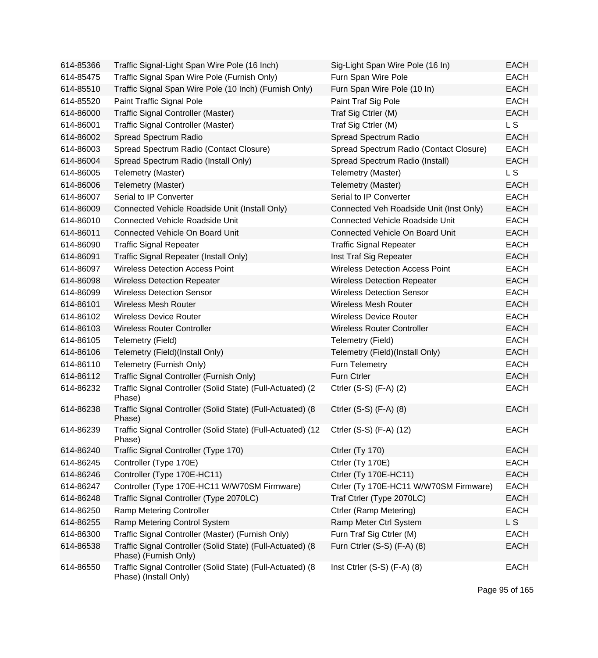| 614-85366 | Traffic Signal-Light Span Wire Pole (16 Inch)                                       | Sig-Light Span Wire Pole (16 In)        | <b>EACH</b>    |
|-----------|-------------------------------------------------------------------------------------|-----------------------------------------|----------------|
| 614-85475 | Traffic Signal Span Wire Pole (Furnish Only)                                        | Furn Span Wire Pole                     | <b>EACH</b>    |
| 614-85510 | Traffic Signal Span Wire Pole (10 Inch) (Furnish Only)                              | Furn Span Wire Pole (10 In)             | <b>EACH</b>    |
| 614-85520 | Paint Traffic Signal Pole                                                           | Paint Traf Sig Pole                     | <b>EACH</b>    |
| 614-86000 | Traffic Signal Controller (Master)                                                  | Traf Sig Ctrler (M)                     | <b>EACH</b>    |
| 614-86001 | <b>Traffic Signal Controller (Master)</b>                                           | Traf Sig Ctrler (M)                     | L <sub>S</sub> |
| 614-86002 | Spread Spectrum Radio                                                               | Spread Spectrum Radio                   | <b>EACH</b>    |
| 614-86003 | Spread Spectrum Radio (Contact Closure)                                             | Spread Spectrum Radio (Contact Closure) | <b>EACH</b>    |
| 614-86004 | Spread Spectrum Radio (Install Only)                                                | Spread Spectrum Radio (Install)         | <b>EACH</b>    |
| 614-86005 | Telemetry (Master)                                                                  | Telemetry (Master)                      | L <sub>S</sub> |
| 614-86006 | Telemetry (Master)                                                                  | Telemetry (Master)                      | <b>EACH</b>    |
| 614-86007 | Serial to IP Converter                                                              | Serial to IP Converter                  | <b>EACH</b>    |
| 614-86009 | Connected Vehicle Roadside Unit (Install Only)                                      | Connected Veh Roadside Unit (Inst Only) | <b>EACH</b>    |
| 614-86010 | <b>Connected Vehicle Roadside Unit</b>                                              | <b>Connected Vehicle Roadside Unit</b>  | <b>EACH</b>    |
| 614-86011 | Connected Vehicle On Board Unit                                                     | Connected Vehicle On Board Unit         | <b>EACH</b>    |
| 614-86090 | <b>Traffic Signal Repeater</b>                                                      | <b>Traffic Signal Repeater</b>          | <b>EACH</b>    |
| 614-86091 | Traffic Signal Repeater (Install Only)                                              | Inst Traf Sig Repeater                  | <b>EACH</b>    |
| 614-86097 | <b>Wireless Detection Access Point</b>                                              | <b>Wireless Detection Access Point</b>  | <b>EACH</b>    |
| 614-86098 | <b>Wireless Detection Repeater</b>                                                  | <b>Wireless Detection Repeater</b>      | <b>EACH</b>    |
| 614-86099 | <b>Wireless Detection Sensor</b>                                                    | <b>Wireless Detection Sensor</b>        | <b>EACH</b>    |
| 614-86101 | <b>Wireless Mesh Router</b>                                                         | <b>Wireless Mesh Router</b>             | <b>EACH</b>    |
| 614-86102 | <b>Wireless Device Router</b>                                                       | <b>Wireless Device Router</b>           | <b>EACH</b>    |
| 614-86103 | <b>Wireless Router Controller</b>                                                   | <b>Wireless Router Controller</b>       | <b>EACH</b>    |
| 614-86105 | Telemetry (Field)                                                                   | Telemetry (Field)                       | <b>EACH</b>    |
| 614-86106 | Telemetry (Field)(Install Only)                                                     | Telemetry (Field)(Install Only)         | <b>EACH</b>    |
| 614-86110 | Telemetry (Furnish Only)                                                            | Furn Telemetry                          | <b>EACH</b>    |
| 614-86112 | Traffic Signal Controller (Furnish Only)                                            | Furn Ctrler                             | <b>EACH</b>    |
| 614-86232 | Traffic Signal Controller (Solid State) (Full-Actuated) (2<br>Phase)                | Ctrler (S-S) (F-A) (2)                  | <b>EACH</b>    |
| 614-86238 | Traffic Signal Controller (Solid State) (Full-Actuated) (8<br>Phase)                | Ctrler $(S-S)$ $(F-A)$ $(8)$            | <b>EACH</b>    |
| 614-86239 | Traffic Signal Controller (Solid State) (Full-Actuated) (12<br>Phase)               | Ctrler (S-S) (F-A) (12)                 | <b>EACH</b>    |
| 614-86240 | Traffic Signal Controller (Type 170)                                                | Ctrler (Ty 170)                         | <b>EACH</b>    |
| 614-86245 | Controller (Type 170E)                                                              | Ctrler (Ty 170E)                        | <b>EACH</b>    |
| 614-86246 | Controller (Type 170E-HC11)                                                         | Ctrler (Ty 170E-HC11)                   | <b>EACH</b>    |
| 614-86247 | Controller (Type 170E-HC11 W/W70SM Firmware)                                        | Ctrler (Ty 170E-HC11 W/W70SM Firmware)  | <b>EACH</b>    |
| 614-86248 | Traffic Signal Controller (Type 2070LC)                                             | Traf Ctrler (Type 2070LC)               | <b>EACH</b>    |
| 614-86250 | <b>Ramp Metering Controller</b>                                                     | Ctrler (Ramp Metering)                  | <b>EACH</b>    |
| 614-86255 | Ramp Metering Control System                                                        | Ramp Meter Ctrl System                  | <b>LS</b>      |
| 614-86300 | Traffic Signal Controller (Master) (Furnish Only)                                   | Furn Traf Sig Ctrler (M)                | <b>EACH</b>    |
| 614-86538 | Traffic Signal Controller (Solid State) (Full-Actuated) (8<br>Phase) (Furnish Only) | Furn Ctrler (S-S) (F-A) (8)             | <b>EACH</b>    |
| 614-86550 | Traffic Signal Controller (Solid State) (Full-Actuated) (8<br>Phase) (Install Only) | Inst Ctrler $(S-S)$ $(F-A)$ $(8)$       | <b>EACH</b>    |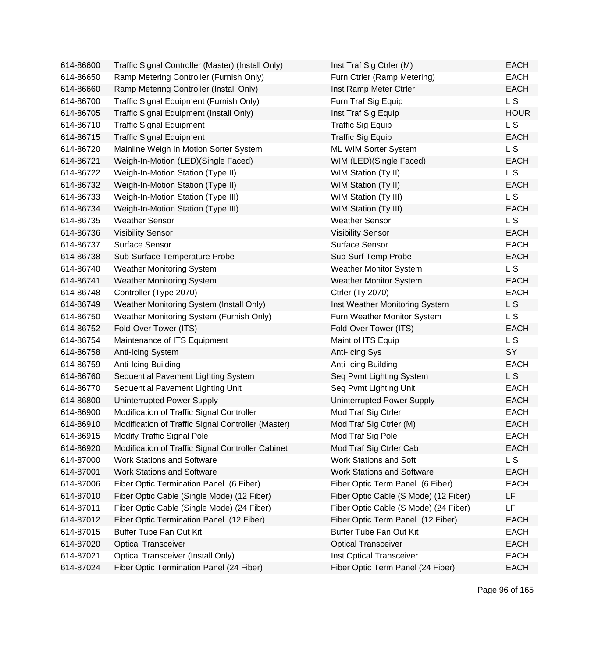| 614-86600 | Traffic Signal Controller (Master) (Install Only)  | Inst Traf Sig Ctrler (M)              | <b>EACH</b>    |
|-----------|----------------------------------------------------|---------------------------------------|----------------|
| 614-86650 | Ramp Metering Controller (Furnish Only)            | Furn Ctrler (Ramp Metering)           | <b>EACH</b>    |
| 614-86660 | Ramp Metering Controller (Install Only)            | Inst Ramp Meter Ctrler                | <b>EACH</b>    |
| 614-86700 | Traffic Signal Equipment (Furnish Only)            | Furn Traf Sig Equip                   | L S            |
| 614-86705 | Traffic Signal Equipment (Install Only)            | Inst Traf Sig Equip                   | <b>HOUR</b>    |
| 614-86710 | <b>Traffic Signal Equipment</b>                    | <b>Traffic Sig Equip</b>              | L <sub>S</sub> |
| 614-86715 | <b>Traffic Signal Equipment</b>                    | <b>Traffic Sig Equip</b>              | <b>EACH</b>    |
| 614-86720 | Mainline Weigh In Motion Sorter System             | ML WIM Sorter System                  | <b>LS</b>      |
| 614-86721 | Weigh-In-Motion (LED)(Single Faced)                | WIM (LED)(Single Faced)               | <b>EACH</b>    |
| 614-86722 | Weigh-In-Motion Station (Type II)                  | WIM Station (Ty II)                   | L S            |
| 614-86732 | Weigh-In-Motion Station (Type II)                  | WIM Station (Ty II)                   | <b>EACH</b>    |
| 614-86733 | Weigh-In-Motion Station (Type III)                 | WIM Station (Ty III)                  | L <sub>S</sub> |
| 614-86734 | Weigh-In-Motion Station (Type III)                 | WIM Station (Ty III)                  | <b>EACH</b>    |
| 614-86735 | <b>Weather Sensor</b>                              | <b>Weather Sensor</b>                 | L S            |
| 614-86736 | <b>Visibility Sensor</b>                           | <b>Visibility Sensor</b>              | <b>EACH</b>    |
| 614-86737 | <b>Surface Sensor</b>                              | <b>Surface Sensor</b>                 | <b>EACH</b>    |
| 614-86738 | Sub-Surface Temperature Probe                      | Sub-Surf Temp Probe                   | <b>EACH</b>    |
| 614-86740 | <b>Weather Monitoring System</b>                   | <b>Weather Monitor System</b>         | L S            |
| 614-86741 | Weather Monitoring System                          | <b>Weather Monitor System</b>         | <b>EACH</b>    |
| 614-86748 | Controller (Type 2070)                             | <b>Ctrler (Ty 2070)</b>               | <b>EACH</b>    |
| 614-86749 | Weather Monitoring System (Install Only)           | Inst Weather Monitoring System        | L S            |
| 614-86750 | Weather Monitoring System (Furnish Only)           | Furn Weather Monitor System           | L S            |
| 614-86752 | Fold-Over Tower (ITS)                              | Fold-Over Tower (ITS)                 | <b>EACH</b>    |
| 614-86754 | Maintenance of ITS Equipment                       | Maint of ITS Equip                    | L S            |
| 614-86758 | Anti-Icing System                                  | <b>Anti-Icing Sys</b>                 | SY             |
| 614-86759 | Anti-Icing Building                                | Anti-Icing Building                   | <b>EACH</b>    |
| 614-86760 | Sequential Pavement Lighting System                | Seq Pvmt Lighting System              | L S            |
| 614-86770 | Sequential Pavement Lighting Unit                  | Seq Pvmt Lighting Unit                | <b>EACH</b>    |
| 614-86800 | Uninterrupted Power Supply                         | Uninterrupted Power Supply            | <b>EACH</b>    |
| 614-86900 | Modification of Traffic Signal Controller          | Mod Traf Sig Ctrler                   | <b>EACH</b>    |
| 614-86910 | Modification of Traffic Signal Controller (Master) | Mod Traf Sig Ctrler (M)               | <b>EACH</b>    |
| 614-86915 | <b>Modify Traffic Signal Pole</b>                  | Mod Traf Sig Pole                     | <b>EACH</b>    |
| 614-86920 | Modification of Traffic Signal Controller Cabinet  | Mod Traf Sig Ctrler Cab               | <b>EACH</b>    |
| 614-87000 | <b>Work Stations and Software</b>                  | Work Stations and Soft                | L S            |
| 614-87001 | <b>Work Stations and Software</b>                  | <b>Work Stations and Software</b>     | <b>EACH</b>    |
| 614-87006 | Fiber Optic Termination Panel (6 Fiber)            | Fiber Optic Term Panel (6 Fiber)      | <b>EACH</b>    |
| 614-87010 | Fiber Optic Cable (Single Mode) (12 Fiber)         | Fiber Optic Cable (S Mode) (12 Fiber) | LF             |
| 614-87011 | Fiber Optic Cable (Single Mode) (24 Fiber)         | Fiber Optic Cable (S Mode) (24 Fiber) | <b>LF</b>      |
| 614-87012 | Fiber Optic Termination Panel (12 Fiber)           | Fiber Optic Term Panel (12 Fiber)     | <b>EACH</b>    |
| 614-87015 | Buffer Tube Fan Out Kit                            | <b>Buffer Tube Fan Out Kit</b>        | <b>EACH</b>    |
| 614-87020 | <b>Optical Transceiver</b>                         | <b>Optical Transceiver</b>            | <b>EACH</b>    |
| 614-87021 | <b>Optical Transceiver (Install Only)</b>          | Inst Optical Transceiver              | <b>EACH</b>    |
| 614-87024 | Fiber Optic Termination Panel (24 Fiber)           | Fiber Optic Term Panel (24 Fiber)     | <b>EACH</b>    |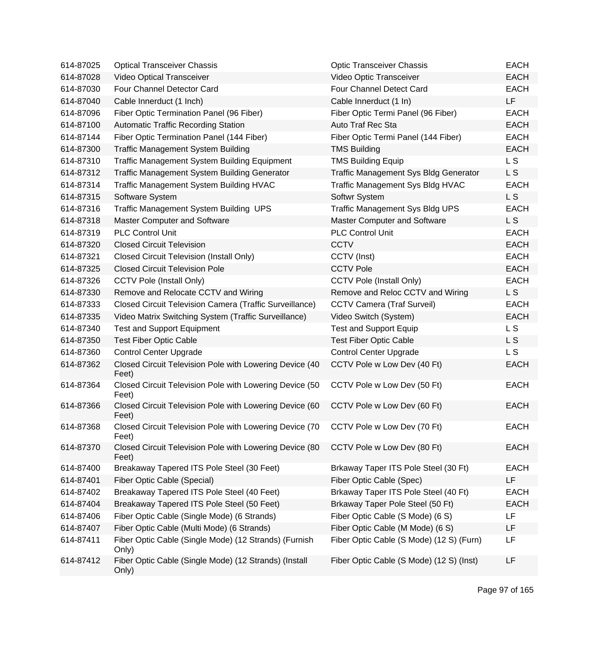| 614-87025 | <b>Optical Transceiver Chassis</b>                               | <b>Optic Transceiver Chassis</b>             | <b>EACH</b> |
|-----------|------------------------------------------------------------------|----------------------------------------------|-------------|
| 614-87028 | Video Optical Transceiver                                        | Video Optic Transceiver                      | <b>EACH</b> |
| 614-87030 | Four Channel Detector Card                                       | Four Channel Detect Card                     | <b>EACH</b> |
| 614-87040 | Cable Innerduct (1 Inch)                                         | Cable Innerduct (1 In)                       | LF          |
| 614-87096 | Fiber Optic Termination Panel (96 Fiber)                         | Fiber Optic Termi Panel (96 Fiber)           | <b>EACH</b> |
| 614-87100 | <b>Automatic Traffic Recording Station</b>                       | Auto Traf Rec Sta                            | <b>EACH</b> |
| 614-87144 | Fiber Optic Termination Panel (144 Fiber)                        | Fiber Optic Termi Panel (144 Fiber)          | <b>EACH</b> |
| 614-87300 | <b>Traffic Management System Building</b>                        | <b>TMS Building</b>                          | <b>EACH</b> |
| 614-87310 | <b>Traffic Management System Building Equipment</b>              | <b>TMS Building Equip</b>                    | L S         |
| 614-87312 | <b>Traffic Management System Building Generator</b>              | <b>Traffic Management Sys Bldg Generator</b> | L S         |
| 614-87314 | Traffic Management System Building HVAC                          | Traffic Management Sys Bldg HVAC             | <b>EACH</b> |
| 614-87315 | Software System                                                  | Softwr System                                | L S         |
| 614-87316 | Traffic Management System Building UPS                           | <b>Traffic Management Sys Bldg UPS</b>       | <b>EACH</b> |
| 614-87318 | Master Computer and Software                                     | Master Computer and Software                 | L S         |
| 614-87319 | <b>PLC Control Unit</b>                                          | <b>PLC Control Unit</b>                      | <b>EACH</b> |
| 614-87320 | <b>Closed Circuit Television</b>                                 | <b>CCTV</b>                                  | <b>EACH</b> |
| 614-87321 | <b>Closed Circuit Television (Install Only)</b>                  | CCTV (Inst)                                  | <b>EACH</b> |
| 614-87325 | <b>Closed Circuit Television Pole</b>                            | <b>CCTV Pole</b>                             | <b>EACH</b> |
| 614-87326 | <b>CCTV Pole (Install Only)</b>                                  | <b>CCTV Pole (Install Only)</b>              | <b>EACH</b> |
| 614-87330 | Remove and Relocate CCTV and Wiring                              | Remove and Reloc CCTV and Wiring             | <b>LS</b>   |
| 614-87333 | Closed Circuit Television Camera (Traffic Surveillance)          | <b>CCTV Camera (Traf Surveil)</b>            | <b>EACH</b> |
| 614-87335 | Video Matrix Switching System (Traffic Surveillance)             | Video Switch (System)                        | <b>EACH</b> |
| 614-87340 | <b>Test and Support Equipment</b>                                | <b>Test and Support Equip</b>                | L S         |
| 614-87350 | <b>Test Fiber Optic Cable</b>                                    | <b>Test Fiber Optic Cable</b>                | L S         |
| 614-87360 | <b>Control Center Upgrade</b>                                    | <b>Control Center Upgrade</b>                | L S         |
| 614-87362 | Closed Circuit Television Pole with Lowering Device (40<br>Feet) | CCTV Pole w Low Dev (40 Ft)                  | <b>EACH</b> |
| 614-87364 | Closed Circuit Television Pole with Lowering Device (50<br>Feet) | CCTV Pole w Low Dev (50 Ft)                  | <b>EACH</b> |
| 614-87366 | Closed Circuit Television Pole with Lowering Device (60<br>Feet) | CCTV Pole w Low Dev (60 Ft)                  | <b>EACH</b> |
| 614-87368 | Closed Circuit Television Pole with Lowering Device (70<br>Feet) | CCTV Pole w Low Dev (70 Ft)                  | <b>EACH</b> |
| 614-87370 | Closed Circuit Television Pole with Lowering Device (80<br>Feet) | CCTV Pole w Low Dev (80 Ft)                  | <b>EACH</b> |
| 614-87400 | Breakaway Tapered ITS Pole Steel (30 Feet)                       | Brkaway Taper ITS Pole Steel (30 Ft)         | <b>EACH</b> |
| 614-87401 | Fiber Optic Cable (Special)                                      | Fiber Optic Cable (Spec)                     | LF          |
| 614-87402 | Breakaway Tapered ITS Pole Steel (40 Feet)                       | Brkaway Taper ITS Pole Steel (40 Ft)         | <b>EACH</b> |
| 614-87404 | Breakaway Tapered ITS Pole Steel (50 Feet)                       | Brkaway Taper Pole Steel (50 Ft)             | <b>EACH</b> |
| 614-87406 | Fiber Optic Cable (Single Mode) (6 Strands)                      | Fiber Optic Cable (S Mode) (6 S)             | LF          |
| 614-87407 | Fiber Optic Cable (Multi Mode) (6 Strands)                       | Fiber Optic Cable (M Mode) (6 S)             | LF          |
| 614-87411 | Fiber Optic Cable (Single Mode) (12 Strands) (Furnish<br>Only)   | Fiber Optic Cable (S Mode) (12 S) (Furn)     | LF          |
| 614-87412 | Fiber Optic Cable (Single Mode) (12 Strands) (Install<br>Only)   | Fiber Optic Cable (S Mode) (12 S) (Inst)     | LF          |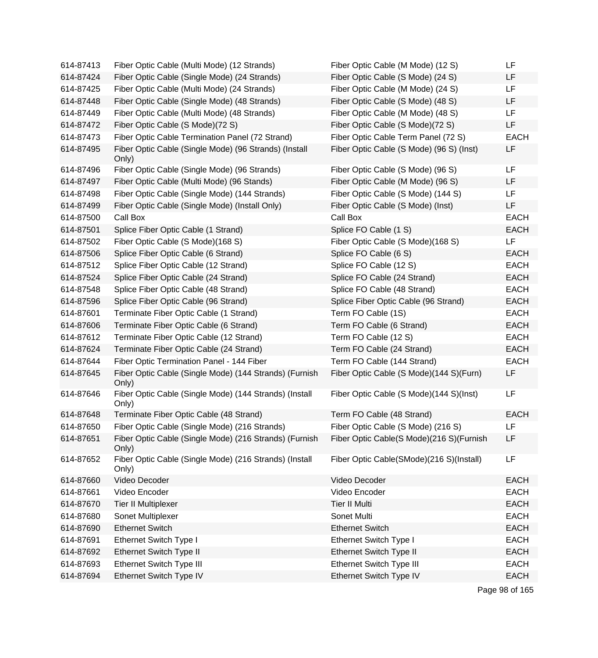| 614-87413 | Fiber Optic Cable (Multi Mode) (12 Strands)                     | Fiber Optic Cable (M Mode) (12 S)        | LF             |
|-----------|-----------------------------------------------------------------|------------------------------------------|----------------|
| 614-87424 | Fiber Optic Cable (Single Mode) (24 Strands)                    | Fiber Optic Cable (S Mode) (24 S)        | LF             |
| 614-87425 | Fiber Optic Cable (Multi Mode) (24 Strands)                     | Fiber Optic Cable (M Mode) (24 S)        | LF             |
| 614-87448 | Fiber Optic Cable (Single Mode) (48 Strands)                    | Fiber Optic Cable (S Mode) (48 S)        | LF             |
| 614-87449 | Fiber Optic Cable (Multi Mode) (48 Strands)                     | Fiber Optic Cable (M Mode) (48 S)        | LF             |
| 614-87472 | Fiber Optic Cable (S Mode)(72 S)                                | Fiber Optic Cable (S Mode)(72 S)         | LF             |
| 614-87473 | Fiber Optic Cable Termination Panel (72 Strand)                 | Fiber Optic Cable Term Panel (72 S)      | <b>EACH</b>    |
| 614-87495 | Fiber Optic Cable (Single Mode) (96 Strands) (Install<br>Only)  | Fiber Optic Cable (S Mode) (96 S) (Inst) | LF             |
| 614-87496 | Fiber Optic Cable (Single Mode) (96 Strands)                    | Fiber Optic Cable (S Mode) (96 S)        | LF             |
| 614-87497 | Fiber Optic Cable (Multi Mode) (96 Stands)                      | Fiber Optic Cable (M Mode) (96 S)        | LF             |
| 614-87498 | Fiber Optic Cable (Single Mode) (144 Strands)                   | Fiber Optic Cable (S Mode) (144 S)       | LF             |
| 614-87499 | Fiber Optic Cable (Single Mode) (Install Only)                  | Fiber Optic Cable (S Mode) (Inst)        | LF             |
| 614-87500 | Call Box                                                        | Call Box                                 | <b>EACH</b>    |
| 614-87501 | Splice Fiber Optic Cable (1 Strand)                             | Splice FO Cable (1 S)                    | <b>EACH</b>    |
| 614-87502 | Fiber Optic Cable (S Mode)(168 S)                               | Fiber Optic Cable (S Mode)(168 S)        | LF             |
| 614-87506 | Splice Fiber Optic Cable (6 Strand)                             | Splice FO Cable (6 S)                    | <b>EACH</b>    |
| 614-87512 | Splice Fiber Optic Cable (12 Strand)                            | Splice FO Cable (12 S)                   | <b>EACH</b>    |
| 614-87524 | Splice Fiber Optic Cable (24 Strand)                            | Splice FO Cable (24 Strand)              | <b>EACH</b>    |
| 614-87548 | Splice Fiber Optic Cable (48 Strand)                            | Splice FO Cable (48 Strand)              | <b>EACH</b>    |
| 614-87596 | Splice Fiber Optic Cable (96 Strand)                            | Splice Fiber Optic Cable (96 Strand)     | <b>EACH</b>    |
| 614-87601 | Terminate Fiber Optic Cable (1 Strand)                          | Term FO Cable (1S)                       | <b>EACH</b>    |
| 614-87606 | Terminate Fiber Optic Cable (6 Strand)                          | Term FO Cable (6 Strand)                 | <b>EACH</b>    |
| 614-87612 | Terminate Fiber Optic Cable (12 Strand)                         | Term FO Cable (12 S)                     | <b>EACH</b>    |
| 614-87624 | Terminate Fiber Optic Cable (24 Strand)                         | Term FO Cable (24 Strand)                | <b>EACH</b>    |
| 614-87644 | Fiber Optic Termination Panel - 144 Fiber                       | Term FO Cable (144 Strand)               | <b>EACH</b>    |
| 614-87645 | Fiber Optic Cable (Single Mode) (144 Strands) (Furnish<br>Only) | Fiber Optic Cable (S Mode)(144 S)(Furn)  | <b>LF</b>      |
| 614-87646 | Fiber Optic Cable (Single Mode) (144 Strands) (Install<br>Only) | Fiber Optic Cable (S Mode)(144 S)(Inst)  | LF             |
| 614-87648 | Terminate Fiber Optic Cable (48 Strand)                         | Term FO Cable (48 Strand)                | <b>EACH</b>    |
| 614-87650 | Fiber Optic Cable (Single Mode) (216 Strands)                   | Fiber Optic Cable (S Mode) (216 S)       | LF             |
| 614-87651 | Fiber Optic Cable (Single Mode) (216 Strands) (Furnish<br>Only) | Fiber Optic Cable(S Mode)(216 S)(Furnish | LF             |
| 614-87652 | Fiber Optic Cable (Single Mode) (216 Strands) (Install<br>Only) | Fiber Optic Cable(SMode)(216 S)(Install) | LF             |
| 614-87660 | Video Decoder                                                   | Video Decoder                            | <b>EACH</b>    |
| 614-87661 | Video Encoder                                                   | Video Encoder                            | <b>EACH</b>    |
| 614-87670 | <b>Tier II Multiplexer</b>                                      | <b>Tier II Multi</b>                     | <b>EACH</b>    |
| 614-87680 | Sonet Multiplexer                                               | Sonet Multi                              | <b>EACH</b>    |
| 614-87690 | <b>Ethernet Switch</b>                                          | <b>Ethernet Switch</b>                   | <b>EACH</b>    |
| 614-87691 | Ethernet Switch Type I                                          | <b>Ethernet Switch Type I</b>            | <b>EACH</b>    |
| 614-87692 | Ethernet Switch Type II                                         | Ethernet Switch Type II                  | <b>EACH</b>    |
| 614-87693 | Ethernet Switch Type III                                        | Ethernet Switch Type III                 | <b>EACH</b>    |
| 614-87694 | Ethernet Switch Type IV                                         | Ethernet Switch Type IV                  | <b>EACH</b>    |
|           |                                                                 |                                          | Page 98 of 165 |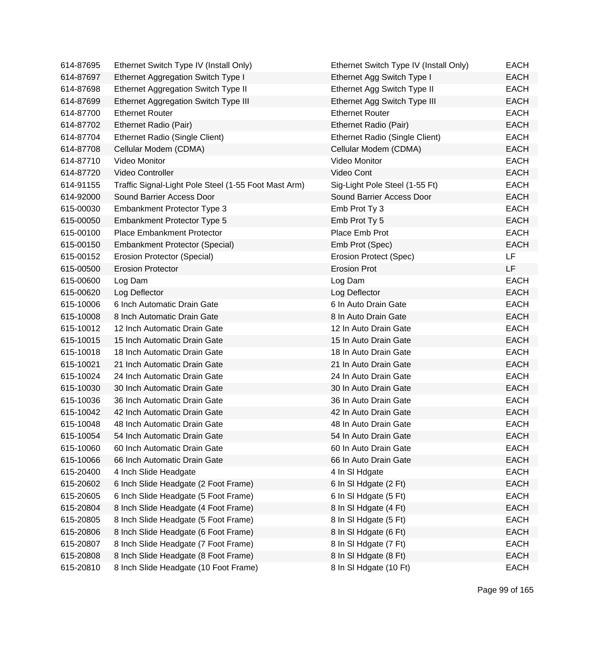| 614-87695 | Ethernet Switch Type IV (Install Only)               | Ethernet Switch Type IV (Install Only) | EACH        |
|-----------|------------------------------------------------------|----------------------------------------|-------------|
| 614-87697 | Ethernet Aggregation Switch Type I                   | Ethernet Agg Switch Type I             | <b>EACH</b> |
| 614-87698 | Ethernet Aggregation Switch Type II                  | Ethernet Agg Switch Type II            | <b>EACH</b> |
| 614-87699 | Ethernet Aggregation Switch Type III                 | Ethernet Agg Switch Type III           | <b>EACH</b> |
| 614-87700 | <b>Ethernet Router</b>                               | <b>Ethernet Router</b>                 | <b>EACH</b> |
| 614-87702 | Ethernet Radio (Pair)                                | Ethernet Radio (Pair)                  | <b>EACH</b> |
| 614-87704 | Ethernet Radio (Single Client)                       | Ethernet Radio (Single Client)         | <b>EACH</b> |
| 614-87708 | Cellular Modem (CDMA)                                | Cellular Modem (CDMA)                  | <b>EACH</b> |
| 614-87710 | Video Monitor                                        | Video Monitor                          | <b>EACH</b> |
| 614-87720 | Video Controller                                     | Video Cont                             | <b>EACH</b> |
| 614-91155 | Traffic Signal-Light Pole Steel (1-55 Foot Mast Arm) | Sig-Light Pole Steel (1-55 Ft)         | <b>EACH</b> |
| 614-92000 | Sound Barrier Access Door                            | Sound Barrier Access Door              | <b>EACH</b> |
| 615-00030 | Embankment Protector Type 3                          | Emb Prot Ty 3                          | <b>EACH</b> |
| 615-00050 | Embankment Protector Type 5                          | Emb Prot Ty 5                          | <b>EACH</b> |
| 615-00100 | <b>Place Embankment Protector</b>                    | Place Emb Prot                         | <b>EACH</b> |
| 615-00150 | <b>Embankment Protector (Special)</b>                | Emb Prot (Spec)                        | <b>EACH</b> |
| 615-00152 | Erosion Protector (Special)                          | Erosion Protect (Spec)                 | <b>LF</b>   |
| 615-00500 | <b>Erosion Protector</b>                             | <b>Erosion Prot</b>                    | <b>LF</b>   |
| 615-00600 | Log Dam                                              | Log Dam                                | <b>EACH</b> |
| 615-00620 | Log Deflector                                        | Log Deflector                          | <b>EACH</b> |
| 615-10006 | 6 Inch Automatic Drain Gate                          | 6 In Auto Drain Gate                   | <b>EACH</b> |
| 615-10008 | 8 Inch Automatic Drain Gate                          | 8 In Auto Drain Gate                   | <b>EACH</b> |
| 615-10012 | 12 Inch Automatic Drain Gate                         | 12 In Auto Drain Gate                  | <b>EACH</b> |
| 615-10015 | 15 Inch Automatic Drain Gate                         | 15 In Auto Drain Gate                  | <b>EACH</b> |
| 615-10018 | 18 Inch Automatic Drain Gate                         | 18 In Auto Drain Gate                  | <b>EACH</b> |
| 615-10021 | 21 Inch Automatic Drain Gate                         | 21 In Auto Drain Gate                  | <b>EACH</b> |
| 615-10024 | 24 Inch Automatic Drain Gate                         | 24 In Auto Drain Gate                  | <b>EACH</b> |
| 615-10030 | 30 Inch Automatic Drain Gate                         | 30 In Auto Drain Gate                  | <b>EACH</b> |
| 615-10036 | 36 Inch Automatic Drain Gate                         | 36 In Auto Drain Gate                  | <b>EACH</b> |
| 615-10042 | 42 Inch Automatic Drain Gate                         | 42 In Auto Drain Gate                  | <b>EACH</b> |
| 615-10048 | 48 Inch Automatic Drain Gate                         | 48 In Auto Drain Gate                  | <b>EACH</b> |
| 615-10054 | 54 Inch Automatic Drain Gate                         | 54 In Auto Drain Gate                  | EACH        |
| 615-10060 | 60 Inch Automatic Drain Gate                         | 60 In Auto Drain Gate                  | <b>EACH</b> |
| 615-10066 | 66 Inch Automatic Drain Gate                         | 66 In Auto Drain Gate                  | <b>EACH</b> |
| 615-20400 | 4 Inch Slide Headgate                                | 4 In SI Hdgate                         | <b>EACH</b> |
| 615-20602 | 6 Inch Slide Headgate (2 Foot Frame)                 | 6 In SI Hdgate (2 Ft)                  | <b>EACH</b> |
| 615-20605 | 6 Inch Slide Headgate (5 Foot Frame)                 | 6 In SI Hdgate (5 Ft)                  | <b>EACH</b> |
| 615-20804 | 8 Inch Slide Headgate (4 Foot Frame)                 | 8 In SI Hdgate (4 Ft)                  | <b>EACH</b> |
| 615-20805 | 8 Inch Slide Headgate (5 Foot Frame)                 | 8 In SI Hdgate (5 Ft)                  | <b>EACH</b> |
| 615-20806 | 8 Inch Slide Headgate (6 Foot Frame)                 | 8 In SI Hdgate (6 Ft)                  | <b>EACH</b> |
| 615-20807 | 8 Inch Slide Headgate (7 Foot Frame)                 | 8 In SI Hdgate (7 Ft)                  | <b>EACH</b> |
| 615-20808 | 8 Inch Slide Headgate (8 Foot Frame)                 | 8 In SI Hdgate (8 Ft)                  | <b>EACH</b> |
| 615-20810 | 8 Inch Slide Headgate (10 Foot Frame)                | 8 In SI Hdgate (10 Ft)                 | <b>EACH</b> |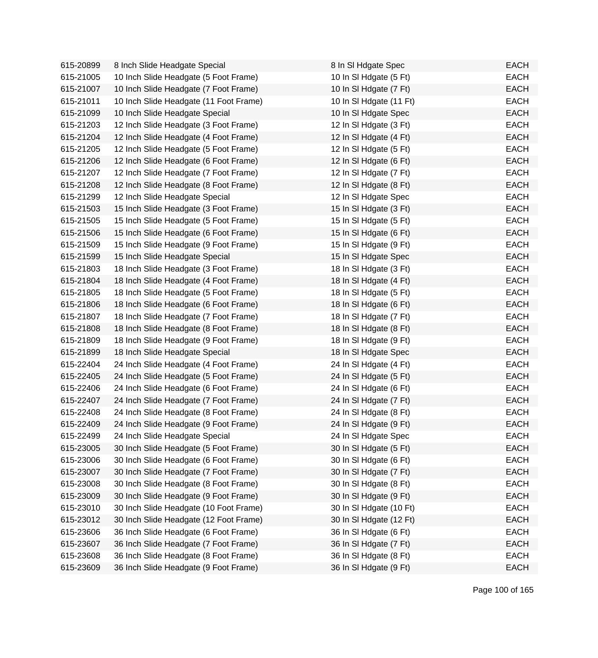| 615-20899 | 8 Inch Slide Headgate Special          | 8 In SI Hdgate Spec     | <b>EACH</b> |
|-----------|----------------------------------------|-------------------------|-------------|
| 615-21005 | 10 Inch Slide Headgate (5 Foot Frame)  | 10 In SI Hdgate (5 Ft)  | <b>EACH</b> |
| 615-21007 | 10 Inch Slide Headgate (7 Foot Frame)  | 10 In SI Hdgate (7 Ft)  | <b>EACH</b> |
| 615-21011 | 10 Inch Slide Headgate (11 Foot Frame) | 10 In SI Hdgate (11 Ft) | <b>EACH</b> |
| 615-21099 | 10 Inch Slide Headgate Special         | 10 In SI Hdgate Spec    | <b>EACH</b> |
| 615-21203 | 12 Inch Slide Headgate (3 Foot Frame)  | 12 In SI Hdgate (3 Ft)  | <b>EACH</b> |
| 615-21204 | 12 Inch Slide Headgate (4 Foot Frame)  | 12 In SI Hdgate (4 Ft)  | <b>EACH</b> |
| 615-21205 | 12 Inch Slide Headgate (5 Foot Frame)  | 12 In SI Hdgate (5 Ft)  | <b>EACH</b> |
| 615-21206 | 12 Inch Slide Headgate (6 Foot Frame)  | 12 In SI Hdgate (6 Ft)  | <b>EACH</b> |
| 615-21207 | 12 Inch Slide Headgate (7 Foot Frame)  | 12 In SI Hdgate (7 Ft)  | <b>EACH</b> |
| 615-21208 | 12 Inch Slide Headgate (8 Foot Frame)  | 12 In SI Hdgate (8 Ft)  | <b>EACH</b> |
| 615-21299 | 12 Inch Slide Headgate Special         | 12 In SI Hdgate Spec    | <b>EACH</b> |
| 615-21503 | 15 Inch Slide Headgate (3 Foot Frame)  | 15 In SI Hdgate (3 Ft)  | <b>EACH</b> |
| 615-21505 | 15 Inch Slide Headgate (5 Foot Frame)  | 15 In SI Hdgate (5 Ft)  | <b>EACH</b> |
| 615-21506 | 15 Inch Slide Headgate (6 Foot Frame)  | 15 In SI Hdgate (6 Ft)  | <b>EACH</b> |
| 615-21509 | 15 Inch Slide Headgate (9 Foot Frame)  | 15 In SI Hdgate (9 Ft)  | <b>EACH</b> |
| 615-21599 | 15 Inch Slide Headgate Special         | 15 In SI Hdgate Spec    | <b>EACH</b> |
| 615-21803 | 18 Inch Slide Headgate (3 Foot Frame)  | 18 In SI Hdgate (3 Ft)  | <b>EACH</b> |
| 615-21804 | 18 Inch Slide Headgate (4 Foot Frame)  | 18 In SI Hdgate (4 Ft)  | <b>EACH</b> |
| 615-21805 | 18 Inch Slide Headgate (5 Foot Frame)  | 18 In SI Hdgate (5 Ft)  | <b>EACH</b> |
| 615-21806 | 18 Inch Slide Headgate (6 Foot Frame)  | 18 In SI Hdgate (6 Ft)  | <b>EACH</b> |
| 615-21807 | 18 Inch Slide Headgate (7 Foot Frame)  | 18 In SI Hdgate (7 Ft)  | <b>EACH</b> |
| 615-21808 | 18 Inch Slide Headgate (8 Foot Frame)  | 18 In SI Hdgate (8 Ft)  | <b>EACH</b> |
| 615-21809 | 18 Inch Slide Headgate (9 Foot Frame)  | 18 In SI Hdgate (9 Ft)  | <b>EACH</b> |
| 615-21899 | 18 Inch Slide Headgate Special         | 18 In SI Hdgate Spec    | <b>EACH</b> |
| 615-22404 | 24 Inch Slide Headgate (4 Foot Frame)  | 24 In SI Hdgate (4 Ft)  | <b>EACH</b> |
| 615-22405 | 24 Inch Slide Headgate (5 Foot Frame)  | 24 In SI Hdgate (5 Ft)  | <b>EACH</b> |
| 615-22406 | 24 Inch Slide Headgate (6 Foot Frame)  | 24 In SI Hdgate (6 Ft)  | <b>EACH</b> |
| 615-22407 | 24 Inch Slide Headgate (7 Foot Frame)  | 24 In SI Hdgate (7 Ft)  | <b>EACH</b> |
| 615-22408 | 24 Inch Slide Headgate (8 Foot Frame)  | 24 In SI Hdgate (8 Ft)  | <b>EACH</b> |
| 615-22409 | 24 Inch Slide Headgate (9 Foot Frame)  | 24 In SI Hdgate (9 Ft)  | <b>EACH</b> |
| 615-22499 | 24 Inch Slide Headgate Special         | 24 In SI Hdgate Spec    | <b>EACH</b> |
| 615-23005 | 30 Inch Slide Headgate (5 Foot Frame)  | 30 In SI Hdgate (5 Ft)  | <b>EACH</b> |
| 615-23006 | 30 Inch Slide Headgate (6 Foot Frame)  | 30 In SI Hdgate (6 Ft)  | <b>EACH</b> |
| 615-23007 | 30 Inch Slide Headgate (7 Foot Frame)  | 30 In SI Hdgate (7 Ft)  | <b>EACH</b> |
| 615-23008 | 30 Inch Slide Headgate (8 Foot Frame)  | 30 In SI Hdgate (8 Ft)  | <b>EACH</b> |
| 615-23009 | 30 Inch Slide Headgate (9 Foot Frame)  | 30 In SI Hdgate (9 Ft)  | <b>EACH</b> |
| 615-23010 | 30 Inch Slide Headgate (10 Foot Frame) | 30 In SI Hdgate (10 Ft) | <b>EACH</b> |
| 615-23012 | 30 Inch Slide Headgate (12 Foot Frame) | 30 In SI Hdgate (12 Ft) | <b>EACH</b> |
| 615-23606 | 36 Inch Slide Headgate (6 Foot Frame)  | 36 In SI Hdgate (6 Ft)  | <b>EACH</b> |
| 615-23607 | 36 Inch Slide Headgate (7 Foot Frame)  | 36 In SI Hdgate (7 Ft)  | <b>EACH</b> |
| 615-23608 | 36 Inch Slide Headgate (8 Foot Frame)  | 36 In SI Hdgate (8 Ft)  | <b>EACH</b> |
| 615-23609 | 36 Inch Slide Headgate (9 Foot Frame)  | 36 In SI Hdgate (9 Ft)  | <b>EACH</b> |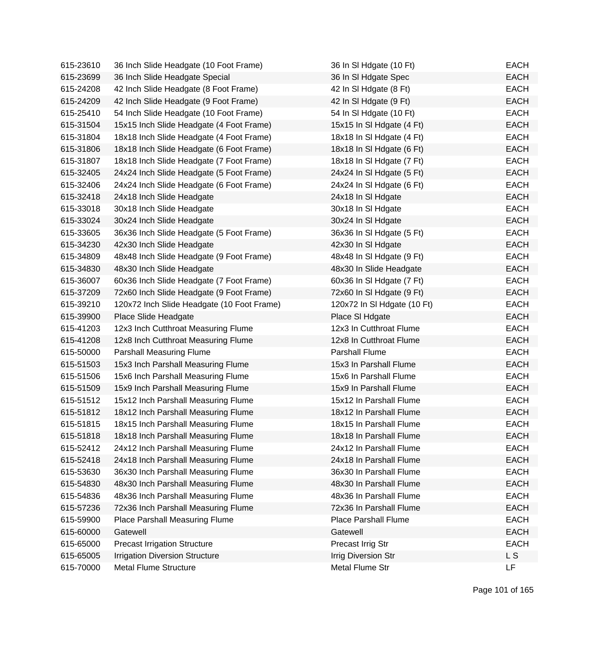| 615-23610 | 36 Inch Slide Headgate (10 Foot Frame)     | 36 In SI Hdgate (10 Ft)     | <b>EACH</b> |
|-----------|--------------------------------------------|-----------------------------|-------------|
| 615-23699 | 36 Inch Slide Headgate Special             | 36 In SI Hdgate Spec        | <b>EACH</b> |
| 615-24208 | 42 Inch Slide Headgate (8 Foot Frame)      | 42 In SI Hdgate (8 Ft)      | <b>EACH</b> |
| 615-24209 | 42 Inch Slide Headgate (9 Foot Frame)      | 42 In SI Hdgate (9 Ft)      | <b>EACH</b> |
| 615-25410 | 54 Inch Slide Headgate (10 Foot Frame)     | 54 In SI Hdgate (10 Ft)     | <b>EACH</b> |
| 615-31504 | 15x15 Inch Slide Headgate (4 Foot Frame)   | 15x15 In SI Hdgate (4 Ft)   | <b>EACH</b> |
| 615-31804 | 18x18 Inch Slide Headgate (4 Foot Frame)   | 18x18 In SI Hdgate (4 Ft)   | <b>EACH</b> |
| 615-31806 | 18x18 Inch Slide Headgate (6 Foot Frame)   | 18x18 In SI Hdgate (6 Ft)   | <b>EACH</b> |
| 615-31807 | 18x18 Inch Slide Headgate (7 Foot Frame)   | 18x18 In SI Hdgate (7 Ft)   | <b>EACH</b> |
| 615-32405 | 24x24 Inch Slide Headgate (5 Foot Frame)   | 24x24 In SI Hdgate (5 Ft)   | <b>EACH</b> |
| 615-32406 | 24x24 Inch Slide Headgate (6 Foot Frame)   | 24x24 In SI Hdgate (6 Ft)   | <b>EACH</b> |
| 615-32418 | 24x18 Inch Slide Headgate                  | 24x18 In SI Hdgate          | <b>EACH</b> |
| 615-33018 | 30x18 Inch Slide Headgate                  | 30x18 In SI Hdgate          | <b>EACH</b> |
| 615-33024 | 30x24 Inch Slide Headgate                  | 30x24 In SI Hdgate          | <b>EACH</b> |
| 615-33605 | 36x36 Inch Slide Headgate (5 Foot Frame)   | 36x36 In SI Hdgate (5 Ft)   | <b>EACH</b> |
| 615-34230 | 42x30 Inch Slide Headgate                  | 42x30 In SI Hdgate          | <b>EACH</b> |
| 615-34809 | 48x48 Inch Slide Headgate (9 Foot Frame)   | 48x48 In SI Hdgate (9 Ft)   | <b>EACH</b> |
| 615-34830 | 48x30 Inch Slide Headgate                  | 48x30 In Slide Headgate     | <b>EACH</b> |
| 615-36007 | 60x36 Inch Slide Headgate (7 Foot Frame)   | 60x36 In SI Hdgate (7 Ft)   | <b>EACH</b> |
| 615-37209 | 72x60 Inch Slide Headgate (9 Foot Frame)   | 72x60 In SI Hdgate (9 Ft)   | <b>EACH</b> |
| 615-39210 | 120x72 Inch Slide Headgate (10 Foot Frame) | 120x72 In SI Hdgate (10 Ft) | <b>EACH</b> |
| 615-39900 | Place Slide Headgate                       | Place SI Hdgate             | <b>EACH</b> |
| 615-41203 | 12x3 Inch Cutthroat Measuring Flume        | 12x3 In Cutthroat Flume     | <b>EACH</b> |
| 615-41208 | 12x8 Inch Cutthroat Measuring Flume        | 12x8 In Cutthroat Flume     | <b>EACH</b> |
| 615-50000 | <b>Parshall Measuring Flume</b>            | Parshall Flume              | <b>EACH</b> |
| 615-51503 | 15x3 Inch Parshall Measuring Flume         | 15x3 In Parshall Flume      | <b>EACH</b> |
| 615-51506 | 15x6 Inch Parshall Measuring Flume         | 15x6 In Parshall Flume      | <b>EACH</b> |
| 615-51509 | 15x9 Inch Parshall Measuring Flume         | 15x9 In Parshall Flume      | <b>EACH</b> |
| 615-51512 | 15x12 Inch Parshall Measuring Flume        | 15x12 In Parshall Flume     | <b>EACH</b> |
| 615-51812 | 18x12 Inch Parshall Measuring Flume        | 18x12 In Parshall Flume     | <b>EACH</b> |
| 615-51815 | 18x15 Inch Parshall Measuring Flume        | 18x15 In Parshall Flume     | <b>EACH</b> |
| 615-51818 | 18x18 Inch Parshall Measuring Flume        | 18x18 In Parshall Flume     | EACH        |
| 615-52412 | 24x12 Inch Parshall Measuring Flume        | 24x12 In Parshall Flume     | <b>EACH</b> |
| 615-52418 | 24x18 Inch Parshall Measuring Flume        | 24x18 In Parshall Flume     | <b>EACH</b> |
| 615-53630 | 36x30 Inch Parshall Measuring Flume        | 36x30 In Parshall Flume     | <b>EACH</b> |
| 615-54830 | 48x30 Inch Parshall Measuring Flume        | 48x30 In Parshall Flume     | <b>EACH</b> |
| 615-54836 | 48x36 Inch Parshall Measuring Flume        | 48x36 In Parshall Flume     | <b>EACH</b> |
| 615-57236 | 72x36 Inch Parshall Measuring Flume        | 72x36 In Parshall Flume     | <b>EACH</b> |
| 615-59900 | Place Parshall Measuring Flume             | <b>Place Parshall Flume</b> | <b>EACH</b> |
| 615-60000 | Gatewell                                   | Gatewell                    | <b>EACH</b> |
| 615-65000 | <b>Precast Irrigation Structure</b>        | Precast Irrig Str           | <b>EACH</b> |
| 615-65005 | <b>Irrigation Diversion Structure</b>      | <b>Irrig Diversion Str</b>  | L S         |
| 615-70000 | <b>Metal Flume Structure</b>               | Metal Flume Str             | LF          |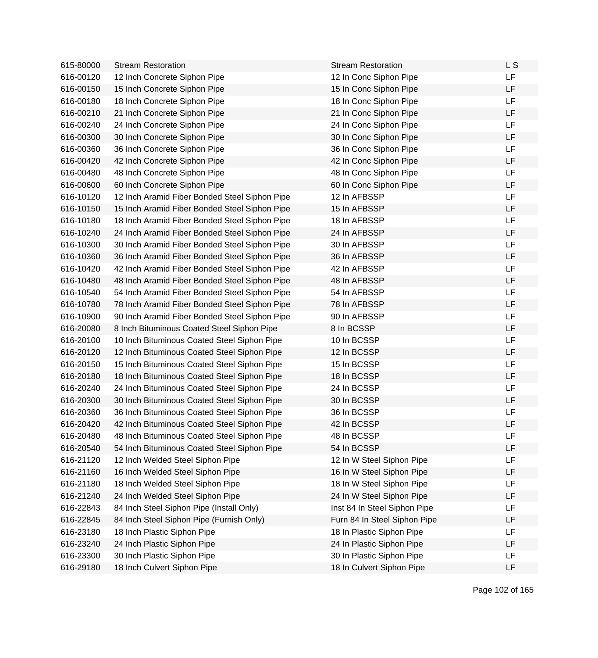| 615-80000 | <b>Stream Restoration</b>                     | <b>Stream Restoration</b>    | L S       |
|-----------|-----------------------------------------------|------------------------------|-----------|
| 616-00120 | 12 Inch Concrete Siphon Pipe                  | 12 In Conc Siphon Pipe       | LF        |
| 616-00150 | 15 Inch Concrete Siphon Pipe                  | 15 In Conc Siphon Pipe       | <b>LF</b> |
| 616-00180 | 18 Inch Concrete Siphon Pipe                  | 18 In Conc Siphon Pipe       | LF        |
| 616-00210 | 21 Inch Concrete Siphon Pipe                  | 21 In Conc Siphon Pipe       | <b>LF</b> |
| 616-00240 | 24 Inch Concrete Siphon Pipe                  | 24 In Conc Siphon Pipe       | <b>LF</b> |
| 616-00300 | 30 Inch Concrete Siphon Pipe                  | 30 In Conc Siphon Pipe       | LF        |
| 616-00360 | 36 Inch Concrete Siphon Pipe                  | 36 In Conc Siphon Pipe       | LF        |
| 616-00420 | 42 Inch Concrete Siphon Pipe                  | 42 In Conc Siphon Pipe       | LF        |
| 616-00480 | 48 Inch Concrete Siphon Pipe                  | 48 In Conc Siphon Pipe       | LF        |
| 616-00600 | 60 Inch Concrete Siphon Pipe                  | 60 In Conc Siphon Pipe       | LF        |
| 616-10120 | 12 Inch Aramid Fiber Bonded Steel Siphon Pipe | 12 In AFBSSP                 | LF        |
| 616-10150 | 15 Inch Aramid Fiber Bonded Steel Siphon Pipe | 15 In AFBSSP                 | <b>LF</b> |
| 616-10180 | 18 Inch Aramid Fiber Bonded Steel Siphon Pipe | 18 In AFBSSP                 | LF        |
| 616-10240 | 24 Inch Aramid Fiber Bonded Steel Siphon Pipe | 24 In AFBSSP                 | <b>LF</b> |
| 616-10300 | 30 Inch Aramid Fiber Bonded Steel Siphon Pipe | 30 In AFBSSP                 | LF        |
| 616-10360 | 36 Inch Aramid Fiber Bonded Steel Siphon Pipe | 36 In AFBSSP                 | <b>LF</b> |
| 616-10420 | 42 Inch Aramid Fiber Bonded Steel Siphon Pipe | 42 In AFBSSP                 | LF        |
| 616-10480 | 48 Inch Aramid Fiber Bonded Steel Siphon Pipe | 48 In AFBSSP                 | LF        |
| 616-10540 | 54 Inch Aramid Fiber Bonded Steel Siphon Pipe | 54 In AFBSSP                 | LF        |
| 616-10780 | 78 Inch Aramid Fiber Bonded Steel Siphon Pipe | 78 In AFBSSP                 | LF        |
| 616-10900 | 90 Inch Aramid Fiber Bonded Steel Siphon Pipe | 90 In AFBSSP                 | LF        |
| 616-20080 | 8 Inch Bituminous Coated Steel Siphon Pipe    | 8 In BCSSP                   | <b>LF</b> |
| 616-20100 | 10 Inch Bituminous Coated Steel Siphon Pipe   | 10 In BCSSP                  | LF        |
| 616-20120 | 12 Inch Bituminous Coated Steel Siphon Pipe   | 12 In BCSSP                  | <b>LF</b> |
| 616-20150 | 15 Inch Bituminous Coated Steel Siphon Pipe   | 15 In BCSSP                  | <b>LF</b> |
| 616-20180 | 18 Inch Bituminous Coated Steel Siphon Pipe   | 18 In BCSSP                  | LF        |
| 616-20240 | 24 Inch Bituminous Coated Steel Siphon Pipe   | 24 In BCSSP                  | LF        |
| 616-20300 | 30 Inch Bituminous Coated Steel Siphon Pipe   | 30 In BCSSP                  | LF        |
| 616-20360 | 36 Inch Bituminous Coated Steel Siphon Pipe   | 36 In BCSSP                  | LF        |
| 616-20420 | 42 Inch Bituminous Coated Steel Siphon Pipe   | 42 In BCSSP                  | LF        |
| 616-20480 | 48 Inch Bituminous Coated Steel Siphon Pipe   | 48 In BCSSP                  | LF        |
| 616-20540 | 54 Inch Bituminous Coated Steel Siphon Pipe   | 54 In BCSSP                  | LF        |
| 616-21120 | 12 Inch Welded Steel Siphon Pipe              | 12 In W Steel Siphon Pipe    | LF        |
| 616-21160 | 16 Inch Welded Steel Siphon Pipe              | 16 In W Steel Siphon Pipe    | LF        |
| 616-21180 | 18 Inch Welded Steel Siphon Pipe              | 18 In W Steel Siphon Pipe    | LF        |
| 616-21240 | 24 Inch Welded Steel Siphon Pipe              | 24 In W Steel Siphon Pipe    | LF        |
| 616-22843 | 84 Inch Steel Siphon Pipe (Install Only)      | Inst 84 In Steel Siphon Pipe | <b>LF</b> |
| 616-22845 | 84 Inch Steel Siphon Pipe (Furnish Only)      | Furn 84 In Steel Siphon Pipe | LF        |
| 616-23180 | 18 Inch Plastic Siphon Pipe                   | 18 In Plastic Siphon Pipe    | LF        |
| 616-23240 | 24 Inch Plastic Siphon Pipe                   | 24 In Plastic Siphon Pipe    | LF        |
| 616-23300 | 30 Inch Plastic Siphon Pipe                   | 30 In Plastic Siphon Pipe    | LF        |
| 616-29180 | 18 Inch Culvert Siphon Pipe                   | 18 In Culvert Siphon Pipe    | LF        |
|           |                                               |                              |           |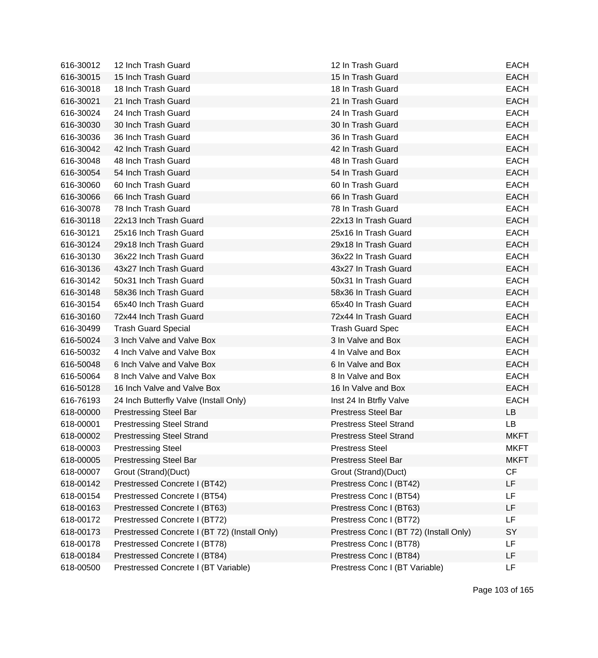| 616-30012 | 12 Inch Trash Guard                           | 12 In Trash Guard                       | <b>EACH</b> |
|-----------|-----------------------------------------------|-----------------------------------------|-------------|
| 616-30015 | 15 Inch Trash Guard                           | 15 In Trash Guard                       | <b>EACH</b> |
| 616-30018 | 18 Inch Trash Guard                           | 18 In Trash Guard                       | <b>EACH</b> |
| 616-30021 | 21 Inch Trash Guard                           | 21 In Trash Guard                       | <b>EACH</b> |
| 616-30024 | 24 Inch Trash Guard                           | 24 In Trash Guard                       | <b>EACH</b> |
| 616-30030 | 30 Inch Trash Guard                           | 30 In Trash Guard                       | <b>EACH</b> |
| 616-30036 | 36 Inch Trash Guard                           | 36 In Trash Guard                       | <b>EACH</b> |
| 616-30042 | 42 Inch Trash Guard                           | 42 In Trash Guard                       | <b>EACH</b> |
| 616-30048 | 48 Inch Trash Guard                           | 48 In Trash Guard                       | <b>EACH</b> |
| 616-30054 | 54 Inch Trash Guard                           | 54 In Trash Guard                       | <b>EACH</b> |
| 616-30060 | 60 Inch Trash Guard                           | 60 In Trash Guard                       | <b>EACH</b> |
| 616-30066 | 66 Inch Trash Guard                           | 66 In Trash Guard                       | <b>EACH</b> |
| 616-30078 | 78 Inch Trash Guard                           | 78 In Trash Guard                       | <b>EACH</b> |
| 616-30118 | 22x13 Inch Trash Guard                        | 22x13 In Trash Guard                    | <b>EACH</b> |
| 616-30121 | 25x16 Inch Trash Guard                        | 25x16 In Trash Guard                    | <b>EACH</b> |
| 616-30124 | 29x18 Inch Trash Guard                        | 29x18 In Trash Guard                    | <b>EACH</b> |
| 616-30130 | 36x22 Inch Trash Guard                        | 36x22 In Trash Guard                    | <b>EACH</b> |
| 616-30136 | 43x27 Inch Trash Guard                        | 43x27 In Trash Guard                    | <b>EACH</b> |
| 616-30142 | 50x31 Inch Trash Guard                        | 50x31 In Trash Guard                    | <b>EACH</b> |
| 616-30148 | 58x36 Inch Trash Guard                        | 58x36 In Trash Guard                    | <b>EACH</b> |
| 616-30154 | 65x40 Inch Trash Guard                        | 65x40 In Trash Guard                    | <b>EACH</b> |
| 616-30160 | 72x44 Inch Trash Guard                        | 72x44 In Trash Guard                    | <b>EACH</b> |
| 616-30499 | <b>Trash Guard Special</b>                    | <b>Trash Guard Spec</b>                 | <b>EACH</b> |
| 616-50024 | 3 Inch Valve and Valve Box                    | 3 In Valve and Box                      | <b>EACH</b> |
| 616-50032 | 4 Inch Valve and Valve Box                    | 4 In Valve and Box                      | <b>EACH</b> |
| 616-50048 | 6 Inch Valve and Valve Box                    | 6 In Valve and Box                      | <b>EACH</b> |
| 616-50064 | 8 Inch Valve and Valve Box                    | 8 In Valve and Box                      | <b>EACH</b> |
| 616-50128 | 16 Inch Valve and Valve Box                   | 16 In Valve and Box                     | <b>EACH</b> |
| 616-76193 | 24 Inch Butterfly Valve (Install Only)        | Inst 24 In Btrfly Valve                 | <b>EACH</b> |
| 618-00000 | <b>Prestressing Steel Bar</b>                 | <b>Prestress Steel Bar</b>              | LB          |
| 618-00001 | <b>Prestressing Steel Strand</b>              | <b>Prestress Steel Strand</b>           | <b>LB</b>   |
| 618-00002 | <b>Prestressing Steel Strand</b>              | Prestress Steel Strand                  | <b>MKFT</b> |
| 618-00003 | <b>Prestressing Steel</b>                     | <b>Prestress Steel</b>                  | <b>MKFT</b> |
| 618-00005 | <b>Prestressing Steel Bar</b>                 | <b>Prestress Steel Bar</b>              | <b>MKFT</b> |
| 618-00007 | Grout (Strand)(Duct)                          | Grout (Strand)(Duct)                    | CF          |
| 618-00142 | Prestressed Concrete I (BT42)                 | Prestress Conc I (BT42)                 | <b>LF</b>   |
| 618-00154 | Prestressed Concrete I (BT54)                 | Prestress Conc I (BT54)                 | LF.         |
| 618-00163 | Prestressed Concrete I (BT63)                 | Prestress Conc I (BT63)                 | LF          |
| 618-00172 | Prestressed Concrete I (BT72)                 | Prestress Conc I (BT72)                 | LF          |
| 618-00173 | Prestressed Concrete I (BT 72) (Install Only) | Prestress Conc I (BT 72) (Install Only) | SY          |
| 618-00178 | Prestressed Concrete I (BT78)                 | Prestress Conc I (BT78)                 | LF          |
| 618-00184 | Prestressed Concrete I (BT84)                 | Prestress Conc I (BT84)                 | LF          |
| 618-00500 | Prestressed Concrete I (BT Variable)          | Prestress Conc I (BT Variable)          | LF          |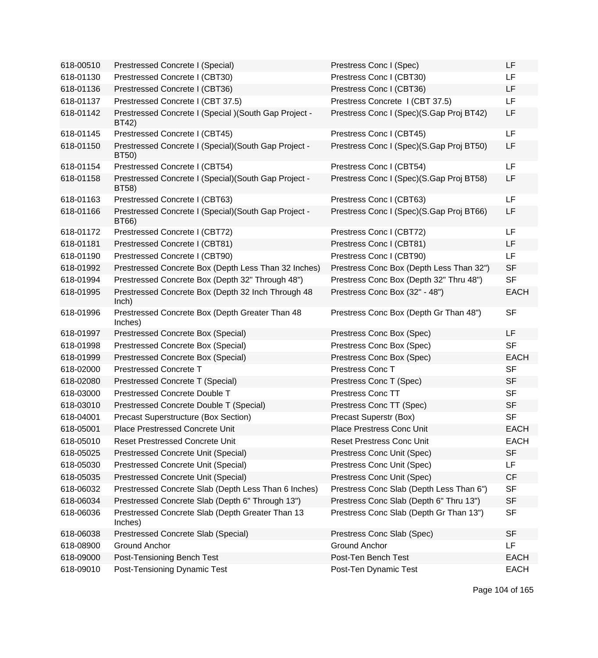| 618-00510 | Prestressed Concrete I (Special)                                | Prestress Conc I (Spec)                  | <b>LF</b>   |
|-----------|-----------------------------------------------------------------|------------------------------------------|-------------|
| 618-01130 | Prestressed Concrete I (CBT30)                                  | Prestress Conc I (CBT30)                 | LF          |
| 618-01136 | Prestressed Concrete I (CBT36)                                  | Prestress Conc I (CBT36)                 | <b>LF</b>   |
| 618-01137 | Prestressed Concrete I (CBT 37.5)                               | Prestress Concrete I (CBT 37.5)          | LF          |
| 618-01142 | Prestressed Concrete I (Special ) (South Gap Project -<br>BT42) | Prestress Conc I (Spec)(S.Gap Proj BT42) | LF          |
| 618-01145 | Prestressed Concrete I (CBT45)                                  | Prestress Conc I (CBT45)                 | LF          |
| 618-01150 | Prestressed Concrete I (Special) (South Gap Project -<br>BT50)  | Prestress Conc I (Spec)(S.Gap Proj BT50) | LF          |
| 618-01154 | Prestressed Concrete I (CBT54)                                  | Prestress Conc I (CBT54)                 | LF          |
| 618-01158 | Prestressed Concrete I (Special) (South Gap Project -<br>BT58)  | Prestress Conc I (Spec)(S.Gap Proj BT58) | LF          |
| 618-01163 | Prestressed Concrete I (CBT63)                                  | Prestress Conc I (CBT63)                 | LF          |
| 618-01166 | Prestressed Concrete I (Special) (South Gap Project -<br>BT66)  | Prestress Conc I (Spec)(S.Gap Proj BT66) | LF          |
| 618-01172 | Prestressed Concrete I (CBT72)                                  | Prestress Conc I (CBT72)                 | LF          |
| 618-01181 | Prestressed Concrete I (CBT81)                                  | Prestress Conc I (CBT81)                 | <b>LF</b>   |
| 618-01190 | Prestressed Concrete I (CBT90)                                  | Prestress Conc I (CBT90)                 | LF          |
| 618-01992 | Prestressed Concrete Box (Depth Less Than 32 Inches)            | Prestress Conc Box (Depth Less Than 32") | <b>SF</b>   |
| 618-01994 | Prestressed Concrete Box (Depth 32" Through 48")                | Prestress Conc Box (Depth 32" Thru 48")  | <b>SF</b>   |
| 618-01995 | Prestressed Concrete Box (Depth 32 Inch Through 48<br>lnch)     | Prestress Conc Box (32" - 48")           | <b>EACH</b> |
| 618-01996 | Prestressed Concrete Box (Depth Greater Than 48<br>Inches)      | Prestress Conc Box (Depth Gr Than 48")   | <b>SF</b>   |
| 618-01997 | Prestressed Concrete Box (Special)                              | Prestress Conc Box (Spec)                | <b>LF</b>   |
| 618-01998 | Prestressed Concrete Box (Special)                              | Prestress Conc Box (Spec)                | <b>SF</b>   |
| 618-01999 | Prestressed Concrete Box (Special)                              | Prestress Conc Box (Spec)                | <b>EACH</b> |
| 618-02000 | <b>Prestressed Concrete T</b>                                   | Prestress Conc T                         | <b>SF</b>   |
| 618-02080 | Prestressed Concrete T (Special)                                | Prestress Conc T (Spec)                  | <b>SF</b>   |
| 618-03000 | Prestressed Concrete Double T                                   | <b>Prestress Conc TT</b>                 | <b>SF</b>   |
| 618-03010 | Prestressed Concrete Double T (Special)                         | Prestress Conc TT (Spec)                 | <b>SF</b>   |
| 618-04001 | <b>Precast Superstructure (Box Section)</b>                     | Precast Superstr (Box)                   | <b>SF</b>   |
| 618-05001 | Place Prestressed Concrete Unit                                 | Place Prestress Conc Unit                | <b>EACH</b> |
| 618-05010 | <b>Reset Prestressed Concrete Unit</b>                          | <b>Reset Prestress Conc Unit</b>         | <b>EACH</b> |
| 618-05025 | <b>Prestressed Concrete Unit (Special)</b>                      | Prestress Conc Unit (Spec)               | <b>SF</b>   |
| 618-05030 | <b>Prestressed Concrete Unit (Special)</b>                      | Prestress Conc Unit (Spec)               | LF          |
| 618-05035 | <b>Prestressed Concrete Unit (Special)</b>                      | Prestress Conc Unit (Spec)               | <b>CF</b>   |
| 618-06032 | Prestressed Concrete Slab (Depth Less Than 6 Inches)            | Prestress Conc Slab (Depth Less Than 6") | <b>SF</b>   |
| 618-06034 | Prestressed Concrete Slab (Depth 6" Through 13")                | Prestress Conc Slab (Depth 6" Thru 13")  | <b>SF</b>   |
| 618-06036 | Prestressed Concrete Slab (Depth Greater Than 13<br>Inches)     | Prestress Conc Slab (Depth Gr Than 13")  | <b>SF</b>   |
| 618-06038 | Prestressed Concrete Slab (Special)                             | Prestress Conc Slab (Spec)               | <b>SF</b>   |
| 618-08900 | <b>Ground Anchor</b>                                            | <b>Ground Anchor</b>                     | LF.         |
| 618-09000 | Post-Tensioning Bench Test                                      | Post-Ten Bench Test                      | <b>EACH</b> |
| 618-09010 | Post-Tensioning Dynamic Test                                    | Post-Ten Dynamic Test                    | <b>EACH</b> |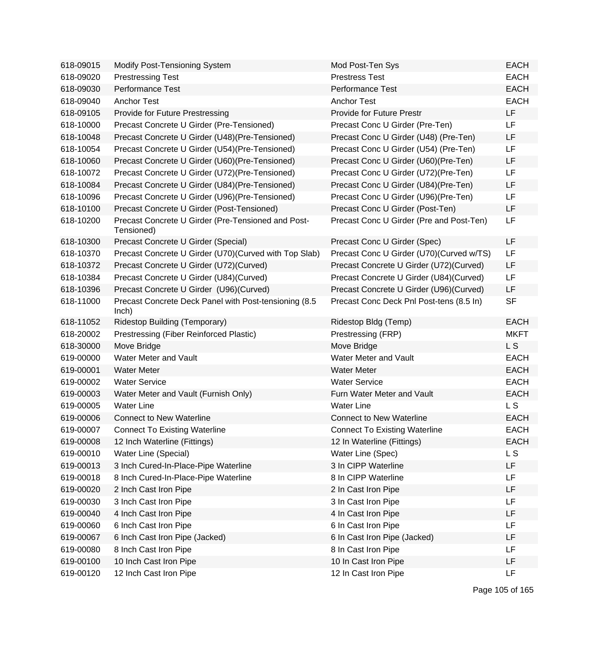| 618-09015 | <b>Modify Post-Tensioning System</b>                             | Mod Post-Ten Sys                         | <b>EACH</b> |
|-----------|------------------------------------------------------------------|------------------------------------------|-------------|
| 618-09020 | <b>Prestressing Test</b>                                         | <b>Prestress Test</b>                    | <b>EACH</b> |
| 618-09030 | <b>Performance Test</b>                                          | <b>Performance Test</b>                  | <b>EACH</b> |
| 618-09040 | <b>Anchor Test</b>                                               | <b>Anchor Test</b>                       | <b>EACH</b> |
| 618-09105 | Provide for Future Prestressing                                  | Provide for Future Prestr                | LF          |
| 618-10000 | Precast Concrete U Girder (Pre-Tensioned)                        | Precast Conc U Girder (Pre-Ten)          | LF          |
| 618-10048 | Precast Concrete U Girder (U48) (Pre-Tensioned)                  | Precast Conc U Girder (U48) (Pre-Ten)    | LF          |
| 618-10054 | Precast Concrete U Girder (U54)(Pre-Tensioned)                   | Precast Conc U Girder (U54) (Pre-Ten)    | LF          |
| 618-10060 | Precast Concrete U Girder (U60) (Pre-Tensioned)                  | Precast Conc U Girder (U60) (Pre-Ten)    | LF          |
| 618-10072 | Precast Concrete U Girder (U72) (Pre-Tensioned)                  | Precast Conc U Girder (U72)(Pre-Ten)     | LF          |
| 618-10084 | Precast Concrete U Girder (U84) (Pre-Tensioned)                  | Precast Conc U Girder (U84)(Pre-Ten)     | LF          |
| 618-10096 | Precast Concrete U Girder (U96) (Pre-Tensioned)                  | Precast Conc U Girder (U96) (Pre-Ten)    | LF          |
| 618-10100 | Precast Concrete U Girder (Post-Tensioned)                       | Precast Conc U Girder (Post-Ten)         | LF          |
| 618-10200 | Precast Concrete U Girder (Pre-Tensioned and Post-<br>Tensioned) | Precast Conc U Girder (Pre and Post-Ten) | LF          |
| 618-10300 | Precast Concrete U Girder (Special)                              | Precast Conc U Girder (Spec)             | LF          |
| 618-10370 | Precast Concrete U Girder (U70) (Curved with Top Slab)           | Precast Conc U Girder (U70)(Curved w/TS) | LF          |
| 618-10372 | Precast Concrete U Girder (U72)(Curved)                          | Precast Concrete U Girder (U72)(Curved)  | LF          |
| 618-10384 | Precast Concrete U Girder (U84)(Curved)                          | Precast Concrete U Girder (U84) (Curved) | LF          |
| 618-10396 | Precast Concrete U Girder (U96)(Curved)                          | Precast Concrete U Girder (U96)(Curved)  | LF          |
| 618-11000 | Precast Concrete Deck Panel with Post-tensioning (8.5<br>lnch)   | Precast Conc Deck Pnl Post-tens (8.5 In) | <b>SF</b>   |
| 618-11052 | <b>Ridestop Building (Temporary)</b>                             | Ridestop Bldg (Temp)                     | <b>EACH</b> |
| 618-20002 | Prestressing (Fiber Reinforced Plastic)                          | Prestressing (FRP)                       | <b>MKFT</b> |
| 618-30000 | Move Bridge                                                      | Move Bridge                              | L S         |
| 619-00000 | Water Meter and Vault                                            | Water Meter and Vault                    | <b>EACH</b> |
| 619-00001 | <b>Water Meter</b>                                               | <b>Water Meter</b>                       | <b>EACH</b> |
| 619-00002 | <b>Water Service</b>                                             | <b>Water Service</b>                     | <b>EACH</b> |
| 619-00003 | Water Meter and Vault (Furnish Only)                             | Furn Water Meter and Vault               | <b>EACH</b> |
| 619-00005 | <b>Water Line</b>                                                | <b>Water Line</b>                        | L S         |
| 619-00006 | <b>Connect to New Waterline</b>                                  | <b>Connect to New Waterline</b>          | <b>EACH</b> |
| 619-00007 | <b>Connect To Existing Waterline</b>                             | <b>Connect To Existing Waterline</b>     | <b>EACH</b> |
| 619-00008 | 12 Inch Waterline (Fittings)                                     | 12 In Waterline (Fittings)               | <b>EACH</b> |
| 619-00010 | Water Line (Special)                                             | Water Line (Spec)                        | <b>LS</b>   |
| 619-00013 | 3 Inch Cured-In-Place-Pipe Waterline                             | 3 In CIPP Waterline                      | LF          |
| 619-00018 | 8 Inch Cured-In-Place-Pipe Waterline                             | 8 In CIPP Waterline                      | LF          |
| 619-00020 | 2 Inch Cast Iron Pipe                                            | 2 In Cast Iron Pipe                      | LF          |
| 619-00030 | 3 Inch Cast Iron Pipe                                            | 3 In Cast Iron Pipe                      | LF          |
| 619-00040 | 4 Inch Cast Iron Pipe                                            | 4 In Cast Iron Pipe                      | LF          |
| 619-00060 | 6 Inch Cast Iron Pipe                                            | 6 In Cast Iron Pipe                      | LF          |
| 619-00067 | 6 Inch Cast Iron Pipe (Jacked)                                   | 6 In Cast Iron Pipe (Jacked)             | LF          |
| 619-00080 | 8 Inch Cast Iron Pipe                                            | 8 In Cast Iron Pipe                      | LF          |
| 619-00100 | 10 Inch Cast Iron Pipe                                           | 10 In Cast Iron Pipe                     | LF          |
| 619-00120 | 12 Inch Cast Iron Pipe                                           | 12 In Cast Iron Pipe                     | LF          |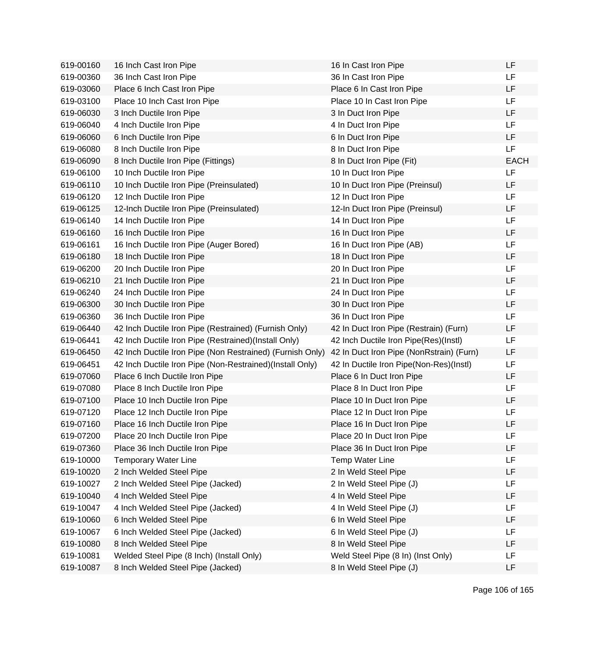| 619-00160 | 16 Inch Cast Iron Pipe                                    | 16 In Cast Iron Pipe                     | LF          |
|-----------|-----------------------------------------------------------|------------------------------------------|-------------|
| 619-00360 | 36 Inch Cast Iron Pipe                                    | 36 In Cast Iron Pipe                     | LF          |
| 619-03060 | Place 6 Inch Cast Iron Pipe                               | Place 6 In Cast Iron Pipe                | <b>LF</b>   |
| 619-03100 | Place 10 Inch Cast Iron Pipe                              | Place 10 In Cast Iron Pipe               | <b>LF</b>   |
| 619-06030 | 3 Inch Ductile Iron Pipe                                  | 3 In Duct Iron Pipe                      | LF          |
| 619-06040 | 4 Inch Ductile Iron Pipe                                  | 4 In Duct Iron Pipe                      | <b>LF</b>   |
| 619-06060 | 6 Inch Ductile Iron Pipe                                  | 6 In Duct Iron Pipe                      | LF          |
| 619-06080 | 8 Inch Ductile Iron Pipe                                  | 8 In Duct Iron Pipe                      | <b>LF</b>   |
| 619-06090 | 8 Inch Ductile Iron Pipe (Fittings)                       | 8 In Duct Iron Pipe (Fit)                | <b>EACH</b> |
| 619-06100 | 10 Inch Ductile Iron Pipe                                 | 10 In Duct Iron Pipe                     | LF          |
| 619-06110 | 10 Inch Ductile Iron Pipe (Preinsulated)                  | 10 In Duct Iron Pipe (Preinsul)          | LF          |
| 619-06120 | 12 Inch Ductile Iron Pipe                                 | 12 In Duct Iron Pipe                     | <b>LF</b>   |
| 619-06125 | 12-Inch Ductile Iron Pipe (Preinsulated)                  | 12-In Duct Iron Pipe (Preinsul)          | <b>LF</b>   |
| 619-06140 | 14 Inch Ductile Iron Pipe                                 | 14 In Duct Iron Pipe                     | LF          |
| 619-06160 | 16 Inch Ductile Iron Pipe                                 | 16 In Duct Iron Pipe                     | LF          |
| 619-06161 | 16 Inch Ductile Iron Pipe (Auger Bored)                   | 16 In Duct Iron Pipe (AB)                | <b>LF</b>   |
| 619-06180 | 18 Inch Ductile Iron Pipe                                 | 18 In Duct Iron Pipe                     | LF          |
| 619-06200 | 20 Inch Ductile Iron Pipe                                 | 20 In Duct Iron Pipe                     | LF          |
| 619-06210 | 21 Inch Ductile Iron Pipe                                 | 21 In Duct Iron Pipe                     | LF          |
| 619-06240 | 24 Inch Ductile Iron Pipe                                 | 24 In Duct Iron Pipe                     | LF          |
| 619-06300 | 30 Inch Ductile Iron Pipe                                 | 30 In Duct Iron Pipe                     | LF          |
| 619-06360 | 36 Inch Ductile Iron Pipe                                 | 36 In Duct Iron Pipe                     | <b>LF</b>   |
| 619-06440 | 42 Inch Ductile Iron Pipe (Restrained) (Furnish Only)     | 42 In Duct Iron Pipe (Restrain) (Furn)   | LF          |
| 619-06441 | 42 Inch Ductile Iron Pipe (Restrained)(Install Only)      | 42 Inch Ductile Iron Pipe(Res)(Instl)    | LF          |
| 619-06450 | 42 Inch Ductile Iron Pipe (Non Restrained) (Furnish Only) | 42 In Duct Iron Pipe (NonRstrain) (Furn) | LF          |
| 619-06451 | 42 Inch Ductile Iron Pipe (Non-Restrained) (Install Only) | 42 In Ductile Iron Pipe(Non-Res)(Instl)  | LF          |
| 619-07060 | Place 6 Inch Ductile Iron Pipe                            | Place 6 In Duct Iron Pipe                | LF          |
| 619-07080 | Place 8 Inch Ductile Iron Pipe                            | Place 8 In Duct Iron Pipe                | LF          |
| 619-07100 | Place 10 Inch Ductile Iron Pipe                           | Place 10 In Duct Iron Pipe               | LF          |
| 619-07120 | Place 12 Inch Ductile Iron Pipe                           | Place 12 In Duct Iron Pipe               | LF          |
| 619-07160 | Place 16 Inch Ductile Iron Pipe                           | Place 16 In Duct Iron Pipe               | LF          |
| 619-07200 | Place 20 Inch Ductile Iron Pipe                           | Place 20 In Duct Iron Pipe               | LF          |
| 619-07360 | Place 36 Inch Ductile Iron Pipe                           | Place 36 In Duct Iron Pipe               | LF          |
| 619-10000 | <b>Temporary Water Line</b>                               | <b>Temp Water Line</b>                   | LF          |
| 619-10020 | 2 Inch Welded Steel Pipe                                  | 2 In Weld Steel Pipe                     | LF          |
| 619-10027 | 2 Inch Welded Steel Pipe (Jacked)                         | 2 In Weld Steel Pipe (J)                 | <b>LF</b>   |
| 619-10040 | 4 Inch Welded Steel Pipe                                  | 4 In Weld Steel Pipe                     | LF          |
| 619-10047 | 4 Inch Welded Steel Pipe (Jacked)                         | 4 In Weld Steel Pipe (J)                 | LF          |
| 619-10060 | 6 Inch Welded Steel Pipe                                  | 6 In Weld Steel Pipe                     | LF          |
| 619-10067 | 6 Inch Welded Steel Pipe (Jacked)                         | 6 In Weld Steel Pipe (J)                 | LF          |
| 619-10080 | 8 Inch Welded Steel Pipe                                  | 8 In Weld Steel Pipe                     | LF          |
| 619-10081 | Welded Steel Pipe (8 Inch) (Install Only)                 | Weld Steel Pipe (8 In) (Inst Only)       | LF          |
| 619-10087 | 8 Inch Welded Steel Pipe (Jacked)                         | 8 In Weld Steel Pipe (J)                 | LF          |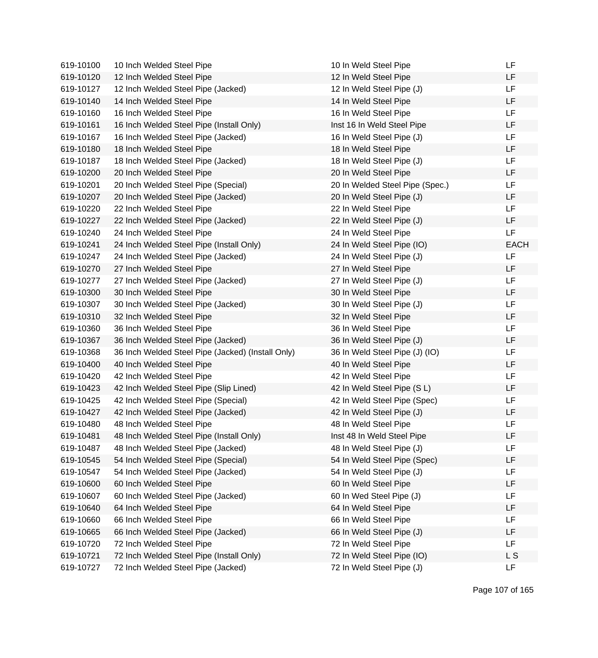| 619-10100 | 10 Inch Welded Steel Pipe                         | 10 In Weld Steel Pipe           | LF          |
|-----------|---------------------------------------------------|---------------------------------|-------------|
| 619-10120 | 12 Inch Welded Steel Pipe                         | 12 In Weld Steel Pipe           | LF          |
| 619-10127 | 12 Inch Welded Steel Pipe (Jacked)                | 12 In Weld Steel Pipe (J)       | LF          |
| 619-10140 | 14 Inch Welded Steel Pipe                         | 14 In Weld Steel Pipe           | LF          |
| 619-10160 | 16 Inch Welded Steel Pipe                         | 16 In Weld Steel Pipe           | LF          |
| 619-10161 | 16 Inch Welded Steel Pipe (Install Only)          | Inst 16 In Weld Steel Pipe      | LF          |
| 619-10167 | 16 Inch Welded Steel Pipe (Jacked)                | 16 In Weld Steel Pipe (J)       | LF.         |
| 619-10180 | 18 Inch Welded Steel Pipe                         | 18 In Weld Steel Pipe           | LF          |
| 619-10187 | 18 Inch Welded Steel Pipe (Jacked)                | 18 In Weld Steel Pipe (J)       | LF.         |
| 619-10200 | 20 Inch Welded Steel Pipe                         | 20 In Weld Steel Pipe           | LF          |
| 619-10201 | 20 Inch Welded Steel Pipe (Special)               | 20 In Welded Steel Pipe (Spec.) | LF.         |
| 619-10207 | 20 Inch Welded Steel Pipe (Jacked)                | 20 In Weld Steel Pipe (J)       | LF          |
| 619-10220 | 22 Inch Welded Steel Pipe                         | 22 In Weld Steel Pipe           | LF          |
| 619-10227 | 22 Inch Welded Steel Pipe (Jacked)                | 22 In Weld Steel Pipe (J)       | LF.         |
| 619-10240 | 24 Inch Welded Steel Pipe                         | 24 In Weld Steel Pipe           | LF          |
| 619-10241 | 24 Inch Welded Steel Pipe (Install Only)          | 24 In Weld Steel Pipe (IO)      | <b>EACH</b> |
| 619-10247 | 24 Inch Welded Steel Pipe (Jacked)                | 24 In Weld Steel Pipe (J)       | LF.         |
| 619-10270 | 27 Inch Welded Steel Pipe                         | 27 In Weld Steel Pipe           | LF.         |
| 619-10277 | 27 Inch Welded Steel Pipe (Jacked)                | 27 In Weld Steel Pipe (J)       | LF.         |
| 619-10300 | 30 Inch Welded Steel Pipe                         | 30 In Weld Steel Pipe           | LF          |
| 619-10307 | 30 Inch Welded Steel Pipe (Jacked)                | 30 In Weld Steel Pipe (J)       | LF.         |
| 619-10310 | 32 Inch Welded Steel Pipe                         | 32 In Weld Steel Pipe           | LF          |
| 619-10360 | 36 Inch Welded Steel Pipe                         | 36 In Weld Steel Pipe           | LF          |
| 619-10367 | 36 Inch Welded Steel Pipe (Jacked)                | 36 In Weld Steel Pipe (J)       | LF          |
| 619-10368 | 36 Inch Welded Steel Pipe (Jacked) (Install Only) | 36 In Weld Steel Pipe (J) (IO)  | LF          |
| 619-10400 | 40 Inch Welded Steel Pipe                         | 40 In Weld Steel Pipe           | LF          |
| 619-10420 | 42 Inch Welded Steel Pipe                         | 42 In Weld Steel Pipe           | LF          |
| 619-10423 | 42 Inch Welded Steel Pipe (Slip Lined)            | 42 In Weld Steel Pipe (S L)     | LF          |
| 619-10425 | 42 Inch Welded Steel Pipe (Special)               | 42 In Weld Steel Pipe (Spec)    | LF.         |
| 619-10427 | 42 Inch Welded Steel Pipe (Jacked)                | 42 In Weld Steel Pipe (J)       | LF          |
| 619-10480 | 48 Inch Welded Steel Pipe                         | 48 In Weld Steel Pipe           | LF          |
| 619-10481 | 48 Inch Welded Steel Pipe (Install Only)          | Inst 48 In Weld Steel Pipe      | LF          |
| 619-10487 | 48 Inch Welded Steel Pipe (Jacked)                | 48 In Weld Steel Pipe (J)       | LF          |
| 619-10545 | 54 Inch Welded Steel Pipe (Special)               | 54 In Weld Steel Pipe (Spec)    | LF          |
| 619-10547 | 54 Inch Welded Steel Pipe (Jacked)                | 54 In Weld Steel Pipe (J)       | LF          |
| 619-10600 | 60 Inch Welded Steel Pipe                         | 60 In Weld Steel Pipe           | LF          |
| 619-10607 | 60 Inch Welded Steel Pipe (Jacked)                | 60 In Wed Steel Pipe (J)        | LF          |
| 619-10640 | 64 Inch Welded Steel Pipe                         | 64 In Weld Steel Pipe           | LF          |
| 619-10660 | 66 Inch Welded Steel Pipe                         | 66 In Weld Steel Pipe           | LF          |
| 619-10665 | 66 Inch Welded Steel Pipe (Jacked)                | 66 In Weld Steel Pipe (J)       | LF          |
| 619-10720 | 72 Inch Welded Steel Pipe                         | 72 In Weld Steel Pipe           | LF.         |
| 619-10721 | 72 Inch Welded Steel Pipe (Install Only)          | 72 In Weld Steel Pipe (IO)      | L S         |
| 619-10727 | 72 Inch Welded Steel Pipe (Jacked)                | 72 In Weld Steel Pipe (J)       | LF          |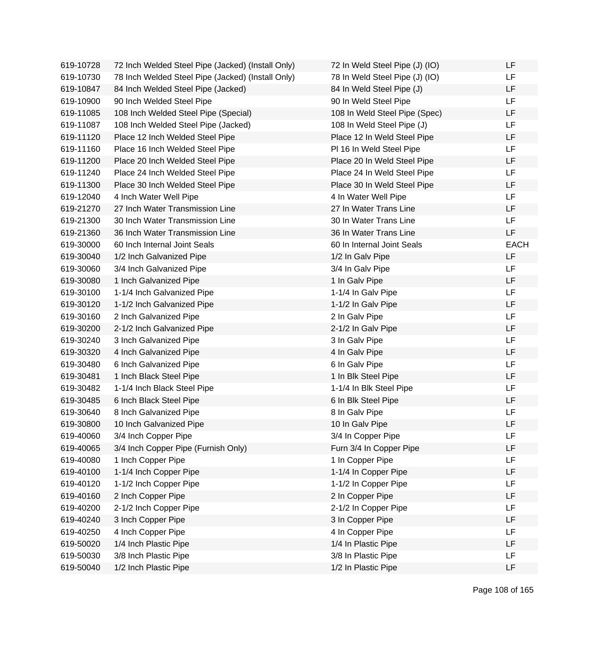| 619-10728 | 72 Inch Welded Steel Pipe (Jacked) (Install Only) | 72 In Weld Steel Pipe (J) (IO) | LF          |
|-----------|---------------------------------------------------|--------------------------------|-------------|
| 619-10730 | 78 Inch Welded Steel Pipe (Jacked) (Install Only) | 78 In Weld Steel Pipe (J) (IO) | LF.         |
| 619-10847 | 84 Inch Welded Steel Pipe (Jacked)                | 84 In Weld Steel Pipe (J)      | <b>LF</b>   |
| 619-10900 | 90 Inch Welded Steel Pipe                         | 90 In Weld Steel Pipe          | LF          |
| 619-11085 | 108 Inch Welded Steel Pipe (Special)              | 108 In Weld Steel Pipe (Spec)  | LF          |
| 619-11087 | 108 Inch Welded Steel Pipe (Jacked)               | 108 In Weld Steel Pipe (J)     | LF          |
| 619-11120 | Place 12 Inch Welded Steel Pipe                   | Place 12 In Weld Steel Pipe    | LF          |
| 619-11160 | Place 16 Inch Welded Steel Pipe                   | PI 16 In Weld Steel Pipe       | LF          |
| 619-11200 | Place 20 Inch Welded Steel Pipe                   | Place 20 In Weld Steel Pipe    | LF          |
| 619-11240 | Place 24 Inch Welded Steel Pipe                   | Place 24 In Weld Steel Pipe    | LF          |
| 619-11300 | Place 30 Inch Welded Steel Pipe                   | Place 30 In Weld Steel Pipe    | LF          |
| 619-12040 | 4 Inch Water Well Pipe                            | 4 In Water Well Pipe           | LF          |
| 619-21270 | 27 Inch Water Transmission Line                   | 27 In Water Trans Line         | LF          |
| 619-21300 | 30 Inch Water Transmission Line                   | 30 In Water Trans Line         | LF          |
| 619-21360 | 36 Inch Water Transmission Line                   | 36 In Water Trans Line         | LF          |
| 619-30000 | 60 Inch Internal Joint Seals                      | 60 In Internal Joint Seals     | <b>EACH</b> |
| 619-30040 | 1/2 Inch Galvanized Pipe                          | 1/2 In Galv Pipe               | LF.         |
| 619-30060 | 3/4 Inch Galvanized Pipe                          | 3/4 In Galv Pipe               | LF          |
| 619-30080 | 1 Inch Galvanized Pipe                            | 1 In Galv Pipe                 | LF.         |
| 619-30100 | 1-1/4 Inch Galvanized Pipe                        | 1-1/4 In Galv Pipe             | LF          |
| 619-30120 | 1-1/2 Inch Galvanized Pipe                        | 1-1/2 In Galv Pipe             | LF          |
| 619-30160 | 2 Inch Galvanized Pipe                            | 2 In Galv Pipe                 | <b>LF</b>   |
| 619-30200 | 2-1/2 Inch Galvanized Pipe                        | 2-1/2 In Galv Pipe             | LF          |
| 619-30240 | 3 Inch Galvanized Pipe                            | 3 In Galv Pipe                 | LF          |
| 619-30320 | 4 Inch Galvanized Pipe                            | 4 In Galv Pipe                 | LF          |
| 619-30480 | 6 Inch Galvanized Pipe                            | 6 In Galv Pipe                 | LF          |
| 619-30481 | 1 Inch Black Steel Pipe                           | 1 In Blk Steel Pipe            | LF          |
| 619-30482 | 1-1/4 Inch Black Steel Pipe                       | 1-1/4 In Blk Steel Pipe        | LF          |
| 619-30485 | 6 Inch Black Steel Pipe                           | 6 In Blk Steel Pipe            | LF          |
| 619-30640 | 8 Inch Galvanized Pipe                            | 8 In Galv Pipe                 | LF          |
| 619-30800 | 10 Inch Galvanized Pipe                           | 10 In Galv Pipe                | LF          |
| 619-40060 | 3/4 Inch Copper Pipe                              | 3/4 In Copper Pipe             | LF          |
| 619-40065 | 3/4 Inch Copper Pipe (Furnish Only)               | Furn 3/4 In Copper Pipe        | LF          |
| 619-40080 | 1 Inch Copper Pipe                                | 1 In Copper Pipe               | LF          |
| 619-40100 | 1-1/4 Inch Copper Pipe                            | 1-1/4 In Copper Pipe           | LF          |
| 619-40120 | 1-1/2 Inch Copper Pipe                            | 1-1/2 In Copper Pipe           | LF          |
| 619-40160 | 2 Inch Copper Pipe                                | 2 In Copper Pipe               | LF          |
| 619-40200 | 2-1/2 Inch Copper Pipe                            | 2-1/2 In Copper Pipe           | LF          |
| 619-40240 | 3 Inch Copper Pipe                                | 3 In Copper Pipe               | LF          |
| 619-40250 | 4 Inch Copper Pipe                                | 4 In Copper Pipe               | LF          |
| 619-50020 | 1/4 Inch Plastic Pipe                             | 1/4 In Plastic Pipe            | LF          |
| 619-50030 | 3/8 Inch Plastic Pipe                             | 3/8 In Plastic Pipe            | LF          |
| 619-50040 | 1/2 Inch Plastic Pipe                             | 1/2 In Plastic Pipe            | LF          |

Page 108 of 165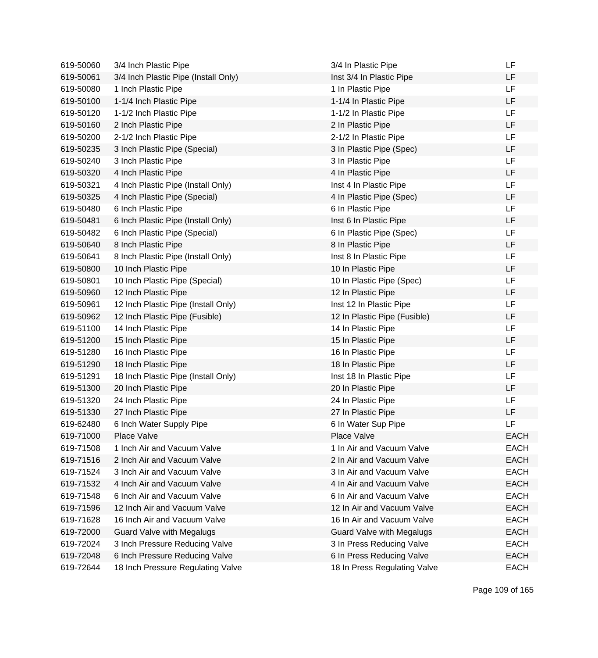| 619-50060 | 3/4 Inch Plastic Pipe                | 3/4 In Plastic Pipe              | LF          |
|-----------|--------------------------------------|----------------------------------|-------------|
| 619-50061 | 3/4 Inch Plastic Pipe (Install Only) | Inst 3/4 In Plastic Pipe         | LF          |
| 619-50080 | 1 Inch Plastic Pipe                  | 1 In Plastic Pipe                | LF          |
| 619-50100 | 1-1/4 Inch Plastic Pipe              | 1-1/4 In Plastic Pipe            | LF          |
| 619-50120 | 1-1/2 Inch Plastic Pipe              | 1-1/2 In Plastic Pipe            | LF          |
| 619-50160 | 2 Inch Plastic Pipe                  | 2 In Plastic Pipe                | LF          |
| 619-50200 | 2-1/2 Inch Plastic Pipe              | 2-1/2 In Plastic Pipe            | LF          |
| 619-50235 | 3 Inch Plastic Pipe (Special)        | 3 In Plastic Pipe (Spec)         | LF          |
| 619-50240 | 3 Inch Plastic Pipe                  | 3 In Plastic Pipe                | LF          |
| 619-50320 | 4 Inch Plastic Pipe                  | 4 In Plastic Pipe                | LF          |
| 619-50321 | 4 Inch Plastic Pipe (Install Only)   | Inst 4 In Plastic Pipe           | LF          |
| 619-50325 | 4 Inch Plastic Pipe (Special)        | 4 In Plastic Pipe (Spec)         | LF          |
| 619-50480 | 6 Inch Plastic Pipe                  | 6 In Plastic Pipe                | LF          |
| 619-50481 | 6 Inch Plastic Pipe (Install Only)   | Inst 6 In Plastic Pipe           | LF          |
| 619-50482 | 6 Inch Plastic Pipe (Special)        | 6 In Plastic Pipe (Spec)         | LF          |
| 619-50640 | 8 Inch Plastic Pipe                  | 8 In Plastic Pipe                | LF          |
| 619-50641 | 8 Inch Plastic Pipe (Install Only)   | Inst 8 In Plastic Pipe           | LF          |
| 619-50800 | 10 Inch Plastic Pipe                 | 10 In Plastic Pipe               | LF          |
| 619-50801 | 10 Inch Plastic Pipe (Special)       | 10 In Plastic Pipe (Spec)        | LF          |
| 619-50960 | 12 Inch Plastic Pipe                 | 12 In Plastic Pipe               | LF          |
| 619-50961 | 12 Inch Plastic Pipe (Install Only)  | Inst 12 In Plastic Pipe          | LF          |
| 619-50962 | 12 Inch Plastic Pipe (Fusible)       | 12 In Plastic Pipe (Fusible)     | LF          |
| 619-51100 | 14 Inch Plastic Pipe                 | 14 In Plastic Pipe               | LF          |
| 619-51200 | 15 Inch Plastic Pipe                 | 15 In Plastic Pipe               | LF          |
| 619-51280 | 16 Inch Plastic Pipe                 | 16 In Plastic Pipe               | LF          |
| 619-51290 | 18 Inch Plastic Pipe                 | 18 In Plastic Pipe               | LF          |
| 619-51291 | 18 Inch Plastic Pipe (Install Only)  | Inst 18 In Plastic Pipe          | LF          |
| 619-51300 | 20 Inch Plastic Pipe                 | 20 In Plastic Pipe               | LF          |
| 619-51320 | 24 Inch Plastic Pipe                 | 24 In Plastic Pipe               | LF          |
| 619-51330 | 27 Inch Plastic Pipe                 | 27 In Plastic Pipe               | LF          |
| 619-62480 | 6 Inch Water Supply Pipe             | 6 In Water Sup Pipe              | LF          |
| 619-71000 | Place Valve                          | Place Valve                      | <b>EACH</b> |
| 619-71508 | 1 Inch Air and Vacuum Valve          | 1 In Air and Vacuum Valve        | <b>EACH</b> |
| 619-71516 | 2 Inch Air and Vacuum Valve          | 2 In Air and Vacuum Valve        | <b>EACH</b> |
| 619-71524 | 3 Inch Air and Vacuum Valve          | 3 In Air and Vacuum Valve        | <b>EACH</b> |
| 619-71532 | 4 Inch Air and Vacuum Valve          | 4 In Air and Vacuum Valve        | <b>EACH</b> |
| 619-71548 | 6 Inch Air and Vacuum Valve          | 6 In Air and Vacuum Valve        | <b>EACH</b> |
| 619-71596 | 12 Inch Air and Vacuum Valve         | 12 In Air and Vacuum Valve       | <b>EACH</b> |
| 619-71628 | 16 Inch Air and Vacuum Valve         | 16 In Air and Vacuum Valve       | <b>EACH</b> |
| 619-72000 | <b>Guard Valve with Megalugs</b>     | <b>Guard Valve with Megalugs</b> | <b>EACH</b> |
| 619-72024 | 3 Inch Pressure Reducing Valve       | 3 In Press Reducing Valve        | <b>EACH</b> |
| 619-72048 | 6 Inch Pressure Reducing Valve       | 6 In Press Reducing Valve        | <b>EACH</b> |
| 619-72644 | 18 Inch Pressure Regulating Valve    | 18 In Press Regulating Valve     | <b>EACH</b> |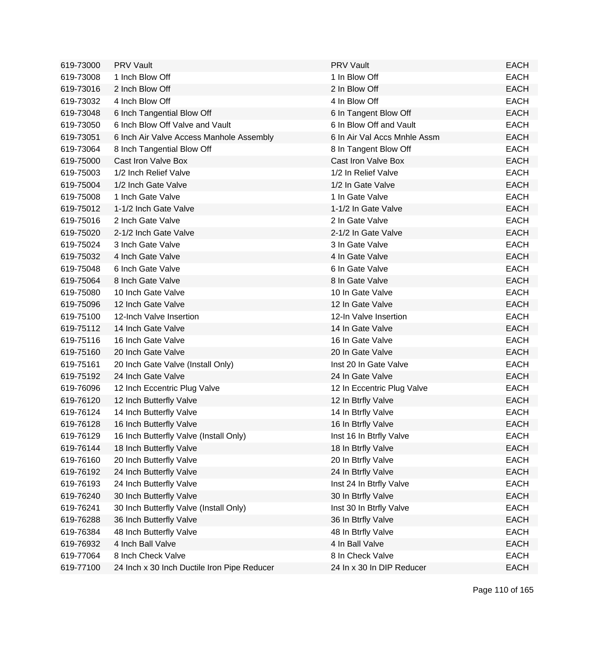| 619-73000 | <b>PRV Vault</b>                            | <b>PRV Vault</b>             | <b>EACH</b> |
|-----------|---------------------------------------------|------------------------------|-------------|
| 619-73008 | 1 Inch Blow Off                             | 1 In Blow Off                | <b>EACH</b> |
| 619-73016 | 2 Inch Blow Off                             | 2 In Blow Off                | <b>EACH</b> |
| 619-73032 | 4 Inch Blow Off                             | 4 In Blow Off                | <b>EACH</b> |
| 619-73048 | 6 Inch Tangential Blow Off                  | 6 In Tangent Blow Off        | <b>EACH</b> |
| 619-73050 | 6 Inch Blow Off Valve and Vault             | 6 In Blow Off and Vault      | <b>EACH</b> |
| 619-73051 | 6 Inch Air Valve Access Manhole Assembly    | 6 In Air Val Accs Mnhle Assm | <b>EACH</b> |
| 619-73064 | 8 Inch Tangential Blow Off                  | 8 In Tangent Blow Off        | <b>EACH</b> |
| 619-75000 | Cast Iron Valve Box                         | Cast Iron Valve Box          | <b>EACH</b> |
| 619-75003 | 1/2 Inch Relief Valve                       | 1/2 In Relief Valve          | <b>EACH</b> |
| 619-75004 | 1/2 Inch Gate Valve                         | 1/2 In Gate Valve            | <b>EACH</b> |
| 619-75008 | 1 Inch Gate Valve                           | 1 In Gate Valve              | <b>EACH</b> |
| 619-75012 | 1-1/2 Inch Gate Valve                       | 1-1/2 In Gate Valve          | <b>EACH</b> |
| 619-75016 | 2 Inch Gate Valve                           | 2 In Gate Valve              | <b>EACH</b> |
| 619-75020 | 2-1/2 Inch Gate Valve                       | 2-1/2 In Gate Valve          | <b>EACH</b> |
| 619-75024 | 3 Inch Gate Valve                           | 3 In Gate Valve              | <b>EACH</b> |
| 619-75032 | 4 Inch Gate Valve                           | 4 In Gate Valve              | <b>EACH</b> |
| 619-75048 | 6 Inch Gate Valve                           | 6 In Gate Valve              | <b>EACH</b> |
| 619-75064 | 8 Inch Gate Valve                           | 8 In Gate Valve              | <b>EACH</b> |
| 619-75080 | 10 Inch Gate Valve                          | 10 In Gate Valve             | <b>EACH</b> |
| 619-75096 | 12 Inch Gate Valve                          | 12 In Gate Valve             | <b>EACH</b> |
| 619-75100 | 12-Inch Valve Insertion                     | 12-In Valve Insertion        | <b>EACH</b> |
| 619-75112 | 14 Inch Gate Valve                          | 14 In Gate Valve             | <b>EACH</b> |
| 619-75116 | 16 Inch Gate Valve                          | 16 In Gate Valve             | <b>EACH</b> |
| 619-75160 | 20 Inch Gate Valve                          | 20 In Gate Valve             | <b>EACH</b> |
| 619-75161 | 20 Inch Gate Valve (Install Only)           | Inst 20 In Gate Valve        | <b>EACH</b> |
| 619-75192 | 24 Inch Gate Valve                          | 24 In Gate Valve             | <b>EACH</b> |
| 619-76096 | 12 Inch Eccentric Plug Valve                | 12 In Eccentric Plug Valve   | <b>EACH</b> |
| 619-76120 | 12 Inch Butterfly Valve                     | 12 In Btrfly Valve           | <b>EACH</b> |
| 619-76124 | 14 Inch Butterfly Valve                     | 14 In Btrfly Valve           | <b>EACH</b> |
| 619-76128 | 16 Inch Butterfly Valve                     | 16 In Btrfly Valve           | <b>EACH</b> |
| 619-76129 | 16 Inch Butterfly Valve (Install Only)      | Inst 16 In Btrfly Valve      | <b>EACH</b> |
| 619-76144 | 18 Inch Butterfly Valve                     | 18 In Btrfly Valve           | <b>EACH</b> |
| 619-76160 | 20 Inch Butterfly Valve                     | 20 In Btrfly Valve           | <b>EACH</b> |
| 619-76192 | 24 Inch Butterfly Valve                     | 24 In Btrfly Valve           | <b>EACH</b> |
| 619-76193 | 24 Inch Butterfly Valve                     | Inst 24 In Btrfly Valve      | <b>EACH</b> |
| 619-76240 | 30 Inch Butterfly Valve                     | 30 In Btrfly Valve           | <b>EACH</b> |
| 619-76241 | 30 Inch Butterfly Valve (Install Only)      | Inst 30 In Btrfly Valve      | <b>EACH</b> |
| 619-76288 | 36 Inch Butterfly Valve                     | 36 In Btrfly Valve           | <b>EACH</b> |
| 619-76384 | 48 Inch Butterfly Valve                     | 48 In Btrfly Valve           | <b>EACH</b> |
| 619-76932 | 4 Inch Ball Valve                           | 4 In Ball Valve              | <b>EACH</b> |
| 619-77064 | 8 Inch Check Valve                          | 8 In Check Valve             | <b>EACH</b> |
| 619-77100 | 24 Inch x 30 Inch Ductile Iron Pipe Reducer | 24 In x 30 In DIP Reducer    | <b>EACH</b> |

Page 110 of 165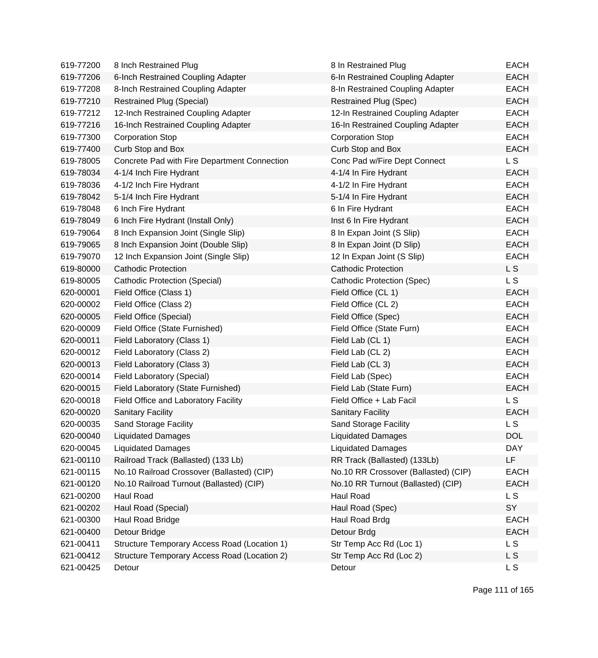| 619-77200 | 8 Inch Restrained Plug                       | 8 In Restrained Plug                 | <b>EACH</b>    |
|-----------|----------------------------------------------|--------------------------------------|----------------|
| 619-77206 | 6-Inch Restrained Coupling Adapter           | 6-In Restrained Coupling Adapter     | <b>EACH</b>    |
| 619-77208 | 8-Inch Restrained Coupling Adapter           | 8-In Restrained Coupling Adapter     | <b>EACH</b>    |
| 619-77210 | <b>Restrained Plug (Special)</b>             | <b>Restrained Plug (Spec)</b>        | <b>EACH</b>    |
| 619-77212 | 12-Inch Restrained Coupling Adapter          | 12-In Restrained Coupling Adapter    | <b>EACH</b>    |
| 619-77216 | 16-Inch Restrained Coupling Adapter          | 16-In Restrained Coupling Adapter    | <b>EACH</b>    |
| 619-77300 | <b>Corporation Stop</b>                      | <b>Corporation Stop</b>              | <b>EACH</b>    |
| 619-77400 | Curb Stop and Box                            | Curb Stop and Box                    | <b>EACH</b>    |
| 619-78005 | Concrete Pad with Fire Department Connection | Conc Pad w/Fire Dept Connect         | L S            |
| 619-78034 | 4-1/4 Inch Fire Hydrant                      | 4-1/4 In Fire Hydrant                | <b>EACH</b>    |
| 619-78036 | 4-1/2 Inch Fire Hydrant                      | 4-1/2 In Fire Hydrant                | <b>EACH</b>    |
| 619-78042 | 5-1/4 Inch Fire Hydrant                      | 5-1/4 In Fire Hydrant                | <b>EACH</b>    |
| 619-78048 | 6 Inch Fire Hydrant                          | 6 In Fire Hydrant                    | <b>EACH</b>    |
| 619-78049 | 6 Inch Fire Hydrant (Install Only)           | Inst 6 In Fire Hydrant               | <b>EACH</b>    |
| 619-79064 | 8 Inch Expansion Joint (Single Slip)         | 8 In Expan Joint (S Slip)            | <b>EACH</b>    |
| 619-79065 | 8 Inch Expansion Joint (Double Slip)         | 8 In Expan Joint (D Slip)            | <b>EACH</b>    |
| 619-79070 | 12 Inch Expansion Joint (Single Slip)        | 12 In Expan Joint (S Slip)           | <b>EACH</b>    |
| 619-80000 | <b>Cathodic Protection</b>                   | <b>Cathodic Protection</b>           | L S            |
| 619-80005 | <b>Cathodic Protection (Special)</b>         | <b>Cathodic Protection (Spec)</b>    | L S            |
| 620-00001 | Field Office (Class 1)                       | Field Office (CL 1)                  | <b>EACH</b>    |
| 620-00002 | Field Office (Class 2)                       | Field Office (CL 2)                  | <b>EACH</b>    |
| 620-00005 | Field Office (Special)                       | Field Office (Spec)                  | <b>EACH</b>    |
| 620-00009 | Field Office (State Furnished)               | Field Office (State Furn)            | <b>EACH</b>    |
| 620-00011 | Field Laboratory (Class 1)                   | Field Lab (CL 1)                     | <b>EACH</b>    |
| 620-00012 | Field Laboratory (Class 2)                   | Field Lab (CL 2)                     | <b>EACH</b>    |
| 620-00013 | Field Laboratory (Class 3)                   | Field Lab (CL 3)                     | <b>EACH</b>    |
| 620-00014 | Field Laboratory (Special)                   | Field Lab (Spec)                     | <b>EACH</b>    |
| 620-00015 | Field Laboratory (State Furnished)           | Field Lab (State Furn)               | <b>EACH</b>    |
| 620-00018 | Field Office and Laboratory Facility         | Field Office + Lab Facil             | L S            |
| 620-00020 | <b>Sanitary Facility</b>                     | <b>Sanitary Facility</b>             | <b>EACH</b>    |
| 620-00035 | Sand Storage Facility                        | Sand Storage Facility                | L S            |
| 620-00040 | <b>Liquidated Damages</b>                    | <b>Liquidated Damages</b>            | <b>DOL</b>     |
| 620-00045 | <b>Liquidated Damages</b>                    | <b>Liquidated Damages</b>            | <b>DAY</b>     |
| 621-00110 | Railroad Track (Ballasted) (133 Lb)          | RR Track (Ballasted) (133Lb)         | <b>LF</b>      |
| 621-00115 | No.10 Railroad Crossover (Ballasted) (CIP)   | No.10 RR Crossover (Ballasted) (CIP) | <b>EACH</b>    |
| 621-00120 | No.10 Railroad Turnout (Ballasted) (CIP)     | No.10 RR Turnout (Ballasted) (CIP)   | <b>EACH</b>    |
| 621-00200 | Haul Road                                    | Haul Road                            | L S            |
| 621-00202 | Haul Road (Special)                          | Haul Road (Spec)                     | SY             |
| 621-00300 | Haul Road Bridge                             | Haul Road Brdg                       | <b>EACH</b>    |
| 621-00400 | Detour Bridge                                | Detour Brdg                          | <b>EACH</b>    |
| 621-00411 | Structure Temporary Access Road (Location 1) | Str Temp Acc Rd (Loc 1)              | L <sub>S</sub> |
| 621-00412 | Structure Temporary Access Road (Location 2) | Str Temp Acc Rd (Loc 2)              | L S            |
| 621-00425 | Detour                                       | Detour                               | L S            |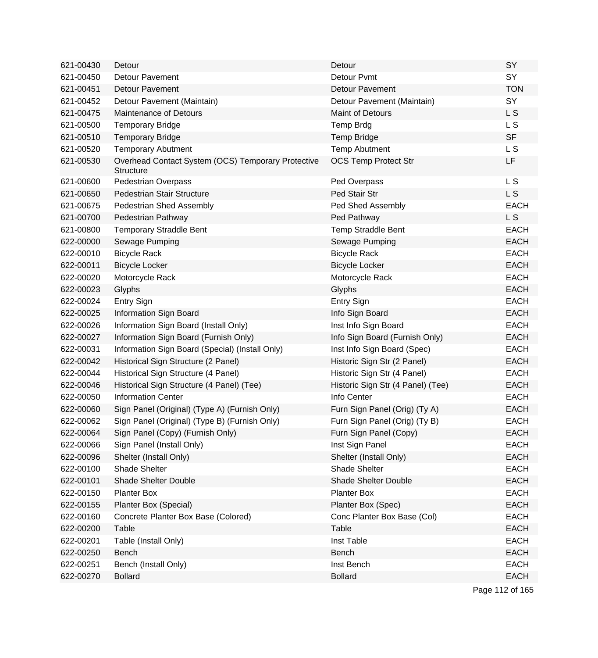| 621-00430 | Detour                                                                 | Detour                            | SY             |
|-----------|------------------------------------------------------------------------|-----------------------------------|----------------|
| 621-00450 | <b>Detour Pavement</b>                                                 | Detour Pvmt                       | SY             |
| 621-00451 | <b>Detour Pavement</b>                                                 | <b>Detour Pavement</b>            | <b>TON</b>     |
| 621-00452 | Detour Pavement (Maintain)                                             | Detour Pavement (Maintain)        | SY             |
| 621-00475 | <b>Maintenance of Detours</b>                                          | <b>Maint of Detours</b>           | L S            |
| 621-00500 | <b>Temporary Bridge</b>                                                | <b>Temp Brdg</b>                  | L S            |
| 621-00510 | <b>Temporary Bridge</b>                                                | Temp Bridge                       | <b>SF</b>      |
| 621-00520 | <b>Temporary Abutment</b>                                              | <b>Temp Abutment</b>              | L S            |
| 621-00530 | Overhead Contact System (OCS) Temporary Protective<br><b>Structure</b> | <b>OCS Temp Protect Str</b>       | LF             |
| 621-00600 | <b>Pedestrian Overpass</b>                                             | Ped Overpass                      | L S            |
| 621-00650 | Pedestrian Stair Structure                                             | Ped Stair Str                     | L <sub>S</sub> |
| 621-00675 | Pedestrian Shed Assembly                                               | Ped Shed Assembly                 | <b>EACH</b>    |
| 621-00700 | Pedestrian Pathway                                                     | Ped Pathway                       | L <sub>S</sub> |
| 621-00800 | <b>Temporary Straddle Bent</b>                                         | Temp Straddle Bent                | <b>EACH</b>    |
| 622-00000 | Sewage Pumping                                                         | Sewage Pumping                    | <b>EACH</b>    |
| 622-00010 | <b>Bicycle Rack</b>                                                    | <b>Bicycle Rack</b>               | <b>EACH</b>    |
| 622-00011 | <b>Bicycle Locker</b>                                                  | <b>Bicycle Locker</b>             | <b>EACH</b>    |
| 622-00020 | Motorcycle Rack                                                        | Motorcycle Rack                   | <b>EACH</b>    |
| 622-00023 | Glyphs                                                                 | Glyphs                            | <b>EACH</b>    |
| 622-00024 | Entry Sign                                                             | Entry Sign                        | <b>EACH</b>    |
| 622-00025 | Information Sign Board                                                 | Info Sign Board                   | <b>EACH</b>    |
| 622-00026 | Information Sign Board (Install Only)                                  | Inst Info Sign Board              | <b>EACH</b>    |
| 622-00027 | Information Sign Board (Furnish Only)                                  | Info Sign Board (Furnish Only)    | <b>EACH</b>    |
| 622-00031 | Information Sign Board (Special) (Install Only)                        | Inst Info Sign Board (Spec)       | <b>EACH</b>    |
| 622-00042 | Historical Sign Structure (2 Panel)                                    | Historic Sign Str (2 Panel)       | <b>EACH</b>    |
| 622-00044 | Historical Sign Structure (4 Panel)                                    | Historic Sign Str (4 Panel)       | <b>EACH</b>    |
| 622-00046 | Historical Sign Structure (4 Panel) (Tee)                              | Historic Sign Str (4 Panel) (Tee) | <b>EACH</b>    |
| 622-00050 | <b>Information Center</b>                                              | Info Center                       | <b>EACH</b>    |
| 622-00060 | Sign Panel (Original) (Type A) (Furnish Only)                          | Furn Sign Panel (Orig) (Ty A)     | <b>EACH</b>    |
| 622-00062 | Sign Panel (Original) (Type B) (Furnish Only)                          | Furn Sign Panel (Orig) (Ty B)     | <b>EACH</b>    |
| 622-00064 | Sign Panel (Copy) (Furnish Only)                                       | Furn Sign Panel (Copy)            | <b>EACH</b>    |
| 622-00066 | Sign Panel (Install Only)                                              | Inst Sign Panel                   | <b>EACH</b>    |
| 622-00096 | Shelter (Install Only)                                                 | Shelter (Install Only)            | <b>EACH</b>    |
| 622-00100 | Shade Shelter                                                          | Shade Shelter                     | <b>EACH</b>    |
| 622-00101 | Shade Shelter Double                                                   | <b>Shade Shelter Double</b>       | <b>EACH</b>    |
| 622-00150 | <b>Planter Box</b>                                                     | <b>Planter Box</b>                | <b>EACH</b>    |
| 622-00155 | Planter Box (Special)                                                  | Planter Box (Spec)                | <b>EACH</b>    |
| 622-00160 | Concrete Planter Box Base (Colored)                                    | Conc Planter Box Base (Col)       | <b>EACH</b>    |
| 622-00200 | Table                                                                  | Table                             | <b>EACH</b>    |
| 622-00201 | Table (Install Only)                                                   | Inst Table                        | <b>EACH</b>    |
| 622-00250 | <b>Bench</b>                                                           | Bench                             | <b>EACH</b>    |
| 622-00251 | Bench (Install Only)                                                   | Inst Bench                        | <b>EACH</b>    |
| 622-00270 | <b>Bollard</b>                                                         | <b>Bollard</b>                    | <b>EACH</b>    |
|           |                                                                        |                                   |                |

Page 112 of 165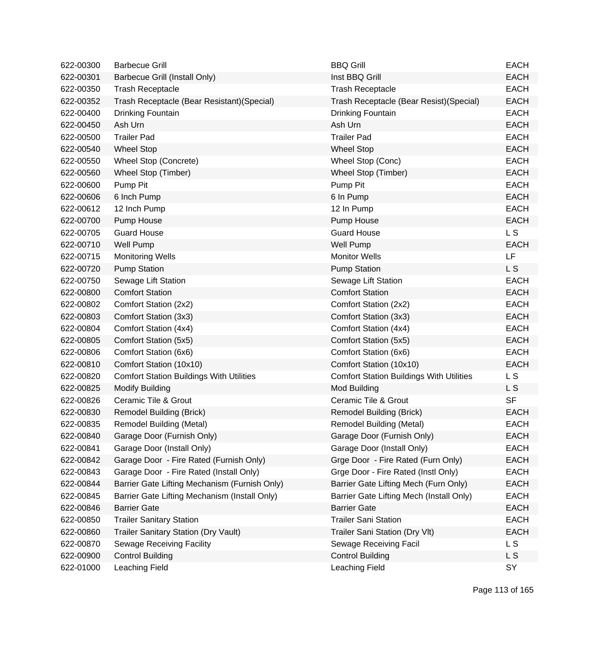| 622-00300 | <b>Barbecue Grill</b>                           | <b>BBQ Grill</b>                                | <b>EACH</b>    |
|-----------|-------------------------------------------------|-------------------------------------------------|----------------|
| 622-00301 | Barbecue Grill (Install Only)                   | Inst BBQ Grill                                  | <b>EACH</b>    |
| 622-00350 | <b>Trash Receptacle</b>                         | <b>Trash Receptacle</b>                         | <b>EACH</b>    |
| 622-00352 | Trash Receptacle (Bear Resistant) (Special)     | Trash Receptacle (Bear Resist) (Special)        | <b>EACH</b>    |
| 622-00400 | Drinking Fountain                               | Drinking Fountain                               | <b>EACH</b>    |
| 622-00450 | Ash Urn                                         | Ash Urn                                         | <b>EACH</b>    |
| 622-00500 | <b>Trailer Pad</b>                              | <b>Trailer Pad</b>                              | <b>EACH</b>    |
| 622-00540 | <b>Wheel Stop</b>                               | <b>Wheel Stop</b>                               | <b>EACH</b>    |
| 622-00550 | Wheel Stop (Concrete)                           | Wheel Stop (Conc)                               | <b>EACH</b>    |
| 622-00560 | Wheel Stop (Timber)                             | Wheel Stop (Timber)                             | <b>EACH</b>    |
| 622-00600 | Pump Pit                                        | Pump Pit                                        | <b>EACH</b>    |
| 622-00606 | 6 Inch Pump                                     | 6 In Pump                                       | <b>EACH</b>    |
| 622-00612 | 12 Inch Pump                                    | 12 In Pump                                      | <b>EACH</b>    |
| 622-00700 | Pump House                                      | Pump House                                      | <b>EACH</b>    |
| 622-00705 | <b>Guard House</b>                              | <b>Guard House</b>                              | L <sub>S</sub> |
| 622-00710 | <b>Well Pump</b>                                | <b>Well Pump</b>                                | <b>EACH</b>    |
| 622-00715 | <b>Monitoring Wells</b>                         | <b>Monitor Wells</b>                            | LF             |
| 622-00720 | <b>Pump Station</b>                             | <b>Pump Station</b>                             | L <sub>S</sub> |
| 622-00750 | Sewage Lift Station                             | Sewage Lift Station                             | <b>EACH</b>    |
| 622-00800 | <b>Comfort Station</b>                          | <b>Comfort Station</b>                          | <b>EACH</b>    |
| 622-00802 | Comfort Station (2x2)                           | Comfort Station (2x2)                           | <b>EACH</b>    |
| 622-00803 | Comfort Station (3x3)                           | Comfort Station (3x3)                           | <b>EACH</b>    |
| 622-00804 | Comfort Station (4x4)                           | Comfort Station (4x4)                           | <b>EACH</b>    |
| 622-00805 | Comfort Station (5x5)                           | Comfort Station (5x5)                           | <b>EACH</b>    |
| 622-00806 | Comfort Station (6x6)                           | Comfort Station (6x6)                           | <b>EACH</b>    |
| 622-00810 | Comfort Station (10x10)                         | Comfort Station (10x10)                         | <b>EACH</b>    |
| 622-00820 | <b>Comfort Station Buildings With Utilities</b> | <b>Comfort Station Buildings With Utilities</b> | L S            |
| 622-00825 | <b>Modify Building</b>                          | Mod Building                                    | L S            |
| 622-00826 | Ceramic Tile & Grout                            | Ceramic Tile & Grout                            | <b>SF</b>      |
| 622-00830 | <b>Remodel Building (Brick)</b>                 | <b>Remodel Building (Brick)</b>                 | <b>EACH</b>    |
| 622-00835 | Remodel Building (Metal)                        | Remodel Building (Metal)                        | <b>EACH</b>    |
| 622-00840 | Garage Door (Furnish Only)                      | Garage Door (Furnish Only)                      | <b>EACH</b>    |
| 622-00841 | Garage Door (Install Only)                      | Garage Door (Install Only)                      | <b>EACH</b>    |
| 622-00842 | Garage Door - Fire Rated (Furnish Only)         | Grge Door - Fire Rated (Furn Only)              | <b>EACH</b>    |
| 622-00843 | Garage Door - Fire Rated (Install Only)         | Grge Door - Fire Rated (Instl Only)             | <b>EACH</b>    |
| 622-00844 | Barrier Gate Lifting Mechanism (Furnish Only)   | Barrier Gate Lifting Mech (Furn Only)           | <b>EACH</b>    |
| 622-00845 | Barrier Gate Lifting Mechanism (Install Only)   | Barrier Gate Lifting Mech (Install Only)        | <b>EACH</b>    |
| 622-00846 | <b>Barrier Gate</b>                             | <b>Barrier Gate</b>                             | <b>EACH</b>    |
| 622-00850 | <b>Trailer Sanitary Station</b>                 | <b>Trailer Sani Station</b>                     | <b>EACH</b>    |
| 622-00860 | <b>Trailer Sanitary Station (Dry Vault)</b>     | Trailer Sani Station (Dry Vlt)                  | <b>EACH</b>    |
| 622-00870 | <b>Sewage Receiving Facility</b>                | Sewage Receiving Facil                          | L S            |
| 622-00900 | <b>Control Building</b>                         | <b>Control Building</b>                         | L S            |
| 622-01000 | Leaching Field                                  | Leaching Field                                  | SY             |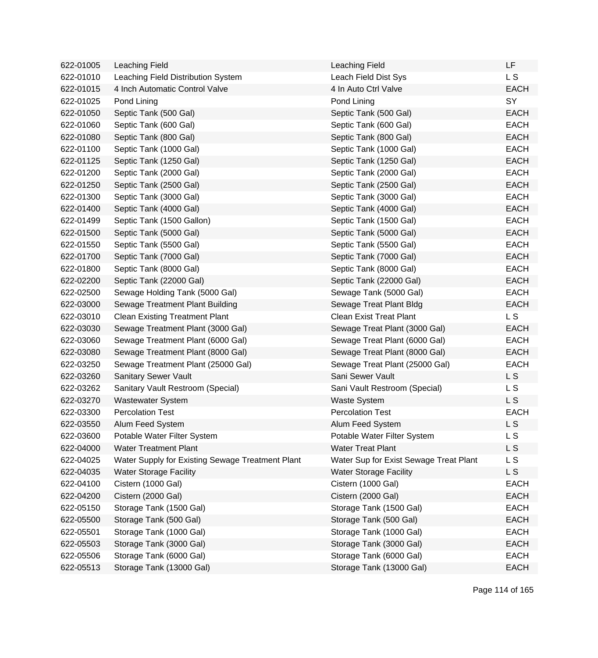| 622-01005 | Leaching Field                                   | Leaching Field                         | LF          |
|-----------|--------------------------------------------------|----------------------------------------|-------------|
| 622-01010 | Leaching Field Distribution System               | Leach Field Dist Sys                   | L S         |
| 622-01015 | 4 Inch Automatic Control Valve                   | 4 In Auto Ctrl Valve                   | <b>EACH</b> |
| 622-01025 | Pond Lining                                      | Pond Lining                            | SY          |
| 622-01050 | Septic Tank (500 Gal)                            | Septic Tank (500 Gal)                  | <b>EACH</b> |
| 622-01060 | Septic Tank (600 Gal)                            | Septic Tank (600 Gal)                  | <b>EACH</b> |
| 622-01080 | Septic Tank (800 Gal)                            | Septic Tank (800 Gal)                  | <b>EACH</b> |
| 622-01100 | Septic Tank (1000 Gal)                           | Septic Tank (1000 Gal)                 | <b>EACH</b> |
| 622-01125 | Septic Tank (1250 Gal)                           | Septic Tank (1250 Gal)                 | <b>EACH</b> |
| 622-01200 | Septic Tank (2000 Gal)                           | Septic Tank (2000 Gal)                 | <b>EACH</b> |
| 622-01250 | Septic Tank (2500 Gal)                           | Septic Tank (2500 Gal)                 | <b>EACH</b> |
| 622-01300 | Septic Tank (3000 Gal)                           | Septic Tank (3000 Gal)                 | <b>EACH</b> |
| 622-01400 | Septic Tank (4000 Gal)                           | Septic Tank (4000 Gal)                 | <b>EACH</b> |
| 622-01499 | Septic Tank (1500 Gallon)                        | Septic Tank (1500 Gal)                 | <b>EACH</b> |
| 622-01500 | Septic Tank (5000 Gal)                           | Septic Tank (5000 Gal)                 | <b>EACH</b> |
| 622-01550 | Septic Tank (5500 Gal)                           | Septic Tank (5500 Gal)                 | <b>EACH</b> |
| 622-01700 | Septic Tank (7000 Gal)                           | Septic Tank (7000 Gal)                 | <b>EACH</b> |
| 622-01800 | Septic Tank (8000 Gal)                           | Septic Tank (8000 Gal)                 | <b>EACH</b> |
| 622-02200 | Septic Tank (22000 Gal)                          | Septic Tank (22000 Gal)                | <b>EACH</b> |
| 622-02500 | Sewage Holding Tank (5000 Gal)                   | Sewage Tank (5000 Gal)                 | <b>EACH</b> |
| 622-03000 | Sewage Treatment Plant Building                  | Sewage Treat Plant Bldg                | <b>EACH</b> |
| 622-03010 | <b>Clean Existing Treatment Plant</b>            | <b>Clean Exist Treat Plant</b>         | L S         |
| 622-03030 | Sewage Treatment Plant (3000 Gal)                | Sewage Treat Plant (3000 Gal)          | <b>EACH</b> |
| 622-03060 | Sewage Treatment Plant (6000 Gal)                | Sewage Treat Plant (6000 Gal)          | <b>EACH</b> |
| 622-03080 | Sewage Treatment Plant (8000 Gal)                | Sewage Treat Plant (8000 Gal)          | <b>EACH</b> |
| 622-03250 | Sewage Treatment Plant (25000 Gal)               | Sewage Treat Plant (25000 Gal)         | <b>EACH</b> |
| 622-03260 | Sanitary Sewer Vault                             | Sani Sewer Vault                       | L S         |
| 622-03262 | Sanitary Vault Restroom (Special)                | Sani Vault Restroom (Special)          | L S         |
| 622-03270 | <b>Wastewater System</b>                         | <b>Waste System</b>                    | L S         |
| 622-03300 | <b>Percolation Test</b>                          | <b>Percolation Test</b>                | <b>EACH</b> |
| 622-03550 | Alum Feed System                                 | Alum Feed System                       | L S         |
| 622-03600 | Potable Water Filter System                      | Potable Water Filter System            | L S         |
| 622-04000 | <b>Water Treatment Plant</b>                     | <b>Water Treat Plant</b>               | L S         |
| 622-04025 | Water Supply for Existing Sewage Treatment Plant | Water Sup for Exist Sewage Treat Plant | L S         |
| 622-04035 | <b>Water Storage Facility</b>                    | <b>Water Storage Facility</b>          | L S         |
| 622-04100 | Cistern (1000 Gal)                               | Cistern (1000 Gal)                     | <b>EACH</b> |
| 622-04200 | Cistern (2000 Gal)                               | Cistern (2000 Gal)                     | <b>EACH</b> |
| 622-05150 | Storage Tank (1500 Gal)                          | Storage Tank (1500 Gal)                | <b>EACH</b> |
| 622-05500 | Storage Tank (500 Gal)                           | Storage Tank (500 Gal)                 | <b>EACH</b> |
| 622-05501 | Storage Tank (1000 Gal)                          | Storage Tank (1000 Gal)                | <b>EACH</b> |
| 622-05503 | Storage Tank (3000 Gal)                          | Storage Tank (3000 Gal)                | <b>EACH</b> |
| 622-05506 | Storage Tank (6000 Gal)                          | Storage Tank (6000 Gal)                | <b>EACH</b> |
| 622-05513 | Storage Tank (13000 Gal)                         | Storage Tank (13000 Gal)               | <b>EACH</b> |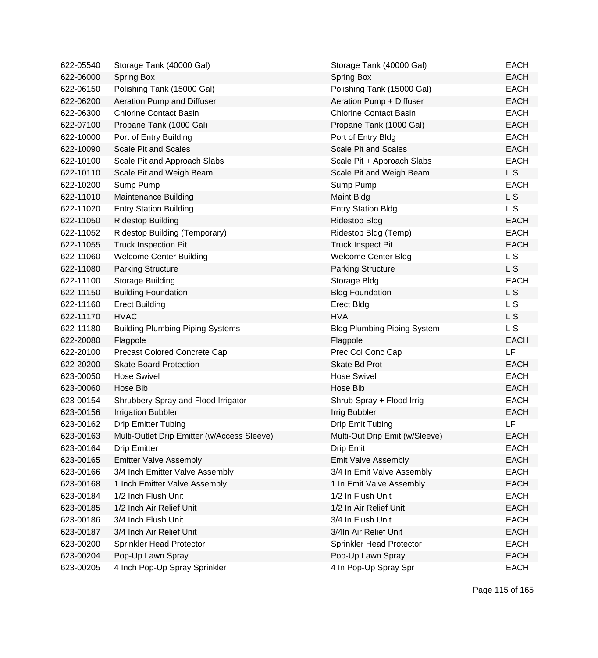| 622-05540 | Storage Tank (40000 Gal)                    | Storage Tank (40000 Gal)           | <b>EACH</b>    |
|-----------|---------------------------------------------|------------------------------------|----------------|
| 622-06000 | <b>Spring Box</b>                           | Spring Box                         | <b>EACH</b>    |
| 622-06150 | Polishing Tank (15000 Gal)                  | Polishing Tank (15000 Gal)         | <b>EACH</b>    |
| 622-06200 | Aeration Pump and Diffuser                  | Aeration Pump + Diffuser           | <b>EACH</b>    |
| 622-06300 | <b>Chlorine Contact Basin</b>               | <b>Chlorine Contact Basin</b>      | <b>EACH</b>    |
| 622-07100 | Propane Tank (1000 Gal)                     | Propane Tank (1000 Gal)            | <b>EACH</b>    |
| 622-10000 | Port of Entry Building                      | Port of Entry Bldg                 | <b>EACH</b>    |
| 622-10090 | <b>Scale Pit and Scales</b>                 | <b>Scale Pit and Scales</b>        | <b>EACH</b>    |
| 622-10100 | Scale Pit and Approach Slabs                | Scale Pit + Approach Slabs         | <b>EACH</b>    |
| 622-10110 | Scale Pit and Weigh Beam                    | Scale Pit and Weigh Beam           | L S            |
| 622-10200 | Sump Pump                                   | Sump Pump                          | <b>EACH</b>    |
| 622-11010 | Maintenance Building                        | Maint Bldg                         | L S            |
| 622-11020 | <b>Entry Station Building</b>               | <b>Entry Station Bldg</b>          | <b>LS</b>      |
| 622-11050 | <b>Ridestop Building</b>                    | <b>Ridestop Bldg</b>               | <b>EACH</b>    |
| 622-11052 | Ridestop Building (Temporary)               | Ridestop Bldg (Temp)               | <b>EACH</b>    |
| 622-11055 | <b>Truck Inspection Pit</b>                 | <b>Truck Inspect Pit</b>           | <b>EACH</b>    |
| 622-11060 | <b>Welcome Center Building</b>              | <b>Welcome Center Bldg</b>         | L <sub>S</sub> |
| 622-11080 | <b>Parking Structure</b>                    | <b>Parking Structure</b>           | L S            |
| 622-11100 | Storage Building                            | Storage Bldg                       | <b>EACH</b>    |
| 622-11150 | <b>Building Foundation</b>                  | <b>Bldg Foundation</b>             | <b>LS</b>      |
| 622-11160 | <b>Erect Building</b>                       | <b>Erect Bldg</b>                  | L S            |
| 622-11170 | <b>HVAC</b>                                 | <b>HVA</b>                         | L S            |
| 622-11180 | <b>Building Plumbing Piping Systems</b>     | <b>Bldg Plumbing Piping System</b> | L <sub>S</sub> |
| 622-20080 | Flagpole                                    | Flagpole                           | <b>EACH</b>    |
| 622-20100 | Precast Colored Concrete Cap                | Prec Col Conc Cap                  | LF             |
| 622-20200 | <b>Skate Board Protection</b>               | Skate Bd Prot                      | <b>EACH</b>    |
| 623-00050 | <b>Hose Swivel</b>                          | <b>Hose Swivel</b>                 | <b>EACH</b>    |
| 623-00060 | Hose Bib                                    | Hose Bib                           | <b>EACH</b>    |
| 623-00154 | Shrubbery Spray and Flood Irrigator         | Shrub Spray + Flood Irrig          | <b>EACH</b>    |
| 623-00156 | <b>Irrigation Bubbler</b>                   | Irrig Bubbler                      | <b>EACH</b>    |
| 623-00162 | <b>Drip Emitter Tubing</b>                  | Drip Emit Tubing                   | <b>LF</b>      |
| 623-00163 | Multi-Outlet Drip Emitter (w/Access Sleeve) | Multi-Out Drip Emit (w/Sleeve)     | <b>EACH</b>    |
| 623-00164 | <b>Drip Emitter</b>                         | Drip Emit                          | <b>EACH</b>    |
| 623-00165 | <b>Emitter Valve Assembly</b>               | Emit Valve Assembly                | <b>EACH</b>    |
| 623-00166 | 3/4 Inch Emitter Valve Assembly             | 3/4 In Emit Valve Assembly         | <b>EACH</b>    |
| 623-00168 | 1 Inch Emitter Valve Assembly               | 1 In Emit Valve Assembly           | <b>EACH</b>    |
| 623-00184 | 1/2 Inch Flush Unit                         | 1/2 In Flush Unit                  | <b>EACH</b>    |
| 623-00185 | 1/2 Inch Air Relief Unit                    | 1/2 In Air Relief Unit             | <b>EACH</b>    |
| 623-00186 | 3/4 Inch Flush Unit                         | 3/4 In Flush Unit                  | <b>EACH</b>    |
| 623-00187 | 3/4 Inch Air Relief Unit                    | 3/4In Air Relief Unit              | <b>EACH</b>    |
| 623-00200 | Sprinkler Head Protector                    | Sprinkler Head Protector           | <b>EACH</b>    |
| 623-00204 | Pop-Up Lawn Spray                           | Pop-Up Lawn Spray                  | <b>EACH</b>    |
| 623-00205 | 4 Inch Pop-Up Spray Sprinkler               | 4 In Pop-Up Spray Spr              | <b>EACH</b>    |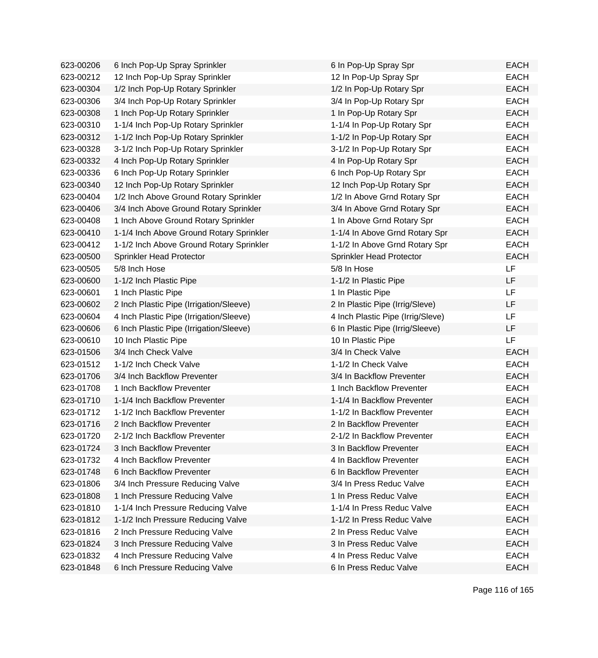| 623-00206 | 6 Inch Pop-Up Spray Sprinkler            | 6 In Pop-Up Spray Spr             | <b>EACH</b> |
|-----------|------------------------------------------|-----------------------------------|-------------|
| 623-00212 | 12 Inch Pop-Up Spray Sprinkler           | 12 In Pop-Up Spray Spr            | <b>EACH</b> |
| 623-00304 | 1/2 Inch Pop-Up Rotary Sprinkler         | 1/2 In Pop-Up Rotary Spr          | <b>EACH</b> |
| 623-00306 | 3/4 Inch Pop-Up Rotary Sprinkler         | 3/4 In Pop-Up Rotary Spr          | <b>EACH</b> |
| 623-00308 | 1 Inch Pop-Up Rotary Sprinkler           | 1 In Pop-Up Rotary Spr            | <b>EACH</b> |
| 623-00310 | 1-1/4 Inch Pop-Up Rotary Sprinkler       | 1-1/4 In Pop-Up Rotary Spr        | <b>EACH</b> |
| 623-00312 | 1-1/2 Inch Pop-Up Rotary Sprinkler       | 1-1/2 In Pop-Up Rotary Spr        | <b>EACH</b> |
| 623-00328 | 3-1/2 Inch Pop-Up Rotary Sprinkler       | 3-1/2 In Pop-Up Rotary Spr        | <b>EACH</b> |
| 623-00332 | 4 Inch Pop-Up Rotary Sprinkler           | 4 In Pop-Up Rotary Spr            | <b>EACH</b> |
| 623-00336 | 6 Inch Pop-Up Rotary Sprinkler           | 6 Inch Pop-Up Rotary Spr          | <b>EACH</b> |
| 623-00340 | 12 Inch Pop-Up Rotary Sprinkler          | 12 Inch Pop-Up Rotary Spr         | <b>EACH</b> |
| 623-00404 | 1/2 Inch Above Ground Rotary Sprinkler   | 1/2 In Above Grnd Rotary Spr      | <b>EACH</b> |
| 623-00406 | 3/4 Inch Above Ground Rotary Sprinkler   | 3/4 In Above Grnd Rotary Spr      | <b>EACH</b> |
| 623-00408 | 1 Inch Above Ground Rotary Sprinkler     | 1 In Above Grnd Rotary Spr        | <b>EACH</b> |
| 623-00410 | 1-1/4 Inch Above Ground Rotary Sprinkler | 1-1/4 In Above Grnd Rotary Spr    | <b>EACH</b> |
| 623-00412 | 1-1/2 Inch Above Ground Rotary Sprinkler | 1-1/2 In Above Grnd Rotary Spr    | <b>EACH</b> |
| 623-00500 | Sprinkler Head Protector                 | Sprinkler Head Protector          | <b>EACH</b> |
| 623-00505 | 5/8 Inch Hose                            | 5/8 In Hose                       | LF          |
| 623-00600 | 1-1/2 Inch Plastic Pipe                  | 1-1/2 In Plastic Pipe             | LF          |
| 623-00601 | 1 Inch Plastic Pipe                      | 1 In Plastic Pipe                 | <b>LF</b>   |
| 623-00602 | 2 Inch Plastic Pipe (Irrigation/Sleeve)  | 2 In Plastic Pipe (Irrig/Sleve)   | LF          |
| 623-00604 | 4 Inch Plastic Pipe (Irrigation/Sleeve)  | 4 Inch Plastic Pipe (Irrig/Sleve) | LF          |
| 623-00606 | 6 Inch Plastic Pipe (Irrigation/Sleeve)  | 6 In Plastic Pipe (Irrig/Sleeve)  | LF          |
| 623-00610 | 10 Inch Plastic Pipe                     | 10 In Plastic Pipe                | LF          |
| 623-01506 | 3/4 Inch Check Valve                     | 3/4 In Check Valve                | <b>EACH</b> |
| 623-01512 | 1-1/2 Inch Check Valve                   | 1-1/2 In Check Valve              | <b>EACH</b> |
| 623-01706 | 3/4 Inch Backflow Preventer              | 3/4 In Backflow Preventer         | <b>EACH</b> |
| 623-01708 | 1 Inch Backflow Preventer                | 1 Inch Backflow Preventer         | <b>EACH</b> |
| 623-01710 | 1-1/4 Inch Backflow Preventer            | 1-1/4 In Backflow Preventer       | <b>EACH</b> |
| 623-01712 | 1-1/2 Inch Backflow Preventer            | 1-1/2 In Backflow Preventer       | <b>EACH</b> |
| 623-01716 | 2 Inch Backflow Preventer                | 2 In Backflow Preventer           | <b>EACH</b> |
| 623-01720 | 2-1/2 Inch Backflow Preventer            | 2-1/2 In Backflow Preventer       | EACH        |
| 623-01724 | 3 Inch Backflow Preventer                | 3 In Backflow Preventer           | <b>EACH</b> |
| 623-01732 | 4 Inch Backflow Preventer                | 4 In Backflow Preventer           | <b>EACH</b> |
| 623-01748 | 6 Inch Backflow Preventer                | 6 In Backflow Preventer           | <b>EACH</b> |
| 623-01806 | 3/4 Inch Pressure Reducing Valve         | 3/4 In Press Reduc Valve          | <b>EACH</b> |
| 623-01808 | 1 Inch Pressure Reducing Valve           | 1 In Press Reduc Valve            | <b>EACH</b> |
| 623-01810 | 1-1/4 Inch Pressure Reducing Valve       | 1-1/4 In Press Reduc Valve        | <b>EACH</b> |
| 623-01812 | 1-1/2 Inch Pressure Reducing Valve       | 1-1/2 In Press Reduc Valve        | <b>EACH</b> |
| 623-01816 | 2 Inch Pressure Reducing Valve           | 2 In Press Reduc Valve            | <b>EACH</b> |
| 623-01824 | 3 Inch Pressure Reducing Valve           | 3 In Press Reduc Valve            | <b>EACH</b> |
| 623-01832 | 4 Inch Pressure Reducing Valve           | 4 In Press Reduc Valve            | <b>EACH</b> |
| 623-01848 | 6 Inch Pressure Reducing Valve           | 6 In Press Reduc Valve            | <b>EACH</b> |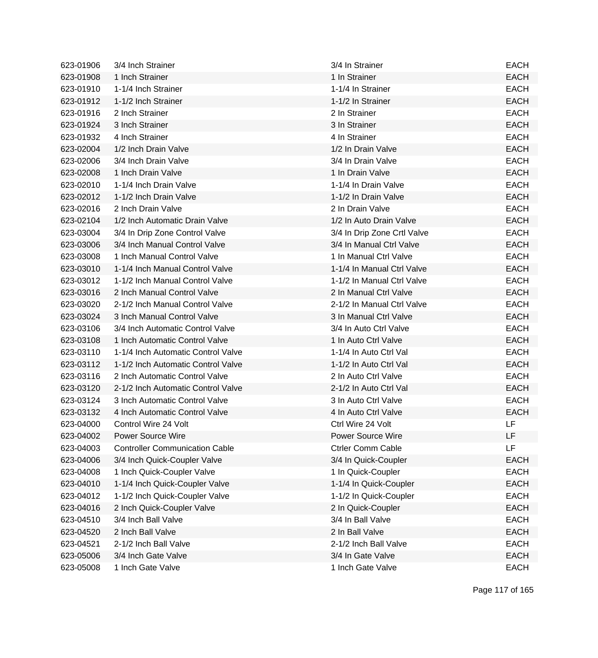| 623-01906 | 3/4 Inch Strainer                     | 3/4 In Strainer             | <b>EACH</b> |
|-----------|---------------------------------------|-----------------------------|-------------|
| 623-01908 | 1 Inch Strainer                       | 1 In Strainer               | <b>EACH</b> |
| 623-01910 | 1-1/4 Inch Strainer                   | 1-1/4 In Strainer           | <b>EACH</b> |
| 623-01912 | 1-1/2 Inch Strainer                   | 1-1/2 In Strainer           | <b>EACH</b> |
| 623-01916 | 2 Inch Strainer                       | 2 In Strainer               | <b>EACH</b> |
| 623-01924 | 3 Inch Strainer                       | 3 In Strainer               | <b>EACH</b> |
| 623-01932 | 4 Inch Strainer                       | 4 In Strainer               | <b>EACH</b> |
| 623-02004 | 1/2 Inch Drain Valve                  | 1/2 In Drain Valve          | <b>EACH</b> |
| 623-02006 | 3/4 Inch Drain Valve                  | 3/4 In Drain Valve          | <b>EACH</b> |
| 623-02008 | 1 Inch Drain Valve                    | 1 In Drain Valve            | <b>EACH</b> |
| 623-02010 | 1-1/4 Inch Drain Valve                | 1-1/4 In Drain Valve        | <b>EACH</b> |
| 623-02012 | 1-1/2 Inch Drain Valve                | 1-1/2 In Drain Valve        | <b>EACH</b> |
| 623-02016 | 2 Inch Drain Valve                    | 2 In Drain Valve            | <b>EACH</b> |
| 623-02104 | 1/2 Inch Automatic Drain Valve        | 1/2 In Auto Drain Valve     | <b>EACH</b> |
| 623-03004 | 3/4 In Drip Zone Control Valve        | 3/4 In Drip Zone Crtl Valve | <b>EACH</b> |
| 623-03006 | 3/4 Inch Manual Control Valve         | 3/4 In Manual Ctrl Valve    | <b>EACH</b> |
| 623-03008 | 1 Inch Manual Control Valve           | 1 In Manual Ctrl Valve      | <b>EACH</b> |
| 623-03010 | 1-1/4 Inch Manual Control Valve       | 1-1/4 In Manual Ctrl Valve  | <b>EACH</b> |
| 623-03012 | 1-1/2 Inch Manual Control Valve       | 1-1/2 In Manual Ctrl Valve  | <b>EACH</b> |
| 623-03016 | 2 Inch Manual Control Valve           | 2 In Manual Ctrl Valve      | <b>EACH</b> |
| 623-03020 | 2-1/2 Inch Manual Control Valve       | 2-1/2 In Manual Ctrl Valve  | <b>EACH</b> |
| 623-03024 | 3 Inch Manual Control Valve           | 3 In Manual Ctrl Valve      | <b>EACH</b> |
| 623-03106 | 3/4 Inch Automatic Control Valve      | 3/4 In Auto Ctrl Valve      | <b>EACH</b> |
| 623-03108 | 1 Inch Automatic Control Valve        | 1 In Auto Ctrl Valve        | <b>EACH</b> |
| 623-03110 | 1-1/4 Inch Automatic Control Valve    | 1-1/4 In Auto Ctrl Val      | <b>EACH</b> |
| 623-03112 | 1-1/2 Inch Automatic Control Valve    | 1-1/2 In Auto Ctrl Val      | <b>EACH</b> |
| 623-03116 | 2 Inch Automatic Control Valve        | 2 In Auto Ctrl Valve        | <b>EACH</b> |
| 623-03120 | 2-1/2 Inch Automatic Control Valve    | 2-1/2 In Auto Ctrl Val      | <b>EACH</b> |
| 623-03124 | 3 Inch Automatic Control Valve        | 3 In Auto Ctrl Valve        | <b>EACH</b> |
| 623-03132 | 4 Inch Automatic Control Valve        | 4 In Auto Ctrl Valve        | <b>EACH</b> |
| 623-04000 | Control Wire 24 Volt                  | Ctrl Wire 24 Volt           | LF          |
| 623-04002 | Power Source Wire                     | <b>Power Source Wire</b>    | LF          |
| 623-04003 | <b>Controller Communication Cable</b> | <b>Ctrler Comm Cable</b>    | LF          |
| 623-04006 | 3/4 Inch Quick-Coupler Valve          | 3/4 In Quick-Coupler        | <b>EACH</b> |
| 623-04008 | 1 Inch Quick-Coupler Valve            | 1 In Quick-Coupler          | <b>EACH</b> |
| 623-04010 | 1-1/4 Inch Quick-Coupler Valve        | 1-1/4 In Quick-Coupler      | <b>EACH</b> |
| 623-04012 | 1-1/2 Inch Quick-Coupler Valve        | 1-1/2 In Quick-Coupler      | <b>EACH</b> |
| 623-04016 | 2 Inch Quick-Coupler Valve            | 2 In Quick-Coupler          | <b>EACH</b> |
| 623-04510 | 3/4 Inch Ball Valve                   | 3/4 In Ball Valve           | <b>EACH</b> |
| 623-04520 | 2 Inch Ball Valve                     | 2 In Ball Valve             | <b>EACH</b> |
| 623-04521 | 2-1/2 Inch Ball Valve                 | 2-1/2 Inch Ball Valve       | <b>EACH</b> |
| 623-05006 | 3/4 Inch Gate Valve                   | 3/4 In Gate Valve           | <b>EACH</b> |
| 623-05008 | 1 Inch Gate Valve                     | 1 Inch Gate Valve           | <b>EACH</b> |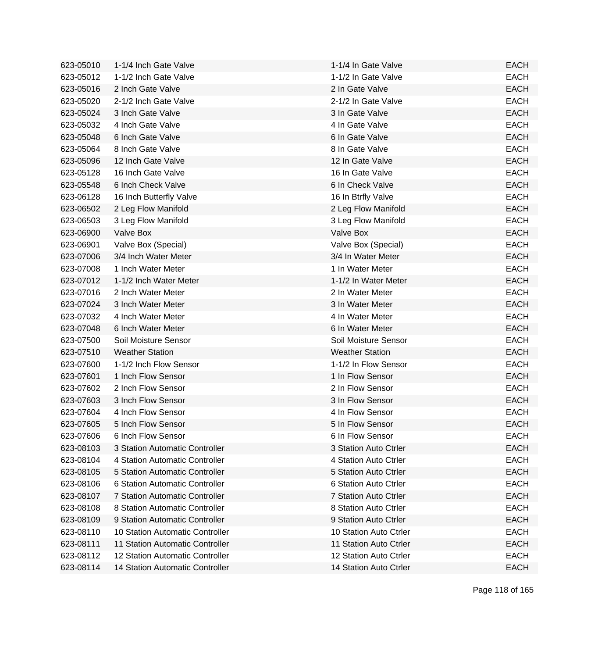| 623-05010 | 1-1/4 Inch Gate Valve           | 1-1/4 In Gate Valve    | <b>EACH</b> |
|-----------|---------------------------------|------------------------|-------------|
| 623-05012 | 1-1/2 Inch Gate Valve           | 1-1/2 In Gate Valve    | <b>EACH</b> |
| 623-05016 | 2 Inch Gate Valve               | 2 In Gate Valve        | <b>EACH</b> |
| 623-05020 | 2-1/2 Inch Gate Valve           | 2-1/2 In Gate Valve    | <b>EACH</b> |
| 623-05024 | 3 Inch Gate Valve               | 3 In Gate Valve        | <b>EACH</b> |
| 623-05032 | 4 Inch Gate Valve               | 4 In Gate Valve        | <b>EACH</b> |
| 623-05048 | 6 Inch Gate Valve               | 6 In Gate Valve        | <b>EACH</b> |
| 623-05064 | 8 Inch Gate Valve               | 8 In Gate Valve        | <b>EACH</b> |
| 623-05096 | 12 Inch Gate Valve              | 12 In Gate Valve       | <b>EACH</b> |
| 623-05128 | 16 Inch Gate Valve              | 16 In Gate Valve       | <b>EACH</b> |
| 623-05548 | 6 Inch Check Valve              | 6 In Check Valve       | <b>EACH</b> |
| 623-06128 | 16 Inch Butterfly Valve         | 16 In Btrfly Valve     | <b>EACH</b> |
| 623-06502 | 2 Leg Flow Manifold             | 2 Leg Flow Manifold    | <b>EACH</b> |
| 623-06503 | 3 Leg Flow Manifold             | 3 Leg Flow Manifold    | <b>EACH</b> |
| 623-06900 | Valve Box                       | Valve Box              | <b>EACH</b> |
| 623-06901 | Valve Box (Special)             | Valve Box (Special)    | <b>EACH</b> |
| 623-07006 | 3/4 Inch Water Meter            | 3/4 In Water Meter     | <b>EACH</b> |
| 623-07008 | 1 Inch Water Meter              | 1 In Water Meter       | <b>EACH</b> |
| 623-07012 | 1-1/2 Inch Water Meter          | 1-1/2 In Water Meter   | <b>EACH</b> |
| 623-07016 | 2 Inch Water Meter              | 2 In Water Meter       | <b>EACH</b> |
| 623-07024 | 3 Inch Water Meter              | 3 In Water Meter       | <b>EACH</b> |
| 623-07032 | 4 Inch Water Meter              | 4 In Water Meter       | <b>EACH</b> |
| 623-07048 | 6 Inch Water Meter              | 6 In Water Meter       | <b>EACH</b> |
| 623-07500 | Soil Moisture Sensor            | Soil Moisture Sensor   | <b>EACH</b> |
| 623-07510 | <b>Weather Station</b>          | <b>Weather Station</b> | <b>EACH</b> |
| 623-07600 | 1-1/2 Inch Flow Sensor          | 1-1/2 In Flow Sensor   | <b>EACH</b> |
| 623-07601 | 1 Inch Flow Sensor              | 1 In Flow Sensor       | <b>EACH</b> |
| 623-07602 | 2 Inch Flow Sensor              | 2 In Flow Sensor       | <b>EACH</b> |
| 623-07603 | 3 Inch Flow Sensor              | 3 In Flow Sensor       | <b>EACH</b> |
| 623-07604 | 4 Inch Flow Sensor              | 4 In Flow Sensor       | <b>EACH</b> |
| 623-07605 | 5 Inch Flow Sensor              | 5 In Flow Sensor       | <b>EACH</b> |
| 623-07606 | 6 Inch Flow Sensor              | 6 In Flow Sensor       | EACH        |
| 623-08103 | 3 Station Automatic Controller  | 3 Station Auto Ctrler  | <b>EACH</b> |
| 623-08104 | 4 Station Automatic Controller  | 4 Station Auto Ctrler  | <b>EACH</b> |
| 623-08105 | 5 Station Automatic Controller  | 5 Station Auto Ctrler  | <b>EACH</b> |
| 623-08106 | 6 Station Automatic Controller  | 6 Station Auto Ctrler  | <b>EACH</b> |
| 623-08107 | 7 Station Automatic Controller  | 7 Station Auto Ctrler  | <b>EACH</b> |
| 623-08108 | 8 Station Automatic Controller  | 8 Station Auto Ctrler  | <b>EACH</b> |
| 623-08109 | 9 Station Automatic Controller  | 9 Station Auto Ctrler  | <b>EACH</b> |
| 623-08110 | 10 Station Automatic Controller | 10 Station Auto Ctrler | <b>EACH</b> |
| 623-08111 | 11 Station Automatic Controller | 11 Station Auto Ctrler | <b>EACH</b> |
| 623-08112 | 12 Station Automatic Controller | 12 Station Auto Ctrler | <b>EACH</b> |
| 623-08114 | 14 Station Automatic Controller | 14 Station Auto Ctrler | <b>EACH</b> |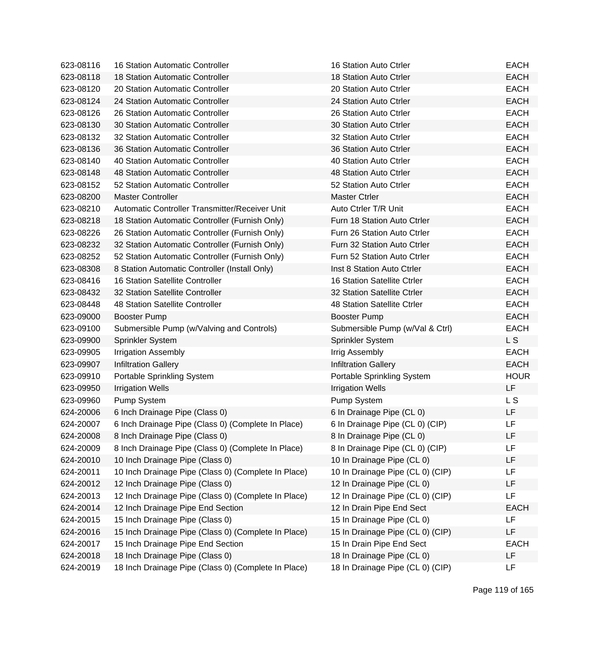| 623-08116 | 16 Station Automatic Controller                     | 16 Station Auto Ctrler           | <b>EACH</b> |
|-----------|-----------------------------------------------------|----------------------------------|-------------|
| 623-08118 | 18 Station Automatic Controller                     | 18 Station Auto Ctrler           | <b>EACH</b> |
| 623-08120 | 20 Station Automatic Controller                     | 20 Station Auto Ctrler           | <b>EACH</b> |
| 623-08124 | 24 Station Automatic Controller                     | 24 Station Auto Ctrler           | <b>EACH</b> |
| 623-08126 | 26 Station Automatic Controller                     | 26 Station Auto Ctrler           | <b>EACH</b> |
| 623-08130 | 30 Station Automatic Controller                     | 30 Station Auto Ctrler           | <b>EACH</b> |
| 623-08132 | 32 Station Automatic Controller                     | 32 Station Auto Ctrler           | <b>EACH</b> |
| 623-08136 | 36 Station Automatic Controller                     | 36 Station Auto Ctrler           | <b>EACH</b> |
| 623-08140 | 40 Station Automatic Controller                     | 40 Station Auto Ctrler           | <b>EACH</b> |
| 623-08148 | 48 Station Automatic Controller                     | 48 Station Auto Ctrler           | <b>EACH</b> |
| 623-08152 | 52 Station Automatic Controller                     | 52 Station Auto Ctrler           | <b>EACH</b> |
| 623-08200 | <b>Master Controller</b>                            | <b>Master Ctrler</b>             | <b>EACH</b> |
| 623-08210 | Automatic Controller Transmitter/Receiver Unit      | Auto Ctrler T/R Unit             | <b>EACH</b> |
| 623-08218 | 18 Station Automatic Controller (Furnish Only)      | Furn 18 Station Auto Ctrler      | <b>EACH</b> |
| 623-08226 | 26 Station Automatic Controller (Furnish Only)      | Furn 26 Station Auto Ctrler      | <b>EACH</b> |
| 623-08232 | 32 Station Automatic Controller (Furnish Only)      | Furn 32 Station Auto Ctrler      | <b>EACH</b> |
| 623-08252 | 52 Station Automatic Controller (Furnish Only)      | Furn 52 Station Auto Ctrler      | <b>EACH</b> |
| 623-08308 | 8 Station Automatic Controller (Install Only)       | Inst 8 Station Auto Ctrler       | <b>EACH</b> |
| 623-08416 | <b>16 Station Satellite Controller</b>              | 16 Station Satellite Ctrler      | <b>EACH</b> |
| 623-08432 | 32 Station Satellite Controller                     | 32 Station Satellite Ctrler      | <b>EACH</b> |
| 623-08448 | 48 Station Satellite Controller                     | 48 Station Satellite Ctrler      | <b>EACH</b> |
| 623-09000 | <b>Booster Pump</b>                                 | <b>Booster Pump</b>              | <b>EACH</b> |
| 623-09100 | Submersible Pump (w/Valving and Controls)           | Submersible Pump (w/Val & Ctrl)  | <b>EACH</b> |
| 623-09900 | Sprinkler System                                    | Sprinkler System                 | L S         |
| 623-09905 | <b>Irrigation Assembly</b>                          | Irrig Assembly                   | <b>EACH</b> |
| 623-09907 | <b>Infiltration Gallery</b>                         | <b>Infiltration Gallery</b>      | <b>EACH</b> |
| 623-09910 | Portable Sprinkling System                          | Portable Sprinkling System       | <b>HOUR</b> |
| 623-09950 | <b>Irrigation Wells</b>                             | <b>Irrigation Wells</b>          | LF          |
| 623-09960 | Pump System                                         | Pump System                      | L S         |
| 624-20006 | 6 Inch Drainage Pipe (Class 0)                      | 6 In Drainage Pipe (CL 0)        | LF          |
| 624-20007 | 6 Inch Drainage Pipe (Class 0) (Complete In Place)  | 6 In Drainage Pipe (CL 0) (CIP)  | LF          |
| 624-20008 | 8 Inch Drainage Pipe (Class 0)                      | 8 In Drainage Pipe (CL 0)        | LF          |
| 624-20009 | 8 Inch Drainage Pipe (Class 0) (Complete In Place)  | 8 In Drainage Pipe (CL 0) (CIP)  | LF          |
| 624-20010 | 10 Inch Drainage Pipe (Class 0)                     | 10 In Drainage Pipe (CL 0)       | LF          |
| 624-20011 | 10 Inch Drainage Pipe (Class 0) (Complete In Place) | 10 In Drainage Pipe (CL 0) (CIP) | LF          |
| 624-20012 | 12 Inch Drainage Pipe (Class 0)                     | 12 In Drainage Pipe (CL 0)       | LF          |
| 624-20013 | 12 Inch Drainage Pipe (Class 0) (Complete In Place) | 12 In Drainage Pipe (CL 0) (CIP) | LF          |
| 624-20014 | 12 Inch Drainage Pipe End Section                   | 12 In Drain Pipe End Sect        | <b>EACH</b> |
| 624-20015 | 15 Inch Drainage Pipe (Class 0)                     | 15 In Drainage Pipe (CL 0)       | LF          |
| 624-20016 | 15 Inch Drainage Pipe (Class 0) (Complete In Place) | 15 In Drainage Pipe (CL 0) (CIP) | LF          |
| 624-20017 | 15 Inch Drainage Pipe End Section                   | 15 In Drain Pipe End Sect        | <b>EACH</b> |
| 624-20018 | 18 Inch Drainage Pipe (Class 0)                     | 18 In Drainage Pipe (CL 0)       | LF          |
| 624-20019 | 18 Inch Drainage Pipe (Class 0) (Complete In Place) | 18 In Drainage Pipe (CL 0) (CIP) | LF          |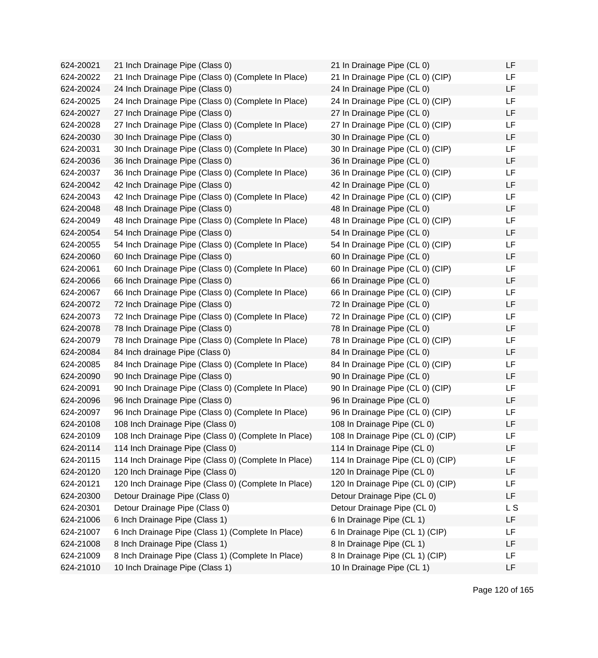624-20021 21 Inch Drainage Pipe (Class 0) 624-20022 21 Inch Drainage Pipe (Class 0) (Complete In Place) 624-20024 24 Inch Drainage Pipe (Class 0) 624-20025 24 Inch Drainage Pipe (Class 0) (Complete In Place) 624-20027 27 Inch Drainage Pipe (Class 0) 624-20028 27 Inch Drainage Pipe (Class 0) (Complete In Place) 624-20030 30 Inch Drainage Pipe (Class 0) 624-20031 30 Inch Drainage Pipe (Class 0) (Complete In Place) 624-20036 36 Inch Drainage Pipe (Class 0) 624-20037 36 Inch Drainage Pipe (Class 0) (Complete In Place) 624-20042 42 Inch Drainage Pipe (Class 0) 624-20043 42 Inch Drainage Pipe (Class 0) (Complete In Place)  $624 - 20048$  48 Inch Drainage Pipe (Class 0) 624-20049 48 Inch Drainage Pipe (Class 0) (Complete In Place) 624-20054 54 Inch Drainage Pipe (Class 0) 624-20055 54 Inch Drainage Pipe (Class 0) (Complete In Place) 624-20060 60 Inch Drainage Pipe (Class 0) 624-20061 60 Inch Drainage Pipe (Class 0) (Complete In Place) 624-20066 66 Inch Drainage Pipe (Class 0) 624-20067 66 Inch Drainage Pipe (Class 0) (Complete In Place) 624-20072 72 Inch Drainage Pipe (Class 0) 624-20073 72 Inch Drainage Pipe (Class 0) (Complete In Place) 624-20078 78 Inch Drainage Pipe (Class 0) 624-20079 78 Inch Drainage Pipe (Class 0) (Complete In Place) 624-20084 84 Inch drainage Pipe (Class 0) 624-20085 84 Inch Drainage Pipe (Class 0) (Complete In Place) 624-20090 90 Inch Drainage Pipe (Class 0) 624-20091 90 Inch Drainage Pipe (Class 0) (Complete In Place) 624-20096 96 Inch Drainage Pipe (Class 0) 624-20097 96 Inch Drainage Pipe (Class 0) (Complete In Place) 624-20108 108 Inch Drainage Pipe (Class 0) 624-20109 108 Inch Drainage Pipe (Class 0) (Complete In Place) 624-20114 114 Inch Drainage Pipe (Class 0) 624-20115 114 Inch Drainage Pipe (Class 0) (Complete In Place) 624-20120 120 Inch Drainage Pipe (Class 0) 624-20121 120 Inch Drainage Pipe (Class 0) (Complete In Place) 624-20300 Detour Drainage Pipe (Class 0) 624-20301 Detour Drainage Pipe (Class 0) 624-21006 6 Inch Drainage Pipe (Class 1) 624-21007 6 Inch Drainage Pipe (Class 1) (Complete In Place) 624-21008 8 Inch Drainage Pipe (Class 1) 624-21009 8 Inch Drainage Pipe (Class 1) (Complete In Place) 624-21010 10 Inch Drainage Pipe (Class 1)

| 21 In Drainage Pipe (CL 0)        | LF             |
|-----------------------------------|----------------|
| 21 In Drainage Pipe (CL 0) (CIP)  | LF             |
| 24 In Drainage Pipe (CL 0)        | LF             |
| 24 In Drainage Pipe (CL 0) (CIP)  | LF             |
| 27 In Drainage Pipe (CL 0)        | LF             |
| 27 In Drainage Pipe (CL 0) (CIP)  | LF             |
| 30 In Drainage Pipe (CL 0)        | LF             |
| 30 In Drainage Pipe (CL 0) (CIP)  | LF             |
| 36 In Drainage Pipe (CL 0)        | LF             |
| 36 In Drainage Pipe (CL 0) (CIP)  | LF             |
| 42 In Drainage Pipe (CL 0)        | LF             |
| 42 In Drainage Pipe (CL 0) (CIP)  | LF             |
| 48 In Drainage Pipe (CL 0)        | LF             |
| 48 In Drainage Pipe (CL 0) (CIP)  | LF             |
| 54 In Drainage Pipe (CL 0)        | LF             |
| 54 In Drainage Pipe (CL 0) (CIP)  | LF             |
| 60 In Drainage Pipe (CL 0)        | LF             |
| 60 In Drainage Pipe (CL 0) (CIP)  | LF             |
| 66 In Drainage Pipe (CL 0)        | LF             |
| 66 In Drainage Pipe (CL 0) (CIP)  | LF             |
| 72 In Drainage Pipe (CL 0)        | LF             |
| 72 In Drainage Pipe (CL 0) (CIP)  | LF             |
| 78 In Drainage Pipe (CL 0)        | LF             |
| 78 In Drainage Pipe (CL 0) (CIP)  | LF             |
| 84 In Drainage Pipe (CL 0)        | LF             |
| 84 In Drainage Pipe (CL 0) (CIP)  | LF             |
| 90 In Drainage Pipe (CL 0)        | LF             |
| 90 In Drainage Pipe (CL 0) (CIP)  | LF             |
| 96 In Drainage Pipe (CL 0)        | LF             |
| 96 In Drainage Pipe (CL 0) (CIP)  | LF             |
| 108 In Drainage Pipe (CL 0)       | LF             |
| 108 In Drainage Pipe (CL 0) (CIP) | LF             |
| 114 In Drainage Pipe (CL 0)       | LF             |
| 114 In Drainage Pipe (CL 0) (CIP) | LF             |
| 120 In Drainage Pipe (CL 0)       | LF             |
| 120 In Drainage Pipe (CL 0) (CIP) | LF             |
| Detour Drainage Pipe (CL 0)       | LF             |
| Detour Drainage Pipe (CL 0)       | L <sub>S</sub> |
| 6 In Drainage Pipe (CL 1)         | LF             |
| 6 In Drainage Pipe (CL 1) (CIP)   | LF             |
| 8 In Drainage Pipe (CL 1)         | LF             |
| 8 In Drainage Pipe (CL 1) (CIP)   | LF             |
| 10 In Drainage Pipe (CL 1)        | LF             |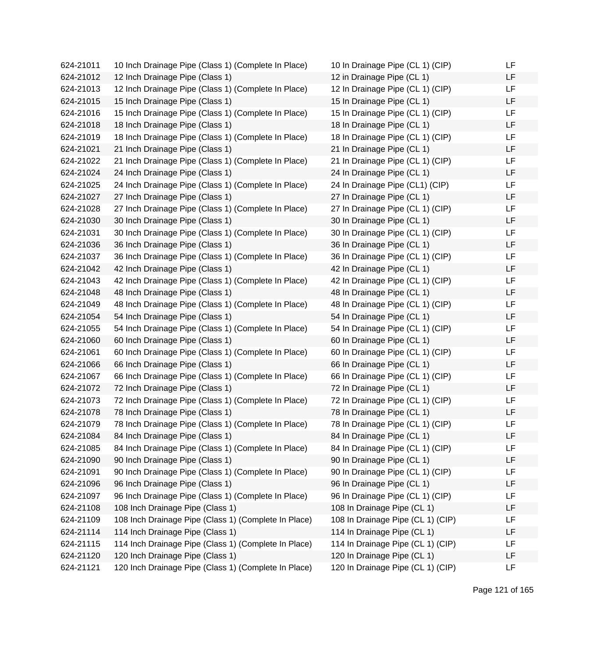624-21011 10 Inch Drainage Pipe (Class 1) (Complete In Place) 624-21012 12 Inch Drainage Pipe (Class 1) 624-21013 12 Inch Drainage Pipe (Class 1) (Complete In Place) 624-21015 15 Inch Drainage Pipe (Class 1) 624-21016 15 Inch Drainage Pipe (Class 1) (Complete In Place) 624-21018 18 Inch Drainage Pipe (Class 1) 624-21019 18 Inch Drainage Pipe (Class 1) (Complete In Place) 624-21021 21 Inch Drainage Pipe (Class 1) 624-21022 21 Inch Drainage Pipe (Class 1) (Complete In Place) 624-21024 24 Inch Drainage Pipe (Class 1) 624-21025 24 Inch Drainage Pipe (Class 1) (Complete In Place) 624-21027 27 Inch Drainage Pipe (Class 1) 624-21028 27 Inch Drainage Pipe (Class 1) (Complete In Place) 624-21030 30 Inch Drainage Pipe (Class 1) 624-21031 30 Inch Drainage Pipe (Class 1) (Complete In Place) 624-21036 36 Inch Drainage Pipe (Class 1) 624-21037 36 Inch Drainage Pipe (Class 1) (Complete In Place) 624-21042 42 Inch Drainage Pipe (Class 1) 624-21043 42 Inch Drainage Pipe (Class 1) (Complete In Place) 624-21048 48 Inch Drainage Pipe (Class 1) 624-21049 48 Inch Drainage Pipe (Class 1) (Complete In Place) 624-21054 54 Inch Drainage Pipe (Class 1) 624-21055 54 Inch Drainage Pipe (Class 1) (Complete In Place) 624-21060 60 Inch Drainage Pipe (Class 1) 624-21061 60 Inch Drainage Pipe (Class 1) (Complete In Place) 624-21066 66 Inch Drainage Pipe (Class 1) 624-21067 66 Inch Drainage Pipe (Class 1) (Complete In Place) 624-21072 72 Inch Drainage Pipe (Class 1) 624-21073 72 Inch Drainage Pipe (Class 1) (Complete In Place) 624-21078 78 Inch Drainage Pipe (Class 1) 624-21079 78 Inch Drainage Pipe (Class 1) (Complete In Place) 624-21084 84 Inch Drainage Pipe (Class 1) 624-21085 84 Inch Drainage Pipe (Class 1) (Complete In Place) 624-21090 90 Inch Drainage Pipe (Class 1) 624-21091 90 Inch Drainage Pipe (Class 1) (Complete In Place) 624-21096 96 Inch Drainage Pipe (Class 1) 624-21097 96 Inch Drainage Pipe (Class 1) (Complete In Place) 624-21108 108 Inch Drainage Pipe (Class 1) 624-21109 108 Inch Drainage Pipe (Class 1) (Complete In Place) 624-21114 114 Inch Drainage Pipe (Class 1) 624-21115 114 Inch Drainage Pipe (Class 1) (Complete In Place) 624-21120 120 Inch Drainage Pipe (Class 1) 624-21121 120 Inch Drainage Pipe (Class 1) (Complete In Place)

| 10 In Drainage Pipe (CL 1) (CIP)  | LF |
|-----------------------------------|----|
| 12 in Drainage Pipe (CL 1)        | LF |
| 12 In Drainage Pipe (CL 1) (CIP)  | LF |
| 15 In Drainage Pipe (CL 1)        | LF |
| 15 In Drainage Pipe (CL 1) (CIP)  | LF |
| 18 In Drainage Pipe (CL 1)        | LF |
| 18 In Drainage Pipe (CL 1) (CIP)  | LF |
| 21 In Drainage Pipe (CL 1)        | LF |
| 21 In Drainage Pipe (CL 1) (CIP)  | LF |
| 24 In Drainage Pipe (CL 1)        | LF |
| 24 In Drainage Pipe (CL1) (CIP)   | LF |
| 27 In Drainage Pipe (CL 1)        | LF |
| 27 In Drainage Pipe (CL 1) (CIP)  | LF |
| 30 In Drainage Pipe (CL 1)        | LF |
| 30 In Drainage Pipe (CL 1) (CIP)  | LF |
| 36 In Drainage Pipe (CL 1)        | LF |
| 36 In Drainage Pipe (CL 1) (CIP)  | LF |
| 42 In Drainage Pipe (CL 1)        | LF |
| 42 In Drainage Pipe (CL 1) (CIP)  | LF |
| 48 In Drainage Pipe (CL 1)        | LF |
| 48 In Drainage Pipe (CL 1) (CIP)  | LF |
| 54 In Drainage Pipe (CL 1)        | LF |
| 54 In Drainage Pipe (CL 1) (CIP)  | LF |
| 60 In Drainage Pipe (CL 1)        | LF |
| 60 In Drainage Pipe (CL 1) (CIP)  | LF |
| 66 In Drainage Pipe (CL 1)        | LF |
| 66 In Drainage Pipe (CL 1) (CIP)  | LF |
| 72 In Drainage Pipe (CL 1)        | LF |
| 72 In Drainage Pipe (CL 1) (CIP)  | LF |
| 78 In Drainage Pipe (CL 1)        | LF |
| 78 In Drainage Pipe (CL 1) (CIP)  | LF |
| 84 In Drainage Pipe (CL 1)        | LF |
| 84 In Drainage Pipe (CL 1) (CIP)  | LF |
| 90 In Drainage Pipe (CL 1)        | LF |
| 90 In Drainage Pipe (CL 1) (CIP)  | LF |
| 96 In Drainage Pipe (CL 1)        | LF |
| 96 In Drainage Pipe (CL 1) (CIP)  | LF |
| 108 In Drainage Pipe (CL 1)       | LF |
| 108 In Drainage Pipe (CL 1) (CIP) | LF |
| 114 In Drainage Pipe (CL 1)       | LF |
| 114 In Drainage Pipe (CL 1) (CIP) | LF |
| 120 In Drainage Pipe (CL 1)       | LF |
| 120 In Drainage Pipe (CL 1) (CIP) | LF |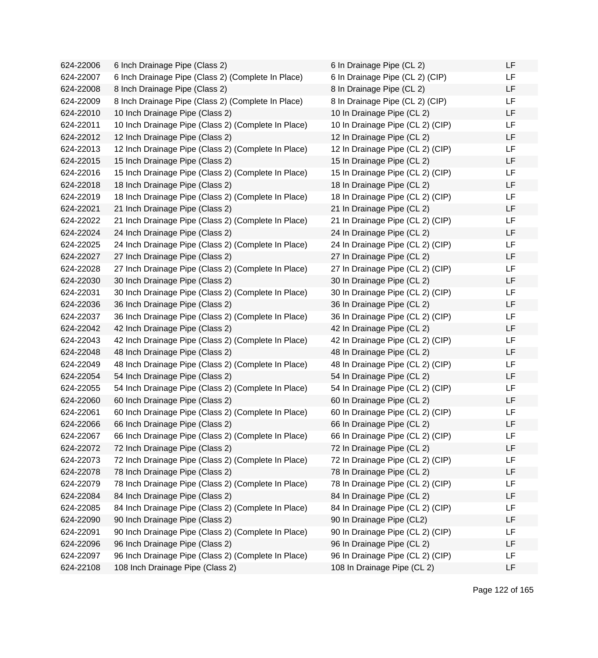624-22006 6 Inch Drainage Pipe (Class 2) 624-22007 6 Inch Drainage Pipe (Class 2) (Complete In Place) 624-22008 8 Inch Drainage Pipe (Class 2) 624-22009 8 Inch Drainage Pipe (Class 2) (Complete In Place) 624-22010 10 Inch Drainage Pipe (Class 2) 624-22011 10 Inch Drainage Pipe (Class 2) (Complete In Place) 624-22012 12 Inch Drainage Pipe (Class 2) 624-22013 12 Inch Drainage Pipe (Class 2) (Complete In Place) 624-22015 15 Inch Drainage Pipe (Class 2) 624-22016 15 Inch Drainage Pipe (Class 2) (Complete In Place) 624-22018 18 Inch Drainage Pipe (Class 2) 624-22019 18 Inch Drainage Pipe (Class 2) (Complete In Place) 624-22021 21 Inch Drainage Pipe (Class 2) 624-22022 21 Inch Drainage Pipe (Class 2) (Complete In Place) 624-22024 24 Inch Drainage Pipe (Class 2) 624-22025 24 Inch Drainage Pipe (Class 2) (Complete In Place) 624-22027 27 Inch Drainage Pipe (Class 2) 624-22028 27 Inch Drainage Pipe (Class 2) (Complete In Place) 624-22030 30 Inch Drainage Pipe (Class 2) 624-22031 30 Inch Drainage Pipe (Class 2) (Complete In Place) 624-22036 36 Inch Drainage Pipe (Class 2) 624-22037 36 Inch Drainage Pipe (Class 2) (Complete In Place) 624-22042 42 Inch Drainage Pipe (Class 2) 624-22043 42 Inch Drainage Pipe (Class 2) (Complete In Place) 624-22048 48 Inch Drainage Pipe (Class 2) 624-22049 48 Inch Drainage Pipe (Class 2) (Complete In Place) 624-22054 54 Inch Drainage Pipe (Class 2) 624-22055 54 Inch Drainage Pipe (Class 2) (Complete In Place) 624-22060 60 Inch Drainage Pipe (Class 2) 624-22061 60 Inch Drainage Pipe (Class 2) (Complete In Place) 624-22066 66 Inch Drainage Pipe (Class 2) 624-22067 66 Inch Drainage Pipe (Class 2) (Complete In Place) 624-22072 72 Inch Drainage Pipe (Class 2) 624-22073 72 Inch Drainage Pipe (Class 2) (Complete In Place) 624-22078 78 Inch Drainage Pipe (Class 2) 624-22079 78 Inch Drainage Pipe (Class 2) (Complete In Place) 624-22084 84 Inch Drainage Pipe (Class 2) 624-22085 84 Inch Drainage Pipe (Class 2) (Complete In Place) 624-22090 90 Inch Drainage Pipe (Class 2) 624-22091 90 Inch Drainage Pipe (Class 2) (Complete In Place) 624-22096 96 Inch Drainage Pipe (Class 2) 624-22097 96 Inch Drainage Pipe (Class 2) (Complete In Place) 624-22108 108 Inch Drainage Pipe (Class 2)

| 6 In Drainage Pipe (CL 2)        | LF |
|----------------------------------|----|
| 6 In Drainage Pipe (CL 2) (CIP)  | LF |
| 8 In Drainage Pipe (CL 2)        | LF |
| 8 In Drainage Pipe (CL 2) (CIP)  | LF |
| 10 In Drainage Pipe (CL 2)       | LF |
| 10 In Drainage Pipe (CL 2) (CIP) | LF |
| 12 In Drainage Pipe (CL 2)       | LF |
| 12 In Drainage Pipe (CL 2) (CIP) | LF |
| 15 In Drainage Pipe (CL 2)       | LF |
| 15 In Drainage Pipe (CL 2) (CIP) | LF |
| 18 In Drainage Pipe (CL 2)       | LF |
| 18 In Drainage Pipe (CL 2) (CIP) | LF |
| 21 In Drainage Pipe (CL 2)       | LF |
| 21 In Drainage Pipe (CL 2) (CIP) | LF |
| 24 In Drainage Pipe (CL 2)       | LF |
| 24 In Drainage Pipe (CL 2) (CIP) | LF |
| 27 In Drainage Pipe (CL 2)       | LF |
| 27 In Drainage Pipe (CL 2) (CIP) | LF |
| 30 In Drainage Pipe (CL 2)       | LF |
| 30 In Drainage Pipe (CL 2) (CIP) | LF |
| 36 In Drainage Pipe (CL 2)       | LF |
| 36 In Drainage Pipe (CL 2) (CIP) | LF |
| 42 In Drainage Pipe (CL 2)       | LF |
| 42 In Drainage Pipe (CL 2) (CIP) | LF |
| 48 In Drainage Pipe (CL 2)       | LF |
| 48 In Drainage Pipe (CL 2) (CIP) | LF |
| 54 In Drainage Pipe (CL 2)       | LF |
| 54 In Drainage Pipe (CL 2) (CIP) | LF |
| 60 In Drainage Pipe (CL 2)       | LF |
| 60 In Drainage Pipe (CL 2) (CIP) | LF |
| 66 In Drainage Pipe (CL 2)       | LF |
| 66 In Drainage Pipe (CL 2) (CIP) | LF |
| 72 In Drainage Pipe (CL 2)       | LF |
| 72 In Drainage Pipe (CL 2) (CIP) | LF |
| 78 In Drainage Pipe (CL 2)       | LF |
| 78 In Drainage Pipe (CL 2) (CIP) | LF |
| 84 In Drainage Pipe (CL 2)       | LF |
| 84 In Drainage Pipe (CL 2) (CIP) | LF |
| 90 In Drainage Pipe (CL2)        | LF |
| 90 In Drainage Pipe (CL 2) (CIP) | LF |
| 96 In Drainage Pipe (CL 2)       | LF |
| 96 In Drainage Pipe (CL 2) (CIP) | LF |
| 108 In Drainage Pipe (CL 2)      | LF |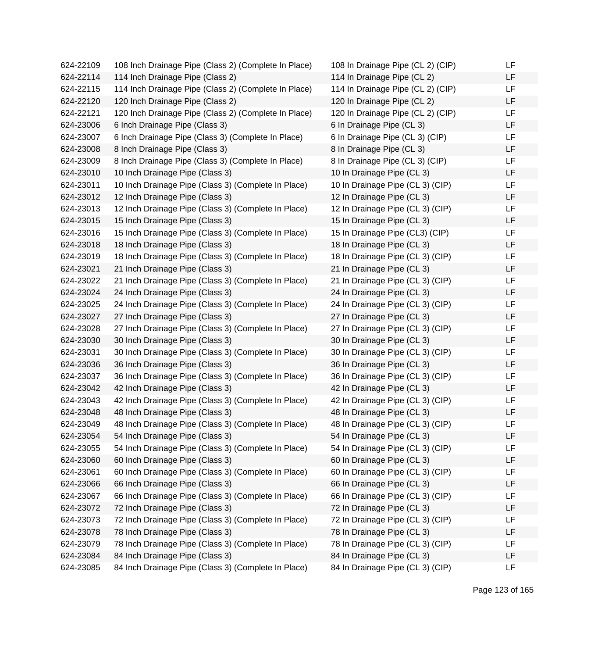| 624-22109 | 108 Inch Drainage Pipe (Class 2) (Complete In Place) | 108 In Drainage Pipe (CL 2) (CIP) | LF |
|-----------|------------------------------------------------------|-----------------------------------|----|
| 624-22114 | 114 Inch Drainage Pipe (Class 2)                     | 114 In Drainage Pipe (CL 2)       | LF |
| 624-22115 | 114 Inch Drainage Pipe (Class 2) (Complete In Place) | 114 In Drainage Pipe (CL 2) (CIP) | LF |
| 624-22120 | 120 Inch Drainage Pipe (Class 2)                     | 120 In Drainage Pipe (CL 2)       | LF |
| 624-22121 | 120 Inch Drainage Pipe (Class 2) (Complete In Place) | 120 In Drainage Pipe (CL 2) (CIP) | LF |
| 624-23006 | 6 Inch Drainage Pipe (Class 3)                       | 6 In Drainage Pipe (CL 3)         | LF |
| 624-23007 | 6 Inch Drainage Pipe (Class 3) (Complete In Place)   | 6 In Drainage Pipe (CL 3) (CIP)   | LF |
| 624-23008 | 8 Inch Drainage Pipe (Class 3)                       | 8 In Drainage Pipe (CL 3)         | LF |
| 624-23009 | 8 Inch Drainage Pipe (Class 3) (Complete In Place)   | 8 In Drainage Pipe (CL 3) (CIP)   | LF |
| 624-23010 | 10 Inch Drainage Pipe (Class 3)                      | 10 In Drainage Pipe (CL 3)        | LF |
| 624-23011 | 10 Inch Drainage Pipe (Class 3) (Complete In Place)  | 10 In Drainage Pipe (CL 3) (CIP)  | LF |
| 624-23012 | 12 Inch Drainage Pipe (Class 3)                      | 12 In Drainage Pipe (CL 3)        | LF |
| 624-23013 | 12 Inch Drainage Pipe (Class 3) (Complete In Place)  | 12 In Drainage Pipe (CL 3) (CIP)  | LF |
| 624-23015 | 15 Inch Drainage Pipe (Class 3)                      | 15 In Drainage Pipe (CL 3)        | LF |
| 624-23016 | 15 Inch Drainage Pipe (Class 3) (Complete In Place)  | 15 In Drainage Pipe (CL3) (CIP)   | LF |
| 624-23018 | 18 Inch Drainage Pipe (Class 3)                      | 18 In Drainage Pipe (CL 3)        | LF |
| 624-23019 | 18 Inch Drainage Pipe (Class 3) (Complete In Place)  | 18 In Drainage Pipe (CL 3) (CIP)  | LF |
| 624-23021 | 21 Inch Drainage Pipe (Class 3)                      | 21 In Drainage Pipe (CL 3)        | LF |
| 624-23022 | 21 Inch Drainage Pipe (Class 3) (Complete In Place)  | 21 In Drainage Pipe (CL 3) (CIP)  | LF |
| 624-23024 | 24 Inch Drainage Pipe (Class 3)                      | 24 In Drainage Pipe (CL 3)        | LF |
| 624-23025 | 24 Inch Drainage Pipe (Class 3) (Complete In Place)  | 24 In Drainage Pipe (CL 3) (CIP)  | LF |
| 624-23027 | 27 Inch Drainage Pipe (Class 3)                      | 27 In Drainage Pipe (CL 3)        | LF |
| 624-23028 | 27 Inch Drainage Pipe (Class 3) (Complete In Place)  | 27 In Drainage Pipe (CL 3) (CIP)  | LF |
| 624-23030 | 30 Inch Drainage Pipe (Class 3)                      | 30 In Drainage Pipe (CL 3)        | LF |
| 624-23031 | 30 Inch Drainage Pipe (Class 3) (Complete In Place)  | 30 In Drainage Pipe (CL 3) (CIP)  | LF |
| 624-23036 | 36 Inch Drainage Pipe (Class 3)                      | 36 In Drainage Pipe (CL 3)        | LF |
| 624-23037 | 36 Inch Drainage Pipe (Class 3) (Complete In Place)  | 36 In Drainage Pipe (CL 3) (CIP)  | LF |
| 624-23042 | 42 Inch Drainage Pipe (Class 3)                      | 42 In Drainage Pipe (CL 3)        | LF |
| 624-23043 | 42 Inch Drainage Pipe (Class 3) (Complete In Place)  | 42 In Drainage Pipe (CL 3) (CIP)  | LF |
| 624-23048 | 48 Inch Drainage Pipe (Class 3)                      | 48 In Drainage Pipe (CL 3)        | LF |
| 624-23049 | 48 Inch Drainage Pipe (Class 3) (Complete In Place)  | 48 In Drainage Pipe (CL 3) (CIP)  | LF |
| 624-23054 | 54 Inch Drainage Pipe (Class 3)                      | 54 In Drainage Pipe (CL 3)        | LF |
| 624-23055 | 54 Inch Drainage Pipe (Class 3) (Complete In Place)  | 54 In Drainage Pipe (CL 3) (CIP)  | LF |
| 624-23060 | 60 Inch Drainage Pipe (Class 3)                      | 60 In Drainage Pipe (CL 3)        | LF |
| 624-23061 | 60 Inch Drainage Pipe (Class 3) (Complete In Place)  | 60 In Drainage Pipe (CL 3) (CIP)  | LF |
| 624-23066 | 66 Inch Drainage Pipe (Class 3)                      | 66 In Drainage Pipe (CL 3)        | LF |
| 624-23067 | 66 Inch Drainage Pipe (Class 3) (Complete In Place)  | 66 In Drainage Pipe (CL 3) (CIP)  | LF |
| 624-23072 | 72 Inch Drainage Pipe (Class 3)                      | 72 In Drainage Pipe (CL 3)        | LF |
| 624-23073 | 72 Inch Drainage Pipe (Class 3) (Complete In Place)  | 72 In Drainage Pipe (CL 3) (CIP)  | LF |
| 624-23078 | 78 Inch Drainage Pipe (Class 3)                      | 78 In Drainage Pipe (CL 3)        | LF |
| 624-23079 | 78 Inch Drainage Pipe (Class 3) (Complete In Place)  | 78 In Drainage Pipe (CL 3) (CIP)  | LF |
| 624-23084 | 84 Inch Drainage Pipe (Class 3)                      | 84 In Drainage Pipe (CL 3)        | LF |
| 624-23085 | 84 Inch Drainage Pipe (Class 3) (Complete In Place)  | 84 In Drainage Pipe (CL 3) (CIP)  | LF |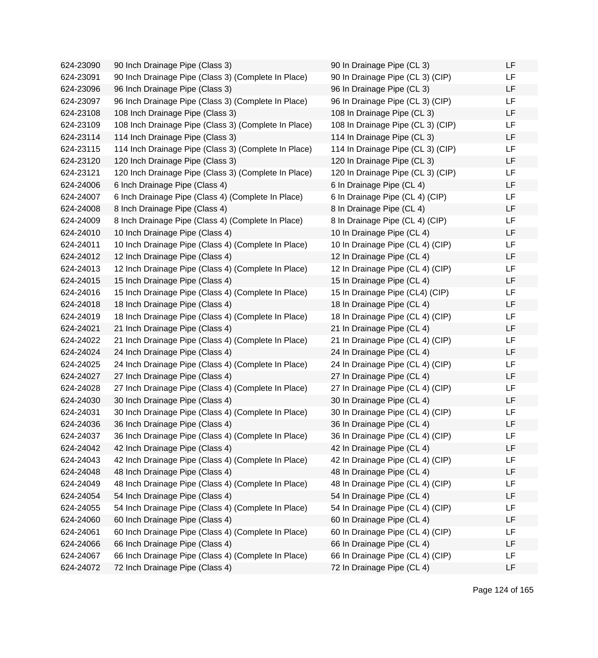624-23090 90 Inch Drainage Pipe (Class 3) 624-23091 90 Inch Drainage Pipe (Class 3) (Complete In Place) 624-23096 96 Inch Drainage Pipe (Class 3) 624-23097 96 Inch Drainage Pipe (Class 3) (Complete In Place) 624-23108 108 Inch Drainage Pipe (Class 3) 624-23109 108 Inch Drainage Pipe (Class 3) (Complete In Place) 624-23114 114 Inch Drainage Pipe (Class 3) 624-23115 114 Inch Drainage Pipe (Class 3) (Complete In Place) 624-23120 120 Inch Drainage Pipe (Class 3) 624-23121 120 Inch Drainage Pipe (Class 3) (Complete In Place) 624-24006 6 Inch Drainage Pipe (Class 4) 624-24007 6 Inch Drainage Pipe (Class 4) (Complete In Place) 624-24008 8 Inch Drainage Pipe (Class 4) 624-24009 8 Inch Drainage Pipe (Class 4) (Complete In Place) 624-24010 10 Inch Drainage Pipe (Class 4) 624-24011 10 Inch Drainage Pipe (Class 4) (Complete In Place) 624-24012 12 Inch Drainage Pipe (Class 4) 624-24013 12 Inch Drainage Pipe (Class 4) (Complete In Place)  $624-24015$  15 Inch Drainage Pipe (Class 4) 624-24016 15 Inch Drainage Pipe (Class 4) (Complete In Place) 624-24018 18 Inch Drainage Pipe (Class 4) 624-24019 18 Inch Drainage Pipe (Class 4) (Complete In Place) 624-24021 21 Inch Drainage Pipe (Class 4) 624-24022 21 Inch Drainage Pipe (Class 4) (Complete In Place) 624-24024 24 Inch Drainage Pipe (Class 4) 624-24025 24 Inch Drainage Pipe (Class 4) (Complete In Place) 624-24027 27 Inch Drainage Pipe (Class 4) 624-24028 27 Inch Drainage Pipe (Class 4) (Complete In Place) 624-24030 30 Inch Drainage Pipe (Class 4) 624-24031 30 Inch Drainage Pipe (Class 4) (Complete In Place) 624-24036 36 Inch Drainage Pipe (Class 4) 624-24037 36 Inch Drainage Pipe (Class 4) (Complete In Place) 624-24042 42 Inch Drainage Pipe (Class 4) 624-24043 42 Inch Drainage Pipe (Class 4) (Complete In Place) 624-24048 48 Inch Drainage Pipe (Class 4) 624-24049 48 Inch Drainage Pipe (Class 4) (Complete In Place) 624-24054 54 Inch Drainage Pipe (Class 4) 624-24055 54 Inch Drainage Pipe (Class 4) (Complete In Place) 624-24060 60 Inch Drainage Pipe (Class 4) 624-24061 60 Inch Drainage Pipe (Class 4) (Complete In Place) 624-24066 66 Inch Drainage Pipe (Class 4) 624-24067 66 Inch Drainage Pipe (Class 4) (Complete In Place) 624-24072 72 Inch Drainage Pipe (Class 4)

| 90 In Drainage Pipe (CL 3)        | LF |
|-----------------------------------|----|
| 90 In Drainage Pipe (CL 3) (CIP)  | LF |
| 96 In Drainage Pipe (CL 3)        | LF |
| 96 In Drainage Pipe (CL 3) (CIP)  | LF |
| 108 In Drainage Pipe (CL 3)       | LF |
| 108 In Drainage Pipe (CL 3) (CIP) | LF |
| 114 In Drainage Pipe (CL 3)       | LF |
| 114 In Drainage Pipe (CL 3) (CIP) | LF |
| 120 In Drainage Pipe (CL 3)       | LF |
| 120 In Drainage Pipe (CL 3) (CIP) | LF |
| 6 In Drainage Pipe (CL 4)         | LF |
| 6 In Drainage Pipe (CL 4) (CIP)   | LF |
| 8 In Drainage Pipe (CL 4)         | LF |
| 8 In Drainage Pipe (CL 4) (CIP)   | LF |
| 10 In Drainage Pipe (CL 4)        | LF |
| 10 In Drainage Pipe (CL 4) (CIP)  | LF |
| 12 In Drainage Pipe (CL 4)        | LF |
| 12 In Drainage Pipe (CL 4) (CIP)  | LF |
| 15 In Drainage Pipe (CL 4)        | LF |
| 15 In Drainage Pipe (CL4) (CIP)   | LF |
| 18 In Drainage Pipe (CL 4)        | LF |
| 18 In Drainage Pipe (CL 4) (CIP)  | LF |
| 21 In Drainage Pipe (CL 4)        | LF |
| 21 In Drainage Pipe (CL 4) (CIP)  | LF |
| 24 In Drainage Pipe (CL 4)        | LF |
| 24 In Drainage Pipe (CL 4) (CIP)  | LF |
| 27 In Drainage Pipe (CL 4)        | LF |
| 27 In Drainage Pipe (CL 4) (CIP)  | LF |
| 30 In Drainage Pipe (CL 4)        | LF |
| 30 In Drainage Pipe (CL 4) (CIP)  | LF |
| 36 In Drainage Pipe (CL 4)        | LF |
| 36 In Drainage Pipe (CL 4) (CIP)  | LF |
| 42 In Drainage Pipe (CL 4)        | LF |
| 42 In Drainage Pipe (CL 4) (CIP)  | LF |
| 48 In Drainage Pipe (CL 4)        | LF |
| 48 In Drainage Pipe (CL 4) (CIP)  | LF |
| 54 In Drainage Pipe (CL 4)        | LF |
| 54 In Drainage Pipe (CL 4) (CIP)  | LF |
| 60 In Drainage Pipe (CL 4)        | LF |
| 60 In Drainage Pipe (CL 4) (CIP)  | LF |
| 66 In Drainage Pipe (CL 4)        | LF |
| 66 In Drainage Pipe (CL 4) (CIP)  | LF |
| 72 In Drainage Pipe (CL 4)        | LF |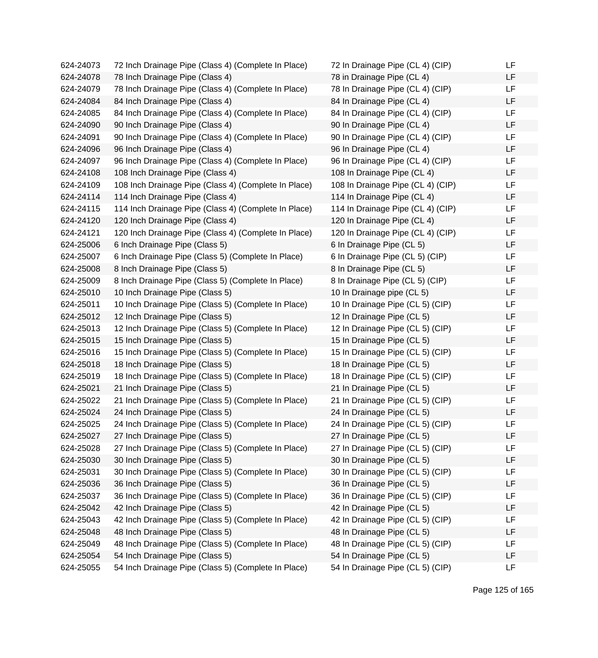| 624-24073 | 72 Inch Drainage Pipe (Class 4) (Complete In Place)  | 72 In Drainage Pipe (CL 4) (CIP)  | LF |
|-----------|------------------------------------------------------|-----------------------------------|----|
| 624-24078 | 78 Inch Drainage Pipe (Class 4)                      | 78 in Drainage Pipe (CL 4)        | LF |
| 624-24079 | 78 Inch Drainage Pipe (Class 4) (Complete In Place)  | 78 In Drainage Pipe (CL 4) (CIP)  | LF |
| 624-24084 | 84 Inch Drainage Pipe (Class 4)                      | 84 In Drainage Pipe (CL 4)        | LF |
| 624-24085 | 84 Inch Drainage Pipe (Class 4) (Complete In Place)  | 84 In Drainage Pipe (CL 4) (CIP)  | LF |
| 624-24090 | 90 Inch Drainage Pipe (Class 4)                      | 90 In Drainage Pipe (CL 4)        | LF |
| 624-24091 | 90 Inch Drainage Pipe (Class 4) (Complete In Place)  | 90 In Drainage Pipe (CL 4) (CIP)  | LF |
| 624-24096 | 96 Inch Drainage Pipe (Class 4)                      | 96 In Drainage Pipe (CL 4)        | LF |
| 624-24097 | 96 Inch Drainage Pipe (Class 4) (Complete In Place)  | 96 In Drainage Pipe (CL 4) (CIP)  | LF |
| 624-24108 | 108 Inch Drainage Pipe (Class 4)                     | 108 In Drainage Pipe (CL 4)       | LF |
| 624-24109 | 108 Inch Drainage Pipe (Class 4) (Complete In Place) | 108 In Drainage Pipe (CL 4) (CIP) | LF |
| 624-24114 | 114 Inch Drainage Pipe (Class 4)                     | 114 In Drainage Pipe (CL 4)       | LF |
| 624-24115 | 114 Inch Drainage Pipe (Class 4) (Complete In Place) | 114 In Drainage Pipe (CL 4) (CIP) | LF |
| 624-24120 | 120 Inch Drainage Pipe (Class 4)                     | 120 In Drainage Pipe (CL 4)       | LF |
| 624-24121 | 120 Inch Drainage Pipe (Class 4) (Complete In Place) | 120 In Drainage Pipe (CL 4) (CIP) | LF |
| 624-25006 | 6 Inch Drainage Pipe (Class 5)                       | 6 In Drainage Pipe (CL 5)         | LF |
| 624-25007 | 6 Inch Drainage Pipe (Class 5) (Complete In Place)   | 6 In Drainage Pipe (CL 5) (CIP)   | LF |
| 624-25008 | 8 Inch Drainage Pipe (Class 5)                       | 8 In Drainage Pipe (CL 5)         | LF |
| 624-25009 | 8 Inch Drainage Pipe (Class 5) (Complete In Place)   | 8 In Drainage Pipe (CL 5) (CIP)   | LF |
| 624-25010 | 10 Inch Drainage Pipe (Class 5)                      | 10 In Drainage pipe (CL 5)        | LF |
| 624-25011 | 10 Inch Drainage Pipe (Class 5) (Complete In Place)  | 10 In Drainage Pipe (CL 5) (CIP)  | LF |
| 624-25012 | 12 Inch Drainage Pipe (Class 5)                      | 12 In Drainage Pipe (CL 5)        | LF |
| 624-25013 | 12 Inch Drainage Pipe (Class 5) (Complete In Place)  | 12 In Drainage Pipe (CL 5) (CIP)  | LF |
| 624-25015 | 15 Inch Drainage Pipe (Class 5)                      | 15 In Drainage Pipe (CL 5)        | LF |
| 624-25016 | 15 Inch Drainage Pipe (Class 5) (Complete In Place)  | 15 In Drainage Pipe (CL 5) (CIP)  | LF |
| 624-25018 | 18 Inch Drainage Pipe (Class 5)                      | 18 In Drainage Pipe (CL 5)        | LF |
| 624-25019 | 18 Inch Drainage Pipe (Class 5) (Complete In Place)  | 18 In Drainage Pipe (CL 5) (CIP)  | LF |
| 624-25021 | 21 Inch Drainage Pipe (Class 5)                      | 21 In Drainage Pipe (CL 5)        | LF |
| 624-25022 | 21 Inch Drainage Pipe (Class 5) (Complete In Place)  | 21 In Drainage Pipe (CL 5) (CIP)  | LF |
| 624-25024 | 24 Inch Drainage Pipe (Class 5)                      | 24 In Drainage Pipe (CL 5)        | LF |
| 624-25025 | 24 Inch Drainage Pipe (Class 5) (Complete In Place)  | 24 In Drainage Pipe (CL 5) (CIP)  | LF |
| 624-25027 | 27 Inch Drainage Pipe (Class 5)                      | 27 In Drainage Pipe (CL 5)        | LF |
| 624-25028 | 27 Inch Drainage Pipe (Class 5) (Complete In Place)  | 27 In Drainage Pipe (CL 5) (CIP)  | LF |
| 624-25030 | 30 Inch Drainage Pipe (Class 5)                      | 30 In Drainage Pipe (CL 5)        | LF |
| 624-25031 | 30 Inch Drainage Pipe (Class 5) (Complete In Place)  | 30 In Drainage Pipe (CL 5) (CIP)  | LF |
| 624-25036 | 36 Inch Drainage Pipe (Class 5)                      | 36 In Drainage Pipe (CL 5)        | LF |
| 624-25037 | 36 Inch Drainage Pipe (Class 5) (Complete In Place)  | 36 In Drainage Pipe (CL 5) (CIP)  | LF |
| 624-25042 | 42 Inch Drainage Pipe (Class 5)                      | 42 In Drainage Pipe (CL 5)        | LF |
| 624-25043 | 42 Inch Drainage Pipe (Class 5) (Complete In Place)  | 42 In Drainage Pipe (CL 5) (CIP)  | LF |
| 624-25048 | 48 Inch Drainage Pipe (Class 5)                      | 48 In Drainage Pipe (CL 5)        | LF |
| 624-25049 | 48 Inch Drainage Pipe (Class 5) (Complete In Place)  | 48 In Drainage Pipe (CL 5) (CIP)  | LF |
| 624-25054 | 54 Inch Drainage Pipe (Class 5)                      | 54 In Drainage Pipe (CL 5)        | LF |
| 624-25055 | 54 Inch Drainage Pipe (Class 5) (Complete In Place)  | 54 In Drainage Pipe (CL 5) (CIP)  | LF |
|           |                                                      |                                   |    |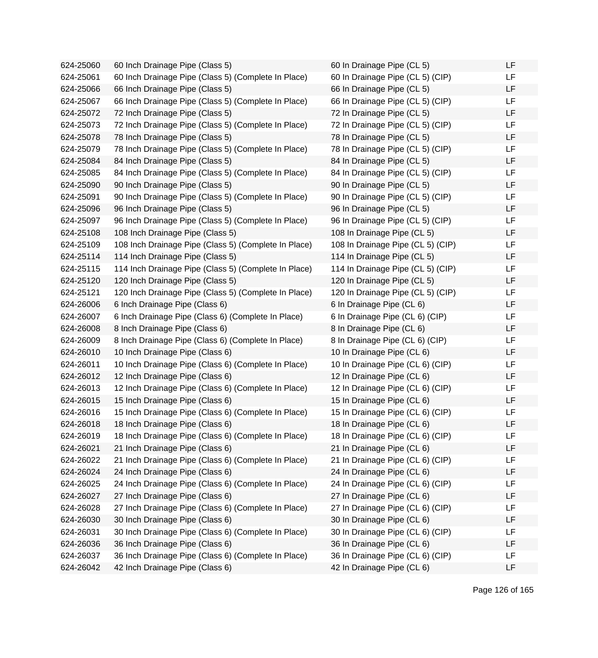624-25060 60 Inch Drainage Pipe (Class 5) 624-25061 60 Inch Drainage Pipe (Class 5) (Complete In Place) 624-25066 66 Inch Drainage Pipe (Class 5) 624-25067 66 Inch Drainage Pipe (Class 5) (Complete In Place) 624-25072 72 Inch Drainage Pipe (Class 5) 624-25073 72 Inch Drainage Pipe (Class 5) (Complete In Place) 624-25078 78 Inch Drainage Pipe (Class 5) 624-25079 78 Inch Drainage Pipe (Class 5) (Complete In Place) 624-25084 84 Inch Drainage Pipe (Class 5) 624-25085 84 Inch Drainage Pipe (Class 5) (Complete In Place) 624-25090 90 Inch Drainage Pipe (Class 5) 624-25091 90 Inch Drainage Pipe (Class 5) (Complete In Place) 624-25096 96 Inch Drainage Pipe (Class 5) 624-25097 96 Inch Drainage Pipe (Class 5) (Complete In Place) 624-25108 108 Inch Drainage Pipe (Class 5) 624-25109 108 Inch Drainage Pipe (Class 5) (Complete In Place) 624-25114 114 Inch Drainage Pipe (Class 5) 624-25115 114 Inch Drainage Pipe (Class 5) (Complete In Place) 624-25120 120 Inch Drainage Pipe (Class 5) 624-25121 120 Inch Drainage Pipe (Class 5) (Complete In Place)  $624-26006$  6 Inch Drainage Pipe (Class 6) 624-26007 6 Inch Drainage Pipe (Class 6) (Complete In Place) 624-26008 8 Inch Drainage Pipe (Class 6) 624-26009 8 Inch Drainage Pipe (Class 6) (Complete In Place) 624-26010 10 Inch Drainage Pipe (Class 6) 624-26011 10 Inch Drainage Pipe (Class 6) (Complete In Place) 624-26012 12 Inch Drainage Pipe (Class 6) 624-26013 12 Inch Drainage Pipe (Class 6) (Complete In Place) 624-26015 15 Inch Drainage Pipe (Class 6) 624-26016 15 Inch Drainage Pipe (Class 6) (Complete In Place) 624-26018 18 Inch Drainage Pipe (Class 6) 624-26019 18 Inch Drainage Pipe (Class 6) (Complete In Place) 624-26021 21 Inch Drainage Pipe (Class 6) 624-26022 21 Inch Drainage Pipe (Class 6) (Complete In Place) 624-26024 24 Inch Drainage Pipe (Class 6) 624-26025 24 Inch Drainage Pipe (Class 6) (Complete In Place) 624-26027 27 Inch Drainage Pipe (Class 6) 624-26028 27 Inch Drainage Pipe (Class 6) (Complete In Place) 624-26030 30 Inch Drainage Pipe (Class 6) 624-26031 30 Inch Drainage Pipe (Class 6) (Complete In Place) 624-26036 36 Inch Drainage Pipe (Class 6) 624-26037 36 Inch Drainage Pipe (Class 6) (Complete In Place) 624-26042 42 Inch Drainage Pipe (Class 6)

| 60 In Drainage Pipe (CL 5)        | LF |
|-----------------------------------|----|
| 60 In Drainage Pipe (CL 5) (CIP)  | LF |
| 66 In Drainage Pipe (CL 5)        | LF |
| 66 In Drainage Pipe (CL 5) (CIP)  | LF |
| 72 In Drainage Pipe (CL 5)        | LF |
| 72 In Drainage Pipe (CL 5) (CIP)  | LF |
| 78 In Drainage Pipe (CL 5)        | LF |
| 78 In Drainage Pipe (CL 5) (CIP)  | LF |
| 84 In Drainage Pipe (CL 5)        | LF |
| 84 In Drainage Pipe (CL 5) (CIP)  | LF |
| 90 In Drainage Pipe (CL 5)        | LF |
| 90 In Drainage Pipe (CL 5) (CIP)  | LF |
| 96 In Drainage Pipe (CL 5)        | LF |
| 96 In Drainage Pipe (CL 5) (CIP)  | LF |
| 108 In Drainage Pipe (CL 5)       | LF |
| 108 In Drainage Pipe (CL 5) (CIP) | LF |
| 114 In Drainage Pipe (CL 5)       | LF |
| 114 In Drainage Pipe (CL 5) (CIP) | LF |
| 120 In Drainage Pipe (CL 5)       | LF |
| 120 In Drainage Pipe (CL 5) (CIP) | LF |
| 6 In Drainage Pipe (CL 6)         | LF |
| 6 In Drainage Pipe (CL 6) (CIP)   | LF |
| 8 In Drainage Pipe (CL 6)         | LF |
| 8 In Drainage Pipe (CL 6) (CIP)   | LF |
| 10 In Drainage Pipe (CL 6)        | LF |
| 10 In Drainage Pipe (CL 6) (CIP)  | LF |
| 12 In Drainage Pipe (CL 6)        | LF |
| 12 In Drainage Pipe (CL 6) (CIP)  | LF |
| 15 In Drainage Pipe (CL 6)        | LF |
| 15 In Drainage Pipe (CL 6) (CIP)  | LF |
| 18 In Drainage Pipe (CL 6)        | LF |
| 18 In Drainage Pipe (CL 6) (CIP)  | ᄔ  |
| 21 In Drainage Pipe (CL 6)        | LF |
| 21 In Drainage Pipe (CL 6) (CIP)  | LF |
| 24 In Drainage Pipe (CL 6)        | LF |
| 24 In Drainage Pipe (CL 6) (CIP)  | LF |
| 27 In Drainage Pipe (CL 6)        | LF |
| 27 In Drainage Pipe (CL 6) (CIP)  | LF |
| 30 In Drainage Pipe (CL 6)        | LF |
| 30 In Drainage Pipe (CL 6) (CIP)  | LF |
| 36 In Drainage Pipe (CL 6)        | LF |
| 36 In Drainage Pipe (CL 6) (CIP)  | LF |
| 42 In Drainage Pipe (CL 6)        | LF |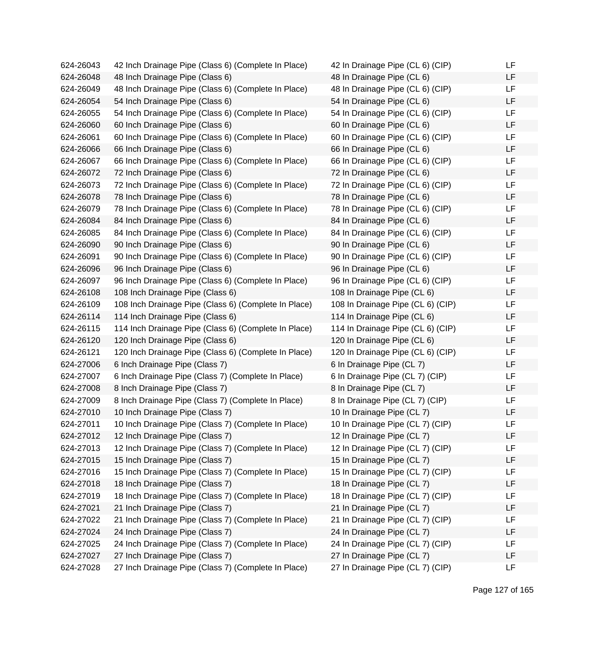624-26043 42 Inch Drainage Pipe (Class 6) (Complete In Place) 624-26048 48 Inch Drainage Pipe (Class 6) 624-26049 48 Inch Drainage Pipe (Class 6) (Complete In Place) 624-26054 54 Inch Drainage Pipe (Class 6) 624-26055 54 Inch Drainage Pipe (Class 6) (Complete In Place) 624-26060 60 Inch Drainage Pipe (Class 6) 624-26061 60 Inch Drainage Pipe (Class 6) (Complete In Place) 624-26066 66 Inch Drainage Pipe (Class 6) 624-26067 66 Inch Drainage Pipe (Class 6) (Complete In Place) 624-26072 72 Inch Drainage Pipe (Class 6) 624-26073 72 Inch Drainage Pipe (Class 6) (Complete In Place) 624-26078 78 Inch Drainage Pipe (Class 6) 624-26079 78 Inch Drainage Pipe (Class 6) (Complete In Place) 624-26084 84 Inch Drainage Pipe (Class 6) 624-26085 84 Inch Drainage Pipe (Class 6) (Complete In Place) 624-26090 90 Inch Drainage Pipe (Class 6) 624-26091 90 Inch Drainage Pipe (Class 6) (Complete In Place) 624-26096 96 Inch Drainage Pipe (Class 6) 624-26097 96 Inch Drainage Pipe (Class 6) (Complete In Place) 624-26108 108 Inch Drainage Pipe (Class 6) 624-26109 108 Inch Drainage Pipe (Class 6) (Complete In Place) 624-26114 114 Inch Drainage Pipe (Class 6) 624-26115 114 Inch Drainage Pipe (Class 6) (Complete In Place) 624-26120 120 Inch Drainage Pipe (Class 6) 624-26121 120 Inch Drainage Pipe (Class 6) (Complete In Place) 624-27006 6 Inch Drainage Pipe (Class 7) 624-27007 6 Inch Drainage Pipe (Class 7) (Complete In Place) 624-27008 8 Inch Drainage Pipe (Class 7) 624-27009 8 Inch Drainage Pipe (Class 7) (Complete In Place) 624-27010 10 Inch Drainage Pipe (Class 7) 624-27011 10 Inch Drainage Pipe (Class 7) (Complete In Place) 624-27012 12 Inch Drainage Pipe (Class 7) 624-27013 12 Inch Drainage Pipe (Class 7) (Complete In Place) 624-27015 15 Inch Drainage Pipe (Class 7) 624-27016 15 Inch Drainage Pipe (Class 7) (Complete In Place) 624-27018 18 Inch Drainage Pipe (Class 7) 624-27019 18 Inch Drainage Pipe (Class 7) (Complete In Place) 624-27021 21 Inch Drainage Pipe (Class 7) 624-27022 21 Inch Drainage Pipe (Class 7) (Complete In Place) 624-27024 24 Inch Drainage Pipe (Class 7) 624-27025 24 Inch Drainage Pipe (Class 7) (Complete In Place) 624-27027 27 Inch Drainage Pipe (Class 7) 624-27028 27 Inch Drainage Pipe (Class 7) (Complete In Place)

| 42 In Drainage Pipe (CL 6) (CIP)  | LF |
|-----------------------------------|----|
| 48 In Drainage Pipe (CL 6)        | LF |
| 48 In Drainage Pipe (CL 6) (CIP)  | LF |
| 54 In Drainage Pipe (CL 6)        | LF |
| 54 In Drainage Pipe (CL 6) (CIP)  | LF |
| 60 In Drainage Pipe (CL 6)        | LF |
| 60 In Drainage Pipe (CL 6) (CIP)  | LF |
| 66 In Drainage Pipe (CL 6)        | LF |
| 66 In Drainage Pipe (CL 6) (CIP)  | LF |
| 72 In Drainage Pipe (CL 6)        | LF |
| 72 In Drainage Pipe (CL 6) (CIP)  | LF |
| 78 In Drainage Pipe (CL 6)        | LF |
| 78 In Drainage Pipe (CL 6) (CIP)  | LF |
| 84 In Drainage Pipe (CL 6)        | LF |
| 84 In Drainage Pipe (CL 6) (CIP)  | LF |
| 90 In Drainage Pipe (CL 6)        | LF |
| 90 In Drainage Pipe (CL 6) (CIP)  | LF |
| 96 In Drainage Pipe (CL 6)        | LF |
| 96 In Drainage Pipe (CL 6) (CIP)  | LF |
| 108 In Drainage Pipe (CL 6)       | LF |
| 108 In Drainage Pipe (CL 6) (CIP) | LF |
| 114 In Drainage Pipe (CL 6)       | LF |
| 114 In Drainage Pipe (CL 6) (CIP) | LF |
| 120 In Drainage Pipe (CL 6)       | LF |
| 120 In Drainage Pipe (CL 6) (CIP) | LF |
| 6 In Drainage Pipe (CL 7)         | LF |
| 6 In Drainage Pipe (CL 7) (CIP)   | LF |
| 8 In Drainage Pipe (CL 7)         | LF |
| 8 In Drainage Pipe (CL 7) (CIP)   | LF |
| 10 In Drainage Pipe (CL 7)        | LF |
| 10 In Drainage Pipe (CL 7) (CIP)  | LF |
| 12 In Drainage Pipe (CL 7)        | LF |
| 12 In Drainage Pipe (CL 7) (CIP)  | LF |
| 15 In Drainage Pipe (CL 7)        | LF |
| 15 In Drainage Pipe (CL 7) (CIP)  | LF |
| 18 In Drainage Pipe (CL 7)        | LF |
| 18 In Drainage Pipe (CL 7) (CIP)  | LF |
| 21 In Drainage Pipe (CL 7)        | LF |
| 21 In Drainage Pipe (CL 7) (CIP)  | LF |
| 24 In Drainage Pipe (CL 7)        | LF |
| 24 In Drainage Pipe (CL 7) (CIP)  | LF |
| 27 In Drainage Pipe (CL 7)        | LF |
| 27 In Drainage Pipe (CL 7) (CIP)  | LF |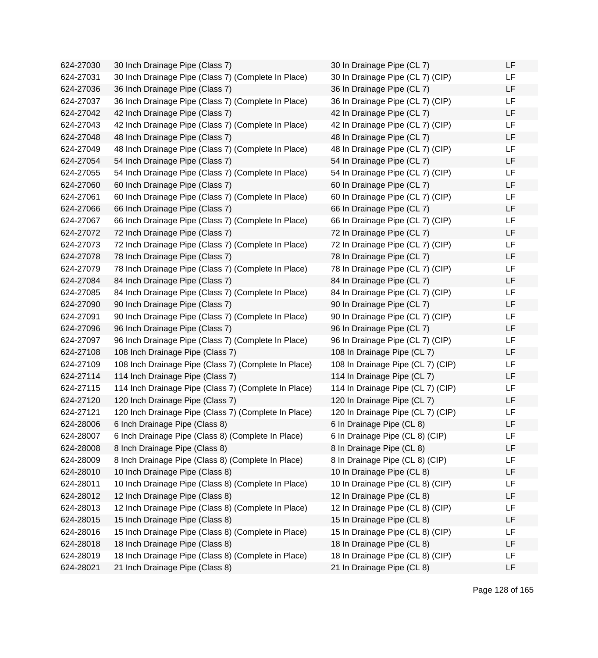624-27030 30 Inch Drainage Pipe (Class 7) 624-27031 30 Inch Drainage Pipe (Class 7) (Complete In Place) 624-27036 36 Inch Drainage Pipe (Class 7) 624-27037 36 Inch Drainage Pipe (Class 7) (Complete In Place) 624-27042 42 Inch Drainage Pipe (Class 7) 624-27043 42 Inch Drainage Pipe (Class 7) (Complete In Place) 624-27048 48 Inch Drainage Pipe (Class 7) 624-27049 48 Inch Drainage Pipe (Class 7) (Complete In Place) 624-27054 54 Inch Drainage Pipe (Class 7) 624-27055 54 Inch Drainage Pipe (Class 7) (Complete In Place) 624-27060 60 Inch Drainage Pipe (Class 7) 624-27061 60 Inch Drainage Pipe (Class 7) (Complete In Place) 624-27066 66 Inch Drainage Pipe (Class 7) 624-27067 66 Inch Drainage Pipe (Class 7) (Complete In Place) 624-27072 72 Inch Drainage Pipe (Class 7) 624-27073 72 Inch Drainage Pipe (Class 7) (Complete In Place) 624-27078 78 Inch Drainage Pipe (Class 7) 624-27079 78 Inch Drainage Pipe (Class 7) (Complete In Place) 624-27084 84 Inch Drainage Pipe (Class 7) 624-27085 84 Inch Drainage Pipe (Class 7) (Complete In Place) 624-27090 90 Inch Drainage Pipe (Class 7) 624-27091 90 Inch Drainage Pipe (Class 7) (Complete In Place) 624-27096 96 Inch Drainage Pipe (Class 7) 624-27097 96 Inch Drainage Pipe (Class 7) (Complete In Place) 624-27108 108 Inch Drainage Pipe (Class 7) 624-27109 108 Inch Drainage Pipe (Class 7) (Complete In Place) 624-27114 114 Inch Drainage Pipe (Class 7) 624-27115 114 Inch Drainage Pipe (Class 7) (Complete In Place) 624-27120 120 Inch Drainage Pipe (Class 7) 624-27121 120 Inch Drainage Pipe (Class 7) (Complete In Place) 624-28006 6 Inch Drainage Pipe (Class 8) 624-28007 6 Inch Drainage Pipe (Class 8) (Complete In Place) 624-28008 8 Inch Drainage Pipe (Class 8) 624-28009 8 Inch Drainage Pipe (Class 8) (Complete In Place) 624-28010 10 Inch Drainage Pipe (Class 8) 624-28011 10 Inch Drainage Pipe (Class 8) (Complete In Place) 624-28012 12 Inch Drainage Pipe (Class 8) 624-28013 12 Inch Drainage Pipe (Class 8) (Complete In Place) 624-28015 15 Inch Drainage Pipe (Class 8) 624-28016 15 Inch Drainage Pipe (Class 8) (Complete in Place) 624-28018 18 Inch Drainage Pipe (Class 8) 624-28019 18 Inch Drainage Pipe (Class 8) (Complete in Place) 624-28021 21 Inch Drainage Pipe (Class 8)

| 30 In Drainage Pipe (CL 7)        | LF |
|-----------------------------------|----|
| 30 In Drainage Pipe (CL 7) (CIP)  | LF |
| 36 In Drainage Pipe (CL 7)        | LF |
| 36 In Drainage Pipe (CL 7) (CIP)  | LF |
| 42 In Drainage Pipe (CL 7)        | LF |
| 42 In Drainage Pipe (CL 7) (CIP)  | LF |
| 48 In Drainage Pipe (CL 7)        | LF |
| 48 In Drainage Pipe (CL 7) (CIP)  | LF |
| 54 In Drainage Pipe (CL 7)        | LF |
| 54 In Drainage Pipe (CL 7) (CIP)  | LF |
| 60 In Drainage Pipe (CL 7)        | LF |
| 60 In Drainage Pipe (CL 7) (CIP)  | LF |
| 66 In Drainage Pipe (CL 7)        | LF |
| 66 In Drainage Pipe (CL 7) (CIP)  | LF |
| 72 In Drainage Pipe (CL 7)        | LF |
| 72 In Drainage Pipe (CL 7) (CIP)  | LF |
| 78 In Drainage Pipe (CL 7)        | LF |
| 78 In Drainage Pipe (CL 7) (CIP)  | LF |
| 84 In Drainage Pipe (CL 7)        | LF |
| 84 In Drainage Pipe (CL 7) (CIP)  | LF |
| 90 In Drainage Pipe (CL 7)        | LF |
| 90 In Drainage Pipe (CL 7) (CIP)  | LF |
| 96 In Drainage Pipe (CL 7)        | LF |
| 96 In Drainage Pipe (CL 7) (CIP)  | LF |
| 108 In Drainage Pipe (CL 7)       | LF |
| 108 In Drainage Pipe (CL 7) (CIP) | LF |
| 114 In Drainage Pipe (CL 7)       | LF |
| 114 In Drainage Pipe (CL 7) (CIP) | LF |
| 120 In Drainage Pipe (CL 7)       | LF |
| 120 In Drainage Pipe (CL 7) (CIP) | LF |
| 6 In Drainage Pipe (CL 8)         | LF |
| 6 In Drainage Pipe (CL 8) (CIP)   | LF |
| 8 In Drainage Pipe (CL 8)         | LF |
| 8 In Drainage Pipe (CL 8) (CIP)   | LF |
| 10 In Drainage Pipe (CL 8)        | LF |
| 10 In Drainage Pipe (CL 8) (CIP)  | LF |
| 12 In Drainage Pipe (CL 8)        | LF |
| 12 In Drainage Pipe (CL 8) (CIP)  | LF |
| 15 In Drainage Pipe (CL 8)        | LF |
| 15 In Drainage Pipe (CL 8) (CIP)  | LF |
| 18 In Drainage Pipe (CL 8)        | LF |
| 18 In Drainage Pipe (CL 8) (CIP)  | LF |
| 21 In Drainage Pipe (CL 8)        | LF |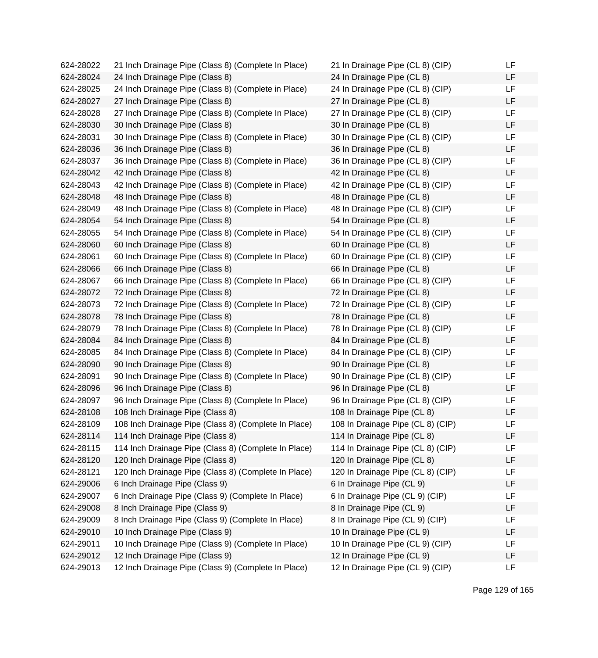624-28022 21 Inch Drainage Pipe (Class 8) (Complete In Place) 21 In Drainage Pipe (CL 8) (CIP) LF 624-28024 24 Inch Drainage Pipe (Class 8) 24 In Drainage Pipe (CL 8) LF 624-28025 24 Inch Drainage Pipe (Class 8) (Complete in Place) 24 In Drainage Pipe (CL 8) (CIP) LF 624-28027 27 Inch Drainage Pipe (Class 8) 27 In Drainage Pipe (CL 8) LF 624-28028 27 Inch Drainage Pipe (Class 8) (Complete In Place) 27 In Drainage Pipe (CL 8) (CIP) LF 624-28030 30 Inch Drainage Pipe (Class 8) 30 In Drainage Pipe (CL 8) LF 624-28031 30 Inch Drainage Pipe (Class 8) (Complete in Place) 30 In Drainage Pipe (CL 8) (CIP) LF 624-28036 36 Inch Drainage Pipe (Class 8) 36 In Drainage Pipe (CL 8) LF 624-28037 36 Inch Drainage Pipe (Class 8) (Complete in Place) 36 In Drainage Pipe (CL 8) (CIP) LF 624-28042 42 Inch Drainage Pipe (Class 8) 42 In Drainage Pipe (CL 8) LF 624-28043 42 Inch Drainage Pipe (Class 8) (Complete in Place) 42 In Drainage Pipe (CL 8) (CIP) LF 624-28048 48 Inch Drainage Pipe (Class 8) 48 In Drainage Pipe (CL 8) LF 624-28049 48 Inch Drainage Pipe (Class 8) (Complete in Place) 48 In Drainage Pipe (CL 8) (CIP) LF 624-28054 54 Inch Drainage Pipe (Class 8) 54 In Drainage Pipe (CL 8) LF 624-28055 54 Inch Drainage Pipe (Class 8) (Complete in Place) 54 In Drainage Pipe (CL 8) (CIP) LF 624-28060 60 Inch Drainage Pipe (Class 8) 60 In Drainage Pipe (CL 8) LF 624-28061 60 Inch Drainage Pipe (Class 8) (Complete In Place) 60 In Drainage Pipe (CL 8) (CIP) LF 624-28066 66 Inch Drainage Pipe (Class 8) 66 In Drainage Pipe (CL 8) LF 624-28067 66 Inch Drainage Pipe (Class 8) (Complete In Place) 66 In Drainage Pipe (CL 8) (CIP) LF 624-28072 72 Inch Drainage Pipe (Class 8) 72 In Drainage Pipe (CL 8) LF 624-28073 72 Inch Drainage Pipe (Class 8) (Complete In Place) 72 In Drainage Pipe (CL 8) (CIP) LF 624-28078 78 Inch Drainage Pipe (Class 8) 78 In Drainage Pipe (CL 8) LF 624-28079 78 Inch Drainage Pipe (Class 8) (Complete In Place) 78 In Drainage Pipe (CL 8) (CIP) LF 624-28084 84 Inch Drainage Pipe (Class 8) 84 In Drainage Pipe (CL 8) LF 624-28085 84 Inch Drainage Pipe (Class 8) (Complete In Place) 84 In Drainage Pipe (CL 8) (CIP) LF 624-28090 90 Inch Drainage Pipe (Class 8) 90 In Drainage Pipe (CL 8) LF 624-28091 90 Inch Drainage Pipe (Class 8) (Complete In Place) 90 In Drainage Pipe (CL 8) (CIP) LF 624-28096 96 Inch Drainage Pipe (Class 8) 96 In Drainage Pipe (CL 8) LF 624-28097 96 Inch Drainage Pipe (Class 8) (Complete In Place) 96 In Drainage Pipe (CL 8) (CIP) LF 624-28108 108 Inch Drainage Pipe (Class 8) 108 In Drainage Pipe (CL 8) LF 624-28109 108 Inch Drainage Pipe (Class 8) (Complete In Place) 108 In Drainage Pipe (CL 8) (CIP) LF 624-28114 114 Inch Drainage Pipe (Class 8) 114 In Drainage Pipe (CL 8) LF 624-28115 114 Inch Drainage Pipe (Class 8) (Complete In Place) 114 In Drainage Pipe (CL 8) (CIP) LF 624-28120 120 Inch Drainage Pipe (Class 8) 120 In Drainage Pipe (CL 8) LF 624-28121 120 Inch Drainage Pipe (Class 8) (Complete In Place) 120 In Drainage Pipe (CL 8) (CIP) LF 624-29006 6 Inch Drainage Pipe (Class 9) 6 In Drainage Pipe (CL 9) LF 624-29007 6 Inch Drainage Pipe (Class 9) (Complete In Place) 6 In Drainage Pipe (CL 9) (CIP) LF 624-29008 8 Inch Drainage Pipe (Class 9) 8 In Drainage Pipe (CL 9) LF 624-29009 8 Inch Drainage Pipe (Class 9) (Complete In Place) 8 In Drainage Pipe (CL 9) (CIP) LF 624-29010 10 Inch Drainage Pipe (Class 9) 10 In Drainage Pipe (CL 9) LF 624-29011 10 Inch Drainage Pipe (Class 9) (Complete In Place) 10 In Drainage Pipe (CL 9) (CIP) LF 624-29012 12 Inch Drainage Pipe (Class 9) 12 In Drainage Pipe (CL 9) LF 624-29013 12 Inch Drainage Pipe (Class 9) (Complete In Place) 12 In Drainage Pipe (CL 9) (CIP) LF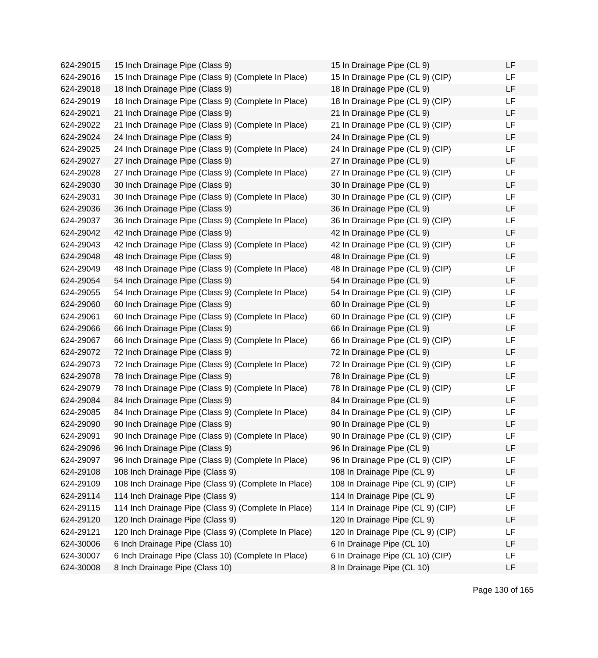624-29015 15 Inch Drainage Pipe (Class 9) 624-29016 15 Inch Drainage Pipe (Class 9) (Complete In Place) 624-29018 18 Inch Drainage Pipe (Class 9) 624-29019 18 Inch Drainage Pipe (Class 9) (Complete In Place) 624-29021 21 Inch Drainage Pipe (Class 9) 624-29022 21 Inch Drainage Pipe (Class 9) (Complete In Place) 624-29024 24 Inch Drainage Pipe (Class 9) 624-29025 24 Inch Drainage Pipe (Class 9) (Complete In Place) 624-29027 27 Inch Drainage Pipe (Class 9) 624-29028 27 Inch Drainage Pipe (Class 9) (Complete In Place) 624-29030 30 Inch Drainage Pipe (Class 9) 624-29031 30 Inch Drainage Pipe (Class 9) (Complete In Place) 624-29036 36 Inch Drainage Pipe (Class 9) 624-29037 36 Inch Drainage Pipe (Class 9) (Complete In Place) 624-29042 42 Inch Drainage Pipe (Class 9) 624-29043 42 Inch Drainage Pipe (Class 9) (Complete In Place) 624-29048 48 Inch Drainage Pipe (Class 9) 624-29049 48 Inch Drainage Pipe (Class 9) (Complete In Place) 624-29054 54 Inch Drainage Pipe (Class 9) 624-29055 54 Inch Drainage Pipe (Class 9) (Complete In Place) 624-29060 60 Inch Drainage Pipe (Class 9) 624-29061 60 Inch Drainage Pipe (Class 9) (Complete In Place) 624-29066 66 Inch Drainage Pipe (Class 9) 624-29067 66 Inch Drainage Pipe (Class 9) (Complete In Place) 624-29072 72 Inch Drainage Pipe (Class 9) 624-29073 72 Inch Drainage Pipe (Class 9) (Complete In Place) 624-29078 78 Inch Drainage Pipe (Class 9) 624-29079 78 Inch Drainage Pipe (Class 9) (Complete In Place) 624-29084 84 Inch Drainage Pipe (Class 9) 624-29085 84 Inch Drainage Pipe (Class 9) (Complete In Place) 624-29090 90 Inch Drainage Pipe (Class 9) 624-29091 90 Inch Drainage Pipe (Class 9) (Complete In Place) 624-29096 96 Inch Drainage Pipe (Class 9) 624-29097 96 Inch Drainage Pipe (Class 9) (Complete In Place) 624-29108 108 Inch Drainage Pipe (Class 9) 624-29109 108 Inch Drainage Pipe (Class 9) (Complete In Place) 624-29114 114 Inch Drainage Pipe (Class 9) 624-29115 114 Inch Drainage Pipe (Class 9) (Complete In Place) 624-29120 120 Inch Drainage Pipe (Class 9) 624-29121 120 Inch Drainage Pipe (Class 9) (Complete In Place) 624-30006 6 Inch Drainage Pipe (Class 10) 624-30007 6 Inch Drainage Pipe (Class 10) (Complete In Place) 624-30008 8 Inch Drainage Pipe (Class 10)

| 15 In Drainage Pipe (CL 9)        | LF |
|-----------------------------------|----|
| 15 In Drainage Pipe (CL 9) (CIP)  | LF |
| 18 In Drainage Pipe (CL 9)        | LF |
| 18 In Drainage Pipe (CL 9) (CIP)  | LF |
| 21 In Drainage Pipe (CL 9)        | LF |
| 21 In Drainage Pipe (CL 9) (CIP)  | LF |
| 24 In Drainage Pipe (CL 9)        | LF |
| 24 In Drainage Pipe (CL 9) (CIP)  | LF |
| 27 In Drainage Pipe (CL 9)        | LF |
| 27 In Drainage Pipe (CL 9) (CIP)  | LF |
| 30 In Drainage Pipe (CL 9)        | LF |
| 30 In Drainage Pipe (CL 9) (CIP)  | LF |
| 36 In Drainage Pipe (CL 9)        | LF |
| 36 In Drainage Pipe (CL 9) (CIP)  | LF |
| 42 In Drainage Pipe (CL 9)        | LF |
| 42 In Drainage Pipe (CL 9) (CIP)  | LF |
| 48 In Drainage Pipe (CL 9)        | LF |
| 48 In Drainage Pipe (CL 9) (CIP)  | LF |
| 54 In Drainage Pipe (CL 9)        | LF |
| 54 In Drainage Pipe (CL 9) (CIP)  | LF |
| 60 In Drainage Pipe (CL 9)        | LF |
| 60 In Drainage Pipe (CL 9) (CIP)  | LF |
| 66 In Drainage Pipe (CL 9)        | LF |
| 66 In Drainage Pipe (CL 9) (CIP)  | LF |
| 72 In Drainage Pipe (CL 9)        | LF |
| 72 In Drainage Pipe (CL 9) (CIP)  | LF |
| 78 In Drainage Pipe (CL 9)        | LF |
| 78 In Drainage Pipe (CL 9) (CIP)  | LF |
| 84 In Drainage Pipe (CL 9)        | LF |
| 84 In Drainage Pipe (CL 9) (CIP)  | LF |
| 90 In Drainage Pipe (CL 9)        | LF |
| 90 In Drainage Pipe (CL 9) (CIP)  | LF |
| 96 In Drainage Pipe (CL 9)        | LF |
| 96 In Drainage Pipe (CL 9) (CIP)  | LF |
| 108 In Drainage Pipe (CL 9)       | LF |
| 108 In Drainage Pipe (CL 9) (CIP) | LF |
| 114 In Drainage Pipe (CL 9)       | LF |
| 114 In Drainage Pipe (CL 9) (CIP) | LF |
| 120 In Drainage Pipe (CL 9)       | LF |
| 120 In Drainage Pipe (CL 9) (CIP) | LF |
| 6 In Drainage Pipe (CL 10)        | LF |
| 6 In Drainage Pipe (CL 10) (CIP)  | LF |
| 8 In Drainage Pipe (CL 10)        | LF |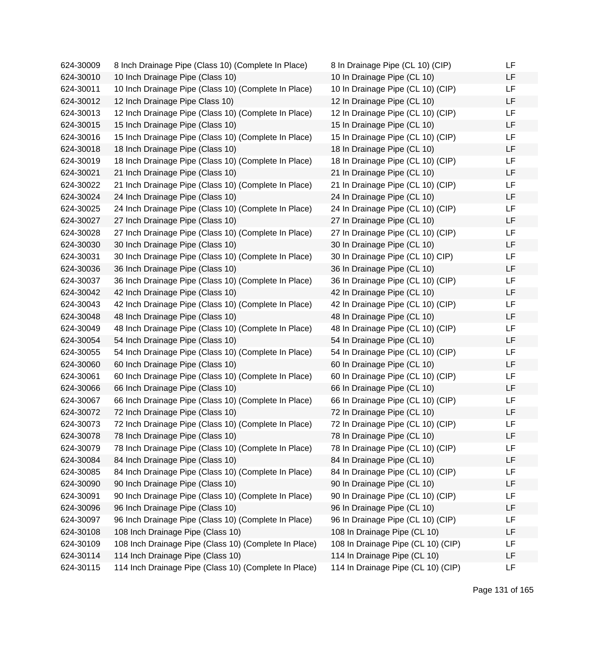| 624-30009 | 8 Inch Drainage Pipe (Class 10) (Complete In Place)   | 8 In Drainage Pipe (CL 10) (CIP)   | LF |
|-----------|-------------------------------------------------------|------------------------------------|----|
| 624-30010 | 10 Inch Drainage Pipe (Class 10)                      | 10 In Drainage Pipe (CL 10)        | LF |
| 624-30011 | 10 Inch Drainage Pipe (Class 10) (Complete In Place)  | 10 In Drainage Pipe (CL 10) (CIP)  | LF |
| 624-30012 | 12 Inch Drainage Pipe Class 10)                       | 12 In Drainage Pipe (CL 10)        | LF |
| 624-30013 | 12 Inch Drainage Pipe (Class 10) (Complete In Place)  | 12 In Drainage Pipe (CL 10) (CIP)  | LF |
| 624-30015 | 15 Inch Drainage Pipe (Class 10)                      | 15 In Drainage Pipe (CL 10)        | LF |
| 624-30016 | 15 Inch Drainage Pipe (Class 10) (Complete In Place)  | 15 In Drainage Pipe (CL 10) (CIP)  | LF |
| 624-30018 | 18 Inch Drainage Pipe (Class 10)                      | 18 In Drainage Pipe (CL 10)        | LF |
| 624-30019 | 18 Inch Drainage Pipe (Class 10) (Complete In Place)  | 18 In Drainage Pipe (CL 10) (CIP)  | LF |
| 624-30021 | 21 Inch Drainage Pipe (Class 10)                      | 21 In Drainage Pipe (CL 10)        | LF |
| 624-30022 | 21 Inch Drainage Pipe (Class 10) (Complete In Place)  | 21 In Drainage Pipe (CL 10) (CIP)  | LF |
| 624-30024 | 24 Inch Drainage Pipe (Class 10)                      | 24 In Drainage Pipe (CL 10)        | LF |
| 624-30025 | 24 Inch Drainage Pipe (Class 10) (Complete In Place)  | 24 In Drainage Pipe (CL 10) (CIP)  | LF |
| 624-30027 | 27 Inch Drainage Pipe (Class 10)                      | 27 In Drainage Pipe (CL 10)        | LF |
| 624-30028 | 27 Inch Drainage Pipe (Class 10) (Complete In Place)  | 27 In Drainage Pipe (CL 10) (CIP)  | LF |
| 624-30030 | 30 Inch Drainage Pipe (Class 10)                      | 30 In Drainage Pipe (CL 10)        | LF |
| 624-30031 | 30 Inch Drainage Pipe (Class 10) (Complete In Place)  | 30 In Drainage Pipe (CL 10) CIP)   | LF |
| 624-30036 | 36 Inch Drainage Pipe (Class 10)                      | 36 In Drainage Pipe (CL 10)        | LF |
| 624-30037 | 36 Inch Drainage Pipe (Class 10) (Complete In Place)  | 36 In Drainage Pipe (CL 10) (CIP)  | LF |
| 624-30042 | 42 Inch Drainage Pipe (Class 10)                      | 42 In Drainage Pipe (CL 10)        | LF |
| 624-30043 | 42 Inch Drainage Pipe (Class 10) (Complete In Place)  | 42 In Drainage Pipe (CL 10) (CIP)  | LF |
| 624-30048 | 48 Inch Drainage Pipe (Class 10)                      | 48 In Drainage Pipe (CL 10)        | LF |
| 624-30049 | 48 Inch Drainage Pipe (Class 10) (Complete In Place)  | 48 In Drainage Pipe (CL 10) (CIP)  | LF |
| 624-30054 | 54 Inch Drainage Pipe (Class 10)                      | 54 In Drainage Pipe (CL 10)        | LF |
| 624-30055 | 54 Inch Drainage Pipe (Class 10) (Complete In Place)  | 54 In Drainage Pipe (CL 10) (CIP)  | LF |
| 624-30060 | 60 Inch Drainage Pipe (Class 10)                      | 60 In Drainage Pipe (CL 10)        | LF |
| 624-30061 | 60 Inch Drainage Pipe (Class 10) (Complete In Place)  | 60 In Drainage Pipe (CL 10) (CIP)  | LF |
| 624-30066 | 66 Inch Drainage Pipe (Class 10)                      | 66 In Drainage Pipe (CL 10)        | LF |
| 624-30067 | 66 Inch Drainage Pipe (Class 10) (Complete In Place)  | 66 In Drainage Pipe (CL 10) (CIP)  | LF |
| 624-30072 | 72 Inch Drainage Pipe (Class 10)                      | 72 In Drainage Pipe (CL 10)        | LF |
| 624-30073 | 72 Inch Drainage Pipe (Class 10) (Complete In Place)  | 72 In Drainage Pipe (CL 10) (CIP)  | LF |
| 624-30078 | 78 Inch Drainage Pipe (Class 10)                      | 78 In Drainage Pipe (CL 10)        | LF |
| 624-30079 | 78 Inch Drainage Pipe (Class 10) (Complete In Place)  | 78 In Drainage Pipe (CL 10) (CIP)  | LF |
| 624-30084 | 84 Inch Drainage Pipe (Class 10)                      | 84 In Drainage Pipe (CL 10)        | LF |
| 624-30085 | 84 Inch Drainage Pipe (Class 10) (Complete In Place)  | 84 In Drainage Pipe (CL 10) (CIP)  | LF |
| 624-30090 | 90 Inch Drainage Pipe (Class 10)                      | 90 In Drainage Pipe (CL 10)        | LF |
| 624-30091 | 90 Inch Drainage Pipe (Class 10) (Complete In Place)  | 90 In Drainage Pipe (CL 10) (CIP)  | LF |
| 624-30096 | 96 Inch Drainage Pipe (Class 10)                      | 96 In Drainage Pipe (CL 10)        | LF |
| 624-30097 | 96 Inch Drainage Pipe (Class 10) (Complete In Place)  | 96 In Drainage Pipe (CL 10) (CIP)  | LF |
| 624-30108 | 108 Inch Drainage Pipe (Class 10)                     | 108 In Drainage Pipe (CL 10)       | LF |
| 624-30109 | 108 Inch Drainage Pipe (Class 10) (Complete In Place) | 108 In Drainage Pipe (CL 10) (CIP) | LF |
| 624-30114 | 114 Inch Drainage Pipe (Class 10)                     | 114 In Drainage Pipe (CL 10)       | LF |
| 624-30115 | 114 Inch Drainage Pipe (Class 10) (Complete In Place) | 114 In Drainage Pipe (CL 10) (CIP) | LF |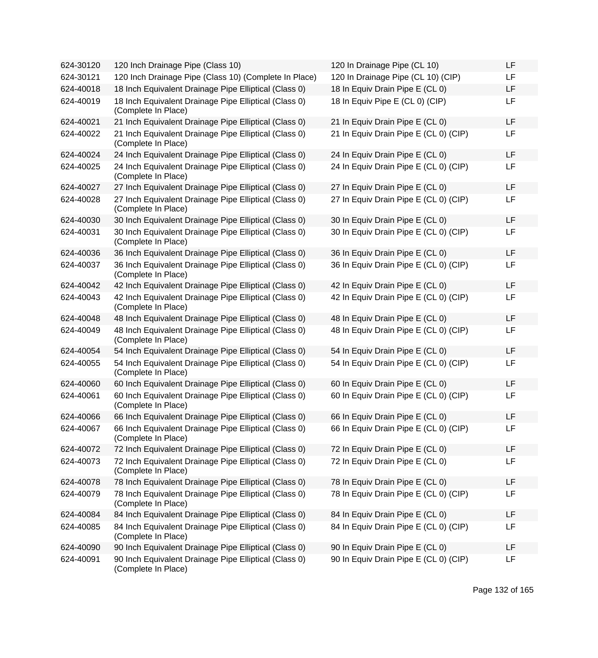| 624-30120 | 120 Inch Drainage Pipe (Class 10)                                            | 120 In Drainage Pipe (CL 10)          | LF        |
|-----------|------------------------------------------------------------------------------|---------------------------------------|-----------|
| 624-30121 | 120 Inch Drainage Pipe (Class 10) (Complete In Place)                        | 120 In Drainage Pipe (CL 10) (CIP)    | <b>LF</b> |
| 624-40018 | 18 Inch Equivalent Drainage Pipe Elliptical (Class 0)                        | 18 In Equiv Drain Pipe E (CL 0)       | <b>LF</b> |
| 624-40019 | 18 Inch Equivalent Drainage Pipe Elliptical (Class 0)<br>(Complete In Place) | 18 In Equiv Pipe E (CL 0) (CIP)       | <b>LF</b> |
| 624-40021 | 21 Inch Equivalent Drainage Pipe Elliptical (Class 0)                        | 21 In Equiv Drain Pipe E (CL 0)       | <b>LF</b> |
| 624-40022 | 21 Inch Equivalent Drainage Pipe Elliptical (Class 0)<br>(Complete In Place) | 21 In Equiv Drain Pipe E (CL 0) (CIP) | LF        |
| 624-40024 | 24 Inch Equivalent Drainage Pipe Elliptical (Class 0)                        | 24 In Equiv Drain Pipe E (CL 0)       | LF        |
| 624-40025 | 24 Inch Equivalent Drainage Pipe Elliptical (Class 0)<br>(Complete In Place) | 24 In Equiv Drain Pipe E (CL 0) (CIP) | <b>LF</b> |
| 624-40027 | 27 Inch Equivalent Drainage Pipe Elliptical (Class 0)                        | 27 In Equiv Drain Pipe E (CL 0)       | LF        |
| 624-40028 | 27 Inch Equivalent Drainage Pipe Elliptical (Class 0)<br>(Complete In Place) | 27 In Equiv Drain Pipe E (CL 0) (CIP) | LF        |
| 624-40030 | 30 Inch Equivalent Drainage Pipe Elliptical (Class 0)                        | 30 In Equiv Drain Pipe E (CL 0)       | LF        |
| 624-40031 | 30 Inch Equivalent Drainage Pipe Elliptical (Class 0)<br>(Complete In Place) | 30 In Equiv Drain Pipe E (CL 0) (CIP) | LF        |
| 624-40036 | 36 Inch Equivalent Drainage Pipe Elliptical (Class 0)                        | 36 In Equiv Drain Pipe E (CL 0)       | LF        |
| 624-40037 | 36 Inch Equivalent Drainage Pipe Elliptical (Class 0)<br>(Complete In Place) | 36 In Equiv Drain Pipe E (CL 0) (CIP) | LF        |
| 624-40042 | 42 Inch Equivalent Drainage Pipe Elliptical (Class 0)                        | 42 In Equiv Drain Pipe E (CL 0)       | LF        |
| 624-40043 | 42 Inch Equivalent Drainage Pipe Elliptical (Class 0)<br>(Complete In Place) | 42 In Equiv Drain Pipe E (CL 0) (CIP) | <b>LF</b> |
| 624-40048 | 48 Inch Equivalent Drainage Pipe Elliptical (Class 0)                        | 48 In Equiv Drain Pipe E (CL 0)       | LF        |
| 624-40049 | 48 Inch Equivalent Drainage Pipe Elliptical (Class 0)<br>(Complete In Place) | 48 In Equiv Drain Pipe E (CL 0) (CIP) | <b>LF</b> |
| 624-40054 | 54 Inch Equivalent Drainage Pipe Elliptical (Class 0)                        | 54 In Equiv Drain Pipe E (CL 0)       | <b>LF</b> |
| 624-40055 | 54 Inch Equivalent Drainage Pipe Elliptical (Class 0)<br>(Complete In Place) | 54 In Equiv Drain Pipe E (CL 0) (CIP) | LF        |
| 624-40060 | 60 Inch Equivalent Drainage Pipe Elliptical (Class 0)                        | 60 In Equiv Drain Pipe E (CL 0)       | <b>LF</b> |
| 624-40061 | 60 Inch Equivalent Drainage Pipe Elliptical (Class 0)<br>(Complete In Place) | 60 In Equiv Drain Pipe E (CL 0) (CIP) | <b>LF</b> |
| 624-40066 | 66 Inch Equivalent Drainage Pipe Elliptical (Class 0)                        | 66 In Equiv Drain Pipe E (CL 0)       | LF        |
| 624-40067 | 66 Inch Equivalent Drainage Pipe Elliptical (Class 0)<br>(Complete In Place) | 66 In Equiv Drain Pipe E (CL 0) (CIP) | LF        |
| 624-40072 | 72 Inch Equivalent Drainage Pipe Elliptical (Class 0)                        | 72 In Equiv Drain Pipe E (CL 0)       | LF        |
| 624-40073 | 72 Inch Equivalent Drainage Pipe Elliptical (Class 0)<br>(Complete In Place) | 72 In Equiv Drain Pipe E (CL 0)       | LF        |
| 624-40078 | 78 Inch Equivalent Drainage Pipe Elliptical (Class 0)                        | 78 In Equiv Drain Pipe E (CL 0)       | LF        |
| 624-40079 | 78 Inch Equivalent Drainage Pipe Elliptical (Class 0)<br>(Complete In Place) | 78 In Equiv Drain Pipe E (CL 0) (CIP) | LF        |
| 624-40084 | 84 Inch Equivalent Drainage Pipe Elliptical (Class 0)                        | 84 In Equiv Drain Pipe E (CL 0)       | LF        |
| 624-40085 | 84 Inch Equivalent Drainage Pipe Elliptical (Class 0)<br>(Complete In Place) | 84 In Equiv Drain Pipe E (CL 0) (CIP) | LF        |
| 624-40090 | 90 Inch Equivalent Drainage Pipe Elliptical (Class 0)                        | 90 In Equiv Drain Pipe E (CL 0)       | LF        |
| 624-40091 | 90 Inch Equivalent Drainage Pipe Elliptical (Class 0)<br>(Complete In Place) | 90 In Equiv Drain Pipe E (CL 0) (CIP) | LF        |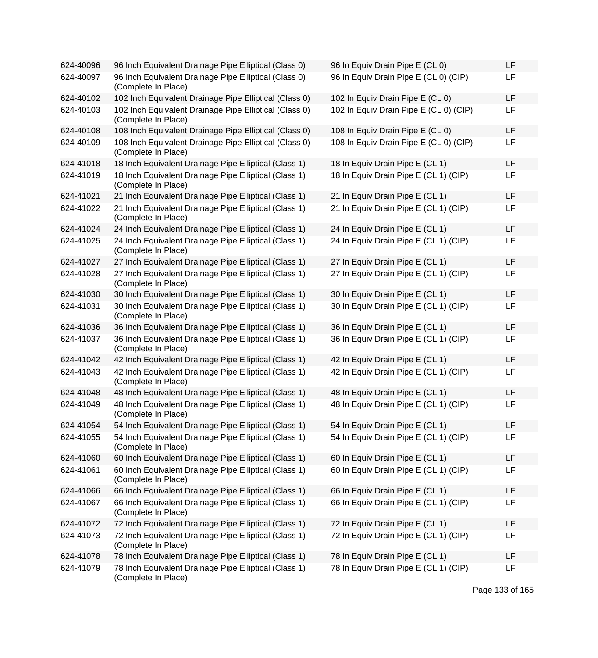| 624-40096 | 96 Inch Equivalent Drainage Pipe Elliptical (Class 0)                         | 96 In Equiv Drain Pipe E (CL 0)        | <b>LF</b> |
|-----------|-------------------------------------------------------------------------------|----------------------------------------|-----------|
| 624-40097 | 96 Inch Equivalent Drainage Pipe Elliptical (Class 0)<br>(Complete In Place)  | 96 In Equiv Drain Pipe E (CL 0) (CIP)  | <b>LF</b> |
| 624-40102 | 102 Inch Equivalent Drainage Pipe Elliptical (Class 0)                        | 102 In Equiv Drain Pipe E (CL 0)       | <b>LF</b> |
| 624-40103 | 102 Inch Equivalent Drainage Pipe Elliptical (Class 0)<br>(Complete In Place) | 102 In Equiv Drain Pipe E (CL 0) (CIP) | LF        |
| 624-40108 | 108 Inch Equivalent Drainage Pipe Elliptical (Class 0)                        | 108 In Equiv Drain Pipe E (CL 0)       | <b>LF</b> |
| 624-40109 | 108 Inch Equivalent Drainage Pipe Elliptical (Class 0)<br>(Complete In Place) | 108 In Equiv Drain Pipe E (CL 0) (CIP) | LF        |
| 624-41018 | 18 Inch Equivalent Drainage Pipe Elliptical (Class 1)                         | 18 In Equiv Drain Pipe E (CL 1)        | <b>LF</b> |
| 624-41019 | 18 Inch Equivalent Drainage Pipe Elliptical (Class 1)<br>(Complete In Place)  | 18 In Equiv Drain Pipe E (CL 1) (CIP)  | <b>LF</b> |
| 624-41021 | 21 Inch Equivalent Drainage Pipe Elliptical (Class 1)                         | 21 In Equiv Drain Pipe E (CL 1)        | <b>LF</b> |
| 624-41022 | 21 Inch Equivalent Drainage Pipe Elliptical (Class 1)<br>(Complete In Place)  | 21 In Equiv Drain Pipe E (CL 1) (CIP)  | LF        |
| 624-41024 | 24 Inch Equivalent Drainage Pipe Elliptical (Class 1)                         | 24 In Equiv Drain Pipe E (CL 1)        | <b>LF</b> |
| 624-41025 | 24 Inch Equivalent Drainage Pipe Elliptical (Class 1)<br>(Complete In Place)  | 24 In Equiv Drain Pipe E (CL 1) (CIP)  | <b>LF</b> |
| 624-41027 | 27 Inch Equivalent Drainage Pipe Elliptical (Class 1)                         | 27 In Equiv Drain Pipe E (CL 1)        | LF        |
| 624-41028 | 27 Inch Equivalent Drainage Pipe Elliptical (Class 1)<br>(Complete In Place)  | 27 In Equiv Drain Pipe E (CL 1) (CIP)  | LF        |
| 624-41030 | 30 Inch Equivalent Drainage Pipe Elliptical (Class 1)                         | 30 In Equiv Drain Pipe E (CL 1)        | LF        |
| 624-41031 | 30 Inch Equivalent Drainage Pipe Elliptical (Class 1)<br>(Complete In Place)  | 30 In Equiv Drain Pipe E (CL 1) (CIP)  | LF        |
| 624-41036 | 36 Inch Equivalent Drainage Pipe Elliptical (Class 1)                         | 36 In Equiv Drain Pipe E (CL 1)        | <b>LF</b> |
| 624-41037 | 36 Inch Equivalent Drainage Pipe Elliptical (Class 1)<br>(Complete In Place)  | 36 In Equiv Drain Pipe E (CL 1) (CIP)  | LF        |
| 624-41042 | 42 Inch Equivalent Drainage Pipe Elliptical (Class 1)                         | 42 In Equiv Drain Pipe E (CL 1)        | LF        |
| 624-41043 | 42 Inch Equivalent Drainage Pipe Elliptical (Class 1)<br>(Complete In Place)  | 42 In Equiv Drain Pipe E (CL 1) (CIP)  | LF        |
| 624-41048 | 48 Inch Equivalent Drainage Pipe Elliptical (Class 1)                         | 48 In Equiv Drain Pipe E (CL 1)        | <b>LF</b> |
| 624-41049 | 48 Inch Equivalent Drainage Pipe Elliptical (Class 1)<br>(Complete In Place)  | 48 In Equiv Drain Pipe E (CL 1) (CIP)  | <b>LF</b> |
| 624-41054 | 54 Inch Equivalent Drainage Pipe Elliptical (Class 1)                         | 54 In Equiv Drain Pipe E (CL 1)        | LF        |
| 624-41055 | 54 Inch Equivalent Drainage Pipe Elliptical (Class 1)<br>(Complete In Place)  | 54 In Equiv Drain Pipe E (CL 1) (CIP)  | LF        |
| 624-41060 | 60 Inch Equivalent Drainage Pipe Elliptical (Class 1)                         | 60 In Equiv Drain Pipe E (CL 1)        | <b>LF</b> |
| 624-41061 | 60 Inch Equivalent Drainage Pipe Elliptical (Class 1)<br>(Complete In Place)  | 60 In Equiv Drain Pipe E (CL 1) (CIP)  | <b>LF</b> |
| 624-41066 | 66 Inch Equivalent Drainage Pipe Elliptical (Class 1)                         | 66 In Equiv Drain Pipe E (CL 1)        | LF        |
| 624-41067 | 66 Inch Equivalent Drainage Pipe Elliptical (Class 1)<br>(Complete In Place)  | 66 In Equiv Drain Pipe E (CL 1) (CIP)  | LF        |
| 624-41072 | 72 Inch Equivalent Drainage Pipe Elliptical (Class 1)                         | 72 In Equiv Drain Pipe E (CL 1)        | <b>LF</b> |
| 624-41073 | 72 Inch Equivalent Drainage Pipe Elliptical (Class 1)<br>(Complete In Place)  | 72 In Equiv Drain Pipe E (CL 1) (CIP)  | LF        |
| 624-41078 | 78 Inch Equivalent Drainage Pipe Elliptical (Class 1)                         | 78 In Equiv Drain Pipe E (CL 1)        | LF        |
| 624-41079 | 78 Inch Equivalent Drainage Pipe Elliptical (Class 1)<br>(Complete In Place)  | 78 In Equiv Drain Pipe E (CL 1) (CIP)  | LF        |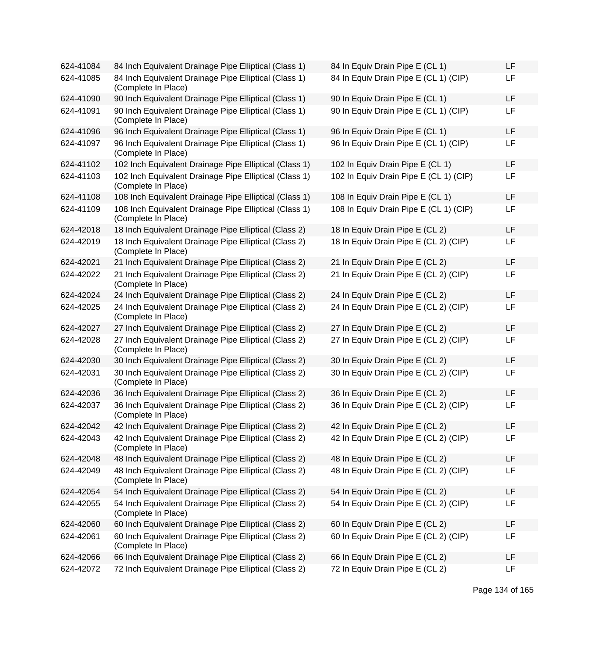| 624-41084 | 84 Inch Equivalent Drainage Pipe Elliptical (Class 1)                         | 84 In Equiv Drain Pipe E (CL 1)        | LF |
|-----------|-------------------------------------------------------------------------------|----------------------------------------|----|
| 624-41085 | 84 Inch Equivalent Drainage Pipe Elliptical (Class 1)<br>(Complete In Place)  | 84 In Equiv Drain Pipe E (CL 1) (CIP)  | LF |
| 624-41090 | 90 Inch Equivalent Drainage Pipe Elliptical (Class 1)                         | 90 In Equiv Drain Pipe E (CL 1)        | LF |
| 624-41091 | 90 Inch Equivalent Drainage Pipe Elliptical (Class 1)<br>(Complete In Place)  | 90 In Equiv Drain Pipe E (CL 1) (CIP)  | LF |
| 624-41096 | 96 Inch Equivalent Drainage Pipe Elliptical (Class 1)                         | 96 In Equiv Drain Pipe E (CL 1)        | LF |
| 624-41097 | 96 Inch Equivalent Drainage Pipe Elliptical (Class 1)<br>(Complete In Place)  | 96 In Equiv Drain Pipe E (CL 1) (CIP)  | LF |
| 624-41102 | 102 Inch Equivalent Drainage Pipe Elliptical (Class 1)                        | 102 In Equiv Drain Pipe E (CL 1)       | LF |
| 624-41103 | 102 Inch Equivalent Drainage Pipe Elliptical (Class 1)<br>(Complete In Place) | 102 In Equiv Drain Pipe E (CL 1) (CIP) | LF |
| 624-41108 | 108 Inch Equivalent Drainage Pipe Elliptical (Class 1)                        | 108 In Equiv Drain Pipe E (CL 1)       | LF |
| 624-41109 | 108 Inch Equivalent Drainage Pipe Elliptical (Class 1)<br>(Complete In Place) | 108 In Equiv Drain Pipe E (CL 1) (CIP) | LF |
| 624-42018 | 18 Inch Equivalent Drainage Pipe Elliptical (Class 2)                         | 18 In Equiv Drain Pipe E (CL 2)        | LF |
| 624-42019 | 18 Inch Equivalent Drainage Pipe Elliptical (Class 2)<br>(Complete In Place)  | 18 In Equiv Drain Pipe E (CL 2) (CIP)  | LF |
| 624-42021 | 21 Inch Equivalent Drainage Pipe Elliptical (Class 2)                         | 21 In Equiv Drain Pipe E (CL 2)        | LF |
| 624-42022 | 21 Inch Equivalent Drainage Pipe Elliptical (Class 2)<br>(Complete In Place)  | 21 In Equiv Drain Pipe E (CL 2) (CIP)  | LF |
| 624-42024 | 24 Inch Equivalent Drainage Pipe Elliptical (Class 2)                         | 24 In Equiv Drain Pipe E (CL 2)        | LF |
| 624-42025 | 24 Inch Equivalent Drainage Pipe Elliptical (Class 2)<br>(Complete In Place)  | 24 In Equiv Drain Pipe E (CL 2) (CIP)  | LF |
| 624-42027 | 27 Inch Equivalent Drainage Pipe Elliptical (Class 2)                         | 27 In Equiv Drain Pipe E (CL 2)        | LF |
| 624-42028 | 27 Inch Equivalent Drainage Pipe Elliptical (Class 2)<br>(Complete In Place)  | 27 In Equiv Drain Pipe E (CL 2) (CIP)  | LF |
| 624-42030 | 30 Inch Equivalent Drainage Pipe Elliptical (Class 2)                         | 30 In Equiv Drain Pipe E (CL 2)        | LF |
| 624-42031 | 30 Inch Equivalent Drainage Pipe Elliptical (Class 2)<br>(Complete In Place)  | 30 In Equiv Drain Pipe E (CL 2) (CIP)  | LF |
| 624-42036 | 36 Inch Equivalent Drainage Pipe Elliptical (Class 2)                         | 36 In Equiv Drain Pipe E (CL 2)        | LF |
| 624-42037 | 36 Inch Equivalent Drainage Pipe Elliptical (Class 2)<br>(Complete In Place)  | 36 In Equiv Drain Pipe E (CL 2) (CIP)  | LF |
| 624-42042 | 42 Inch Equivalent Drainage Pipe Elliptical (Class 2)                         | 42 In Equiv Drain Pipe E (CL 2)        | LF |
| 624-42043 | 42 Inch Equivalent Drainage Pipe Elliptical (Class 2)<br>(Complete In Place)  | 42 In Equiv Drain Pipe E (CL 2) (CIP)  | LF |
| 624-42048 | 48 Inch Equivalent Drainage Pipe Elliptical (Class 2)                         | 48 In Equiv Drain Pipe E (CL 2)        | LF |
| 624-42049 | 48 Inch Equivalent Drainage Pipe Elliptical (Class 2)<br>(Complete In Place)  | 48 In Equiv Drain Pipe E (CL 2) (CIP)  | LF |
| 624-42054 | 54 Inch Equivalent Drainage Pipe Elliptical (Class 2)                         | 54 In Equiv Drain Pipe E (CL 2)        | LF |
| 624-42055 | 54 Inch Equivalent Drainage Pipe Elliptical (Class 2)<br>(Complete In Place)  | 54 In Equiv Drain Pipe E (CL 2) (CIP)  | LF |
| 624-42060 | 60 Inch Equivalent Drainage Pipe Elliptical (Class 2)                         | 60 In Equiv Drain Pipe E (CL 2)        | LF |
| 624-42061 | 60 Inch Equivalent Drainage Pipe Elliptical (Class 2)<br>(Complete In Place)  | 60 In Equiv Drain Pipe E (CL 2) (CIP)  | LF |
| 624-42066 | 66 Inch Equivalent Drainage Pipe Elliptical (Class 2)                         | 66 In Equiv Drain Pipe E (CL 2)        | LF |
| 624-42072 | 72 Inch Equivalent Drainage Pipe Elliptical (Class 2)                         | 72 In Equiv Drain Pipe E (CL 2)        | LF |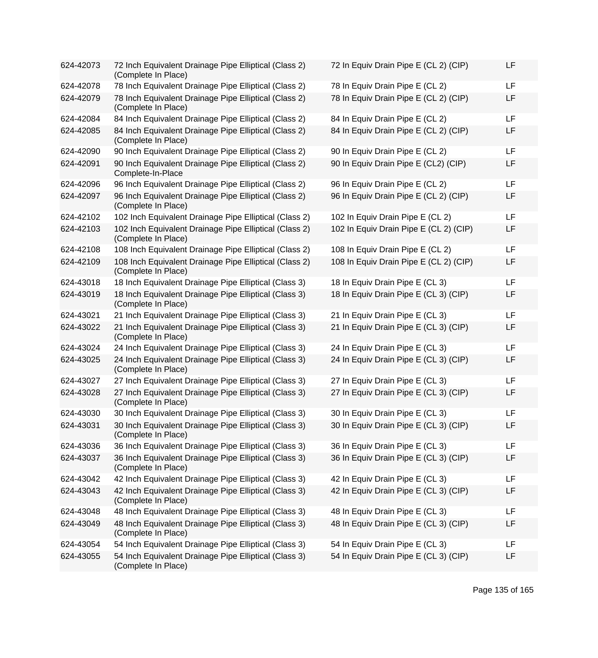| 624-42073 | 72 Inch Equivalent Drainage Pipe Elliptical (Class 2)<br>(Complete In Place)  | 72 In Equiv Drain Pipe E (CL 2) (CIP)  | LF        |
|-----------|-------------------------------------------------------------------------------|----------------------------------------|-----------|
| 624-42078 | 78 Inch Equivalent Drainage Pipe Elliptical (Class 2)                         | 78 In Equiv Drain Pipe E (CL 2)        | <b>LF</b> |
| 624-42079 | 78 Inch Equivalent Drainage Pipe Elliptical (Class 2)<br>(Complete In Place)  | 78 In Equiv Drain Pipe E (CL 2) (CIP)  | LF        |
| 624-42084 | 84 Inch Equivalent Drainage Pipe Elliptical (Class 2)                         | 84 In Equiv Drain Pipe E (CL 2)        | <b>LF</b> |
| 624-42085 | 84 Inch Equivalent Drainage Pipe Elliptical (Class 2)<br>(Complete In Place)  | 84 In Equiv Drain Pipe E (CL 2) (CIP)  | LF        |
| 624-42090 | 90 Inch Equivalent Drainage Pipe Elliptical (Class 2)                         | 90 In Equiv Drain Pipe E (CL 2)        | <b>LF</b> |
| 624-42091 | 90 Inch Equivalent Drainage Pipe Elliptical (Class 2)<br>Complete-In-Place    | 90 In Equiv Drain Pipe E (CL2) (CIP)   | LF        |
| 624-42096 | 96 Inch Equivalent Drainage Pipe Elliptical (Class 2)                         | 96 In Equiv Drain Pipe E (CL 2)        | LF        |
| 624-42097 | 96 Inch Equivalent Drainage Pipe Elliptical (Class 2)<br>(Complete In Place)  | 96 In Equiv Drain Pipe E (CL 2) (CIP)  | LF        |
| 624-42102 | 102 Inch Equivalent Drainage Pipe Elliptical (Class 2)                        | 102 In Equiv Drain Pipe E (CL 2)       | <b>LF</b> |
| 624-42103 | 102 Inch Equivalent Drainage Pipe Elliptical (Class 2)<br>(Complete In Place) | 102 In Equiv Drain Pipe E (CL 2) (CIP) | LF        |
| 624-42108 | 108 Inch Equivalent Drainage Pipe Elliptical (Class 2)                        | 108 In Equiv Drain Pipe E (CL 2)       | <b>LF</b> |
| 624-42109 | 108 Inch Equivalent Drainage Pipe Elliptical (Class 2)<br>(Complete In Place) | 108 In Equiv Drain Pipe E (CL 2) (CIP) | LF        |
| 624-43018 | 18 Inch Equivalent Drainage Pipe Elliptical (Class 3)                         | 18 In Equiv Drain Pipe E (CL 3)        | LF        |
| 624-43019 | 18 Inch Equivalent Drainage Pipe Elliptical (Class 3)<br>(Complete In Place)  | 18 In Equiv Drain Pipe E (CL 3) (CIP)  | LF        |
| 624-43021 | 21 Inch Equivalent Drainage Pipe Elliptical (Class 3)                         | 21 In Equiv Drain Pipe E (CL 3)        | <b>LF</b> |
| 624-43022 | 21 Inch Equivalent Drainage Pipe Elliptical (Class 3)<br>(Complete In Place)  | 21 In Equiv Drain Pipe E (CL 3) (CIP)  | LF        |
| 624-43024 | 24 Inch Equivalent Drainage Pipe Elliptical (Class 3)                         | 24 In Equiv Drain Pipe E (CL 3)        | <b>LF</b> |
| 624-43025 | 24 Inch Equivalent Drainage Pipe Elliptical (Class 3)<br>(Complete In Place)  | 24 In Equiv Drain Pipe E (CL 3) (CIP)  | LF        |
| 624-43027 | 27 Inch Equivalent Drainage Pipe Elliptical (Class 3)                         | 27 In Equiv Drain Pipe E (CL 3)        | <b>LF</b> |
| 624-43028 | 27 Inch Equivalent Drainage Pipe Elliptical (Class 3)<br>(Complete In Place)  | 27 In Equiv Drain Pipe E (CL 3) (CIP)  | LF        |
| 624-43030 | 30 Inch Equivalent Drainage Pipe Elliptical (Class 3)                         | 30 In Equiv Drain Pipe E (CL 3)        | <b>LF</b> |
| 624-43031 | 30 Inch Equivalent Drainage Pipe Elliptical (Class 3)<br>(Complete In Place)  | 30 In Equiv Drain Pipe E (CL 3) (CIP)  | LF        |
| 624-43036 | 36 Inch Equivalent Drainage Pipe Elliptical (Class 3)                         | 36 In Equiv Drain Pipe E (CL 3)        | LF        |
| 624-43037 | 36 Inch Equivalent Drainage Pipe Elliptical (Class 3)<br>(Complete In Place)  | 36 In Equiv Drain Pipe E (CL 3) (CIP)  | LF        |
| 624-43042 | 42 Inch Equivalent Drainage Pipe Elliptical (Class 3)                         | 42 In Equiv Drain Pipe E (CL 3)        | LF        |
| 624-43043 | 42 Inch Equivalent Drainage Pipe Elliptical (Class 3)<br>(Complete In Place)  | 42 In Equiv Drain Pipe E (CL 3) (CIP)  | LF        |
| 624-43048 | 48 Inch Equivalent Drainage Pipe Elliptical (Class 3)                         | 48 In Equiv Drain Pipe E (CL 3)        | LF        |
| 624-43049 | 48 Inch Equivalent Drainage Pipe Elliptical (Class 3)<br>(Complete In Place)  | 48 In Equiv Drain Pipe E (CL 3) (CIP)  | LF        |
| 624-43054 | 54 Inch Equivalent Drainage Pipe Elliptical (Class 3)                         | 54 In Equiv Drain Pipe E (CL 3)        | LF        |
| 624-43055 | 54 Inch Equivalent Drainage Pipe Elliptical (Class 3)<br>(Complete In Place)  | 54 In Equiv Drain Pipe E (CL 3) (CIP)  | LF        |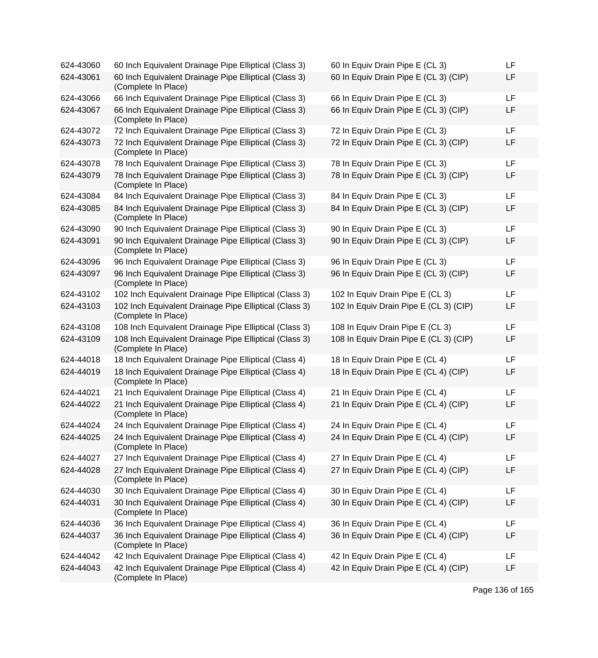| 624-43060 | 60 Inch Equivalent Drainage Pipe Elliptical (Class 3)                         | 60 In Equiv Drain Pipe E (CL 3)        | LF        |
|-----------|-------------------------------------------------------------------------------|----------------------------------------|-----------|
| 624-43061 | 60 Inch Equivalent Drainage Pipe Elliptical (Class 3)<br>(Complete In Place)  | 60 In Equiv Drain Pipe E (CL 3) (CIP)  | LF        |
| 624-43066 | 66 Inch Equivalent Drainage Pipe Elliptical (Class 3)                         | 66 In Equiv Drain Pipe E (CL 3)        | <b>LF</b> |
| 624-43067 | 66 Inch Equivalent Drainage Pipe Elliptical (Class 3)<br>(Complete In Place)  | 66 In Equiv Drain Pipe E (CL 3) (CIP)  | LF        |
| 624-43072 | 72 Inch Equivalent Drainage Pipe Elliptical (Class 3)                         | 72 In Equiv Drain Pipe E (CL 3)        | <b>LF</b> |
| 624-43073 | 72 Inch Equivalent Drainage Pipe Elliptical (Class 3)<br>(Complete In Place)  | 72 In Equiv Drain Pipe E (CL 3) (CIP)  | LF        |
| 624-43078 | 78 Inch Equivalent Drainage Pipe Elliptical (Class 3)                         | 78 In Equiv Drain Pipe E (CL 3)        | <b>LF</b> |
| 624-43079 | 78 Inch Equivalent Drainage Pipe Elliptical (Class 3)<br>(Complete In Place)  | 78 In Equiv Drain Pipe E (CL 3) (CIP)  | LF        |
| 624-43084 | 84 Inch Equivalent Drainage Pipe Elliptical (Class 3)                         | 84 In Equiv Drain Pipe E (CL 3)        | <b>LF</b> |
| 624-43085 | 84 Inch Equivalent Drainage Pipe Elliptical (Class 3)<br>(Complete In Place)  | 84 In Equiv Drain Pipe E (CL 3) (CIP)  | LF        |
| 624-43090 | 90 Inch Equivalent Drainage Pipe Elliptical (Class 3)                         | 90 In Equiv Drain Pipe E (CL 3)        | <b>LF</b> |
| 624-43091 | 90 Inch Equivalent Drainage Pipe Elliptical (Class 3)<br>(Complete In Place)  | 90 In Equiv Drain Pipe E (CL 3) (CIP)  | LF        |
| 624-43096 | 96 Inch Equivalent Drainage Pipe Elliptical (Class 3)                         | 96 In Equiv Drain Pipe E (CL 3)        | LF        |
| 624-43097 | 96 Inch Equivalent Drainage Pipe Elliptical (Class 3)<br>(Complete In Place)  | 96 In Equiv Drain Pipe E (CL 3) (CIP)  | <b>LF</b> |
| 624-43102 | 102 Inch Equivalent Drainage Pipe Elliptical (Class 3)                        | 102 In Equiv Drain Pipe E (CL 3)       | <b>LF</b> |
| 624-43103 | 102 Inch Equivalent Drainage Pipe Elliptical (Class 3)<br>(Complete In Place) | 102 In Equiv Drain Pipe E (CL 3) (CIP) | LF        |
| 624-43108 | 108 Inch Equivalent Drainage Pipe Elliptical (Class 3)                        | 108 In Equiv Drain Pipe E (CL 3)       | <b>LF</b> |
| 624-43109 | 108 Inch Equivalent Drainage Pipe Elliptical (Class 3)<br>(Complete In Place) | 108 In Equiv Drain Pipe E (CL 3) (CIP) | LF        |
| 624-44018 | 18 Inch Equivalent Drainage Pipe Elliptical (Class 4)                         | 18 In Equiv Drain Pipe E (CL 4)        | <b>LF</b> |
| 624-44019 | 18 Inch Equivalent Drainage Pipe Elliptical (Class 4)<br>(Complete In Place)  | 18 In Equiv Drain Pipe E (CL 4) (CIP)  | LF        |
| 624-44021 | 21 Inch Equivalent Drainage Pipe Elliptical (Class 4)                         | 21 In Equiv Drain Pipe E (CL 4)        | LF        |
| 624-44022 | 21 Inch Equivalent Drainage Pipe Elliptical (Class 4)<br>(Complete In Place)  | 21 In Equiv Drain Pipe E (CL 4) (CIP)  | LF        |
| 624-44024 | 24 Inch Equivalent Drainage Pipe Elliptical (Class 4)                         | 24 In Equiv Drain Pipe E (CL 4)        | <b>LF</b> |
| 624-44025 | 24 Inch Equivalent Drainage Pipe Elliptical (Class 4)<br>(Complete In Place)  | 24 In Equiv Drain Pipe E (CL 4) (CIP)  | LF        |
| 624-44027 | 27 Inch Equivalent Drainage Pipe Elliptical (Class 4)                         | 27 In Equiv Drain Pipe E (CL 4)        | <b>LF</b> |
| 624-44028 | 27 Inch Equivalent Drainage Pipe Elliptical (Class 4)<br>(Complete In Place)  | 27 In Equiv Drain Pipe E (CL 4) (CIP)  | LF        |
| 624-44030 | 30 Inch Equivalent Drainage Pipe Elliptical (Class 4)                         | 30 In Equiv Drain Pipe E (CL 4)        | LF        |
| 624-44031 | 30 Inch Equivalent Drainage Pipe Elliptical (Class 4)<br>(Complete In Place)  | 30 In Equiv Drain Pipe E (CL 4) (CIP)  | LF        |
| 624-44036 | 36 Inch Equivalent Drainage Pipe Elliptical (Class 4)                         | 36 In Equiv Drain Pipe E (CL 4)        | <b>LF</b> |
| 624-44037 | 36 Inch Equivalent Drainage Pipe Elliptical (Class 4)<br>(Complete In Place)  | 36 In Equiv Drain Pipe E (CL 4) (CIP)  | LF        |
| 624-44042 | 42 Inch Equivalent Drainage Pipe Elliptical (Class 4)                         | 42 In Equiv Drain Pipe E (CL 4)        | LF        |
| 624-44043 | 42 Inch Equivalent Drainage Pipe Elliptical (Class 4)<br>(Complete In Place)  | 42 In Equiv Drain Pipe E (CL 4) (CIP)  | LF        |

Page 136 of 165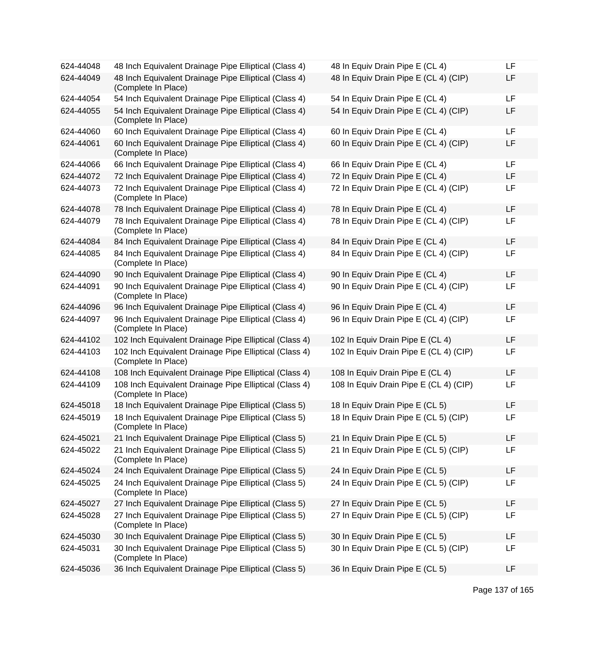| 624-44048 | 48 Inch Equivalent Drainage Pipe Elliptical (Class 4)                         | 48 In Equiv Drain Pipe E (CL 4)        | LF |
|-----------|-------------------------------------------------------------------------------|----------------------------------------|----|
| 624-44049 | 48 Inch Equivalent Drainage Pipe Elliptical (Class 4)<br>(Complete In Place)  | 48 In Equiv Drain Pipe E (CL 4) (CIP)  | LF |
| 624-44054 | 54 Inch Equivalent Drainage Pipe Elliptical (Class 4)                         | 54 In Equiv Drain Pipe E (CL 4)        | LF |
| 624-44055 | 54 Inch Equivalent Drainage Pipe Elliptical (Class 4)<br>(Complete In Place)  | 54 In Equiv Drain Pipe E (CL 4) (CIP)  | LF |
| 624-44060 | 60 Inch Equivalent Drainage Pipe Elliptical (Class 4)                         | 60 In Equiv Drain Pipe E (CL 4)        | LF |
| 624-44061 | 60 Inch Equivalent Drainage Pipe Elliptical (Class 4)<br>(Complete In Place)  | 60 In Equiv Drain Pipe E (CL 4) (CIP)  | LF |
| 624-44066 | 66 Inch Equivalent Drainage Pipe Elliptical (Class 4)                         | 66 In Equiv Drain Pipe E (CL 4)        | LF |
| 624-44072 | 72 Inch Equivalent Drainage Pipe Elliptical (Class 4)                         | 72 In Equiv Drain Pipe E (CL 4)        | LF |
| 624-44073 | 72 Inch Equivalent Drainage Pipe Elliptical (Class 4)<br>(Complete In Place)  | 72 In Equiv Drain Pipe E (CL 4) (CIP)  | LF |
| 624-44078 | 78 Inch Equivalent Drainage Pipe Elliptical (Class 4)                         | 78 In Equiv Drain Pipe E (CL 4)        | LF |
| 624-44079 | 78 Inch Equivalent Drainage Pipe Elliptical (Class 4)<br>(Complete In Place)  | 78 In Equiv Drain Pipe E (CL 4) (CIP)  | LF |
| 624-44084 | 84 Inch Equivalent Drainage Pipe Elliptical (Class 4)                         | 84 In Equiv Drain Pipe E (CL 4)        | LF |
| 624-44085 | 84 Inch Equivalent Drainage Pipe Elliptical (Class 4)<br>(Complete In Place)  | 84 In Equiv Drain Pipe E (CL 4) (CIP)  | LF |
| 624-44090 | 90 Inch Equivalent Drainage Pipe Elliptical (Class 4)                         | 90 In Equiv Drain Pipe E (CL 4)        | LF |
| 624-44091 | 90 Inch Equivalent Drainage Pipe Elliptical (Class 4)<br>(Complete In Place)  | 90 In Equiv Drain Pipe E (CL 4) (CIP)  | LF |
| 624-44096 | 96 Inch Equivalent Drainage Pipe Elliptical (Class 4)                         | 96 In Equiv Drain Pipe E (CL 4)        | LF |
| 624-44097 | 96 Inch Equivalent Drainage Pipe Elliptical (Class 4)<br>(Complete In Place)  | 96 In Equiv Drain Pipe E (CL 4) (CIP)  | LF |
| 624-44102 | 102 Inch Equivalent Drainage Pipe Elliptical (Class 4)                        | 102 In Equiv Drain Pipe E (CL 4)       | LF |
| 624-44103 | 102 Inch Equivalent Drainage Pipe Elliptical (Class 4)<br>(Complete In Place) | 102 In Equiv Drain Pipe E (CL 4) (CIP) | LF |
| 624-44108 | 108 Inch Equivalent Drainage Pipe Elliptical (Class 4)                        | 108 In Equiv Drain Pipe E (CL 4)       | LF |
| 624-44109 | 108 Inch Equivalent Drainage Pipe Elliptical (Class 4)<br>(Complete In Place) | 108 In Equiv Drain Pipe E (CL 4) (CIP) | LF |
| 624-45018 | 18 Inch Equivalent Drainage Pipe Elliptical (Class 5)                         | 18 In Equiv Drain Pipe E (CL 5)        | LF |
| 624-45019 | 18 Inch Equivalent Drainage Pipe Elliptical (Class 5)<br>(Complete In Place)  | 18 In Equiv Drain Pipe E (CL 5) (CIP)  | LF |
| 624-45021 | 21 Inch Equivalent Drainage Pipe Elliptical (Class 5)                         | 21 In Equiv Drain Pipe E (CL 5)        | LF |
| 624-45022 | 21 Inch Equivalent Drainage Pipe Elliptical (Class 5)<br>(Complete In Place)  | 21 In Equiv Drain Pipe E (CL 5) (CIP)  | LF |
| 624-45024 | 24 Inch Equivalent Drainage Pipe Elliptical (Class 5)                         | 24 In Equiv Drain Pipe E (CL 5)        | LF |
| 624-45025 | 24 Inch Equivalent Drainage Pipe Elliptical (Class 5)<br>(Complete In Place)  | 24 In Equiv Drain Pipe E (CL 5) (CIP)  | LF |
| 624-45027 | 27 Inch Equivalent Drainage Pipe Elliptical (Class 5)                         | 27 In Equiv Drain Pipe E (CL 5)        | LF |
| 624-45028 | 27 Inch Equivalent Drainage Pipe Elliptical (Class 5)<br>(Complete In Place)  | 27 In Equiv Drain Pipe E (CL 5) (CIP)  | LF |
| 624-45030 | 30 Inch Equivalent Drainage Pipe Elliptical (Class 5)                         | 30 In Equiv Drain Pipe E (CL 5)        | LF |
| 624-45031 | 30 Inch Equivalent Drainage Pipe Elliptical (Class 5)<br>(Complete In Place)  | 30 In Equiv Drain Pipe E (CL 5) (CIP)  | LF |
| 624-45036 | 36 Inch Equivalent Drainage Pipe Elliptical (Class 5)                         | 36 In Equiv Drain Pipe E (CL 5)        | LF |

| 48 In Equiv Drain Pipe E (CL 4)        | LF |
|----------------------------------------|----|
| 48 In Equiv Drain Pipe E (CL 4) (CIP)  | LF |
| 54 In Equiv Drain Pipe E (CL 4)        | LF |
| 54 In Equiv Drain Pipe E (CL 4) (CIP)  | LF |
| 60 In Equiv Drain Pipe E (CL 4)        | LF |
| 60 In Equiv Drain Pipe E (CL 4) (CIP)  | LF |
| 66 In Equiv Drain Pipe E (CL 4)        | LF |
| 72 In Equiv Drain Pipe E (CL 4)        | LF |
| 72 In Equiv Drain Pipe E (CL 4) (CIP)  | LF |
| 78 In Equiv Drain Pipe E (CL 4)        | LF |
| 78 In Equiv Drain Pipe E (CL 4) (CIP)  | LF |
| 84 In Equiv Drain Pipe E (CL 4)        | LF |
| 84 In Equiv Drain Pipe E (CL 4) (CIP)  | LF |
| 90 In Equiv Drain Pipe E (CL 4)        | LF |
| 90 In Equiv Drain Pipe E (CL 4) (CIP)  | LF |
| 96 In Equiv Drain Pipe E (CL 4)        | LF |
| 96 In Equiv Drain Pipe E (CL 4) (CIP)  | LF |
| 102 In Equiv Drain Pipe E (CL 4)       | LF |
| 102 In Equiv Drain Pipe E (CL 4) (CIP) | LF |
| 108 In Equiv Drain Pipe E (CL 4)       | LF |
| 108 In Equiv Drain Pipe E (CL 4) (CIP) | LF |
| 18 In Equiv Drain Pipe E (CL 5)        | LF |
| 18 In Equiv Drain Pipe E (CL 5) (CIP)  | LF |
| 21 In Equiv Drain Pipe E (CL 5)        | LF |
| 21 In Equiv Drain Pipe E (CL 5) (CIP)  | LF |
| 24 In Equiv Drain Pipe E (CL 5)        | LF |
| 24 In Equiv Drain Pipe E (CL 5) (CIP)  | LF |
| 27 In Equiv Drain Pipe E (CL 5)        | LF |
| 27 In Equiv Drain Pipe E (CL 5) (CIP)  | LF |
| 30 In Equiv Drain Pipe E (CL 5)        | LF |
| 30 In Equiv Drain Pipe E (CL 5) (CIP)  | LF |
| 36 In Equiv Drain Pipe E (CL 5)        | LF |
|                                        |    |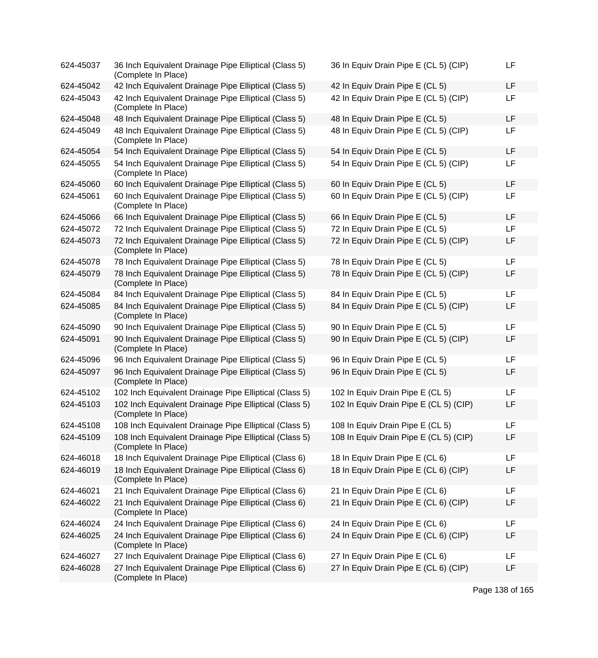| 624-45037 | 36 Inch Equivalent Drainage Pipe Elliptical (Class 5)<br>(Complete In Place)  | 36 In Equiv Drain Pipe E (CL 5) (CIP)  | <b>LF</b> |
|-----------|-------------------------------------------------------------------------------|----------------------------------------|-----------|
| 624-45042 | 42 Inch Equivalent Drainage Pipe Elliptical (Class 5)                         | 42 In Equiv Drain Pipe E (CL 5)        | <b>LF</b> |
| 624-45043 | 42 Inch Equivalent Drainage Pipe Elliptical (Class 5)<br>(Complete In Place)  | 42 In Equiv Drain Pipe E (CL 5) (CIP)  | <b>LF</b> |
| 624-45048 | 48 Inch Equivalent Drainage Pipe Elliptical (Class 5)                         | 48 In Equiv Drain Pipe E (CL 5)        | LF        |
| 624-45049 | 48 Inch Equivalent Drainage Pipe Elliptical (Class 5)<br>(Complete In Place)  | 48 In Equiv Drain Pipe E (CL 5) (CIP)  | LF        |
| 624-45054 | 54 Inch Equivalent Drainage Pipe Elliptical (Class 5)                         | 54 In Equiv Drain Pipe E (CL 5)        | <b>LF</b> |
| 624-45055 | 54 Inch Equivalent Drainage Pipe Elliptical (Class 5)<br>(Complete In Place)  | 54 In Equiv Drain Pipe E (CL 5) (CIP)  | <b>LF</b> |
| 624-45060 | 60 Inch Equivalent Drainage Pipe Elliptical (Class 5)                         | 60 In Equiv Drain Pipe E (CL 5)        | LF        |
| 624-45061 | 60 Inch Equivalent Drainage Pipe Elliptical (Class 5)<br>(Complete In Place)  | 60 In Equiv Drain Pipe E (CL 5) (CIP)  | LF        |
| 624-45066 | 66 Inch Equivalent Drainage Pipe Elliptical (Class 5)                         | 66 In Equiv Drain Pipe E (CL 5)        | <b>LF</b> |
| 624-45072 | 72 Inch Equivalent Drainage Pipe Elliptical (Class 5)                         | 72 In Equiv Drain Pipe E (CL 5)        | LF        |
| 624-45073 | 72 Inch Equivalent Drainage Pipe Elliptical (Class 5)<br>(Complete In Place)  | 72 In Equiv Drain Pipe E (CL 5) (CIP)  | LF        |
| 624-45078 | 78 Inch Equivalent Drainage Pipe Elliptical (Class 5)                         | 78 In Equiv Drain Pipe E (CL 5)        | LF        |
| 624-45079 | 78 Inch Equivalent Drainage Pipe Elliptical (Class 5)<br>(Complete In Place)  | 78 In Equiv Drain Pipe E (CL 5) (CIP)  | LF        |
| 624-45084 | 84 Inch Equivalent Drainage Pipe Elliptical (Class 5)                         | 84 In Equiv Drain Pipe E (CL 5)        | <b>LF</b> |
| 624-45085 | 84 Inch Equivalent Drainage Pipe Elliptical (Class 5)<br>(Complete In Place)  | 84 In Equiv Drain Pipe E (CL 5) (CIP)  | LF        |
| 624-45090 | 90 Inch Equivalent Drainage Pipe Elliptical (Class 5)                         | 90 In Equiv Drain Pipe E (CL 5)        | <b>LF</b> |
| 624-45091 | 90 Inch Equivalent Drainage Pipe Elliptical (Class 5)<br>(Complete In Place)  | 90 In Equiv Drain Pipe E (CL 5) (CIP)  | LF        |
| 624-45096 | 96 Inch Equivalent Drainage Pipe Elliptical (Class 5)                         | 96 In Equiv Drain Pipe E (CL 5)        | LF        |
| 624-45097 | 96 Inch Equivalent Drainage Pipe Elliptical (Class 5)<br>(Complete In Place)  | 96 In Equiv Drain Pipe E (CL 5)        | LF        |
| 624-45102 | 102 Inch Equivalent Drainage Pipe Elliptical (Class 5)                        | 102 In Equiv Drain Pipe E (CL 5)       | LF        |
| 624-45103 | 102 Inch Equivalent Drainage Pipe Elliptical (Class 5)<br>(Complete In Place) | 102 In Equiv Drain Pipe E (CL 5) (CIP) | LF        |
| 624-45108 | 108 Inch Equivalent Drainage Pipe Elliptical (Class 5)                        | 108 In Equiv Drain Pipe E (CL 5)       | LF        |
| 624-45109 | 108 Inch Equivalent Drainage Pipe Elliptical (Class 5)<br>(Complete In Place) | 108 In Equiv Drain Pipe E (CL 5) (CIP) | LF        |
| 624-46018 | 18 Inch Equivalent Drainage Pipe Elliptical (Class 6)                         | 18 In Equiv Drain Pipe E (CL 6)        | LF        |
| 624-46019 | 18 Inch Equivalent Drainage Pipe Elliptical (Class 6)<br>(Complete In Place)  | 18 In Equiv Drain Pipe E (CL 6) (CIP)  | LF        |
| 624-46021 | 21 Inch Equivalent Drainage Pipe Elliptical (Class 6)                         | 21 In Equiv Drain Pipe E (CL 6)        | LF        |
| 624-46022 | 21 Inch Equivalent Drainage Pipe Elliptical (Class 6)<br>(Complete In Place)  | 21 In Equiv Drain Pipe E (CL 6) (CIP)  | LF        |
| 624-46024 | 24 Inch Equivalent Drainage Pipe Elliptical (Class 6)                         | 24 In Equiv Drain Pipe E (CL 6)        | LF        |
| 624-46025 | 24 Inch Equivalent Drainage Pipe Elliptical (Class 6)<br>(Complete In Place)  | 24 In Equiv Drain Pipe E (CL 6) (CIP)  | LF        |
| 624-46027 | 27 Inch Equivalent Drainage Pipe Elliptical (Class 6)                         | 27 In Equiv Drain Pipe E (CL 6)        | LF        |
| 624-46028 | 27 Inch Equivalent Drainage Pipe Elliptical (Class 6)<br>(Complete In Place)  | 27 In Equiv Drain Pipe E (CL 6) (CIP)  | LF        |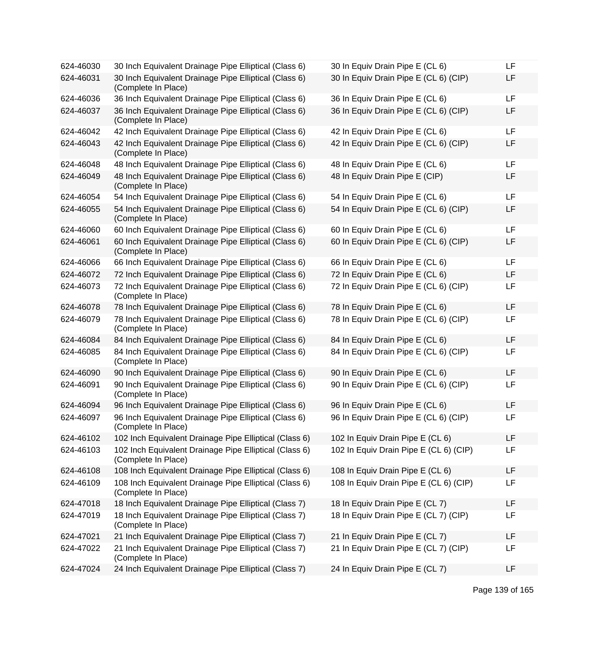| 624-46030 | 30 Inch Equivalent Drainage Pipe Elliptical (Class 6)                         | 30 In Equiv Drain Pipe E (CL 6)        | LF |
|-----------|-------------------------------------------------------------------------------|----------------------------------------|----|
| 624-46031 | 30 Inch Equivalent Drainage Pipe Elliptical (Class 6)<br>(Complete In Place)  | 30 In Equiv Drain Pipe E (CL 6) (CIP)  | LF |
| 624-46036 | 36 Inch Equivalent Drainage Pipe Elliptical (Class 6)                         | 36 In Equiv Drain Pipe E (CL 6)        | LF |
| 624-46037 | 36 Inch Equivalent Drainage Pipe Elliptical (Class 6)<br>(Complete In Place)  | 36 In Equiv Drain Pipe E (CL 6) (CIP)  | LF |
| 624-46042 | 42 Inch Equivalent Drainage Pipe Elliptical (Class 6)                         | 42 In Equiv Drain Pipe E (CL 6)        | LF |
| 624-46043 | 42 Inch Equivalent Drainage Pipe Elliptical (Class 6)<br>(Complete In Place)  | 42 In Equiv Drain Pipe E (CL 6) (CIP)  | LF |
| 624-46048 | 48 Inch Equivalent Drainage Pipe Elliptical (Class 6)                         | 48 In Equiv Drain Pipe E (CL 6)        | LF |
| 624-46049 | 48 Inch Equivalent Drainage Pipe Elliptical (Class 6)<br>(Complete In Place)  | 48 In Equiv Drain Pipe E (CIP)         | LF |
| 624-46054 | 54 Inch Equivalent Drainage Pipe Elliptical (Class 6)                         | 54 In Equiv Drain Pipe E (CL 6)        | LF |
| 624-46055 | 54 Inch Equivalent Drainage Pipe Elliptical (Class 6)<br>(Complete In Place)  | 54 In Equiv Drain Pipe E (CL 6) (CIP)  | LF |
| 624-46060 | 60 Inch Equivalent Drainage Pipe Elliptical (Class 6)                         | 60 In Equiv Drain Pipe E (CL 6)        | LF |
| 624-46061 | 60 Inch Equivalent Drainage Pipe Elliptical (Class 6)<br>(Complete In Place)  | 60 In Equiv Drain Pipe E (CL 6) (CIP)  | LF |
| 624-46066 | 66 Inch Equivalent Drainage Pipe Elliptical (Class 6)                         | 66 In Equiv Drain Pipe E (CL 6)        | LF |
| 624-46072 | 72 Inch Equivalent Drainage Pipe Elliptical (Class 6)                         | 72 In Equiv Drain Pipe E (CL 6)        | LF |
| 624-46073 | 72 Inch Equivalent Drainage Pipe Elliptical (Class 6)<br>(Complete In Place)  | 72 In Equiv Drain Pipe E (CL 6) (CIP)  | LF |
| 624-46078 | 78 Inch Equivalent Drainage Pipe Elliptical (Class 6)                         | 78 In Equiv Drain Pipe E (CL 6)        | LF |
| 624-46079 | 78 Inch Equivalent Drainage Pipe Elliptical (Class 6)<br>(Complete In Place)  | 78 In Equiv Drain Pipe E (CL 6) (CIP)  | LF |
| 624-46084 | 84 Inch Equivalent Drainage Pipe Elliptical (Class 6)                         | 84 In Equiv Drain Pipe E (CL 6)        | LF |
| 624-46085 | 84 Inch Equivalent Drainage Pipe Elliptical (Class 6)<br>(Complete In Place)  | 84 In Equiv Drain Pipe E (CL 6) (CIP)  | LF |
| 624-46090 | 90 Inch Equivalent Drainage Pipe Elliptical (Class 6)                         | 90 In Equiv Drain Pipe E (CL 6)        | LF |
| 624-46091 | 90 Inch Equivalent Drainage Pipe Elliptical (Class 6)<br>(Complete In Place)  | 90 In Equiv Drain Pipe E (CL 6) (CIP)  | LF |
| 624-46094 | 96 Inch Equivalent Drainage Pipe Elliptical (Class 6)                         | 96 In Equiv Drain Pipe E (CL 6)        | LF |
| 624-46097 | 96 Inch Equivalent Drainage Pipe Elliptical (Class 6)<br>(Complete In Place)  | 96 In Equiv Drain Pipe E (CL 6) (CIP)  | LF |
| 624-46102 | 102 Inch Equivalent Drainage Pipe Elliptical (Class 6)                        | 102 In Equiv Drain Pipe E (CL 6)       | LF |
| 624-46103 | 102 Inch Equivalent Drainage Pipe Elliptical (Class 6)<br>(Complete In Place) | 102 In Equiv Drain Pipe E (CL 6) (CIP) | LF |
| 624-46108 | 108 Inch Equivalent Drainage Pipe Elliptical (Class 6)                        | 108 In Equiv Drain Pipe E (CL 6)       | LF |
| 624-46109 | 108 Inch Equivalent Drainage Pipe Elliptical (Class 6)<br>(Complete In Place) | 108 In Equiv Drain Pipe E (CL 6) (CIP) | LF |
| 624-47018 | 18 Inch Equivalent Drainage Pipe Elliptical (Class 7)                         | 18 In Equiv Drain Pipe E (CL 7)        | LF |
| 624-47019 | 18 Inch Equivalent Drainage Pipe Elliptical (Class 7)<br>(Complete In Place)  | 18 In Equiv Drain Pipe E (CL 7) (CIP)  | LF |
| 624-47021 | 21 Inch Equivalent Drainage Pipe Elliptical (Class 7)                         | 21 In Equiv Drain Pipe E (CL 7)        | LF |
| 624-47022 | 21 Inch Equivalent Drainage Pipe Elliptical (Class 7)<br>(Complete In Place)  | 21 In Equiv Drain Pipe E (CL 7) (CIP)  | LF |
| 624-47024 | 24 Inch Equivalent Drainage Pipe Elliptical (Class 7)                         | 24 In Equiv Drain Pipe E (CL 7)        | LF |
|           |                                                                               |                                        |    |

| 0 In Equiv Drain Pipe E (CL 6)        | LF |
|---------------------------------------|----|
| 0 In Equiv Drain Pipe E (CL 6) (CIP)  | LF |
| 6 In Equiv Drain Pipe E (CL 6)        | LF |
| 6 In Equiv Drain Pipe E (CL 6) (CIP)  | LF |
| 2 In Equiv Drain Pipe E (CL 6)        | LF |
| 2 In Equiv Drain Pipe E (CL 6) (CIP)  | LF |
| 8 In Equiv Drain Pipe E (CL 6)        | LF |
| 8 In Equiv Drain Pipe E (CIP)         | LF |
| 4 In Equiv Drain Pipe E (CL 6)        | LF |
| 4 In Equiv Drain Pipe E (CL 6) (CIP)  | LF |
| 0 In Equiv Drain Pipe E (CL 6)        | LF |
| 0 In Equiv Drain Pipe E (CL 6) (CIP)  | LF |
| 6 In Equiv Drain Pipe E (CL 6)        | LF |
| 2 In Equiv Drain Pipe E (CL 6)        | LF |
| 2 In Equiv Drain Pipe E (CL 6) (CIP)  | LF |
| 8 In Equiv Drain Pipe E (CL 6)        | LF |
| 8 In Equiv Drain Pipe E (CL 6) (CIP)  | LF |
| 4 In Equiv Drain Pipe E (CL 6)        | LF |
| 4 In Equiv Drain Pipe E (CL 6) (CIP)  | LF |
| 0 In Equiv Drain Pipe E (CL 6)        | LF |
| 0 In Equiv Drain Pipe E (CL 6) (CIP)  | LF |
| 6 In Equiv Drain Pipe E (CL 6)        | LF |
| 6 In Equiv Drain Pipe E (CL 6) (CIP)  | LF |
| 02 In Equiv Drain Pipe E (CL 6)       | LF |
| 02 In Equiv Drain Pipe E (CL 6) (CIP) | LF |
| 08 In Equiv Drain Pipe E (CL 6)       | LF |
| 08 In Equiv Drain Pipe E (CL 6) (CIP) | LF |
| 8 In Equiv Drain Pipe E (CL 7)        | LF |
| 8 In Equiv Drain Pipe E (CL 7) (CIP)  | LF |
| 1 In Equiv Drain Pipe E (CL 7)        | LF |
| 1 In Equiv Drain Pipe E (CL 7) (CIP)  | LF |
| 4 In Equiv Drain Pipe E (CL 7)        | LF |
|                                       |    |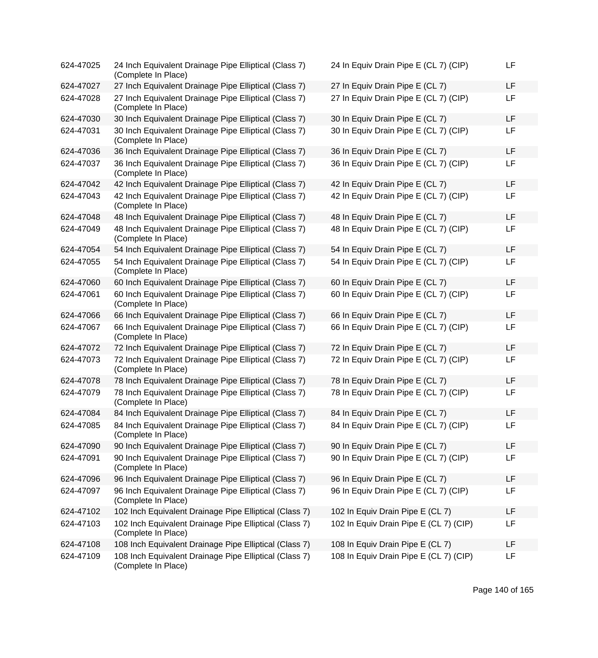| 624-47025 | 24 Inch Equivalent Drainage Pipe Elliptical (Class 7)<br>(Complete In Place)  | 24 In Equiv Drain Pipe E (CL 7) (CIP)  | LF |
|-----------|-------------------------------------------------------------------------------|----------------------------------------|----|
| 624-47027 | 27 Inch Equivalent Drainage Pipe Elliptical (Class 7)                         | 27 In Equiv Drain Pipe E (CL 7)        | LF |
| 624-47028 | 27 Inch Equivalent Drainage Pipe Elliptical (Class 7)<br>(Complete In Place)  | 27 In Equiv Drain Pipe E (CL 7) (CIP)  | LF |
| 624-47030 | 30 Inch Equivalent Drainage Pipe Elliptical (Class 7)                         | 30 In Equiv Drain Pipe E (CL 7)        | LF |
| 624-47031 | 30 Inch Equivalent Drainage Pipe Elliptical (Class 7)<br>(Complete In Place)  | 30 In Equiv Drain Pipe E (CL 7) (CIP)  | LF |
| 624-47036 | 36 Inch Equivalent Drainage Pipe Elliptical (Class 7)                         | 36 In Equiv Drain Pipe E (CL 7)        | LF |
| 624-47037 | 36 Inch Equivalent Drainage Pipe Elliptical (Class 7)<br>(Complete In Place)  | 36 In Equiv Drain Pipe E (CL 7) (CIP)  | LF |
| 624-47042 | 42 Inch Equivalent Drainage Pipe Elliptical (Class 7)                         | 42 In Equiv Drain Pipe E (CL 7)        | LF |
| 624-47043 | 42 Inch Equivalent Drainage Pipe Elliptical (Class 7)<br>(Complete In Place)  | 42 In Equiv Drain Pipe E (CL 7) (CIP)  | LF |
| 624-47048 | 48 Inch Equivalent Drainage Pipe Elliptical (Class 7)                         | 48 In Equiv Drain Pipe E (CL 7)        | LF |
| 624-47049 | 48 Inch Equivalent Drainage Pipe Elliptical (Class 7)<br>(Complete In Place)  | 48 In Equiv Drain Pipe E (CL 7) (CIP)  | LF |
| 624-47054 | 54 Inch Equivalent Drainage Pipe Elliptical (Class 7)                         | 54 In Equiv Drain Pipe E (CL 7)        | LF |
| 624-47055 | 54 Inch Equivalent Drainage Pipe Elliptical (Class 7)<br>(Complete In Place)  | 54 In Equiv Drain Pipe E (CL 7) (CIP)  | LF |
| 624-47060 | 60 Inch Equivalent Drainage Pipe Elliptical (Class 7)                         | 60 In Equiv Drain Pipe E (CL 7)        | LF |
| 624-47061 | 60 Inch Equivalent Drainage Pipe Elliptical (Class 7)<br>(Complete In Place)  | 60 In Equiv Drain Pipe E (CL 7) (CIP)  | LF |
| 624-47066 | 66 Inch Equivalent Drainage Pipe Elliptical (Class 7)                         | 66 In Equiv Drain Pipe E (CL 7)        | LF |
| 624-47067 | 66 Inch Equivalent Drainage Pipe Elliptical (Class 7)<br>(Complete In Place)  | 66 In Equiv Drain Pipe E (CL 7) (CIP)  | LF |
| 624-47072 | 72 Inch Equivalent Drainage Pipe Elliptical (Class 7)                         | 72 In Equiv Drain Pipe E (CL 7)        | LF |
| 624-47073 | 72 Inch Equivalent Drainage Pipe Elliptical (Class 7)<br>(Complete In Place)  | 72 In Equiv Drain Pipe E (CL 7) (CIP)  | LF |
| 624-47078 | 78 Inch Equivalent Drainage Pipe Elliptical (Class 7)                         | 78 In Equiv Drain Pipe E (CL 7)        | LF |
| 624-47079 | 78 Inch Equivalent Drainage Pipe Elliptical (Class 7)<br>(Complete In Place)  | 78 In Equiv Drain Pipe E (CL 7) (CIP)  | LF |
| 624-47084 | 84 Inch Equivalent Drainage Pipe Elliptical (Class 7)                         | 84 In Equiv Drain Pipe E (CL 7)        | LF |
| 624-47085 | 84 Inch Equivalent Drainage Pipe Elliptical (Class 7)<br>(Complete In Place)  | 84 In Equiv Drain Pipe E (CL 7) (CIP)  | LF |
| 624-47090 | 90 Inch Equivalent Drainage Pipe Elliptical (Class 7)                         | 90 In Equiv Drain Pipe E (CL 7)        | LF |
| 624-47091 | 90 Inch Equivalent Drainage Pipe Elliptical (Class 7)<br>(Complete In Place)  | 90 In Equiv Drain Pipe E (CL 7) (CIP)  | LF |
| 624-47096 | 96 Inch Equivalent Drainage Pipe Elliptical (Class 7)                         | 96 In Equiv Drain Pipe E (CL 7)        | LF |
| 624-47097 | 96 Inch Equivalent Drainage Pipe Elliptical (Class 7)<br>(Complete In Place)  | 96 In Equiv Drain Pipe E (CL 7) (CIP)  | LF |
| 624-47102 | 102 Inch Equivalent Drainage Pipe Elliptical (Class 7)                        | 102 In Equiv Drain Pipe E (CL 7)       | LF |
| 624-47103 | 102 Inch Equivalent Drainage Pipe Elliptical (Class 7)<br>(Complete In Place) | 102 In Equiv Drain Pipe E (CL 7) (CIP) | LF |
| 624-47108 | 108 Inch Equivalent Drainage Pipe Elliptical (Class 7)                        | 108 In Equiv Drain Pipe E (CL 7)       | LF |
| 624-47109 | 108 Inch Equivalent Drainage Pipe Elliptical (Class 7)<br>(Complete In Place) | 108 In Equiv Drain Pipe E (CL 7) (CIP) | LF |

| 24 In Equiv Drain Pipe E (CL 7) (CIP)  | LF |
|----------------------------------------|----|
| 27 In Equiv Drain Pipe E (CL 7)        | LF |
| 27 In Equiv Drain Pipe E (CL 7) (CIP)  | LF |
| 30 In Equiv Drain Pipe E (CL 7)        | LF |
| 30 In Equiv Drain Pipe E (CL 7) (CIP)  | LF |
| 36 In Equiv Drain Pipe E (CL 7)        | LF |
| 36 In Equiv Drain Pipe E (CL 7) (CIP)  | LF |
| 42 In Equiv Drain Pipe E (CL 7)        | LF |
| 42 In Equiv Drain Pipe E (CL 7) (CIP)  | LF |
| 48 In Equiv Drain Pipe E (CL 7)        | LF |
| 48 In Equiv Drain Pipe E (CL 7) (CIP)  | LF |
| 54 In Equiv Drain Pipe E (CL 7)        | LF |
| 54 In Equiv Drain Pipe E (CL 7) (CIP)  | LF |
| 60 In Equiv Drain Pipe E (CL 7)        | LF |
| 60 In Equiv Drain Pipe E (CL 7) (CIP)  | LF |
| 66 In Equiv Drain Pipe E (CL 7)        | LF |
| 66 In Equiv Drain Pipe E (CL 7) (CIP)  | LF |
| 72 In Equiv Drain Pipe E (CL 7)        | LF |
| 72 In Equiv Drain Pipe E (CL 7) (CIP)  | LF |
| 78 In Equiv Drain Pipe E (CL 7)        | LF |
| 78 In Equiv Drain Pipe E (CL 7) (CIP)  | LF |
| 84 In Equiv Drain Pipe E (CL 7)        | LF |
| 84 In Equiv Drain Pipe E (CL 7) (CIP)  | LF |
| 90 In Equiv Drain Pipe E (CL 7)        | LF |
| 90 In Equiv Drain Pipe E (CL 7) (CIP)  | LF |
| 96 In Equiv Drain Pipe E (CL 7)        | LF |
| 96 In Equiv Drain Pipe E (CL 7) (CIP)  | LF |
| 102 In Equiv Drain Pipe E (CL 7)       | LF |
| 102 In Equiv Drain Pipe E (CL 7) (CIP) | LF |
| 108 In Equiv Drain Pipe E (CL 7)       | LF |
| 108 In Equiv Drain Pipe E (CL 7) (CIP) | LF |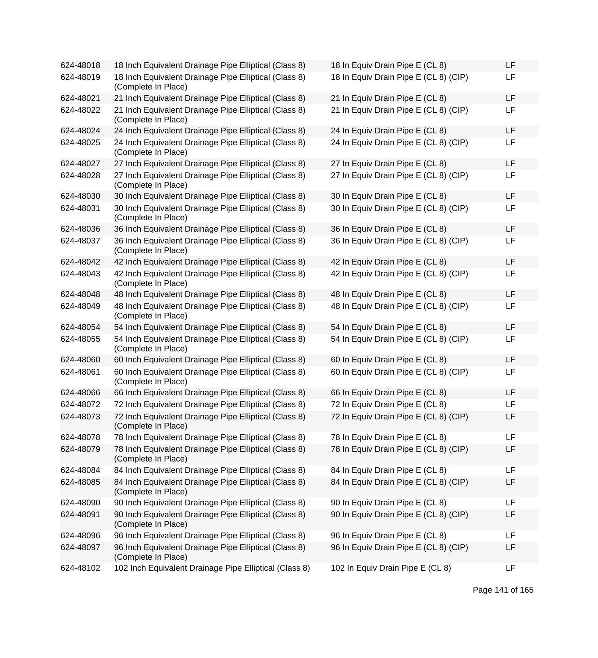| 624-48018 | 18 Inch Equivalent Drainage Pipe Elliptical (Class 8)                        | 18 In Equiv Drain Pipe E (CL 8)       | LF |
|-----------|------------------------------------------------------------------------------|---------------------------------------|----|
| 624-48019 | 18 Inch Equivalent Drainage Pipe Elliptical (Class 8)<br>(Complete In Place) | 18 In Equiv Drain Pipe E (CL 8) (CIP) | LF |
| 624-48021 | 21 Inch Equivalent Drainage Pipe Elliptical (Class 8)                        | 21 In Equiv Drain Pipe E (CL 8)       | LF |
| 624-48022 | 21 Inch Equivalent Drainage Pipe Elliptical (Class 8)<br>(Complete In Place) | 21 In Equiv Drain Pipe E (CL 8) (CIP) | LF |
| 624-48024 | 24 Inch Equivalent Drainage Pipe Elliptical (Class 8)                        | 24 In Equiv Drain Pipe E (CL 8)       | LF |
| 624-48025 | 24 Inch Equivalent Drainage Pipe Elliptical (Class 8)<br>(Complete In Place) | 24 In Equiv Drain Pipe E (CL 8) (CIP) | LF |
| 624-48027 | 27 Inch Equivalent Drainage Pipe Elliptical (Class 8)                        | 27 In Equiv Drain Pipe E (CL 8)       | LF |
| 624-48028 | 27 Inch Equivalent Drainage Pipe Elliptical (Class 8)<br>(Complete In Place) | 27 In Equiv Drain Pipe E (CL 8) (CIP) | LF |
| 624-48030 | 30 Inch Equivalent Drainage Pipe Elliptical (Class 8)                        | 30 In Equiv Drain Pipe E (CL 8)       | LF |
| 624-48031 | 30 Inch Equivalent Drainage Pipe Elliptical (Class 8)<br>(Complete In Place) | 30 In Equiv Drain Pipe E (CL 8) (CIP) | LF |
| 624-48036 | 36 Inch Equivalent Drainage Pipe Elliptical (Class 8)                        | 36 In Equiv Drain Pipe E (CL 8)       | LF |
| 624-48037 | 36 Inch Equivalent Drainage Pipe Elliptical (Class 8)<br>(Complete In Place) | 36 In Equiv Drain Pipe E (CL 8) (CIP) | LF |
| 624-48042 | 42 Inch Equivalent Drainage Pipe Elliptical (Class 8)                        | 42 In Equiv Drain Pipe E (CL 8)       | LF |
| 624-48043 | 42 Inch Equivalent Drainage Pipe Elliptical (Class 8)<br>(Complete In Place) | 42 In Equiv Drain Pipe E (CL 8) (CIP) | LF |
| 624-48048 | 48 Inch Equivalent Drainage Pipe Elliptical (Class 8)                        | 48 In Equiv Drain Pipe E (CL 8)       | LF |
| 624-48049 | 48 Inch Equivalent Drainage Pipe Elliptical (Class 8)<br>(Complete In Place) | 48 In Equiv Drain Pipe E (CL 8) (CIP) | LF |
| 624-48054 | 54 Inch Equivalent Drainage Pipe Elliptical (Class 8)                        | 54 In Equiv Drain Pipe E (CL 8)       | LF |
| 624-48055 | 54 Inch Equivalent Drainage Pipe Elliptical (Class 8)<br>(Complete In Place) | 54 In Equiv Drain Pipe E (CL 8) (CIP) | LF |
| 624-48060 | 60 Inch Equivalent Drainage Pipe Elliptical (Class 8)                        | 60 In Equiv Drain Pipe E (CL 8)       | LF |
| 624-48061 | 60 Inch Equivalent Drainage Pipe Elliptical (Class 8)<br>(Complete In Place) | 60 In Equiv Drain Pipe E (CL 8) (CIP) | LF |
| 624-48066 | 66 Inch Equivalent Drainage Pipe Elliptical (Class 8)                        | 66 In Equiv Drain Pipe E (CL 8)       | LF |
| 624-48072 | 72 Inch Equivalent Drainage Pipe Elliptical (Class 8)                        | 72 In Equiv Drain Pipe E (CL 8)       | LF |
| 624-48073 | 72 Inch Equivalent Drainage Pipe Elliptical (Class 8)<br>(Complete In Place) | 72 In Equiv Drain Pipe E (CL 8) (CIP) | LF |
| 624-48078 | 78 Inch Equivalent Drainage Pipe Elliptical (Class 8)                        | 78 In Equiv Drain Pipe E (CL 8)       | LF |
| 624-48079 | 78 Inch Equivalent Drainage Pipe Elliptical (Class 8)<br>(Complete In Place) | 78 In Equiv Drain Pipe E (CL 8) (CIP) | LF |
| 624-48084 | 84 Inch Equivalent Drainage Pipe Elliptical (Class 8)                        | 84 In Equiv Drain Pipe E (CL 8)       | LF |
| 624-48085 | 84 Inch Equivalent Drainage Pipe Elliptical (Class 8)<br>(Complete In Place) | 84 In Equiv Drain Pipe E (CL 8) (CIP) | LF |
| 624-48090 | 90 Inch Equivalent Drainage Pipe Elliptical (Class 8)                        | 90 In Equiv Drain Pipe E (CL 8)       | LF |
| 624-48091 | 90 Inch Equivalent Drainage Pipe Elliptical (Class 8)<br>(Complete In Place) | 90 In Equiv Drain Pipe E (CL 8) (CIP) | LF |
| 624-48096 | 96 Inch Equivalent Drainage Pipe Elliptical (Class 8)                        | 96 In Equiv Drain Pipe E (CL 8)       | LF |
| 624-48097 | 96 Inch Equivalent Drainage Pipe Elliptical (Class 8)<br>(Complete In Place) | 96 In Equiv Drain Pipe E (CL 8) (CIP) | LF |
| 624-48102 | 102 Inch Equivalent Drainage Pipe Elliptical (Class 8)                       | 102 In Equiv Drain Pipe E (CL 8)      | LF |

| 18 In Equiv Drain Pipe E (CL 8)       | LF |
|---------------------------------------|----|
| 18 In Equiv Drain Pipe E (CL 8) (CIP) | LF |
| 21 In Equiv Drain Pipe E (CL 8)       | LF |
| 21 In Equiv Drain Pipe E (CL 8) (CIP) | LF |
| 24 In Equiv Drain Pipe E (CL 8)       | LF |
| 24 In Equiv Drain Pipe E (CL 8) (CIP) | LF |
| 27 In Equiv Drain Pipe E (CL 8)       | LF |
| 27 In Equiv Drain Pipe E (CL 8) (CIP) | LF |
| 30 In Equiv Drain Pipe E (CL 8)       | LF |
| 30 In Equiv Drain Pipe E (CL 8) (CIP) | LF |
| 36 In Equiv Drain Pipe E (CL 8)       | LF |
| 36 In Equiv Drain Pipe E (CL 8) (CIP) | LF |
| 42 In Equiv Drain Pipe E (CL 8)       | LF |
| 42 In Equiv Drain Pipe E (CL 8) (CIP) | LF |
| 48 In Equiv Drain Pipe E (CL 8)       | LF |
| 48 In Equiv Drain Pipe E (CL 8) (CIP) | LF |
| 54 In Equiv Drain Pipe E (CL 8)       | LF |
| 54 In Equiv Drain Pipe E (CL 8) (CIP) | LF |
| 60 In Equiv Drain Pipe E (CL 8)       | LF |
| 60 In Equiv Drain Pipe E (CL 8) (CIP) | LF |
| 66 In Equiv Drain Pipe E (CL 8)       | LF |
| 72 In Equiv Drain Pipe E (CL 8)       | LF |
| 72 In Equiv Drain Pipe E (CL 8) (CIP) | LF |
| 78 In Equiv Drain Pipe E (CL 8)       | LF |
| 78 In Equiv Drain Pipe E (CL 8) (CIP) | LF |
| 84 In Equiv Drain Pipe E (CL 8)       | LF |
| 84 In Equiv Drain Pipe E (CL 8) (CIP) | LF |
| 90 In Equiv Drain Pipe E (CL 8)       | LF |
| 90 In Equiv Drain Pipe E (CL 8) (CIP) | LF |
| 96 In Equiv Drain Pipe E (CL 8)       | LF |
| 96 In Equiv Drain Pipe E (CL 8) (CIP) | LF |
| 102 In Equiv Drain Pipe E (CL 8)      | LF |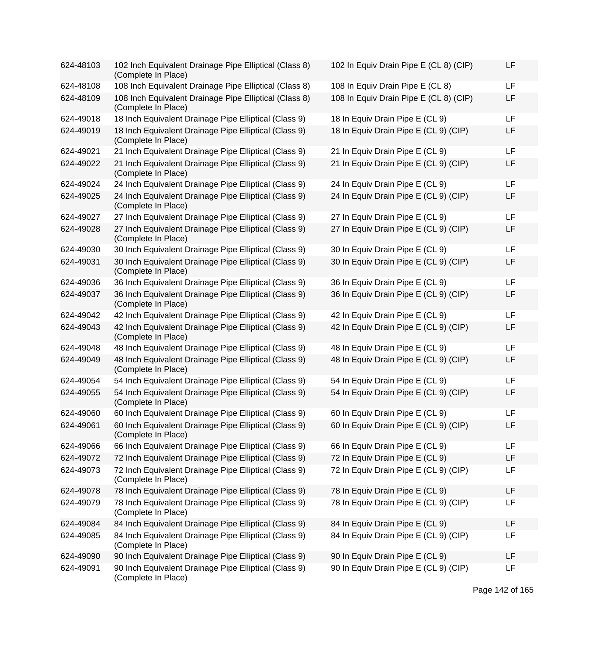| 624-48103 | 102 Inch Equivalent Drainage Pipe Elliptical (Class 8)<br>(Complete In Place) | 102 In Equiv Drain Pipe E (CL 8) (CIP) | LF |
|-----------|-------------------------------------------------------------------------------|----------------------------------------|----|
| 624-48108 | 108 Inch Equivalent Drainage Pipe Elliptical (Class 8)                        | 108 In Equiv Drain Pipe E (CL 8)       | LF |
| 624-48109 | 108 Inch Equivalent Drainage Pipe Elliptical (Class 8)<br>(Complete In Place) | 108 In Equiv Drain Pipe E (CL 8) (CIP) | LF |
| 624-49018 | 18 Inch Equivalent Drainage Pipe Elliptical (Class 9)                         | 18 In Equiv Drain Pipe E (CL 9)        | LF |
| 624-49019 | 18 Inch Equivalent Drainage Pipe Elliptical (Class 9)<br>(Complete In Place)  | 18 In Equiv Drain Pipe E (CL 9) (CIP)  | LF |
| 624-49021 | 21 Inch Equivalent Drainage Pipe Elliptical (Class 9)                         | 21 In Equiv Drain Pipe E (CL 9)        | LF |
| 624-49022 | 21 Inch Equivalent Drainage Pipe Elliptical (Class 9)<br>(Complete In Place)  | 21 In Equiv Drain Pipe E (CL 9) (CIP)  | LF |
| 624-49024 | 24 Inch Equivalent Drainage Pipe Elliptical (Class 9)                         | 24 In Equiv Drain Pipe E (CL 9)        | LF |
| 624-49025 | 24 Inch Equivalent Drainage Pipe Elliptical (Class 9)<br>(Complete In Place)  | 24 In Equiv Drain Pipe E (CL 9) (CIP)  | LF |
| 624-49027 | 27 Inch Equivalent Drainage Pipe Elliptical (Class 9)                         | 27 In Equiv Drain Pipe E (CL 9)        | LF |
| 624-49028 | 27 Inch Equivalent Drainage Pipe Elliptical (Class 9)<br>(Complete In Place)  | 27 In Equiv Drain Pipe E (CL 9) (CIP)  | LF |
| 624-49030 | 30 Inch Equivalent Drainage Pipe Elliptical (Class 9)                         | 30 In Equiv Drain Pipe E (CL 9)        | LF |
| 624-49031 | 30 Inch Equivalent Drainage Pipe Elliptical (Class 9)<br>(Complete In Place)  | 30 In Equiv Drain Pipe E (CL 9) (CIP)  | LF |
| 624-49036 | 36 Inch Equivalent Drainage Pipe Elliptical (Class 9)                         | 36 In Equiv Drain Pipe E (CL 9)        | LF |
| 624-49037 | 36 Inch Equivalent Drainage Pipe Elliptical (Class 9)<br>(Complete In Place)  | 36 In Equiv Drain Pipe E (CL 9) (CIP)  | LF |
| 624-49042 | 42 Inch Equivalent Drainage Pipe Elliptical (Class 9)                         | 42 In Equiv Drain Pipe E (CL 9)        | LF |
| 624-49043 | 42 Inch Equivalent Drainage Pipe Elliptical (Class 9)<br>(Complete In Place)  | 42 In Equiv Drain Pipe E (CL 9) (CIP)  | LF |
| 624-49048 | 48 Inch Equivalent Drainage Pipe Elliptical (Class 9)                         | 48 In Equiv Drain Pipe E (CL 9)        | LF |
| 624-49049 | 48 Inch Equivalent Drainage Pipe Elliptical (Class 9)<br>(Complete In Place)  | 48 In Equiv Drain Pipe E (CL 9) (CIP)  | LF |
| 624-49054 | 54 Inch Equivalent Drainage Pipe Elliptical (Class 9)                         | 54 In Equiv Drain Pipe E (CL 9)        | LF |
| 624-49055 | 54 Inch Equivalent Drainage Pipe Elliptical (Class 9)<br>(Complete In Place)  | 54 In Equiv Drain Pipe E (CL 9) (CIP)  | LF |
| 624-49060 | 60 Inch Equivalent Drainage Pipe Elliptical (Class 9)                         | 60 In Equiv Drain Pipe E (CL 9)        | LF |
| 624-49061 | 60 Inch Equivalent Drainage Pipe Elliptical (Class 9)<br>(Complete In Place)  | 60 In Equiv Drain Pipe E (CL 9) (CIP)  | LF |
| 624-49066 | 66 Inch Equivalent Drainage Pipe Elliptical (Class 9)                         | 66 In Equiv Drain Pipe E (CL 9)        | LF |
| 624-49072 | 72 Inch Equivalent Drainage Pipe Elliptical (Class 9)                         | 72 In Equiv Drain Pipe E (CL 9)        | LF |
| 624-49073 | 72 Inch Equivalent Drainage Pipe Elliptical (Class 9)<br>(Complete In Place)  | 72 In Equiv Drain Pipe E (CL 9) (CIP)  | LF |
| 624-49078 | 78 Inch Equivalent Drainage Pipe Elliptical (Class 9)                         | 78 In Equiv Drain Pipe E (CL 9)        | LF |
| 624-49079 | 78 Inch Equivalent Drainage Pipe Elliptical (Class 9)<br>(Complete In Place)  | 78 In Equiv Drain Pipe E (CL 9) (CIP)  | LF |
| 624-49084 | 84 Inch Equivalent Drainage Pipe Elliptical (Class 9)                         | 84 In Equiv Drain Pipe E (CL 9)        | LF |
| 624-49085 | 84 Inch Equivalent Drainage Pipe Elliptical (Class 9)<br>(Complete In Place)  | 84 In Equiv Drain Pipe E (CL 9) (CIP)  | LF |
| 624-49090 | 90 Inch Equivalent Drainage Pipe Elliptical (Class 9)                         | 90 In Equiv Drain Pipe E (CL 9)        | LF |
| 624-49091 | 90 Inch Equivalent Drainage Pipe Elliptical (Class 9)<br>(Complete In Place)  | 90 In Equiv Drain Pipe E (CL 9) (CIP)  | LF |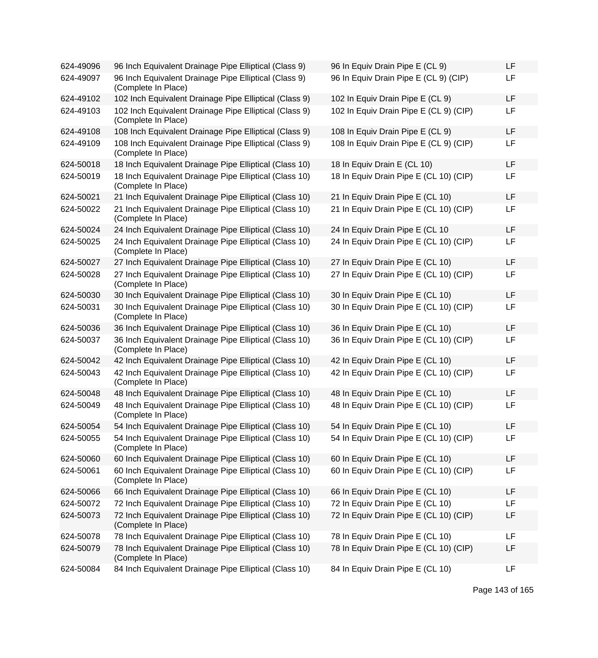| 624-49096 | 96 Inch Equivalent Drainage Pipe Elliptical (Class 9)                         | 96 In Equiv Drain Pipe E (CL 9)        | LF |
|-----------|-------------------------------------------------------------------------------|----------------------------------------|----|
| 624-49097 | 96 Inch Equivalent Drainage Pipe Elliptical (Class 9)<br>(Complete In Place)  | 96 In Equiv Drain Pipe E (CL 9) (CIP)  | LF |
| 624-49102 | 102 Inch Equivalent Drainage Pipe Elliptical (Class 9)                        | 102 In Equiv Drain Pipe E (CL 9)       | LF |
| 624-49103 | 102 Inch Equivalent Drainage Pipe Elliptical (Class 9)<br>(Complete In Place) | 102 In Equiv Drain Pipe E (CL 9) (CIP) | LF |
| 624-49108 | 108 Inch Equivalent Drainage Pipe Elliptical (Class 9)                        | 108 In Equiv Drain Pipe E (CL 9)       | LF |
| 624-49109 | 108 Inch Equivalent Drainage Pipe Elliptical (Class 9)<br>(Complete In Place) | 108 In Equiv Drain Pipe E (CL 9) (CIP) | LF |
| 624-50018 | 18 Inch Equivalent Drainage Pipe Elliptical (Class 10)                        | 18 In Equiv Drain E (CL 10)            | LF |
| 624-50019 | 18 Inch Equivalent Drainage Pipe Elliptical (Class 10)<br>(Complete In Place) | 18 In Equiv Drain Pipe E (CL 10) (CIP) | LF |
| 624-50021 | 21 Inch Equivalent Drainage Pipe Elliptical (Class 10)                        | 21 In Equiv Drain Pipe E (CL 10)       | LF |
| 624-50022 | 21 Inch Equivalent Drainage Pipe Elliptical (Class 10)<br>(Complete In Place) | 21 In Equiv Drain Pipe E (CL 10) (CIP) | LF |
| 624-50024 | 24 Inch Equivalent Drainage Pipe Elliptical (Class 10)                        | 24 In Equiv Drain Pipe E (CL 10        | LF |
| 624-50025 | 24 Inch Equivalent Drainage Pipe Elliptical (Class 10)<br>(Complete In Place) | 24 In Equiv Drain Pipe E (CL 10) (CIP) | LF |
| 624-50027 | 27 Inch Equivalent Drainage Pipe Elliptical (Class 10)                        | 27 In Equiv Drain Pipe E (CL 10)       | LF |
| 624-50028 | 27 Inch Equivalent Drainage Pipe Elliptical (Class 10)<br>(Complete In Place) | 27 In Equiv Drain Pipe E (CL 10) (CIP) | LF |
| 624-50030 | 30 Inch Equivalent Drainage Pipe Elliptical (Class 10)                        | 30 In Equiv Drain Pipe E (CL 10)       | LF |
| 624-50031 | 30 Inch Equivalent Drainage Pipe Elliptical (Class 10)<br>(Complete In Place) | 30 In Equiv Drain Pipe E (CL 10) (CIP) | LF |
| 624-50036 | 36 Inch Equivalent Drainage Pipe Elliptical (Class 10)                        | 36 In Equiv Drain Pipe E (CL 10)       | LF |
| 624-50037 | 36 Inch Equivalent Drainage Pipe Elliptical (Class 10)<br>(Complete In Place) | 36 In Equiv Drain Pipe E (CL 10) (CIP) | LF |
| 624-50042 | 42 Inch Equivalent Drainage Pipe Elliptical (Class 10)                        | 42 In Equiv Drain Pipe E (CL 10)       | LF |
| 624-50043 | 42 Inch Equivalent Drainage Pipe Elliptical (Class 10)<br>(Complete In Place) | 42 In Equiv Drain Pipe E (CL 10) (CIP) | LF |
| 624-50048 | 48 Inch Equivalent Drainage Pipe Elliptical (Class 10)                        | 48 In Equiv Drain Pipe E (CL 10)       | LF |
| 624-50049 | 48 Inch Equivalent Drainage Pipe Elliptical (Class 10)<br>(Complete In Place) | 48 In Equiv Drain Pipe E (CL 10) (CIP) | LF |
| 624-50054 | 54 Inch Equivalent Drainage Pipe Elliptical (Class 10)                        | 54 In Equiv Drain Pipe E (CL 10)       | LF |
| 624-50055 | 54 Inch Equivalent Drainage Pipe Elliptical (Class 10)<br>(Complete In Place) | 54 In Equiv Drain Pipe E (CL 10) (CIP) | LF |
| 624-50060 | 60 Inch Equivalent Drainage Pipe Elliptical (Class 10)                        | 60 In Equiv Drain Pipe E (CL 10)       | LF |
| 624-50061 | 60 Inch Equivalent Drainage Pipe Elliptical (Class 10)<br>(Complete In Place) | 60 In Equiv Drain Pipe E (CL 10) (CIP) | LF |
| 624-50066 | 66 Inch Equivalent Drainage Pipe Elliptical (Class 10)                        | 66 In Equiv Drain Pipe E (CL 10)       | LF |
| 624-50072 | 72 Inch Equivalent Drainage Pipe Elliptical (Class 10)                        | 72 In Equiv Drain Pipe E (CL 10)       | LF |
| 624-50073 | 72 Inch Equivalent Drainage Pipe Elliptical (Class 10)<br>(Complete In Place) | 72 In Equiv Drain Pipe E (CL 10) (CIP) | LF |
| 624-50078 | 78 Inch Equivalent Drainage Pipe Elliptical (Class 10)                        | 78 In Equiv Drain Pipe E (CL 10)       | LF |
| 624-50079 | 78 Inch Equivalent Drainage Pipe Elliptical (Class 10)<br>(Complete In Place) | 78 In Equiv Drain Pipe E (CL 10) (CIP) | LF |
| 624-50084 | 84 Inch Equivalent Drainage Pipe Elliptical (Class 10)                        | 84 In Equiv Drain Pipe E (CL 10)       | LF |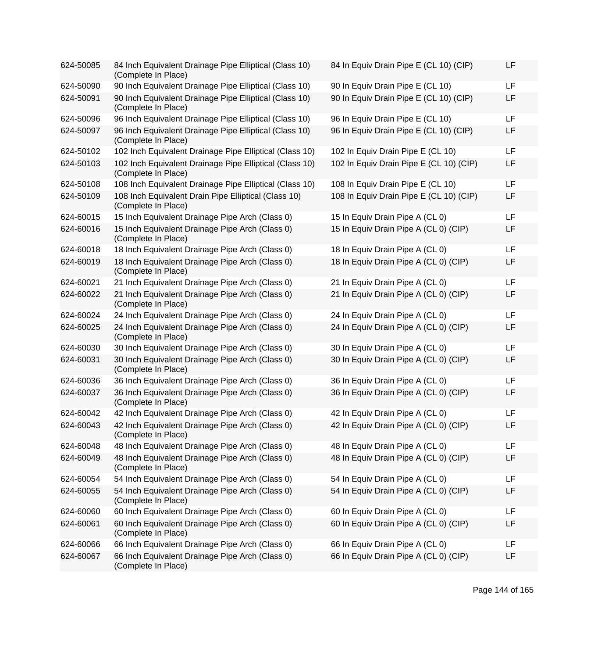| 624-50085 | 84 Inch Equivalent Drainage Pipe Elliptical (Class 10)<br>(Complete In Place)  | 84 In Equiv Drain Pipe E (CL 10) (CIP)  | LF        |
|-----------|--------------------------------------------------------------------------------|-----------------------------------------|-----------|
| 624-50090 | 90 Inch Equivalent Drainage Pipe Elliptical (Class 10)                         | 90 In Equiv Drain Pipe E (CL 10)        | <b>LF</b> |
| 624-50091 | 90 Inch Equivalent Drainage Pipe Elliptical (Class 10)<br>(Complete In Place)  | 90 In Equiv Drain Pipe E (CL 10) (CIP)  | LF        |
| 624-50096 | 96 Inch Equivalent Drainage Pipe Elliptical (Class 10)                         | 96 In Equiv Drain Pipe E (CL 10)        | <b>LF</b> |
| 624-50097 | 96 Inch Equivalent Drainage Pipe Elliptical (Class 10)<br>(Complete In Place)  | 96 In Equiv Drain Pipe E (CL 10) (CIP)  | LF        |
| 624-50102 | 102 Inch Equivalent Drainage Pipe Elliptical (Class 10)                        | 102 In Equiv Drain Pipe E (CL 10)       | LF        |
| 624-50103 | 102 Inch Equivalent Drainage Pipe Elliptical (Class 10)<br>(Complete In Place) | 102 In Equiv Drain Pipe E (CL 10) (CIP) | LF        |
| 624-50108 | 108 Inch Equivalent Drainage Pipe Elliptical (Class 10)                        | 108 In Equiv Drain Pipe E (CL 10)       | <b>LF</b> |
| 624-50109 | 108 Inch Equivalent Drain Pipe Elliptical (Class 10)<br>(Complete In Place)    | 108 In Equiv Drain Pipe E (CL 10) (CIP) | <b>LF</b> |
| 624-60015 | 15 Inch Equivalent Drainage Pipe Arch (Class 0)                                | 15 In Equiv Drain Pipe A (CL 0)         | <b>LF</b> |
| 624-60016 | 15 Inch Equivalent Drainage Pipe Arch (Class 0)<br>(Complete In Place)         | 15 In Equiv Drain Pipe A (CL 0) (CIP)   | LF        |
| 624-60018 | 18 Inch Equivalent Drainage Pipe Arch (Class 0)                                | 18 In Equiv Drain Pipe A (CL 0)         | <b>LF</b> |
| 624-60019 | 18 Inch Equivalent Drainage Pipe Arch (Class 0)<br>(Complete In Place)         | 18 In Equiv Drain Pipe A (CL 0) (CIP)   | LF        |
| 624-60021 | 21 Inch Equivalent Drainage Pipe Arch (Class 0)                                | 21 In Equiv Drain Pipe A (CL 0)         | LF        |
| 624-60022 | 21 Inch Equivalent Drainage Pipe Arch (Class 0)<br>(Complete In Place)         | 21 In Equiv Drain Pipe A (CL 0) (CIP)   | LF        |
| 624-60024 | 24 Inch Equivalent Drainage Pipe Arch (Class 0)                                | 24 In Equiv Drain Pipe A (CL 0)         | <b>LF</b> |
| 624-60025 | 24 Inch Equivalent Drainage Pipe Arch (Class 0)<br>(Complete In Place)         | 24 In Equiv Drain Pipe A (CL 0) (CIP)   | LF        |
| 624-60030 | 30 Inch Equivalent Drainage Pipe Arch (Class 0)                                | 30 In Equiv Drain Pipe A (CL 0)         | LF        |
| 624-60031 | 30 Inch Equivalent Drainage Pipe Arch (Class 0)<br>(Complete In Place)         | 30 In Equiv Drain Pipe A (CL 0) (CIP)   | LF        |
| 624-60036 | 36 Inch Equivalent Drainage Pipe Arch (Class 0)                                | 36 In Equiv Drain Pipe A (CL 0)         | LF        |
| 624-60037 | 36 Inch Equivalent Drainage Pipe Arch (Class 0)<br>(Complete In Place)         | 36 In Equiv Drain Pipe A (CL 0) (CIP)   | LF        |
| 624-60042 | 42 Inch Equivalent Drainage Pipe Arch (Class 0)                                | 42 In Equiv Drain Pipe A (CL 0)         | LF        |
| 624-60043 | 42 Inch Equivalent Drainage Pipe Arch (Class 0)<br>(Complete In Place)         | 42 In Equiv Drain Pipe A (CL 0) (CIP)   | LF        |
| 624-60048 | 48 Inch Equivalent Drainage Pipe Arch (Class 0)                                | 48 In Equiv Drain Pipe A (CL 0)         | LF        |
| 624-60049 | 48 Inch Equivalent Drainage Pipe Arch (Class 0)<br>(Complete In Place)         | 48 In Equiv Drain Pipe A (CL 0) (CIP)   | LF        |
| 624-60054 | 54 Inch Equivalent Drainage Pipe Arch (Class 0)                                | 54 In Equiv Drain Pipe A (CL 0)         | LF        |
| 624-60055 | 54 Inch Equivalent Drainage Pipe Arch (Class 0)<br>(Complete In Place)         | 54 In Equiv Drain Pipe A (CL 0) (CIP)   | LF        |
| 624-60060 | 60 Inch Equivalent Drainage Pipe Arch (Class 0)                                | 60 In Equiv Drain Pipe A (CL 0)         | LF        |
| 624-60061 | 60 Inch Equivalent Drainage Pipe Arch (Class 0)<br>(Complete In Place)         | 60 In Equiv Drain Pipe A (CL 0) (CIP)   | LF        |
| 624-60066 | 66 Inch Equivalent Drainage Pipe Arch (Class 0)                                | 66 In Equiv Drain Pipe A (CL 0)         | LF        |
| 624-60067 | 66 Inch Equivalent Drainage Pipe Arch (Class 0)<br>(Complete In Place)         | 66 In Equiv Drain Pipe A (CL 0) (CIP)   | LF        |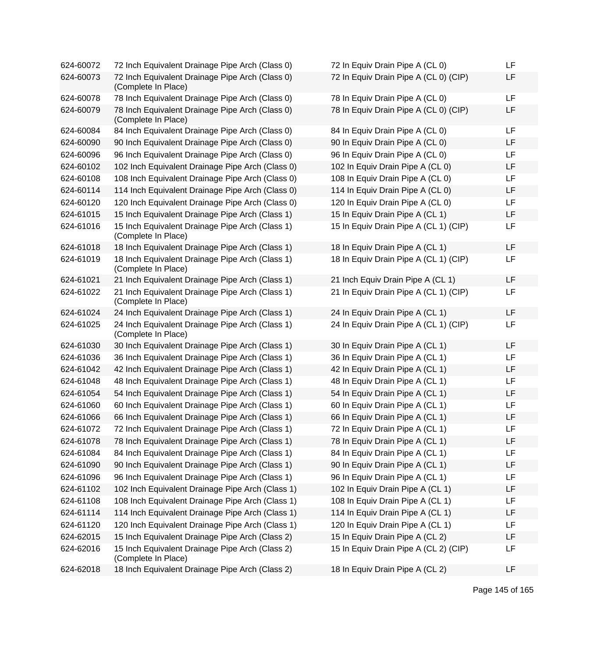| 624-60072 | 72 Inch Equivalent Drainage Pipe Arch (Class 0)                        | 72 In Equiv Drain Pipe A (CL 0)       | LF |
|-----------|------------------------------------------------------------------------|---------------------------------------|----|
| 624-60073 | 72 Inch Equivalent Drainage Pipe Arch (Class 0)<br>(Complete In Place) | 72 In Equiv Drain Pipe A (CL 0) (CIP) | LF |
| 624-60078 | 78 Inch Equivalent Drainage Pipe Arch (Class 0)                        | 78 In Equiv Drain Pipe A (CL 0)       | LF |
| 624-60079 | 78 Inch Equivalent Drainage Pipe Arch (Class 0)<br>(Complete In Place) | 78 In Equiv Drain Pipe A (CL 0) (CIP) | LF |
| 624-60084 | 84 Inch Equivalent Drainage Pipe Arch (Class 0)                        | 84 In Equiv Drain Pipe A (CL 0)       | LF |
| 624-60090 | 90 Inch Equivalent Drainage Pipe Arch (Class 0)                        | 90 In Equiv Drain Pipe A (CL 0)       | LF |
| 624-60096 | 96 Inch Equivalent Drainage Pipe Arch (Class 0)                        | 96 In Equiv Drain Pipe A (CL 0)       | LF |
| 624-60102 | 102 Inch Equivalent Drainage Pipe Arch (Class 0)                       | 102 In Equiv Drain Pipe A (CL 0)      | LF |
| 624-60108 | 108 Inch Equivalent Drainage Pipe Arch (Class 0)                       | 108 In Equiv Drain Pipe A (CL 0)      | LF |
| 624-60114 | 114 Inch Equivalent Drainage Pipe Arch (Class 0)                       | 114 In Equiv Drain Pipe A (CL 0)      | LF |
| 624-60120 | 120 Inch Equivalent Drainage Pipe Arch (Class 0)                       | 120 In Equiv Drain Pipe A (CL 0)      | LF |
| 624-61015 | 15 Inch Equivalent Drainage Pipe Arch (Class 1)                        | 15 In Equiv Drain Pipe A (CL 1)       | LF |
| 624-61016 | 15 Inch Equivalent Drainage Pipe Arch (Class 1)<br>(Complete In Place) | 15 In Equiv Drain Pipe A (CL 1) (CIP) | LF |
| 624-61018 | 18 Inch Equivalent Drainage Pipe Arch (Class 1)                        | 18 In Equiv Drain Pipe A (CL 1)       | LF |
| 624-61019 | 18 Inch Equivalent Drainage Pipe Arch (Class 1)<br>(Complete In Place) | 18 In Equiv Drain Pipe A (CL 1) (CIP) | LF |
| 624-61021 | 21 Inch Equivalent Drainage Pipe Arch (Class 1)                        | 21 Inch Equiv Drain Pipe A (CL 1)     | LF |
| 624-61022 | 21 Inch Equivalent Drainage Pipe Arch (Class 1)<br>(Complete In Place) | 21 In Equiv Drain Pipe A (CL 1) (CIP) | LF |
| 624-61024 | 24 Inch Equivalent Drainage Pipe Arch (Class 1)                        | 24 In Equiv Drain Pipe A (CL 1)       | LF |
| 624-61025 | 24 Inch Equivalent Drainage Pipe Arch (Class 1)<br>(Complete In Place) | 24 In Equiv Drain Pipe A (CL 1) (CIP) | LF |
| 624-61030 | 30 Inch Equivalent Drainage Pipe Arch (Class 1)                        | 30 In Equiv Drain Pipe A (CL 1)       | LF |
| 624-61036 | 36 Inch Equivalent Drainage Pipe Arch (Class 1)                        | 36 In Equiv Drain Pipe A (CL 1)       | LF |
| 624-61042 | 42 Inch Equivalent Drainage Pipe Arch (Class 1)                        | 42 In Equiv Drain Pipe A (CL 1)       | LF |
| 624-61048 | 48 Inch Equivalent Drainage Pipe Arch (Class 1)                        | 48 In Equiv Drain Pipe A (CL 1)       | LF |
| 624-61054 | 54 Inch Equivalent Drainage Pipe Arch (Class 1)                        | 54 In Equiv Drain Pipe A (CL 1)       | LF |
| 624-61060 | 60 Inch Equivalent Drainage Pipe Arch (Class 1)                        | 60 In Equiv Drain Pipe A (CL 1)       | LF |
| 624-61066 | 66 Inch Equivalent Drainage Pipe Arch (Class 1)                        | 66 In Equiv Drain Pipe A (CL 1)       | LF |
| 624-61072 | 72 Inch Equivalent Drainage Pipe Arch (Class 1)                        | 72 In Equiv Drain Pipe A (CL 1)       | LF |
| 624-61078 | 78 Inch Equivalent Drainage Pipe Arch (Class 1)                        | 78 In Equiv Drain Pipe A (CL 1)       | LF |
| 624-61084 | 84 Inch Equivalent Drainage Pipe Arch (Class 1)                        | 84 In Equiv Drain Pipe A (CL 1)       | LF |
| 624-61090 | 90 Inch Equivalent Drainage Pipe Arch (Class 1)                        | 90 In Equiv Drain Pipe A (CL 1)       | LF |
| 624-61096 | 96 Inch Equivalent Drainage Pipe Arch (Class 1)                        | 96 In Equiv Drain Pipe A (CL 1)       | LF |
| 624-61102 | 102 Inch Equivalent Drainage Pipe Arch (Class 1)                       | 102 In Equiv Drain Pipe A (CL 1)      | LF |
| 624-61108 | 108 Inch Equivalent Drainage Pipe Arch (Class 1)                       | 108 In Equiv Drain Pipe A (CL 1)      | LF |
| 624-61114 | 114 Inch Equivalent Drainage Pipe Arch (Class 1)                       | 114 In Equiv Drain Pipe A (CL 1)      | LF |
| 624-61120 | 120 Inch Equivalent Drainage Pipe Arch (Class 1)                       | 120 In Equiv Drain Pipe A (CL 1)      | LF |
| 624-62015 | 15 Inch Equivalent Drainage Pipe Arch (Class 2)                        | 15 In Equiv Drain Pipe A (CL 2)       | LF |
| 624-62016 | 15 Inch Equivalent Drainage Pipe Arch (Class 2)<br>(Complete In Place) | 15 In Equiv Drain Pipe A (CL 2) (CIP) | LF |
| 624-62018 | 18 Inch Equivalent Drainage Pipe Arch (Class 2)                        | 18 In Equiv Drain Pipe A (CL 2)       | LF |

| 72 In Equiv Drain Pipe A (CL 0)       | LF       |
|---------------------------------------|----------|
| 72 In Equiv Drain Pipe A (CL 0) (CIP) | LF       |
| 78 In Equiv Drain Pipe A (CL 0)       | LF       |
| 78 In Equiv Drain Pipe A (CL 0) (CIP) | LF       |
|                                       |          |
| 84 In Equiv Drain Pipe A (CL 0)       | LF       |
| 90 In Equiv Drain Pipe A (CL 0)       | LF       |
| 96 In Equiv Drain Pipe A (CL 0)       | LF       |
| 102 In Equiv Drain Pipe A (CL 0)      | LF       |
| 108 In Equiv Drain Pipe A (CL 0)      | LF       |
| 114 In Equiv Drain Pipe A (CL 0)      | LF       |
| 120 In Equiv Drain Pipe A (CL 0)      | LF       |
| 15 In Equiv Drain Pipe A (CL 1)       | LF       |
| 15 In Equiv Drain Pipe A (CL 1) (CIP) | LF       |
| 18 In Equiv Drain Pipe A (CL 1)       | LF       |
| 18 In Equiv Drain Pipe A (CL 1) (CIP) | LF       |
|                                       |          |
| 21 Inch Equiv Drain Pipe A (CL 1)     | LF       |
| 21 In Equiv Drain Pipe A (CL 1) (CIP) | LF       |
| 24 In Equiv Drain Pipe A (CL 1)       | LF       |
| 24 In Equiv Drain Pipe A (CL 1) (CIP) | LF       |
|                                       | LF       |
| 30 In Equiv Drain Pipe A (CL 1)       | LF       |
| 36 In Equiv Drain Pipe A (CL 1)       | LF       |
| 42 In Equiv Drain Pipe A (CL 1)       | LF       |
| 48 In Equiv Drain Pipe A (CL 1)       |          |
| 54 In Equiv Drain Pipe A (CL 1)       | LF       |
| 60 In Equiv Drain Pipe A (CL 1)       | LF       |
| 66 In Equiv Drain Pipe A (CL 1)       | LF<br>ΙF |
| 72 In Equiv Drain Pipe A (CL 1)       |          |
| 78 In Equiv Drain Pipe A (CL 1)       | LF       |
| 84 In Equiv Drain Pipe A (CL 1)       | LF       |
| 90 In Equiv Drain Pipe A (CL 1)       | LF       |
| 96 In Equiv Drain Pipe A (CL 1)       | LF       |
| 102 In Equiv Drain Pipe A (CL 1)      | LF       |
| 108 In Equiv Drain Pipe A (CL 1)      | LF       |
| 114 In Equiv Drain Pipe A (CL 1)      | LF       |
| 120 In Equiv Drain Pipe A (CL 1)      | LF       |
| 15 In Equiv Drain Pipe A (CL 2)       | LF       |
| 15 In Equiv Drain Pipe A (CL 2) (CIP) | LF       |
| 18 In Equiv Drain Pipe A (CL 2)       | LF       |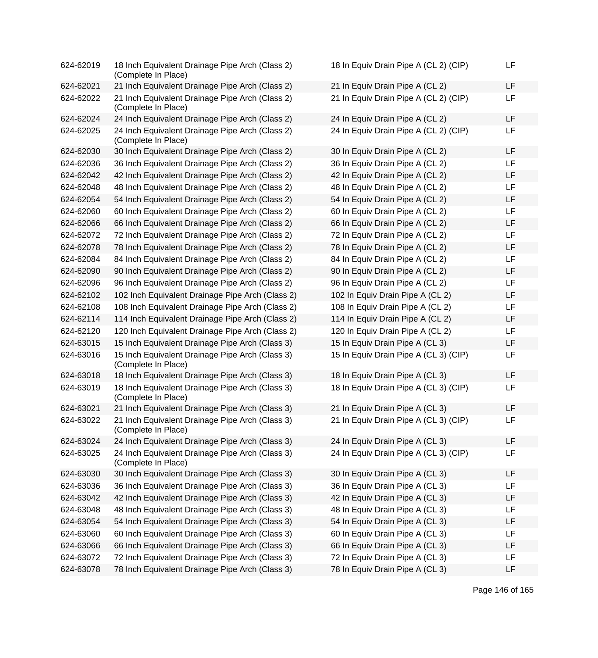| 624-62019 | 18 Inch Equivalent Drainage Pipe Arch (Class 2)<br>(Complete In Place) | 18 In Equiv Drain Pipe A (CL 2) (CIP) | LF |
|-----------|------------------------------------------------------------------------|---------------------------------------|----|
| 624-62021 | 21 Inch Equivalent Drainage Pipe Arch (Class 2)                        | 21 In Equiv Drain Pipe A (CL 2)       | LF |
| 624-62022 | 21 Inch Equivalent Drainage Pipe Arch (Class 2)<br>(Complete In Place) | 21 In Equiv Drain Pipe A (CL 2) (CIP) | LF |
| 624-62024 | 24 Inch Equivalent Drainage Pipe Arch (Class 2)                        | 24 In Equiv Drain Pipe A (CL 2)       | LF |
| 624-62025 | 24 Inch Equivalent Drainage Pipe Arch (Class 2)<br>(Complete In Place) | 24 In Equiv Drain Pipe A (CL 2) (CIP) | LF |
| 624-62030 | 30 Inch Equivalent Drainage Pipe Arch (Class 2)                        | 30 In Equiv Drain Pipe A (CL 2)       | LF |
| 624-62036 | 36 Inch Equivalent Drainage Pipe Arch (Class 2)                        | 36 In Equiv Drain Pipe A (CL 2)       | LF |
| 624-62042 | 42 Inch Equivalent Drainage Pipe Arch (Class 2)                        | 42 In Equiv Drain Pipe A (CL 2)       | LF |
| 624-62048 | 48 Inch Equivalent Drainage Pipe Arch (Class 2)                        | 48 In Equiv Drain Pipe A (CL 2)       | LF |
| 624-62054 | 54 Inch Equivalent Drainage Pipe Arch (Class 2)                        | 54 In Equiv Drain Pipe A (CL 2)       | LF |
| 624-62060 | 60 Inch Equivalent Drainage Pipe Arch (Class 2)                        | 60 In Equiv Drain Pipe A (CL 2)       | LF |
| 624-62066 | 66 Inch Equivalent Drainage Pipe Arch (Class 2)                        | 66 In Equiv Drain Pipe A (CL 2)       | LF |
| 624-62072 | 72 Inch Equivalent Drainage Pipe Arch (Class 2)                        | 72 In Equiv Drain Pipe A (CL 2)       | LF |
| 624-62078 | 78 Inch Equivalent Drainage Pipe Arch (Class 2)                        | 78 In Equiv Drain Pipe A (CL 2)       | LF |
| 624-62084 | 84 Inch Equivalent Drainage Pipe Arch (Class 2)                        | 84 In Equiv Drain Pipe A (CL 2)       | LF |
| 624-62090 | 90 Inch Equivalent Drainage Pipe Arch (Class 2)                        | 90 In Equiv Drain Pipe A (CL 2)       | LF |
| 624-62096 | 96 Inch Equivalent Drainage Pipe Arch (Class 2)                        | 96 In Equiv Drain Pipe A (CL 2)       | LF |
| 624-62102 | 102 Inch Equivalent Drainage Pipe Arch (Class 2)                       | 102 In Equiv Drain Pipe A (CL 2)      | LF |
| 624-62108 | 108 Inch Equivalent Drainage Pipe Arch (Class 2)                       | 108 In Equiv Drain Pipe A (CL 2)      | LF |
| 624-62114 | 114 Inch Equivalent Drainage Pipe Arch (Class 2)                       | 114 In Equiv Drain Pipe A (CL 2)      | LF |
| 624-62120 | 120 Inch Equivalent Drainage Pipe Arch (Class 2)                       | 120 In Equiv Drain Pipe A (CL 2)      | LF |
| 624-63015 | 15 Inch Equivalent Drainage Pipe Arch (Class 3)                        | 15 In Equiv Drain Pipe A (CL 3)       | LF |
| 624-63016 | 15 Inch Equivalent Drainage Pipe Arch (Class 3)<br>(Complete In Place) | 15 In Equiv Drain Pipe A (CL 3) (CIP) | LF |
| 624-63018 | 18 Inch Equivalent Drainage Pipe Arch (Class 3)                        | 18 In Equiv Drain Pipe A (CL 3)       | LF |
| 624-63019 | 18 Inch Equivalent Drainage Pipe Arch (Class 3)<br>(Complete In Place) | 18 In Equiv Drain Pipe A (CL 3) (CIP) | LF |
| 624-63021 | 21 Inch Equivalent Drainage Pipe Arch (Class 3)                        | 21 In Equiv Drain Pipe A (CL 3)       | LF |
| 624-63022 | 21 Inch Equivalent Drainage Pipe Arch (Class 3)<br>(Complete In Place) | 21 In Equiv Drain Pipe A (CL 3) (CIP) | LF |
| 624-63024 | 24 Inch Equivalent Drainage Pipe Arch (Class 3)                        | 24 In Equiv Drain Pipe A (CL 3)       | LF |
| 624-63025 | 24 Inch Equivalent Drainage Pipe Arch (Class 3)<br>(Complete In Place) | 24 In Equiv Drain Pipe A (CL 3) (CIP) | LF |
| 624-63030 | 30 Inch Equivalent Drainage Pipe Arch (Class 3)                        | 30 In Equiv Drain Pipe A (CL 3)       | LF |
| 624-63036 | 36 Inch Equivalent Drainage Pipe Arch (Class 3)                        | 36 In Equiv Drain Pipe A (CL 3)       | LF |
| 624-63042 | 42 Inch Equivalent Drainage Pipe Arch (Class 3)                        | 42 In Equiv Drain Pipe A (CL 3)       | LF |
| 624-63048 | 48 Inch Equivalent Drainage Pipe Arch (Class 3)                        | 48 In Equiv Drain Pipe A (CL 3)       | LF |
| 624-63054 | 54 Inch Equivalent Drainage Pipe Arch (Class 3)                        | 54 In Equiv Drain Pipe A (CL 3)       | LF |
| 624-63060 | 60 Inch Equivalent Drainage Pipe Arch (Class 3)                        | 60 In Equiv Drain Pipe A (CL 3)       | LF |
| 624-63066 | 66 Inch Equivalent Drainage Pipe Arch (Class 3)                        | 66 In Equiv Drain Pipe A (CL 3)       | LF |
| 624-63072 | 72 Inch Equivalent Drainage Pipe Arch (Class 3)                        | 72 In Equiv Drain Pipe A (CL 3)       | LF |
| 624-63078 | 78 Inch Equivalent Drainage Pipe Arch (Class 3)                        | 78 In Equiv Drain Pipe A (CL 3)       | LF |
|           |                                                                        |                                       |    |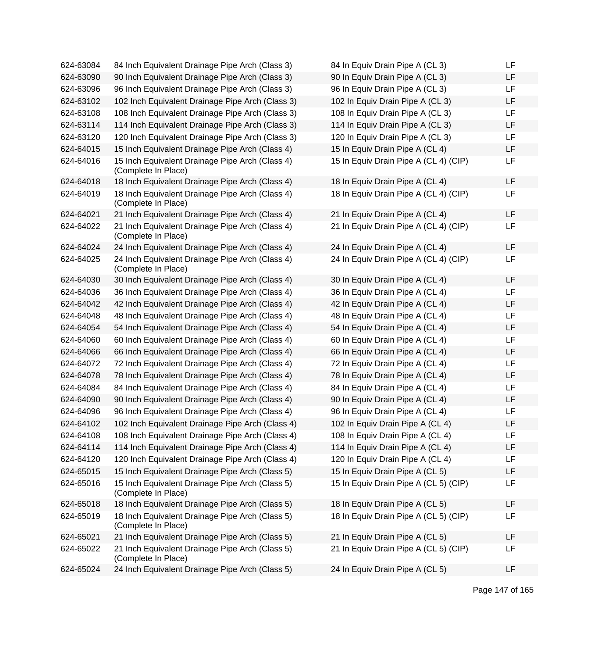| 624-63084 | 84 Inch Equivalent Drainage Pipe Arch (Class 3)                        | 84 In Equiv Drain Pipe A (CL 3)       | LF |
|-----------|------------------------------------------------------------------------|---------------------------------------|----|
| 624-63090 | 90 Inch Equivalent Drainage Pipe Arch (Class 3)                        | 90 In Equiv Drain Pipe A (CL 3)       | LF |
| 624-63096 | 96 Inch Equivalent Drainage Pipe Arch (Class 3)                        | 96 In Equiv Drain Pipe A (CL 3)       | LF |
| 624-63102 | 102 Inch Equivalent Drainage Pipe Arch (Class 3)                       | 102 In Equiv Drain Pipe A (CL 3)      | LF |
| 624-63108 | 108 Inch Equivalent Drainage Pipe Arch (Class 3)                       | 108 In Equiv Drain Pipe A (CL 3)      | LF |
| 624-63114 | 114 Inch Equivalent Drainage Pipe Arch (Class 3)                       | 114 In Equiv Drain Pipe A (CL 3)      | LF |
| 624-63120 | 120 Inch Equivalent Drainage Pipe Arch (Class 3)                       | 120 In Equiv Drain Pipe A (CL 3)      | LF |
| 624-64015 | 15 Inch Equivalent Drainage Pipe Arch (Class 4)                        | 15 In Equiv Drain Pipe A (CL 4)       | LF |
| 624-64016 | 15 Inch Equivalent Drainage Pipe Arch (Class 4)<br>(Complete In Place) | 15 In Equiv Drain Pipe A (CL 4) (CIP) | LF |
| 624-64018 | 18 Inch Equivalent Drainage Pipe Arch (Class 4)                        | 18 In Equiv Drain Pipe A (CL 4)       | LF |
| 624-64019 | 18 Inch Equivalent Drainage Pipe Arch (Class 4)<br>(Complete In Place) | 18 In Equiv Drain Pipe A (CL 4) (CIP) | LF |
| 624-64021 | 21 Inch Equivalent Drainage Pipe Arch (Class 4)                        | 21 In Equiv Drain Pipe A (CL 4)       | LF |
| 624-64022 | 21 Inch Equivalent Drainage Pipe Arch (Class 4)<br>(Complete In Place) | 21 In Equiv Drain Pipe A (CL 4) (CIP) | LF |
| 624-64024 | 24 Inch Equivalent Drainage Pipe Arch (Class 4)                        | 24 In Equiv Drain Pipe A (CL 4)       | LF |
| 624-64025 | 24 Inch Equivalent Drainage Pipe Arch (Class 4)<br>(Complete In Place) | 24 In Equiv Drain Pipe A (CL 4) (CIP) | LF |
| 624-64030 | 30 Inch Equivalent Drainage Pipe Arch (Class 4)                        | 30 In Equiv Drain Pipe A (CL 4)       | LF |
| 624-64036 | 36 Inch Equivalent Drainage Pipe Arch (Class 4)                        | 36 In Equiv Drain Pipe A (CL 4)       | LF |
| 624-64042 | 42 Inch Equivalent Drainage Pipe Arch (Class 4)                        | 42 In Equiv Drain Pipe A (CL 4)       | LF |
| 624-64048 | 48 Inch Equivalent Drainage Pipe Arch (Class 4)                        | 48 In Equiv Drain Pipe A (CL 4)       | LF |
| 624-64054 | 54 Inch Equivalent Drainage Pipe Arch (Class 4)                        | 54 In Equiv Drain Pipe A (CL 4)       | LF |
| 624-64060 | 60 Inch Equivalent Drainage Pipe Arch (Class 4)                        | 60 In Equiv Drain Pipe A (CL 4)       | LF |
| 624-64066 | 66 Inch Equivalent Drainage Pipe Arch (Class 4)                        | 66 In Equiv Drain Pipe A (CL 4)       | LF |
| 624-64072 | 72 Inch Equivalent Drainage Pipe Arch (Class 4)                        | 72 In Equiv Drain Pipe A (CL 4)       | LF |
| 624-64078 | 78 Inch Equivalent Drainage Pipe Arch (Class 4)                        | 78 In Equiv Drain Pipe A (CL 4)       | LF |
| 624-64084 | 84 Inch Equivalent Drainage Pipe Arch (Class 4)                        | 84 In Equiv Drain Pipe A (CL 4)       | LF |
| 624-64090 | 90 Inch Equivalent Drainage Pipe Arch (Class 4)                        | 90 In Equiv Drain Pipe A (CL 4)       | LF |
| 624-64096 | 96 Inch Equivalent Drainage Pipe Arch (Class 4)                        | 96 In Equiv Drain Pipe A (CL 4)       | LF |
| 624-64102 | 102 Inch Equivalent Drainage Pipe Arch (Class 4)                       | 102 In Equiv Drain Pipe A (CL 4)      | LF |
| 624-64108 | 108 Inch Equivalent Drainage Pipe Arch (Class 4)                       | 108 In Equiv Drain Pipe A (CL 4)      | LF |
| 624-64114 | 114 Inch Equivalent Drainage Pipe Arch (Class 4)                       | 114 In Equiv Drain Pipe A (CL 4)      | LF |
| 624-64120 | 120 Inch Equivalent Drainage Pipe Arch (Class 4)                       | 120 In Equiv Drain Pipe A (CL 4)      | LF |
| 624-65015 | 15 Inch Equivalent Drainage Pipe Arch (Class 5)                        | 15 In Equiv Drain Pipe A (CL 5)       | LF |
| 624-65016 | 15 Inch Equivalent Drainage Pipe Arch (Class 5)<br>(Complete In Place) | 15 In Equiv Drain Pipe A (CL 5) (CIP) | LF |
| 624-65018 | 18 Inch Equivalent Drainage Pipe Arch (Class 5)                        | 18 In Equiv Drain Pipe A (CL 5)       | LF |
| 624-65019 | 18 Inch Equivalent Drainage Pipe Arch (Class 5)<br>(Complete In Place) | 18 In Equiv Drain Pipe A (CL 5) (CIP) | LF |
| 624-65021 | 21 Inch Equivalent Drainage Pipe Arch (Class 5)                        | 21 In Equiv Drain Pipe A (CL 5)       | LF |
| 624-65022 | 21 Inch Equivalent Drainage Pipe Arch (Class 5)<br>(Complete In Place) | 21 In Equiv Drain Pipe A (CL 5) (CIP) | LF |
| 624-65024 | 24 Inch Equivalent Drainage Pipe Arch (Class 5)                        | 24 In Equiv Drain Pipe A (CL 5)       | LF |
|           |                                                                        |                                       |    |

| 84 In Equiv Drain Pipe A (CL 3)       | LF |
|---------------------------------------|----|
| 90 In Equiv Drain Pipe A (CL 3)       | LF |
| 96 In Equiv Drain Pipe A (CL 3)       | LF |
| 102 In Equiv Drain Pipe A (CL 3)      | LF |
| 108 In Equiv Drain Pipe A (CL 3)      | LF |
| 114 In Equiv Drain Pipe A (CL 3)      | LF |
| 120 In Equiv Drain Pipe A (CL 3)      | LF |
| 15 In Equiv Drain Pipe A (CL 4)       | LF |
| 15 In Equiv Drain Pipe A (CL 4) (CIP) | LF |
| 18 In Equiv Drain Pipe A (CL 4)       | LF |
| 18 In Equiv Drain Pipe A (CL 4) (CIP) | LF |
| 21 In Equiv Drain Pipe A (CL 4)       | LF |
| 21 In Equiv Drain Pipe A (CL 4) (CIP) | LF |
|                                       |    |
| 24 In Equiv Drain Pipe A (CL 4)       | LF |
| 24 In Equiv Drain Pipe A (CL 4) (CIP) | LF |
| 30 In Equiv Drain Pipe A (CL 4)       | LF |
| 36 In Equiv Drain Pipe A (CL 4)       | LF |
| 42 In Equiv Drain Pipe A (CL 4)       | LF |
| 48 In Equiv Drain Pipe A (CL 4)       | LF |
| 54 In Equiv Drain Pipe A (CL 4)       | LF |
| 60 In Equiv Drain Pipe A (CL 4)       | LF |
| 66 In Equiv Drain Pipe A (CL 4)       | LF |
| 72 In Equiv Drain Pipe A (CL 4)       | LF |
| 78 In Equiv Drain Pipe A (CL 4)       | LF |
| 84 In Equiv Drain Pipe A (CL 4)       | LF |
| 90 In Equiv Drain Pipe A (CL 4)       | LF |
| 96 In Equiv Drain Pipe A (CL 4)       | LF |
| 102 In Equiv Drain Pipe A (CL 4)      | LF |
| 108 In Equiv Drain Pipe A (CL 4)      | LF |
| 114 In Equiv Drain Pipe A (CL 4)      | LF |
| 120 In Equiv Drain Pipe A (CL 4)      | LF |
| 15 In Equiv Drain Pipe A (CL 5)       | LF |
| 15 In Equiv Drain Pipe A (CL 5) (CIP) | LF |
| 18 In Equiv Drain Pipe A (CL 5)       | LF |
| 18 In Equiv Drain Pipe A (CL 5) (CIP) | LF |
| 21 In Equiv Drain Pipe A (CL 5)       | LF |
| 21 In Equiv Drain Pipe A (CL 5) (CIP) | LF |
| 24 In Equiv Drain Pipe A (CL 5)       | LF |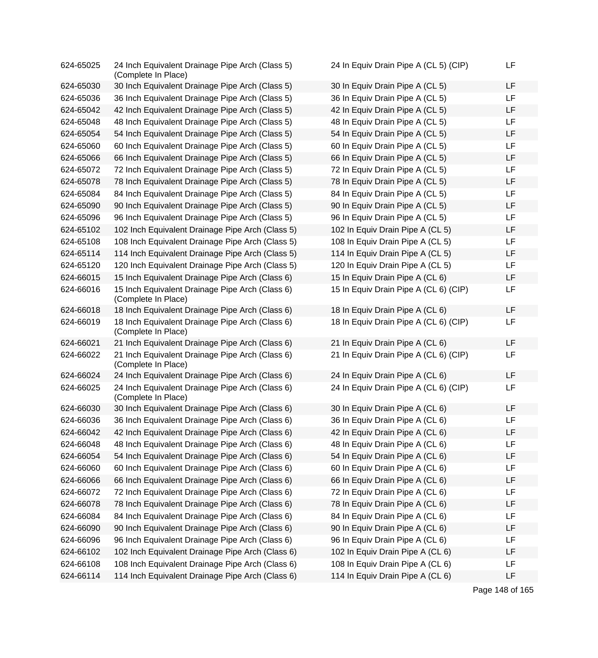| 624-65025 | 24 Inch Equivalent Drainage Pipe Arch (Class 5)<br>(Complete In Place) | 24 In Equiv Drain Pipe A (CL 5) (CIP) | LF |
|-----------|------------------------------------------------------------------------|---------------------------------------|----|
| 624-65030 | 30 Inch Equivalent Drainage Pipe Arch (Class 5)                        | 30 In Equiv Drain Pipe A (CL 5)       | LF |
| 624-65036 | 36 Inch Equivalent Drainage Pipe Arch (Class 5)                        | 36 In Equiv Drain Pipe A (CL 5)       | LF |
| 624-65042 | 42 Inch Equivalent Drainage Pipe Arch (Class 5)                        | 42 In Equiv Drain Pipe A (CL 5)       | LF |
| 624-65048 | 48 Inch Equivalent Drainage Pipe Arch (Class 5)                        | 48 In Equiv Drain Pipe A (CL 5)       | LF |
| 624-65054 | 54 Inch Equivalent Drainage Pipe Arch (Class 5)                        | 54 In Equiv Drain Pipe A (CL 5)       | LF |
| 624-65060 | 60 Inch Equivalent Drainage Pipe Arch (Class 5)                        | 60 In Equiv Drain Pipe A (CL 5)       | LF |
| 624-65066 | 66 Inch Equivalent Drainage Pipe Arch (Class 5)                        | 66 In Equiv Drain Pipe A (CL 5)       | LF |
| 624-65072 | 72 Inch Equivalent Drainage Pipe Arch (Class 5)                        | 72 In Equiv Drain Pipe A (CL 5)       | LF |
| 624-65078 | 78 Inch Equivalent Drainage Pipe Arch (Class 5)                        | 78 In Equiv Drain Pipe A (CL 5)       | LF |
| 624-65084 | 84 Inch Equivalent Drainage Pipe Arch (Class 5)                        | 84 In Equiv Drain Pipe A (CL 5)       | LF |
| 624-65090 | 90 Inch Equivalent Drainage Pipe Arch (Class 5)                        | 90 In Equiv Drain Pipe A (CL 5)       | LF |
| 624-65096 | 96 Inch Equivalent Drainage Pipe Arch (Class 5)                        | 96 In Equiv Drain Pipe A (CL 5)       | LF |
| 624-65102 | 102 Inch Equivalent Drainage Pipe Arch (Class 5)                       | 102 In Equiv Drain Pipe A (CL 5)      | LF |
| 624-65108 | 108 Inch Equivalent Drainage Pipe Arch (Class 5)                       | 108 In Equiv Drain Pipe A (CL 5)      | LF |
| 624-65114 | 114 Inch Equivalent Drainage Pipe Arch (Class 5)                       | 114 In Equiv Drain Pipe A (CL 5)      | LF |
| 624-65120 | 120 Inch Equivalent Drainage Pipe Arch (Class 5)                       | 120 In Equiv Drain Pipe A (CL 5)      | LF |
| 624-66015 | 15 Inch Equivalent Drainage Pipe Arch (Class 6)                        | 15 In Equiv Drain Pipe A (CL 6)       | LF |
| 624-66016 | 15 Inch Equivalent Drainage Pipe Arch (Class 6)<br>(Complete In Place) | 15 In Equiv Drain Pipe A (CL 6) (CIP) | LF |
| 624-66018 | 18 Inch Equivalent Drainage Pipe Arch (Class 6)                        | 18 In Equiv Drain Pipe A (CL 6)       | LF |
| 624-66019 | 18 Inch Equivalent Drainage Pipe Arch (Class 6)<br>(Complete In Place) | 18 In Equiv Drain Pipe A (CL 6) (CIP) | LF |
| 624-66021 | 21 Inch Equivalent Drainage Pipe Arch (Class 6)                        | 21 In Equiv Drain Pipe A (CL 6)       | LF |
| 624-66022 | 21 Inch Equivalent Drainage Pipe Arch (Class 6)<br>(Complete In Place) | 21 In Equiv Drain Pipe A (CL 6) (CIP) | LF |
| 624-66024 | 24 Inch Equivalent Drainage Pipe Arch (Class 6)                        | 24 In Equiv Drain Pipe A (CL 6)       | LF |
| 624-66025 | 24 Inch Equivalent Drainage Pipe Arch (Class 6)<br>(Complete In Place) | 24 In Equiv Drain Pipe A (CL 6) (CIP) | LF |
| 624-66030 | 30 Inch Equivalent Drainage Pipe Arch (Class 6)                        | 30 In Equiv Drain Pipe A (CL 6)       | LF |
| 624-66036 | 36 Inch Equivalent Drainage Pipe Arch (Class 6)                        | 36 In Equiv Drain Pipe A (CL 6)       | LF |
| 624-66042 | 42 Inch Equivalent Drainage Pipe Arch (Class 6)                        | 42 In Equiv Drain Pipe A (CL 6)       | LF |
| 624-66048 | 48 Inch Equivalent Drainage Pipe Arch (Class 6)                        | 48 In Equiv Drain Pipe A (CL 6)       | LF |
| 624-66054 | 54 Inch Equivalent Drainage Pipe Arch (Class 6)                        | 54 In Equiv Drain Pipe A (CL 6)       | LF |
| 624-66060 | 60 Inch Equivalent Drainage Pipe Arch (Class 6)                        | 60 In Equiv Drain Pipe A (CL 6)       | LF |
| 624-66066 | 66 Inch Equivalent Drainage Pipe Arch (Class 6)                        | 66 In Equiv Drain Pipe A (CL 6)       | LF |
| 624-66072 | 72 Inch Equivalent Drainage Pipe Arch (Class 6)                        | 72 In Equiv Drain Pipe A (CL 6)       | LF |
| 624-66078 | 78 Inch Equivalent Drainage Pipe Arch (Class 6)                        | 78 In Equiv Drain Pipe A (CL 6)       | LF |
| 624-66084 | 84 Inch Equivalent Drainage Pipe Arch (Class 6)                        | 84 In Equiv Drain Pipe A (CL 6)       | LF |
| 624-66090 | 90 Inch Equivalent Drainage Pipe Arch (Class 6)                        | 90 In Equiv Drain Pipe A (CL 6)       | LF |
| 624-66096 | 96 Inch Equivalent Drainage Pipe Arch (Class 6)                        | 96 In Equiv Drain Pipe A (CL 6)       | LF |
| 624-66102 | 102 Inch Equivalent Drainage Pipe Arch (Class 6)                       | 102 In Equiv Drain Pipe A (CL 6)      | LF |
| 624-66108 | 108 Inch Equivalent Drainage Pipe Arch (Class 6)                       | 108 In Equiv Drain Pipe A (CL 6)      | LF |
| 624-66114 | 114 Inch Equivalent Drainage Pipe Arch (Class 6)                       | 114 In Equiv Drain Pipe A (CL 6)      | LF |

Page 148 of 165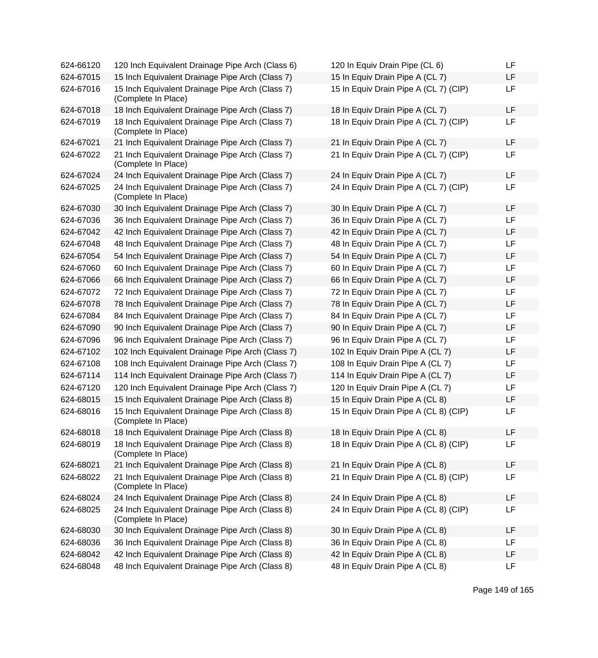| 624-66120 | 120 Inch Equivalent Drainage Pipe Arch (Class 6)                       | 120 In Equiv Drain Pipe (CL 6)        | LF |
|-----------|------------------------------------------------------------------------|---------------------------------------|----|
| 624-67015 | 15 Inch Equivalent Drainage Pipe Arch (Class 7)                        | 15 In Equiv Drain Pipe A (CL 7)       | LF |
| 624-67016 | 15 Inch Equivalent Drainage Pipe Arch (Class 7)<br>(Complete In Place) | 15 In Equiv Drain Pipe A (CL 7) (CIP) | LF |
| 624-67018 | 18 Inch Equivalent Drainage Pipe Arch (Class 7)                        | 18 In Equiv Drain Pipe A (CL 7)       | LF |
| 624-67019 | 18 Inch Equivalent Drainage Pipe Arch (Class 7)<br>(Complete In Place) | 18 In Equiv Drain Pipe A (CL 7) (CIP) | LF |
| 624-67021 | 21 Inch Equivalent Drainage Pipe Arch (Class 7)                        | 21 In Equiv Drain Pipe A (CL 7)       | LF |
| 624-67022 | 21 Inch Equivalent Drainage Pipe Arch (Class 7)<br>(Complete In Place) | 21 In Equiv Drain Pipe A (CL 7) (CIP) | LF |
| 624-67024 | 24 Inch Equivalent Drainage Pipe Arch (Class 7)                        | 24 In Equiv Drain Pipe A (CL 7)       | LF |
| 624-67025 | 24 Inch Equivalent Drainage Pipe Arch (Class 7)<br>(Complete In Place) | 24 In Equiv Drain Pipe A (CL 7) (CIP) | LF |
| 624-67030 | 30 Inch Equivalent Drainage Pipe Arch (Class 7)                        | 30 In Equiv Drain Pipe A (CL 7)       | LF |
| 624-67036 | 36 Inch Equivalent Drainage Pipe Arch (Class 7)                        | 36 In Equiv Drain Pipe A (CL 7)       | LF |
| 624-67042 | 42 Inch Equivalent Drainage Pipe Arch (Class 7)                        | 42 In Equiv Drain Pipe A (CL 7)       | LF |
| 624-67048 | 48 Inch Equivalent Drainage Pipe Arch (Class 7)                        | 48 In Equiv Drain Pipe A (CL 7)       | LF |
| 624-67054 | 54 Inch Equivalent Drainage Pipe Arch (Class 7)                        | 54 In Equiv Drain Pipe A (CL 7)       | LF |
| 624-67060 | 60 Inch Equivalent Drainage Pipe Arch (Class 7)                        | 60 In Equiv Drain Pipe A (CL 7)       | LF |
| 624-67066 | 66 Inch Equivalent Drainage Pipe Arch (Class 7)                        | 66 In Equiv Drain Pipe A (CL 7)       | LF |
| 624-67072 | 72 Inch Equivalent Drainage Pipe Arch (Class 7)                        | 72 In Equiv Drain Pipe A (CL 7)       | LF |
| 624-67078 | 78 Inch Equivalent Drainage Pipe Arch (Class 7)                        | 78 In Equiv Drain Pipe A (CL 7)       | LF |
| 624-67084 | 84 Inch Equivalent Drainage Pipe Arch (Class 7)                        | 84 In Equiv Drain Pipe A (CL 7)       | LF |
| 624-67090 | 90 Inch Equivalent Drainage Pipe Arch (Class 7)                        | 90 In Equiv Drain Pipe A (CL 7)       | LF |
| 624-67096 | 96 Inch Equivalent Drainage Pipe Arch (Class 7)                        | 96 In Equiv Drain Pipe A (CL 7)       | LF |
| 624-67102 | 102 Inch Equivalent Drainage Pipe Arch (Class 7)                       | 102 In Equiv Drain Pipe A (CL 7)      | LF |
| 624-67108 | 108 Inch Equivalent Drainage Pipe Arch (Class 7)                       | 108 In Equiv Drain Pipe A (CL 7)      | LF |
| 624-67114 | 114 Inch Equivalent Drainage Pipe Arch (Class 7)                       | 114 In Equiv Drain Pipe A (CL 7)      | LF |
| 624-67120 | 120 Inch Equivalent Drainage Pipe Arch (Class 7)                       | 120 In Equiv Drain Pipe A (CL 7)      | LF |
| 624-68015 | 15 Inch Equivalent Drainage Pipe Arch (Class 8)                        | 15 In Equiv Drain Pipe A (CL 8)       | LF |
| 624-68016 | 15 Inch Equivalent Drainage Pipe Arch (Class 8)<br>(Complete In Place) | 15 In Equiv Drain Pipe A (CL 8) (CIP) | LF |
| 624-68018 | 18 Inch Equivalent Drainage Pipe Arch (Class 8)                        | 18 In Equiv Drain Pipe A (CL 8)       | LF |
| 624-68019 | 18 Inch Equivalent Drainage Pipe Arch (Class 8)<br>(Complete In Place) | 18 In Equiv Drain Pipe A (CL 8) (CIP) | LF |
| 624-68021 | 21 Inch Equivalent Drainage Pipe Arch (Class 8)                        | 21 In Equiv Drain Pipe A (CL 8)       | LF |
| 624-68022 | 21 Inch Equivalent Drainage Pipe Arch (Class 8)<br>(Complete In Place) | 21 In Equiv Drain Pipe A (CL 8) (CIP) | LF |
| 624-68024 | 24 Inch Equivalent Drainage Pipe Arch (Class 8)                        | 24 In Equiv Drain Pipe A (CL 8)       | LF |
| 624-68025 | 24 Inch Equivalent Drainage Pipe Arch (Class 8)<br>(Complete In Place) | 24 In Equiv Drain Pipe A (CL 8) (CIP) | LF |
| 624-68030 | 30 Inch Equivalent Drainage Pipe Arch (Class 8)                        | 30 In Equiv Drain Pipe A (CL 8)       | LF |
| 624-68036 | 36 Inch Equivalent Drainage Pipe Arch (Class 8)                        | 36 In Equiv Drain Pipe A (CL 8)       | LF |
| 624-68042 | 42 Inch Equivalent Drainage Pipe Arch (Class 8)                        | 42 In Equiv Drain Pipe A (CL 8)       | LF |
| 624-68048 | 48 Inch Equivalent Drainage Pipe Arch (Class 8)                        | 48 In Equiv Drain Pipe A (CL 8)       | LF |
|           |                                                                        |                                       |    |

| 120 In Equiv Drain Pipe (CL 6)        | LF |
|---------------------------------------|----|
| 15 In Equiv Drain Pipe A (CL 7)       | LF |
| 15 In Equiv Drain Pipe A (CL 7) (CIP) | LF |
| 18 In Equiv Drain Pipe A (CL 7)       | LF |
| 18 In Equiv Drain Pipe A (CL 7) (CIP) | LF |
| 21 In Equiv Drain Pipe A (CL 7)       | LF |
| 21 In Equiv Drain Pipe A (CL 7) (CIP) | LF |
| 24 In Equiv Drain Pipe A (CL 7)       | LF |
| 24 In Equiv Drain Pipe A (CL 7) (CIP) | LF |
| 30 In Equiv Drain Pipe A (CL 7)       | LF |
| 36 In Equiv Drain Pipe A (CL 7)       | LF |
| 42 In Equiv Drain Pipe A (CL 7)       | LF |
| 48 In Equiv Drain Pipe A (CL 7)       | LF |
| 54 In Equiv Drain Pipe A (CL 7)       | LF |
| 60 In Equiv Drain Pipe A (CL 7)       | LF |
| 66 In Equiv Drain Pipe A (CL 7)       | LF |
| 72 In Equiv Drain Pipe A (CL 7)       | LF |
| 78 In Equiv Drain Pipe A (CL 7)       | LF |
| 84 In Equiv Drain Pipe A (CL 7)       | LF |
| 90 In Equiv Drain Pipe A (CL 7)       | LF |
| 96 In Equiv Drain Pipe A (CL 7)       | LF |
| 102 In Equiv Drain Pipe A (CL 7)      | LF |
| 108 In Equiv Drain Pipe A (CL 7)      | LF |
| 114 In Equiv Drain Pipe A (CL 7)      | LF |
| 120 In Equiv Drain Pipe A (CL 7)      | LF |
| 15 In Equiv Drain Pipe A (CL 8)       | LF |
| 15 In Equiv Drain Pipe A (CL 8) (CIP) | LF |
| 18 In Equiv Drain Pipe A (CL 8)       | LF |
| 18 In Equiv Drain Pipe A (CL 8) (CIP) | LF |
| 21 In Equiv Drain Pipe A (CL 8)       | LF |
| 21 In Equiv Drain Pipe A (CL 8) (CIP) | LF |
| 24 In Equiv Drain Pipe A (CL 8)       | LF |
| 24 In Equiv Drain Pipe A (CL 8) (CIP) | LF |
| 30 In Equiv Drain Pipe A (CL 8)       | LF |
| 36 In Equiv Drain Pipe A (CL 8)       | LF |
| 42 In Equiv Drain Pipe A (CL 8)       | LF |
| 48 In Equiv Drain Pipe A (CL 8)       | LF |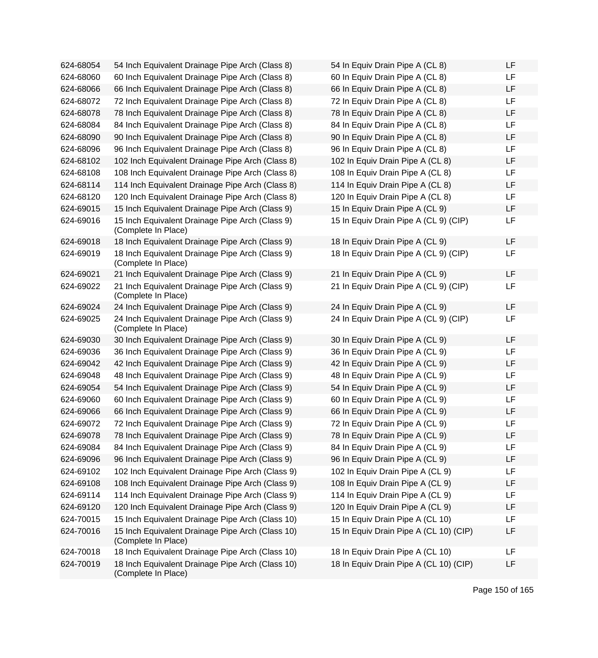| 624-68054 | 54 Inch Equivalent Drainage Pipe Arch (Class 8)                         | 54 In Equiv Drain Pipe A (CL 8)        | LF |
|-----------|-------------------------------------------------------------------------|----------------------------------------|----|
| 624-68060 | 60 Inch Equivalent Drainage Pipe Arch (Class 8)                         | 60 In Equiv Drain Pipe A (CL 8)        | LF |
| 624-68066 | 66 Inch Equivalent Drainage Pipe Arch (Class 8)                         | 66 In Equiv Drain Pipe A (CL 8)        | LF |
| 624-68072 | 72 Inch Equivalent Drainage Pipe Arch (Class 8)                         | 72 In Equiv Drain Pipe A (CL 8)        | LF |
| 624-68078 | 78 Inch Equivalent Drainage Pipe Arch (Class 8)                         | 78 In Equiv Drain Pipe A (CL 8)        | LF |
| 624-68084 | 84 Inch Equivalent Drainage Pipe Arch (Class 8)                         | 84 In Equiv Drain Pipe A (CL 8)        | LF |
| 624-68090 | 90 Inch Equivalent Drainage Pipe Arch (Class 8)                         | 90 In Equiv Drain Pipe A (CL 8)        | LF |
| 624-68096 | 96 Inch Equivalent Drainage Pipe Arch (Class 8)                         | 96 In Equiv Drain Pipe A (CL 8)        | LF |
| 624-68102 | 102 Inch Equivalent Drainage Pipe Arch (Class 8)                        | 102 In Equiv Drain Pipe A (CL 8)       | LF |
| 624-68108 | 108 Inch Equivalent Drainage Pipe Arch (Class 8)                        | 108 In Equiv Drain Pipe A (CL 8)       | LF |
| 624-68114 | 114 Inch Equivalent Drainage Pipe Arch (Class 8)                        | 114 In Equiv Drain Pipe A (CL 8)       | LF |
| 624-68120 | 120 Inch Equivalent Drainage Pipe Arch (Class 8)                        | 120 In Equiv Drain Pipe A (CL 8)       | LF |
| 624-69015 | 15 Inch Equivalent Drainage Pipe Arch (Class 9)                         | 15 In Equiv Drain Pipe A (CL 9)        | LF |
| 624-69016 | 15 Inch Equivalent Drainage Pipe Arch (Class 9)<br>(Complete In Place)  | 15 In Equiv Drain Pipe A (CL 9) (CIP)  | LF |
| 624-69018 | 18 Inch Equivalent Drainage Pipe Arch (Class 9)                         | 18 In Equiv Drain Pipe A (CL 9)        | LF |
| 624-69019 | 18 Inch Equivalent Drainage Pipe Arch (Class 9)<br>(Complete In Place)  | 18 In Equiv Drain Pipe A (CL 9) (CIP)  | LF |
| 624-69021 | 21 Inch Equivalent Drainage Pipe Arch (Class 9)                         | 21 In Equiv Drain Pipe A (CL 9)        | LF |
| 624-69022 | 21 Inch Equivalent Drainage Pipe Arch (Class 9)<br>(Complete In Place)  | 21 In Equiv Drain Pipe A (CL 9) (CIP)  | LF |
| 624-69024 | 24 Inch Equivalent Drainage Pipe Arch (Class 9)                         | 24 In Equiv Drain Pipe A (CL 9)        | LF |
| 624-69025 | 24 Inch Equivalent Drainage Pipe Arch (Class 9)<br>(Complete In Place)  | 24 In Equiv Drain Pipe A (CL 9) (CIP)  | LF |
| 624-69030 | 30 Inch Equivalent Drainage Pipe Arch (Class 9)                         | 30 In Equiv Drain Pipe A (CL 9)        | LF |
| 624-69036 | 36 Inch Equivalent Drainage Pipe Arch (Class 9)                         | 36 In Equiv Drain Pipe A (CL 9)        | LF |
| 624-69042 | 42 Inch Equivalent Drainage Pipe Arch (Class 9)                         | 42 In Equiv Drain Pipe A (CL 9)        | LF |
| 624-69048 | 48 Inch Equivalent Drainage Pipe Arch (Class 9)                         | 48 In Equiv Drain Pipe A (CL 9)        | LF |
| 624-69054 | 54 Inch Equivalent Drainage Pipe Arch (Class 9)                         | 54 In Equiv Drain Pipe A (CL 9)        | LF |
| 624-69060 | 60 Inch Equivalent Drainage Pipe Arch (Class 9)                         | 60 In Equiv Drain Pipe A (CL 9)        | LF |
| 624-69066 | 66 Inch Equivalent Drainage Pipe Arch (Class 9)                         | 66 In Equiv Drain Pipe A (CL 9)        | LF |
| 624-69072 | 72 Inch Equivalent Drainage Pipe Arch (Class 9)                         | 72 In Equiv Drain Pipe A (CL 9)        | LF |
| 624-69078 | 78 Inch Equivalent Drainage Pipe Arch (Class 9)                         | 78 In Equiv Drain Pipe A (CL 9)        | LF |
| 624-69084 | 84 Inch Equivalent Drainage Pipe Arch (Class 9)                         | 84 In Equiv Drain Pipe A (CL 9)        | LF |
| 624-69096 | 96 Inch Equivalent Drainage Pipe Arch (Class 9)                         | 96 In Equiv Drain Pipe A (CL 9)        | LF |
| 624-69102 | 102 Inch Equivalent Drainage Pipe Arch (Class 9)                        | 102 In Equiv Drain Pipe A (CL 9)       | LF |
| 624-69108 | 108 Inch Equivalent Drainage Pipe Arch (Class 9)                        | 108 In Equiv Drain Pipe A (CL 9)       | LF |
| 624-69114 | 114 Inch Equivalent Drainage Pipe Arch (Class 9)                        | 114 In Equiv Drain Pipe A (CL 9)       | LF |
| 624-69120 | 120 Inch Equivalent Drainage Pipe Arch (Class 9)                        | 120 In Equiv Drain Pipe A (CL 9)       | LF |
| 624-70015 | 15 Inch Equivalent Drainage Pipe Arch (Class 10)                        | 15 In Equiv Drain Pipe A (CL 10)       | LF |
| 624-70016 | 15 Inch Equivalent Drainage Pipe Arch (Class 10)<br>(Complete In Place) | 15 In Equiv Drain Pipe A (CL 10) (CIP) | LF |
| 624-70018 | 18 Inch Equivalent Drainage Pipe Arch (Class 10)                        | 18 In Equiv Drain Pipe A (CL 10)       | LF |
| 624-70019 | 18 Inch Equivalent Drainage Pipe Arch (Class 10)<br>(Complete In Place) | 18 In Equiv Drain Pipe A (CL 10) (CIP) | LF |

| 54 In Equiv Drain Pipe A (CL 8)        | LF |
|----------------------------------------|----|
| 60 In Equiv Drain Pipe A (CL 8)        | LF |
| 66 In Equiv Drain Pipe A (CL 8)        | LF |
| 72 In Equiv Drain Pipe A (CL 8)        | LF |
| 78 In Equiv Drain Pipe A (CL 8)        | LF |
| 84 In Equiv Drain Pipe A (CL 8)        | LF |
| 90 In Equiv Drain Pipe A (CL 8)        | LF |
| 96 In Equiv Drain Pipe A (CL 8)        | LF |
| 102 In Equiv Drain Pipe A (CL 8)       | LF |
| 108 In Equiv Drain Pipe A (CL 8)       | LF |
| 114 In Equiv Drain Pipe A (CL 8)       | LF |
| 120 In Equiv Drain Pipe A (CL 8)       | LF |
| 15 In Equiv Drain Pipe A (CL 9)        | LF |
| 15 In Equiv Drain Pipe A (CL 9) (CIP)  | LF |
| 18 In Equiv Drain Pipe A (CL 9)        | LF |
| 18 In Equiv Drain Pipe A (CL 9) (CIP)  | LF |
|                                        |    |
| 21 In Equiv Drain Pipe A (CL 9)        | LF |
| 21 In Equiv Drain Pipe A (CL 9) (CIP)  | LF |
| 24 In Equiv Drain Pipe A (CL 9)        | LF |
| 24 In Equiv Drain Pipe A (CL 9) (CIP)  | LF |
| 30 In Equiv Drain Pipe A (CL 9)        | LF |
| 36 In Equiv Drain Pipe A (CL 9)        | LF |
| 42 In Equiv Drain Pipe A (CL 9)        | LF |
| 48 In Equiv Drain Pipe A (CL 9)        | LF |
| 54 In Equiv Drain Pipe A (CL 9)        | LF |
| 60 In Equiv Drain Pipe A (CL 9)        | LF |
| 66 In Equiv Drain Pipe A (CL 9)        | LF |
| 72 In Equiv Drain Pipe A (CL 9)        | LF |
| 78 In Equiv Drain Pipe A (CL 9)        | LF |
| 84 In Equiv Drain Pipe A (CL 9)        | LF |
| 96 In Equiv Drain Pipe A (CL 9)        | LF |
| 102 In Equiv Drain Pipe A (CL 9)       | LF |
| 108 In Equiv Drain Pipe A (CL 9)       | LF |
| 114 In Equiv Drain Pipe A (CL 9)       | LF |
| 120 In Equiv Drain Pipe A (CL 9)       | LF |
| 15 In Equiv Drain Pipe A (CL 10)       | LF |
| 15 In Equiv Drain Pipe A (CL 10) (CIP) | LF |
| 18 In Equiv Drain Pipe A (CL 10)       | LF |
| 18 In Equiv Drain Pipe A (CL 10) (CIP) | LF |
|                                        |    |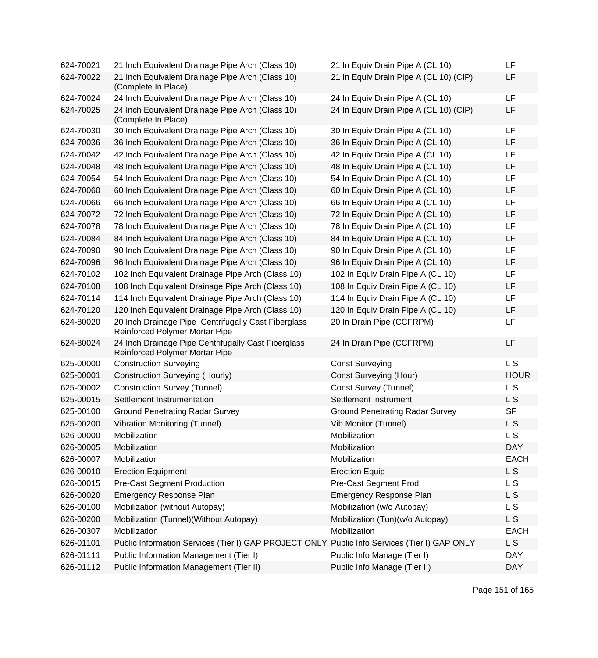| 624-70021 | 21 Inch Equivalent Drainage Pipe Arch (Class 10)                                             | 21 In Equiv Drain Pipe A (CL 10)       | LF             |
|-----------|----------------------------------------------------------------------------------------------|----------------------------------------|----------------|
| 624-70022 | 21 Inch Equivalent Drainage Pipe Arch (Class 10)<br>(Complete In Place)                      | 21 In Equiv Drain Pipe A (CL 10) (CIP) | LF             |
| 624-70024 | 24 Inch Equivalent Drainage Pipe Arch (Class 10)                                             | 24 In Equiv Drain Pipe A (CL 10)       | <b>LF</b>      |
| 624-70025 | 24 Inch Equivalent Drainage Pipe Arch (Class 10)<br>(Complete In Place)                      | 24 In Equiv Drain Pipe A (CL 10) (CIP) | LF             |
| 624-70030 | 30 Inch Equivalent Drainage Pipe Arch (Class 10)                                             | 30 In Equiv Drain Pipe A (CL 10)       | LF             |
| 624-70036 | 36 Inch Equivalent Drainage Pipe Arch (Class 10)                                             | 36 In Equiv Drain Pipe A (CL 10)       | LF             |
| 624-70042 | 42 Inch Equivalent Drainage Pipe Arch (Class 10)                                             | 42 In Equiv Drain Pipe A (CL 10)       | LF             |
| 624-70048 | 48 Inch Equivalent Drainage Pipe Arch (Class 10)                                             | 48 In Equiv Drain Pipe A (CL 10)       | LF             |
| 624-70054 | 54 Inch Equivalent Drainage Pipe Arch (Class 10)                                             | 54 In Equiv Drain Pipe A (CL 10)       | LF             |
| 624-70060 | 60 Inch Equivalent Drainage Pipe Arch (Class 10)                                             | 60 In Equiv Drain Pipe A (CL 10)       | LF             |
| 624-70066 | 66 Inch Equivalent Drainage Pipe Arch (Class 10)                                             | 66 In Equiv Drain Pipe A (CL 10)       | LF             |
| 624-70072 | 72 Inch Equivalent Drainage Pipe Arch (Class 10)                                             | 72 In Equiv Drain Pipe A (CL 10)       | LF             |
| 624-70078 | 78 Inch Equivalent Drainage Pipe Arch (Class 10)                                             | 78 In Equiv Drain Pipe A (CL 10)       | <b>LF</b>      |
| 624-70084 | 84 Inch Equivalent Drainage Pipe Arch (Class 10)                                             | 84 In Equiv Drain Pipe A (CL 10)       | <b>LF</b>      |
| 624-70090 | 90 Inch Equivalent Drainage Pipe Arch (Class 10)                                             | 90 In Equiv Drain Pipe A (CL 10)       | LF             |
| 624-70096 | 96 Inch Equivalent Drainage Pipe Arch (Class 10)                                             | 96 In Equiv Drain Pipe A (CL 10)       | <b>LF</b>      |
| 624-70102 | 102 Inch Equivalent Drainage Pipe Arch (Class 10)                                            | 102 In Equiv Drain Pipe A (CL 10)      | <b>LF</b>      |
| 624-70108 | 108 Inch Equivalent Drainage Pipe Arch (Class 10)                                            | 108 In Equiv Drain Pipe A (CL 10)      | LF             |
| 624-70114 | 114 Inch Equivalent Drainage Pipe Arch (Class 10)                                            | 114 In Equiv Drain Pipe A (CL 10)      | LF             |
| 624-70120 | 120 Inch Equivalent Drainage Pipe Arch (Class 10)                                            | 120 In Equiv Drain Pipe A (CL 10)      | LF             |
| 624-80020 | 20 Inch Drainage Pipe Centrifugally Cast Fiberglass<br>Reinforced Polymer Mortar Pipe        | 20 In Drain Pipe (CCFRPM)              | LF             |
| 624-80024 | 24 Inch Drainage Pipe Centrifugally Cast Fiberglass<br>Reinforced Polymer Mortar Pipe        | 24 In Drain Pipe (CCFRPM)              | <b>LF</b>      |
| 625-00000 | <b>Construction Surveying</b>                                                                | <b>Const Surveying</b>                 | <b>LS</b>      |
| 625-00001 | <b>Construction Surveying (Hourly)</b>                                                       | <b>Const Surveying (Hour)</b>          | <b>HOUR</b>    |
| 625-00002 | <b>Construction Survey (Tunnel)</b>                                                          | Const Survey (Tunnel)                  | L <sub>S</sub> |
| 625-00015 | Settlement Instrumentation                                                                   | Settlement Instrument                  | L S            |
| 625-00100 | <b>Ground Penetrating Radar Survey</b>                                                       | <b>Ground Penetrating Radar Survey</b> | <b>SF</b>      |
| 625-00200 | <b>Vibration Monitoring (Tunnel)</b>                                                         | Vib Monitor (Tunnel)                   | L S            |
| 626-00000 | Mobilization                                                                                 | Mobilization                           | L S            |
| 626-00005 | Mobilization                                                                                 | Mobilization                           | <b>DAY</b>     |
| 626-00007 | Mobilization                                                                                 | Mobilization                           | <b>EACH</b>    |
| 626-00010 | <b>Erection Equipment</b>                                                                    | <b>Erection Equip</b>                  | L S            |
| 626-00015 | <b>Pre-Cast Segment Production</b>                                                           | Pre-Cast Segment Prod.                 | L S            |
| 626-00020 | <b>Emergency Response Plan</b>                                                               | <b>Emergency Response Plan</b>         | L S            |
| 626-00100 | Mobilization (without Autopay)                                                               | Mobilization (w/o Autopay)             | L <sub>S</sub> |
| 626-00200 | Mobilization (Tunnel) (Without Autopay)                                                      | Mobilization (Tun)(w/o Autopay)        | L S            |
| 626-00307 | Mobilization                                                                                 | Mobilization                           | <b>EACH</b>    |
| 626-01101 | Public Information Services (Tier I) GAP PROJECT ONLY Public Info Services (Tier I) GAP ONLY |                                        | L S            |
| 626-01111 | Public Information Management (Tier I)                                                       | Public Info Manage (Tier I)            | <b>DAY</b>     |
| 626-01112 | Public Information Management (Tier II)                                                      | Public Info Manage (Tier II)           | <b>DAY</b>     |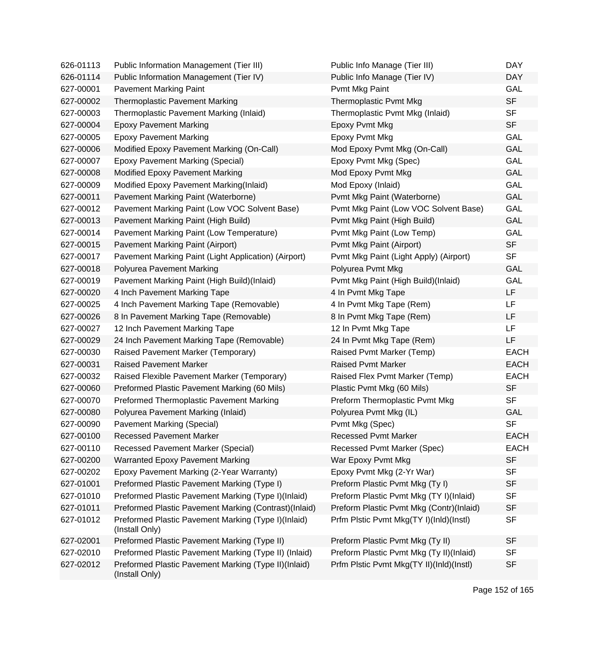| 626-01113 | Public Information Management (Tier III)                               | Public Info Manage (Tier III)            | <b>DAY</b>  |
|-----------|------------------------------------------------------------------------|------------------------------------------|-------------|
| 626-01114 | Public Information Management (Tier IV)                                | Public Info Manage (Tier IV)             | <b>DAY</b>  |
| 627-00001 | <b>Pavement Marking Paint</b>                                          | Pvmt Mkg Paint                           | <b>GAL</b>  |
| 627-00002 | <b>Thermoplastic Pavement Marking</b>                                  | Thermoplastic Pvmt Mkg                   | <b>SF</b>   |
| 627-00003 | Thermoplastic Pavement Marking (Inlaid)                                | Thermoplastic Pvmt Mkg (Inlaid)          | <b>SF</b>   |
| 627-00004 | <b>Epoxy Pavement Marking</b>                                          | Epoxy Pvmt Mkg                           | <b>SF</b>   |
| 627-00005 | <b>Epoxy Pavement Marking</b>                                          | Epoxy Pvmt Mkg                           | <b>GAL</b>  |
| 627-00006 | Modified Epoxy Pavement Marking (On-Call)                              | Mod Epoxy Pvmt Mkg (On-Call)             | GAL         |
| 627-00007 | <b>Epoxy Pavement Marking (Special)</b>                                | Epoxy Pvmt Mkg (Spec)                    | <b>GAL</b>  |
| 627-00008 | Modified Epoxy Pavement Marking                                        | Mod Epoxy Pvmt Mkg                       | GAL         |
| 627-00009 | Modified Epoxy Pavement Marking(Inlaid)                                | Mod Epoxy (Inlaid)                       | GAL         |
| 627-00011 | Pavement Marking Paint (Waterborne)                                    | Pvmt Mkg Paint (Waterborne)              | <b>GAL</b>  |
| 627-00012 | Pavement Marking Paint (Low VOC Solvent Base)                          | Pvmt Mkg Paint (Low VOC Solvent Base)    | GAL         |
| 627-00013 | Pavement Marking Paint (High Build)                                    | Pvmt Mkg Paint (High Build)              | <b>GAL</b>  |
| 627-00014 | Pavement Marking Paint (Low Temperature)                               | Pvmt Mkg Paint (Low Temp)                | GAL         |
| 627-00015 | Pavement Marking Paint (Airport)                                       | Pvmt Mkg Paint (Airport)                 | <b>SF</b>   |
| 627-00017 | Pavement Marking Paint (Light Application) (Airport)                   | Pvmt Mkg Paint (Light Apply) (Airport)   | <b>SF</b>   |
| 627-00018 | Polyurea Pavement Marking                                              | Polyurea Pvmt Mkg                        | GAL         |
| 627-00019 | Pavement Marking Paint (High Build)(Inlaid)                            | Pvmt Mkg Paint (High Build)(Inlaid)      | GAL         |
| 627-00020 | 4 Inch Pavement Marking Tape                                           | 4 In Pvmt Mkg Tape                       | <b>LF</b>   |
| 627-00025 | 4 Inch Pavement Marking Tape (Removable)                               | 4 In Pvmt Mkg Tape (Rem)                 | <b>LF</b>   |
| 627-00026 | 8 In Pavement Marking Tape (Removable)                                 | 8 In Pvmt Mkg Tape (Rem)                 | LF          |
| 627-00027 | 12 Inch Pavement Marking Tape                                          | 12 In Pvmt Mkg Tape                      | <b>LF</b>   |
| 627-00029 | 24 Inch Pavement Marking Tape (Removable)                              | 24 In Pvmt Mkg Tape (Rem)                | LF          |
| 627-00030 | Raised Pavement Marker (Temporary)                                     | Raised Pvmt Marker (Temp)                | <b>EACH</b> |
| 627-00031 | <b>Raised Pavement Marker</b>                                          | <b>Raised Pvmt Marker</b>                | <b>EACH</b> |
| 627-00032 | Raised Flexible Pavement Marker (Temporary)                            | Raised Flex Pvmt Marker (Temp)           | <b>EACH</b> |
| 627-00060 | Preformed Plastic Pavement Marking (60 Mils)                           | Plastic Pvmt Mkg (60 Mils)               | <b>SF</b>   |
| 627-00070 | Preformed Thermoplastic Pavement Marking                               | Preform Thermoplastic Pvmt Mkg           | <b>SF</b>   |
| 627-00080 | Polyurea Pavement Marking (Inlaid)                                     | Polyurea Pvmt Mkg (IL)                   | <b>GAL</b>  |
| 627-00090 | Pavement Marking (Special)                                             | Pvmt Mkg (Spec)                          | <b>SF</b>   |
| 627-00100 | <b>Recessed Pavement Marker</b>                                        | <b>Recessed Pvmt Marker</b>              | <b>EACH</b> |
| 627-00110 | <b>Recessed Pavement Marker (Special)</b>                              | Recessed Pvmt Marker (Spec)              | <b>EACH</b> |
| 627-00200 | <b>Warranted Epoxy Pavement Marking</b>                                | War Epoxy Pvmt Mkg                       | <b>SF</b>   |
| 627-00202 | Epoxy Pavement Marking (2-Year Warranty)                               | Epoxy Pvmt Mkg (2-Yr War)                | <b>SF</b>   |
| 627-01001 | Preformed Plastic Pavement Marking (Type I)                            | Preform Plastic Pvmt Mkg (Ty I)          | <b>SF</b>   |
| 627-01010 | Preformed Plastic Pavement Marking (Type I)(Inlaid)                    | Preform Plastic Pvmt Mkg (TY I)(Inlaid)  | <b>SF</b>   |
| 627-01011 | Preformed Plastic Pavement Marking (Contrast)(Inlaid)                  | Preform Plastic Pvmt Mkg (Contr)(Inlaid) | <b>SF</b>   |
| 627-01012 | Preformed Plastic Pavement Marking (Type I)(Inlaid)<br>(Install Only)  | Prfm Plstic Pvmt Mkg(TY I)(InId)(Instl)  | <b>SF</b>   |
| 627-02001 | Preformed Plastic Pavement Marking (Type II)                           | Preform Plastic Pvmt Mkg (Ty II)         | <b>SF</b>   |
| 627-02010 | Preformed Plastic Pavement Marking (Type II) (Inlaid)                  | Preform Plastic Pvmt Mkg (Ty II)(Inlaid) | <b>SF</b>   |
| 627-02012 | Preformed Plastic Pavement Marking (Type II)(Inlaid)<br>(Install Only) | Prfm Plstic Pvmt Mkg(TY II)(Inld)(Instl) | <b>SF</b>   |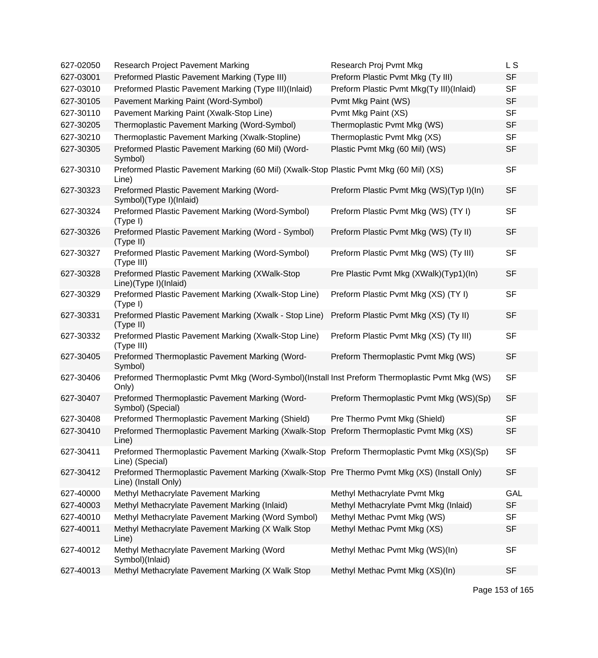| 627-02050 | Research Project Pavement Marking                                                                                    | Research Proj Pvmt Mkg                   | L S        |
|-----------|----------------------------------------------------------------------------------------------------------------------|------------------------------------------|------------|
| 627-03001 | Preformed Plastic Pavement Marking (Type III)                                                                        | Preform Plastic Pvmt Mkg (Ty III)        | <b>SF</b>  |
| 627-03010 | Preformed Plastic Pavement Marking (Type III)(Inlaid)                                                                | Preform Plastic Pvmt Mkg(Ty III)(Inlaid) | <b>SF</b>  |
| 627-30105 | Pavement Marking Paint (Word-Symbol)                                                                                 | Pvmt Mkg Paint (WS)                      | <b>SF</b>  |
| 627-30110 | Pavement Marking Paint (Xwalk-Stop Line)                                                                             | Pvmt Mkg Paint (XS)                      | <b>SF</b>  |
| 627-30205 | Thermoplastic Pavement Marking (Word-Symbol)                                                                         | Thermoplastic Pvmt Mkg (WS)              | <b>SF</b>  |
| 627-30210 | Thermoplastic Pavement Marking (Xwalk-Stopline)                                                                      | Thermoplastic Pvmt Mkg (XS)              | <b>SF</b>  |
| 627-30305 | Preformed Plastic Pavement Marking (60 Mil) (Word-<br>Symbol)                                                        | Plastic Pvmt Mkg (60 Mil) (WS)           | <b>SF</b>  |
| 627-30310 | Preformed Plastic Pavement Marking (60 Mil) (Xwalk-Stop Plastic Pvmt Mkg (60 Mil) (XS)<br>Line)                      |                                          | <b>SF</b>  |
| 627-30323 | Preformed Plastic Pavement Marking (Word-<br>Symbol)(Type I)(Inlaid)                                                 | Preform Plastic Pvmt Mkg (WS)(Typ I)(In) | <b>SF</b>  |
| 627-30324 | Preformed Plastic Pavement Marking (Word-Symbol)<br>(Type I)                                                         | Preform Plastic Pvmt Mkg (WS) (TY I)     | <b>SF</b>  |
| 627-30326 | Preformed Plastic Pavement Marking (Word - Symbol)<br>(Type II)                                                      | Preform Plastic Pvmt Mkg (WS) (Ty II)    | <b>SF</b>  |
| 627-30327 | Preformed Plastic Pavement Marking (Word-Symbol)<br>(Type III)                                                       | Preform Plastic Pvmt Mkg (WS) (Ty III)   | <b>SF</b>  |
| 627-30328 | Preformed Plastic Pavement Marking (XWalk-Stop<br>Line)(Type I)(Inlaid)                                              | Pre Plastic Pvmt Mkg (XWalk)(Typ1)(In)   | <b>SF</b>  |
| 627-30329 | Preformed Plastic Pavement Marking (Xwalk-Stop Line)<br>(Type I)                                                     | Preform Plastic Pvmt Mkg (XS) (TY I)     | <b>SF</b>  |
| 627-30331 | Preformed Plastic Pavement Marking (Xwalk - Stop Line)<br>(Type II)                                                  | Preform Plastic Pvmt Mkg (XS) (Ty II)    | <b>SF</b>  |
| 627-30332 | Preformed Plastic Pavement Marking (Xwalk-Stop Line)<br>(Type III)                                                   | Preform Plastic Pvmt Mkg (XS) (Ty III)   | <b>SF</b>  |
| 627-30405 | Preformed Thermoplastic Pavement Marking (Word-<br>Symbol)                                                           | Preform Thermoplastic Pvmt Mkg (WS)      | <b>SF</b>  |
| 627-30406 | Preformed Thermoplastic Pvmt Mkg (Word-Symbol)(Install Inst Preform Thermoplastic Pvmt Mkg (WS)<br>Only)             |                                          | <b>SF</b>  |
| 627-30407 | Preformed Thermoplastic Pavement Marking (Word-<br>Symbol) (Special)                                                 | Preform Thermoplastic Pvmt Mkg (WS)(Sp)  | <b>SF</b>  |
| 627-30408 | Preformed Thermoplastic Pavement Marking (Shield)                                                                    | Pre Thermo Pvmt Mkg (Shield)             | <b>SF</b>  |
| 627-30410 | Preformed Thermoplastic Pavement Marking (Xwalk-Stop Preform Thermoplastic Pvmt Mkg (XS)<br>Line)                    |                                          | <b>SF</b>  |
| 627-30411 | Preformed Thermoplastic Pavement Marking (Xwalk-Stop Preform Thermoplastic Pvmt Mkg (XS)(Sp)<br>Line) (Special)      |                                          | <b>SF</b>  |
| 627-30412 | Preformed Thermoplastic Pavement Marking (Xwalk-Stop Pre Thermo Pvmt Mkg (XS) (Install Only)<br>Line) (Install Only) |                                          | <b>SF</b>  |
| 627-40000 | Methyl Methacrylate Pavement Marking                                                                                 | Methyl Methacrylate Pvmt Mkg             | <b>GAL</b> |
| 627-40003 | Methyl Methacrylate Pavement Marking (Inlaid)                                                                        | Methyl Methacrylate Pvmt Mkg (Inlaid)    | <b>SF</b>  |
| 627-40010 | Methyl Methacrylate Pavement Marking (Word Symbol)                                                                   | Methyl Methac Pvmt Mkg (WS)              | <b>SF</b>  |
| 627-40011 | Methyl Methacrylate Pavement Marking (X Walk Stop<br>Line)                                                           | Methyl Methac Pvmt Mkg (XS)              | <b>SF</b>  |
| 627-40012 | Methyl Methacrylate Pavement Marking (Word<br>Symbol)(Inlaid)                                                        | Methyl Methac Pvmt Mkg (WS)(In)          | <b>SF</b>  |
| 627-40013 | Methyl Methacrylate Pavement Marking (X Walk Stop                                                                    | Methyl Methac Pvmt Mkg (XS)(In)          | <b>SF</b>  |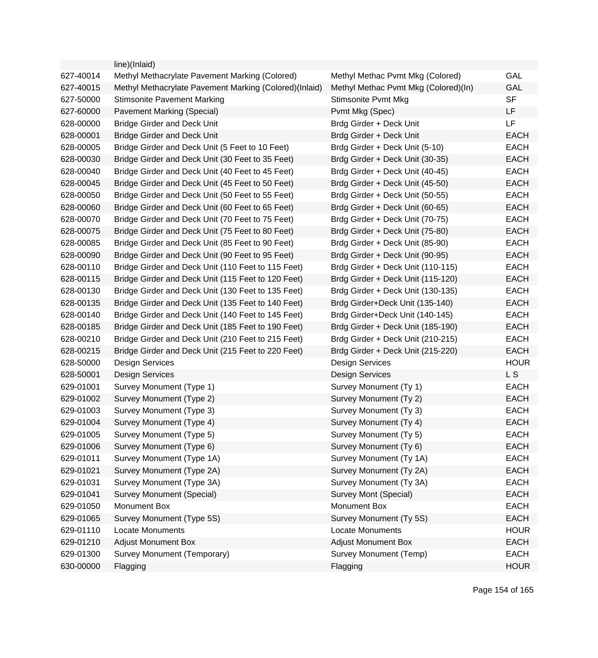|           | line)(Inlaid)                                          |                                      |             |
|-----------|--------------------------------------------------------|--------------------------------------|-------------|
| 627-40014 | Methyl Methacrylate Pavement Marking (Colored)         | Methyl Methac Pvmt Mkg (Colored)     | GAL         |
| 627-40015 | Methyl Methacrylate Pavement Marking (Colored)(Inlaid) | Methyl Methac Pvmt Mkg (Colored)(In) | <b>GAL</b>  |
| 627-50000 | <b>Stimsonite Pavement Marking</b>                     | Stimsonite Pvmt Mkg                  | <b>SF</b>   |
| 627-60000 | Pavement Marking (Special)                             | Pvmt Mkg (Spec)                      | LF          |
| 628-00000 | <b>Bridge Girder and Deck Unit</b>                     | Brdg Girder + Deck Unit              | LF          |
| 628-00001 | <b>Bridge Girder and Deck Unit</b>                     | Brdg Girder + Deck Unit              | <b>EACH</b> |
| 628-00005 | Bridge Girder and Deck Unit (5 Feet to 10 Feet)        | Brdg Girder + Deck Unit (5-10)       | <b>EACH</b> |
| 628-00030 | Bridge Girder and Deck Unit (30 Feet to 35 Feet)       | Brdg Girder + Deck Unit (30-35)      | <b>EACH</b> |
| 628-00040 | Bridge Girder and Deck Unit (40 Feet to 45 Feet)       | Brdg Girder + Deck Unit (40-45)      | <b>EACH</b> |
| 628-00045 | Bridge Girder and Deck Unit (45 Feet to 50 Feet)       | Brdg Girder + Deck Unit (45-50)      | <b>EACH</b> |
| 628-00050 | Bridge Girder and Deck Unit (50 Feet to 55 Feet)       | Brdg Girder + Deck Unit (50-55)      | <b>EACH</b> |
| 628-00060 | Bridge Girder and Deck Unit (60 Feet to 65 Feet)       | Brdg Girder + Deck Unit (60-65)      | <b>EACH</b> |
| 628-00070 | Bridge Girder and Deck Unit (70 Feet to 75 Feet)       | Brdg Girder + Deck Unit (70-75)      | <b>EACH</b> |
| 628-00075 | Bridge Girder and Deck Unit (75 Feet to 80 Feet)       | Brdg Girder + Deck Unit (75-80)      | <b>EACH</b> |
| 628-00085 | Bridge Girder and Deck Unit (85 Feet to 90 Feet)       | Brdg Girder + Deck Unit (85-90)      | <b>EACH</b> |
| 628-00090 | Bridge Girder and Deck Unit (90 Feet to 95 Feet)       | Brdg Girder + Deck Unit (90-95)      | <b>EACH</b> |
| 628-00110 | Bridge Girder and Deck Unit (110 Feet to 115 Feet)     | Brdg Girder + Deck Unit (110-115)    | <b>EACH</b> |
| 628-00115 | Bridge Girder and Deck Unit (115 Feet to 120 Feet)     | Brdg Girder + Deck Unit (115-120)    | <b>EACH</b> |
| 628-00130 | Bridge Girder and Deck Unit (130 Feet to 135 Feet)     | Brdg Girder + Deck Unit (130-135)    | <b>EACH</b> |
| 628-00135 | Bridge Girder and Deck Unit (135 Feet to 140 Feet)     | Brdg Girder+Deck Unit (135-140)      | <b>EACH</b> |
| 628-00140 | Bridge Girder and Deck Unit (140 Feet to 145 Feet)     | Brdg Girder+Deck Unit (140-145)      | <b>EACH</b> |
| 628-00185 | Bridge Girder and Deck Unit (185 Feet to 190 Feet)     | Brdg Girder + Deck Unit (185-190)    | <b>EACH</b> |
| 628-00210 | Bridge Girder and Deck Unit (210 Feet to 215 Feet)     | Brdg Girder + Deck Unit (210-215)    | <b>EACH</b> |
| 628-00215 | Bridge Girder and Deck Unit (215 Feet to 220 Feet)     | Brdg Girder + Deck Unit (215-220)    | <b>EACH</b> |
| 628-50000 | Design Services                                        | <b>Design Services</b>               | <b>HOUR</b> |
| 628-50001 | <b>Design Services</b>                                 | <b>Design Services</b>               | L S         |
| 629-01001 | Survey Monument (Type 1)                               | Survey Monument (Ty 1)               | <b>EACH</b> |
| 629-01002 | Survey Monument (Type 2)                               | Survey Monument (Ty 2)               | <b>EACH</b> |
| 629-01003 | Survey Monument (Type 3)                               | Survey Monument (Ty 3)               | <b>EACH</b> |
| 629-01004 | Survey Monument (Type 4)                               | Survey Monument (Ty 4)               | <b>EACH</b> |
| 629-01005 | Survey Monument (Type 5)                               | Survey Monument (Ty 5)               | EACH        |
| 629-01006 | Survey Monument (Type 6)                               | Survey Monument (Ty 6)               | <b>EACH</b> |
| 629-01011 | Survey Monument (Type 1A)                              | Survey Monument (Ty 1A)              | <b>EACH</b> |
| 629-01021 | Survey Monument (Type 2A)                              | Survey Monument (Ty 2A)              | <b>EACH</b> |
| 629-01031 | Survey Monument (Type 3A)                              | Survey Monument (Ty 3A)              | <b>EACH</b> |
| 629-01041 | Survey Monument (Special)                              | Survey Mont (Special)                | <b>EACH</b> |
| 629-01050 | Monument Box                                           | Monument Box                         | <b>EACH</b> |
| 629-01065 | Survey Monument (Type 5S)                              | Survey Monument (Ty 5S)              | <b>EACH</b> |
| 629-01110 | <b>Locate Monuments</b>                                | Locate Monuments                     | <b>HOUR</b> |
| 629-01210 | <b>Adjust Monument Box</b>                             | <b>Adjust Monument Box</b>           | <b>EACH</b> |
| 629-01300 | Survey Monument (Temporary)                            | <b>Survey Monument (Temp)</b>        | <b>EACH</b> |
| 630-00000 | Flagging                                               | Flagging                             | <b>HOUR</b> |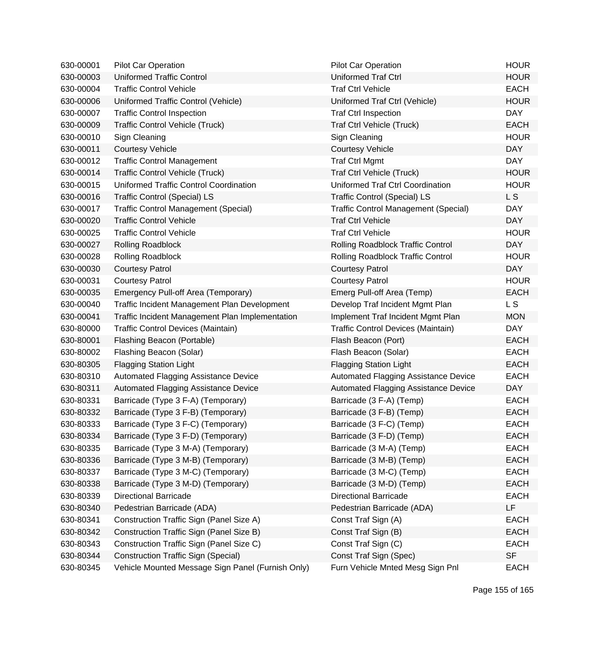| 630-00001 | Pilot Car Operation                               | <b>Pilot Car Operation</b>                  | <b>HOUR</b> |
|-----------|---------------------------------------------------|---------------------------------------------|-------------|
| 630-00003 | <b>Uniformed Traffic Control</b>                  | <b>Uniformed Traf Ctrl</b>                  | <b>HOUR</b> |
| 630-00004 | <b>Traffic Control Vehicle</b>                    | <b>Traf Ctrl Vehicle</b>                    | <b>EACH</b> |
| 630-00006 | Uniformed Traffic Control (Vehicle)               | Uniformed Traf Ctrl (Vehicle)               | <b>HOUR</b> |
| 630-00007 | <b>Traffic Control Inspection</b>                 | <b>Traf Ctrl Inspection</b>                 | <b>DAY</b>  |
| 630-00009 | <b>Traffic Control Vehicle (Truck)</b>            | Traf Ctrl Vehicle (Truck)                   | <b>EACH</b> |
| 630-00010 | Sign Cleaning                                     | Sign Cleaning                               | <b>HOUR</b> |
| 630-00011 | <b>Courtesy Vehicle</b>                           | <b>Courtesy Vehicle</b>                     | <b>DAY</b>  |
| 630-00012 | <b>Traffic Control Management</b>                 | <b>Traf Ctrl Mgmt</b>                       | <b>DAY</b>  |
| 630-00014 | <b>Traffic Control Vehicle (Truck)</b>            | Traf Ctrl Vehicle (Truck)                   | <b>HOUR</b> |
| 630-00015 | Uniformed Traffic Control Coordination            | Uniformed Traf Ctrl Coordination            | <b>HOUR</b> |
| 630-00016 | <b>Traffic Control (Special) LS</b>               | <b>Traffic Control (Special) LS</b>         | L S         |
| 630-00017 | <b>Traffic Control Management (Special)</b>       | <b>Traffic Control Management (Special)</b> | <b>DAY</b>  |
| 630-00020 | <b>Traffic Control Vehicle</b>                    | <b>Traf Ctrl Vehicle</b>                    | <b>DAY</b>  |
| 630-00025 | <b>Traffic Control Vehicle</b>                    | <b>Traf Ctrl Vehicle</b>                    | <b>HOUR</b> |
| 630-00027 | <b>Rolling Roadblock</b>                          | Rolling Roadblock Traffic Control           | <b>DAY</b>  |
| 630-00028 | Rolling Roadblock                                 | <b>Rolling Roadblock Traffic Control</b>    | <b>HOUR</b> |
| 630-00030 | <b>Courtesy Patrol</b>                            | <b>Courtesy Patrol</b>                      | <b>DAY</b>  |
| 630-00031 | <b>Courtesy Patrol</b>                            | <b>Courtesy Patrol</b>                      | <b>HOUR</b> |
| 630-00035 | Emergency Pull-off Area (Temporary)               | Emerg Pull-off Area (Temp)                  | <b>EACH</b> |
| 630-00040 | Traffic Incident Management Plan Development      | Develop Traf Incident Mgmt Plan             | L S         |
| 630-00041 | Traffic Incident Management Plan Implementation   | Implement Traf Incident Mgmt Plan           | <b>MON</b>  |
| 630-80000 | Traffic Control Devices (Maintain)                | Traffic Control Devices (Maintain)          | <b>DAY</b>  |
| 630-80001 | Flashing Beacon (Portable)                        | Flash Beacon (Port)                         | <b>EACH</b> |
| 630-80002 | Flashing Beacon (Solar)                           | Flash Beacon (Solar)                        | <b>EACH</b> |
| 630-80305 | <b>Flagging Station Light</b>                     | <b>Flagging Station Light</b>               | <b>EACH</b> |
| 630-80310 | Automated Flagging Assistance Device              | Automated Flagging Assistance Device        | <b>EACH</b> |
| 630-80311 | Automated Flagging Assistance Device              | Automated Flagging Assistance Device        | <b>DAY</b>  |
| 630-80331 | Barricade (Type 3 F-A) (Temporary)                | Barricade (3 F-A) (Temp)                    | <b>EACH</b> |
| 630-80332 | Barricade (Type 3 F-B) (Temporary)                | Barricade (3 F-B) (Temp)                    | <b>EACH</b> |
| 630-80333 | Barricade (Type 3 F-C) (Temporary)                | Barricade (3 F-C) (Temp)                    | <b>EACH</b> |
| 630-80334 | Barricade (Type 3 F-D) (Temporary)                | Barricade (3 F-D) (Temp)                    | <b>EACH</b> |
| 630-80335 | Barricade (Type 3 M-A) (Temporary)                | Barricade (3 M-A) (Temp)                    | <b>EACH</b> |
| 630-80336 | Barricade (Type 3 M-B) (Temporary)                | Barricade (3 M-B) (Temp)                    | <b>EACH</b> |
| 630-80337 | Barricade (Type 3 M-C) (Temporary)                | Barricade (3 M-C) (Temp)                    | <b>EACH</b> |
| 630-80338 | Barricade (Type 3 M-D) (Temporary)                | Barricade (3 M-D) (Temp)                    | <b>EACH</b> |
| 630-80339 | <b>Directional Barricade</b>                      | <b>Directional Barricade</b>                | <b>EACH</b> |
| 630-80340 | Pedestrian Barricade (ADA)                        | Pedestrian Barricade (ADA)                  | LF          |
| 630-80341 | Construction Traffic Sign (Panel Size A)          | Const Traf Sign (A)                         | <b>EACH</b> |
| 630-80342 | Construction Traffic Sign (Panel Size B)          | Const Traf Sign (B)                         | <b>EACH</b> |
| 630-80343 | Construction Traffic Sign (Panel Size C)          | Const Traf Sign (C)                         | <b>EACH</b> |
| 630-80344 | <b>Construction Traffic Sign (Special)</b>        | Const Traf Sign (Spec)                      | <b>SF</b>   |
| 630-80345 | Vehicle Mounted Message Sign Panel (Furnish Only) | Furn Vehicle Mnted Mesg Sign Pnl            | <b>EACH</b> |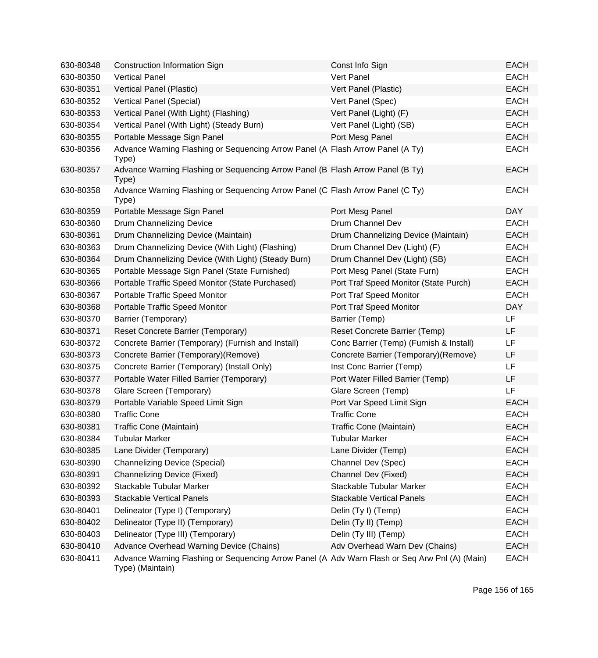| 630-80348 | <b>Construction Information Sign</b>                                                                               | Const Info Sign                         | <b>EACH</b> |
|-----------|--------------------------------------------------------------------------------------------------------------------|-----------------------------------------|-------------|
| 630-80350 | <b>Vertical Panel</b>                                                                                              | Vert Panel                              | <b>EACH</b> |
| 630-80351 | Vertical Panel (Plastic)                                                                                           | Vert Panel (Plastic)                    | <b>EACH</b> |
| 630-80352 | Vertical Panel (Special)                                                                                           | Vert Panel (Spec)                       | <b>EACH</b> |
| 630-80353 | Vertical Panel (With Light) (Flashing)                                                                             | Vert Panel (Light) (F)                  | <b>EACH</b> |
| 630-80354 | Vertical Panel (With Light) (Steady Burn)                                                                          | Vert Panel (Light) (SB)                 | <b>EACH</b> |
| 630-80355 | Portable Message Sign Panel                                                                                        | Port Mesg Panel                         | <b>EACH</b> |
| 630-80356 | Advance Warning Flashing or Sequencing Arrow Panel (A Flash Arrow Panel (A Ty)<br>Type)                            |                                         | <b>EACH</b> |
| 630-80357 | Advance Warning Flashing or Sequencing Arrow Panel (B Flash Arrow Panel (B Ty)<br>Type)                            |                                         | <b>EACH</b> |
| 630-80358 | Advance Warning Flashing or Sequencing Arrow Panel (C Flash Arrow Panel (C Ty)<br>Type)                            |                                         | <b>EACH</b> |
| 630-80359 | Portable Message Sign Panel                                                                                        | Port Mesg Panel                         | <b>DAY</b>  |
| 630-80360 | Drum Channelizing Device                                                                                           | Drum Channel Dev                        | <b>EACH</b> |
| 630-80361 | Drum Channelizing Device (Maintain)                                                                                | Drum Channelizing Device (Maintain)     | <b>EACH</b> |
| 630-80363 | Drum Channelizing Device (With Light) (Flashing)                                                                   | Drum Channel Dev (Light) (F)            | <b>EACH</b> |
| 630-80364 | Drum Channelizing Device (With Light) (Steady Burn)                                                                | Drum Channel Dev (Light) (SB)           | <b>EACH</b> |
| 630-80365 | Portable Message Sign Panel (State Furnished)                                                                      | Port Mesg Panel (State Furn)            | <b>EACH</b> |
| 630-80366 | Portable Traffic Speed Monitor (State Purchased)                                                                   | Port Traf Speed Monitor (State Purch)   | <b>EACH</b> |
| 630-80367 | Portable Traffic Speed Monitor                                                                                     | Port Traf Speed Monitor                 | <b>EACH</b> |
| 630-80368 | Portable Traffic Speed Monitor                                                                                     | Port Traf Speed Monitor                 | <b>DAY</b>  |
| 630-80370 | Barrier (Temporary)                                                                                                | Barrier (Temp)                          | LF          |
| 630-80371 | Reset Concrete Barrier (Temporary)                                                                                 | Reset Concrete Barrier (Temp)           | <b>LF</b>   |
| 630-80372 | Concrete Barrier (Temporary) (Furnish and Install)                                                                 | Conc Barrier (Temp) (Furnish & Install) | LF          |
| 630-80373 | Concrete Barrier (Temporary)(Remove)                                                                               | Concrete Barrier (Temporary)(Remove)    | LF          |
| 630-80375 | Concrete Barrier (Temporary) (Install Only)                                                                        | Inst Conc Barrier (Temp)                | LF          |
| 630-80377 | Portable Water Filled Barrier (Temporary)                                                                          | Port Water Filled Barrier (Temp)        | LF          |
| 630-80378 | Glare Screen (Temporary)                                                                                           | Glare Screen (Temp)                     | <b>LF</b>   |
| 630-80379 | Portable Variable Speed Limit Sign                                                                                 | Port Var Speed Limit Sign               | <b>EACH</b> |
| 630-80380 | <b>Traffic Cone</b>                                                                                                | <b>Traffic Cone</b>                     | <b>EACH</b> |
| 630-80381 | Traffic Cone (Maintain)                                                                                            | Traffic Cone (Maintain)                 | <b>EACH</b> |
| 630-80384 | <b>Tubular Marker</b>                                                                                              | <b>Tubular Marker</b>                   | <b>EACH</b> |
| 630-80385 | Lane Divider (Temporary)                                                                                           | Lane Divider (Temp)                     | <b>EACH</b> |
| 630-80390 | <b>Channelizing Device (Special)</b>                                                                               | Channel Dev (Spec)                      | <b>EACH</b> |
| 630-80391 | <b>Channelizing Device (Fixed)</b>                                                                                 | Channel Dev (Fixed)                     | <b>EACH</b> |
| 630-80392 | Stackable Tubular Marker                                                                                           | Stackable Tubular Marker                | <b>EACH</b> |
| 630-80393 | <b>Stackable Vertical Panels</b>                                                                                   | <b>Stackable Vertical Panels</b>        | <b>EACH</b> |
| 630-80401 | Delineator (Type I) (Temporary)                                                                                    | Delin (Ty I) (Temp)                     | <b>EACH</b> |
| 630-80402 | Delineator (Type II) (Temporary)                                                                                   | Delin (Ty II) (Temp)                    | <b>EACH</b> |
| 630-80403 | Delineator (Type III) (Temporary)                                                                                  | Delin (Ty III) (Temp)                   | <b>EACH</b> |
| 630-80410 | Advance Overhead Warning Device (Chains)                                                                           | Adv Overhead Warn Dev (Chains)          | <b>EACH</b> |
| 630-80411 | Advance Warning Flashing or Sequencing Arrow Panel (A Adv Warn Flash or Seq Arw Pnl (A) (Main)<br>Type) (Maintain) |                                         | <b>EACH</b> |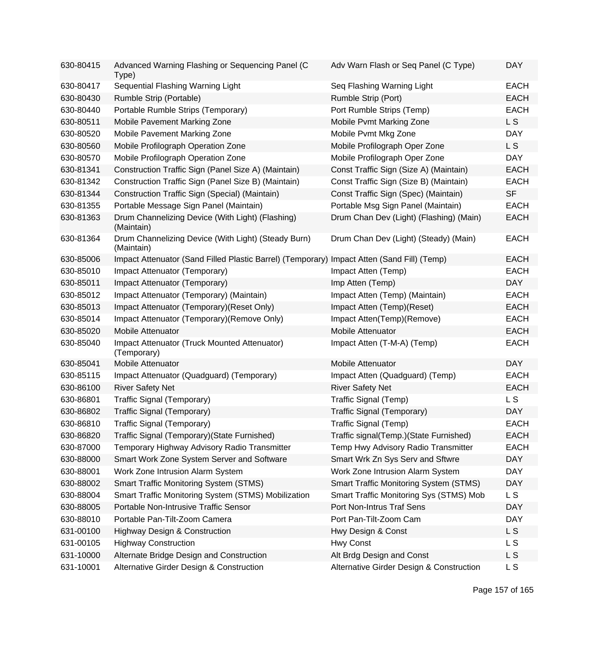| 630-80415 | Advanced Warning Flashing or Sequencing Panel (C<br>Type)                                  | Adv Warn Flash or Seq Panel (C Type)          | <b>DAY</b>     |
|-----------|--------------------------------------------------------------------------------------------|-----------------------------------------------|----------------|
| 630-80417 | Sequential Flashing Warning Light                                                          | Seq Flashing Warning Light                    | <b>EACH</b>    |
| 630-80430 | Rumble Strip (Portable)                                                                    | Rumble Strip (Port)                           | <b>EACH</b>    |
| 630-80440 | Portable Rumble Strips (Temporary)                                                         | Port Rumble Strips (Temp)                     | <b>EACH</b>    |
| 630-80511 | Mobile Pavement Marking Zone                                                               | Mobile Pvmt Marking Zone                      | L <sub>S</sub> |
| 630-80520 | Mobile Pavement Marking Zone                                                               | Mobile Pvmt Mkg Zone                          | <b>DAY</b>     |
| 630-80560 | Mobile Profilograph Operation Zone                                                         | Mobile Profilograph Oper Zone                 | L S            |
| 630-80570 | Mobile Profilograph Operation Zone                                                         | Mobile Profilograph Oper Zone                 | <b>DAY</b>     |
| 630-81341 | Construction Traffic Sign (Panel Size A) (Maintain)                                        | Const Traffic Sign (Size A) (Maintain)        | <b>EACH</b>    |
| 630-81342 | Construction Traffic Sign (Panel Size B) (Maintain)                                        | Const Traffic Sign (Size B) (Maintain)        | <b>EACH</b>    |
| 630-81344 | Construction Traffic Sign (Special) (Maintain)                                             | Const Traffic Sign (Spec) (Maintain)          | <b>SF</b>      |
| 630-81355 | Portable Message Sign Panel (Maintain)                                                     | Portable Msg Sign Panel (Maintain)            | <b>EACH</b>    |
| 630-81363 | Drum Channelizing Device (With Light) (Flashing)<br>(Maintain)                             | Drum Chan Dev (Light) (Flashing) (Main)       | <b>EACH</b>    |
| 630-81364 | Drum Channelizing Device (With Light) (Steady Burn)<br>(Maintain)                          | Drum Chan Dev (Light) (Steady) (Main)         | <b>EACH</b>    |
| 630-85006 | Impact Attenuator (Sand Filled Plastic Barrel) (Temporary) Impact Atten (Sand Fill) (Temp) |                                               | <b>EACH</b>    |
| 630-85010 | Impact Attenuator (Temporary)                                                              | Impact Atten (Temp)                           | <b>EACH</b>    |
| 630-85011 | Impact Attenuator (Temporary)                                                              | Imp Atten (Temp)                              | <b>DAY</b>     |
| 630-85012 | Impact Attenuator (Temporary) (Maintain)                                                   | Impact Atten (Temp) (Maintain)                | <b>EACH</b>    |
| 630-85013 | Impact Attenuator (Temporary)(Reset Only)                                                  | Impact Atten (Temp)(Reset)                    | <b>EACH</b>    |
| 630-85014 | Impact Attenuator (Temporary) (Remove Only)                                                | Impact Atten(Temp)(Remove)                    | <b>EACH</b>    |
| 630-85020 | Mobile Attenuator                                                                          | Mobile Attenuator                             | <b>EACH</b>    |
| 630-85040 | Impact Attenuator (Truck Mounted Attenuator)<br>(Temporary)                                | Impact Atten (T-M-A) (Temp)                   | <b>EACH</b>    |
| 630-85041 | <b>Mobile Attenuator</b>                                                                   | <b>Mobile Attenuator</b>                      | <b>DAY</b>     |
| 630-85115 | Impact Attenuator (Quadguard) (Temporary)                                                  | Impact Atten (Quadguard) (Temp)               | <b>EACH</b>    |
| 630-86100 | <b>River Safety Net</b>                                                                    | <b>River Safety Net</b>                       | <b>EACH</b>    |
| 630-86801 | Traffic Signal (Temporary)                                                                 | Traffic Signal (Temp)                         | L <sub>S</sub> |
| 630-86802 | Traffic Signal (Temporary)                                                                 | Traffic Signal (Temporary)                    | <b>DAY</b>     |
| 630-86810 | Traffic Signal (Temporary)                                                                 | Traffic Signal (Temp)                         | <b>EACH</b>    |
| 630-86820 | Traffic Signal (Temporary)(State Furnished)                                                | Traffic signal(Temp.)(State Furnished)        | <b>EACH</b>    |
| 630-87000 | Temporary Highway Advisory Radio Transmitter                                               | Temp Hwy Advisory Radio Transmitter           | <b>EACH</b>    |
| 630-88000 | Smart Work Zone System Server and Software                                                 | Smart Wrk Zn Sys Serv and Sftwre              | <b>DAY</b>     |
| 630-88001 | Work Zone Intrusion Alarm System                                                           | Work Zone Intrusion Alarm System              | <b>DAY</b>     |
| 630-88002 | <b>Smart Traffic Monitoring System (STMS)</b>                                              | <b>Smart Traffic Monitoring System (STMS)</b> | <b>DAY</b>     |
| 630-88004 | Smart Traffic Monitoring System (STMS) Mobilization                                        | Smart Traffic Monitoring Sys (STMS) Mob       | L S            |
| 630-88005 | Portable Non-Intrusive Traffic Sensor                                                      | Port Non-Intrus Traf Sens                     | <b>DAY</b>     |
| 630-88010 | Portable Pan-Tilt-Zoom Camera                                                              | Port Pan-Tilt-Zoom Cam                        | <b>DAY</b>     |
| 631-00100 | <b>Highway Design &amp; Construction</b>                                                   | Hwy Design & Const                            | L S            |
| 631-00105 | <b>Highway Construction</b>                                                                | Hwy Const                                     | L S            |
| 631-10000 | Alternate Bridge Design and Construction                                                   | Alt Brdg Design and Const                     | L S            |
| 631-10001 | Alternative Girder Design & Construction                                                   | Alternative Girder Design & Construction      | L S            |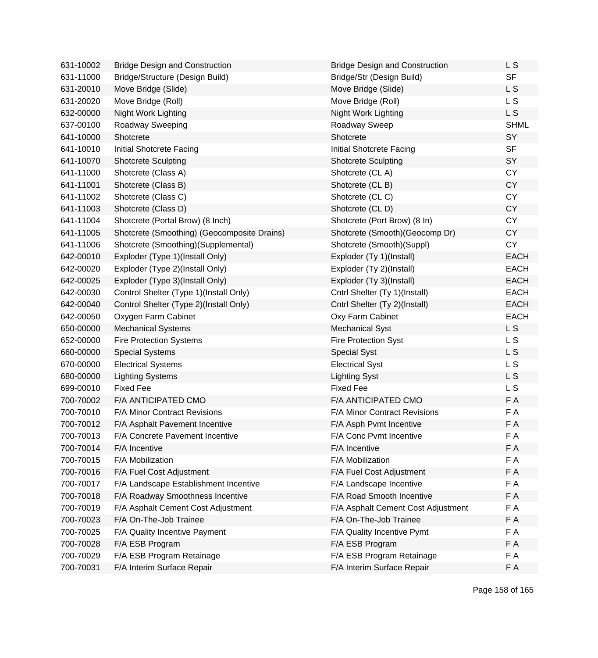| 631-10002 | <b>Bridge Design and Construction</b>       | <b>Bridge Design and Construction</b> | L S            |
|-----------|---------------------------------------------|---------------------------------------|----------------|
| 631-11000 | Bridge/Structure (Design Build)             | Bridge/Str (Design Build)             | <b>SF</b>      |
| 631-20010 | Move Bridge (Slide)                         | Move Bridge (Slide)                   | L <sub>S</sub> |
| 631-20020 | Move Bridge (Roll)                          | Move Bridge (Roll)                    | L <sub>S</sub> |
| 632-00000 | Night Work Lighting                         | Night Work Lighting                   | <b>LS</b>      |
| 637-00100 | Roadway Sweeping                            | Roadway Sweep                         | <b>SHML</b>    |
| 641-10000 | Shotcrete                                   | Shotcrete                             | SY             |
| 641-10010 | Initial Shotcrete Facing                    | Initial Shotcrete Facing              | <b>SF</b>      |
| 641-10070 | <b>Shotcrete Sculpting</b>                  | <b>Shotcrete Sculpting</b>            | SY             |
| 641-11000 | Shotcrete (Class A)                         | Shotcrete (CLA)                       | <b>CY</b>      |
| 641-11001 | Shotcrete (Class B)                         | Shotcrete (CL B)                      | <b>CY</b>      |
| 641-11002 | Shotcrete (Class C)                         | Shotcrete (CLC)                       | <b>CY</b>      |
| 641-11003 | Shotcrete (Class D)                         | Shotcrete (CLD)                       | CY             |
| 641-11004 | Shotcrete (Portal Brow) (8 Inch)            | Shotcrete (Port Brow) (8 In)          | <b>CY</b>      |
| 641-11005 | Shotcrete (Smoothing) (Geocomposite Drains) | Shotcrete (Smooth)(Geocomp Dr)        | CY             |
| 641-11006 | Shotcrete (Smoothing)(Supplemental)         | Shotcrete (Smooth)(Suppl)             | <b>CY</b>      |
| 642-00010 | Exploder (Type 1)(Install Only)             | Exploder (Ty 1)(Install)              | <b>EACH</b>    |
| 642-00020 | Exploder (Type 2)(Install Only)             | Exploder (Ty 2)(Install)              | <b>EACH</b>    |
| 642-00025 | Exploder (Type 3)(Install Only)             | Exploder (Ty 3)(Install)              | <b>EACH</b>    |
| 642-00030 | Control Shelter (Type 1)(Install Only)      | Cntrl Shelter (Ty 1)(Install)         | <b>EACH</b>    |
| 642-00040 | Control Shelter (Type 2)(Install Only)      | Cntrl Shelter (Ty 2)(Install)         | <b>EACH</b>    |
| 642-00050 | Oxygen Farm Cabinet                         | Oxy Farm Cabinet                      | <b>EACH</b>    |
| 650-00000 | <b>Mechanical Systems</b>                   | <b>Mechanical Syst</b>                | <b>LS</b>      |
| 652-00000 | <b>Fire Protection Systems</b>              | <b>Fire Protection Syst</b>           | L S            |
| 660-00000 | <b>Special Systems</b>                      | <b>Special Syst</b>                   | L S            |
| 670-00000 | <b>Electrical Systems</b>                   | <b>Electrical Syst</b>                | L S            |
| 680-00000 | <b>Lighting Systems</b>                     | <b>Lighting Syst</b>                  | L S            |
| 699-00010 | <b>Fixed Fee</b>                            | <b>Fixed Fee</b>                      | <b>LS</b>      |
| 700-70002 | F/A ANTICIPATED CMO                         | F/A ANTICIPATED CMO                   | F A            |
| 700-70010 | F/A Minor Contract Revisions                | F/A Minor Contract Revisions          | F A            |
| 700-70012 | F/A Asphalt Pavement Incentive              | F/A Asph Pvmt Incentive               | F A            |
| 700-70013 | F/A Concrete Pavement Incentive             | F/A Conc Pvmt Incentive               | F A            |
| 700-70014 | F/A Incentive                               | F/A Incentive                         | F A            |
| 700-70015 | F/A Mobilization                            | F/A Mobilization                      | F A            |
| 700-70016 | F/A Fuel Cost Adjustment                    | F/A Fuel Cost Adjustment              | F A            |
| 700-70017 | F/A Landscape Establishment Incentive       | F/A Landscape Incentive               | F A            |
| 700-70018 | F/A Roadway Smoothness Incentive            | F/A Road Smooth Incentive             | F A            |
| 700-70019 | F/A Asphalt Cement Cost Adjustment          | F/A Asphalt Cement Cost Adjustment    | F A            |
| 700-70023 | F/A On-The-Job Trainee                      | F/A On-The-Job Trainee                | F A            |
| 700-70025 | F/A Quality Incentive Payment               | F/A Quality Incentive Pymt            | F A            |
| 700-70028 | F/A ESB Program                             | F/A ESB Program                       | F A            |
| 700-70029 | F/A ESB Program Retainage                   | F/A ESB Program Retainage             | F A            |
| 700-70031 | F/A Interim Surface Repair                  | F/A Interim Surface Repair            | F A            |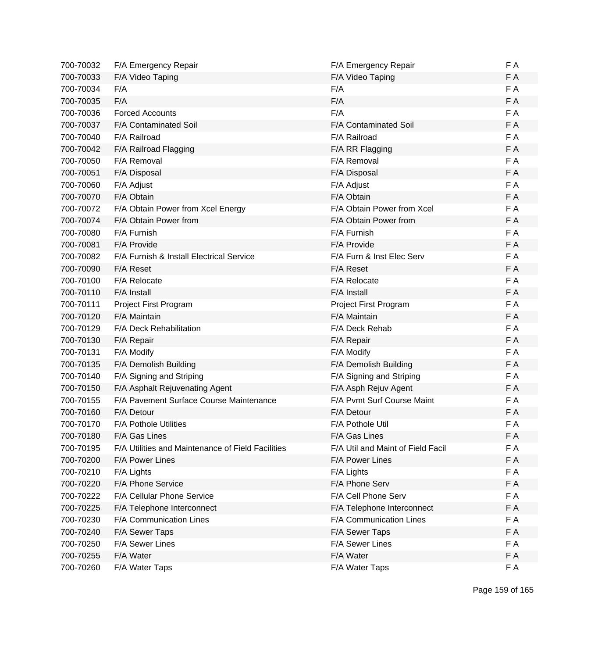| 700-70032 | F/A Emergency Repair                              | F/A Emergency Repair              | F A |
|-----------|---------------------------------------------------|-----------------------------------|-----|
| 700-70033 | F/A Video Taping                                  | F/A Video Taping                  | F A |
| 700-70034 | F/A                                               | F/A                               | F A |
| 700-70035 | F/A                                               | F/A                               | F A |
| 700-70036 | <b>Forced Accounts</b>                            | F/A                               | F A |
| 700-70037 | <b>F/A Contaminated Soil</b>                      | F/A Contaminated Soil             | F A |
| 700-70040 | F/A Railroad                                      | F/A Railroad                      | F A |
| 700-70042 | F/A Railroad Flagging                             | F/A RR Flagging                   | F A |
| 700-70050 | F/A Removal                                       | F/A Removal                       | F A |
| 700-70051 | F/A Disposal                                      | F/A Disposal                      | F A |
| 700-70060 | F/A Adjust                                        | F/A Adjust                        | F A |
| 700-70070 | F/A Obtain                                        | F/A Obtain                        | F A |
| 700-70072 | F/A Obtain Power from Xcel Energy                 | F/A Obtain Power from Xcel        | F A |
| 700-70074 | F/A Obtain Power from                             | F/A Obtain Power from             | F A |
| 700-70080 | F/A Furnish                                       | F/A Furnish                       | F A |
| 700-70081 | F/A Provide                                       | F/A Provide                       | F A |
| 700-70082 | F/A Furnish & Install Electrical Service          | F/A Furn & Inst Elec Serv         | F A |
| 700-70090 | F/A Reset                                         | F/A Reset                         | F A |
| 700-70100 | F/A Relocate                                      | F/A Relocate                      | F A |
| 700-70110 | F/A Install                                       | F/A Install                       | F A |
| 700-70111 | Project First Program                             | Project First Program             | F A |
| 700-70120 | F/A Maintain                                      | F/A Maintain                      | F A |
| 700-70129 | F/A Deck Rehabilitation                           | F/A Deck Rehab                    | F A |
| 700-70130 | F/A Repair                                        | F/A Repair                        | F A |
| 700-70131 | F/A Modify                                        | F/A Modify                        | F A |
| 700-70135 | F/A Demolish Building                             | F/A Demolish Building             | F A |
| 700-70140 | F/A Signing and Striping                          | F/A Signing and Striping          | F A |
| 700-70150 | F/A Asphalt Rejuvenating Agent                    | F/A Asph Rejuv Agent              | F A |
| 700-70155 | F/A Pavement Surface Course Maintenance           | F/A Pvmt Surf Course Maint        | F A |
| 700-70160 | F/A Detour                                        | F/A Detour                        | F A |
| 700-70170 | <b>F/A Pothole Utilities</b>                      | F/A Pothole Util                  | F A |
| 700-70180 | F/A Gas Lines                                     | F/A Gas Lines                     | F A |
| 700-70195 | F/A Utilities and Maintenance of Field Facilities | F/A Util and Maint of Field Facil | F A |
| 700-70200 | F/A Power Lines                                   | F/A Power Lines                   | F A |
| 700-70210 | F/A Lights                                        | F/A Lights                        | F A |
| 700-70220 | F/A Phone Service                                 | F/A Phone Serv                    | F A |
| 700-70222 | F/A Cellular Phone Service                        | F/A Cell Phone Serv               | F A |
| 700-70225 | F/A Telephone Interconnect                        | F/A Telephone Interconnect        | F A |
| 700-70230 | F/A Communication Lines                           | F/A Communication Lines           | F A |
| 700-70240 | F/A Sewer Taps                                    | F/A Sewer Taps                    | F A |
| 700-70250 | F/A Sewer Lines                                   | F/A Sewer Lines                   | F A |
| 700-70255 | F/A Water                                         | F/A Water                         | F A |
| 700-70260 | F/A Water Taps                                    | F/A Water Taps                    | F A |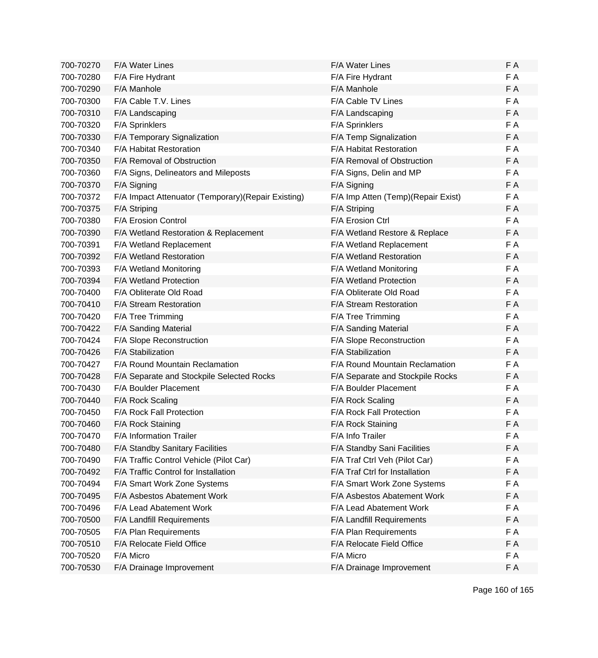| 700-70270 | <b>F/A Water Lines</b>                              | <b>F/A Water Lines</b>                | F A |
|-----------|-----------------------------------------------------|---------------------------------------|-----|
| 700-70280 | F/A Fire Hydrant                                    | F/A Fire Hydrant                      | F A |
| 700-70290 | F/A Manhole                                         | F/A Manhole                           | FA  |
| 700-70300 | F/A Cable T.V. Lines                                | <b>F/A Cable TV Lines</b>             | F A |
| 700-70310 | F/A Landscaping                                     | F/A Landscaping                       | F A |
| 700-70320 | F/A Sprinklers                                      | F/A Sprinklers                        | F A |
| 700-70330 | F/A Temporary Signalization                         | F/A Temp Signalization                | F A |
| 700-70340 | F/A Habitat Restoration                             | F/A Habitat Restoration               | F A |
| 700-70350 | F/A Removal of Obstruction                          | F/A Removal of Obstruction            | FA  |
| 700-70360 | F/A Signs, Delineators and Mileposts                | F/A Signs, Delin and MP               | F A |
| 700-70370 | F/A Signing                                         | F/A Signing                           | F A |
| 700-70372 | F/A Impact Attenuator (Temporary) (Repair Existing) | F/A Imp Atten (Temp) (Repair Exist)   | F A |
| 700-70375 | F/A Striping                                        | F/A Striping                          | F A |
| 700-70380 | <b>F/A Erosion Control</b>                          | F/A Erosion Ctrl                      | F A |
| 700-70390 | F/A Wetland Restoration & Replacement               | F/A Wetland Restore & Replace         | F A |
| 700-70391 | F/A Wetland Replacement                             | F/A Wetland Replacement               | F A |
| 700-70392 | F/A Wetland Restoration                             | F/A Wetland Restoration               | F A |
| 700-70393 | F/A Wetland Monitoring                              | F/A Wetland Monitoring                | FA  |
| 700-70394 | F/A Wetland Protection                              | F/A Wetland Protection                | F A |
| 700-70400 | F/A Obliterate Old Road                             | F/A Obliterate Old Road               | F A |
| 700-70410 | F/A Stream Restoration                              | F/A Stream Restoration                | F A |
| 700-70420 | F/A Tree Trimming                                   | F/A Tree Trimming                     | F A |
| 700-70422 | F/A Sanding Material                                | F/A Sanding Material                  | F A |
| 700-70424 | F/A Slope Reconstruction                            | F/A Slope Reconstruction              | F A |
| 700-70426 | F/A Stabilization                                   | F/A Stabilization                     | F A |
| 700-70427 | F/A Round Mountain Reclamation                      | <b>F/A Round Mountain Reclamation</b> | F A |
| 700-70428 | F/A Separate and Stockpile Selected Rocks           | F/A Separate and Stockpile Rocks      | F A |
| 700-70430 | <b>F/A Boulder Placement</b>                        | <b>F/A Boulder Placement</b>          | F A |
| 700-70440 | F/A Rock Scaling                                    | F/A Rock Scaling                      | F A |
| 700-70450 | F/A Rock Fall Protection                            | F/A Rock Fall Protection              | F A |
| 700-70460 | F/A Rock Staining                                   | F/A Rock Staining                     | F A |
| 700-70470 | <b>F/A Information Trailer</b>                      | F/A Info Trailer                      | FΑ  |
| 700-70480 | F/A Standby Sanitary Facilities                     | F/A Standby Sani Facilities           | F A |
| 700-70490 | F/A Traffic Control Vehicle (Pilot Car)             | F/A Traf Ctrl Veh (Pilot Car)         | F A |
| 700-70492 | F/A Traffic Control for Installation                | F/A Traf Ctrl for Installation        | F A |
| 700-70494 | F/A Smart Work Zone Systems                         | F/A Smart Work Zone Systems           | F A |
| 700-70495 | F/A Asbestos Abatement Work                         | F/A Asbestos Abatement Work           | FΑ  |
| 700-70496 | F/A Lead Abatement Work                             | F/A Lead Abatement Work               | F A |
| 700-70500 | F/A Landfill Requirements                           | F/A Landfill Requirements             | F A |
| 700-70505 | F/A Plan Requirements                               | F/A Plan Requirements                 | F A |
| 700-70510 | F/A Relocate Field Office                           | F/A Relocate Field Office             | F A |
| 700-70520 | F/A Micro                                           | F/A Micro                             | F A |
| 700-70530 | F/A Drainage Improvement                            | F/A Drainage Improvement              | F A |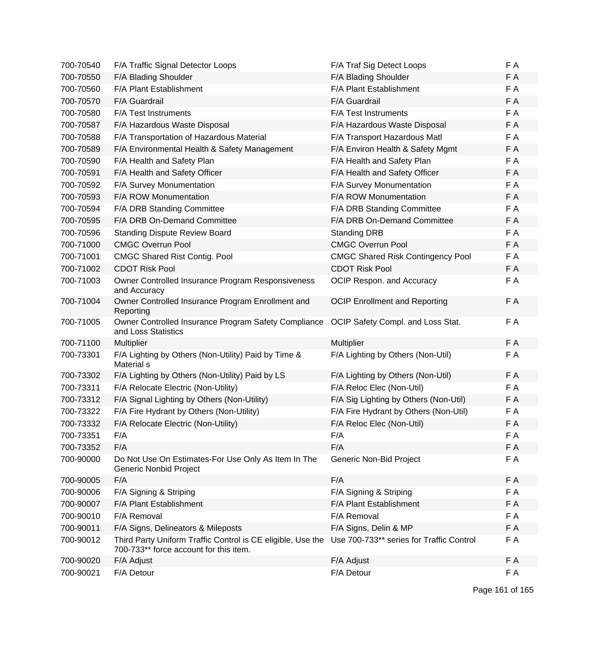| 700-70540 | F/A Traffic Signal Detector Loops                                                                     | F/A Traf Sig Detect Loops                | F A |
|-----------|-------------------------------------------------------------------------------------------------------|------------------------------------------|-----|
| 700-70550 | F/A Blading Shoulder                                                                                  | F/A Blading Shoulder                     | F A |
| 700-70560 | F/A Plant Establishment                                                                               | F/A Plant Establishment                  | F A |
| 700-70570 | F/A Guardrail                                                                                         | F/A Guardrail                            | F A |
| 700-70580 | F/A Test Instruments                                                                                  | F/A Test Instruments                     | F A |
| 700-70587 | F/A Hazardous Waste Disposal                                                                          | F/A Hazardous Waste Disposal             | F A |
| 700-70588 | F/A Transportation of Hazardous Material                                                              | F/A Transport Hazardous Matl             | F A |
| 700-70589 | F/A Environmental Health & Safety Management                                                          | F/A Environ Health & Safety Mgmt         | F A |
| 700-70590 | F/A Health and Safety Plan                                                                            | F/A Health and Safety Plan               | F A |
| 700-70591 | F/A Health and Safety Officer                                                                         | F/A Health and Safety Officer            | F A |
| 700-70592 | F/A Survey Monumentation                                                                              | F/A Survey Monumentation                 | F A |
| 700-70593 | F/A ROW Monumentation                                                                                 | F/A ROW Monumentation                    | F A |
| 700-70594 | F/A DRB Standing Committee                                                                            | F/A DRB Standing Committee               | F A |
| 700-70595 | F/A DRB On-Demand Committee                                                                           | F/A DRB On-Demand Committee              | F A |
| 700-70596 | <b>Standing Dispute Review Board</b>                                                                  | <b>Standing DRB</b>                      | F A |
| 700-71000 | <b>CMGC Overrun Pool</b>                                                                              | <b>CMGC Overrun Pool</b>                 | F A |
| 700-71001 | <b>CMGC Shared Rist Contig. Pool</b>                                                                  | <b>CMGC Shared Risk Contingency Pool</b> | F A |
| 700-71002 | <b>CDOT Risk Pool</b>                                                                                 | <b>CDOT Risk Pool</b>                    | F A |
| 700-71003 | Owner Controlled Insurance Program Responsiveness<br>and Accuracy                                     | OCIP Respon. and Accuracy                | F A |
| 700-71004 | Owner Controlled Insurance Program Enrollment and<br>Reporting                                        | <b>OCIP Enrollment and Reporting</b>     | F A |
| 700-71005 | Owner Controlled Insurance Program Safety Compliance<br>and Loss Statistics                           | OCIP Safety Compl. and Loss Stat.        | F A |
| 700-71100 | <b>Multiplier</b>                                                                                     | Multiplier                               | F A |
| 700-73301 | F/A Lighting by Others (Non-Utility) Paid by Time &<br>Material s                                     | F/A Lighting by Others (Non-Util)        | F A |
| 700-73302 | F/A Lighting by Others (Non-Utility) Paid by LS                                                       | F/A Lighting by Others (Non-Util)        | F A |
| 700-73311 | F/A Relocate Electric (Non-Utility)                                                                   | F/A Reloc Elec (Non-Util)                | F A |
| 700-73312 | F/A Signal Lighting by Others (Non-Utility)                                                           | F/A Sig Lighting by Others (Non-Util)    | F A |
| 700-73322 | F/A Fire Hydrant by Others (Non-Utility)                                                              | F/A Fire Hydrant by Others (Non-Util)    | F A |
| 700-73332 | F/A Relocate Electric (Non-Utility)                                                                   | F/A Reloc Elec (Non-Util)                | F A |
| 700-73351 | F/A                                                                                                   | F/A                                      | F A |
| 700-73352 | F/A                                                                                                   | F/A                                      | F A |
| 700-90000 | Do Not Use On Estimates-For Use Only As Item In The<br><b>Generic Nonbid Project</b>                  | Generic Non-Bid Project                  | F A |
| 700-90005 | F/A                                                                                                   | F/A                                      | F A |
| 700-90006 | F/A Signing & Striping                                                                                | F/A Signing & Striping                   | F A |
| 700-90007 | F/A Plant Establishment                                                                               | F/A Plant Establishment                  | F A |
| 700-90010 | F/A Removal                                                                                           | F/A Removal                              | F A |
| 700-90011 | F/A Signs, Delineators & Mileposts                                                                    | F/A Signs, Delin & MP                    | F A |
| 700-90012 | Third Party Uniform Traffic Control is CE eligible, Use the<br>700-733** force account for this item. | Use 700-733** series for Traffic Control | F A |
| 700-90020 | F/A Adjust                                                                                            | F/A Adjust                               | F A |
| 700-90021 | F/A Detour                                                                                            | F/A Detour                               | F A |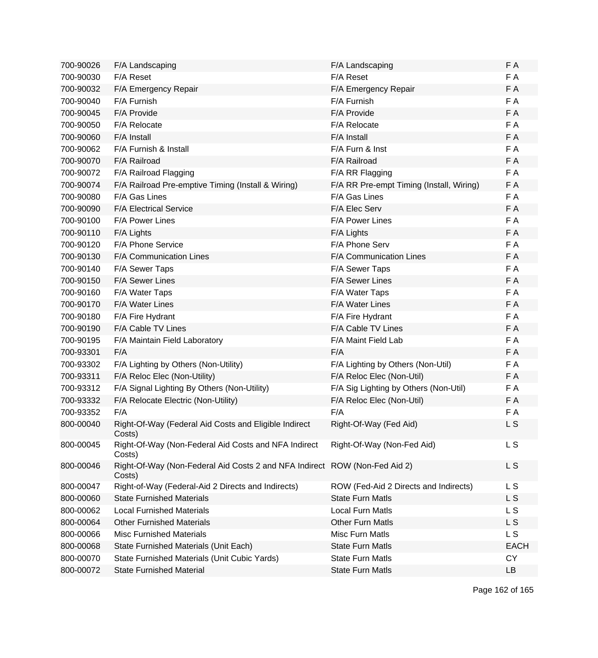| 700-90026 | F/A Landscaping                                                  | F/A Landscaping                          | F A            |
|-----------|------------------------------------------------------------------|------------------------------------------|----------------|
| 700-90030 | F/A Reset                                                        | F/A Reset                                | F A            |
| 700-90032 | F/A Emergency Repair                                             | F/A Emergency Repair                     | F A            |
| 700-90040 | F/A Furnish                                                      | F/A Furnish                              | F A            |
| 700-90045 | F/A Provide                                                      | F/A Provide                              | F A            |
| 700-90050 | F/A Relocate                                                     | F/A Relocate                             | F A            |
| 700-90060 | F/A Install                                                      | F/A Install                              | F A            |
| 700-90062 | F/A Furnish & Install                                            | F/A Furn & Inst                          | F A            |
| 700-90070 | F/A Railroad                                                     | F/A Railroad                             | F A            |
| 700-90072 | F/A Railroad Flagging                                            | F/A RR Flagging                          | F A            |
| 700-90074 | F/A Railroad Pre-emptive Timing (Install & Wiring)               | F/A RR Pre-empt Timing (Install, Wiring) | F A            |
| 700-90080 | F/A Gas Lines                                                    | F/A Gas Lines                            | F A            |
| 700-90090 | <b>F/A Electrical Service</b>                                    | F/A Elec Serv                            | F A            |
| 700-90100 | F/A Power Lines                                                  | F/A Power Lines                          | F A            |
| 700-90110 | F/A Lights                                                       | F/A Lights                               | F A            |
| 700-90120 | F/A Phone Service                                                | F/A Phone Serv                           | F A            |
| 700-90130 | F/A Communication Lines                                          | F/A Communication Lines                  | F A            |
| 700-90140 | F/A Sewer Taps                                                   | F/A Sewer Taps                           | F A            |
| 700-90150 | F/A Sewer Lines                                                  | F/A Sewer Lines                          | F A            |
| 700-90160 | F/A Water Taps                                                   | F/A Water Taps                           | F A            |
| 700-90170 | F/A Water Lines                                                  | F/A Water Lines                          | F A            |
| 700-90180 | F/A Fire Hydrant                                                 | F/A Fire Hydrant                         | F A            |
| 700-90190 | F/A Cable TV Lines                                               | F/A Cable TV Lines                       | F A            |
| 700-90195 | F/A Maintain Field Laboratory                                    | F/A Maint Field Lab                      | F A            |
| 700-93301 | F/A                                                              | F/A                                      | F A            |
| 700-93302 | F/A Lighting by Others (Non-Utility)                             | F/A Lighting by Others (Non-Util)        | F A            |
| 700-93311 | F/A Reloc Elec (Non-Utility)                                     | F/A Reloc Elec (Non-Util)                | F A            |
| 700-93312 | F/A Signal Lighting By Others (Non-Utility)                      | F/A Sig Lighting by Others (Non-Util)    | F A            |
| 700-93332 | F/A Relocate Electric (Non-Utility)                              | F/A Reloc Elec (Non-Util)                | F A            |
| 700-93352 | F/A                                                              | F/A                                      | F A            |
| 800-00040 | Right-Of-Way (Federal Aid Costs and Eligible Indirect<br>Costs)  | Right-Of-Way (Fed Aid)                   | L S            |
| 800-00045 | Right-Of-Way (Non-Federal Aid Costs and NFA Indirect<br>Costs)   | Right-Of-Way (Non-Fed Aid)               | L S            |
| 800-00046 | Right-Of-Way (Non-Federal Aid Costs 2 and NFA Indirect<br>Costs) | ROW (Non-Fed Aid 2)                      | L S            |
| 800-00047 | Right-of-Way (Federal-Aid 2 Directs and Indirects)               | ROW (Fed-Aid 2 Directs and Indirects)    | L S            |
| 800-00060 | <b>State Furnished Materials</b>                                 | <b>State Furn Matls</b>                  | L S            |
| 800-00062 | <b>Local Furnished Materials</b>                                 | <b>Local Furn Matls</b>                  | L S            |
| 800-00064 | <b>Other Furnished Materials</b>                                 | <b>Other Furn Matls</b>                  | L <sub>S</sub> |
| 800-00066 | <b>Misc Furnished Materials</b>                                  | <b>Misc Furn Matls</b>                   | L S            |
| 800-00068 | State Furnished Materials (Unit Each)                            | <b>State Furn Matls</b>                  | <b>EACH</b>    |
| 800-00070 | State Furnished Materials (Unit Cubic Yards)                     | <b>State Furn Matls</b>                  | <b>CY</b>      |
| 800-00072 | <b>State Furnished Material</b>                                  | <b>State Furn Matls</b>                  | LB             |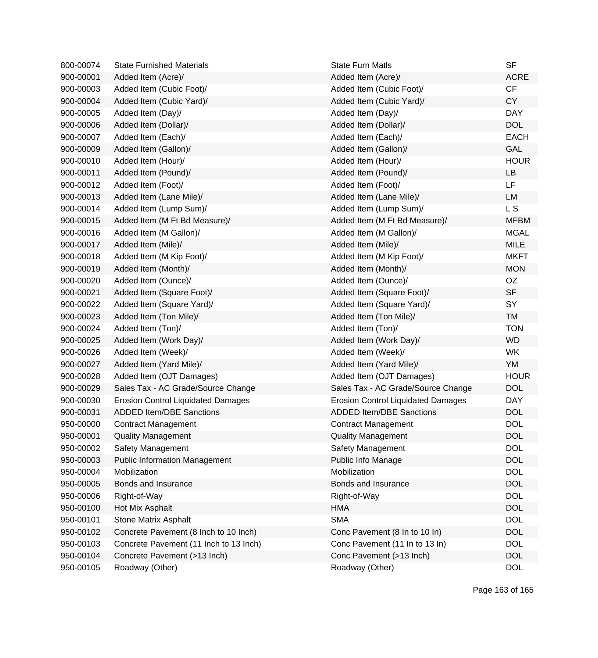| 800-00074 | <b>State Furnished Materials</b>          | <b>State Furn Matls</b>                   | <b>SF</b>   |
|-----------|-------------------------------------------|-------------------------------------------|-------------|
| 900-00001 | Added Item (Acre)/                        | Added Item (Acre)/                        | <b>ACRE</b> |
| 900-00003 | Added Item (Cubic Foot)/                  | Added Item (Cubic Foot)/                  | CF          |
| 900-00004 | Added Item (Cubic Yard)/                  | Added Item (Cubic Yard)/                  | <b>CY</b>   |
| 900-00005 | Added Item (Day)/                         | Added Item (Day)/                         | <b>DAY</b>  |
| 900-00006 | Added Item (Dollar)/                      | Added Item (Dollar)/                      | <b>DOL</b>  |
| 900-00007 | Added Item (Each)/                        | Added Item (Each)/                        | <b>EACH</b> |
| 900-00009 | Added Item (Gallon)/                      | Added Item (Gallon)/                      | GAL         |
| 900-00010 | Added Item (Hour)/                        | Added Item (Hour)/                        | <b>HOUR</b> |
| 900-00011 | Added Item (Pound)/                       | Added Item (Pound)/                       | LB          |
| 900-00012 | Added Item (Foot)/                        | Added Item (Foot)/                        | LF          |
| 900-00013 | Added Item (Lane Mile)/                   | Added Item (Lane Mile)/                   | <b>LM</b>   |
| 900-00014 | Added Item (Lump Sum)/                    | Added Item (Lump Sum)/                    | L S         |
| 900-00015 | Added Item (M Ft Bd Measure)/             | Added Item (M Ft Bd Measure)/             | <b>MFBM</b> |
| 900-00016 | Added Item (M Gallon)/                    | Added Item (M Gallon)/                    | <b>MGAL</b> |
| 900-00017 | Added Item (Mile)/                        | Added Item (Mile)/                        | <b>MILE</b> |
| 900-00018 | Added Item (M Kip Foot)/                  | Added Item (M Kip Foot)/                  | <b>MKFT</b> |
| 900-00019 | Added Item (Month)/                       | Added Item (Month)/                       | <b>MON</b>  |
| 900-00020 | Added Item (Ounce)/                       | Added Item (Ounce)/                       | OZ          |
| 900-00021 | Added Item (Square Foot)/                 | Added Item (Square Foot)/                 | <b>SF</b>   |
| 900-00022 | Added Item (Square Yard)/                 | Added Item (Square Yard)/                 | SY          |
| 900-00023 | Added Item (Ton Mile)/                    | Added Item (Ton Mile)/                    | <b>TM</b>   |
| 900-00024 | Added Item (Ton)/                         | Added Item (Ton)/                         | <b>TON</b>  |
| 900-00025 | Added Item (Work Day)/                    | Added Item (Work Day)/                    | <b>WD</b>   |
| 900-00026 | Added Item (Week)/                        | Added Item (Week)/                        | <b>WK</b>   |
| 900-00027 | Added Item (Yard Mile)/                   | Added Item (Yard Mile)/                   | YM          |
| 900-00028 | Added Item (OJT Damages)                  | Added Item (OJT Damages)                  | <b>HOUR</b> |
| 900-00029 | Sales Tax - AC Grade/Source Change        | Sales Tax - AC Grade/Source Change        | <b>DOL</b>  |
| 900-00030 | <b>Erosion Control Liquidated Damages</b> | <b>Erosion Control Liquidated Damages</b> | <b>DAY</b>  |
| 900-00031 | <b>ADDED Item/DBE Sanctions</b>           | <b>ADDED Item/DBE Sanctions</b>           | <b>DOL</b>  |
| 950-00000 | <b>Contract Management</b>                | <b>Contract Management</b>                | <b>DOL</b>  |
| 950-00001 | <b>Quality Management</b>                 | <b>Quality Management</b>                 | <b>DOL</b>  |
| 950-00002 | Safety Management                         | Safety Management                         | <b>DOL</b>  |
| 950-00003 | <b>Public Information Management</b>      | Public Info Manage                        | <b>DOL</b>  |
| 950-00004 | Mobilization                              | Mobilization                              | <b>DOL</b>  |
| 950-00005 | Bonds and Insurance                       | Bonds and Insurance                       | <b>DOL</b>  |
| 950-00006 | Right-of-Way                              | Right-of-Way                              | <b>DOL</b>  |
| 950-00100 | Hot Mix Asphalt                           | <b>HMA</b>                                | <b>DOL</b>  |
| 950-00101 | <b>Stone Matrix Asphalt</b>               | <b>SMA</b>                                | <b>DOL</b>  |
| 950-00102 | Concrete Pavement (8 Inch to 10 Inch)     | Conc Pavement (8 In to 10 In)             | <b>DOL</b>  |
| 950-00103 | Concrete Pavement (11 Inch to 13 Inch)    | Conc Pavement (11 In to 13 In)            | <b>DOL</b>  |
| 950-00104 | Concrete Pavement (>13 Inch)              | Conc Pavement (>13 Inch)                  | <b>DOL</b>  |
| 950-00105 | Roadway (Other)                           | Roadway (Other)                           | <b>DOL</b>  |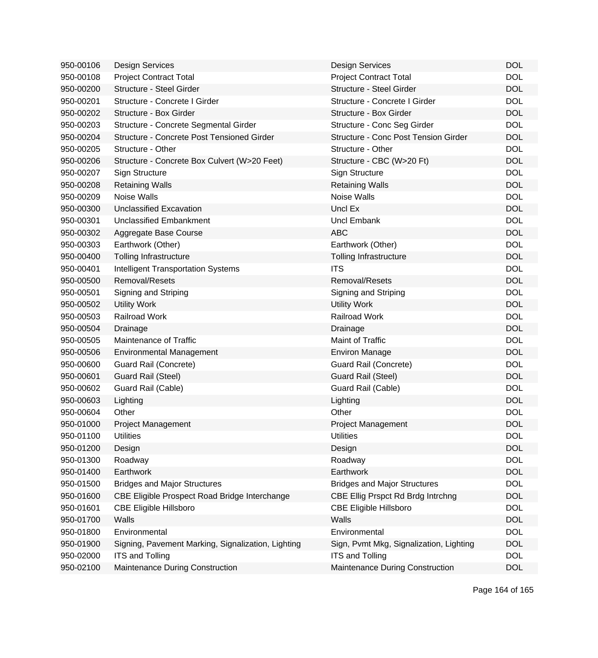| 950-00106 | <b>Design Services</b>                             | <b>Design Services</b>                  | <b>DOL</b> |
|-----------|----------------------------------------------------|-----------------------------------------|------------|
| 950-00108 | <b>Project Contract Total</b>                      | <b>Project Contract Total</b>           | <b>DOL</b> |
| 950-00200 | Structure - Steel Girder                           | Structure - Steel Girder                | <b>DOL</b> |
| 950-00201 | Structure - Concrete I Girder                      | Structure - Concrete I Girder           | <b>DOL</b> |
| 950-00202 | Structure - Box Girder                             | Structure - Box Girder                  | <b>DOL</b> |
| 950-00203 | Structure - Concrete Segmental Girder              | Structure - Conc Seg Girder             | <b>DOL</b> |
| 950-00204 | Structure - Concrete Post Tensioned Girder         | Structure - Conc Post Tension Girder    | <b>DOL</b> |
| 950-00205 | Structure - Other                                  | Structure - Other                       | <b>DOL</b> |
| 950-00206 | Structure - Concrete Box Culvert (W>20 Feet)       | Structure - CBC (W>20 Ft)               | <b>DOL</b> |
| 950-00207 | Sign Structure                                     | Sign Structure                          | <b>DOL</b> |
| 950-00208 | <b>Retaining Walls</b>                             | <b>Retaining Walls</b>                  | <b>DOL</b> |
| 950-00209 | <b>Noise Walls</b>                                 | Noise Walls                             | <b>DOL</b> |
| 950-00300 | <b>Unclassified Excavation</b>                     | Uncl Ex                                 | <b>DOL</b> |
| 950-00301 | <b>Unclassified Embankment</b>                     | <b>Uncl Embank</b>                      | <b>DOL</b> |
| 950-00302 | Aggregate Base Course                              | <b>ABC</b>                              | <b>DOL</b> |
| 950-00303 | Earthwork (Other)                                  | Earthwork (Other)                       | <b>DOL</b> |
| 950-00400 | <b>Tolling Infrastructure</b>                      | <b>Tolling Infrastructure</b>           | <b>DOL</b> |
| 950-00401 | <b>Intelligent Transportation Systems</b>          | <b>ITS</b>                              | <b>DOL</b> |
| 950-00500 | Removal/Resets                                     | Removal/Resets                          | <b>DOL</b> |
| 950-00501 | Signing and Striping                               | Signing and Striping                    | <b>DOL</b> |
| 950-00502 | <b>Utility Work</b>                                | <b>Utility Work</b>                     | <b>DOL</b> |
| 950-00503 | Railroad Work                                      | <b>Railroad Work</b>                    | <b>DOL</b> |
| 950-00504 | Drainage                                           | Drainage                                | <b>DOL</b> |
| 950-00505 | Maintenance of Traffic                             | <b>Maint of Traffic</b>                 | <b>DOL</b> |
| 950-00506 | <b>Environmental Management</b>                    | <b>Environ Manage</b>                   | <b>DOL</b> |
| 950-00600 | Guard Rail (Concrete)                              | <b>Guard Rail (Concrete)</b>            | <b>DOL</b> |
| 950-00601 | Guard Rail (Steel)                                 | Guard Rail (Steel)                      | <b>DOL</b> |
| 950-00602 | Guard Rail (Cable)                                 | Guard Rail (Cable)                      | <b>DOL</b> |
| 950-00603 | Lighting                                           | Lighting                                | <b>DOL</b> |
| 950-00604 | Other                                              | Other                                   | <b>DOL</b> |
| 950-01000 | Project Management                                 | Project Management                      | <b>DOL</b> |
| 950-01100 | Utilities                                          | Utilities                               | DOL        |
| 950-01200 | Design                                             | Design                                  | <b>DOL</b> |
| 950-01300 | Roadway                                            | Roadway                                 | <b>DOL</b> |
| 950-01400 | Earthwork                                          | Earthwork                               | <b>DOL</b> |
| 950-01500 | <b>Bridges and Major Structures</b>                | <b>Bridges and Major Structures</b>     | <b>DOL</b> |
| 950-01600 | CBE Eligible Prospect Road Bridge Interchange      | CBE Ellig Prspct Rd Brdg Intrchng       | <b>DOL</b> |
| 950-01601 | <b>CBE Eligible Hillsboro</b>                      | <b>CBE Eligible Hillsboro</b>           | <b>DOL</b> |
| 950-01700 | Walls                                              | Walls                                   | <b>DOL</b> |
| 950-01800 | Environmental                                      | Environmental                           | <b>DOL</b> |
| 950-01900 | Signing, Pavement Marking, Signalization, Lighting | Sign, Pvmt Mkg, Signalization, Lighting | <b>DOL</b> |
| 950-02000 | <b>ITS and Tolling</b>                             | <b>ITS and Tolling</b>                  | <b>DOL</b> |
| 950-02100 | Maintenance During Construction                    | Maintenance During Construction         | <b>DOL</b> |